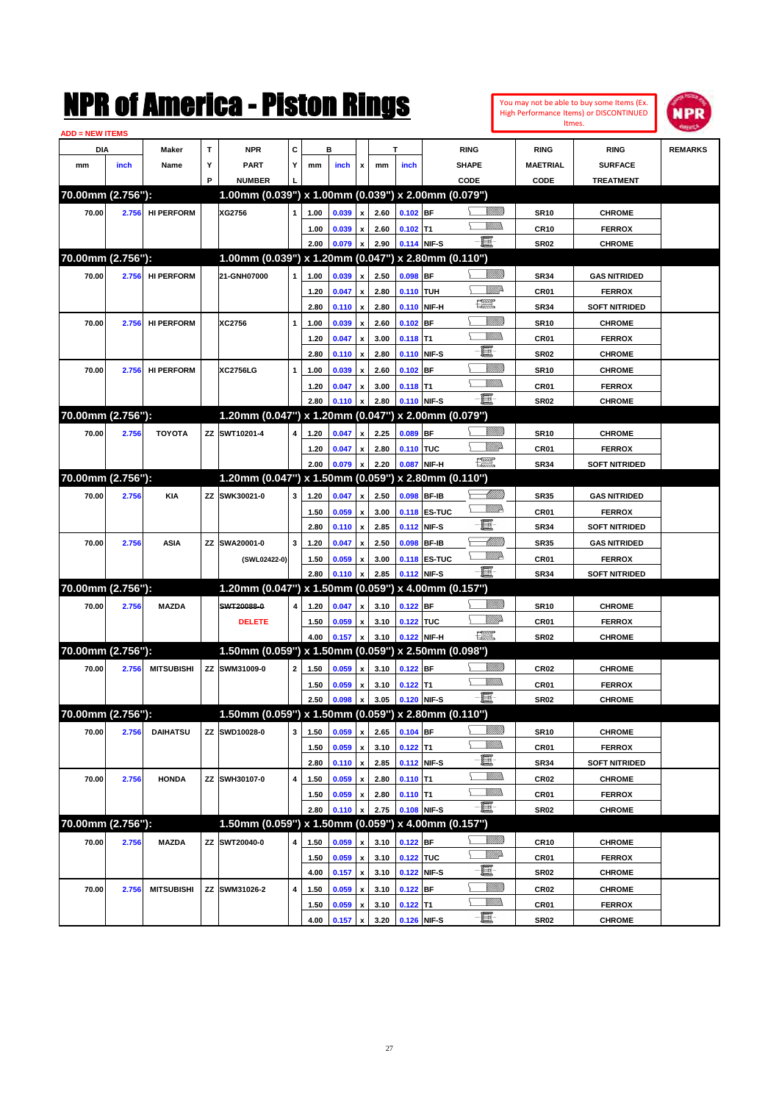| Itmes.<br><u> ADD = NEW ITEMS</u><br>c<br>т<br><b>NPR</b><br>в<br>т<br>DIA<br><b>RING</b><br><b>RING</b><br>Maker<br><b>RING</b><br>Υ<br>Y<br><b>PART</b><br>SHAPE<br><b>MAETRIAL</b><br><b>SURFACE</b><br>mm<br>inch<br>Name<br>mm<br>inch<br>x<br>mm<br>inch<br>P<br><b>NUMBER</b><br>CODE<br><b>CODE</b><br><b>TREATMENT</b><br>1.00mm (0.039") x 1.00mm (0.039") x 2.00mm (0.079")<br>70.00mm (2.756"):<br><u>Millitt</u><br><b>HI PERFORM</b><br>XG2756<br>2.60<br>$0.102$ BF<br>70.00<br>2.756<br>1.00<br>0.039<br>x<br><b>SR10</b><br><b>CHROME</b><br>1<br>.<br>MM<br>2.60<br>$0.102$ T1<br><b>CR10</b><br><b>FERROX</b><br>1.00<br>0.039<br>x<br>e.<br>2.00<br>0.079<br>2.90<br>0.114 NIF-S<br><b>SR02</b><br>$\boldsymbol{\mathsf{x}}$<br><b>CHROME</b><br>70.00mm (2.756"):<br>1.00mm (0.039") x 1.20mm (0.047") x 2.80mm (0.110")<br><u>Millitti</u><br>$0.098$ BF<br>70.00<br><b>HI PERFORM</b><br>21-GNH07000<br>2.50<br><b>GAS NITRIDED</b><br>2.756<br>1<br>1.00<br>0.039<br>X<br><b>SR34</b><br><u>Mille</u><br>2.80<br>0.110 TUH<br>CR01<br>1.20<br>0.047<br>x<br><b>FERROX</b><br>$f_{\rm max}^{\rm exp}$<br>2.80<br>2.80<br>0.110 NIF-H<br><b>SR34</b><br><b>SOFT NITRIDED</b><br>0.110<br>$\boldsymbol{\mathsf{x}}$<br><u>Millil</u><br>XC2756<br>$0.102$ BF<br>70.00<br>2.756<br><b>HI PERFORM</b><br>1.00<br>0.039<br>X<br>2.60<br><b>SR10</b><br><b>CHROME</b><br>1<br>.<br>MM<br>3.00<br>$0.118$ T1<br>CR01<br>1.20<br>0.047<br>x<br><b>FERROX</b><br>E-<br>2.80<br>2.80<br>0.110 NIF-S<br>0.110<br><b>SR02</b><br><b>CHROME</b><br>$\boldsymbol{\mathsf{x}}$<br><u>Millil</u><br>2.60<br>$0.102$ BF<br>70.00<br>2.756<br><b>HI PERFORM</b><br><b>XC2756LG</b><br>1<br>1.00<br>0.039<br><b>SR10</b><br><b>CHROME</b><br>x<br>.<br>VMD<br>3.00<br>$0.118$ T1<br>CR01<br><b>FERROX</b><br>1.20<br>0.047<br>x<br>e.<br>2.80<br>2.80<br>0.110 NIF-S<br><b>SR02</b><br>0.110<br><b>CHROME</b><br>$\boldsymbol{\mathsf{x}}$<br>1.20mm (0.047") x 1.20mm (0.047") x 2.00mm (0.079")<br>70.00mm (2.756"):<br><u>MMM</u><br>ZZ SWT10201-4<br>2.25<br>$0.089$ BF<br>70.00<br>2.756<br><b>TOYOTA</b><br>4<br>1.20<br>0.047<br>$\mathbf{x}$<br><b>SR10</b><br><b>CHROME</b><br><u>MM</u><br>2.80<br>0.110 TUC<br>CR01<br>1.20<br>0.047<br>x<br><b>FERROX</b><br>$\begin{picture}(20,20) \put(0,0){\line(1,0){10}} \put(15,0){\line(1,0){10}} \put(15,0){\line(1,0){10}} \put(15,0){\line(1,0){10}} \put(15,0){\line(1,0){10}} \put(15,0){\line(1,0){10}} \put(15,0){\line(1,0){10}} \put(15,0){\line(1,0){10}} \put(15,0){\line(1,0){10}} \put(15,0){\line(1,0){10}} \put(15,0){\line(1,0){10}} \put(15,0){\line(1$<br>2.20<br>2.00<br>0.079<br>0.087 NIF-H<br><b>SR34</b><br><b>SOFT NITRIDED</b><br>$\boldsymbol{\mathsf{x}}$<br>1.20mm (0.047") x 1.50mm (0.059") x 2.80mm (0.110")<br>70.00mm (2.756"):<br><u>UMB</u><br>ZZ SWK30021-0<br>2.50<br>0.098 BF-IB<br><b>GAS NITRIDED</b><br>70.00<br>2.756<br><b>KIA</b><br>3<br>1.20<br>0.047<br>x<br><b>SR35</b><br><u>VM</u> D<br>0.118 ES-TUC<br>CR01<br>1.50<br>0.059<br>x<br>3.00<br><b>FERROX</b><br>E<br>2.85<br>0.112 NIF-S<br><b>SR34</b><br>2.80<br>0.110<br>$\boldsymbol{\mathsf{x}}$<br><b>SOFT NITRIDED</b><br>MMM<br>3<br>0.098 BF-IB<br><b>GAS NITRIDED</b><br>70.00<br>2.756<br><b>ASIA</b><br>ZZ SWA20001-0<br>1.20<br>0.047<br>x<br>2.50<br><b>SR35</b><br><u>VM</u> D<br>3.00<br>0.118 ES-TUC<br>CR01<br>1.50<br>0.059<br><b>FERROX</b><br>(SWL02422-0)<br>x<br>e.<br>2.80<br>2.85<br>0.112 NIF-S<br><b>SR34</b><br><b>SOFT NITRIDED</b><br>0.110<br>X<br>70.00mm (2.756"):<br>1.20mm (0.047") x 1.50mm (0.059") x 4.00mm (0.157")<br><u>Millitti</u><br>SWT20088-0<br>3.10<br>$0.122$ BF<br>70.00<br>2.756<br><b>MAZDA</b><br>4<br>1.20<br>0.047<br>x<br><b>SR10</b><br><b>CHROME</b><br><u>MM</u><br>0.122 TUC<br>CR01<br><b>DELETE</b><br>1.50<br>0.059<br>3.10<br><b>FERROX</b><br>x<br>$\begin{picture}(20,20) \put(0,0){\line(1,0){10}} \put(15,0){\line(1,0){10}} \put(15,0){\line(1,0){10}} \put(15,0){\line(1,0){10}} \put(15,0){\line(1,0){10}} \put(15,0){\line(1,0){10}} \put(15,0){\line(1,0){10}} \put(15,0){\line(1,0){10}} \put(15,0){\line(1,0){10}} \put(15,0){\line(1,0){10}} \put(15,0){\line(1,0){10}} \put(15,0){\line(1$<br>0.157<br>3.10<br>0.122 NIF-H<br><b>SR02</b><br>4.00<br><b>CHROME</b><br>x<br>1.50mm (0.059") x 1.50mm (0.059") x 2.50mm (0.098")<br>70.00mm (2.756"):<br><u>Millitti</u><br>ZZ SWM31009-0<br>$\mathbf{2}$<br>0.059<br>3.10<br>$0.122$ BF<br>70.00<br>2.756<br><b>MITSUBISHI</b><br>1.50<br>x<br>CR <sub>02</sub><br><b>CHROME</b><br>MM)<br>$0.122$ T1<br>0.059<br>$\boldsymbol{\mathsf{x}}$<br>3.10<br>CR01<br><b>FERROX</b><br>1.50<br>-8<br>0.120 NIF-S<br>2.50<br>0.098<br>3.05<br><b>CHROME</b><br>$\pmb{\mathsf{x}}$<br><b>SR02</b><br>70.00mm (2.756"):<br>1.50mm (0.059") x 1.50mm (0.059") x 2.80mm (0.110")<br><u>Milli</u> b<br>$0.104$ BF<br>70.00<br>2.756<br><b>DAIHATSU</b><br>ZZ SWD10028-0<br>3<br>1.50<br>0.059<br>$\mathbf{x}$<br>2.65<br><b>CHROME</b><br><b>SR10</b><br><u>Villida</u><br>0.059<br>3.10<br>$0.122$ T1<br>CR01<br>1.50<br>$\pmb{\mathsf{x}}$<br><b>FERROX</b><br>E<br>2.85<br>0.112 NIF-S<br><b>SR34</b><br><b>SOFT NITRIDED</b><br>2.80<br>0.110<br>$\boldsymbol{\mathsf{x}}$<br><u>MMD</u><br>ZZ SWH30107-0<br>4<br>$0.110$ T1<br>CR02<br>70.00<br>2.756<br><b>HONDA</b><br>1.50<br>0.059<br>$\pmb{\mathsf{x}}$<br>2.80<br><b>CHROME</b><br><u>Willib</u><br>2.80<br>$0.110$ T1<br>CR01<br><b>FERROX</b><br>1.50<br>0.059<br>$\pmb{\mathsf{x}}$<br>E<br>2.75<br>0.108 NIF-S<br>2.80<br><b>SR02</b><br>0.110<br><b>CHROME</b><br>x<br>70.00mm (2.756"):<br>1.50mm (0.059") x 1.50mm (0.059") x 4.00mm (0.157")<br><u>Sillilli</u><br>70.00<br>2.756<br><b>MAZDA</b><br>ZZ SWT20040-0<br>4<br>1.50<br>0.059<br>3.10<br>$0.122$ BF<br><b>CR10</b><br><b>CHROME</b><br>X<br><u>VMD</u><br>0.059<br>3.10<br>0.122 TUC<br>CR01<br><b>FERROX</b><br>1.50<br>$\pmb{\mathsf{x}}$<br>E<br>3.10<br>0.122 NIF-S<br>0.157<br>$\pmb{\mathsf{x}}$<br>SR02<br><b>CHROME</b><br>4.00<br><u>Milli</u> b<br>4<br>0.059<br>3.10<br>$0.122$ BF<br><b>CR02</b><br><b>CHROME</b><br>70.00<br>2.756<br><b>MITSUBISHI</b><br>ZZ SWM31026-2<br>1.50<br>x<br><u>Willib</u><br>0.059<br>3.10<br>$0.122$ T1<br>CR01<br><b>FERROX</b><br>1.50<br>$\pmb{\mathsf{x}}$ |  |  | NMK OI AMICTICA - MISTON KINGS |  |  |  |  |  | You may not be able to buy some Items (Ex.<br>High Performance Items) or DISCONTINUED | IPR            |
|-----------------------------------------------------------------------------------------------------------------------------------------------------------------------------------------------------------------------------------------------------------------------------------------------------------------------------------------------------------------------------------------------------------------------------------------------------------------------------------------------------------------------------------------------------------------------------------------------------------------------------------------------------------------------------------------------------------------------------------------------------------------------------------------------------------------------------------------------------------------------------------------------------------------------------------------------------------------------------------------------------------------------------------------------------------------------------------------------------------------------------------------------------------------------------------------------------------------------------------------------------------------------------------------------------------------------------------------------------------------------------------------------------------------------------------------------------------------------------------------------------------------------------------------------------------------------------------------------------------------------------------------------------------------------------------------------------------------------------------------------------------------------------------------------------------------------------------------------------------------------------------------------------------------------------------------------------------------------------------------------------------------------------------------------------------------------------------------------------------------------------------------------------------------------------------------------------------------------------------------------------------------------------------------------------------------------------------------------------------------------------------------------------------------------------------------------------------------------------------------------------------------------------------------------------------------------------------------------------------------------------------------------------------------------------------------------------------------------------------------------------------------------------------------------------------------------------------------------------------------------------------------------------------------------------------------------------------------------------------------------------------------------------------------------------------------------------------------------------------------------------------------------------------------------------------------------------------------------------------------------------------------------------------------------------------------------------------------------------------------------------------------------------------------------------------------------------------------------------------------------------------------------------------------------------------------------------------------------------------------------------------------------------------------------------------------------------------------------------------------------------------------------------------------------------------------------------------------------------------------------------------------------------------------------------------------------------------------------------------------------------------------------------------------------------------------------------------------------------------------------------------------------------------------------------------------------------------------------------------------------------------------------------------------------------------------------------------------------------------------------------------------------------------------------------------------------------------------------------------------------------------------------------------------------------------------------------------------------------------------------------------------------------------------------------------------------------------------------------------------------------------------------------------------------------------------------------------------------------------------------------------------------------------------------------------------------------------------------------------------------------------------------------------------------------------------------------------------------------------------------------------------------------------------------------------------------------------------------------------------------------------------------------------------------------------------------------------------------------------------------------------------------------------------------------------------------------------------------------------------------------------------------------------------------------------------------------------------------------------------------------------------------------------------------------------------------------------------------------------------------------------------------------------------------------------------------------------------------------------------------------------------------------------------------------------------------------------------------------------------------------------------------------------------------------------------------------------------------------------------------------------------------------------------------------------------------------------------------------------------------------------------------------------------------------------------|--|--|--------------------------------|--|--|--|--|--|---------------------------------------------------------------------------------------|----------------|
|                                                                                                                                                                                                                                                                                                                                                                                                                                                                                                                                                                                                                                                                                                                                                                                                                                                                                                                                                                                                                                                                                                                                                                                                                                                                                                                                                                                                                                                                                                                                                                                                                                                                                                                                                                                                                                                                                                                                                                                                                                                                                                                                                                                                                                                                                                                                                                                                                                                                                                                                                                                                                                                                                                                                                                                                                                                                                                                                                                                                                                                                                                                                                                                                                                                                                                                                                                                                                                                                                                                                                                                                                                                                                                                                                                                                                                                                                                                                                                                                                                                                                                                                                                                                                                                                                                                                                                                                                                                                                                                                                                                                                                                                                                                                                                                                                                                                                                                                                                                                                                                                                                                                                                                                                                                                                                                                                                                                                                                                                                                                                                                                                                                                                                                                                                                                                                                                                                                                                                                                                                                                                                                                                                                                                                                                                                                 |  |  |                                |  |  |  |  |  |                                                                                       |                |
|                                                                                                                                                                                                                                                                                                                                                                                                                                                                                                                                                                                                                                                                                                                                                                                                                                                                                                                                                                                                                                                                                                                                                                                                                                                                                                                                                                                                                                                                                                                                                                                                                                                                                                                                                                                                                                                                                                                                                                                                                                                                                                                                                                                                                                                                                                                                                                                                                                                                                                                                                                                                                                                                                                                                                                                                                                                                                                                                                                                                                                                                                                                                                                                                                                                                                                                                                                                                                                                                                                                                                                                                                                                                                                                                                                                                                                                                                                                                                                                                                                                                                                                                                                                                                                                                                                                                                                                                                                                                                                                                                                                                                                                                                                                                                                                                                                                                                                                                                                                                                                                                                                                                                                                                                                                                                                                                                                                                                                                                                                                                                                                                                                                                                                                                                                                                                                                                                                                                                                                                                                                                                                                                                                                                                                                                                                                 |  |  |                                |  |  |  |  |  |                                                                                       | <b>REMARKS</b> |
|                                                                                                                                                                                                                                                                                                                                                                                                                                                                                                                                                                                                                                                                                                                                                                                                                                                                                                                                                                                                                                                                                                                                                                                                                                                                                                                                                                                                                                                                                                                                                                                                                                                                                                                                                                                                                                                                                                                                                                                                                                                                                                                                                                                                                                                                                                                                                                                                                                                                                                                                                                                                                                                                                                                                                                                                                                                                                                                                                                                                                                                                                                                                                                                                                                                                                                                                                                                                                                                                                                                                                                                                                                                                                                                                                                                                                                                                                                                                                                                                                                                                                                                                                                                                                                                                                                                                                                                                                                                                                                                                                                                                                                                                                                                                                                                                                                                                                                                                                                                                                                                                                                                                                                                                                                                                                                                                                                                                                                                                                                                                                                                                                                                                                                                                                                                                                                                                                                                                                                                                                                                                                                                                                                                                                                                                                                                 |  |  |                                |  |  |  |  |  |                                                                                       |                |
|                                                                                                                                                                                                                                                                                                                                                                                                                                                                                                                                                                                                                                                                                                                                                                                                                                                                                                                                                                                                                                                                                                                                                                                                                                                                                                                                                                                                                                                                                                                                                                                                                                                                                                                                                                                                                                                                                                                                                                                                                                                                                                                                                                                                                                                                                                                                                                                                                                                                                                                                                                                                                                                                                                                                                                                                                                                                                                                                                                                                                                                                                                                                                                                                                                                                                                                                                                                                                                                                                                                                                                                                                                                                                                                                                                                                                                                                                                                                                                                                                                                                                                                                                                                                                                                                                                                                                                                                                                                                                                                                                                                                                                                                                                                                                                                                                                                                                                                                                                                                                                                                                                                                                                                                                                                                                                                                                                                                                                                                                                                                                                                                                                                                                                                                                                                                                                                                                                                                                                                                                                                                                                                                                                                                                                                                                                                 |  |  |                                |  |  |  |  |  |                                                                                       |                |
|                                                                                                                                                                                                                                                                                                                                                                                                                                                                                                                                                                                                                                                                                                                                                                                                                                                                                                                                                                                                                                                                                                                                                                                                                                                                                                                                                                                                                                                                                                                                                                                                                                                                                                                                                                                                                                                                                                                                                                                                                                                                                                                                                                                                                                                                                                                                                                                                                                                                                                                                                                                                                                                                                                                                                                                                                                                                                                                                                                                                                                                                                                                                                                                                                                                                                                                                                                                                                                                                                                                                                                                                                                                                                                                                                                                                                                                                                                                                                                                                                                                                                                                                                                                                                                                                                                                                                                                                                                                                                                                                                                                                                                                                                                                                                                                                                                                                                                                                                                                                                                                                                                                                                                                                                                                                                                                                                                                                                                                                                                                                                                                                                                                                                                                                                                                                                                                                                                                                                                                                                                                                                                                                                                                                                                                                                                                 |  |  |                                |  |  |  |  |  |                                                                                       |                |
|                                                                                                                                                                                                                                                                                                                                                                                                                                                                                                                                                                                                                                                                                                                                                                                                                                                                                                                                                                                                                                                                                                                                                                                                                                                                                                                                                                                                                                                                                                                                                                                                                                                                                                                                                                                                                                                                                                                                                                                                                                                                                                                                                                                                                                                                                                                                                                                                                                                                                                                                                                                                                                                                                                                                                                                                                                                                                                                                                                                                                                                                                                                                                                                                                                                                                                                                                                                                                                                                                                                                                                                                                                                                                                                                                                                                                                                                                                                                                                                                                                                                                                                                                                                                                                                                                                                                                                                                                                                                                                                                                                                                                                                                                                                                                                                                                                                                                                                                                                                                                                                                                                                                                                                                                                                                                                                                                                                                                                                                                                                                                                                                                                                                                                                                                                                                                                                                                                                                                                                                                                                                                                                                                                                                                                                                                                                 |  |  |                                |  |  |  |  |  |                                                                                       |                |
|                                                                                                                                                                                                                                                                                                                                                                                                                                                                                                                                                                                                                                                                                                                                                                                                                                                                                                                                                                                                                                                                                                                                                                                                                                                                                                                                                                                                                                                                                                                                                                                                                                                                                                                                                                                                                                                                                                                                                                                                                                                                                                                                                                                                                                                                                                                                                                                                                                                                                                                                                                                                                                                                                                                                                                                                                                                                                                                                                                                                                                                                                                                                                                                                                                                                                                                                                                                                                                                                                                                                                                                                                                                                                                                                                                                                                                                                                                                                                                                                                                                                                                                                                                                                                                                                                                                                                                                                                                                                                                                                                                                                                                                                                                                                                                                                                                                                                                                                                                                                                                                                                                                                                                                                                                                                                                                                                                                                                                                                                                                                                                                                                                                                                                                                                                                                                                                                                                                                                                                                                                                                                                                                                                                                                                                                                                                 |  |  |                                |  |  |  |  |  |                                                                                       |                |
|                                                                                                                                                                                                                                                                                                                                                                                                                                                                                                                                                                                                                                                                                                                                                                                                                                                                                                                                                                                                                                                                                                                                                                                                                                                                                                                                                                                                                                                                                                                                                                                                                                                                                                                                                                                                                                                                                                                                                                                                                                                                                                                                                                                                                                                                                                                                                                                                                                                                                                                                                                                                                                                                                                                                                                                                                                                                                                                                                                                                                                                                                                                                                                                                                                                                                                                                                                                                                                                                                                                                                                                                                                                                                                                                                                                                                                                                                                                                                                                                                                                                                                                                                                                                                                                                                                                                                                                                                                                                                                                                                                                                                                                                                                                                                                                                                                                                                                                                                                                                                                                                                                                                                                                                                                                                                                                                                                                                                                                                                                                                                                                                                                                                                                                                                                                                                                                                                                                                                                                                                                                                                                                                                                                                                                                                                                                 |  |  |                                |  |  |  |  |  |                                                                                       |                |
|                                                                                                                                                                                                                                                                                                                                                                                                                                                                                                                                                                                                                                                                                                                                                                                                                                                                                                                                                                                                                                                                                                                                                                                                                                                                                                                                                                                                                                                                                                                                                                                                                                                                                                                                                                                                                                                                                                                                                                                                                                                                                                                                                                                                                                                                                                                                                                                                                                                                                                                                                                                                                                                                                                                                                                                                                                                                                                                                                                                                                                                                                                                                                                                                                                                                                                                                                                                                                                                                                                                                                                                                                                                                                                                                                                                                                                                                                                                                                                                                                                                                                                                                                                                                                                                                                                                                                                                                                                                                                                                                                                                                                                                                                                                                                                                                                                                                                                                                                                                                                                                                                                                                                                                                                                                                                                                                                                                                                                                                                                                                                                                                                                                                                                                                                                                                                                                                                                                                                                                                                                                                                                                                                                                                                                                                                                                 |  |  |                                |  |  |  |  |  |                                                                                       |                |
|                                                                                                                                                                                                                                                                                                                                                                                                                                                                                                                                                                                                                                                                                                                                                                                                                                                                                                                                                                                                                                                                                                                                                                                                                                                                                                                                                                                                                                                                                                                                                                                                                                                                                                                                                                                                                                                                                                                                                                                                                                                                                                                                                                                                                                                                                                                                                                                                                                                                                                                                                                                                                                                                                                                                                                                                                                                                                                                                                                                                                                                                                                                                                                                                                                                                                                                                                                                                                                                                                                                                                                                                                                                                                                                                                                                                                                                                                                                                                                                                                                                                                                                                                                                                                                                                                                                                                                                                                                                                                                                                                                                                                                                                                                                                                                                                                                                                                                                                                                                                                                                                                                                                                                                                                                                                                                                                                                                                                                                                                                                                                                                                                                                                                                                                                                                                                                                                                                                                                                                                                                                                                                                                                                                                                                                                                                                 |  |  |                                |  |  |  |  |  |                                                                                       |                |
|                                                                                                                                                                                                                                                                                                                                                                                                                                                                                                                                                                                                                                                                                                                                                                                                                                                                                                                                                                                                                                                                                                                                                                                                                                                                                                                                                                                                                                                                                                                                                                                                                                                                                                                                                                                                                                                                                                                                                                                                                                                                                                                                                                                                                                                                                                                                                                                                                                                                                                                                                                                                                                                                                                                                                                                                                                                                                                                                                                                                                                                                                                                                                                                                                                                                                                                                                                                                                                                                                                                                                                                                                                                                                                                                                                                                                                                                                                                                                                                                                                                                                                                                                                                                                                                                                                                                                                                                                                                                                                                                                                                                                                                                                                                                                                                                                                                                                                                                                                                                                                                                                                                                                                                                                                                                                                                                                                                                                                                                                                                                                                                                                                                                                                                                                                                                                                                                                                                                                                                                                                                                                                                                                                                                                                                                                                                 |  |  |                                |  |  |  |  |  |                                                                                       |                |
|                                                                                                                                                                                                                                                                                                                                                                                                                                                                                                                                                                                                                                                                                                                                                                                                                                                                                                                                                                                                                                                                                                                                                                                                                                                                                                                                                                                                                                                                                                                                                                                                                                                                                                                                                                                                                                                                                                                                                                                                                                                                                                                                                                                                                                                                                                                                                                                                                                                                                                                                                                                                                                                                                                                                                                                                                                                                                                                                                                                                                                                                                                                                                                                                                                                                                                                                                                                                                                                                                                                                                                                                                                                                                                                                                                                                                                                                                                                                                                                                                                                                                                                                                                                                                                                                                                                                                                                                                                                                                                                                                                                                                                                                                                                                                                                                                                                                                                                                                                                                                                                                                                                                                                                                                                                                                                                                                                                                                                                                                                                                                                                                                                                                                                                                                                                                                                                                                                                                                                                                                                                                                                                                                                                                                                                                                                                 |  |  |                                |  |  |  |  |  |                                                                                       |                |
|                                                                                                                                                                                                                                                                                                                                                                                                                                                                                                                                                                                                                                                                                                                                                                                                                                                                                                                                                                                                                                                                                                                                                                                                                                                                                                                                                                                                                                                                                                                                                                                                                                                                                                                                                                                                                                                                                                                                                                                                                                                                                                                                                                                                                                                                                                                                                                                                                                                                                                                                                                                                                                                                                                                                                                                                                                                                                                                                                                                                                                                                                                                                                                                                                                                                                                                                                                                                                                                                                                                                                                                                                                                                                                                                                                                                                                                                                                                                                                                                                                                                                                                                                                                                                                                                                                                                                                                                                                                                                                                                                                                                                                                                                                                                                                                                                                                                                                                                                                                                                                                                                                                                                                                                                                                                                                                                                                                                                                                                                                                                                                                                                                                                                                                                                                                                                                                                                                                                                                                                                                                                                                                                                                                                                                                                                                                 |  |  |                                |  |  |  |  |  |                                                                                       |                |
|                                                                                                                                                                                                                                                                                                                                                                                                                                                                                                                                                                                                                                                                                                                                                                                                                                                                                                                                                                                                                                                                                                                                                                                                                                                                                                                                                                                                                                                                                                                                                                                                                                                                                                                                                                                                                                                                                                                                                                                                                                                                                                                                                                                                                                                                                                                                                                                                                                                                                                                                                                                                                                                                                                                                                                                                                                                                                                                                                                                                                                                                                                                                                                                                                                                                                                                                                                                                                                                                                                                                                                                                                                                                                                                                                                                                                                                                                                                                                                                                                                                                                                                                                                                                                                                                                                                                                                                                                                                                                                                                                                                                                                                                                                                                                                                                                                                                                                                                                                                                                                                                                                                                                                                                                                                                                                                                                                                                                                                                                                                                                                                                                                                                                                                                                                                                                                                                                                                                                                                                                                                                                                                                                                                                                                                                                                                 |  |  |                                |  |  |  |  |  |                                                                                       |                |
|                                                                                                                                                                                                                                                                                                                                                                                                                                                                                                                                                                                                                                                                                                                                                                                                                                                                                                                                                                                                                                                                                                                                                                                                                                                                                                                                                                                                                                                                                                                                                                                                                                                                                                                                                                                                                                                                                                                                                                                                                                                                                                                                                                                                                                                                                                                                                                                                                                                                                                                                                                                                                                                                                                                                                                                                                                                                                                                                                                                                                                                                                                                                                                                                                                                                                                                                                                                                                                                                                                                                                                                                                                                                                                                                                                                                                                                                                                                                                                                                                                                                                                                                                                                                                                                                                                                                                                                                                                                                                                                                                                                                                                                                                                                                                                                                                                                                                                                                                                                                                                                                                                                                                                                                                                                                                                                                                                                                                                                                                                                                                                                                                                                                                                                                                                                                                                                                                                                                                                                                                                                                                                                                                                                                                                                                                                                 |  |  |                                |  |  |  |  |  |                                                                                       |                |
|                                                                                                                                                                                                                                                                                                                                                                                                                                                                                                                                                                                                                                                                                                                                                                                                                                                                                                                                                                                                                                                                                                                                                                                                                                                                                                                                                                                                                                                                                                                                                                                                                                                                                                                                                                                                                                                                                                                                                                                                                                                                                                                                                                                                                                                                                                                                                                                                                                                                                                                                                                                                                                                                                                                                                                                                                                                                                                                                                                                                                                                                                                                                                                                                                                                                                                                                                                                                                                                                                                                                                                                                                                                                                                                                                                                                                                                                                                                                                                                                                                                                                                                                                                                                                                                                                                                                                                                                                                                                                                                                                                                                                                                                                                                                                                                                                                                                                                                                                                                                                                                                                                                                                                                                                                                                                                                                                                                                                                                                                                                                                                                                                                                                                                                                                                                                                                                                                                                                                                                                                                                                                                                                                                                                                                                                                                                 |  |  |                                |  |  |  |  |  |                                                                                       |                |
|                                                                                                                                                                                                                                                                                                                                                                                                                                                                                                                                                                                                                                                                                                                                                                                                                                                                                                                                                                                                                                                                                                                                                                                                                                                                                                                                                                                                                                                                                                                                                                                                                                                                                                                                                                                                                                                                                                                                                                                                                                                                                                                                                                                                                                                                                                                                                                                                                                                                                                                                                                                                                                                                                                                                                                                                                                                                                                                                                                                                                                                                                                                                                                                                                                                                                                                                                                                                                                                                                                                                                                                                                                                                                                                                                                                                                                                                                                                                                                                                                                                                                                                                                                                                                                                                                                                                                                                                                                                                                                                                                                                                                                                                                                                                                                                                                                                                                                                                                                                                                                                                                                                                                                                                                                                                                                                                                                                                                                                                                                                                                                                                                                                                                                                                                                                                                                                                                                                                                                                                                                                                                                                                                                                                                                                                                                                 |  |  |                                |  |  |  |  |  |                                                                                       |                |
|                                                                                                                                                                                                                                                                                                                                                                                                                                                                                                                                                                                                                                                                                                                                                                                                                                                                                                                                                                                                                                                                                                                                                                                                                                                                                                                                                                                                                                                                                                                                                                                                                                                                                                                                                                                                                                                                                                                                                                                                                                                                                                                                                                                                                                                                                                                                                                                                                                                                                                                                                                                                                                                                                                                                                                                                                                                                                                                                                                                                                                                                                                                                                                                                                                                                                                                                                                                                                                                                                                                                                                                                                                                                                                                                                                                                                                                                                                                                                                                                                                                                                                                                                                                                                                                                                                                                                                                                                                                                                                                                                                                                                                                                                                                                                                                                                                                                                                                                                                                                                                                                                                                                                                                                                                                                                                                                                                                                                                                                                                                                                                                                                                                                                                                                                                                                                                                                                                                                                                                                                                                                                                                                                                                                                                                                                                                 |  |  |                                |  |  |  |  |  |                                                                                       |                |
|                                                                                                                                                                                                                                                                                                                                                                                                                                                                                                                                                                                                                                                                                                                                                                                                                                                                                                                                                                                                                                                                                                                                                                                                                                                                                                                                                                                                                                                                                                                                                                                                                                                                                                                                                                                                                                                                                                                                                                                                                                                                                                                                                                                                                                                                                                                                                                                                                                                                                                                                                                                                                                                                                                                                                                                                                                                                                                                                                                                                                                                                                                                                                                                                                                                                                                                                                                                                                                                                                                                                                                                                                                                                                                                                                                                                                                                                                                                                                                                                                                                                                                                                                                                                                                                                                                                                                                                                                                                                                                                                                                                                                                                                                                                                                                                                                                                                                                                                                                                                                                                                                                                                                                                                                                                                                                                                                                                                                                                                                                                                                                                                                                                                                                                                                                                                                                                                                                                                                                                                                                                                                                                                                                                                                                                                                                                 |  |  |                                |  |  |  |  |  |                                                                                       |                |
|                                                                                                                                                                                                                                                                                                                                                                                                                                                                                                                                                                                                                                                                                                                                                                                                                                                                                                                                                                                                                                                                                                                                                                                                                                                                                                                                                                                                                                                                                                                                                                                                                                                                                                                                                                                                                                                                                                                                                                                                                                                                                                                                                                                                                                                                                                                                                                                                                                                                                                                                                                                                                                                                                                                                                                                                                                                                                                                                                                                                                                                                                                                                                                                                                                                                                                                                                                                                                                                                                                                                                                                                                                                                                                                                                                                                                                                                                                                                                                                                                                                                                                                                                                                                                                                                                                                                                                                                                                                                                                                                                                                                                                                                                                                                                                                                                                                                                                                                                                                                                                                                                                                                                                                                                                                                                                                                                                                                                                                                                                                                                                                                                                                                                                                                                                                                                                                                                                                                                                                                                                                                                                                                                                                                                                                                                                                 |  |  |                                |  |  |  |  |  |                                                                                       |                |
|                                                                                                                                                                                                                                                                                                                                                                                                                                                                                                                                                                                                                                                                                                                                                                                                                                                                                                                                                                                                                                                                                                                                                                                                                                                                                                                                                                                                                                                                                                                                                                                                                                                                                                                                                                                                                                                                                                                                                                                                                                                                                                                                                                                                                                                                                                                                                                                                                                                                                                                                                                                                                                                                                                                                                                                                                                                                                                                                                                                                                                                                                                                                                                                                                                                                                                                                                                                                                                                                                                                                                                                                                                                                                                                                                                                                                                                                                                                                                                                                                                                                                                                                                                                                                                                                                                                                                                                                                                                                                                                                                                                                                                                                                                                                                                                                                                                                                                                                                                                                                                                                                                                                                                                                                                                                                                                                                                                                                                                                                                                                                                                                                                                                                                                                                                                                                                                                                                                                                                                                                                                                                                                                                                                                                                                                                                                 |  |  |                                |  |  |  |  |  |                                                                                       |                |
|                                                                                                                                                                                                                                                                                                                                                                                                                                                                                                                                                                                                                                                                                                                                                                                                                                                                                                                                                                                                                                                                                                                                                                                                                                                                                                                                                                                                                                                                                                                                                                                                                                                                                                                                                                                                                                                                                                                                                                                                                                                                                                                                                                                                                                                                                                                                                                                                                                                                                                                                                                                                                                                                                                                                                                                                                                                                                                                                                                                                                                                                                                                                                                                                                                                                                                                                                                                                                                                                                                                                                                                                                                                                                                                                                                                                                                                                                                                                                                                                                                                                                                                                                                                                                                                                                                                                                                                                                                                                                                                                                                                                                                                                                                                                                                                                                                                                                                                                                                                                                                                                                                                                                                                                                                                                                                                                                                                                                                                                                                                                                                                                                                                                                                                                                                                                                                                                                                                                                                                                                                                                                                                                                                                                                                                                                                                 |  |  |                                |  |  |  |  |  |                                                                                       |                |
|                                                                                                                                                                                                                                                                                                                                                                                                                                                                                                                                                                                                                                                                                                                                                                                                                                                                                                                                                                                                                                                                                                                                                                                                                                                                                                                                                                                                                                                                                                                                                                                                                                                                                                                                                                                                                                                                                                                                                                                                                                                                                                                                                                                                                                                                                                                                                                                                                                                                                                                                                                                                                                                                                                                                                                                                                                                                                                                                                                                                                                                                                                                                                                                                                                                                                                                                                                                                                                                                                                                                                                                                                                                                                                                                                                                                                                                                                                                                                                                                                                                                                                                                                                                                                                                                                                                                                                                                                                                                                                                                                                                                                                                                                                                                                                                                                                                                                                                                                                                                                                                                                                                                                                                                                                                                                                                                                                                                                                                                                                                                                                                                                                                                                                                                                                                                                                                                                                                                                                                                                                                                                                                                                                                                                                                                                                                 |  |  |                                |  |  |  |  |  |                                                                                       |                |
|                                                                                                                                                                                                                                                                                                                                                                                                                                                                                                                                                                                                                                                                                                                                                                                                                                                                                                                                                                                                                                                                                                                                                                                                                                                                                                                                                                                                                                                                                                                                                                                                                                                                                                                                                                                                                                                                                                                                                                                                                                                                                                                                                                                                                                                                                                                                                                                                                                                                                                                                                                                                                                                                                                                                                                                                                                                                                                                                                                                                                                                                                                                                                                                                                                                                                                                                                                                                                                                                                                                                                                                                                                                                                                                                                                                                                                                                                                                                                                                                                                                                                                                                                                                                                                                                                                                                                                                                                                                                                                                                                                                                                                                                                                                                                                                                                                                                                                                                                                                                                                                                                                                                                                                                                                                                                                                                                                                                                                                                                                                                                                                                                                                                                                                                                                                                                                                                                                                                                                                                                                                                                                                                                                                                                                                                                                                 |  |  |                                |  |  |  |  |  |                                                                                       |                |
|                                                                                                                                                                                                                                                                                                                                                                                                                                                                                                                                                                                                                                                                                                                                                                                                                                                                                                                                                                                                                                                                                                                                                                                                                                                                                                                                                                                                                                                                                                                                                                                                                                                                                                                                                                                                                                                                                                                                                                                                                                                                                                                                                                                                                                                                                                                                                                                                                                                                                                                                                                                                                                                                                                                                                                                                                                                                                                                                                                                                                                                                                                                                                                                                                                                                                                                                                                                                                                                                                                                                                                                                                                                                                                                                                                                                                                                                                                                                                                                                                                                                                                                                                                                                                                                                                                                                                                                                                                                                                                                                                                                                                                                                                                                                                                                                                                                                                                                                                                                                                                                                                                                                                                                                                                                                                                                                                                                                                                                                                                                                                                                                                                                                                                                                                                                                                                                                                                                                                                                                                                                                                                                                                                                                                                                                                                                 |  |  |                                |  |  |  |  |  |                                                                                       |                |
|                                                                                                                                                                                                                                                                                                                                                                                                                                                                                                                                                                                                                                                                                                                                                                                                                                                                                                                                                                                                                                                                                                                                                                                                                                                                                                                                                                                                                                                                                                                                                                                                                                                                                                                                                                                                                                                                                                                                                                                                                                                                                                                                                                                                                                                                                                                                                                                                                                                                                                                                                                                                                                                                                                                                                                                                                                                                                                                                                                                                                                                                                                                                                                                                                                                                                                                                                                                                                                                                                                                                                                                                                                                                                                                                                                                                                                                                                                                                                                                                                                                                                                                                                                                                                                                                                                                                                                                                                                                                                                                                                                                                                                                                                                                                                                                                                                                                                                                                                                                                                                                                                                                                                                                                                                                                                                                                                                                                                                                                                                                                                                                                                                                                                                                                                                                                                                                                                                                                                                                                                                                                                                                                                                                                                                                                                                                 |  |  |                                |  |  |  |  |  |                                                                                       |                |
|                                                                                                                                                                                                                                                                                                                                                                                                                                                                                                                                                                                                                                                                                                                                                                                                                                                                                                                                                                                                                                                                                                                                                                                                                                                                                                                                                                                                                                                                                                                                                                                                                                                                                                                                                                                                                                                                                                                                                                                                                                                                                                                                                                                                                                                                                                                                                                                                                                                                                                                                                                                                                                                                                                                                                                                                                                                                                                                                                                                                                                                                                                                                                                                                                                                                                                                                                                                                                                                                                                                                                                                                                                                                                                                                                                                                                                                                                                                                                                                                                                                                                                                                                                                                                                                                                                                                                                                                                                                                                                                                                                                                                                                                                                                                                                                                                                                                                                                                                                                                                                                                                                                                                                                                                                                                                                                                                                                                                                                                                                                                                                                                                                                                                                                                                                                                                                                                                                                                                                                                                                                                                                                                                                                                                                                                                                                 |  |  |                                |  |  |  |  |  |                                                                                       |                |
|                                                                                                                                                                                                                                                                                                                                                                                                                                                                                                                                                                                                                                                                                                                                                                                                                                                                                                                                                                                                                                                                                                                                                                                                                                                                                                                                                                                                                                                                                                                                                                                                                                                                                                                                                                                                                                                                                                                                                                                                                                                                                                                                                                                                                                                                                                                                                                                                                                                                                                                                                                                                                                                                                                                                                                                                                                                                                                                                                                                                                                                                                                                                                                                                                                                                                                                                                                                                                                                                                                                                                                                                                                                                                                                                                                                                                                                                                                                                                                                                                                                                                                                                                                                                                                                                                                                                                                                                                                                                                                                                                                                                                                                                                                                                                                                                                                                                                                                                                                                                                                                                                                                                                                                                                                                                                                                                                                                                                                                                                                                                                                                                                                                                                                                                                                                                                                                                                                                                                                                                                                                                                                                                                                                                                                                                                                                 |  |  |                                |  |  |  |  |  |                                                                                       |                |
|                                                                                                                                                                                                                                                                                                                                                                                                                                                                                                                                                                                                                                                                                                                                                                                                                                                                                                                                                                                                                                                                                                                                                                                                                                                                                                                                                                                                                                                                                                                                                                                                                                                                                                                                                                                                                                                                                                                                                                                                                                                                                                                                                                                                                                                                                                                                                                                                                                                                                                                                                                                                                                                                                                                                                                                                                                                                                                                                                                                                                                                                                                                                                                                                                                                                                                                                                                                                                                                                                                                                                                                                                                                                                                                                                                                                                                                                                                                                                                                                                                                                                                                                                                                                                                                                                                                                                                                                                                                                                                                                                                                                                                                                                                                                                                                                                                                                                                                                                                                                                                                                                                                                                                                                                                                                                                                                                                                                                                                                                                                                                                                                                                                                                                                                                                                                                                                                                                                                                                                                                                                                                                                                                                                                                                                                                                                 |  |  |                                |  |  |  |  |  |                                                                                       |                |
|                                                                                                                                                                                                                                                                                                                                                                                                                                                                                                                                                                                                                                                                                                                                                                                                                                                                                                                                                                                                                                                                                                                                                                                                                                                                                                                                                                                                                                                                                                                                                                                                                                                                                                                                                                                                                                                                                                                                                                                                                                                                                                                                                                                                                                                                                                                                                                                                                                                                                                                                                                                                                                                                                                                                                                                                                                                                                                                                                                                                                                                                                                                                                                                                                                                                                                                                                                                                                                                                                                                                                                                                                                                                                                                                                                                                                                                                                                                                                                                                                                                                                                                                                                                                                                                                                                                                                                                                                                                                                                                                                                                                                                                                                                                                                                                                                                                                                                                                                                                                                                                                                                                                                                                                                                                                                                                                                                                                                                                                                                                                                                                                                                                                                                                                                                                                                                                                                                                                                                                                                                                                                                                                                                                                                                                                                                                 |  |  |                                |  |  |  |  |  |                                                                                       |                |
|                                                                                                                                                                                                                                                                                                                                                                                                                                                                                                                                                                                                                                                                                                                                                                                                                                                                                                                                                                                                                                                                                                                                                                                                                                                                                                                                                                                                                                                                                                                                                                                                                                                                                                                                                                                                                                                                                                                                                                                                                                                                                                                                                                                                                                                                                                                                                                                                                                                                                                                                                                                                                                                                                                                                                                                                                                                                                                                                                                                                                                                                                                                                                                                                                                                                                                                                                                                                                                                                                                                                                                                                                                                                                                                                                                                                                                                                                                                                                                                                                                                                                                                                                                                                                                                                                                                                                                                                                                                                                                                                                                                                                                                                                                                                                                                                                                                                                                                                                                                                                                                                                                                                                                                                                                                                                                                                                                                                                                                                                                                                                                                                                                                                                                                                                                                                                                                                                                                                                                                                                                                                                                                                                                                                                                                                                                                 |  |  |                                |  |  |  |  |  |                                                                                       |                |
|                                                                                                                                                                                                                                                                                                                                                                                                                                                                                                                                                                                                                                                                                                                                                                                                                                                                                                                                                                                                                                                                                                                                                                                                                                                                                                                                                                                                                                                                                                                                                                                                                                                                                                                                                                                                                                                                                                                                                                                                                                                                                                                                                                                                                                                                                                                                                                                                                                                                                                                                                                                                                                                                                                                                                                                                                                                                                                                                                                                                                                                                                                                                                                                                                                                                                                                                                                                                                                                                                                                                                                                                                                                                                                                                                                                                                                                                                                                                                                                                                                                                                                                                                                                                                                                                                                                                                                                                                                                                                                                                                                                                                                                                                                                                                                                                                                                                                                                                                                                                                                                                                                                                                                                                                                                                                                                                                                                                                                                                                                                                                                                                                                                                                                                                                                                                                                                                                                                                                                                                                                                                                                                                                                                                                                                                                                                 |  |  |                                |  |  |  |  |  |                                                                                       |                |
|                                                                                                                                                                                                                                                                                                                                                                                                                                                                                                                                                                                                                                                                                                                                                                                                                                                                                                                                                                                                                                                                                                                                                                                                                                                                                                                                                                                                                                                                                                                                                                                                                                                                                                                                                                                                                                                                                                                                                                                                                                                                                                                                                                                                                                                                                                                                                                                                                                                                                                                                                                                                                                                                                                                                                                                                                                                                                                                                                                                                                                                                                                                                                                                                                                                                                                                                                                                                                                                                                                                                                                                                                                                                                                                                                                                                                                                                                                                                                                                                                                                                                                                                                                                                                                                                                                                                                                                                                                                                                                                                                                                                                                                                                                                                                                                                                                                                                                                                                                                                                                                                                                                                                                                                                                                                                                                                                                                                                                                                                                                                                                                                                                                                                                                                                                                                                                                                                                                                                                                                                                                                                                                                                                                                                                                                                                                 |  |  |                                |  |  |  |  |  |                                                                                       |                |
|                                                                                                                                                                                                                                                                                                                                                                                                                                                                                                                                                                                                                                                                                                                                                                                                                                                                                                                                                                                                                                                                                                                                                                                                                                                                                                                                                                                                                                                                                                                                                                                                                                                                                                                                                                                                                                                                                                                                                                                                                                                                                                                                                                                                                                                                                                                                                                                                                                                                                                                                                                                                                                                                                                                                                                                                                                                                                                                                                                                                                                                                                                                                                                                                                                                                                                                                                                                                                                                                                                                                                                                                                                                                                                                                                                                                                                                                                                                                                                                                                                                                                                                                                                                                                                                                                                                                                                                                                                                                                                                                                                                                                                                                                                                                                                                                                                                                                                                                                                                                                                                                                                                                                                                                                                                                                                                                                                                                                                                                                                                                                                                                                                                                                                                                                                                                                                                                                                                                                                                                                                                                                                                                                                                                                                                                                                                 |  |  |                                |  |  |  |  |  |                                                                                       |                |
|                                                                                                                                                                                                                                                                                                                                                                                                                                                                                                                                                                                                                                                                                                                                                                                                                                                                                                                                                                                                                                                                                                                                                                                                                                                                                                                                                                                                                                                                                                                                                                                                                                                                                                                                                                                                                                                                                                                                                                                                                                                                                                                                                                                                                                                                                                                                                                                                                                                                                                                                                                                                                                                                                                                                                                                                                                                                                                                                                                                                                                                                                                                                                                                                                                                                                                                                                                                                                                                                                                                                                                                                                                                                                                                                                                                                                                                                                                                                                                                                                                                                                                                                                                                                                                                                                                                                                                                                                                                                                                                                                                                                                                                                                                                                                                                                                                                                                                                                                                                                                                                                                                                                                                                                                                                                                                                                                                                                                                                                                                                                                                                                                                                                                                                                                                                                                                                                                                                                                                                                                                                                                                                                                                                                                                                                                                                 |  |  |                                |  |  |  |  |  |                                                                                       |                |
|                                                                                                                                                                                                                                                                                                                                                                                                                                                                                                                                                                                                                                                                                                                                                                                                                                                                                                                                                                                                                                                                                                                                                                                                                                                                                                                                                                                                                                                                                                                                                                                                                                                                                                                                                                                                                                                                                                                                                                                                                                                                                                                                                                                                                                                                                                                                                                                                                                                                                                                                                                                                                                                                                                                                                                                                                                                                                                                                                                                                                                                                                                                                                                                                                                                                                                                                                                                                                                                                                                                                                                                                                                                                                                                                                                                                                                                                                                                                                                                                                                                                                                                                                                                                                                                                                                                                                                                                                                                                                                                                                                                                                                                                                                                                                                                                                                                                                                                                                                                                                                                                                                                                                                                                                                                                                                                                                                                                                                                                                                                                                                                                                                                                                                                                                                                                                                                                                                                                                                                                                                                                                                                                                                                                                                                                                                                 |  |  |                                |  |  |  |  |  |                                                                                       |                |
|                                                                                                                                                                                                                                                                                                                                                                                                                                                                                                                                                                                                                                                                                                                                                                                                                                                                                                                                                                                                                                                                                                                                                                                                                                                                                                                                                                                                                                                                                                                                                                                                                                                                                                                                                                                                                                                                                                                                                                                                                                                                                                                                                                                                                                                                                                                                                                                                                                                                                                                                                                                                                                                                                                                                                                                                                                                                                                                                                                                                                                                                                                                                                                                                                                                                                                                                                                                                                                                                                                                                                                                                                                                                                                                                                                                                                                                                                                                                                                                                                                                                                                                                                                                                                                                                                                                                                                                                                                                                                                                                                                                                                                                                                                                                                                                                                                                                                                                                                                                                                                                                                                                                                                                                                                                                                                                                                                                                                                                                                                                                                                                                                                                                                                                                                                                                                                                                                                                                                                                                                                                                                                                                                                                                                                                                                                                 |  |  |                                |  |  |  |  |  |                                                                                       |                |
|                                                                                                                                                                                                                                                                                                                                                                                                                                                                                                                                                                                                                                                                                                                                                                                                                                                                                                                                                                                                                                                                                                                                                                                                                                                                                                                                                                                                                                                                                                                                                                                                                                                                                                                                                                                                                                                                                                                                                                                                                                                                                                                                                                                                                                                                                                                                                                                                                                                                                                                                                                                                                                                                                                                                                                                                                                                                                                                                                                                                                                                                                                                                                                                                                                                                                                                                                                                                                                                                                                                                                                                                                                                                                                                                                                                                                                                                                                                                                                                                                                                                                                                                                                                                                                                                                                                                                                                                                                                                                                                                                                                                                                                                                                                                                                                                                                                                                                                                                                                                                                                                                                                                                                                                                                                                                                                                                                                                                                                                                                                                                                                                                                                                                                                                                                                                                                                                                                                                                                                                                                                                                                                                                                                                                                                                                                                 |  |  |                                |  |  |  |  |  |                                                                                       |                |
|                                                                                                                                                                                                                                                                                                                                                                                                                                                                                                                                                                                                                                                                                                                                                                                                                                                                                                                                                                                                                                                                                                                                                                                                                                                                                                                                                                                                                                                                                                                                                                                                                                                                                                                                                                                                                                                                                                                                                                                                                                                                                                                                                                                                                                                                                                                                                                                                                                                                                                                                                                                                                                                                                                                                                                                                                                                                                                                                                                                                                                                                                                                                                                                                                                                                                                                                                                                                                                                                                                                                                                                                                                                                                                                                                                                                                                                                                                                                                                                                                                                                                                                                                                                                                                                                                                                                                                                                                                                                                                                                                                                                                                                                                                                                                                                                                                                                                                                                                                                                                                                                                                                                                                                                                                                                                                                                                                                                                                                                                                                                                                                                                                                                                                                                                                                                                                                                                                                                                                                                                                                                                                                                                                                                                                                                                                                 |  |  |                                |  |  |  |  |  |                                                                                       |                |
|                                                                                                                                                                                                                                                                                                                                                                                                                                                                                                                                                                                                                                                                                                                                                                                                                                                                                                                                                                                                                                                                                                                                                                                                                                                                                                                                                                                                                                                                                                                                                                                                                                                                                                                                                                                                                                                                                                                                                                                                                                                                                                                                                                                                                                                                                                                                                                                                                                                                                                                                                                                                                                                                                                                                                                                                                                                                                                                                                                                                                                                                                                                                                                                                                                                                                                                                                                                                                                                                                                                                                                                                                                                                                                                                                                                                                                                                                                                                                                                                                                                                                                                                                                                                                                                                                                                                                                                                                                                                                                                                                                                                                                                                                                                                                                                                                                                                                                                                                                                                                                                                                                                                                                                                                                                                                                                                                                                                                                                                                                                                                                                                                                                                                                                                                                                                                                                                                                                                                                                                                                                                                                                                                                                                                                                                                                                 |  |  |                                |  |  |  |  |  |                                                                                       |                |
|                                                                                                                                                                                                                                                                                                                                                                                                                                                                                                                                                                                                                                                                                                                                                                                                                                                                                                                                                                                                                                                                                                                                                                                                                                                                                                                                                                                                                                                                                                                                                                                                                                                                                                                                                                                                                                                                                                                                                                                                                                                                                                                                                                                                                                                                                                                                                                                                                                                                                                                                                                                                                                                                                                                                                                                                                                                                                                                                                                                                                                                                                                                                                                                                                                                                                                                                                                                                                                                                                                                                                                                                                                                                                                                                                                                                                                                                                                                                                                                                                                                                                                                                                                                                                                                                                                                                                                                                                                                                                                                                                                                                                                                                                                                                                                                                                                                                                                                                                                                                                                                                                                                                                                                                                                                                                                                                                                                                                                                                                                                                                                                                                                                                                                                                                                                                                                                                                                                                                                                                                                                                                                                                                                                                                                                                                                                 |  |  |                                |  |  |  |  |  |                                                                                       |                |
|                                                                                                                                                                                                                                                                                                                                                                                                                                                                                                                                                                                                                                                                                                                                                                                                                                                                                                                                                                                                                                                                                                                                                                                                                                                                                                                                                                                                                                                                                                                                                                                                                                                                                                                                                                                                                                                                                                                                                                                                                                                                                                                                                                                                                                                                                                                                                                                                                                                                                                                                                                                                                                                                                                                                                                                                                                                                                                                                                                                                                                                                                                                                                                                                                                                                                                                                                                                                                                                                                                                                                                                                                                                                                                                                                                                                                                                                                                                                                                                                                                                                                                                                                                                                                                                                                                                                                                                                                                                                                                                                                                                                                                                                                                                                                                                                                                                                                                                                                                                                                                                                                                                                                                                                                                                                                                                                                                                                                                                                                                                                                                                                                                                                                                                                                                                                                                                                                                                                                                                                                                                                                                                                                                                                                                                                                                                 |  |  |                                |  |  |  |  |  |                                                                                       |                |
|                                                                                                                                                                                                                                                                                                                                                                                                                                                                                                                                                                                                                                                                                                                                                                                                                                                                                                                                                                                                                                                                                                                                                                                                                                                                                                                                                                                                                                                                                                                                                                                                                                                                                                                                                                                                                                                                                                                                                                                                                                                                                                                                                                                                                                                                                                                                                                                                                                                                                                                                                                                                                                                                                                                                                                                                                                                                                                                                                                                                                                                                                                                                                                                                                                                                                                                                                                                                                                                                                                                                                                                                                                                                                                                                                                                                                                                                                                                                                                                                                                                                                                                                                                                                                                                                                                                                                                                                                                                                                                                                                                                                                                                                                                                                                                                                                                                                                                                                                                                                                                                                                                                                                                                                                                                                                                                                                                                                                                                                                                                                                                                                                                                                                                                                                                                                                                                                                                                                                                                                                                                                                                                                                                                                                                                                                                                 |  |  |                                |  |  |  |  |  |                                                                                       |                |
|                                                                                                                                                                                                                                                                                                                                                                                                                                                                                                                                                                                                                                                                                                                                                                                                                                                                                                                                                                                                                                                                                                                                                                                                                                                                                                                                                                                                                                                                                                                                                                                                                                                                                                                                                                                                                                                                                                                                                                                                                                                                                                                                                                                                                                                                                                                                                                                                                                                                                                                                                                                                                                                                                                                                                                                                                                                                                                                                                                                                                                                                                                                                                                                                                                                                                                                                                                                                                                                                                                                                                                                                                                                                                                                                                                                                                                                                                                                                                                                                                                                                                                                                                                                                                                                                                                                                                                                                                                                                                                                                                                                                                                                                                                                                                                                                                                                                                                                                                                                                                                                                                                                                                                                                                                                                                                                                                                                                                                                                                                                                                                                                                                                                                                                                                                                                                                                                                                                                                                                                                                                                                                                                                                                                                                                                                                                 |  |  |                                |  |  |  |  |  |                                                                                       |                |
|                                                                                                                                                                                                                                                                                                                                                                                                                                                                                                                                                                                                                                                                                                                                                                                                                                                                                                                                                                                                                                                                                                                                                                                                                                                                                                                                                                                                                                                                                                                                                                                                                                                                                                                                                                                                                                                                                                                                                                                                                                                                                                                                                                                                                                                                                                                                                                                                                                                                                                                                                                                                                                                                                                                                                                                                                                                                                                                                                                                                                                                                                                                                                                                                                                                                                                                                                                                                                                                                                                                                                                                                                                                                                                                                                                                                                                                                                                                                                                                                                                                                                                                                                                                                                                                                                                                                                                                                                                                                                                                                                                                                                                                                                                                                                                                                                                                                                                                                                                                                                                                                                                                                                                                                                                                                                                                                                                                                                                                                                                                                                                                                                                                                                                                                                                                                                                                                                                                                                                                                                                                                                                                                                                                                                                                                                                                 |  |  |                                |  |  |  |  |  |                                                                                       |                |
|                                                                                                                                                                                                                                                                                                                                                                                                                                                                                                                                                                                                                                                                                                                                                                                                                                                                                                                                                                                                                                                                                                                                                                                                                                                                                                                                                                                                                                                                                                                                                                                                                                                                                                                                                                                                                                                                                                                                                                                                                                                                                                                                                                                                                                                                                                                                                                                                                                                                                                                                                                                                                                                                                                                                                                                                                                                                                                                                                                                                                                                                                                                                                                                                                                                                                                                                                                                                                                                                                                                                                                                                                                                                                                                                                                                                                                                                                                                                                                                                                                                                                                                                                                                                                                                                                                                                                                                                                                                                                                                                                                                                                                                                                                                                                                                                                                                                                                                                                                                                                                                                                                                                                                                                                                                                                                                                                                                                                                                                                                                                                                                                                                                                                                                                                                                                                                                                                                                                                                                                                                                                                                                                                                                                                                                                                                                 |  |  |                                |  |  |  |  |  |                                                                                       |                |
|                                                                                                                                                                                                                                                                                                                                                                                                                                                                                                                                                                                                                                                                                                                                                                                                                                                                                                                                                                                                                                                                                                                                                                                                                                                                                                                                                                                                                                                                                                                                                                                                                                                                                                                                                                                                                                                                                                                                                                                                                                                                                                                                                                                                                                                                                                                                                                                                                                                                                                                                                                                                                                                                                                                                                                                                                                                                                                                                                                                                                                                                                                                                                                                                                                                                                                                                                                                                                                                                                                                                                                                                                                                                                                                                                                                                                                                                                                                                                                                                                                                                                                                                                                                                                                                                                                                                                                                                                                                                                                                                                                                                                                                                                                                                                                                                                                                                                                                                                                                                                                                                                                                                                                                                                                                                                                                                                                                                                                                                                                                                                                                                                                                                                                                                                                                                                                                                                                                                                                                                                                                                                                                                                                                                                                                                                                                 |  |  |                                |  |  |  |  |  |                                                                                       |                |
|                                                                                                                                                                                                                                                                                                                                                                                                                                                                                                                                                                                                                                                                                                                                                                                                                                                                                                                                                                                                                                                                                                                                                                                                                                                                                                                                                                                                                                                                                                                                                                                                                                                                                                                                                                                                                                                                                                                                                                                                                                                                                                                                                                                                                                                                                                                                                                                                                                                                                                                                                                                                                                                                                                                                                                                                                                                                                                                                                                                                                                                                                                                                                                                                                                                                                                                                                                                                                                                                                                                                                                                                                                                                                                                                                                                                                                                                                                                                                                                                                                                                                                                                                                                                                                                                                                                                                                                                                                                                                                                                                                                                                                                                                                                                                                                                                                                                                                                                                                                                                                                                                                                                                                                                                                                                                                                                                                                                                                                                                                                                                                                                                                                                                                                                                                                                                                                                                                                                                                                                                                                                                                                                                                                                                                                                                                                 |  |  |                                |  |  |  |  |  |                                                                                       |                |
|                                                                                                                                                                                                                                                                                                                                                                                                                                                                                                                                                                                                                                                                                                                                                                                                                                                                                                                                                                                                                                                                                                                                                                                                                                                                                                                                                                                                                                                                                                                                                                                                                                                                                                                                                                                                                                                                                                                                                                                                                                                                                                                                                                                                                                                                                                                                                                                                                                                                                                                                                                                                                                                                                                                                                                                                                                                                                                                                                                                                                                                                                                                                                                                                                                                                                                                                                                                                                                                                                                                                                                                                                                                                                                                                                                                                                                                                                                                                                                                                                                                                                                                                                                                                                                                                                                                                                                                                                                                                                                                                                                                                                                                                                                                                                                                                                                                                                                                                                                                                                                                                                                                                                                                                                                                                                                                                                                                                                                                                                                                                                                                                                                                                                                                                                                                                                                                                                                                                                                                                                                                                                                                                                                                                                                                                                                                 |  |  |                                |  |  |  |  |  |                                                                                       |                |
| e.<br>0.157<br>3.20<br>0.126 NIF-S<br><b>SR02</b><br>4.00<br>$\pmb{\mathsf{x}}$<br><b>CHROME</b>                                                                                                                                                                                                                                                                                                                                                                                                                                                                                                                                                                                                                                                                                                                                                                                                                                                                                                                                                                                                                                                                                                                                                                                                                                                                                                                                                                                                                                                                                                                                                                                                                                                                                                                                                                                                                                                                                                                                                                                                                                                                                                                                                                                                                                                                                                                                                                                                                                                                                                                                                                                                                                                                                                                                                                                                                                                                                                                                                                                                                                                                                                                                                                                                                                                                                                                                                                                                                                                                                                                                                                                                                                                                                                                                                                                                                                                                                                                                                                                                                                                                                                                                                                                                                                                                                                                                                                                                                                                                                                                                                                                                                                                                                                                                                                                                                                                                                                                                                                                                                                                                                                                                                                                                                                                                                                                                                                                                                                                                                                                                                                                                                                                                                                                                                                                                                                                                                                                                                                                                                                                                                                                                                                                                                |  |  |                                |  |  |  |  |  |                                                                                       |                |
|                                                                                                                                                                                                                                                                                                                                                                                                                                                                                                                                                                                                                                                                                                                                                                                                                                                                                                                                                                                                                                                                                                                                                                                                                                                                                                                                                                                                                                                                                                                                                                                                                                                                                                                                                                                                                                                                                                                                                                                                                                                                                                                                                                                                                                                                                                                                                                                                                                                                                                                                                                                                                                                                                                                                                                                                                                                                                                                                                                                                                                                                                                                                                                                                                                                                                                                                                                                                                                                                                                                                                                                                                                                                                                                                                                                                                                                                                                                                                                                                                                                                                                                                                                                                                                                                                                                                                                                                                                                                                                                                                                                                                                                                                                                                                                                                                                                                                                                                                                                                                                                                                                                                                                                                                                                                                                                                                                                                                                                                                                                                                                                                                                                                                                                                                                                                                                                                                                                                                                                                                                                                                                                                                                                                                                                                                                                 |  |  |                                |  |  |  |  |  |                                                                                       |                |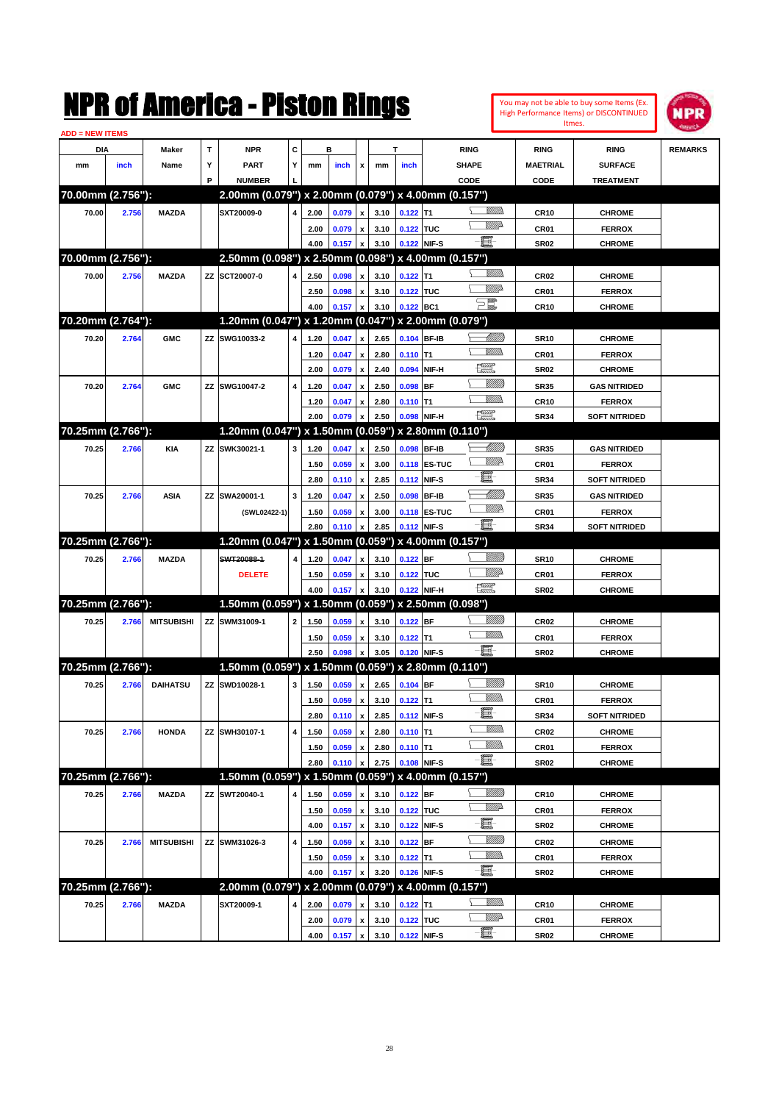| <b>ADD = NEW ITEMS</b><br>C<br>$\mathbf T$<br><b>NPR</b><br>в<br>DIA<br>т<br><b>RING</b><br><b>RING</b><br><b>REMARKS</b><br>Maker<br><b>RING</b><br>Υ<br>Υ<br><b>PART</b><br>SHAPE<br><b>SURFACE</b><br>mm<br>inch<br>Name<br>mm<br>inch<br>x<br>mm<br>inch<br><b>MAETRIAL</b><br>P<br><b>NUMBER</b><br>CODE<br>CODE<br><b>TREATMENT</b><br>2.00mm (0.079") x 2.00mm (0.079") x 4.00mm (0.157")<br>70.00mm (2.756"):<br>UM)<br><b>MAZDA</b><br>SXT20009-0<br>$\pmb{\mathsf{x}}$<br>3.10<br>$0.122$ T1<br>70.00<br>2.756<br>4<br>2.00<br>0.079<br><b>CR10</b><br><b>CHROME</b><br><u>MM</u> D<br>0.122 TUC<br>2.00<br>0.079<br>$\pmb{\mathsf{x}}$<br>3.10<br>CR01<br><b>FERROX</b><br>e.<br>3.10<br>0.122 NIF-S<br><b>SR02</b><br>4.00<br>0.157<br>$\boldsymbol{\mathsf{x}}$<br><b>CHROME</b><br>2.50mm (0.098") x 2.50mm (0.098") x 4.00mm (0.157")<br>70.00mm (2.756"):<br>UM)<br><b>MAZDA</b><br>ZZ SCT20007-0<br>$0.122$ T1<br>70.00<br>2.756<br>4<br>2.50<br>0.098<br>$\pmb{\mathsf{x}}$<br>3.10<br>CR <sub>02</sub><br><b>CHROME</b><br><u>Willia</u><br>0.122 TUC<br>2.50<br>0.098<br>$\pmb{\mathsf{x}}$<br>3.10<br>CR01<br><b>FERROX</b><br>$\Xi^{\mathbb{Z}}$<br>3.10<br>0.122 BC1<br><b>CR10</b><br>4.00<br>0.157<br>x<br><b>CHROME</b><br>1.20mm (0.047") x 1.20mm (0.047") x 2.00mm (0.079")<br>70.20mm (2.764"):<br><u> UMB</u><br>ZZ SWG10033-2<br>$\pmb{\mathsf{x}}$<br>2.65<br>0.104 BF-IB<br>70.20<br>2.764<br><b>GMC</b><br>4<br>1.20<br>0.047<br><b>SR10</b><br><b>CHROME</b><br>UM)<br>2.80<br>$0.110$ T1<br>1.20<br>0.047<br>$\pmb{\mathsf{x}}$<br>CR01<br><b>FERROX</b><br>æ<br>2.00<br>2.40<br>0.094<br>0.079<br>$\pmb{\mathsf{x}}$<br>NIF-H<br><b>SR02</b><br><b>CHROME</b><br>ZZ SWG10047-2<br>$0.098$ BF<br><b>GAS NITRIDED</b><br>70.20<br>2.764<br><b>GMC</b><br>4<br>1.20<br>0.047<br>$\pmb{\mathsf{x}}$<br>2.50<br><b>SR35</b><br>MM)<br>1.20<br>0.047<br>$\pmb{\mathsf{x}}$<br>2.80<br>$0.110$ T1<br>CR <sub>10</sub><br><b>FERROX</b><br>$\begin{picture}(20,20) \put(0,0){\dashbox{0.5}(20,0){ }} \put(15,0){\circle{10}} \put(25,0){\circle{10}} \put(25,0){\circle{10}} \put(25,0){\circle{10}} \put(25,0){\circle{10}} \put(25,0){\circle{10}} \put(25,0){\circle{10}} \put(25,0){\circle{10}} \put(25,0){\circle{10}} \put(25,0){\circle{10}} \put(25,0){\circle{10}} \put(25,0){\circle{10}} \put(25,0){\circle{10}} \put(25,$<br>2.00<br>2.50<br>0.098 NIF-H<br><b>SR34</b><br>0.079<br>x<br><b>SOFT NITRIDED</b><br>1.20mm (0.047") x 1.50mm (0.059") x 2.80mm (0.110")<br>70.25mm (2.766"):<br><u> UMB</u><br>ZZ<br>SWK30021-1<br>3<br>$\pmb{\mathsf{x}}$<br>2.50<br>0.098 BF-IB<br><b>GAS NITRIDED</b><br>70.25<br>2.766<br>KIA<br>1.20<br>0.047<br><b>SR35</b><br><u>MM</u> P<br><b>0.118 ES-TUC</b><br>1.50<br>0.059<br>$\pmb{\mathsf{x}}$<br>3.00<br>CR01<br><b>FERROX</b><br>E-<br>2.80<br>2.85<br>0.112 NIF-S<br>0.110<br>$\boldsymbol{\mathsf{x}}$<br><b>SR34</b><br><b>SOFT NITRIDED</b><br><u> MMN</u><br>SWA20001-1<br>3<br>0.098 BF-IB<br>70.25<br>2.766<br>ASIA<br>ZZ<br>1.20<br>0.047<br>$\pmb{\mathsf{x}}$<br>2.50<br><b>SR35</b><br><b>GAS NITRIDED</b><br>₩₩<br><b>0.118 ES-TUC</b><br>1.50<br>0.059<br>$\pmb{\mathsf{x}}$<br>3.00<br>CR01<br><b>FERROX</b><br>(SWL02422-1)<br>ei-<br>2.80<br>2.85<br>0.112 NIF-S<br><b>SR34</b><br>0.110<br>$\boldsymbol{\mathsf{x}}$<br><b>SOFT NITRIDED</b><br>70.25mm (2.766"):<br>1.20mm (0.047") x 1.50mm (0.059") x 4.00mm (0.157")<br><u>Millitti</u><br>SWT20088-1<br>3.10<br>$0.122$ BF<br>70.25<br>2.766<br><b>MAZDA</b><br>4<br>1.20<br>0.047<br>$\pmb{\mathsf{x}}$<br><b>SR10</b><br><b>CHROME</b><br><u>MM</u><br>0.122 TUC<br><b>DELETE</b><br>1.50<br>0.059<br>$\pmb{\mathsf{x}}$<br>3.10<br>CR01<br><b>FERROX</b><br>$\begin{picture}(20,20) \put(0,0){\dashbox{0.5}(20,0){ }} \put(15,0){\circle{10}} \put(25,0){\circle{10}} \put(25,0){\circle{10}} \put(25,0){\circle{10}} \put(25,0){\circle{10}} \put(25,0){\circle{10}} \put(25,0){\circle{10}} \put(25,0){\circle{10}} \put(25,0){\circle{10}} \put(25,0){\circle{10}} \put(25,0){\circle{10}} \put(25,0){\circle{10}} \put(25,0){\circle{10}} \put(25,$<br>4.00<br>3.10<br>0.122 NIF-H<br>0.157<br>$\boldsymbol{\mathsf{x}}$<br><b>SR02</b><br><b>CHROME</b><br>1.50mm (0.059") x 1.50mm (0.059") x 2.50mm (0.098")<br>70.25mm (2.766"):<br><u>Millitti</u><br><b>MITSUBISHI</b><br>ZZ SWM31009-1<br>$\overline{\mathbf{2}}$<br>0.059<br>3.10<br>$0.122$ BF<br><b>CR02</b><br>70.25<br>2.766<br>1.50<br>$\pmb{\mathsf{x}}$<br><b>CHROME</b><br><br>Villida<br>1.50<br>0.059<br>$\pmb{\mathsf{x}}$<br>3.10<br>$0.122$ T1<br>CR01<br><b>FERROX</b><br>ei-<br>2.50<br>3.05<br>0.120 NIF-S<br><b>SR02</b><br>0.098<br>x<br><b>CHROME</b><br>70.25mm (2.766"):<br>1.50mm (0.059") x 1.50mm (0.059") x 2.80mm (0.110")<br>UMB<br>ZZ SWD10028-1<br>$\mathbf{3}$<br>0.059<br>$\mathbf{x}$<br>2.65 0.104 BF<br>70.25<br><b>DAIHATSU</b><br>1.50<br>2.766<br><b>SR10</b><br><b>CHROME</b><br><u>Willib</u><br>$0.122$ T1<br>1.50<br>0.059<br>$\pmb{\mathsf{x}}$<br>3.10<br>CR01<br><b>FERROX</b><br>E<br><b>SR34</b><br>2.80<br>0.110 x<br>2.85<br>0.112 NIF-S<br><b>SOFT NITRIDED</b><br><u>MMD</u><br>ZZ SWH30107-1<br>4<br>$\pmb{\mathsf{x}}$<br>$0.110$ T1<br>CR02<br>70.25<br>2.766<br><b>HONDA</b><br>1.50<br>0.059<br>2.80<br><b>CHROME</b><br><u>VMM</u><br>2.80<br>$0.110$ T1<br>CR01<br>1.50<br>0.059<br>$\pmb{\mathsf{x}}$<br><b>FERROX</b><br>E<br>0.108 NIF-S<br>2.80<br>2.75<br>0.110<br>$\pmb{\mathsf{x}}$<br><b>SR02</b><br><b>CHROME</b><br>70.25mm (2.766"):<br>1.50mm (0.059") x 1.50mm (0.059") x 4.00mm (0.157")<br><u>Sillilli</u><br>ZZ SWT20040-1<br>0.122 BF<br>70.25<br>2.766<br><b>MAZDA</b><br>4<br>0.059<br>$\pmb{\mathsf{x}}$<br>3.10<br>1.50<br>CR <sub>10</sub><br><b>CHROME</b><br><u>VMD</u><br>$\pmb{\mathsf{x}}$<br>3.10<br>0.122 TUC<br>CR01<br>1.50<br>0.059<br><b>FERROX</b><br>E<br>3.10<br>0.122 NIF-S<br>4.00<br>0.157<br>$\mathbf{x}$<br><b>SR02</b><br><b>CHROME</b><br><u>VIIII)</u><br><b>MITSUBISHI</b><br>ZZ SWM31026-3<br>4<br>0.059<br>$\pmb{\mathsf{x}}$<br>3.10<br>0.122 BF<br><b>CR02</b><br><b>CHROME</b><br>70.25<br>2.766<br>1.50<br><u>WMW</u><br>3.10<br>$0.122$ T1<br>CR01<br><b>FERROX</b><br>1.50<br>0.059<br>$\pmb{\mathsf{x}}$<br>e.<br>3.20<br>0.126 NIF-S<br>4.00<br>0.157<br>$\pmb{\mathsf{x}}$<br>SR <sub>02</sub><br><b>CHROME</b><br>70.25mm (2.766"):<br>2.00mm (0.079") x 2.00mm (0.079") x 4.00mm (0.157")<br><u>MMD</u><br>70.25<br><b>MAZDA</b><br>SXT20009-1<br>4<br>3.10<br>$0.122$ T1<br><b>CHROME</b><br>2.766<br>2.00<br>0.079<br>$\pmb{\mathsf{x}}$<br>CR <sub>10</sub><br><u>VMD</u><br>$\boldsymbol{\mathsf{x}}$<br>3.10<br>0.122 TUC<br>CR01<br><b>FERROX</b><br>2.00<br>0.079<br>e.<br>0.122 NIF-S<br>$0.157 \, x$ |  |  | NMK OI AMCMICA - MISTON KINGS |      |  |      |  |  | Itmes.      | You may not be able to buy some Items (Ex.<br>High Performance Items) or DISCONTINUED | <b>NPR</b> |
|-----------------------------------------------------------------------------------------------------------------------------------------------------------------------------------------------------------------------------------------------------------------------------------------------------------------------------------------------------------------------------------------------------------------------------------------------------------------------------------------------------------------------------------------------------------------------------------------------------------------------------------------------------------------------------------------------------------------------------------------------------------------------------------------------------------------------------------------------------------------------------------------------------------------------------------------------------------------------------------------------------------------------------------------------------------------------------------------------------------------------------------------------------------------------------------------------------------------------------------------------------------------------------------------------------------------------------------------------------------------------------------------------------------------------------------------------------------------------------------------------------------------------------------------------------------------------------------------------------------------------------------------------------------------------------------------------------------------------------------------------------------------------------------------------------------------------------------------------------------------------------------------------------------------------------------------------------------------------------------------------------------------------------------------------------------------------------------------------------------------------------------------------------------------------------------------------------------------------------------------------------------------------------------------------------------------------------------------------------------------------------------------------------------------------------------------------------------------------------------------------------------------------------------------------------------------------------------------------------------------------------------------------------------------------------------------------------------------------------------------------------------------------------------------------------------------------------------------------------------------------------------------------------------------------------------------------------------------------------------------------------------------------------------------------------------------------------------------------------------------------------------------------------------------------------------------------------------------------------------------------------------------------------------------------------------------------------------------------------------------------------------------------------------------------------------------------------------------------------------------------------------------------------------------------------------------------------------------------------------------------------------------------------------------------------------------------------------------------------------------------------------------------------------------------------------------------------------------------------------------------------------------------------------------------------------------------------------------------------------------------------------------------------------------------------------------------------------------------------------------------------------------------------------------------------------------------------------------------------------------------------------------------------------------------------------------------------------------------------------------------------------------------------------------------------------------------------------------------------------------------------------------------------------------------------------------------------------------------------------------------------------------------------------------------------------------------------------------------------------------------------------------------------------------------------------------------------------------------------------------------------------------------------------------------------------------------------------------------------------------------------------------------------------------------------------------------------------------------------------------------------------------------------------------------------------------------------------------------------------------------------------------------------------------------------------------------------------------------------------------------------------------------------------------------------------------------------------------------------------------------------------------------------------------------------------------------------------------------------------------------------------------------------------------------------------------------------------------------------------------------------------------------------------------------------------------------------------------------------------------------------------------------------------------------------------------------------------------------------------------------------------------------------------------------------------------------------------------------------------------------------------------------------------------------------------------------------------------------------------------------------------------------------------------------------------------------------------------------------------------------------------------------------------------------------------------------------------------------------------------------------------------------------------------------------------------------------------------------------------------------------------------------------------------------------------------------------------------------------------------------------------------|--|--|-------------------------------|------|--|------|--|--|-------------|---------------------------------------------------------------------------------------|------------|
|                                                                                                                                                                                                                                                                                                                                                                                                                                                                                                                                                                                                                                                                                                                                                                                                                                                                                                                                                                                                                                                                                                                                                                                                                                                                                                                                                                                                                                                                                                                                                                                                                                                                                                                                                                                                                                                                                                                                                                                                                                                                                                                                                                                                                                                                                                                                                                                                                                                                                                                                                                                                                                                                                                                                                                                                                                                                                                                                                                                                                                                                                                                                                                                                                                                                                                                                                                                                                                                                                                                                                                                                                                                                                                                                                                                                                                                                                                                                                                                                                                                                                                                                                                                                                                                                                                                                                                                                                                                                                                                                                                                                                                                                                                                                                                                                                                                                                                                                                                                                                                                                                                                                                                                                                                                                                                                                                                                                                                                                                                                                                                                                                                                                                                                                                                                                                                                                                                                                                                                                                                                                                                                                                                                                                                                                                                                                                                                                                                                                                                                                                                                                                                                                                                                                                                 |  |  |                               |      |  |      |  |  |             |                                                                                       |            |
|                                                                                                                                                                                                                                                                                                                                                                                                                                                                                                                                                                                                                                                                                                                                                                                                                                                                                                                                                                                                                                                                                                                                                                                                                                                                                                                                                                                                                                                                                                                                                                                                                                                                                                                                                                                                                                                                                                                                                                                                                                                                                                                                                                                                                                                                                                                                                                                                                                                                                                                                                                                                                                                                                                                                                                                                                                                                                                                                                                                                                                                                                                                                                                                                                                                                                                                                                                                                                                                                                                                                                                                                                                                                                                                                                                                                                                                                                                                                                                                                                                                                                                                                                                                                                                                                                                                                                                                                                                                                                                                                                                                                                                                                                                                                                                                                                                                                                                                                                                                                                                                                                                                                                                                                                                                                                                                                                                                                                                                                                                                                                                                                                                                                                                                                                                                                                                                                                                                                                                                                                                                                                                                                                                                                                                                                                                                                                                                                                                                                                                                                                                                                                                                                                                                                                                 |  |  |                               |      |  |      |  |  |             |                                                                                       |            |
|                                                                                                                                                                                                                                                                                                                                                                                                                                                                                                                                                                                                                                                                                                                                                                                                                                                                                                                                                                                                                                                                                                                                                                                                                                                                                                                                                                                                                                                                                                                                                                                                                                                                                                                                                                                                                                                                                                                                                                                                                                                                                                                                                                                                                                                                                                                                                                                                                                                                                                                                                                                                                                                                                                                                                                                                                                                                                                                                                                                                                                                                                                                                                                                                                                                                                                                                                                                                                                                                                                                                                                                                                                                                                                                                                                                                                                                                                                                                                                                                                                                                                                                                                                                                                                                                                                                                                                                                                                                                                                                                                                                                                                                                                                                                                                                                                                                                                                                                                                                                                                                                                                                                                                                                                                                                                                                                                                                                                                                                                                                                                                                                                                                                                                                                                                                                                                                                                                                                                                                                                                                                                                                                                                                                                                                                                                                                                                                                                                                                                                                                                                                                                                                                                                                                                                 |  |  |                               |      |  |      |  |  |             |                                                                                       |            |
|                                                                                                                                                                                                                                                                                                                                                                                                                                                                                                                                                                                                                                                                                                                                                                                                                                                                                                                                                                                                                                                                                                                                                                                                                                                                                                                                                                                                                                                                                                                                                                                                                                                                                                                                                                                                                                                                                                                                                                                                                                                                                                                                                                                                                                                                                                                                                                                                                                                                                                                                                                                                                                                                                                                                                                                                                                                                                                                                                                                                                                                                                                                                                                                                                                                                                                                                                                                                                                                                                                                                                                                                                                                                                                                                                                                                                                                                                                                                                                                                                                                                                                                                                                                                                                                                                                                                                                                                                                                                                                                                                                                                                                                                                                                                                                                                                                                                                                                                                                                                                                                                                                                                                                                                                                                                                                                                                                                                                                                                                                                                                                                                                                                                                                                                                                                                                                                                                                                                                                                                                                                                                                                                                                                                                                                                                                                                                                                                                                                                                                                                                                                                                                                                                                                                                                 |  |  |                               |      |  |      |  |  |             |                                                                                       |            |
|                                                                                                                                                                                                                                                                                                                                                                                                                                                                                                                                                                                                                                                                                                                                                                                                                                                                                                                                                                                                                                                                                                                                                                                                                                                                                                                                                                                                                                                                                                                                                                                                                                                                                                                                                                                                                                                                                                                                                                                                                                                                                                                                                                                                                                                                                                                                                                                                                                                                                                                                                                                                                                                                                                                                                                                                                                                                                                                                                                                                                                                                                                                                                                                                                                                                                                                                                                                                                                                                                                                                                                                                                                                                                                                                                                                                                                                                                                                                                                                                                                                                                                                                                                                                                                                                                                                                                                                                                                                                                                                                                                                                                                                                                                                                                                                                                                                                                                                                                                                                                                                                                                                                                                                                                                                                                                                                                                                                                                                                                                                                                                                                                                                                                                                                                                                                                                                                                                                                                                                                                                                                                                                                                                                                                                                                                                                                                                                                                                                                                                                                                                                                                                                                                                                                                                 |  |  |                               |      |  |      |  |  |             |                                                                                       |            |
|                                                                                                                                                                                                                                                                                                                                                                                                                                                                                                                                                                                                                                                                                                                                                                                                                                                                                                                                                                                                                                                                                                                                                                                                                                                                                                                                                                                                                                                                                                                                                                                                                                                                                                                                                                                                                                                                                                                                                                                                                                                                                                                                                                                                                                                                                                                                                                                                                                                                                                                                                                                                                                                                                                                                                                                                                                                                                                                                                                                                                                                                                                                                                                                                                                                                                                                                                                                                                                                                                                                                                                                                                                                                                                                                                                                                                                                                                                                                                                                                                                                                                                                                                                                                                                                                                                                                                                                                                                                                                                                                                                                                                                                                                                                                                                                                                                                                                                                                                                                                                                                                                                                                                                                                                                                                                                                                                                                                                                                                                                                                                                                                                                                                                                                                                                                                                                                                                                                                                                                                                                                                                                                                                                                                                                                                                                                                                                                                                                                                                                                                                                                                                                                                                                                                                                 |  |  |                               |      |  |      |  |  |             |                                                                                       |            |
|                                                                                                                                                                                                                                                                                                                                                                                                                                                                                                                                                                                                                                                                                                                                                                                                                                                                                                                                                                                                                                                                                                                                                                                                                                                                                                                                                                                                                                                                                                                                                                                                                                                                                                                                                                                                                                                                                                                                                                                                                                                                                                                                                                                                                                                                                                                                                                                                                                                                                                                                                                                                                                                                                                                                                                                                                                                                                                                                                                                                                                                                                                                                                                                                                                                                                                                                                                                                                                                                                                                                                                                                                                                                                                                                                                                                                                                                                                                                                                                                                                                                                                                                                                                                                                                                                                                                                                                                                                                                                                                                                                                                                                                                                                                                                                                                                                                                                                                                                                                                                                                                                                                                                                                                                                                                                                                                                                                                                                                                                                                                                                                                                                                                                                                                                                                                                                                                                                                                                                                                                                                                                                                                                                                                                                                                                                                                                                                                                                                                                                                                                                                                                                                                                                                                                                 |  |  |                               |      |  |      |  |  |             |                                                                                       |            |
|                                                                                                                                                                                                                                                                                                                                                                                                                                                                                                                                                                                                                                                                                                                                                                                                                                                                                                                                                                                                                                                                                                                                                                                                                                                                                                                                                                                                                                                                                                                                                                                                                                                                                                                                                                                                                                                                                                                                                                                                                                                                                                                                                                                                                                                                                                                                                                                                                                                                                                                                                                                                                                                                                                                                                                                                                                                                                                                                                                                                                                                                                                                                                                                                                                                                                                                                                                                                                                                                                                                                                                                                                                                                                                                                                                                                                                                                                                                                                                                                                                                                                                                                                                                                                                                                                                                                                                                                                                                                                                                                                                                                                                                                                                                                                                                                                                                                                                                                                                                                                                                                                                                                                                                                                                                                                                                                                                                                                                                                                                                                                                                                                                                                                                                                                                                                                                                                                                                                                                                                                                                                                                                                                                                                                                                                                                                                                                                                                                                                                                                                                                                                                                                                                                                                                                 |  |  |                               |      |  |      |  |  |             |                                                                                       |            |
|                                                                                                                                                                                                                                                                                                                                                                                                                                                                                                                                                                                                                                                                                                                                                                                                                                                                                                                                                                                                                                                                                                                                                                                                                                                                                                                                                                                                                                                                                                                                                                                                                                                                                                                                                                                                                                                                                                                                                                                                                                                                                                                                                                                                                                                                                                                                                                                                                                                                                                                                                                                                                                                                                                                                                                                                                                                                                                                                                                                                                                                                                                                                                                                                                                                                                                                                                                                                                                                                                                                                                                                                                                                                                                                                                                                                                                                                                                                                                                                                                                                                                                                                                                                                                                                                                                                                                                                                                                                                                                                                                                                                                                                                                                                                                                                                                                                                                                                                                                                                                                                                                                                                                                                                                                                                                                                                                                                                                                                                                                                                                                                                                                                                                                                                                                                                                                                                                                                                                                                                                                                                                                                                                                                                                                                                                                                                                                                                                                                                                                                                                                                                                                                                                                                                                                 |  |  |                               |      |  |      |  |  |             |                                                                                       |            |
|                                                                                                                                                                                                                                                                                                                                                                                                                                                                                                                                                                                                                                                                                                                                                                                                                                                                                                                                                                                                                                                                                                                                                                                                                                                                                                                                                                                                                                                                                                                                                                                                                                                                                                                                                                                                                                                                                                                                                                                                                                                                                                                                                                                                                                                                                                                                                                                                                                                                                                                                                                                                                                                                                                                                                                                                                                                                                                                                                                                                                                                                                                                                                                                                                                                                                                                                                                                                                                                                                                                                                                                                                                                                                                                                                                                                                                                                                                                                                                                                                                                                                                                                                                                                                                                                                                                                                                                                                                                                                                                                                                                                                                                                                                                                                                                                                                                                                                                                                                                                                                                                                                                                                                                                                                                                                                                                                                                                                                                                                                                                                                                                                                                                                                                                                                                                                                                                                                                                                                                                                                                                                                                                                                                                                                                                                                                                                                                                                                                                                                                                                                                                                                                                                                                                                                 |  |  |                               |      |  |      |  |  |             |                                                                                       |            |
|                                                                                                                                                                                                                                                                                                                                                                                                                                                                                                                                                                                                                                                                                                                                                                                                                                                                                                                                                                                                                                                                                                                                                                                                                                                                                                                                                                                                                                                                                                                                                                                                                                                                                                                                                                                                                                                                                                                                                                                                                                                                                                                                                                                                                                                                                                                                                                                                                                                                                                                                                                                                                                                                                                                                                                                                                                                                                                                                                                                                                                                                                                                                                                                                                                                                                                                                                                                                                                                                                                                                                                                                                                                                                                                                                                                                                                                                                                                                                                                                                                                                                                                                                                                                                                                                                                                                                                                                                                                                                                                                                                                                                                                                                                                                                                                                                                                                                                                                                                                                                                                                                                                                                                                                                                                                                                                                                                                                                                                                                                                                                                                                                                                                                                                                                                                                                                                                                                                                                                                                                                                                                                                                                                                                                                                                                                                                                                                                                                                                                                                                                                                                                                                                                                                                                                 |  |  |                               |      |  |      |  |  |             |                                                                                       |            |
|                                                                                                                                                                                                                                                                                                                                                                                                                                                                                                                                                                                                                                                                                                                                                                                                                                                                                                                                                                                                                                                                                                                                                                                                                                                                                                                                                                                                                                                                                                                                                                                                                                                                                                                                                                                                                                                                                                                                                                                                                                                                                                                                                                                                                                                                                                                                                                                                                                                                                                                                                                                                                                                                                                                                                                                                                                                                                                                                                                                                                                                                                                                                                                                                                                                                                                                                                                                                                                                                                                                                                                                                                                                                                                                                                                                                                                                                                                                                                                                                                                                                                                                                                                                                                                                                                                                                                                                                                                                                                                                                                                                                                                                                                                                                                                                                                                                                                                                                                                                                                                                                                                                                                                                                                                                                                                                                                                                                                                                                                                                                                                                                                                                                                                                                                                                                                                                                                                                                                                                                                                                                                                                                                                                                                                                                                                                                                                                                                                                                                                                                                                                                                                                                                                                                                                 |  |  |                               |      |  |      |  |  |             |                                                                                       |            |
|                                                                                                                                                                                                                                                                                                                                                                                                                                                                                                                                                                                                                                                                                                                                                                                                                                                                                                                                                                                                                                                                                                                                                                                                                                                                                                                                                                                                                                                                                                                                                                                                                                                                                                                                                                                                                                                                                                                                                                                                                                                                                                                                                                                                                                                                                                                                                                                                                                                                                                                                                                                                                                                                                                                                                                                                                                                                                                                                                                                                                                                                                                                                                                                                                                                                                                                                                                                                                                                                                                                                                                                                                                                                                                                                                                                                                                                                                                                                                                                                                                                                                                                                                                                                                                                                                                                                                                                                                                                                                                                                                                                                                                                                                                                                                                                                                                                                                                                                                                                                                                                                                                                                                                                                                                                                                                                                                                                                                                                                                                                                                                                                                                                                                                                                                                                                                                                                                                                                                                                                                                                                                                                                                                                                                                                                                                                                                                                                                                                                                                                                                                                                                                                                                                                                                                 |  |  |                               |      |  |      |  |  |             |                                                                                       |            |
|                                                                                                                                                                                                                                                                                                                                                                                                                                                                                                                                                                                                                                                                                                                                                                                                                                                                                                                                                                                                                                                                                                                                                                                                                                                                                                                                                                                                                                                                                                                                                                                                                                                                                                                                                                                                                                                                                                                                                                                                                                                                                                                                                                                                                                                                                                                                                                                                                                                                                                                                                                                                                                                                                                                                                                                                                                                                                                                                                                                                                                                                                                                                                                                                                                                                                                                                                                                                                                                                                                                                                                                                                                                                                                                                                                                                                                                                                                                                                                                                                                                                                                                                                                                                                                                                                                                                                                                                                                                                                                                                                                                                                                                                                                                                                                                                                                                                                                                                                                                                                                                                                                                                                                                                                                                                                                                                                                                                                                                                                                                                                                                                                                                                                                                                                                                                                                                                                                                                                                                                                                                                                                                                                                                                                                                                                                                                                                                                                                                                                                                                                                                                                                                                                                                                                                 |  |  |                               |      |  |      |  |  |             |                                                                                       |            |
|                                                                                                                                                                                                                                                                                                                                                                                                                                                                                                                                                                                                                                                                                                                                                                                                                                                                                                                                                                                                                                                                                                                                                                                                                                                                                                                                                                                                                                                                                                                                                                                                                                                                                                                                                                                                                                                                                                                                                                                                                                                                                                                                                                                                                                                                                                                                                                                                                                                                                                                                                                                                                                                                                                                                                                                                                                                                                                                                                                                                                                                                                                                                                                                                                                                                                                                                                                                                                                                                                                                                                                                                                                                                                                                                                                                                                                                                                                                                                                                                                                                                                                                                                                                                                                                                                                                                                                                                                                                                                                                                                                                                                                                                                                                                                                                                                                                                                                                                                                                                                                                                                                                                                                                                                                                                                                                                                                                                                                                                                                                                                                                                                                                                                                                                                                                                                                                                                                                                                                                                                                                                                                                                                                                                                                                                                                                                                                                                                                                                                                                                                                                                                                                                                                                                                                 |  |  |                               |      |  |      |  |  |             |                                                                                       |            |
|                                                                                                                                                                                                                                                                                                                                                                                                                                                                                                                                                                                                                                                                                                                                                                                                                                                                                                                                                                                                                                                                                                                                                                                                                                                                                                                                                                                                                                                                                                                                                                                                                                                                                                                                                                                                                                                                                                                                                                                                                                                                                                                                                                                                                                                                                                                                                                                                                                                                                                                                                                                                                                                                                                                                                                                                                                                                                                                                                                                                                                                                                                                                                                                                                                                                                                                                                                                                                                                                                                                                                                                                                                                                                                                                                                                                                                                                                                                                                                                                                                                                                                                                                                                                                                                                                                                                                                                                                                                                                                                                                                                                                                                                                                                                                                                                                                                                                                                                                                                                                                                                                                                                                                                                                                                                                                                                                                                                                                                                                                                                                                                                                                                                                                                                                                                                                                                                                                                                                                                                                                                                                                                                                                                                                                                                                                                                                                                                                                                                                                                                                                                                                                                                                                                                                                 |  |  |                               |      |  |      |  |  |             |                                                                                       |            |
|                                                                                                                                                                                                                                                                                                                                                                                                                                                                                                                                                                                                                                                                                                                                                                                                                                                                                                                                                                                                                                                                                                                                                                                                                                                                                                                                                                                                                                                                                                                                                                                                                                                                                                                                                                                                                                                                                                                                                                                                                                                                                                                                                                                                                                                                                                                                                                                                                                                                                                                                                                                                                                                                                                                                                                                                                                                                                                                                                                                                                                                                                                                                                                                                                                                                                                                                                                                                                                                                                                                                                                                                                                                                                                                                                                                                                                                                                                                                                                                                                                                                                                                                                                                                                                                                                                                                                                                                                                                                                                                                                                                                                                                                                                                                                                                                                                                                                                                                                                                                                                                                                                                                                                                                                                                                                                                                                                                                                                                                                                                                                                                                                                                                                                                                                                                                                                                                                                                                                                                                                                                                                                                                                                                                                                                                                                                                                                                                                                                                                                                                                                                                                                                                                                                                                                 |  |  |                               |      |  |      |  |  |             |                                                                                       |            |
|                                                                                                                                                                                                                                                                                                                                                                                                                                                                                                                                                                                                                                                                                                                                                                                                                                                                                                                                                                                                                                                                                                                                                                                                                                                                                                                                                                                                                                                                                                                                                                                                                                                                                                                                                                                                                                                                                                                                                                                                                                                                                                                                                                                                                                                                                                                                                                                                                                                                                                                                                                                                                                                                                                                                                                                                                                                                                                                                                                                                                                                                                                                                                                                                                                                                                                                                                                                                                                                                                                                                                                                                                                                                                                                                                                                                                                                                                                                                                                                                                                                                                                                                                                                                                                                                                                                                                                                                                                                                                                                                                                                                                                                                                                                                                                                                                                                                                                                                                                                                                                                                                                                                                                                                                                                                                                                                                                                                                                                                                                                                                                                                                                                                                                                                                                                                                                                                                                                                                                                                                                                                                                                                                                                                                                                                                                                                                                                                                                                                                                                                                                                                                                                                                                                                                                 |  |  |                               |      |  |      |  |  |             |                                                                                       |            |
|                                                                                                                                                                                                                                                                                                                                                                                                                                                                                                                                                                                                                                                                                                                                                                                                                                                                                                                                                                                                                                                                                                                                                                                                                                                                                                                                                                                                                                                                                                                                                                                                                                                                                                                                                                                                                                                                                                                                                                                                                                                                                                                                                                                                                                                                                                                                                                                                                                                                                                                                                                                                                                                                                                                                                                                                                                                                                                                                                                                                                                                                                                                                                                                                                                                                                                                                                                                                                                                                                                                                                                                                                                                                                                                                                                                                                                                                                                                                                                                                                                                                                                                                                                                                                                                                                                                                                                                                                                                                                                                                                                                                                                                                                                                                                                                                                                                                                                                                                                                                                                                                                                                                                                                                                                                                                                                                                                                                                                                                                                                                                                                                                                                                                                                                                                                                                                                                                                                                                                                                                                                                                                                                                                                                                                                                                                                                                                                                                                                                                                                                                                                                                                                                                                                                                                 |  |  |                               |      |  |      |  |  |             |                                                                                       |            |
|                                                                                                                                                                                                                                                                                                                                                                                                                                                                                                                                                                                                                                                                                                                                                                                                                                                                                                                                                                                                                                                                                                                                                                                                                                                                                                                                                                                                                                                                                                                                                                                                                                                                                                                                                                                                                                                                                                                                                                                                                                                                                                                                                                                                                                                                                                                                                                                                                                                                                                                                                                                                                                                                                                                                                                                                                                                                                                                                                                                                                                                                                                                                                                                                                                                                                                                                                                                                                                                                                                                                                                                                                                                                                                                                                                                                                                                                                                                                                                                                                                                                                                                                                                                                                                                                                                                                                                                                                                                                                                                                                                                                                                                                                                                                                                                                                                                                                                                                                                                                                                                                                                                                                                                                                                                                                                                                                                                                                                                                                                                                                                                                                                                                                                                                                                                                                                                                                                                                                                                                                                                                                                                                                                                                                                                                                                                                                                                                                                                                                                                                                                                                                                                                                                                                                                 |  |  |                               |      |  |      |  |  |             |                                                                                       |            |
|                                                                                                                                                                                                                                                                                                                                                                                                                                                                                                                                                                                                                                                                                                                                                                                                                                                                                                                                                                                                                                                                                                                                                                                                                                                                                                                                                                                                                                                                                                                                                                                                                                                                                                                                                                                                                                                                                                                                                                                                                                                                                                                                                                                                                                                                                                                                                                                                                                                                                                                                                                                                                                                                                                                                                                                                                                                                                                                                                                                                                                                                                                                                                                                                                                                                                                                                                                                                                                                                                                                                                                                                                                                                                                                                                                                                                                                                                                                                                                                                                                                                                                                                                                                                                                                                                                                                                                                                                                                                                                                                                                                                                                                                                                                                                                                                                                                                                                                                                                                                                                                                                                                                                                                                                                                                                                                                                                                                                                                                                                                                                                                                                                                                                                                                                                                                                                                                                                                                                                                                                                                                                                                                                                                                                                                                                                                                                                                                                                                                                                                                                                                                                                                                                                                                                                 |  |  |                               |      |  |      |  |  |             |                                                                                       |            |
|                                                                                                                                                                                                                                                                                                                                                                                                                                                                                                                                                                                                                                                                                                                                                                                                                                                                                                                                                                                                                                                                                                                                                                                                                                                                                                                                                                                                                                                                                                                                                                                                                                                                                                                                                                                                                                                                                                                                                                                                                                                                                                                                                                                                                                                                                                                                                                                                                                                                                                                                                                                                                                                                                                                                                                                                                                                                                                                                                                                                                                                                                                                                                                                                                                                                                                                                                                                                                                                                                                                                                                                                                                                                                                                                                                                                                                                                                                                                                                                                                                                                                                                                                                                                                                                                                                                                                                                                                                                                                                                                                                                                                                                                                                                                                                                                                                                                                                                                                                                                                                                                                                                                                                                                                                                                                                                                                                                                                                                                                                                                                                                                                                                                                                                                                                                                                                                                                                                                                                                                                                                                                                                                                                                                                                                                                                                                                                                                                                                                                                                                                                                                                                                                                                                                                                 |  |  |                               |      |  |      |  |  |             |                                                                                       |            |
|                                                                                                                                                                                                                                                                                                                                                                                                                                                                                                                                                                                                                                                                                                                                                                                                                                                                                                                                                                                                                                                                                                                                                                                                                                                                                                                                                                                                                                                                                                                                                                                                                                                                                                                                                                                                                                                                                                                                                                                                                                                                                                                                                                                                                                                                                                                                                                                                                                                                                                                                                                                                                                                                                                                                                                                                                                                                                                                                                                                                                                                                                                                                                                                                                                                                                                                                                                                                                                                                                                                                                                                                                                                                                                                                                                                                                                                                                                                                                                                                                                                                                                                                                                                                                                                                                                                                                                                                                                                                                                                                                                                                                                                                                                                                                                                                                                                                                                                                                                                                                                                                                                                                                                                                                                                                                                                                                                                                                                                                                                                                                                                                                                                                                                                                                                                                                                                                                                                                                                                                                                                                                                                                                                                                                                                                                                                                                                                                                                                                                                                                                                                                                                                                                                                                                                 |  |  |                               |      |  |      |  |  |             |                                                                                       |            |
|                                                                                                                                                                                                                                                                                                                                                                                                                                                                                                                                                                                                                                                                                                                                                                                                                                                                                                                                                                                                                                                                                                                                                                                                                                                                                                                                                                                                                                                                                                                                                                                                                                                                                                                                                                                                                                                                                                                                                                                                                                                                                                                                                                                                                                                                                                                                                                                                                                                                                                                                                                                                                                                                                                                                                                                                                                                                                                                                                                                                                                                                                                                                                                                                                                                                                                                                                                                                                                                                                                                                                                                                                                                                                                                                                                                                                                                                                                                                                                                                                                                                                                                                                                                                                                                                                                                                                                                                                                                                                                                                                                                                                                                                                                                                                                                                                                                                                                                                                                                                                                                                                                                                                                                                                                                                                                                                                                                                                                                                                                                                                                                                                                                                                                                                                                                                                                                                                                                                                                                                                                                                                                                                                                                                                                                                                                                                                                                                                                                                                                                                                                                                                                                                                                                                                                 |  |  |                               |      |  |      |  |  |             |                                                                                       |            |
|                                                                                                                                                                                                                                                                                                                                                                                                                                                                                                                                                                                                                                                                                                                                                                                                                                                                                                                                                                                                                                                                                                                                                                                                                                                                                                                                                                                                                                                                                                                                                                                                                                                                                                                                                                                                                                                                                                                                                                                                                                                                                                                                                                                                                                                                                                                                                                                                                                                                                                                                                                                                                                                                                                                                                                                                                                                                                                                                                                                                                                                                                                                                                                                                                                                                                                                                                                                                                                                                                                                                                                                                                                                                                                                                                                                                                                                                                                                                                                                                                                                                                                                                                                                                                                                                                                                                                                                                                                                                                                                                                                                                                                                                                                                                                                                                                                                                                                                                                                                                                                                                                                                                                                                                                                                                                                                                                                                                                                                                                                                                                                                                                                                                                                                                                                                                                                                                                                                                                                                                                                                                                                                                                                                                                                                                                                                                                                                                                                                                                                                                                                                                                                                                                                                                                                 |  |  |                               |      |  |      |  |  |             |                                                                                       |            |
|                                                                                                                                                                                                                                                                                                                                                                                                                                                                                                                                                                                                                                                                                                                                                                                                                                                                                                                                                                                                                                                                                                                                                                                                                                                                                                                                                                                                                                                                                                                                                                                                                                                                                                                                                                                                                                                                                                                                                                                                                                                                                                                                                                                                                                                                                                                                                                                                                                                                                                                                                                                                                                                                                                                                                                                                                                                                                                                                                                                                                                                                                                                                                                                                                                                                                                                                                                                                                                                                                                                                                                                                                                                                                                                                                                                                                                                                                                                                                                                                                                                                                                                                                                                                                                                                                                                                                                                                                                                                                                                                                                                                                                                                                                                                                                                                                                                                                                                                                                                                                                                                                                                                                                                                                                                                                                                                                                                                                                                                                                                                                                                                                                                                                                                                                                                                                                                                                                                                                                                                                                                                                                                                                                                                                                                                                                                                                                                                                                                                                                                                                                                                                                                                                                                                                                 |  |  |                               |      |  |      |  |  |             |                                                                                       |            |
|                                                                                                                                                                                                                                                                                                                                                                                                                                                                                                                                                                                                                                                                                                                                                                                                                                                                                                                                                                                                                                                                                                                                                                                                                                                                                                                                                                                                                                                                                                                                                                                                                                                                                                                                                                                                                                                                                                                                                                                                                                                                                                                                                                                                                                                                                                                                                                                                                                                                                                                                                                                                                                                                                                                                                                                                                                                                                                                                                                                                                                                                                                                                                                                                                                                                                                                                                                                                                                                                                                                                                                                                                                                                                                                                                                                                                                                                                                                                                                                                                                                                                                                                                                                                                                                                                                                                                                                                                                                                                                                                                                                                                                                                                                                                                                                                                                                                                                                                                                                                                                                                                                                                                                                                                                                                                                                                                                                                                                                                                                                                                                                                                                                                                                                                                                                                                                                                                                                                                                                                                                                                                                                                                                                                                                                                                                                                                                                                                                                                                                                                                                                                                                                                                                                                                                 |  |  |                               |      |  |      |  |  |             |                                                                                       |            |
|                                                                                                                                                                                                                                                                                                                                                                                                                                                                                                                                                                                                                                                                                                                                                                                                                                                                                                                                                                                                                                                                                                                                                                                                                                                                                                                                                                                                                                                                                                                                                                                                                                                                                                                                                                                                                                                                                                                                                                                                                                                                                                                                                                                                                                                                                                                                                                                                                                                                                                                                                                                                                                                                                                                                                                                                                                                                                                                                                                                                                                                                                                                                                                                                                                                                                                                                                                                                                                                                                                                                                                                                                                                                                                                                                                                                                                                                                                                                                                                                                                                                                                                                                                                                                                                                                                                                                                                                                                                                                                                                                                                                                                                                                                                                                                                                                                                                                                                                                                                                                                                                                                                                                                                                                                                                                                                                                                                                                                                                                                                                                                                                                                                                                                                                                                                                                                                                                                                                                                                                                                                                                                                                                                                                                                                                                                                                                                                                                                                                                                                                                                                                                                                                                                                                                                 |  |  |                               |      |  |      |  |  |             |                                                                                       |            |
|                                                                                                                                                                                                                                                                                                                                                                                                                                                                                                                                                                                                                                                                                                                                                                                                                                                                                                                                                                                                                                                                                                                                                                                                                                                                                                                                                                                                                                                                                                                                                                                                                                                                                                                                                                                                                                                                                                                                                                                                                                                                                                                                                                                                                                                                                                                                                                                                                                                                                                                                                                                                                                                                                                                                                                                                                                                                                                                                                                                                                                                                                                                                                                                                                                                                                                                                                                                                                                                                                                                                                                                                                                                                                                                                                                                                                                                                                                                                                                                                                                                                                                                                                                                                                                                                                                                                                                                                                                                                                                                                                                                                                                                                                                                                                                                                                                                                                                                                                                                                                                                                                                                                                                                                                                                                                                                                                                                                                                                                                                                                                                                                                                                                                                                                                                                                                                                                                                                                                                                                                                                                                                                                                                                                                                                                                                                                                                                                                                                                                                                                                                                                                                                                                                                                                                 |  |  |                               |      |  |      |  |  |             |                                                                                       |            |
|                                                                                                                                                                                                                                                                                                                                                                                                                                                                                                                                                                                                                                                                                                                                                                                                                                                                                                                                                                                                                                                                                                                                                                                                                                                                                                                                                                                                                                                                                                                                                                                                                                                                                                                                                                                                                                                                                                                                                                                                                                                                                                                                                                                                                                                                                                                                                                                                                                                                                                                                                                                                                                                                                                                                                                                                                                                                                                                                                                                                                                                                                                                                                                                                                                                                                                                                                                                                                                                                                                                                                                                                                                                                                                                                                                                                                                                                                                                                                                                                                                                                                                                                                                                                                                                                                                                                                                                                                                                                                                                                                                                                                                                                                                                                                                                                                                                                                                                                                                                                                                                                                                                                                                                                                                                                                                                                                                                                                                                                                                                                                                                                                                                                                                                                                                                                                                                                                                                                                                                                                                                                                                                                                                                                                                                                                                                                                                                                                                                                                                                                                                                                                                                                                                                                                                 |  |  |                               |      |  |      |  |  |             |                                                                                       |            |
|                                                                                                                                                                                                                                                                                                                                                                                                                                                                                                                                                                                                                                                                                                                                                                                                                                                                                                                                                                                                                                                                                                                                                                                                                                                                                                                                                                                                                                                                                                                                                                                                                                                                                                                                                                                                                                                                                                                                                                                                                                                                                                                                                                                                                                                                                                                                                                                                                                                                                                                                                                                                                                                                                                                                                                                                                                                                                                                                                                                                                                                                                                                                                                                                                                                                                                                                                                                                                                                                                                                                                                                                                                                                                                                                                                                                                                                                                                                                                                                                                                                                                                                                                                                                                                                                                                                                                                                                                                                                                                                                                                                                                                                                                                                                                                                                                                                                                                                                                                                                                                                                                                                                                                                                                                                                                                                                                                                                                                                                                                                                                                                                                                                                                                                                                                                                                                                                                                                                                                                                                                                                                                                                                                                                                                                                                                                                                                                                                                                                                                                                                                                                                                                                                                                                                                 |  |  |                               |      |  |      |  |  |             |                                                                                       |            |
|                                                                                                                                                                                                                                                                                                                                                                                                                                                                                                                                                                                                                                                                                                                                                                                                                                                                                                                                                                                                                                                                                                                                                                                                                                                                                                                                                                                                                                                                                                                                                                                                                                                                                                                                                                                                                                                                                                                                                                                                                                                                                                                                                                                                                                                                                                                                                                                                                                                                                                                                                                                                                                                                                                                                                                                                                                                                                                                                                                                                                                                                                                                                                                                                                                                                                                                                                                                                                                                                                                                                                                                                                                                                                                                                                                                                                                                                                                                                                                                                                                                                                                                                                                                                                                                                                                                                                                                                                                                                                                                                                                                                                                                                                                                                                                                                                                                                                                                                                                                                                                                                                                                                                                                                                                                                                                                                                                                                                                                                                                                                                                                                                                                                                                                                                                                                                                                                                                                                                                                                                                                                                                                                                                                                                                                                                                                                                                                                                                                                                                                                                                                                                                                                                                                                                                 |  |  |                               |      |  |      |  |  |             |                                                                                       |            |
|                                                                                                                                                                                                                                                                                                                                                                                                                                                                                                                                                                                                                                                                                                                                                                                                                                                                                                                                                                                                                                                                                                                                                                                                                                                                                                                                                                                                                                                                                                                                                                                                                                                                                                                                                                                                                                                                                                                                                                                                                                                                                                                                                                                                                                                                                                                                                                                                                                                                                                                                                                                                                                                                                                                                                                                                                                                                                                                                                                                                                                                                                                                                                                                                                                                                                                                                                                                                                                                                                                                                                                                                                                                                                                                                                                                                                                                                                                                                                                                                                                                                                                                                                                                                                                                                                                                                                                                                                                                                                                                                                                                                                                                                                                                                                                                                                                                                                                                                                                                                                                                                                                                                                                                                                                                                                                                                                                                                                                                                                                                                                                                                                                                                                                                                                                                                                                                                                                                                                                                                                                                                                                                                                                                                                                                                                                                                                                                                                                                                                                                                                                                                                                                                                                                                                                 |  |  |                               |      |  |      |  |  |             |                                                                                       |            |
|                                                                                                                                                                                                                                                                                                                                                                                                                                                                                                                                                                                                                                                                                                                                                                                                                                                                                                                                                                                                                                                                                                                                                                                                                                                                                                                                                                                                                                                                                                                                                                                                                                                                                                                                                                                                                                                                                                                                                                                                                                                                                                                                                                                                                                                                                                                                                                                                                                                                                                                                                                                                                                                                                                                                                                                                                                                                                                                                                                                                                                                                                                                                                                                                                                                                                                                                                                                                                                                                                                                                                                                                                                                                                                                                                                                                                                                                                                                                                                                                                                                                                                                                                                                                                                                                                                                                                                                                                                                                                                                                                                                                                                                                                                                                                                                                                                                                                                                                                                                                                                                                                                                                                                                                                                                                                                                                                                                                                                                                                                                                                                                                                                                                                                                                                                                                                                                                                                                                                                                                                                                                                                                                                                                                                                                                                                                                                                                                                                                                                                                                                                                                                                                                                                                                                                 |  |  |                               |      |  |      |  |  |             |                                                                                       |            |
|                                                                                                                                                                                                                                                                                                                                                                                                                                                                                                                                                                                                                                                                                                                                                                                                                                                                                                                                                                                                                                                                                                                                                                                                                                                                                                                                                                                                                                                                                                                                                                                                                                                                                                                                                                                                                                                                                                                                                                                                                                                                                                                                                                                                                                                                                                                                                                                                                                                                                                                                                                                                                                                                                                                                                                                                                                                                                                                                                                                                                                                                                                                                                                                                                                                                                                                                                                                                                                                                                                                                                                                                                                                                                                                                                                                                                                                                                                                                                                                                                                                                                                                                                                                                                                                                                                                                                                                                                                                                                                                                                                                                                                                                                                                                                                                                                                                                                                                                                                                                                                                                                                                                                                                                                                                                                                                                                                                                                                                                                                                                                                                                                                                                                                                                                                                                                                                                                                                                                                                                                                                                                                                                                                                                                                                                                                                                                                                                                                                                                                                                                                                                                                                                                                                                                                 |  |  |                               |      |  |      |  |  |             |                                                                                       |            |
|                                                                                                                                                                                                                                                                                                                                                                                                                                                                                                                                                                                                                                                                                                                                                                                                                                                                                                                                                                                                                                                                                                                                                                                                                                                                                                                                                                                                                                                                                                                                                                                                                                                                                                                                                                                                                                                                                                                                                                                                                                                                                                                                                                                                                                                                                                                                                                                                                                                                                                                                                                                                                                                                                                                                                                                                                                                                                                                                                                                                                                                                                                                                                                                                                                                                                                                                                                                                                                                                                                                                                                                                                                                                                                                                                                                                                                                                                                                                                                                                                                                                                                                                                                                                                                                                                                                                                                                                                                                                                                                                                                                                                                                                                                                                                                                                                                                                                                                                                                                                                                                                                                                                                                                                                                                                                                                                                                                                                                                                                                                                                                                                                                                                                                                                                                                                                                                                                                                                                                                                                                                                                                                                                                                                                                                                                                                                                                                                                                                                                                                                                                                                                                                                                                                                                                 |  |  |                               |      |  |      |  |  |             |                                                                                       |            |
|                                                                                                                                                                                                                                                                                                                                                                                                                                                                                                                                                                                                                                                                                                                                                                                                                                                                                                                                                                                                                                                                                                                                                                                                                                                                                                                                                                                                                                                                                                                                                                                                                                                                                                                                                                                                                                                                                                                                                                                                                                                                                                                                                                                                                                                                                                                                                                                                                                                                                                                                                                                                                                                                                                                                                                                                                                                                                                                                                                                                                                                                                                                                                                                                                                                                                                                                                                                                                                                                                                                                                                                                                                                                                                                                                                                                                                                                                                                                                                                                                                                                                                                                                                                                                                                                                                                                                                                                                                                                                                                                                                                                                                                                                                                                                                                                                                                                                                                                                                                                                                                                                                                                                                                                                                                                                                                                                                                                                                                                                                                                                                                                                                                                                                                                                                                                                                                                                                                                                                                                                                                                                                                                                                                                                                                                                                                                                                                                                                                                                                                                                                                                                                                                                                                                                                 |  |  |                               |      |  |      |  |  |             |                                                                                       |            |
|                                                                                                                                                                                                                                                                                                                                                                                                                                                                                                                                                                                                                                                                                                                                                                                                                                                                                                                                                                                                                                                                                                                                                                                                                                                                                                                                                                                                                                                                                                                                                                                                                                                                                                                                                                                                                                                                                                                                                                                                                                                                                                                                                                                                                                                                                                                                                                                                                                                                                                                                                                                                                                                                                                                                                                                                                                                                                                                                                                                                                                                                                                                                                                                                                                                                                                                                                                                                                                                                                                                                                                                                                                                                                                                                                                                                                                                                                                                                                                                                                                                                                                                                                                                                                                                                                                                                                                                                                                                                                                                                                                                                                                                                                                                                                                                                                                                                                                                                                                                                                                                                                                                                                                                                                                                                                                                                                                                                                                                                                                                                                                                                                                                                                                                                                                                                                                                                                                                                                                                                                                                                                                                                                                                                                                                                                                                                                                                                                                                                                                                                                                                                                                                                                                                                                                 |  |  |                               |      |  |      |  |  |             |                                                                                       |            |
|                                                                                                                                                                                                                                                                                                                                                                                                                                                                                                                                                                                                                                                                                                                                                                                                                                                                                                                                                                                                                                                                                                                                                                                                                                                                                                                                                                                                                                                                                                                                                                                                                                                                                                                                                                                                                                                                                                                                                                                                                                                                                                                                                                                                                                                                                                                                                                                                                                                                                                                                                                                                                                                                                                                                                                                                                                                                                                                                                                                                                                                                                                                                                                                                                                                                                                                                                                                                                                                                                                                                                                                                                                                                                                                                                                                                                                                                                                                                                                                                                                                                                                                                                                                                                                                                                                                                                                                                                                                                                                                                                                                                                                                                                                                                                                                                                                                                                                                                                                                                                                                                                                                                                                                                                                                                                                                                                                                                                                                                                                                                                                                                                                                                                                                                                                                                                                                                                                                                                                                                                                                                                                                                                                                                                                                                                                                                                                                                                                                                                                                                                                                                                                                                                                                                                                 |  |  |                               |      |  |      |  |  |             |                                                                                       |            |
|                                                                                                                                                                                                                                                                                                                                                                                                                                                                                                                                                                                                                                                                                                                                                                                                                                                                                                                                                                                                                                                                                                                                                                                                                                                                                                                                                                                                                                                                                                                                                                                                                                                                                                                                                                                                                                                                                                                                                                                                                                                                                                                                                                                                                                                                                                                                                                                                                                                                                                                                                                                                                                                                                                                                                                                                                                                                                                                                                                                                                                                                                                                                                                                                                                                                                                                                                                                                                                                                                                                                                                                                                                                                                                                                                                                                                                                                                                                                                                                                                                                                                                                                                                                                                                                                                                                                                                                                                                                                                                                                                                                                                                                                                                                                                                                                                                                                                                                                                                                                                                                                                                                                                                                                                                                                                                                                                                                                                                                                                                                                                                                                                                                                                                                                                                                                                                                                                                                                                                                                                                                                                                                                                                                                                                                                                                                                                                                                                                                                                                                                                                                                                                                                                                                                                                 |  |  |                               |      |  |      |  |  |             |                                                                                       |            |
|                                                                                                                                                                                                                                                                                                                                                                                                                                                                                                                                                                                                                                                                                                                                                                                                                                                                                                                                                                                                                                                                                                                                                                                                                                                                                                                                                                                                                                                                                                                                                                                                                                                                                                                                                                                                                                                                                                                                                                                                                                                                                                                                                                                                                                                                                                                                                                                                                                                                                                                                                                                                                                                                                                                                                                                                                                                                                                                                                                                                                                                                                                                                                                                                                                                                                                                                                                                                                                                                                                                                                                                                                                                                                                                                                                                                                                                                                                                                                                                                                                                                                                                                                                                                                                                                                                                                                                                                                                                                                                                                                                                                                                                                                                                                                                                                                                                                                                                                                                                                                                                                                                                                                                                                                                                                                                                                                                                                                                                                                                                                                                                                                                                                                                                                                                                                                                                                                                                                                                                                                                                                                                                                                                                                                                                                                                                                                                                                                                                                                                                                                                                                                                                                                                                                                                 |  |  |                               |      |  |      |  |  |             |                                                                                       |            |
|                                                                                                                                                                                                                                                                                                                                                                                                                                                                                                                                                                                                                                                                                                                                                                                                                                                                                                                                                                                                                                                                                                                                                                                                                                                                                                                                                                                                                                                                                                                                                                                                                                                                                                                                                                                                                                                                                                                                                                                                                                                                                                                                                                                                                                                                                                                                                                                                                                                                                                                                                                                                                                                                                                                                                                                                                                                                                                                                                                                                                                                                                                                                                                                                                                                                                                                                                                                                                                                                                                                                                                                                                                                                                                                                                                                                                                                                                                                                                                                                                                                                                                                                                                                                                                                                                                                                                                                                                                                                                                                                                                                                                                                                                                                                                                                                                                                                                                                                                                                                                                                                                                                                                                                                                                                                                                                                                                                                                                                                                                                                                                                                                                                                                                                                                                                                                                                                                                                                                                                                                                                                                                                                                                                                                                                                                                                                                                                                                                                                                                                                                                                                                                                                                                                                                                 |  |  |                               |      |  |      |  |  |             |                                                                                       |            |
|                                                                                                                                                                                                                                                                                                                                                                                                                                                                                                                                                                                                                                                                                                                                                                                                                                                                                                                                                                                                                                                                                                                                                                                                                                                                                                                                                                                                                                                                                                                                                                                                                                                                                                                                                                                                                                                                                                                                                                                                                                                                                                                                                                                                                                                                                                                                                                                                                                                                                                                                                                                                                                                                                                                                                                                                                                                                                                                                                                                                                                                                                                                                                                                                                                                                                                                                                                                                                                                                                                                                                                                                                                                                                                                                                                                                                                                                                                                                                                                                                                                                                                                                                                                                                                                                                                                                                                                                                                                                                                                                                                                                                                                                                                                                                                                                                                                                                                                                                                                                                                                                                                                                                                                                                                                                                                                                                                                                                                                                                                                                                                                                                                                                                                                                                                                                                                                                                                                                                                                                                                                                                                                                                                                                                                                                                                                                                                                                                                                                                                                                                                                                                                                                                                                                                                 |  |  |                               |      |  |      |  |  |             |                                                                                       |            |
|                                                                                                                                                                                                                                                                                                                                                                                                                                                                                                                                                                                                                                                                                                                                                                                                                                                                                                                                                                                                                                                                                                                                                                                                                                                                                                                                                                                                                                                                                                                                                                                                                                                                                                                                                                                                                                                                                                                                                                                                                                                                                                                                                                                                                                                                                                                                                                                                                                                                                                                                                                                                                                                                                                                                                                                                                                                                                                                                                                                                                                                                                                                                                                                                                                                                                                                                                                                                                                                                                                                                                                                                                                                                                                                                                                                                                                                                                                                                                                                                                                                                                                                                                                                                                                                                                                                                                                                                                                                                                                                                                                                                                                                                                                                                                                                                                                                                                                                                                                                                                                                                                                                                                                                                                                                                                                                                                                                                                                                                                                                                                                                                                                                                                                                                                                                                                                                                                                                                                                                                                                                                                                                                                                                                                                                                                                                                                                                                                                                                                                                                                                                                                                                                                                                                                                 |  |  |                               |      |  |      |  |  |             |                                                                                       |            |
|                                                                                                                                                                                                                                                                                                                                                                                                                                                                                                                                                                                                                                                                                                                                                                                                                                                                                                                                                                                                                                                                                                                                                                                                                                                                                                                                                                                                                                                                                                                                                                                                                                                                                                                                                                                                                                                                                                                                                                                                                                                                                                                                                                                                                                                                                                                                                                                                                                                                                                                                                                                                                                                                                                                                                                                                                                                                                                                                                                                                                                                                                                                                                                                                                                                                                                                                                                                                                                                                                                                                                                                                                                                                                                                                                                                                                                                                                                                                                                                                                                                                                                                                                                                                                                                                                                                                                                                                                                                                                                                                                                                                                                                                                                                                                                                                                                                                                                                                                                                                                                                                                                                                                                                                                                                                                                                                                                                                                                                                                                                                                                                                                                                                                                                                                                                                                                                                                                                                                                                                                                                                                                                                                                                                                                                                                                                                                                                                                                                                                                                                                                                                                                                                                                                                                                 |  |  |                               |      |  |      |  |  |             |                                                                                       |            |
|                                                                                                                                                                                                                                                                                                                                                                                                                                                                                                                                                                                                                                                                                                                                                                                                                                                                                                                                                                                                                                                                                                                                                                                                                                                                                                                                                                                                                                                                                                                                                                                                                                                                                                                                                                                                                                                                                                                                                                                                                                                                                                                                                                                                                                                                                                                                                                                                                                                                                                                                                                                                                                                                                                                                                                                                                                                                                                                                                                                                                                                                                                                                                                                                                                                                                                                                                                                                                                                                                                                                                                                                                                                                                                                                                                                                                                                                                                                                                                                                                                                                                                                                                                                                                                                                                                                                                                                                                                                                                                                                                                                                                                                                                                                                                                                                                                                                                                                                                                                                                                                                                                                                                                                                                                                                                                                                                                                                                                                                                                                                                                                                                                                                                                                                                                                                                                                                                                                                                                                                                                                                                                                                                                                                                                                                                                                                                                                                                                                                                                                                                                                                                                                                                                                                                                 |  |  |                               |      |  |      |  |  |             |                                                                                       |            |
|                                                                                                                                                                                                                                                                                                                                                                                                                                                                                                                                                                                                                                                                                                                                                                                                                                                                                                                                                                                                                                                                                                                                                                                                                                                                                                                                                                                                                                                                                                                                                                                                                                                                                                                                                                                                                                                                                                                                                                                                                                                                                                                                                                                                                                                                                                                                                                                                                                                                                                                                                                                                                                                                                                                                                                                                                                                                                                                                                                                                                                                                                                                                                                                                                                                                                                                                                                                                                                                                                                                                                                                                                                                                                                                                                                                                                                                                                                                                                                                                                                                                                                                                                                                                                                                                                                                                                                                                                                                                                                                                                                                                                                                                                                                                                                                                                                                                                                                                                                                                                                                                                                                                                                                                                                                                                                                                                                                                                                                                                                                                                                                                                                                                                                                                                                                                                                                                                                                                                                                                                                                                                                                                                                                                                                                                                                                                                                                                                                                                                                                                                                                                                                                                                                                                                                 |  |  |                               |      |  |      |  |  |             |                                                                                       |            |
|                                                                                                                                                                                                                                                                                                                                                                                                                                                                                                                                                                                                                                                                                                                                                                                                                                                                                                                                                                                                                                                                                                                                                                                                                                                                                                                                                                                                                                                                                                                                                                                                                                                                                                                                                                                                                                                                                                                                                                                                                                                                                                                                                                                                                                                                                                                                                                                                                                                                                                                                                                                                                                                                                                                                                                                                                                                                                                                                                                                                                                                                                                                                                                                                                                                                                                                                                                                                                                                                                                                                                                                                                                                                                                                                                                                                                                                                                                                                                                                                                                                                                                                                                                                                                                                                                                                                                                                                                                                                                                                                                                                                                                                                                                                                                                                                                                                                                                                                                                                                                                                                                                                                                                                                                                                                                                                                                                                                                                                                                                                                                                                                                                                                                                                                                                                                                                                                                                                                                                                                                                                                                                                                                                                                                                                                                                                                                                                                                                                                                                                                                                                                                                                                                                                                                                 |  |  |                               |      |  |      |  |  |             |                                                                                       |            |
|                                                                                                                                                                                                                                                                                                                                                                                                                                                                                                                                                                                                                                                                                                                                                                                                                                                                                                                                                                                                                                                                                                                                                                                                                                                                                                                                                                                                                                                                                                                                                                                                                                                                                                                                                                                                                                                                                                                                                                                                                                                                                                                                                                                                                                                                                                                                                                                                                                                                                                                                                                                                                                                                                                                                                                                                                                                                                                                                                                                                                                                                                                                                                                                                                                                                                                                                                                                                                                                                                                                                                                                                                                                                                                                                                                                                                                                                                                                                                                                                                                                                                                                                                                                                                                                                                                                                                                                                                                                                                                                                                                                                                                                                                                                                                                                                                                                                                                                                                                                                                                                                                                                                                                                                                                                                                                                                                                                                                                                                                                                                                                                                                                                                                                                                                                                                                                                                                                                                                                                                                                                                                                                                                                                                                                                                                                                                                                                                                                                                                                                                                                                                                                                                                                                                                                 |  |  |                               |      |  |      |  |  |             |                                                                                       |            |
|                                                                                                                                                                                                                                                                                                                                                                                                                                                                                                                                                                                                                                                                                                                                                                                                                                                                                                                                                                                                                                                                                                                                                                                                                                                                                                                                                                                                                                                                                                                                                                                                                                                                                                                                                                                                                                                                                                                                                                                                                                                                                                                                                                                                                                                                                                                                                                                                                                                                                                                                                                                                                                                                                                                                                                                                                                                                                                                                                                                                                                                                                                                                                                                                                                                                                                                                                                                                                                                                                                                                                                                                                                                                                                                                                                                                                                                                                                                                                                                                                                                                                                                                                                                                                                                                                                                                                                                                                                                                                                                                                                                                                                                                                                                                                                                                                                                                                                                                                                                                                                                                                                                                                                                                                                                                                                                                                                                                                                                                                                                                                                                                                                                                                                                                                                                                                                                                                                                                                                                                                                                                                                                                                                                                                                                                                                                                                                                                                                                                                                                                                                                                                                                                                                                                                                 |  |  |                               |      |  |      |  |  |             |                                                                                       |            |
|                                                                                                                                                                                                                                                                                                                                                                                                                                                                                                                                                                                                                                                                                                                                                                                                                                                                                                                                                                                                                                                                                                                                                                                                                                                                                                                                                                                                                                                                                                                                                                                                                                                                                                                                                                                                                                                                                                                                                                                                                                                                                                                                                                                                                                                                                                                                                                                                                                                                                                                                                                                                                                                                                                                                                                                                                                                                                                                                                                                                                                                                                                                                                                                                                                                                                                                                                                                                                                                                                                                                                                                                                                                                                                                                                                                                                                                                                                                                                                                                                                                                                                                                                                                                                                                                                                                                                                                                                                                                                                                                                                                                                                                                                                                                                                                                                                                                                                                                                                                                                                                                                                                                                                                                                                                                                                                                                                                                                                                                                                                                                                                                                                                                                                                                                                                                                                                                                                                                                                                                                                                                                                                                                                                                                                                                                                                                                                                                                                                                                                                                                                                                                                                                                                                                                                 |  |  |                               |      |  |      |  |  |             |                                                                                       |            |
|                                                                                                                                                                                                                                                                                                                                                                                                                                                                                                                                                                                                                                                                                                                                                                                                                                                                                                                                                                                                                                                                                                                                                                                                                                                                                                                                                                                                                                                                                                                                                                                                                                                                                                                                                                                                                                                                                                                                                                                                                                                                                                                                                                                                                                                                                                                                                                                                                                                                                                                                                                                                                                                                                                                                                                                                                                                                                                                                                                                                                                                                                                                                                                                                                                                                                                                                                                                                                                                                                                                                                                                                                                                                                                                                                                                                                                                                                                                                                                                                                                                                                                                                                                                                                                                                                                                                                                                                                                                                                                                                                                                                                                                                                                                                                                                                                                                                                                                                                                                                                                                                                                                                                                                                                                                                                                                                                                                                                                                                                                                                                                                                                                                                                                                                                                                                                                                                                                                                                                                                                                                                                                                                                                                                                                                                                                                                                                                                                                                                                                                                                                                                                                                                                                                                                                 |  |  |                               | 4.00 |  | 3.10 |  |  | <b>SR02</b> | <b>CHROME</b>                                                                         |            |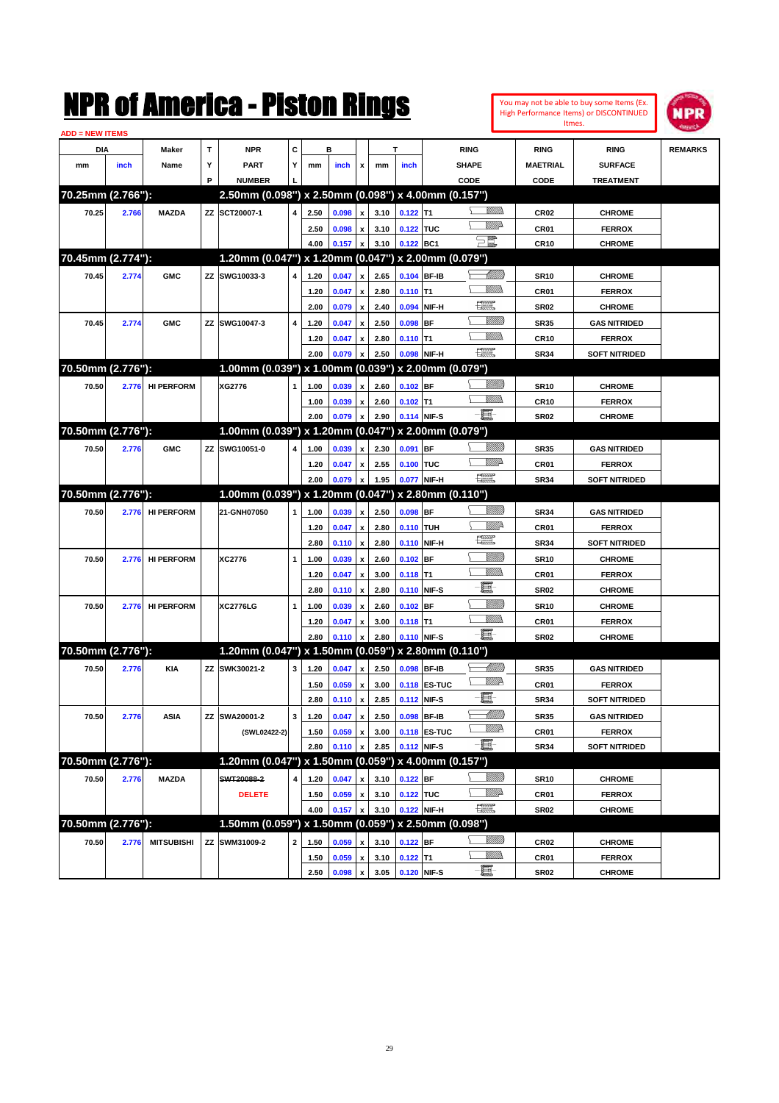|                        |       |                   |   | NMK OI AINCrica - Miston Kings                      |             |      |                |                           |      |                  |              |                         |                |                  | You may not be able to buy some Items (Ex.<br>High Performance Items) or DISCONTINUED | IPR            |
|------------------------|-------|-------------------|---|-----------------------------------------------------|-------------|------|----------------|---------------------------|------|------------------|--------------|-------------------------|----------------|------------------|---------------------------------------------------------------------------------------|----------------|
| <b>ADD = NEW ITEMS</b> |       |                   |   |                                                     |             |      |                |                           |      |                  |              |                         |                |                  | Itmes.                                                                                |                |
| DIA                    |       | Maker             | T | <b>NPR</b>                                          | C           |      | в              |                           |      | T                |              | <b>RING</b>             |                | <b>RING</b>      | <b>RING</b>                                                                           | <b>REMARKS</b> |
| mm                     | inch  | Name              | Υ | <b>PART</b>                                         | Υ           | mm   | inch           | x                         | mm   | inch             |              | <b>SHAPE</b>            |                | <b>MAETRIAL</b>  | <b>SURFACE</b>                                                                        |                |
|                        |       |                   | P | <b>NUMBER</b>                                       |             |      |                |                           |      |                  |              | CODE                    |                | CODE             | <b>TREATMENT</b>                                                                      |                |
| 70.25mm (2.766"):      |       |                   |   | 2.50mm (0.098") x 2.50mm (0.098") x 4.00mm (0.157") |             |      |                |                           |      |                  |              |                         |                |                  |                                                                                       |                |
| 70.25                  | 2.766 | <b>MAZDA</b>      |   | ZZ SCT20007-1                                       | 4           | 2.50 | 0.098          | $\pmb{\mathsf{x}}$        | 3.10 | $0.122$ T1       |              |                         | <br>Militar    | CR <sub>02</sub> | <b>CHROME</b>                                                                         |                |
|                        |       |                   |   |                                                     |             | 2.50 | 0.098          | $\pmb{\mathsf{x}}$        | 3.10 | 0.122 TUC        |              |                         | <u>MMs</u>     | CR01             | <b>FERROX</b>                                                                         |                |
|                        |       |                   |   |                                                     |             | 4.00 | 0.157          | x                         | 3.10 | 0.122 BC1        |              | $\Xi$                   |                | <b>CR10</b>      | <b>CHROME</b>                                                                         |                |
| 70.45mm (2.774"):      |       |                   |   | 1.20mm (0.047") x 1.20mm (0.047") x 2.00mm (0.079") |             |      |                |                           |      |                  |              |                         |                |                  |                                                                                       |                |
| 70.45                  | 2.774 | <b>GMC</b>        |   | ZZ SWG10033-3                                       | 4           | 1.20 | 0.047          | $\pmb{\mathsf{x}}$        | 2.65 |                  | 0.104 BF-IB  |                         | <u> MM)</u>    | <b>SR10</b>      | <b>CHROME</b>                                                                         |                |
|                        |       |                   |   |                                                     |             | 1.20 | 0.047          | $\pmb{\mathsf{x}}$        | 2.80 | $0.110$ T1       |              |                         | 9777)          | CR01             | <b>FERROX</b>                                                                         |                |
|                        |       |                   |   |                                                     |             | 2.00 | 0.079          | $\pmb{\mathsf{x}}$        | 2.40 | 0.094            | NIF-H        | œ                       |                | <b>SR02</b>      | <b>CHROME</b>                                                                         |                |
| 70.45                  | 2.774 | <b>GMC</b>        |   | ZZ SWG10047-3                                       | 4           | 1.20 | 0.047          | $\pmb{\mathsf{x}}$        | 2.50 | 0.098            | IBF          |                         | WM)            | <b>SR35</b>      | <b>GAS NITRIDED</b>                                                                   |                |
|                        |       |                   |   |                                                     |             | 1.20 | 0.047          | $\pmb{\mathsf{x}}$        | 2.80 | $0.110$ T1       |              |                         | .<br>Villid    | <b>CR10</b>      | <b>FERROX</b>                                                                         |                |
|                        |       |                   |   |                                                     |             | 2.00 | 0.079          | x                         | 2.50 |                  | 0.098 NIF-H  | $\frac{1}{2}$           |                | <b>SR34</b>      | <b>SOFT NITRIDED</b>                                                                  |                |
| 70.50mm (2.776"):      |       |                   |   | 1.00mm (0.039") x 1.00mm (0.039") x 2.00mm (0.079") |             |      |                |                           |      |                  |              |                         |                |                  |                                                                                       |                |
| 70.50                  | 2.776 | <b>HI PERFORM</b> |   | XG2776                                              |             | 1.00 | 0.039          | $\pmb{\mathsf{x}}$        | 2.60 | $0.102$ BF       |              |                         | <u>VIIIIn</u>  | <b>SR10</b>      | <b>CHROME</b>                                                                         |                |
|                        |       |                   |   |                                                     |             | 1.00 | 0.039          | $\pmb{\mathsf{x}}$        | 2.60 | $0.102$ T1       |              |                         | <br>Villida    | <b>CR10</b>      | <b>FERROX</b>                                                                         |                |
|                        |       |                   |   |                                                     |             | 2.00 | 0.079          | $\pmb{\mathsf{x}}$        | 2.90 |                  | 0.114 NIF-S  | e et                    |                | <b>SR02</b>      | <b>CHROME</b>                                                                         |                |
| 70.50mm (2.776"):      |       |                   |   | 1.00mm (0.039") x 1.20mm (0.047") x 2.00mm (0.079") |             |      |                |                           |      |                  |              |                         |                |                  |                                                                                       |                |
| 70.50                  | 2.776 | <b>GMC</b>        |   | ZZ SWG10051-0                                       | 4           | 1.00 | 0.039          | $\pmb{\mathsf{x}}$        | 2.30 | 0.091            | <b>BF</b>    |                         | <u>VIIIIn</u>  | <b>SR35</b>      | <b>GAS NITRIDED</b>                                                                   |                |
|                        |       |                   |   |                                                     |             | 1.20 | 0.047          | $\pmb{\mathsf{x}}$        | 2.55 | 0.100 TUC        |              |                         | WW 2           | CR01             | <b>FERROX</b>                                                                         |                |
|                        |       |                   |   |                                                     |             | 2.00 | 0.079          | $\pmb{\mathsf{x}}$        | 1.95 |                  | 0.077 NIF-H  | $f_{\rm max}^{\rm exp}$ |                | <b>SR34</b>      | <b>SOFT NITRIDED</b>                                                                  |                |
| 70.50mm (2.776"):      |       |                   |   | 1.00mm (0.039") x 1.20mm (0.047")                   |             |      |                |                           |      |                  |              | x 2.80mm (0.110")       |                |                  |                                                                                       |                |
| 70.50                  | 2.776 | <b>HI PERFORM</b> |   | 21-GNH07050                                         | 1           | 1.00 | 0.039          | $\pmb{\mathsf{x}}$        | 2.50 | $0.098$ BF       |              |                         | <u>VIIIIn</u>  | <b>SR34</b>      | <b>GAS NITRIDED</b>                                                                   |                |
|                        |       |                   |   |                                                     |             | 1.20 | 0.047          | $\pmb{\mathsf{x}}$        | 2.80 | 0.110 TUH        |              |                         | ₩₩             | CR01             | <b>FERROX</b>                                                                         |                |
|                        |       |                   |   |                                                     |             | 2.80 | 0.110          | $\pmb{\mathsf{x}}$        | 2.80 |                  | 0.110 NIF-H  | $f_{\rm max}^{\rm exp}$ |                | <b>SR34</b>      | <b>SOFT NITRIDED</b>                                                                  |                |
| 70.50                  | 2.776 | <b>HI PERFORM</b> |   | XC2776                                              | 1           | 1.00 | 0.039          | $\pmb{\mathsf{x}}$        | 2.60 | $0.102$ BF       |              |                         | <u>VIIII)</u>  | <b>SR10</b>      | <b>CHROME</b>                                                                         |                |
|                        |       |                   |   |                                                     |             | 1.20 | 0.047          | $\pmb{\mathsf{x}}$        | 3.00 | $0.118$ T1       |              |                         | <br>Milli      | CR01             | <b>FERROX</b>                                                                         |                |
|                        |       |                   |   |                                                     |             | 2.80 | 0.110          | $\pmb{\mathsf{x}}$        | 2.80 |                  | 0.110 NIF-S  | E                       |                | <b>SR02</b>      | <b>CHROME</b>                                                                         |                |
| 70.50                  | 2.776 | <b>HI PERFORM</b> |   | <b>XC2776LG</b>                                     | 1           | 1.00 | 0.039          | $\pmb{\mathsf{x}}$        | 2.60 | $0.102$ BF       |              |                         | <u>Villida</u> | <b>SR10</b>      | <b>CHROME</b>                                                                         |                |
|                        |       |                   |   |                                                     |             | 1.20 | 0.047          | $\pmb{\mathsf{x}}$        | 3.00 | $0.118$ T1       |              |                         | <br>Villida    | CR01             | <b>FERROX</b>                                                                         |                |
|                        |       |                   |   |                                                     |             | 2.80 | 0.110          | x                         | 2.80 |                  | 0.110 NIF-S  | $-\mathbf{E}$           |                | <b>SR02</b>      | <b>CHROME</b>                                                                         |                |
| 70.50mm (2.776"):      |       |                   |   | 1.20mm (0.047") x 1.50mm (0.059") x 2.80mm (0.110") |             |      |                |                           |      |                  |              |                         |                |                  |                                                                                       |                |
| 70.50                  | 2.776 | KIA               |   | ZZ SWK30021-2                                       | 3           | 1.20 | 0.047          | $\pmb{\mathsf{x}}$        | 2.50 |                  | 0.098 BF-IB  |                         | <u> IMM</u> )  | SR35             | <b>GAS NITRIDED</b>                                                                   |                |
|                        |       |                   |   |                                                     |             | 1.50 | 0.059 x        |                           | 3.00 |                  | 0.118 ES-TUC |                         | <u>MM</u> D    | CR01             | <b>FERROX</b>                                                                         |                |
|                        |       |                   |   |                                                     |             | 2.80 | $0.110 \mid x$ |                           | 2.85 |                  | 0.112 NIF-S  | E                       |                | SR34             | <b>SOFT NITRIDED</b>                                                                  |                |
| 70.50                  | 2.776 | ASIA              |   | ZZ SWA20001-2                                       | 3           | 1.20 | 0.047          | $\pmb{\mathsf{x}}$        | 2.50 |                  | 0.098 BF-IB  |                         | <u> UMB</u>    | SR35             | <b>GAS NITRIDED</b>                                                                   |                |
|                        |       |                   |   | (SWL02422-2)                                        |             | 1.50 | 0.059          | $\pmb{\mathsf{x}}$        | 3.00 |                  | 0.118 ES-TUC |                         | <u>VM</u> D    | CR01             | <b>FERROX</b>                                                                         |                |
|                        |       |                   |   |                                                     |             | 2.80 | 0.110          | x                         | 2.85 |                  | 0.112 NIF-S  | $-\Xi$                  |                | <b>SR34</b>      | <b>SOFT NITRIDED</b>                                                                  |                |
| 70.50mm (2.776"):      |       |                   |   | 1.20mm (0.047") x 1.50mm (0.059") x 4.00mm (0.157") |             |      |                |                           |      |                  |              |                         |                |                  |                                                                                       |                |
| 70.50                  | 2.776 | <b>MAZDA</b>      |   | SWT20088-2                                          | 4           | 1.20 | 0.047          | x                         | 3.10 | $0.122$ BF       |              |                         | <u>Milli</u> b | <b>SR10</b>      | <b>CHROME</b>                                                                         |                |
|                        |       |                   |   | <b>DELETE</b>                                       |             | 1.50 | 0.059          | $\pmb{\mathsf{x}}$        | 3.10 | 0.122 TUC        |              |                         | <u>Willi</u> b | CR01             | <b>FERROX</b>                                                                         |                |
|                        |       |                   |   |                                                     |             | 4.00 | 0.157          | $\boldsymbol{\mathsf{x}}$ | 3.10 |                  | 0.122 NIF-H  | $f_{\rm max}^{\rm exp}$ |                | SR02             | <b>CHROME</b>                                                                         |                |
| 70.50mm (2.776"):      |       |                   |   | 1.50mm (0.059") x 1.50mm (0.059") x 2.50mm (0.098") |             |      |                |                           |      |                  |              |                         |                |                  |                                                                                       |                |
| 70.50                  | 2.776 | <b>MITSUBISHI</b> |   | ZZ SWM31009-2                                       | $\mathbf 2$ | 1.50 | 0.059          | X                         | 3.10 | $0.122$ BF       |              |                         | <u>Milli</u> b | CR02             | <b>CHROME</b>                                                                         |                |
|                        |       |                   |   |                                                     |             | 1.50 | 0.059          | $\pmb{\mathsf{x}}$        | 3.10 | $0.122$ T1       |              |                         | <u>Willib</u>  | CR01             | <b>FERROX</b>                                                                         |                |
|                        |       |                   |   |                                                     |             | 2.50 | 0.098          | $\mathbf{x}$              |      | 3.05 0.120 NIF-S |              | $-\blacksquare$         |                | SR02             | <b>CHROME</b>                                                                         |                |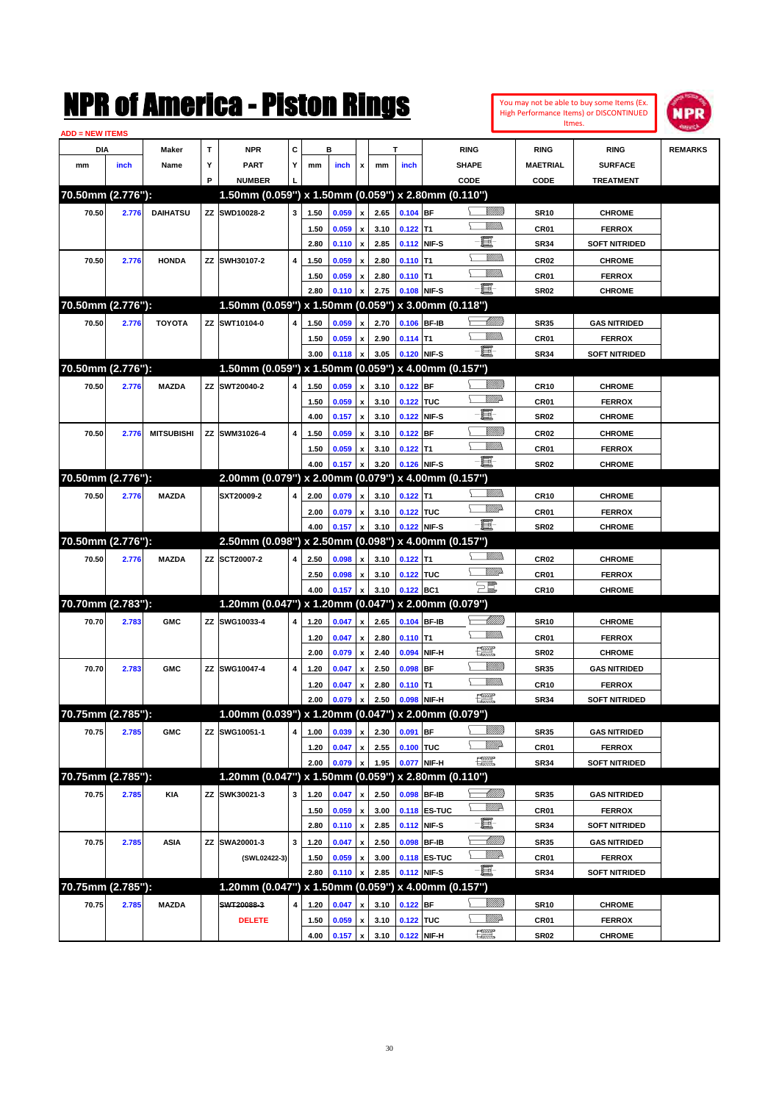| You may not be able to buy some Items (Ex. |
|--------------------------------------------|
| High Performance Items) or DISCONTINUED    |
| Itmes.                                     |



| <b>ADD = NEW ITEMS</b> |       |                   |   |                                                     |   |              |                |                       |              |                        |              |                               |                  |                      |                |
|------------------------|-------|-------------------|---|-----------------------------------------------------|---|--------------|----------------|-----------------------|--------------|------------------------|--------------|-------------------------------|------------------|----------------------|----------------|
| DIA                    |       | Maker             | Т | <b>NPR</b>                                          | С |              | в              |                       |              | T                      |              | <b>RING</b>                   | <b>RING</b>      | <b>RING</b>          | <b>REMARKS</b> |
| mm                     | inch  | Name              | Υ | <b>PART</b>                                         | Y | mm           | inch           | x                     | mm           | inch                   |              | <b>SHAPE</b>                  | <b>MAETRIAL</b>  | <b>SURFACE</b>       |                |
|                        |       |                   | P | <b>NUMBER</b>                                       |   |              |                |                       |              |                        |              | CODE                          | CODE             | <b>TREATMENT</b>     |                |
| 70.50mm (2.776"):      |       |                   |   | 1.50mm (0.059") x 1.50mm (0.059") x 2.80mm (0.110") |   |              |                |                       |              |                        |              |                               |                  |                      |                |
| 70.50                  | 2.776 | <b>DAIHATSU</b>   |   | ZZ SWD10028-2                                       | 3 | 1.50         | 0.059          | x                     | 2.65         | $0.104$ BF             |              | <u>Sillilli</u>               | <b>SR10</b>      | <b>CHROME</b>        |                |
|                        |       |                   |   |                                                     |   | 1.50         | 0.059          | x                     | 3.10         | $0.122$ T1             |              |                               | CR <sub>01</sub> | <b>FERROX</b>        |                |
|                        |       |                   |   |                                                     |   | 2.80         | 0.110          | $\pmb{\mathsf{x}}$    | 2.85         |                        | 0.112 NIF-S  | e                             | <b>SR34</b>      | <b>SOFT NITRIDED</b> |                |
| 70.50                  | 2.776 | <b>HONDA</b>      |   | ZZ SWH30107-2                                       | 4 | 1.50         | 0.059          | x                     | 2.80         | $0.110$ T1             |              |                               | <b>CR02</b>      | <b>CHROME</b>        |                |
|                        |       |                   |   |                                                     |   | 1.50         | 0.059          | x                     | 2.80         | $0.110$ T1             |              |                               | CR01             | <b>FERROX</b>        |                |
|                        |       |                   |   |                                                     |   | 2.80         | 0.110          | x                     | 2.75         |                        | 0.108 NIF-S  | -8                            | <b>SR02</b>      | <b>CHROME</b>        |                |
| 70.50mm (2.776"):      |       |                   |   | 1.50mm (0.059") x 1.50mm (0.059") x 3.00mm (0.118") |   |              |                |                       |              |                        |              |                               |                  |                      |                |
| 70.50                  | 2.776 | <b>TOYOTA</b>     |   | ZZ SWT10104-0                                       | 4 | 1.50         | 0.059          | x                     | 2.70         | 0.106 BF-IB            |              | <u> UMB</u>                   | <b>SR35</b>      | <b>GAS NITRIDED</b>  |                |
|                        |       |                   |   |                                                     |   | 1.50         | 0.059          | x                     | 2.90         | $0.114$ T1             |              |                               | CR01             | <b>FERROX</b>        |                |
|                        |       |                   |   |                                                     |   | 3.00         | 0.118          | x                     | 3.05         | 0.120 NIF-S            |              | -8                            | <b>SR34</b>      | <b>SOFT NITRIDED</b> |                |
| 70.50mm (2.776"):      |       |                   |   | 1.50mm (0.059") x 1.50mm (0.059") x 4.00mm (0.157") |   |              |                |                       |              |                        |              |                               |                  |                      |                |
| 70.50                  | 2.776 | <b>MAZDA</b>      |   | ZZ SWT20040-2                                       | 4 | 1.50         | 0.059          | x                     | 3.10         | $0.122$ BF             |              | <u>Sillilli</u>               | <b>CR10</b>      | <b>CHROME</b>        |                |
|                        |       |                   |   |                                                     |   | 1.50         | 0.059          | x                     | 3.10         | 0.122 TUC              |              | ₩₩                            | CR01             | <b>FERROX</b>        |                |
|                        |       |                   |   |                                                     |   | 4.00         | 0.157          | $\pmb{\mathsf{x}}$    | 3.10         |                        | 0.122 NIF-S  | E                             | <b>SR02</b>      | <b>CHROME</b>        |                |
| 70.50                  | 2.776 | <b>MITSUBISHI</b> |   | ZZ SWM31026-4                                       | 4 | 1.50         | 0.059          | x                     | 3.10         | $0.122$ BF             |              | <u>Sillilli</u>               | <b>CR02</b>      | <b>CHROME</b>        |                |
|                        |       |                   |   |                                                     |   | 1.50         | 0.059          | x                     | 3.10         | $0.122$ T1             |              |                               | CR01             | <b>FERROX</b>        |                |
|                        |       |                   |   |                                                     |   | 4.00         | 0.157          | x                     | 3.20         |                        | 0.126 NIF-S  | -8                            | <b>SR02</b>      | <b>CHROME</b>        |                |
| 70.50mm (2.776"):      |       |                   |   | 2.00mm (0.079") x 2.00mm (0.079") x 4.00mm (0.157") |   |              |                |                       |              |                        |              |                               |                  |                      |                |
| 70.50                  | 2.776 | <b>MAZDA</b>      |   | SXT20009-2                                          | 4 | 2.00         | 0.079          | x                     | 3.10         | $0.122$ T1             |              | .<br>VMD                      | <b>CR10</b>      | <b>CHROME</b>        |                |
|                        |       |                   |   |                                                     |   | 2.00         | 0.079          | x                     | 3.10         | 0.122 TUC              |              | <u>WW</u> A                   | CR01             | <b>FERROX</b>        |                |
|                        |       |                   |   |                                                     |   | 4.00         | 0.157          | x                     | 3.10         |                        | 0.122 NIF-S  | -8                            | <b>SR02</b>      | <b>CHROME</b>        |                |
| 70.50mm (2.776"):      |       |                   |   | 2.50mm (0.098") x 2.50mm (0.098") x 4.00mm (0.157") |   |              |                |                       |              |                        |              |                               |                  |                      |                |
| 70.50                  |       | <b>MAZDA</b>      |   | ZZ SCT20007-2                                       | 4 |              |                |                       |              |                        |              | .<br>VMD                      |                  |                      |                |
|                        | 2.776 |                   |   |                                                     |   | 2.50         | 0.098          | x                     | 3.10         | $0.122$ T1             |              | <u>WW</u> A                   | <b>CR02</b>      | <b>CHROME</b>        |                |
|                        |       |                   |   |                                                     |   | 2.50<br>4.00 | 0.098<br>0.157 | x<br>$\boldsymbol{x}$ | 3.10<br>3.10 | 0.122 TUC<br>0.122 BC1 |              | $\Xi^{\mathbb{Z}}$            | CR01             | <b>FERROX</b>        |                |
| 70.70mm (2.783"):      |       |                   |   | 1.20mm (0.047") x 1.20mm (0.047") x 2.00mm (0.079") |   |              |                |                       |              |                        |              |                               | <b>CR10</b>      | <b>CHROME</b>        |                |
|                        |       |                   |   |                                                     |   |              |                |                       |              |                        |              | <u>UMB</u>                    |                  |                      |                |
| 70.70                  | 2.783 | <b>GMC</b>        |   | ZZ SWG10033-4                                       | 4 | 1.20         | 0.047          | x                     | 2.65         | 0.104 BF-IB            |              |                               | <b>SR10</b>      | <b>CHROME</b>        |                |
|                        |       |                   |   |                                                     |   | 1.20         | 0.047          | x                     | 2.80         | $0.110$ T1             |              | $\frac{1}{2}$                 | CR01             | <b>FERROX</b>        |                |
|                        |       |                   |   |                                                     |   | 2.00         | 0.079          | x                     | 2.40         | 0.094                  | NIF-H        | <u>VIIII)</u>                 | <b>SR02</b>      | <b>CHROME</b>        |                |
| 70.70                  | 2.783 | <b>GMC</b>        |   | ZZ SWG10047-4                                       | 4 | 1.20         | 0.047          | x                     | 2.50         | $0.098$ BF             |              |                               | <b>SR35</b>      | <b>GAS NITRIDED</b>  |                |
|                        |       |                   |   |                                                     |   | 1.20         | 0.047          | x                     | 2.80         | $0.110$ T1             |              |                               | <b>CR10</b>      | <b>FERROX</b>        |                |
|                        |       |                   |   |                                                     |   | 2.00         | 0.079          | x                     | 2.50         |                        | 0.098 NIF-H  | 環                             | <b>SR34</b>      | <b>SOFT NITRIDED</b> |                |
| 70.75mm (2.785"):      |       |                   |   | 1.00mm (0.039") x 1.20mm (0.047") x 2.00mm (0.079") |   |              |                |                       |              |                        |              |                               |                  |                      |                |
| 70.75                  | 2.785 | <b>GMC</b>        |   | ZZ SWG10051-1                                       | 4 | 1.00         | 0.039          | $\pmb{\mathsf{x}}$    | 2.30         | $0.091$ BF             |              | <u>VIIII)</u>                 | <b>SR35</b>      | <b>GAS NITRIDED</b>  |                |
|                        |       |                   |   |                                                     |   | 1.20         | 0.047          | x                     | 2.55         | 0.100 TUC              |              | ₩₩                            | CR01             | <b>FERROX</b>        |                |
|                        |       |                   |   |                                                     |   | 2.00         | 0.079          | x                     | 1.95         |                        | 0.077 NIF-H  | $\frac{1}{2}$                 | <b>SR34</b>      | <b>SOFT NITRIDED</b> |                |
| 70.75mm (2.785"):      |       |                   |   | 1.20mm (0.047") x 1.50mm (0.059") x 2.80mm (0.110") |   |              |                |                       |              |                        |              |                               |                  |                      |                |
| 70.75                  | 2.785 | <b>KIA</b>        |   | ZZ SWK30021-3                                       | 3 | 1.20         | 0.047          | x                     | 2.50         |                        | 0.098 BF-IB  | <u>-M/////</u> )              | <b>SR35</b>      | <b>GAS NITRIDED</b>  |                |
|                        |       |                   |   |                                                     |   | 1.50         | 0.059          | x                     | 3.00         |                        | 0.118 ES-TUC | <u>W//P</u>                   | CR01             | <b>FERROX</b>        |                |
|                        |       |                   |   |                                                     |   | 2.80         | 0.110          | $\pmb{\mathsf{x}}$    | 2.85         |                        | 0.112 NIF-S  | e.                            | <b>SR34</b>      | <b>SOFT NITRIDED</b> |                |
| 70.75                  | 2.785 | <b>ASIA</b>       |   | ZZ SWA20001-3                                       | 3 | 1.20         | 0.047          | x                     | 2.50         |                        | 0.098 BF-IB  | <u>-1777)</u>                 | <b>SR35</b>      | <b>GAS NITRIDED</b>  |                |
|                        |       |                   |   | (SWL02422-3)                                        |   | 1.50         | 0.059          | x                     | 3.00         |                        | 0.118 ES-TUC | W//A                          | CR01             | <b>FERROX</b>        |                |
|                        |       |                   |   |                                                     |   | 2.80         | 0.110          | x                     | 2.85         |                        | 0.112 NIF-S  | -E-                           | <b>SR34</b>      | <b>SOFT NITRIDED</b> |                |
| 70.75mm (2.785"):      |       |                   |   | 1.20mm (0.047") x 1.50mm (0.059") x 4.00mm (0.157") |   |              |                |                       |              |                        |              |                               |                  |                      |                |
| 70.75                  | 2.785 | <b>MAZDA</b>      |   | SWT20088-3                                          | 4 | 1.20         | 0.047          | x                     | 3.10         | $0.122$ BF             |              | <u>Millit</u>                 | <b>SR10</b>      | <b>CHROME</b>        |                |
|                        |       |                   |   | <b>DELETE</b>                                       |   | 1.50         | 0.059          | x                     | 3.10         | 0.122 TUC              |              | <u>Willi</u> da               | CR01             | <b>FERROX</b>        |                |
|                        |       |                   |   |                                                     |   | 4.00         | 0.157          | $\pmb{\mathsf{x}}$    | 3.10         |                        | 0.122 NIF-H  | $f_{\text{max}}^{\text{exp}}$ | SR <sub>02</sub> | <b>CHROME</b>        |                |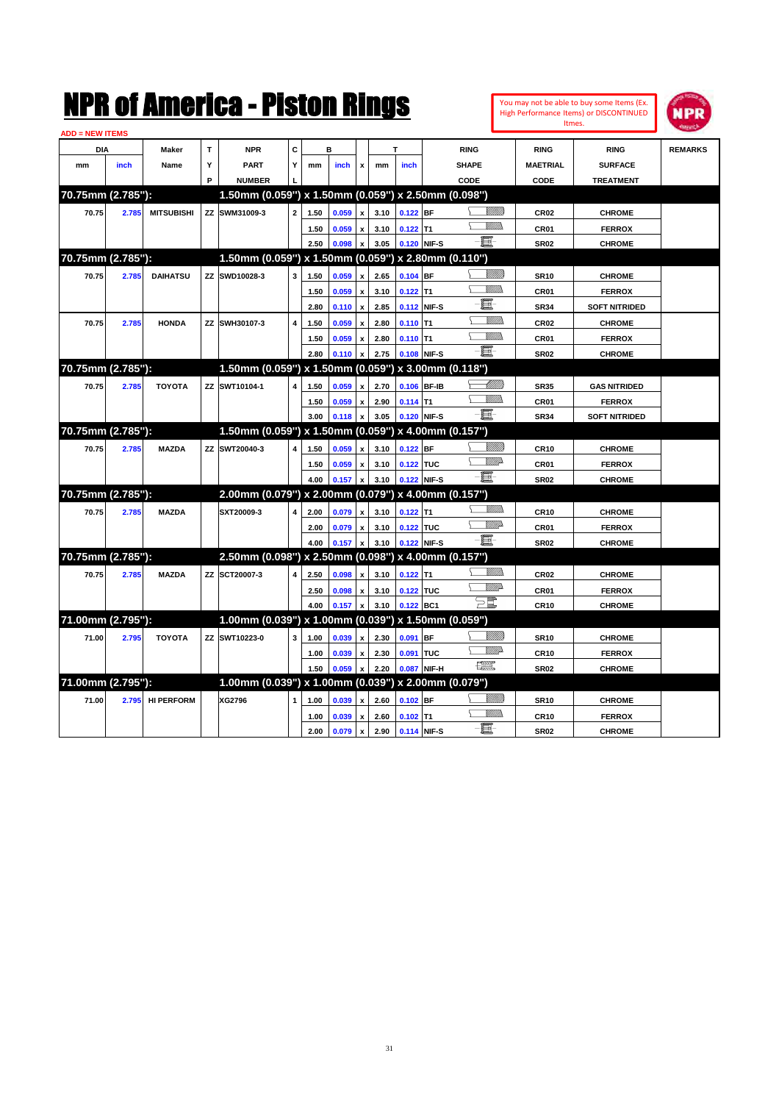|                                      |       |                   |   | NMK OI AINCrica - Miston Kings                      |                |      |       |                           |      |             |              |                              | <b>Itmes</b>    | You may not be able to buy some Items (Ex.<br><b>High Performance Items) or DISCONTINUED</b> | IPD            |
|--------------------------------------|-------|-------------------|---|-----------------------------------------------------|----------------|------|-------|---------------------------|------|-------------|--------------|------------------------------|-----------------|----------------------------------------------------------------------------------------------|----------------|
| <b>ADD = NEW ITEMS</b><br><b>DIA</b> |       | Maker             | т | <b>NPR</b>                                          | c              |      | в     |                           |      |             | <b>RING</b>  |                              | <b>RING</b>     | <b>RING</b>                                                                                  | <b>REMARKS</b> |
| mm                                   | inch  | Name              | Y | <b>PART</b>                                         | Y              | mm   | inch  | x                         | mm   | inch        | <b>SHAPE</b> |                              | <b>MAETRIAL</b> | <b>SURFACE</b>                                                                               |                |
|                                      |       |                   | P | <b>NUMBER</b>                                       |                |      |       |                           |      |             | CODE         |                              | CODE            | <b>TREATMENT</b>                                                                             |                |
| 70.75mm (2.785"):                    |       |                   |   | 1.50mm (0.059") x 1.50mm (0.059") x 2.50mm (0.098") |                |      |       |                           |      |             |              |                              |                 |                                                                                              |                |
| 70.75                                | 2.785 | <b>MITSUBISHI</b> |   | ZZ SWM31009-3                                       | $\overline{a}$ | 1.50 | 0.059 | x                         | 3.10 | $0.122$ BF  |              | VMM)                         | <b>CR02</b>     | <b>CHROME</b>                                                                                |                |
|                                      |       |                   |   |                                                     |                | 1.50 | 0.059 | $\pmb{\mathsf{x}}$        | 3.10 | $0.122$ T1  |              | 7777).                       | CR01            | <b>FERROX</b>                                                                                |                |
|                                      |       |                   |   |                                                     |                | 2.50 | 0.098 | x                         | 3.05 | 0.120 NIF-S |              | þ                            | <b>SR02</b>     | <b>CHROME</b>                                                                                |                |
| 70.75mm (2.785"):                    |       |                   |   | 1.50mm (0.059") x 1.50mm (0.059") x 2.80mm (0.110") |                |      |       |                           |      |             |              |                              |                 |                                                                                              |                |
| 70.75                                | 2.785 | <b>DAIHATSU</b>   |   | ZZ SWD10028-3                                       | 3              | 1.50 | 0.059 | $\boldsymbol{\mathsf{x}}$ | 2.65 | $0.104$ BF  |              | VMM)                         | <b>SR10</b>     | <b>CHROME</b>                                                                                |                |
|                                      |       |                   |   |                                                     |                | 1.50 | 0.059 | $\boldsymbol{\mathsf{x}}$ | 3.10 | $0.122$ T1  |              | VM))                         | CR01            | <b>FERROX</b>                                                                                |                |
|                                      |       |                   |   |                                                     |                | 2.80 | 0.110 | $\pmb{\mathsf{x}}$        | 2.85 | 0.112 NIF-S |              | E                            | <b>SR34</b>     | <b>SOFT NITRIDED</b>                                                                         |                |
| 70.75                                | 2.785 | <b>HONDA</b>      |   | ZZ SWH30107-3                                       | 4              | 1.50 | 0.059 | x                         | 2.80 | $0.110$ T1  |              | VM))                         | <b>CR02</b>     | <b>CHROME</b>                                                                                |                |
|                                      |       |                   |   |                                                     |                | 1.50 | 0.059 | $\pmb{\mathsf{x}}$        | 2.80 | $0.110$ T1  |              | VM)                          | CR01            | <b>FERROX</b>                                                                                |                |
|                                      |       |                   |   |                                                     |                | 2.80 | 0.110 | x                         | 2.75 | 0.108 NIF-S |              | - <b>寶</b> -                 | <b>SR02</b>     | <b>CHROME</b>                                                                                |                |
| 70.75mm (2.785"):                    |       |                   |   | 1.50mm (0.059") x 1.50mm (0.059") x 3.00mm (0.118") |                |      |       |                           |      |             |              |                              |                 |                                                                                              |                |
| 70.75                                | 2.785 | <b>TOYOTA</b>     |   | ZZ SWT10104-1                                       | 4              | 1.50 | 0.059 | $\boldsymbol{\mathsf{x}}$ | 2.70 | 0.106 BF-IB |              | <u>-MMB</u>                  | <b>SR35</b>     | <b>GAS NITRIDED</b>                                                                          |                |
|                                      |       |                   |   |                                                     |                | 1.50 | 0.059 | x                         | 2.90 | $0.114$ T1  |              | .<br>VMD                     | CR01            | <b>FERROX</b>                                                                                |                |
|                                      |       |                   |   |                                                     |                | 3.00 | 0.118 | $\pmb{\mathsf{x}}$        | 3.05 | 0.120 NIF-S |              | - 1                          | <b>SR34</b>     | <b>SOFT NITRIDED</b>                                                                         |                |
| 70.75mm (2.785"):                    |       |                   |   | 1.50mm (0.059") x 1.50mm (0.059") x 4.00mm (0.157") |                |      |       |                           |      |             |              |                              |                 |                                                                                              |                |
| 70.75                                | 2.785 | <b>MAZDA</b>      |   | ZZ SWT20040-3                                       |                | 1.50 | 0.059 | x                         | 3.10 | $0.122$ BF  |              | <u>VIIII)</u>                | <b>CR10</b>     | <b>CHROME</b>                                                                                |                |
|                                      |       |                   |   |                                                     |                | 1.50 | 0.059 | $\pmb{\mathsf{x}}$        | 3.10 | 0.122 TUC   |              | <u>Willia</u>                | CR01            | <b>FERROX</b>                                                                                |                |
|                                      |       |                   |   |                                                     |                | 4.00 | 0.157 | $\mathbf{x}$              | 3.10 | 0.122 NIF-S |              | -E-                          | <b>SR02</b>     | <b>CHROME</b>                                                                                |                |
| 70.75mm (2.785"):                    |       |                   |   | 2.00mm (0.079") x 2.00mm (0.079") x 4.00mm (0.157") |                |      |       |                           |      |             |              |                              |                 |                                                                                              |                |
| 70.75                                | 2.785 | <b>MAZDA</b>      |   | SXT20009-3                                          | 4              | 2.00 | 0.079 | $\mathbf{x}$              | 3.10 | $0.122$ T1  |              | <u>MMs</u>                   | <b>CR10</b>     | <b>CHROME</b>                                                                                |                |
|                                      |       |                   |   |                                                     |                | 2.00 | 0.079 | x                         | 3.10 | 0.122 TUC   |              | <u>WW</u> A                  | CR01            | <b>FERROX</b>                                                                                |                |
|                                      |       |                   |   |                                                     |                | 4.00 | 0.157 | $\mathbf{x}$              | 3.10 | 0.122 NIF-S |              | $-\Xi$                       | <b>SR02</b>     | <b>CHROME</b>                                                                                |                |
| 70.75mm (2.785"):                    |       |                   |   | 2.50mm (0.098") x 2.50mm (0.098") x 4.00mm (0.157") |                |      |       |                           |      |             |              |                              |                 |                                                                                              |                |
| 70.75                                | 2.785 | <b>MAZDA</b>      |   | ZZ SCT20007-3                                       | 4              | 2.50 | 0.098 | $\pmb{\mathsf{x}}$        | 3.10 | $0.122$ T1  |              | <u>Willib</u>                | <b>CR02</b>     | <b>CHROME</b>                                                                                |                |
|                                      |       |                   |   |                                                     |                | 2.50 | 0.098 |                           | 3.10 | 0.122 TUC   |              | <u>WW</u> A                  | CR01            | <b>FERROX</b>                                                                                |                |
|                                      |       |                   |   |                                                     |                | 4.00 | 0.157 |                           | 3.10 | 0.122 BC1   |              | $\mathcal{P}^{\mathbb{Z}^n}$ | <b>CR10</b>     | <b>CHROME</b>                                                                                |                |
| 71.00mm (2.795"):                    |       |                   |   | 1.00mm (0.039") x 1.00mm (0.039") x 1.50mm (0.059") |                |      |       |                           |      |             |              |                              |                 |                                                                                              |                |
| 71.00                                | 2.795 | <b>TOYOTA</b>     |   | ZZ SWT10223-0                                       | 3              | 1.00 | 0.039 | x                         | 2.30 | $0.091$ BF  |              | VMM)                         | <b>SR10</b>     | <b>CHROME</b>                                                                                |                |
|                                      |       |                   |   |                                                     |                | 1.00 | 0.039 | $\pmb{\mathsf{x}}$        | 2.30 | 0.091 TUC   |              | VIIIA                        | CR10            | <b>FERROX</b>                                                                                |                |
|                                      |       |                   |   |                                                     |                | 1.50 | 0.059 | x                         | 2.20 | 0.087 NIF-H |              | <u>ree</u>                   | <b>SR02</b>     | <b>CHROME</b>                                                                                |                |
| 71.00mm (2.795"):                    |       |                   |   | 1.00mm (0.039") x 1.00mm (0.039") x 2.00mm (0.079") |                |      |       |                           |      |             |              |                              |                 |                                                                                              |                |
| 71.00                                | 2.795 | <b>HI PERFORM</b> |   | XG2796                                              |                | 1.00 | 0.039 | $\boldsymbol{\mathsf{x}}$ | 2.60 | $0.102$ BF  |              | VMM)                         | <b>SR10</b>     | <b>CHROME</b>                                                                                |                |
|                                      |       |                   |   |                                                     |                | 1.00 | 0.039 | $\pmb{\mathsf{x}}$        | 2.60 | $0.102$ T1  |              | UM)                          | <b>CR10</b>     | <b>FERROX</b>                                                                                |                |
|                                      |       |                   |   |                                                     |                | 2.00 | 0.079 | $\mathbf{x}$              | 2.90 | 0.114 NIF-S |              | $\overline{\mathbf{H}}$      | <b>SR02</b>     | <b>CHROME</b>                                                                                |                |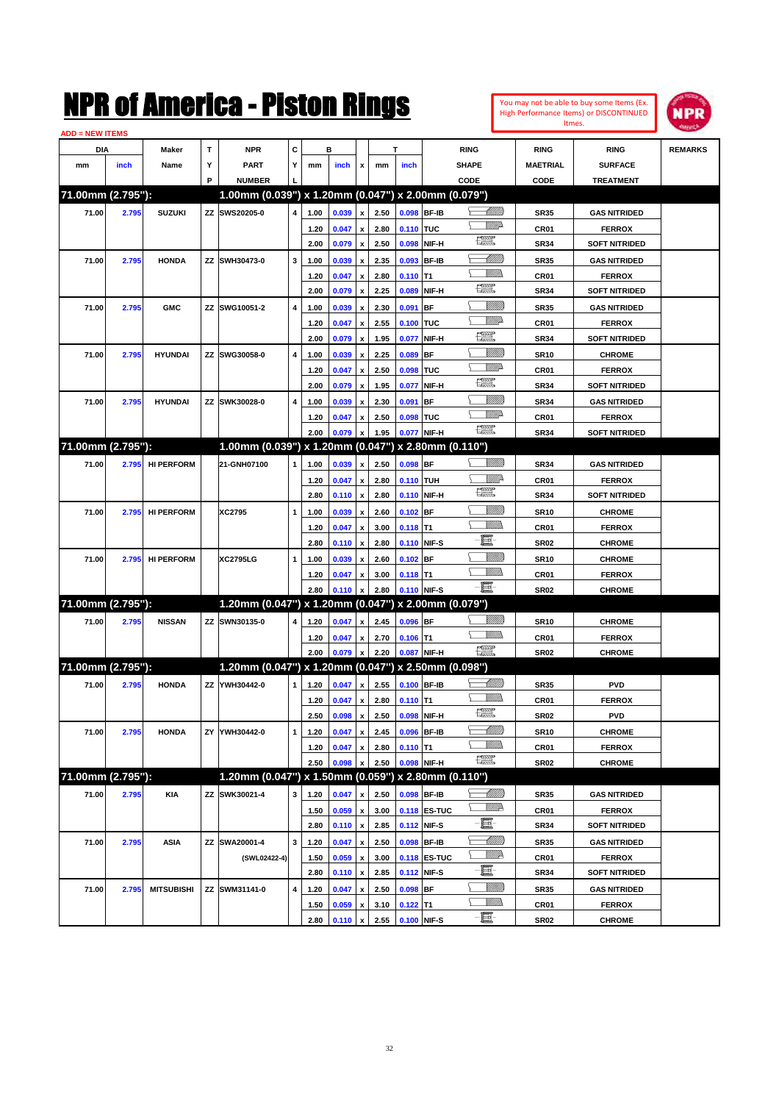

| <b>ADD = NEW ITEMS</b> |       |                   |    |                                                     |   |              |       |                           |      |            |                             |                   |                 |                      |                |
|------------------------|-------|-------------------|----|-----------------------------------------------------|---|--------------|-------|---------------------------|------|------------|-----------------------------|-------------------|-----------------|----------------------|----------------|
| DIA                    |       | Maker             | т  | <b>NPR</b>                                          | С |              | в     |                           |      | т          |                             | <b>RING</b>       | <b>RING</b>     | <b>RING</b>          | <b>REMARKS</b> |
| mm                     | inch  | Name              | Υ  | <b>PART</b>                                         | Y | mm           | inch  | x                         | mm   | inch       |                             | <b>SHAPE</b>      | <b>MAETRIAL</b> | <b>SURFACE</b>       |                |
|                        |       |                   | P  | <b>NUMBER</b>                                       |   |              |       |                           |      |            |                             | CODE              | CODE            | <b>TREATMENT</b>     |                |
| 71.00mm (2.795"):      |       |                   |    | 1.00mm (0.039") x 1.20mm (0.047") x 2.00mm (0.079") |   |              |       |                           |      |            |                             |                   |                 |                      |                |
| 71.00                  | 2.795 | <b>SUZUKI</b>     |    | ZZ SWS20205-0                                       | 4 | 1.00         | 0.039 | x                         | 2.50 |            | 0.098 BF-IB                 | <u> Millitt</u>   | <b>SR35</b>     | <b>GAS NITRIDED</b>  |                |
|                        |       |                   |    |                                                     |   | 1.20         | 0.047 | x                         | 2.80 | 0.110 TUC  |                             | VMD-              | CR01            | <b>FERROX</b>        |                |
|                        |       |                   |    |                                                     |   | 2.00         | 0.079 | x                         | 2.50 |            | 0.098 NIF-H                 | R                 | <b>SR34</b>     | <b>SOFT NITRIDED</b> |                |
| 71.00                  | 2.795 | <b>HONDA</b>      |    | ZZ SWH30473-0                                       | 3 | 1.00         | 0.039 |                           | 2.35 |            | 0.093 BF-IB                 | <u> UMB</u>       | <b>SR35</b>     | <b>GAS NITRIDED</b>  |                |
|                        |       |                   |    |                                                     |   | 1.20         | 0.047 | x                         | 2.80 | $0.110$ T1 |                             |                   | CR01            | <b>FERROX</b>        |                |
|                        |       |                   |    |                                                     |   | 2.00         | 0.079 | x                         | 2.25 | 0.089      | NIF-H                       | R                 | <b>SR34</b>     | <b>SOFT NITRIDED</b> |                |
| 71.00                  | 2.795 | <b>GMC</b>        |    | ZZ SWG10051-2                                       | 4 | 1.00         | 0.039 |                           | 2.30 | 0.091      | <b>BF</b>                   | <u>Sillilli</u>   | <b>SR35</b>     | <b>GAS NITRIDED</b>  |                |
|                        |       |                   |    |                                                     |   | 1.20         | 0.047 | x                         | 2.55 | 0.100 TUC  |                             | <u>MMP</u>        | CR01            | <b>FERROX</b>        |                |
|                        |       |                   |    |                                                     |   | 2.00         | 0.079 | x                         | 1.95 | 0.077      | NIF-H                       | <u>1220</u>       | <b>SR34</b>     | <b>SOFT NITRIDED</b> |                |
| 71.00                  | 2.795 | <b>HYUNDAI</b>    |    | ZZ SWG30058-0                                       | 4 | 1.00         | 0.039 | x                         | 2.25 | 0.089      | <b>BF</b>                   | <u>Sillilli</u>   | <b>SR10</b>     | <b>CHROME</b>        |                |
|                        |       |                   |    |                                                     |   | 1.20         | 0.047 | x                         | 2.50 | 0.098      | <b>TUC</b>                  | <u>VMD</u>        | CR01            | <b>FERROX</b>        |                |
|                        |       |                   |    |                                                     |   | 2.00         | 0.079 | x                         | 1.95 | 0.077      | NIF-H                       | 鱱                 | <b>SR34</b>     | <b>SOFT NITRIDED</b> |                |
| 71.00                  | 2.795 | <b>HYUNDAI</b>    |    | ZZ SWK30028-0                                       | 4 | 1.00         | 0.039 | x                         | 2.30 | 0.091      | <b>BF</b>                   | <u>Sillilli</u>   | <b>SR34</b>     | <b>GAS NITRIDED</b>  |                |
|                        |       |                   |    |                                                     |   |              |       |                           | 2.50 | 0.098 TUC  |                             | <u>VMD</u>        |                 |                      |                |
|                        |       |                   |    |                                                     |   | 1.20<br>2.00 | 0.047 | x                         |      |            |                             | 鱱                 | CR01            | <b>FERROX</b>        |                |
| 71.00mm (2.795"):      |       |                   |    | 1.00mm (0.039") x 1.20mm (0.047") x 2.80mm (0.110") |   |              | 0.079 | $\boldsymbol{\mathsf{x}}$ | 1.95 |            | 0.077 NIF-H                 |                   | <b>SR34</b>     | <b>SOFT NITRIDED</b> |                |
|                        |       |                   |    |                                                     |   |              |       |                           |      |            |                             |                   |                 |                      |                |
| 71.00                  | 2.795 | <b>HI PERFORM</b> |    | 21-GNH07100                                         | 1 | 1.00         | 0.039 | x                         | 2.50 | $0.098$ BF |                             | <u> UMB</u>       | <b>SR34</b>     | <b>GAS NITRIDED</b>  |                |
|                        |       |                   |    |                                                     |   | 1.20         | 0.047 | x                         | 2.80 | 0.110 TUH  |                             | ₩₩<br>鱱           | CR01            | <b>FERROX</b>        |                |
|                        |       |                   |    |                                                     |   | 2.80         | 0.110 | x                         | 2.80 |            | 0.110 NIF-H                 |                   | <b>SR34</b>     | <b>SOFT NITRIDED</b> |                |
| 71.00                  | 2.795 | <b>HI PERFORM</b> |    | XC2795                                              | 1 | 1.00         | 0.039 | x                         | 2.60 | $0.102$ BF |                             | <u>Sillilli</u>   | <b>SR10</b>     | <b>CHROME</b>        |                |
|                        |       |                   |    |                                                     |   | 1.20         | 0.047 | x                         | 3.00 | $0.118$ T1 |                             | UM)               | CR01            | <b>FERROX</b>        |                |
|                        |       |                   |    |                                                     |   | 2.80         | 0.110 | x                         | 2.80 |            | 0.110 NIF-S                 | E                 | <b>SR02</b>     | <b>CHROME</b>        |                |
| 71.00                  | 2.795 | <b>HI PERFORM</b> |    | <b>XC2795LG</b>                                     | 1 | 1.00         | 0.039 | x                         | 2.60 | $0.102$ BF |                             | <u>Sillilli</u>   | <b>SR10</b>     | <b>CHROME</b>        |                |
|                        |       |                   |    |                                                     |   | 1.20         | 0.047 | x                         | 3.00 | $0.118$ T1 |                             | <br>Militar       | CR01            | <b>FERROX</b>        |                |
|                        |       |                   |    |                                                     |   | 2.80         | 0.110 | x                         | 2.80 |            | 0.110 NIF-S                 | -8                | <b>SR02</b>     | <b>CHROME</b>        |                |
| 71.00mm (2.795"):      |       |                   |    | 1.20mm (0.047") x 1.20mm (0.047") x 2.00mm (0.079") |   |              |       |                           |      |            |                             |                   |                 |                      |                |
| 71.00                  | 2.795 | <b>NISSAN</b>     |    | ZZ SWN30135-0                                       | 4 | 1.20         | 0.047 | x                         | 2.45 | 0.096 BF   |                             | <u>Sillilli</u>   | <b>SR10</b>     | <b>CHROME</b>        |                |
|                        |       |                   |    |                                                     |   | 1.20         | 0.047 | x                         | 2.70 | $0.106$ T1 |                             | UM)               | CR01            | <b>FERROX</b>        |                |
|                        |       |                   |    |                                                     |   | 2.00         | 0.079 | x                         | 2.20 |            | 0.087 NIF-H                 | <b>The Second</b> | <b>SR02</b>     | <b>CHROME</b>        |                |
| 71.00mm (2.795"):      |       |                   |    | 1.20mm (0.047") x 1.20mm (0.047") x 2.50mm (0.098") |   |              |       |                           |      |            |                             |                   |                 |                      |                |
| 71.00                  | 2.795 | <b>HONDA</b>      |    | ZZ YWH30442-0                                       | 1 | 1.20         | 0.047 | x                         | 2.55 |            | 0.100 BF-IB                 | <u> Millits</u>   | <b>SR35</b>     | <b>PVD</b>           |                |
|                        |       |                   |    |                                                     |   | 1.20         | 0.047 | x                         | 2.80 | $0.110$ T1 |                             |                   | CR01            | <b>FERROX</b>        |                |
|                        |       |                   |    |                                                     |   | 2.50         | 0.098 | $\pmb{\mathsf{x}}$        | 2.50 |            | 0.098 NIF-H                 | 鱱                 | SR02            | <b>PVD</b>           |                |
| 71.00                  | 2.795 | <b>HONDA</b>      | ΖY | YWH30442-0                                          | 1 | 1.20         | 0.047 | $\pmb{\mathsf{x}}$        | 2.45 |            | 0.096 BF-IB                 | <u> UMM</u>       | <b>SR10</b>     | <b>CHROME</b>        |                |
|                        |       |                   |    |                                                     |   | 1.20         | 0.047 | x                         | 2.80 | $0.110$ T1 |                             | <br>Mar           | CR01            | <b>FERROX</b>        |                |
|                        |       |                   |    |                                                     |   | 2.50         | 0.098 |                           | 2.50 |            | 0.098 NIF-H                 | H                 | SR02            | <b>CHROME</b>        |                |
| 71.00mm (2.795"):      |       |                   |    | 1.20mm (0.047") x 1.50mm (0.059") x 2.80mm (0.110") |   |              |       |                           |      |            |                             |                   |                 |                      |                |
| 71.00                  | 2.795 | <b>KIA</b>        |    | ZZ SWK30021-4                                       | 3 | 1.20         | 0.047 |                           | 2.50 |            | 0.098 BF-IB                 | <u> MMB</u>       | <b>SR35</b>     | <b>GAS NITRIDED</b>  |                |
|                        |       |                   |    |                                                     |   |              | 0.059 | x                         | 3.00 |            |                             | <u>W//P</u>       |                 | <b>FERROX</b>        |                |
|                        |       |                   |    |                                                     |   | 1.50         |       | $\pmb{\mathsf{x}}$        | 2.85 |            | 0.118 ES-TUC<br>0.112 NIF-S | E-                | CR01            |                      |                |
|                        |       |                   |    |                                                     |   | 2.80         | 0.110 | $\pmb{\mathsf{x}}$        |      |            |                             | <u> Milli</u> lli | SR34            | <b>SOFT NITRIDED</b> |                |
| 71.00                  | 2.795 | <b>ASIA</b>       |    | ZZ SWA20001-4                                       | 3 | 1.20         | 0.047 | x                         | 2.50 |            | 0.098 BF-IB                 | <u>W//P</u>       | <b>SR35</b>     | <b>GAS NITRIDED</b>  |                |
|                        |       |                   |    | (SWL02422-4)                                        |   | 1.50         | 0.059 | x                         | 3.00 |            | <b>0.118 ES-TUC</b>         | E-                | CR01            | <b>FERROX</b>        |                |
|                        |       |                   |    |                                                     |   | 2.80         | 0.110 | $\pmb{\mathsf{x}}$        | 2.85 |            | 0.112 NIF-S                 | <u>Millit</u>     | <b>SR34</b>     | <b>SOFT NITRIDED</b> |                |
| 71.00                  | 2.795 | <b>MITSUBISHI</b> |    | ZZ SWM31141-0                                       | 4 | 1.20         | 0.047 | x                         | 2.50 | 0.098 BF   |                             | <u>Willib</u>     | SR35            | <b>GAS NITRIDED</b>  |                |
|                        |       |                   |    |                                                     |   | 1.50         | 0.059 |                           | 3.10 | $0.122$ T1 |                             |                   | CR01            | <b>FERROX</b>        |                |
|                        |       |                   |    |                                                     |   | 2.80         | 0.110 | x                         | 2.55 |            | 0.100 NIF-S                 | -8                | SR02            | <b>CHROME</b>        |                |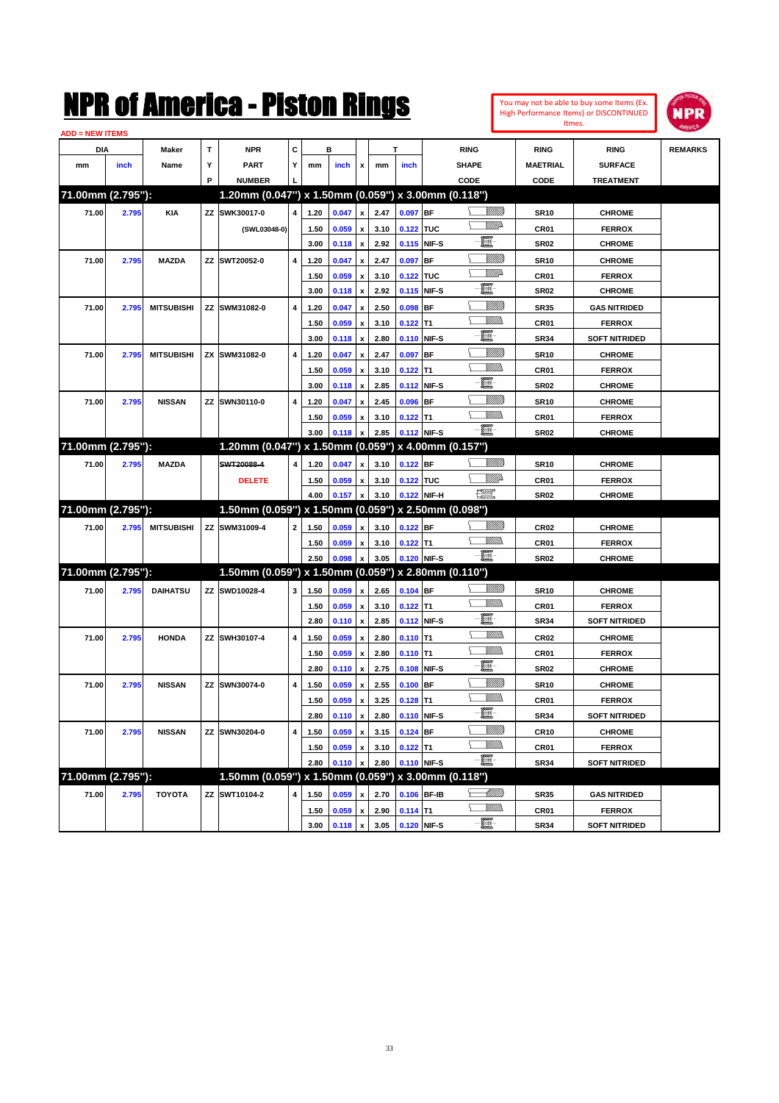| You may not be able to buy some Items (Ex. |
|--------------------------------------------|
| High Performance Items) or DISCONTINUED    |
| Itmes.                                     |



| <b>ADD = NEW ITEMS</b> |       |                   |    |                                                     |              |      |       |                           |      |             |             |                         |                  |                      |                |
|------------------------|-------|-------------------|----|-----------------------------------------------------|--------------|------|-------|---------------------------|------|-------------|-------------|-------------------------|------------------|----------------------|----------------|
| <b>DIA</b>             |       | <b>Maker</b>      | T  | <b>NPR</b>                                          | С            |      | в     |                           |      | т           |             | <b>RING</b>             | <b>RING</b>      | <b>RING</b>          | <b>REMARKS</b> |
| mm                     | inch  | Name              | Υ  | <b>PART</b>                                         | Y            | mm   | inch  | x                         | mm   | inch        |             | <b>SHAPE</b>            | <b>MAETRIAL</b>  | <b>SURFACE</b>       |                |
|                        |       |                   | P  | <b>NUMBER</b>                                       |              |      |       |                           |      |             |             | CODE                    | CODE             | <b>TREATMENT</b>     |                |
| 71.00mm (2.795"):      |       |                   |    | 1.20mm (0.047") x 1.50mm (0.059") x 3.00mm (0.118") |              |      |       |                           |      |             |             |                         |                  |                      |                |
| 71.00                  | 2.795 | <b>KIA</b>        |    | ZZ SWK30017-0                                       | 4            | 1.20 | 0.047 | $\pmb{\mathsf{x}}$        | 2.47 | 0.097 BF    |             | <u> UMB</u>             | <b>SR10</b>      | <b>CHROME</b>        |                |
|                        |       |                   |    | (SWL03048-0)                                        |              | 1.50 | 0.059 | x                         | 3.10 | 0.122 TUC   |             | <u>VMD</u>              | CR01             | <b>FERROX</b>        |                |
|                        |       |                   |    |                                                     |              | 3.00 | 0.118 | $\pmb{\mathsf{x}}$        | 2.92 |             | 0.115 NIF-S | e                       | <b>SR02</b>      | <b>CHROME</b>        |                |
| 71.00                  | 2.795 | <b>MAZDA</b>      |    | ZZ SWT20052-0                                       | 4            | 1.20 | 0.047 | x                         | 2.47 | 0.097 BF    |             | <u>Villitti</u>         | <b>SR10</b>      | <b>CHROME</b>        |                |
|                        |       |                   |    |                                                     |              | 1.50 | 0.059 | x                         | 3.10 | 0.122 TUC   |             | <u>VMD</u>              | CR <sub>01</sub> | <b>FERROX</b>        |                |
|                        |       |                   |    |                                                     |              | 3.00 | 0.118 | $\pmb{\mathsf{x}}$        | 2.92 |             | 0.115 NIF-S | e                       | <b>SR02</b>      | <b>CHROME</b>        |                |
| 71.00                  | 2.795 | <b>MITSUBISHI</b> |    | ZZ SWM31082-0                                       | 4            | 1.20 | 0.047 | x                         | 2.50 | $0.098$ BF  |             | <u>VIIII)</u>           | <b>SR35</b>      | <b>GAS NITRIDED</b>  |                |
|                        |       |                   |    |                                                     |              | 1.50 | 0.059 | x                         | 3.10 | $0.122$ T1  |             | .<br>VMD                | <b>CR01</b>      | <b>FERROX</b>        |                |
|                        |       |                   |    |                                                     |              | 3.00 | 0.118 | $\pmb{\mathsf{x}}$        | 2.80 |             | 0.110 NIF-S | E                       | <b>SR34</b>      | <b>SOFT NITRIDED</b> |                |
| 71.00                  | 2.795 | <b>MITSUBISHI</b> |    | ZX SWM31082-0                                       | 4            | 1.20 | 0.047 |                           | 2.47 | 0.097 BF    |             | <u>VIIII)</u>           | <b>SR10</b>      | <b>CHROME</b>        |                |
|                        |       |                   |    |                                                     |              | 1.50 | 0.059 | x                         | 3.10 | $0.122$ T1  |             | <br>Militar             | CR <sub>01</sub> | <b>FERROX</b>        |                |
|                        |       |                   |    |                                                     |              | 3.00 | 0.118 | $\pmb{\mathsf{x}}$        | 2.85 |             | 0.112 NIF-S | E                       | <b>SR02</b>      | <b>CHROME</b>        |                |
| 71.00                  | 2.795 | <b>NISSAN</b>     |    | ZZ SWN30110-0                                       | 4            | 1.20 | 0.047 |                           | 2.45 | $0.096$ BF  |             | <u>Sillilli</u>         | <b>SR10</b>      | <b>CHROME</b>        |                |
|                        |       |                   |    |                                                     |              | 1.50 | 0.059 | x                         | 3.10 | $0.122$ T1  |             | <br>Militar             | <b>CR01</b>      | <b>FERROX</b>        |                |
|                        |       |                   |    |                                                     |              | 3.00 | 0.118 |                           | 2.85 |             | 0.112 NIF-S | -日                      | <b>SR02</b>      | <b>CHROME</b>        |                |
| 71.00mm (2.795"):      |       |                   |    | 1.20mm (0.047") x 1.50mm (0.059") x 4.00mm (0.157") |              |      |       |                           |      |             |             |                         |                  |                      |                |
| 71.00                  | 2.795 | <b>MAZDA</b>      |    | SWT20088-4                                          | 4            | 1.20 | 0.047 | $\pmb{\mathsf{x}}$        | 3.10 | $0.122$ BF  |             | <u>VIIIIn</u>           | <b>SR10</b>      | <b>CHROME</b>        |                |
|                        |       |                   |    | <b>DELETE</b>                                       |              | 1.50 | 0.059 | x                         | 3.10 | 0.122 TUC   |             | <u>MM</u>               | CR01             | <b>FERROX</b>        |                |
|                        |       |                   |    |                                                     |              | 4.00 | 0.157 | x                         | 3.10 |             | 0.122 NIF-H | $f_{\rm max}^{\rm exp}$ | <b>SR02</b>      | <b>CHROME</b>        |                |
| 71.00mm (2.795"):      |       |                   |    | 1.50mm (0.059") x 1.50mm (0.059") x 2.50mm (0.098") |              |      |       |                           |      |             |             |                         |                  |                      |                |
| 71.00                  | 2.795 | <b>MITSUBISHI</b> |    | ZZ SWM31009-4                                       | $\mathbf{2}$ | 1.50 | 0.059 | x                         | 3.10 | 0.122 BF    |             | <u>Villida</u>          | <b>CR02</b>      | <b>CHROME</b>        |                |
|                        |       |                   |    |                                                     |              | 1.50 | 0.059 | x                         | 3.10 | $0.122$ T1  |             | <br>Militar             | <b>CR01</b>      | <b>FERROX</b>        |                |
|                        |       |                   |    |                                                     |              | 2.50 | 0.098 |                           | 3.05 |             | 0.120 NIF-S | -日                      | SR02             | <b>CHROME</b>        |                |
| 71.00mm (2.795"):      |       |                   |    | 1.50mm (0.059") x 1.50mm (0.059") x 2.80mm (0.110") |              |      |       |                           |      |             |             |                         |                  |                      |                |
| 71.00                  | 2.795 | <b>DAIHATSU</b>   |    | ZZ SWD10028-4                                       | 3            | 1.50 | 0.059 | $\pmb{\mathsf{x}}$        | 2.65 | $0.104$ BF  |             | <u>Villida</u>          | <b>SR10</b>      | <b>CHROME</b>        |                |
|                        |       |                   |    |                                                     |              | 1.50 | 0.059 | $\boldsymbol{\mathsf{x}}$ | 3.10 | $0.122$ T1  |             | VM))                    | <b>CR01</b>      | <b>FERROX</b>        |                |
|                        |       |                   |    |                                                     |              | 2.80 | 0.110 | $\pmb{\mathsf{x}}$        | 2.85 |             | 0.112 NIF-S | e                       | <b>SR34</b>      | <b>SOFT NITRIDED</b> |                |
| 71.00                  | 2.795 | <b>HONDA</b>      |    | ZZ SWH30107-4                                       | 4            | 1.50 | 0.059 | x                         | 2.80 | $0.110$ T1  |             | UM)                     | CR <sub>02</sub> | <b>CHROME</b>        |                |
|                        |       |                   |    |                                                     |              | 1.50 | 0.059 | x                         | 2.80 | $0.110$ T1  |             | <br>Militar             | <b>CR01</b>      | <b>FERROX</b>        |                |
|                        |       |                   |    |                                                     |              | 2.80 | 0.110 | $\pmb{\mathsf{x}}$        | 2.75 |             | 0.108 NIF-S | -ei                     | <b>SR02</b>      | <b>CHROME</b>        |                |
| 71.00                  | 2.795 | <b>NISSAN</b>     |    | ZZ SWN30074-0                                       | 4            | 1.50 | 0.059 |                           | 2.55 | $0.100$ BF  |             | <u>VIIII)</u>           | <b>SR10</b>      | <b>CHROME</b>        |                |
|                        |       |                   |    |                                                     |              | 1.50 | 0.059 | x                         | 3.25 | $0.128$ T1  |             |                         | CR01             | <b>FERROX</b>        |                |
|                        |       |                   |    |                                                     |              | 2.80 | 0.110 | $\pmb{\mathsf{x}}$        | 2.80 | 0.110 NIF-S |             | - 1                     | SR34             | <b>SOFT NITRIDED</b> |                |
| 71.00                  | 2.795 | <b>NISSAN</b>     | ΖZ | SWN30204-0                                          | 4            | 1.50 | 0.059 | $\pmb{\mathsf{x}}$        | 3.15 | $0.124$ BF  |             | <u>VIIII)</u>           | <b>CR10</b>      | <b>CHROME</b>        |                |
|                        |       |                   |    |                                                     |              | 1.50 | 0.059 | x                         | 3.10 | $0.122$ T1  |             | <u>MMs</u>              | CR01             | <b>FERROX</b>        |                |
|                        |       |                   |    |                                                     |              | 2.80 | 0.110 |                           | 2.80 |             | 0.110 NIF-S | $-\blacksquare$         | SR34             | <b>SOFT NITRIDED</b> |                |
| 71.00mm (2.795"):      |       |                   |    | 1.50mm (0.059") x 1.50mm (0.059") x 3.00mm (0.118") |              |      |       |                           |      |             |             |                         |                  |                      |                |
| 71.00                  | 2.795 | <b>TOYOTA</b>     |    | ZZ SWT10104-2                                       | 4            | 1.50 | 0.059 | x                         | 2.70 |             | 0.106 BF-IB | <u>- MMB</u>            | SR35             | <b>GAS NITRIDED</b>  |                |
|                        |       |                   |    |                                                     |              | 1.50 | 0.059 | $\pmb{\mathsf{x}}$        | 2.90 | $0.114$ T1  |             | <u>MM)</u>              | CR01             | <b>FERROX</b>        |                |
|                        |       |                   |    |                                                     |              | 3.00 | 0.118 | $\pmb{\mathsf{x}}$        | 3.05 | 0.120 NIF-S |             |                         | SR34             | <b>SOFT NITRIDED</b> |                |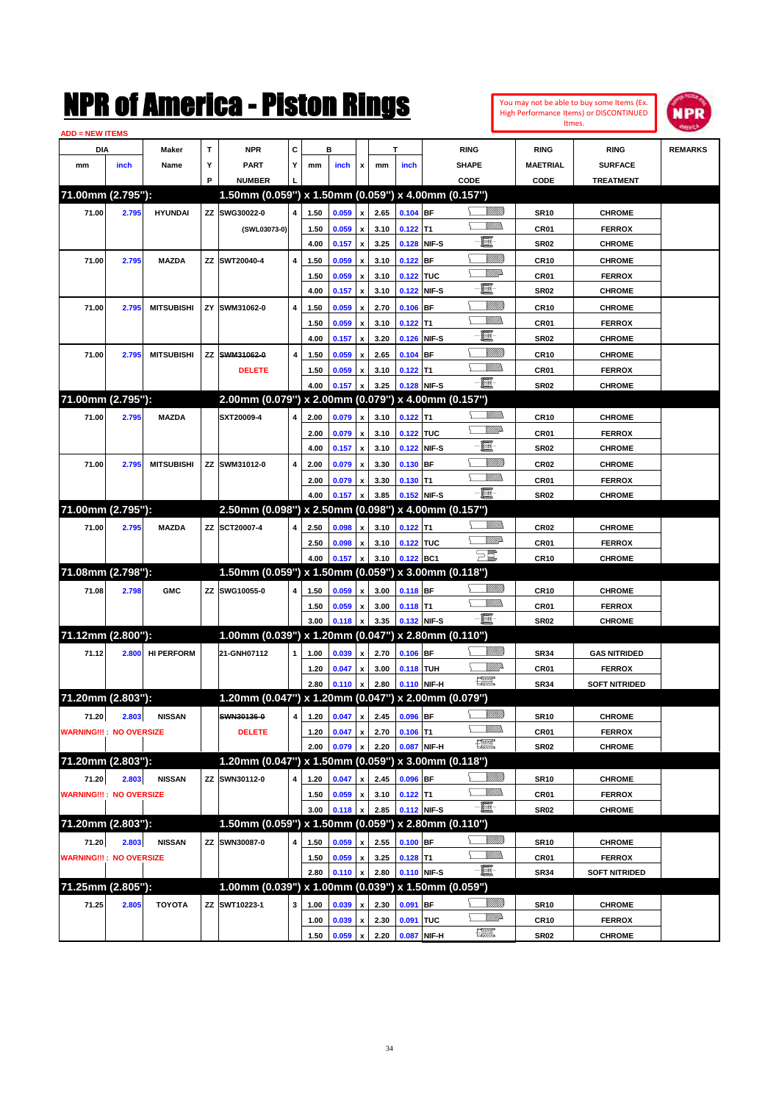**71.00mm (2.795''): 1.50mm (0.059'') x 1.50mm (0.059'') x 4.00mm (0.157'')**

**71.00mm (2.795''): 2.00mm (0.079'') x 2.00mm (0.079'') x 4.00mm (0.157'')**

**71.00mm (2.795''): 2.50mm (0.098'') x 2.50mm (0.098'') x 4.00mm (0.157'')**

**71.08mm (2.798''): 1.50mm (0.059'') x 1.50mm (0.059'') x 3.00mm (0.118'')**

**71.12mm (2.800''): 1.00mm (0.039") x 1.20mm (0.047") x 2.80mm (0.110")**

**71.20mm (2.803''): 1.20mm (0.047'') x 1.20mm (0.047'') x 2.00mm (0.079'')**

| ADD = NEW ITEMS                |       |                   |   |                                                     |                         |      |       |                    |      |             |           |                    |                 |                      |                |
|--------------------------------|-------|-------------------|---|-----------------------------------------------------|-------------------------|------|-------|--------------------|------|-------------|-----------|--------------------|-----------------|----------------------|----------------|
| DIA                            |       | <b>Maker</b>      | т | <b>NPR</b>                                          | С                       |      | в     |                    |      | т           |           | <b>RING</b>        | <b>RING</b>     | <b>RING</b>          | <b>REMARKS</b> |
| mm                             | inch  | Name              | Υ | <b>PART</b>                                         | Y                       | mm   | inch  | x                  | mm   | inch        |           | <b>SHAPE</b>       | <b>MAETRIAL</b> | <b>SURFACE</b>       |                |
|                                |       |                   | P | <b>NUMBER</b>                                       |                         |      |       |                    |      |             |           | CODE               | CODE            | <b>TREATMENT</b>     |                |
| 71.00mm (2.795"):              |       |                   |   | 1.50mm (0.059") x 1.50mm (0.059") x 4.00mm (0.157") |                         |      |       |                    |      |             |           |                    |                 |                      |                |
| 71.00                          | 2.795 | <b>HYUNDAI</b>    |   | ZZ SWG30022-0                                       | 4                       | 1.50 | 0.059 | $\mathbf{x}$       | 2.65 | $0.104$ BF  |           | <u>Villida</u>     | <b>SR10</b>     | <b>CHROME</b>        |                |
|                                |       |                   |   | (SWL03073-0)                                        |                         | 1.50 | 0.059 | $\pmb{\mathsf{x}}$ | 3.10 | $0.122$ T1  |           | <u>MMD</u>         | CR01            | <b>FERROX</b>        |                |
|                                |       |                   |   |                                                     |                         | 4.00 | 0.157 | $\pmb{\mathsf{x}}$ | 3.25 | 0.128 NIF-S |           | $\blacksquare$     | <b>SR02</b>     | <b>CHROME</b>        |                |
| 71.00                          | 2.795 | <b>MAZDA</b>      |   | ZZ SWT20040-4                                       | 4                       | 1.50 | 0.059 |                    | 3.10 | 0.122       | <b>BF</b> | VMM)               | <b>CR10</b>     | <b>CHROME</b>        |                |
|                                |       |                   |   |                                                     |                         | 1.50 | 0.059 | x                  | 3.10 | 0.122 TUC   |           | <u>VM</u> A        | CR01            | <b>FERROX</b>        |                |
|                                |       |                   |   |                                                     |                         | 4.00 | 0.157 | $\boldsymbol{x}$   | 3.10 | 0.122 NIF-S |           | E                  | <b>SR02</b>     | <b>CHROME</b>        |                |
| 71.00                          | 2.795 | <b>MITSUBISHI</b> |   | ZY SWM31062-0                                       | 4                       | 1.50 | 0.059 | x                  | 2.70 | $0.106$ BF  |           | <u>Villida</u>     | <b>CR10</b>     | <b>CHROME</b>        |                |
|                                |       |                   |   |                                                     |                         | 1.50 | 0.059 |                    | 3.10 | $0.122$ T1  |           | <u>MMS</u>         | CR01            | <b>FERROX</b>        |                |
|                                |       |                   |   |                                                     |                         | 4.00 | 0.157 | $\mathbf{x}$       | 3.20 | 0.126 NIF-S |           | E                  | <b>SR02</b>     | <b>CHROME</b>        |                |
| 71.00                          | 2.795 | <b>MITSUBISHI</b> |   | ZZ SWM31062-0                                       | 4                       | 1.50 | 0.059 | $\mathbf{x}$       | 2.65 | $0.104$ BF  |           | <u>VIIII)</u>      | <b>CR10</b>     | <b>CHROME</b>        |                |
|                                |       |                   |   | <b>DELETE</b>                                       |                         | 1.50 | 0.059 | $\boldsymbol{x}$   | 3.10 | $0.122$ T1  |           | <u>MMD</u>         | CR01            | <b>FERROX</b>        |                |
|                                |       |                   |   |                                                     |                         | 4.00 | 0.157 | $\pmb{\mathsf{x}}$ | 3.25 | 0.128 NIF-S |           | E                  | <b>SR02</b>     | <b>CHROME</b>        |                |
| 71.00mm (2.795"):              |       |                   |   | 2.00mm (0.079") x 2.00mm (0.079") x 4.00mm (0.157") |                         |      |       |                    |      |             |           |                    |                 |                      |                |
| 71.00                          | 2.795 | <b>MAZDA</b>      |   | SXT20009-4                                          | 4                       | 2.00 | 0.079 | $\mathbf{x}$       | 3.10 | $0.122$ T1  |           | VM))               | <b>CR10</b>     | <b>CHROME</b>        |                |
|                                |       |                   |   |                                                     |                         | 2.00 | 0.079 | $\pmb{\mathsf{x}}$ | 3.10 | 0.122 TUC   |           | <b>W///2</b>       | <b>CR01</b>     | <b>FERROX</b>        |                |
|                                |       |                   |   |                                                     |                         | 4.00 | 0.157 | $\mathbf{x}$       | 3.10 | 0.122       | NIF-S     | E                  | <b>SR02</b>     | <b>CHROME</b>        |                |
| 71.00                          | 2.795 | <b>MITSUBISHI</b> |   | ZZ SWM31012-0                                       | 4                       | 2.00 | 0.079 | $\pmb{\mathsf{x}}$ | 3.30 | $0.130$ BF  |           | <u>Villitti</u>    | <b>CR02</b>     | <b>CHROME</b>        |                |
|                                |       |                   |   |                                                     |                         | 2.00 | 0.079 | $\pmb{\mathsf{x}}$ | 3.30 | $0.130$ T1  |           | VM)                | CR01            | <b>FERROX</b>        |                |
|                                |       |                   |   |                                                     |                         | 4.00 | 0.157 | $\mathbf{x}$       | 3.85 | 0.152 NIF-S |           | $-\Xi$             | <b>SR02</b>     | <b>CHROME</b>        |                |
| 71.00mm (2.795"):              |       |                   |   | 2.50mm (0.098") x 2.50mm (0.098") x 4.00mm (0.157") |                         |      |       |                    |      |             |           |                    |                 |                      |                |
| 71.00                          | 2.795 | <b>MAZDA</b>      |   | ZZ SCT20007-4                                       | $\overline{\mathbf{4}}$ | 2.50 | 0.098 | x                  | 3.10 | $0.122$ T1  |           | VM).               | <b>CR02</b>     | <b>CHROME</b>        |                |
|                                |       |                   |   |                                                     |                         | 2.50 | 0.098 | x                  | 3.10 | 0.122 TUC   |           | WMD-               | <b>CR01</b>     | <b>FERROX</b>        |                |
|                                |       |                   |   |                                                     |                         | 4.00 | 0.157 |                    | 3.10 | 0.122 BC1   |           | $\Xi^{\text{max}}$ | <b>CR10</b>     | <b>CHROME</b>        |                |
| 71.08mm (2.798"):              |       |                   |   | 1.50mm (0.059") x 1.50mm (0.059") x 3.00mm (0.118") |                         |      |       |                    |      |             |           |                    |                 |                      |                |
| 71.08                          | 2.798 | <b>GMC</b>        |   | ZZ SWG10055-0                                       | 4                       | 1.50 | 0.059 |                    | 3.00 | 0.118 BF    |           | VIIII)             | <b>CR10</b>     | <b>CHROME</b>        |                |
|                                |       |                   |   |                                                     |                         | 1.50 | 0.059 | $\pmb{\mathsf{x}}$ | 3.00 | $0.118$ T1  |           | .<br>VMD           | CR01            | <b>FERROX</b>        |                |
|                                |       |                   |   |                                                     |                         | 3.00 | 0.118 |                    | 3.35 | 0.132 NIF-S |           | - 8                | <b>SR02</b>     | <b>CHROME</b>        |                |
| 71.12mm (2.800"):              |       |                   |   | 1.00mm (0.039") x 1.20mm (0.047") x 2.80mm (0.110") |                         |      |       |                    |      |             |           |                    |                 |                      |                |
| 71.12                          | 2.800 | <b>HI PERFORM</b> |   | 21-GNH07112                                         | 1                       | 1.00 | 0.039 |                    | 2.70 | $0.106$ BF  |           |                    | <b>SR34</b>     | <b>GAS NITRIDED</b>  |                |
|                                |       |                   |   |                                                     |                         | 1.20 | 0.047 | x                  | 3.00 | 0.118 TUH   |           | MMP                | CR01            | <b>FERROX</b>        |                |
|                                |       |                   |   |                                                     |                         | 2.80 | 0.110 |                    | 2.80 | 0.110 NIF-H |           | œ                  | <b>SR34</b>     | <b>SOFT NITRIDED</b> |                |
| 71.20mm (2.803"):              |       |                   |   | 1.20mm (0.047") x 1.20mm (0.047") x 2.00mm (0.079") |                         |      |       |                    |      |             |           |                    |                 |                      |                |
| 71.20                          | 2.803 | <b>NISSAN</b>     |   | SWN30136-0                                          | 4                       | 1.20 | 0.047 |                    | 2.45 | 0.096 BF    |           | VIIII)             | <b>SR10</b>     | <b>CHROME</b>        |                |
| <b>WARNING!!!: NO OVERSIZE</b> |       |                   |   | <b>DELETE</b>                                       |                         | 1.20 | 0.047 | $\pmb{\mathsf{x}}$ | 2.70 | $0.106$ T1  |           | .<br>VMD<br>Σ      | CR01            | <b>FERROX</b>        |                |
|                                |       |                   |   |                                                     |                         | 2.00 | 0.079 | $\boldsymbol{x}$   | 2.20 | 0.087 NIF-H |           | 矘                  | <b>SR02</b>     | <b>CHROME</b>        |                |
| 71.20mm (2.803"):              |       |                   |   | 1.20mm (0.047") x 1.50mm (0.059") x 3.00mm (0.118") |                         |      |       |                    |      |             |           |                    |                 |                      |                |
| 71.20                          | 2.803 | <b>NISSAN</b>     |   | ZZ SWN30112-0                                       | 4                       | 1.20 | 0.047 |                    | 2.45 | 0.096 BF    |           | <u>VIIII)</u>      | <b>SR10</b>     | <b>CHROME</b>        |                |
| <b>WARNING!!!: NO OVERSIZE</b> |       |                   |   |                                                     |                         |      | 0.059 |                    |      |             |           | <u>Willis</u><br>ℂ | CR01            |                      |                |
|                                |       |                   |   |                                                     |                         | 1.50 |       | $\pmb{\mathsf{x}}$ | 3.10 | $0.122$ T1  |           |                    |                 | <b>FERROX</b>        |                |

You may not be able to buy some Items (Ex. High Performance Items) or DISCONTINUED Itmes.

**NPR** 

| 1.2011111 (2.000)              |       |               | 1.2011.111 (0.0.1 $\lambda$ 1.3011.111 (0.033) A 3.001.1111 (0.110) |   |      |                |      |                  |               |                  |                      |  |
|--------------------------------|-------|---------------|---------------------------------------------------------------------|---|------|----------------|------|------------------|---------------|------------------|----------------------|--|
| 71.20                          | 2.803 | <b>NISSAN</b> | ZZ SWN30112-0                                                       | 4 | 1.20 | $0.047 \times$ | 2.45 | $0.096$ BF       | <br>Villida   | <b>SR10</b>      | <b>CHROME</b>        |  |
| <b>WARNING!!!: NO OVERSIZE</b> |       |               |                                                                     |   | 1.50 | 0.059 x        |      | $3.10$ 0.122 T1  | <u>Willis</u> | CR <sub>01</sub> | <b>FERROX</b>        |  |
|                                |       |               |                                                                     |   | 3.00 | $0.118 \times$ |      | 2.85 0.112 NIF-S | - 8           | SR02             | <b>CHROME</b>        |  |
| 71.20mm (2.803"):              |       |               | 1.50mm (0.059") x 1.50mm (0.059") x 2.80mm (0.110")                 |   |      |                |      |                  |               |                  |                      |  |
| 71.20                          | 2.803 | <b>NISSAN</b> | <b>ZZ SWN30087-0</b>                                                | 4 | 1.50 | 0.059 x        |      | 2.55 0.100 BF    | WMW 18        | <b>SR10</b>      | <b>CHROME</b>        |  |
| <b>WARNING!!!: NO OVERSIZE</b> |       |               |                                                                     |   | 1.50 | 0.059 x        |      | 3.25 0.128 T1    | <u>Willis</u> | CR <sub>01</sub> | <b>FERROX</b>        |  |
|                                |       |               |                                                                     |   | 2.80 | $0.110 \times$ |      | 2.80 0.110 NIF-S | -8            | <b>SR34</b>      | <b>SOFT NITRIDED</b> |  |
| 71.25mm (2.805"):              |       |               | 1.00mm (0.039") x 1.00mm (0.039") x 1.50mm (0.059")                 |   |      |                |      |                  |               |                  |                      |  |
| 71.25                          | 2.805 | <b>TOYOTA</b> | ZZ SWT10223-1                                                       | 3 | 1.00 | 0.039 x        |      | $2.30$ 0.091 BF  | VIIII))       | <b>SR10</b>      | <b>CHROME</b>        |  |
|                                |       |               |                                                                     |   | 1.00 | $0.039 \times$ |      | 2.30 0.091 TUC   | <u>WW</u> A   | CR <sub>10</sub> | <b>FERROX</b>        |  |
|                                |       |               |                                                                     |   | 1.50 | 0.059 x        | 2.20 | $0.087$ NIF-H    | 環             | SR02             | <b>CHROME</b>        |  |

34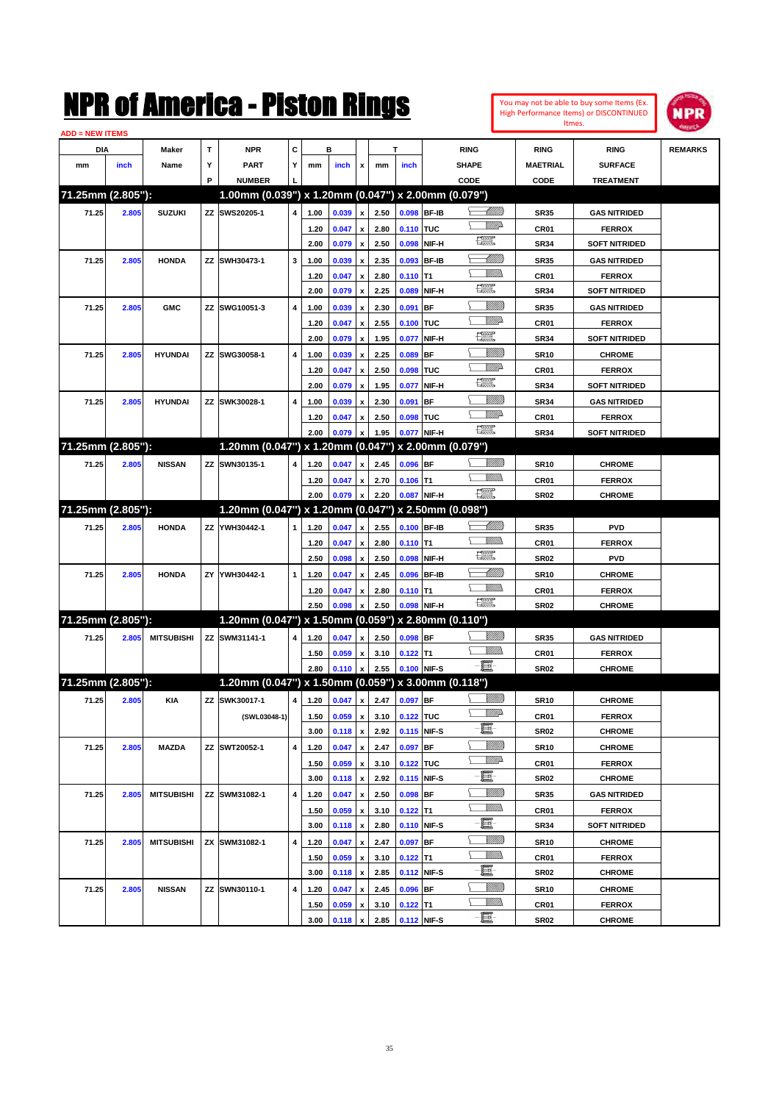

| <b>ADD = NEW ITEMS</b> |       |                   |    |                                                     |   |      |                     |                           |      |                |             |                                                                                                                                                                                                                                                                                                                                                                                             |                 |                      |                |
|------------------------|-------|-------------------|----|-----------------------------------------------------|---|------|---------------------|---------------------------|------|----------------|-------------|---------------------------------------------------------------------------------------------------------------------------------------------------------------------------------------------------------------------------------------------------------------------------------------------------------------------------------------------------------------------------------------------|-----------------|----------------------|----------------|
| DIA                    |       | Maker             | т  | <b>NPR</b>                                          | С |      | в                   |                           |      | T              |             | <b>RING</b>                                                                                                                                                                                                                                                                                                                                                                                 | <b>RING</b>     | <b>RING</b>          | <b>REMARKS</b> |
| mm                     | inch  | Name              | Υ  | <b>PART</b>                                         | Y | mm   | inch                | x                         | mm   | inch           |             | <b>SHAPE</b>                                                                                                                                                                                                                                                                                                                                                                                | <b>MAETRIAL</b> | <b>SURFACE</b>       |                |
|                        |       |                   | P  | <b>NUMBER</b>                                       |   |      |                     |                           |      |                |             | CODE                                                                                                                                                                                                                                                                                                                                                                                        | CODE            | <b>TREATMENT</b>     |                |
| 71.25mm (2.805"):      |       |                   |    | 1.00mm (0.039") x 1.20mm (0.047") x 2.00mm (0.079") |   |      |                     |                           |      |                |             |                                                                                                                                                                                                                                                                                                                                                                                             |                 |                      |                |
| 71.25                  | 2.805 | <b>SUZUKI</b>     |    | ZZ SWS20205-1                                       | 4 | 1.00 | 0.039               | $\pmb{\mathsf{x}}$        | 2.50 |                | 0.098 BF-IB | <u> Millitto</u>                                                                                                                                                                                                                                                                                                                                                                            | <b>SR35</b>     | <b>GAS NITRIDED</b>  |                |
|                        |       |                   |    |                                                     |   | 1.20 | 0.047               | $\pmb{\mathsf{x}}$        | 2.80 | 0.110 TUC      |             | <u>MMP</u>                                                                                                                                                                                                                                                                                                                                                                                  | CR01            | <b>FERROX</b>        |                |
|                        |       |                   |    |                                                     |   | 2.00 | 0.079               | $\pmb{\mathsf{x}}$        | 2.50 |                | 0.098 NIF-H | H                                                                                                                                                                                                                                                                                                                                                                                           | <b>SR34</b>     | <b>SOFT NITRIDED</b> |                |
| 71.25                  | 2.805 | <b>HONDA</b>      |    | ZZ SWH30473-1                                       | 3 | 1.00 | 0.039               | x                         | 2.35 |                | 0.093 BF-IB | <u> Millilli</u>                                                                                                                                                                                                                                                                                                                                                                            | <b>SR35</b>     | <b>GAS NITRIDED</b>  |                |
|                        |       |                   |    |                                                     |   | 1.20 | 0.047               | x                         | 2.80 | $0.110$ T1     |             | <br>Mad                                                                                                                                                                                                                                                                                                                                                                                     | CR01            | <b>FERROX</b>        |                |
|                        |       |                   |    |                                                     |   | 2.00 | 0.079               | $\pmb{\mathsf{x}}$        | 2.25 | 0.089          | NIF-H       | H                                                                                                                                                                                                                                                                                                                                                                                           | <b>SR34</b>     | <b>SOFT NITRIDED</b> |                |
| 71.25                  | 2.805 | <b>GMC</b>        |    | ZZ SWG10051-3                                       | 4 | 1.00 | 0.039               | x                         | 2.30 | 0.091          | <b>BF</b>   | <u>Sillilli</u>                                                                                                                                                                                                                                                                                                                                                                             | <b>SR35</b>     | <b>GAS NITRIDED</b>  |                |
|                        |       |                   |    |                                                     |   | 1.20 | 0.047               | x                         | 2.55 | 0.100 TUC      |             | <u>MMP</u>                                                                                                                                                                                                                                                                                                                                                                                  | CR01            | <b>FERROX</b>        |                |
|                        |       |                   |    |                                                     |   | 2.00 | 0.079               | x                         | 1.95 | 0.077          | NIF-H       | 環                                                                                                                                                                                                                                                                                                                                                                                           | <b>SR34</b>     | <b>SOFT NITRIDED</b> |                |
| 71.25                  | 2.805 | <b>HYUNDAI</b>    |    | ZZ SWG30058-1                                       | 4 | 1.00 | 0.039               | x                         | 2.25 | 0.089          | <b>BF</b>   | <u>VIIII)</u>                                                                                                                                                                                                                                                                                                                                                                               | <b>SR10</b>     | <b>CHROME</b>        |                |
|                        |       |                   |    |                                                     |   | 1.20 | 0.047               | x                         | 2.50 | 0.098 TUC      |             | <u>VMD</u>                                                                                                                                                                                                                                                                                                                                                                                  | CR01            | <b>FERROX</b>        |                |
|                        |       |                   |    |                                                     |   | 2.00 | 0.079               | x                         | 1.95 | 0.077          | NIF-H       | H                                                                                                                                                                                                                                                                                                                                                                                           | <b>SR34</b>     | <b>SOFT NITRIDED</b> |                |
| 71.25                  | 2.805 | <b>HYUNDAI</b>    |    | ZZ SWK30028-1                                       | 4 | 1.00 | 0.039               | x                         | 2.30 | 0.091          | <b>BF</b>   | <u>Sillilli</u>                                                                                                                                                                                                                                                                                                                                                                             | <b>SR34</b>     | <b>GAS NITRIDED</b>  |                |
|                        |       |                   |    |                                                     |   | 1.20 | 0.047               | x                         | 2.50 | 0.098 TUC      |             | <u>VMD</u>                                                                                                                                                                                                                                                                                                                                                                                  | CR01            | <b>FERROX</b>        |                |
|                        |       |                   |    |                                                     |   | 2.00 | 0.079               | x                         | 1.95 |                | 0.077 NIF-H | <b>The Control</b>                                                                                                                                                                                                                                                                                                                                                                          | <b>SR34</b>     | <b>SOFT NITRIDED</b> |                |
| 71.25mm (2.805"):      |       |                   |    | 1.20mm (0.047") x 1.20mm (0.047") x 2.00mm (0.079") |   |      |                     |                           |      |                |             |                                                                                                                                                                                                                                                                                                                                                                                             |                 |                      |                |
| 71.25                  | 2.805 | <b>NISSAN</b>     |    | ZZ SWN30135-1                                       | 4 | 1.20 | 0.047               | x                         | 2.45 | $0.096$ BF     |             | <u>Sillilli</u>                                                                                                                                                                                                                                                                                                                                                                             | <b>SR10</b>     | <b>CHROME</b>        |                |
|                        |       |                   |    |                                                     |   | 1.20 | 0.047               |                           | 2.70 | $0.106$ T1     |             |                                                                                                                                                                                                                                                                                                                                                                                             | CR01            | <b>FERROX</b>        |                |
|                        |       |                   |    |                                                     |   | 2.00 | 0.079               | x<br>$\pmb{\mathsf{x}}$   | 2.20 |                | 0.087 NIF-H | $\begin{picture}(20,20) \put(0,0){\dashbox{0.5}(20,0){ }} \put(15,0){\circle{10}} \put(25,0){\circle{10}} \put(25,0){\circle{10}} \put(25,0){\circle{10}} \put(25,0){\circle{10}} \put(25,0){\circle{10}} \put(25,0){\circle{10}} \put(25,0){\circle{10}} \put(25,0){\circle{10}} \put(25,0){\circle{10}} \put(25,0){\circle{10}} \put(25,0){\circle{10}} \put(25,0){\circle{10}} \put(25,$ | <b>SR02</b>     | <b>CHROME</b>        |                |
| 71.25mm (2.805"):      |       |                   |    | 1.20mm (0.047") x 1.20mm (0.047") x 2.50mm (0.098") |   |      |                     |                           |      |                |             |                                                                                                                                                                                                                                                                                                                                                                                             |                 |                      |                |
|                        |       |                   |    |                                                     |   |      |                     |                           |      |                |             | <u> Millito</u>                                                                                                                                                                                                                                                                                                                                                                             |                 |                      |                |
| 71.25                  | 2.805 | <b>HONDA</b>      |    | ZZ YWH30442-1                                       | 1 | 1.20 | 0.047               | x                         | 2.55 |                | 0.100 BF-IB | GMM)                                                                                                                                                                                                                                                                                                                                                                                        | <b>SR35</b>     | <b>PVD</b>           |                |
|                        |       |                   |    |                                                     |   | 1.20 | 0.047               | $\pmb{\mathsf{x}}$        | 2.80 | $0.110$ T1     | NIF-H       | <b>The Control</b>                                                                                                                                                                                                                                                                                                                                                                          | CR01            | <b>FERROX</b>        |                |
|                        |       |                   |    |                                                     |   | 2.50 | 0.098               | $\boldsymbol{\mathsf{x}}$ | 2.50 | 0.098          |             | <u>UMB</u>                                                                                                                                                                                                                                                                                                                                                                                  | <b>SR02</b>     | <b>PVD</b>           |                |
| 71.25                  | 2.805 | <b>HONDA</b>      | ΖY | YWH30442-1                                          | 1 | 1.20 | 0.047               | x                         | 2.45 |                | 0.096 BF-IB | <br>Militar                                                                                                                                                                                                                                                                                                                                                                                 | <b>SR10</b>     | <b>CHROME</b>        |                |
|                        |       |                   |    |                                                     |   | 1.20 | 0.047               | x                         | 2.80 | $0.110$ T1     |             | $\begin{picture}(20,20) \put(0,0){\dashbox{0.5}(20,0){ }} \put(15,0){\circle{10}} \put(25,0){\circle{10}} \put(25,0){\circle{10}} \put(25,0){\circle{10}} \put(25,0){\circle{10}} \put(25,0){\circle{10}} \put(25,0){\circle{10}} \put(25,0){\circle{10}} \put(25,0){\circle{10}} \put(25,0){\circle{10}} \put(25,0){\circle{10}} \put(25,0){\circle{10}} \put(25,0){\circle{10}} \put(25,$ | CR01            | <b>FERROX</b>        |                |
| 71.25mm (2.805"):      |       |                   |    | 1.20mm (0.047") x 1.50mm (0.059") x 2.80mm (0.110") |   | 2.50 | 0.098               | x                         | 2.50 |                | 0.098 NIF-H |                                                                                                                                                                                                                                                                                                                                                                                             | <b>SR02</b>     | <b>CHROME</b>        |                |
|                        |       |                   |    |                                                     |   |      |                     |                           |      |                |             | <u>VIIII)</u>                                                                                                                                                                                                                                                                                                                                                                               |                 |                      |                |
| 71.25                  | 2.805 | <b>MITSUBISHI</b> |    | ZZ SWM31141-1                                       | 4 | 1.20 | 0.047               | x                         | 2.50 | $0.098$ BF     |             | UM)                                                                                                                                                                                                                                                                                                                                                                                         | <b>SR35</b>     | <b>GAS NITRIDED</b>  |                |
|                        |       |                   |    |                                                     |   | 1.50 | 0.059               | x                         | 3.10 | $0.122$ T1     |             | -8                                                                                                                                                                                                                                                                                                                                                                                          | CR01            | <b>FERROX</b>        |                |
|                        |       |                   |    |                                                     |   | 2.80 | 0.110               | $\pmb{\mathsf{x}}$        | 2.55 | 0.100 NIF-S    |             |                                                                                                                                                                                                                                                                                                                                                                                             | <b>SR02</b>     | <b>CHROME</b>        |                |
| 71.25mm (2.805"):      |       |                   |    | 1.20mm (0.047") x 1.50mm (0.059") x 3.00mm (0.118") |   |      |                     |                           |      |                |             |                                                                                                                                                                                                                                                                                                                                                                                             |                 |                      |                |
| 71.25                  | 2.805 | KIA               |    | ZZ SWK30017-1                                       | 4 | 1.20 | 0.047               | $\pmb{\mathsf{x}}$        | 2.47 | 0.097 BF       |             | <u>Sillilli</u>                                                                                                                                                                                                                                                                                                                                                                             | <b>SR10</b>     | <b>CHROME</b>        |                |
|                        |       |                   |    | (SWL03048-1)                                        |   | 1.50 | $0.059 \mid x \mid$ |                           |      | 3.10 0.122 TUC |             | <u>VMD</u>                                                                                                                                                                                                                                                                                                                                                                                  | CR01            | <b>FERROX</b>        |                |
|                        |       |                   |    |                                                     |   | 3.00 | 0.118               | $\pmb{\mathsf{x}}$        | 2.92 |                | 0.115 NIF-S | e.                                                                                                                                                                                                                                                                                                                                                                                          | SR02            | <b>CHROME</b>        |                |
| 71.25                  | 2.805 | MAZDA             |    | ZZ SWT20052-1                                       | 4 | 1.20 | 0.047               | x                         | 2.47 | 0.097 BF       |             | <u>Milli</u>                                                                                                                                                                                                                                                                                                                                                                                | <b>SR10</b>     | <b>CHROME</b>        |                |
|                        |       |                   |    |                                                     |   | 1.50 | 0.059               | $\pmb{\mathsf{x}}$        | 3.10 | 0.122 TUC      |             | <u>WW</u> A                                                                                                                                                                                                                                                                                                                                                                                 | CR01            | <b>FERROX</b>        |                |
|                        |       |                   |    |                                                     |   | 3.00 | 0.118               | $\pmb{\mathsf{x}}$        | 2.92 |                | 0.115 NIF-S | E.                                                                                                                                                                                                                                                                                                                                                                                          | SR02            | <b>CHROME</b>        |                |
| 71.25                  | 2.805 | <b>MITSUBISHI</b> |    | ZZ SWM31082-1                                       | 4 | 1.20 | 0.047               | $\pmb{\mathsf{x}}$        | 2.50 | $0.098$ BF     |             | <u>Millit</u>                                                                                                                                                                                                                                                                                                                                                                               | SR35            | GAS NITRIDED         |                |
|                        |       |                   |    |                                                     |   | 1.50 | 0.059               | x                         | 3.10 | $0.122$ T1     |             | <u>MMW</u>                                                                                                                                                                                                                                                                                                                                                                                  | CR01            | <b>FERROX</b>        |                |
|                        |       |                   |    |                                                     |   | 3.00 | 0.118               | $\pmb{\mathsf{x}}$        | 2.80 |                | 0.110 NIF-S | e.                                                                                                                                                                                                                                                                                                                                                                                          | SR34            | <b>SOFT NITRIDED</b> |                |
| 71.25                  | 2.805 | <b>MITSUBISHI</b> |    | ZX SWM31082-1                                       | 4 | 1.20 | 0.047               | x                         | 2.47 | $0.097$ BF     |             | <u>Millit</u>                                                                                                                                                                                                                                                                                                                                                                               | <b>SR10</b>     | <b>CHROME</b>        |                |
|                        |       |                   |    |                                                     |   | 1.50 | 0.059               | x                         | 3.10 | $0.122$ T1     |             | <u>MM)</u>                                                                                                                                                                                                                                                                                                                                                                                  | CR01            | <b>FERROX</b>        |                |
|                        |       |                   |    |                                                     |   | 3.00 | 0.118               | $\pmb{\mathsf{x}}$        | 2.85 |                | 0.112 NIF-S | e.                                                                                                                                                                                                                                                                                                                                                                                          | SR02            | <b>CHROME</b>        |                |
| 71.25                  | 2.805 | <b>NISSAN</b>     |    | ZZ SWN30110-1                                       | 4 | 1.20 | 0.047               | x                         | 2.45 | 0.096 BF       |             | <u>Millit</u>                                                                                                                                                                                                                                                                                                                                                                               | SR10            | <b>CHROME</b>        |                |
|                        |       |                   |    |                                                     |   | 1.50 | 0.059               | x                         | 3.10 | $0.122$ T1     |             | <u>VMM)</u>                                                                                                                                                                                                                                                                                                                                                                                 | CR01            | <b>FERROX</b>        |                |
|                        |       |                   |    |                                                     |   | 3.00 | 0.118               | $\pmb{\mathsf{x}}$        | 2.85 | 0.112 NIF-S    |             | -0                                                                                                                                                                                                                                                                                                                                                                                          | SR02            | <b>CHROME</b>        |                |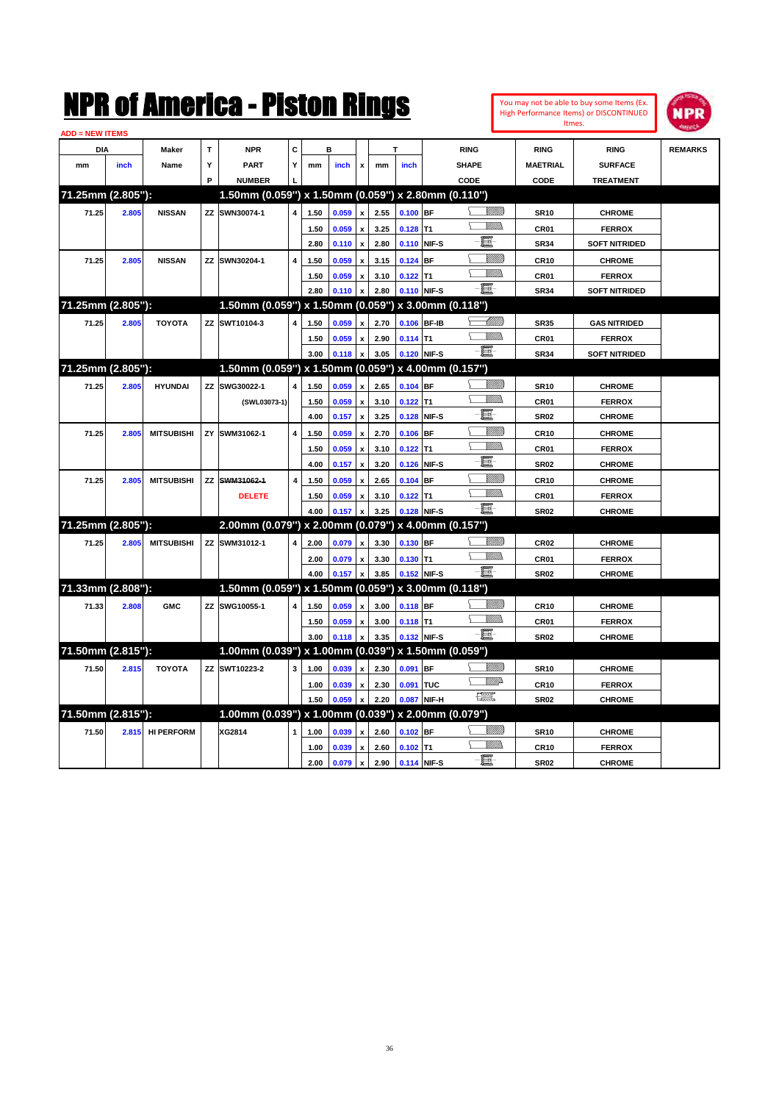

| <b>ADD = NEW ITEMS</b> |       |                   |   |                                                     |   |      |       |                           |      |            |             |                 |                 |                      |                |
|------------------------|-------|-------------------|---|-----------------------------------------------------|---|------|-------|---------------------------|------|------------|-------------|-----------------|-----------------|----------------------|----------------|
| <b>DIA</b>             |       | <b>Maker</b>      | T | <b>NPR</b>                                          | C |      | в     |                           |      | т          |             | <b>RING</b>     | <b>RING</b>     | <b>RING</b>          | <b>REMARKS</b> |
| mm                     | inch  | Name              | Y | <b>PART</b>                                         | Y | mm   | inch  | $\pmb{\mathsf{x}}$        | mm   | inch       |             | <b>SHAPE</b>    | <b>MAETRIAL</b> | <b>SURFACE</b>       |                |
|                        |       |                   | Þ | <b>NUMBER</b>                                       |   |      |       |                           |      |            |             | CODE            | CODE            | <b>TREATMENT</b>     |                |
| 71.25mm (2.805"):      |       |                   |   | 1.50mm (0.059") x 1.50mm (0.059") x 2.80mm (0.110") |   |      |       |                           |      |            |             |                 |                 |                      |                |
| 71.25                  | 2.805 | <b>NISSAN</b>     |   | ZZ SWN30074-1                                       |   | 1.50 | 0.059 | $\boldsymbol{x}$          | 2.55 | $0.100$ BF |             |                 | <b>SR10</b>     | <b>CHROME</b>        |                |
|                        |       |                   |   |                                                     |   | 1.50 | 0.059 | $\pmb{\mathsf{x}}$        | 3.25 | 0.128      | T1          | VM)))           | CR01            | <b>FERROX</b>        |                |
|                        |       |                   |   |                                                     |   | 2.80 | 0.110 | $\boldsymbol{\mathsf{x}}$ | 2.80 | 0.110      | NIF-S       | 圓               | <b>SR34</b>     | <b>SOFT NITRIDED</b> |                |
| 71.25                  | 2.805 | <b>NISSAN</b>     |   | ZZ SWN30204-1                                       | 4 | 1.50 | 0.059 | $\pmb{\mathsf{x}}$        | 3.15 | $0.124$ BF |             | <u>Sillilli</u> | <b>CR10</b>     | <b>CHROME</b>        |                |
|                        |       |                   |   |                                                     |   | 1.50 | 0.059 | $\, {\bf x}$              | 3.10 | $0.122$ T1 |             | VM)             | CR01            | <b>FERROX</b>        |                |
|                        |       |                   |   |                                                     |   | 2.80 | 0.110 |                           | 2.80 | 0.110      | NIF-S       | - 1             | <b>SR34</b>     | <b>SOFT NITRIDED</b> |                |
| 71.25mm (2.805"):      |       |                   |   | 1.50mm (0.059") x 1.50mm (0.059") x 3.00mm (0.118") |   |      |       |                           |      |            |             |                 |                 |                      |                |
| 71.25                  | 2.805 | <b>TOYOTA</b>     |   | ZZ SWT10104-3                                       | 4 | 1.50 | 0.059 | $\boldsymbol{\mathsf{x}}$ | 2.70 |            | 0.106 BF-IB | <u>UMM)</u>     | <b>SR35</b>     | <b>GAS NITRIDED</b>  |                |
|                        |       |                   |   |                                                     |   | 1.50 | 0.059 | x                         | 2.90 | $0.114$ T1 |             | VM)             | CR01            | <b>FERROX</b>        |                |
|                        |       |                   |   |                                                     |   | 3.00 | 0.118 | $\pmb{\mathsf{x}}$        | 3.05 | 0.120      | NIF-S       | -8              | <b>SR34</b>     | <b>SOFT NITRIDED</b> |                |
| 71.25mm (2.805"):      |       |                   |   | 1.50mm (0.059") x 1.50mm (0.059") x 4.00mm (0.157") |   |      |       |                           |      |            |             |                 |                 |                      |                |
| 71.25                  | 2.805 | <b>HYUNDAI</b>    |   | ZZ SWG30022-1                                       | 4 | 1.50 | 0.059 | x                         | 2.65 | $0.104$ BF |             | .<br>Willia     | <b>SR10</b>     | <b>CHROME</b>        |                |
|                        |       |                   |   | (SWL03073-1)                                        |   | 1.50 | 0.059 | $\boldsymbol{\mathsf{x}}$ | 3.10 | $0.122$ T1 |             | VM))<br>N       | <b>CR01</b>     | <b>FERROX</b>        |                |
|                        |       |                   |   |                                                     |   | 4.00 | 0.157 | $\boldsymbol{\mathsf{x}}$ | 3.25 | 0.128      | NIF-S       | E               | <b>SR02</b>     | <b>CHROME</b>        |                |
| 71.25                  | 2.805 | <b>MITSUBISHI</b> |   | ZY SWM31062-1                                       | 4 | 1.50 | 0.059 | x                         | 2.70 | 0.106      | <b>BF</b>   | <u>VIIII)</u>   | <b>CR10</b>     | <b>CHROME</b>        |                |
|                        |       |                   |   |                                                     |   | 1.50 | 0.059 | $\boldsymbol{\mathsf{x}}$ | 3.10 | 0.122      | T1          | VM)             | CR01            | <b>FERROX</b>        |                |
|                        |       |                   |   |                                                     |   | 4.00 | 0.157 | $\boldsymbol{\mathsf{x}}$ | 3.20 | 0.126      | NIF-S       | E               | <b>SR02</b>     | <b>CHROME</b>        |                |
| 71.25                  | 2.805 | <b>MITSUBISHI</b> |   | ZZ SWM31062-1                                       | 4 | 1.50 | 0.059 | $\pmb{\mathsf{x}}$        | 2.65 | $0.104$ BF |             | <u>Milli</u>    | <b>CR10</b>     | <b>CHROME</b>        |                |
|                        |       |                   |   | <b>DELETE</b>                                       |   | 1.50 | 0.059 |                           | 3.10 | 0.122      | T1          | VM).<br>N.      | CR01            | <b>FERROX</b>        |                |
|                        |       |                   |   |                                                     |   | 4.00 | 0.157 |                           | 3.25 | 0.128      | NIF-S       | - 1             | <b>SR02</b>     | <b>CHROME</b>        |                |
| 71.25mm (2.805"):      |       |                   |   | 2.00mm (0.079") x 2.00mm (0.079") x 4.00mm (0.157") |   |      |       |                           |      |            |             |                 |                 |                      |                |
| 71.25                  | 2.805 | <b>MITSUBISHI</b> |   | ZZ SWM31012-1                                       | 4 | 2.00 | 0.079 | x                         | 3.30 | 0.130 BF   |             | VM))            | <b>CR02</b>     | <b>CHROME</b>        |                |
|                        |       |                   |   |                                                     |   | 2.00 | 0.079 | $\pmb{\mathsf{x}}$        | 3.30 | $0.130$ T1 |             | <u>Willib</u>   | CR01            | <b>FERROX</b>        |                |
|                        |       |                   |   |                                                     |   | 4.00 | 0.157 | x                         | 3.85 | 0.152      | NIF-S       | -買-             | <b>SR02</b>     | <b>CHROME</b>        |                |
| 71.33mm (2.808"):      |       |                   |   | 1.50mm (0.059") x 1.50mm (0.059") x 3.00mm (0.118") |   |      |       |                           |      |            |             |                 |                 |                      |                |
| 71.33                  | 2.808 | <b>GMC</b>        |   | ZZ SWG10055-1                                       | 4 | 1.50 | 0.059 | $\mathbf{x}$              | 3.00 | 0.118 BF   |             | <u>Millib</u>   | <b>CR10</b>     | <b>CHROME</b>        |                |
|                        |       |                   |   |                                                     |   | 1.50 | 0.059 | $\boldsymbol{\mathsf{x}}$ | 3.00 | $0.118$ T1 |             | <u>Willis</u>   | CR01            | <b>FERROX</b>        |                |
|                        |       |                   |   |                                                     |   | 3.00 | 0.118 |                           | 3.35 | 0.132      | NIF-S       | - 1             | <b>SR02</b>     | <b>CHROME</b>        |                |
| 71.50mm (2.815"):      |       |                   |   | 1.00mm (0.039") x 1.00mm (0.039") x 1.50mm (0.059") |   |      |       |                           |      |            |             |                 |                 |                      |                |
| 71.50                  | 2.815 | <b>TOYOTA</b>     |   | ZZ SWT10223-2                                       | 3 | 1.00 | 0.039 | $\boldsymbol{\mathsf{x}}$ | 2.30 | 0.091      | <b>BF</b>   | VIIII))         | <b>SR10</b>     | <b>CHROME</b>        |                |
|                        |       |                   |   |                                                     |   | 1.00 | 0.039 | x                         | 2.30 | 0.091      | <b>TUC</b>  | <u>WW</u> A     | <b>CR10</b>     | <b>FERROX</b>        |                |
|                        |       |                   |   |                                                     |   | 1.50 | 0.059 |                           | 2.20 | 0.087      | NIF-H       | <b>Test</b>     | <b>SR02</b>     | <b>CHROME</b>        |                |
| 71.50mm (2.815"):      |       |                   |   | 1.00mm (0.039") x 1.00mm (0.039") x 2.00mm (0.079") |   |      |       |                           |      |            |             |                 |                 |                      |                |
| 71.50                  | 2.815 | <b>HI PERFORM</b> |   | XG2814                                              | 1 | 1.00 | 0.039 | x                         | 2.60 | $0.102$ BF |             | <u>UMB</u>      | <b>SR10</b>     | <b>CHROME</b>        |                |
|                        |       |                   |   |                                                     |   | 1.00 | 0.039 | $\boldsymbol{\mathsf{x}}$ | 2.60 | 0.102      | T1          | VM).            | <b>CR10</b>     | <b>FERROX</b>        |                |
|                        |       |                   |   |                                                     |   | 2.00 | 0.079 | $\pmb{\mathsf{x}}$        | 2.90 |            | 0.114 NIF-S | E               | <b>SR02</b>     | <b>CHROME</b>        |                |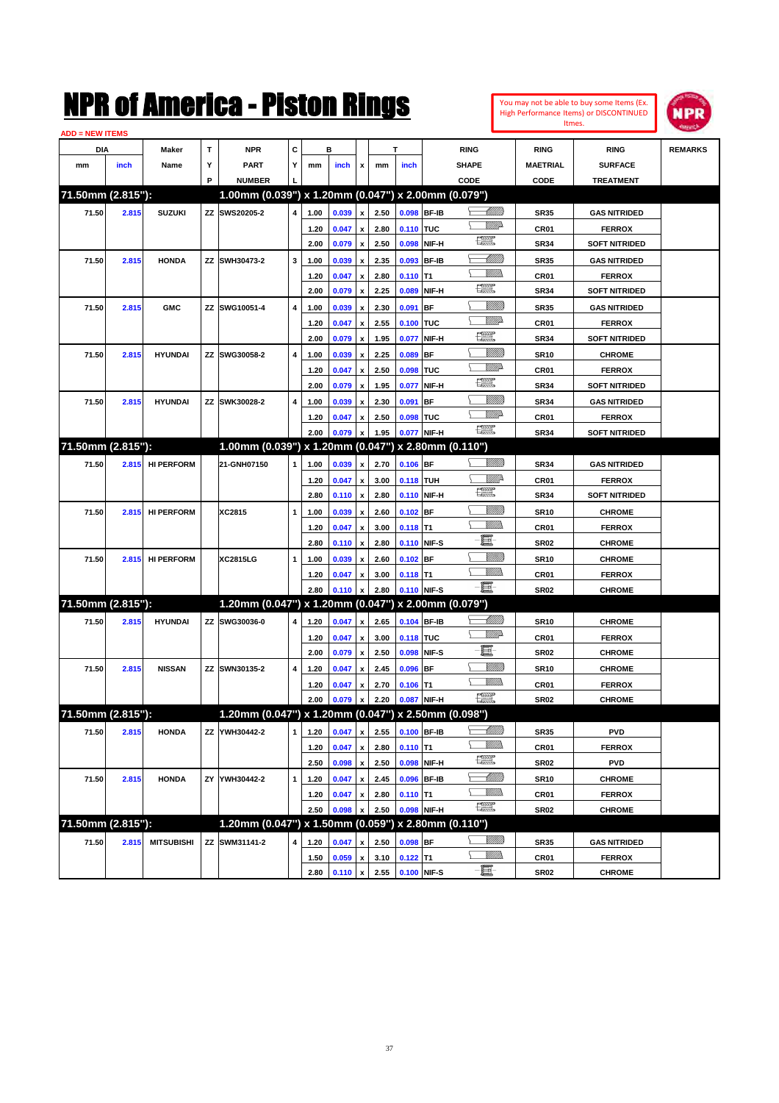| You may not be able to buy some Items (Ex. |
|--------------------------------------------|
| High Performance Items) or DISCONTINUED    |
| Itmes.                                     |



| <b>ADD = NEW ITEMS</b> |       |                   |    |                                                     |   |              |                |                           |              |             |              |                          |                 |                      |                |
|------------------------|-------|-------------------|----|-----------------------------------------------------|---|--------------|----------------|---------------------------|--------------|-------------|--------------|--------------------------|-----------------|----------------------|----------------|
| DIA                    |       | Maker             | т  | <b>NPR</b>                                          | С |              | в              |                           |              | T           |              | <b>RING</b>              | <b>RING</b>     | <b>RING</b>          | <b>REMARKS</b> |
| mm                     | inch  | Name              | Υ  | <b>PART</b>                                         | Y | mm           | inch           | x                         | mm           | inch        |              | <b>SHAPE</b>             | <b>MAETRIAL</b> | <b>SURFACE</b>       |                |
|                        |       |                   | P  | <b>NUMBER</b>                                       |   |              |                |                           |              |             |              | CODE                     | <b>CODE</b>     | <b>TREATMENT</b>     |                |
| 71.50mm (2.815"):      |       |                   |    | 1.00mm (0.039") x 1.20mm (0.047") x 2.00mm (0.079") |   |              |                |                           |              |             |              |                          |                 |                      |                |
| 71.50                  | 2.815 | <b>SUZUKI</b>     |    | ZZ SWS20205-2                                       | 4 | 1.00         | 0.039          | $\pmb{\mathsf{x}}$        | 2.50         | 0.098 BF-IB |              | <u> Millilli</u>         | <b>SR35</b>     | <b>GAS NITRIDED</b>  |                |
|                        |       |                   |    |                                                     |   | 1.20         | 0.047          | x                         | 2.80         | 0.110 TUC   |              | VMD-                     | CR01            | <b>FERROX</b>        |                |
|                        |       |                   |    |                                                     |   | 2.00         | 0.079          | $\pmb{\mathsf{x}}$        | 2.50         | 0.098       | NIF-H        | H                        | <b>SR34</b>     | <b>SOFT NITRIDED</b> |                |
| 71.50                  | 2.815 | <b>HONDA</b>      |    | ZZ SWH30473-2                                       | 3 | 1.00         | 0.039          | x                         | 2.35         | 0.093       | <b>BF-IB</b> | <u> UMB</u>              | <b>SR35</b>     | <b>GAS NITRIDED</b>  |                |
|                        |       |                   |    |                                                     |   | 1.20         | 0.047          | х                         | 2.80         | $0.110$ T1  |              | 9777)                    | CR01            | <b>FERROX</b>        |                |
|                        |       |                   |    |                                                     |   | 2.00         | 0.079          | $\pmb{\mathsf{x}}$        | 2.25         | 0.089       | NIF-H        | H                        | <b>SR34</b>     | <b>SOFT NITRIDED</b> |                |
| 71.50                  | 2.815 | <b>GMC</b>        |    | ZZ SWG10051-4                                       | 4 | 1.00         | 0.039          | x                         | 2.30         | 0.091       | <b>BF</b>    | <u>Sillilli</u>          | <b>SR35</b>     | <b>GAS NITRIDED</b>  |                |
|                        |       |                   |    |                                                     |   | 1.20         | 0.047          | х                         | 2.55         | 0.100 TUC   |              | <u>WW</u> A              | CR01            | <b>FERROX</b>        |                |
|                        |       |                   |    |                                                     |   | 2.00         | 0.079          | $\pmb{\mathsf{x}}$        | 1.95         | 0.077       | NIF-H        | $\frac{1}{2}$            | <b>SR34</b>     | <b>SOFT NITRIDED</b> |                |
| 71.50                  | 2.815 | <b>HYUNDAI</b>    |    | ZZ SWG30058-2                                       | 4 | 1.00         | 0.039          | x                         | 2.25         | 0.089       | BF           | <u>Sillilli</u>          | <b>SR10</b>     | <b>CHROME</b>        |                |
|                        |       |                   |    |                                                     |   | 1.20         | 0.047          | х                         | 2.50         | 0.098       | <b>TUC</b>   | <u>VMD</u>               | CR01            | <b>FERROX</b>        |                |
|                        |       |                   |    |                                                     |   | 2.00         | 0.079          | $\pmb{\mathsf{x}}$        | 1.95         | 0.077       | NIF-H        | H                        | <b>SR34</b>     | <b>SOFT NITRIDED</b> |                |
| 71.50                  | 2.815 | <b>HYUNDAI</b>    |    | ZZ SWK30028-2                                       | 4 | 1.00         | 0.039          | $\boldsymbol{\mathsf{x}}$ | 2.30         | 0.091       | BF           | <u>Sillilli</u>          | <b>SR34</b>     | <b>GAS NITRIDED</b>  |                |
|                        |       |                   |    |                                                     |   | 1.20         | 0.047          | х                         | 2.50         | 0.098       | <b>TUC</b>   | <u>WW</u> A              | CR01            | <b>FERROX</b>        |                |
|                        |       |                   |    |                                                     |   | 2.00         | 0.079          | $\boldsymbol{\mathsf{x}}$ | 1.95         | 0.077       | NIF-H        | <b>The Control</b>       | <b>SR34</b>     | <b>SOFT NITRIDED</b> |                |
| 71.50mm (2.815"):      |       |                   |    | 1.00mm (0.039") x 1.20mm (0.047") x 2.80mm (0.110") |   |              |                |                           |              |             |              |                          |                 |                      |                |
| 71.50                  | 2.815 | <b>HI PERFORM</b> |    | 21-GNH07150                                         | 1 | 1.00         | 0.039          | $\pmb{\mathsf{x}}$        | 2.70         | $0.106$ BF  |              | <u>UMB</u>               | <b>SR34</b>     | <b>GAS NITRIDED</b>  |                |
|                        |       |                   |    |                                                     |   | 1.20         | 0.047          | x                         | 3.00         | 0.118 TUH   |              | ₩₩                       | CR01            | <b>FERROX</b>        |                |
|                        |       |                   |    |                                                     |   | 2.80         | 0.110          | $\pmb{\mathsf{x}}$        | 2.80         |             | 0.110 NIF-H  | 鱱                        | <b>SR34</b>     | <b>SOFT NITRIDED</b> |                |
| 71.50                  | 2.815 | <b>HI PERFORM</b> |    | XC2815                                              | 1 | 1.00         | 0.039          | x                         | 2.60         | $0.102$ BF  |              | <u>Sillilli</u>          | <b>SR10</b>     | <b>CHROME</b>        |                |
|                        |       |                   |    |                                                     |   | 1.20         | 0.047          | x                         | 3.00         | $0.118$ T1  |              | VM)                      | CR01            | <b>FERROX</b>        |                |
|                        |       |                   |    |                                                     |   | 2.80         | 0.110          | $\pmb{\mathsf{x}}$        | 2.80         |             | 0.110 NIF-S  | e                        | <b>SR02</b>     | <b>CHROME</b>        |                |
| 71.50                  | 2.815 | <b>HI PERFORM</b> |    | <b>XC2815LG</b>                                     | 1 | 1.00         | 0.039          | $\boldsymbol{\mathsf{x}}$ | 2.60         | $0.102$ BF  |              | <u>VIIII)</u>            | <b>SR10</b>     | <b>CHROME</b>        |                |
|                        |       |                   |    |                                                     |   | 1.20         | 0.047          | х                         | 3.00         | $0.118$ T1  |              | <br>Milli                | CR01            | <b>FERROX</b>        |                |
|                        |       |                   |    |                                                     |   | 2.80         | 0.110          | $\pmb{\mathsf{x}}$        | 2.80         | 0.110 NIF-S |              | -8                       | <b>SR02</b>     | <b>CHROME</b>        |                |
| 71.50mm (2.815"):      |       |                   |    | 1.20mm (0.047") x 1.20mm (0.047") x 2.00mm (0.079") |   |              |                |                           |              |             |              |                          |                 |                      |                |
| 71.50                  | 2.815 | <b>HYUNDAI</b>    |    | ZZ SWG30036-0                                       | 4 | 1.20         | 0.047          | $\pmb{\mathsf{x}}$        | 2.65         | 0.104 BF-IB |              | <u> Millilli</u>         | <b>SR10</b>     | <b>CHROME</b>        |                |
|                        |       |                   |    |                                                     |   | 1.20         | 0.047          |                           | 3.00         | 0.118 TUC   |              | <u>WW</u> A              | CR01            | <b>FERROX</b>        |                |
|                        |       |                   |    |                                                     |   | 2.00         | 0.079          | x<br>$\pmb{\mathsf{x}}$   | 2.50         | 0.098       | NIF-S        | e                        | <b>SR02</b>     | <b>CHROME</b>        |                |
| 71.50                  | 2.815 | <b>NISSAN</b>     |    | ZZ SWN30135-2                                       | 4 | 1.20         | 0.047          |                           | 2.45         | 0.096 BF    |              | <u>VIIII)</u>            | <b>SR10</b>     | <b>CHROME</b>        |                |
|                        |       |                   |    |                                                     |   |              |                | $\boldsymbol{\mathsf{x}}$ |              |             |              |                          |                 | <b>FERROX</b>        |                |
|                        |       |                   |    |                                                     |   | 1.20<br>2.00 | 0.047<br>0.079 | х                         | 2.70<br>2.20 | $0.106$ T1  | 0.087 NIF-H  | <b>The Second</b>        | CR01            | <b>CHROME</b>        |                |
| 71.50mm (2.815"):      |       |                   |    | 1.20mm (0.047") x 1.20mm (0.047") x 2.50mm (0.098") |   |              |                | $\pmb{\mathsf{x}}$        |              |             |              |                          | <b>SR02</b>     |                      |                |
|                        |       |                   |    |                                                     |   |              |                |                           |              |             |              | <u> UMM</u>              |                 |                      |                |
| 71.50                  | 2.815 | <b>HONDA</b>      |    | ZZ YWH30442-2                                       | 1 | 1.20         | 0.047          | $\pmb{\mathsf{x}}$        | 2.55         | 0.100 BF-IB |              | UM)                      | <b>SR35</b>     | <b>PVD</b>           |                |
|                        |       |                   |    |                                                     |   | 1.20         | 0.047          | $\pmb{\mathsf{x}}$        | 2.80         | $0.110$ T1  |              | H                        | CR01            | <b>FERROX</b>        |                |
|                        |       |                   |    |                                                     |   | 2.50         | 0.098          | $\pmb{\mathsf{x}}$        | 2.50         | 0.098       | NIF-H        |                          | SR02            | <b>PVD</b>           |                |
| 71.50                  | 2.815 | <b>HONDA</b>      | ΖY | YWH30442-2                                          | 1 | 1.20         | 0.047          | $\pmb{\mathsf{x}}$        | 2.45         |             | 0.096 BF-IB  | <u>UMB</u><br><u>MMW</u> | <b>SR10</b>     | <b>CHROME</b>        |                |
|                        |       |                   |    |                                                     |   | 1.20         | 0.047          | x                         | 2.80         | $0.110$ T1  |              | H                        | CR01            | <b>FERROX</b>        |                |
|                        |       |                   |    |                                                     |   | 2.50         | 0.098          |                           | 2.50         |             | 0.098 NIF-H  |                          | SR02            | <b>CHROME</b>        |                |
| 71.50mm (2.815"):      |       |                   |    | 1.20mm (0.047") x 1.50mm (0.059") x 2.80mm (0.110") |   |              |                |                           |              |             |              |                          |                 |                      |                |
| 71.50                  | 2.815 | <b>MITSUBISHI</b> |    | ZZ SWM31141-2                                       | 4 | 1.20         | 0.047          | $\pmb{\mathsf{x}}$        | 2.50         | $0.098$ BF  |              | <u>Milli</u> b           | SR35            | <b>GAS NITRIDED</b>  |                |
|                        |       |                   |    |                                                     |   | 1.50         | 0.059          | $\pmb{\mathsf{x}}$        | 3.10         | $0.122$ T1  |              | <u>Willib</u>            | CR01            | <b>FERROX</b>        |                |
|                        |       |                   |    |                                                     |   | 2.80         | 0.110          | $\mathbf{x}$              | 2.55         | 0.100 NIF-S |              | $-\Xi$ -                 | <b>SR02</b>     | <b>CHROME</b>        |                |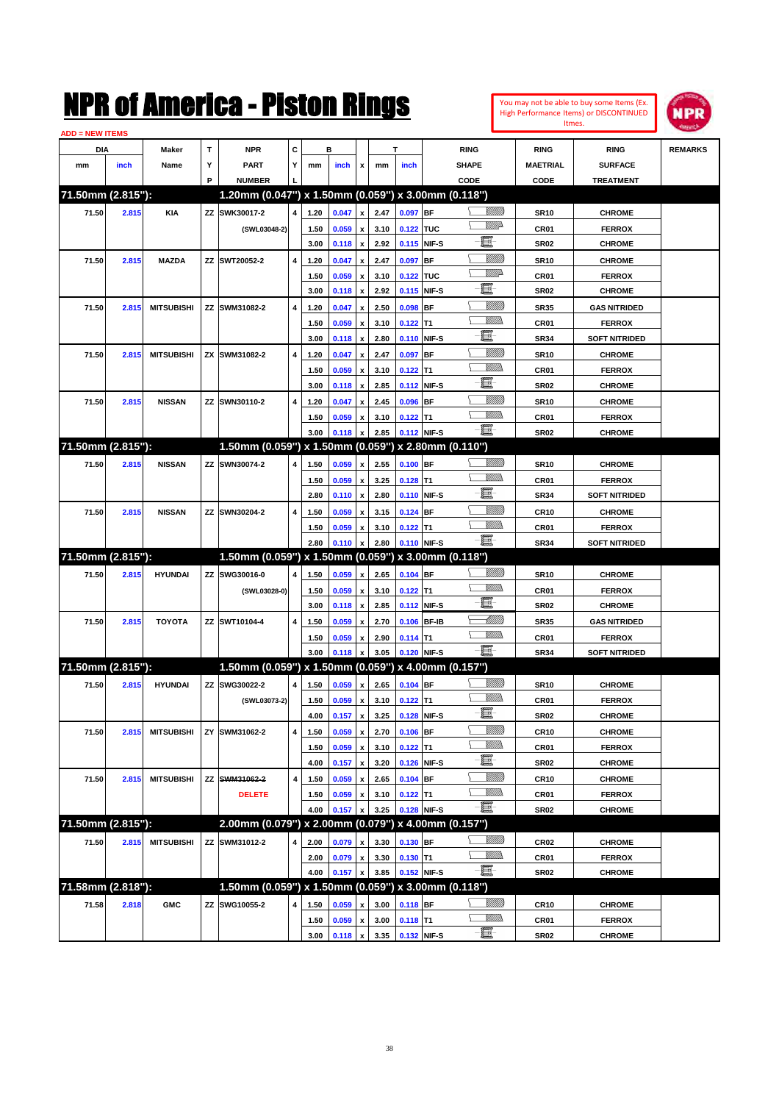| You may not be able to buy some Items (Ex. |
|--------------------------------------------|
| High Performance Items) or DISCONTINUED    |
| Itmes.                                     |



| С<br>DIA<br>Maker<br>т<br><b>NPR</b><br>в<br>T<br><b>RING</b><br><b>RING</b><br><b>RING</b><br><b>REMARKS</b><br>Υ<br><b>PART</b><br>Y<br><b>SHAPE</b><br>inch<br>Name<br><b>MAETRIAL</b><br><b>SURFACE</b><br>mm<br>mm<br>inch<br>x<br>mm<br>inch<br>P<br><b>NUMBER</b><br>CODE<br><b>CODE</b><br><b>TREATMENT</b><br>71.50mm (2.815"):<br>1.20mm (0.047") x 1.50mm (0.059") x 3.00mm (0.118")<br><u>Sillilli</u><br>ZZ SWK30017-2<br>0.097 BF<br>71.50<br>2.815<br><b>KIA</b><br>4<br>1.20<br>0.047<br>2.47<br><b>SR10</b><br><b>CHROME</b><br>$\pmb{\mathsf{x}}$<br><u>WW</u> A<br>0.059<br>3.10<br>0.122 TUC<br>(SWL03048-2)<br>1.50<br>CR01<br><b>FERROX</b><br>x<br>e<br>3.00<br>2.92<br>0.115 NIF-S<br>0.118<br>$\pmb{\mathsf{x}}$<br><b>SR02</b><br><b>CHROME</b><br><u>VIIII)</u><br>71.50<br>2.815<br><b>MAZDA</b><br>ZZ SWT20052-2<br>4<br>0.047<br>2.47<br>0.097<br><b>BF</b><br><b>SR10</b><br><b>CHROME</b><br>1.20<br>x<br><u>WW</u> A<br>0.122 TUC<br>1.50<br>0.059<br>3.10<br>CR01<br><b>FERROX</b><br>x<br>e<br>3.00<br>2.92<br>0.115 NIF-S<br>0.118<br><b>SR02</b><br><b>CHROME</b><br>$\pmb{\mathsf{x}}$<br><u>VIIII)</u><br><b>MITSUBISHI</b><br>ZZ SWM31082-2<br>4<br>0.047<br>2.50<br>0.098<br><b>BF</b><br><b>SR35</b><br><b>GAS NITRIDED</b><br>71.50<br>2.815<br>1.20<br>x<br>VM))<br>1.50<br>0.059<br>3.10<br>$0.122$ T1<br>CR01<br><b>FERROX</b><br>x<br>E<br>3.00<br>2.80<br>0.110 NIF-S<br>0.118<br><b>SR34</b><br><b>SOFT NITRIDED</b><br>$\pmb{\mathsf{x}}$<br><u>VIIII)</u><br><b>MITSUBISHI</b><br>ZX SWM31082-2<br>4<br>2.47<br>0.097<br><b>BF</b><br>71.50<br>2.815<br>1.20<br>0.047<br><b>SR10</b><br><b>CHROME</b><br>x<br>VM)<br>1.50<br>0.059<br>3.10<br>$0.122$ T1<br>CR01<br><b>FERROX</b><br>x<br>E<br>3.00<br>2.85<br>NIF-S<br>0.118<br>0.112<br><b>SR02</b><br><b>CHROME</b><br>$\pmb{\mathsf{x}}$<br><u>Sillilli</u><br>ZZ SWN30110-2<br>4<br>2.45<br>0.096<br><b>BF</b><br>71.50<br>2.815<br><b>NISSAN</b><br>1.20<br>0.047<br><b>SR10</b><br><b>CHROME</b><br>$\boldsymbol{\mathsf{x}}$<br>.<br>Milli<br>1.50<br>0.059<br>3.10<br>$0.122$ T1<br>CR01<br><b>FERROX</b><br>х<br>-8<br>3.00<br>0.118<br>2.85<br>0.112 NIF-S<br><b>SR02</b><br><b>CHROME</b><br>x<br>71.50mm (2.815"):<br>1.50mm (0.059") x 1.50mm (0.059") x 2.80mm (0.110")<br><u>UMB</u><br>$0.100$ BF<br>71.50<br>2.815<br><b>NISSAN</b><br>ZZ SWN30074-2<br>0.059<br>2.55<br><b>SR10</b><br><b>CHROME</b><br>4<br>1.50<br>$\pmb{\mathsf{x}}$<br><br>Militar<br>3.25<br>1.50<br>0.059<br>$0.128$ T1<br>CR01<br><b>FERROX</b><br>x<br>E<br>2.80<br>2.80<br>0.110 NIF-S<br>0.110<br>$\boldsymbol{\mathsf{x}}$<br><b>SR34</b><br><b>SOFT NITRIDED</b><br><u>VIIII)</u><br>71.50<br>2.815<br><b>NISSAN</b><br>ZZ SWN30204-2<br>4<br>0.059<br>0.124 BF<br><b>CR10</b><br><b>CHROME</b><br>1.50<br>3.15<br>x<br>VM)<br>1.50<br>0.059<br>3.10<br>$0.122$ T1<br>CR01<br><b>FERROX</b><br>x<br>-8<br>0.110 NIF-S<br>2.80<br>0.110<br>2.80<br><b>SOFT NITRIDED</b><br>$\pmb{\mathsf{x}}$<br><b>SR34</b><br>71.50mm (2.815"):<br>1.50mm (0.059") x 1.50mm (0.059") x 3.00mm (0.118")<br><u>UMB</u><br>ZZ SWG30016-0<br><b>HYUNDAI</b><br>0.059<br>2.65<br>0.104 BF<br><b>CHROME</b><br>71.50<br>2.815<br>4<br>1.50<br>$\pmb{\mathsf{x}}$<br><b>SR10</b><br>.<br>Milli<br>0.059<br>(SWL03028-0)<br>1.50<br>3.10<br>$0.122$ T1<br>CR01<br><b>FERROX</b><br>x<br>E<br>3.00<br>2.85<br>NIF-S<br>0.118<br>$\pmb{\mathsf{x}}$<br>0.112<br><b>SR02</b><br><b>CHROME</b><br><u> UMB</u><br><b>TOYOTA</b><br>ZZ SWT10104-4<br>$\overline{\mathbf{4}}$<br>0.059<br>0.106 BF-IB<br><b>GAS NITRIDED</b><br>71.50<br>2.815<br>1.50<br>2.70<br><b>SR35</b><br>$\boldsymbol{\mathsf{x}}$<br><br>Milli<br>2.90<br><b>FERROX</b><br>1.50<br>0.059<br>$0.114$ T1<br>CR01<br>x<br>-8<br>3.00<br>0.118<br>3.05<br>0.120 NIF-S<br><b>SOFT NITRIDED</b><br>$\pmb{\mathsf{x}}$<br><b>SR34</b><br>71.50mm (2.815"):<br>1.50mm (0.059") x 1.50mm (0.059") x 4.00mm (0.157")<br><u>VIIIIn</u><br>ZZ SWG30022-2<br>71.50<br>2.815<br><b>HYUNDAI</b><br>1.50<br>0.059<br>2.65<br>0.104 BF<br><b>SR10</b><br><b>CHROME</b><br>4<br>$\pmb{\mathsf{x}}$<br>3.10<br>(SWL03073-2)<br>1.50<br>0.059<br>$0.122$ T1<br>CR01<br><b>FERROX</b><br>x<br>- 1<br>0.128 NIF-S<br>4.00<br>0.157<br>$\pmb{\mathsf{x}}$<br>3.25<br>SR02<br><b>CHROME</b><br><u>Millitt</u><br><b>MITSUBISHI</b><br>SWM31062-2<br>4<br>$0.106$ BF<br><b>CR10</b><br><b>CHROME</b><br>71.50<br>2.815<br>ZY<br>1.50<br>0.059<br>$\pmb{\mathsf{x}}$<br>2.70<br><u>MMW</u><br>0.059<br>3.10<br>$0.122$ T1<br>CR01<br>1.50<br><b>FERROX</b><br>$\pmb{\mathsf{x}}$<br>E<br>0.126 NIF-S<br>3.20<br>4.00<br>0.157<br>$\pmb{\mathsf{x}}$<br><b>SR02</b><br><b>CHROME</b><br><u>VIIII)</u><br><b>MITSUBISHI</b><br>ZZ SWM31062-2<br>4<br>0.059<br>2.65<br>$0.104$ BF<br><b>CR10</b><br><b>CHROME</b><br>71.50<br>2.815<br>1.50<br>x<br><u>Willib</u><br><b>DELETE</b><br>$0.122$ T1<br>CR01<br>1.50<br>0.059<br>3.10<br><b>FERROX</b><br>x<br>$-\Xi$ -<br>0.128 NIF-S<br>3.25<br>4.00<br>0.157<br><b>SR02</b><br><b>CHROME</b><br>71.50mm (2.815"):<br>2.00mm (0.079") x 2.00mm (0.079") x 4.00mm (0.157")<br><u>UMB</u><br><b>MITSUBISHI</b><br>ZZ SWM31012-2<br>0.130 BF<br>71.50<br>2.815<br>2.00<br>0.079<br>3.30<br><b>CR02</b><br><b>CHROME</b><br>4<br>$\pmb{\mathsf{x}}$<br><u>VMM</u><br>0.079<br>3.30<br>$0.130$ T1<br>CR01<br><b>FERROX</b><br>2.00<br>$\pmb{\mathsf{x}}$<br>$-\Xi$<br>0.152 NIF-S<br>3.85<br>4.00<br>0.157<br>$\pmb{\mathsf{x}}$<br>SR02<br><b>CHROME</b><br>1.50mm (0.059") x 1.50mm (0.059") x 3.00mm (0.118")<br>71.58mm (2.818"):<br><u>Milli</u> b<br>SWG10055-2<br>$0.118$ BF<br>71.58<br>2.818<br><b>GMC</b><br>4<br>1.50<br>0.059<br>3.00<br><b>CHROME</b><br>ΖZ<br>CR <sub>10</sub><br>x<br><u>WMW</u><br>0.059<br>3.00<br>$0.118$ T1<br>CR01<br><b>FERROX</b><br>1.50<br>$\pmb{\mathsf{x}}$<br>0.132 NIF-S | <b>ADD = NEW ITEMS</b> |  |  |      |       |                    |      |  |          |             |               |  |
|-------------------------------------------------------------------------------------------------------------------------------------------------------------------------------------------------------------------------------------------------------------------------------------------------------------------------------------------------------------------------------------------------------------------------------------------------------------------------------------------------------------------------------------------------------------------------------------------------------------------------------------------------------------------------------------------------------------------------------------------------------------------------------------------------------------------------------------------------------------------------------------------------------------------------------------------------------------------------------------------------------------------------------------------------------------------------------------------------------------------------------------------------------------------------------------------------------------------------------------------------------------------------------------------------------------------------------------------------------------------------------------------------------------------------------------------------------------------------------------------------------------------------------------------------------------------------------------------------------------------------------------------------------------------------------------------------------------------------------------------------------------------------------------------------------------------------------------------------------------------------------------------------------------------------------------------------------------------------------------------------------------------------------------------------------------------------------------------------------------------------------------------------------------------------------------------------------------------------------------------------------------------------------------------------------------------------------------------------------------------------------------------------------------------------------------------------------------------------------------------------------------------------------------------------------------------------------------------------------------------------------------------------------------------------------------------------------------------------------------------------------------------------------------------------------------------------------------------------------------------------------------------------------------------------------------------------------------------------------------------------------------------------------------------------------------------------------------------------------------------------------------------------------------------------------------------------------------------------------------------------------------------------------------------------------------------------------------------------------------------------------------------------------------------------------------------------------------------------------------------------------------------------------------------------------------------------------------------------------------------------------------------------------------------------------------------------------------------------------------------------------------------------------------------------------------------------------------------------------------------------------------------------------------------------------------------------------------------------------------------------------------------------------------------------------------------------------------------------------------------------------------------------------------------------------------------------------------------------------------------------------------------------------------------------------------------------------------------------------------------------------------------------------------------------------------------------------------------------------------------------------------------------------------------------------------------------------------------------------------------------------------------------------------------------------------------------------------------------------------------------------------------------------------------------------------------------------------------------------------------------------------------------------------------------------------------------------------------------------------------------------------------------------------------------------------------------------------------------------------------------------------------------------------------------------------------------------------------------------------------------------------------------------------------------------------------------------------------------------------------------------------------------------------------------------------------------------------------------------------------------------------------------------------------------------------------------------------------------------------------------------------------------------------------------------------------------------------------------------------------------------------------------------------------------------------------------------------------------------------------------------|------------------------|--|--|------|-------|--------------------|------|--|----------|-------------|---------------|--|
|                                                                                                                                                                                                                                                                                                                                                                                                                                                                                                                                                                                                                                                                                                                                                                                                                                                                                                                                                                                                                                                                                                                                                                                                                                                                                                                                                                                                                                                                                                                                                                                                                                                                                                                                                                                                                                                                                                                                                                                                                                                                                                                                                                                                                                                                                                                                                                                                                                                                                                                                                                                                                                                                                                                                                                                                                                                                                                                                                                                                                                                                                                                                                                                                                                                                                                                                                                                                                                                                                                                                                                                                                                                                                                                                                                                                                                                                                                                                                                                                                                                                                                                                                                                                                                                                                                                                                                                                                                                                                                                                                                                                                                                                                                                                                                                                                                                                                                                                                                                                                                                                                                                                                                                                                                                                                                                                                                                                                                                                                                                                                                                                                                                                                                                                                                                                                                                                               |                        |  |  |      |       |                    |      |  |          |             |               |  |
|                                                                                                                                                                                                                                                                                                                                                                                                                                                                                                                                                                                                                                                                                                                                                                                                                                                                                                                                                                                                                                                                                                                                                                                                                                                                                                                                                                                                                                                                                                                                                                                                                                                                                                                                                                                                                                                                                                                                                                                                                                                                                                                                                                                                                                                                                                                                                                                                                                                                                                                                                                                                                                                                                                                                                                                                                                                                                                                                                                                                                                                                                                                                                                                                                                                                                                                                                                                                                                                                                                                                                                                                                                                                                                                                                                                                                                                                                                                                                                                                                                                                                                                                                                                                                                                                                                                                                                                                                                                                                                                                                                                                                                                                                                                                                                                                                                                                                                                                                                                                                                                                                                                                                                                                                                                                                                                                                                                                                                                                                                                                                                                                                                                                                                                                                                                                                                                                               |                        |  |  |      |       |                    |      |  |          |             |               |  |
|                                                                                                                                                                                                                                                                                                                                                                                                                                                                                                                                                                                                                                                                                                                                                                                                                                                                                                                                                                                                                                                                                                                                                                                                                                                                                                                                                                                                                                                                                                                                                                                                                                                                                                                                                                                                                                                                                                                                                                                                                                                                                                                                                                                                                                                                                                                                                                                                                                                                                                                                                                                                                                                                                                                                                                                                                                                                                                                                                                                                                                                                                                                                                                                                                                                                                                                                                                                                                                                                                                                                                                                                                                                                                                                                                                                                                                                                                                                                                                                                                                                                                                                                                                                                                                                                                                                                                                                                                                                                                                                                                                                                                                                                                                                                                                                                                                                                                                                                                                                                                                                                                                                                                                                                                                                                                                                                                                                                                                                                                                                                                                                                                                                                                                                                                                                                                                                                               |                        |  |  |      |       |                    |      |  |          |             |               |  |
|                                                                                                                                                                                                                                                                                                                                                                                                                                                                                                                                                                                                                                                                                                                                                                                                                                                                                                                                                                                                                                                                                                                                                                                                                                                                                                                                                                                                                                                                                                                                                                                                                                                                                                                                                                                                                                                                                                                                                                                                                                                                                                                                                                                                                                                                                                                                                                                                                                                                                                                                                                                                                                                                                                                                                                                                                                                                                                                                                                                                                                                                                                                                                                                                                                                                                                                                                                                                                                                                                                                                                                                                                                                                                                                                                                                                                                                                                                                                                                                                                                                                                                                                                                                                                                                                                                                                                                                                                                                                                                                                                                                                                                                                                                                                                                                                                                                                                                                                                                                                                                                                                                                                                                                                                                                                                                                                                                                                                                                                                                                                                                                                                                                                                                                                                                                                                                                                               |                        |  |  |      |       |                    |      |  |          |             |               |  |
|                                                                                                                                                                                                                                                                                                                                                                                                                                                                                                                                                                                                                                                                                                                                                                                                                                                                                                                                                                                                                                                                                                                                                                                                                                                                                                                                                                                                                                                                                                                                                                                                                                                                                                                                                                                                                                                                                                                                                                                                                                                                                                                                                                                                                                                                                                                                                                                                                                                                                                                                                                                                                                                                                                                                                                                                                                                                                                                                                                                                                                                                                                                                                                                                                                                                                                                                                                                                                                                                                                                                                                                                                                                                                                                                                                                                                                                                                                                                                                                                                                                                                                                                                                                                                                                                                                                                                                                                                                                                                                                                                                                                                                                                                                                                                                                                                                                                                                                                                                                                                                                                                                                                                                                                                                                                                                                                                                                                                                                                                                                                                                                                                                                                                                                                                                                                                                                                               |                        |  |  |      |       |                    |      |  |          |             |               |  |
|                                                                                                                                                                                                                                                                                                                                                                                                                                                                                                                                                                                                                                                                                                                                                                                                                                                                                                                                                                                                                                                                                                                                                                                                                                                                                                                                                                                                                                                                                                                                                                                                                                                                                                                                                                                                                                                                                                                                                                                                                                                                                                                                                                                                                                                                                                                                                                                                                                                                                                                                                                                                                                                                                                                                                                                                                                                                                                                                                                                                                                                                                                                                                                                                                                                                                                                                                                                                                                                                                                                                                                                                                                                                                                                                                                                                                                                                                                                                                                                                                                                                                                                                                                                                                                                                                                                                                                                                                                                                                                                                                                                                                                                                                                                                                                                                                                                                                                                                                                                                                                                                                                                                                                                                                                                                                                                                                                                                                                                                                                                                                                                                                                                                                                                                                                                                                                                                               |                        |  |  |      |       |                    |      |  |          |             |               |  |
|                                                                                                                                                                                                                                                                                                                                                                                                                                                                                                                                                                                                                                                                                                                                                                                                                                                                                                                                                                                                                                                                                                                                                                                                                                                                                                                                                                                                                                                                                                                                                                                                                                                                                                                                                                                                                                                                                                                                                                                                                                                                                                                                                                                                                                                                                                                                                                                                                                                                                                                                                                                                                                                                                                                                                                                                                                                                                                                                                                                                                                                                                                                                                                                                                                                                                                                                                                                                                                                                                                                                                                                                                                                                                                                                                                                                                                                                                                                                                                                                                                                                                                                                                                                                                                                                                                                                                                                                                                                                                                                                                                                                                                                                                                                                                                                                                                                                                                                                                                                                                                                                                                                                                                                                                                                                                                                                                                                                                                                                                                                                                                                                                                                                                                                                                                                                                                                                               |                        |  |  |      |       |                    |      |  |          |             |               |  |
|                                                                                                                                                                                                                                                                                                                                                                                                                                                                                                                                                                                                                                                                                                                                                                                                                                                                                                                                                                                                                                                                                                                                                                                                                                                                                                                                                                                                                                                                                                                                                                                                                                                                                                                                                                                                                                                                                                                                                                                                                                                                                                                                                                                                                                                                                                                                                                                                                                                                                                                                                                                                                                                                                                                                                                                                                                                                                                                                                                                                                                                                                                                                                                                                                                                                                                                                                                                                                                                                                                                                                                                                                                                                                                                                                                                                                                                                                                                                                                                                                                                                                                                                                                                                                                                                                                                                                                                                                                                                                                                                                                                                                                                                                                                                                                                                                                                                                                                                                                                                                                                                                                                                                                                                                                                                                                                                                                                                                                                                                                                                                                                                                                                                                                                                                                                                                                                                               |                        |  |  |      |       |                    |      |  |          |             |               |  |
|                                                                                                                                                                                                                                                                                                                                                                                                                                                                                                                                                                                                                                                                                                                                                                                                                                                                                                                                                                                                                                                                                                                                                                                                                                                                                                                                                                                                                                                                                                                                                                                                                                                                                                                                                                                                                                                                                                                                                                                                                                                                                                                                                                                                                                                                                                                                                                                                                                                                                                                                                                                                                                                                                                                                                                                                                                                                                                                                                                                                                                                                                                                                                                                                                                                                                                                                                                                                                                                                                                                                                                                                                                                                                                                                                                                                                                                                                                                                                                                                                                                                                                                                                                                                                                                                                                                                                                                                                                                                                                                                                                                                                                                                                                                                                                                                                                                                                                                                                                                                                                                                                                                                                                                                                                                                                                                                                                                                                                                                                                                                                                                                                                                                                                                                                                                                                                                                               |                        |  |  |      |       |                    |      |  |          |             |               |  |
|                                                                                                                                                                                                                                                                                                                                                                                                                                                                                                                                                                                                                                                                                                                                                                                                                                                                                                                                                                                                                                                                                                                                                                                                                                                                                                                                                                                                                                                                                                                                                                                                                                                                                                                                                                                                                                                                                                                                                                                                                                                                                                                                                                                                                                                                                                                                                                                                                                                                                                                                                                                                                                                                                                                                                                                                                                                                                                                                                                                                                                                                                                                                                                                                                                                                                                                                                                                                                                                                                                                                                                                                                                                                                                                                                                                                                                                                                                                                                                                                                                                                                                                                                                                                                                                                                                                                                                                                                                                                                                                                                                                                                                                                                                                                                                                                                                                                                                                                                                                                                                                                                                                                                                                                                                                                                                                                                                                                                                                                                                                                                                                                                                                                                                                                                                                                                                                                               |                        |  |  |      |       |                    |      |  |          |             |               |  |
|                                                                                                                                                                                                                                                                                                                                                                                                                                                                                                                                                                                                                                                                                                                                                                                                                                                                                                                                                                                                                                                                                                                                                                                                                                                                                                                                                                                                                                                                                                                                                                                                                                                                                                                                                                                                                                                                                                                                                                                                                                                                                                                                                                                                                                                                                                                                                                                                                                                                                                                                                                                                                                                                                                                                                                                                                                                                                                                                                                                                                                                                                                                                                                                                                                                                                                                                                                                                                                                                                                                                                                                                                                                                                                                                                                                                                                                                                                                                                                                                                                                                                                                                                                                                                                                                                                                                                                                                                                                                                                                                                                                                                                                                                                                                                                                                                                                                                                                                                                                                                                                                                                                                                                                                                                                                                                                                                                                                                                                                                                                                                                                                                                                                                                                                                                                                                                                                               |                        |  |  |      |       |                    |      |  |          |             |               |  |
|                                                                                                                                                                                                                                                                                                                                                                                                                                                                                                                                                                                                                                                                                                                                                                                                                                                                                                                                                                                                                                                                                                                                                                                                                                                                                                                                                                                                                                                                                                                                                                                                                                                                                                                                                                                                                                                                                                                                                                                                                                                                                                                                                                                                                                                                                                                                                                                                                                                                                                                                                                                                                                                                                                                                                                                                                                                                                                                                                                                                                                                                                                                                                                                                                                                                                                                                                                                                                                                                                                                                                                                                                                                                                                                                                                                                                                                                                                                                                                                                                                                                                                                                                                                                                                                                                                                                                                                                                                                                                                                                                                                                                                                                                                                                                                                                                                                                                                                                                                                                                                                                                                                                                                                                                                                                                                                                                                                                                                                                                                                                                                                                                                                                                                                                                                                                                                                                               |                        |  |  |      |       |                    |      |  |          |             |               |  |
|                                                                                                                                                                                                                                                                                                                                                                                                                                                                                                                                                                                                                                                                                                                                                                                                                                                                                                                                                                                                                                                                                                                                                                                                                                                                                                                                                                                                                                                                                                                                                                                                                                                                                                                                                                                                                                                                                                                                                                                                                                                                                                                                                                                                                                                                                                                                                                                                                                                                                                                                                                                                                                                                                                                                                                                                                                                                                                                                                                                                                                                                                                                                                                                                                                                                                                                                                                                                                                                                                                                                                                                                                                                                                                                                                                                                                                                                                                                                                                                                                                                                                                                                                                                                                                                                                                                                                                                                                                                                                                                                                                                                                                                                                                                                                                                                                                                                                                                                                                                                                                                                                                                                                                                                                                                                                                                                                                                                                                                                                                                                                                                                                                                                                                                                                                                                                                                                               |                        |  |  |      |       |                    |      |  |          |             |               |  |
|                                                                                                                                                                                                                                                                                                                                                                                                                                                                                                                                                                                                                                                                                                                                                                                                                                                                                                                                                                                                                                                                                                                                                                                                                                                                                                                                                                                                                                                                                                                                                                                                                                                                                                                                                                                                                                                                                                                                                                                                                                                                                                                                                                                                                                                                                                                                                                                                                                                                                                                                                                                                                                                                                                                                                                                                                                                                                                                                                                                                                                                                                                                                                                                                                                                                                                                                                                                                                                                                                                                                                                                                                                                                                                                                                                                                                                                                                                                                                                                                                                                                                                                                                                                                                                                                                                                                                                                                                                                                                                                                                                                                                                                                                                                                                                                                                                                                                                                                                                                                                                                                                                                                                                                                                                                                                                                                                                                                                                                                                                                                                                                                                                                                                                                                                                                                                                                                               |                        |  |  |      |       |                    |      |  |          |             |               |  |
|                                                                                                                                                                                                                                                                                                                                                                                                                                                                                                                                                                                                                                                                                                                                                                                                                                                                                                                                                                                                                                                                                                                                                                                                                                                                                                                                                                                                                                                                                                                                                                                                                                                                                                                                                                                                                                                                                                                                                                                                                                                                                                                                                                                                                                                                                                                                                                                                                                                                                                                                                                                                                                                                                                                                                                                                                                                                                                                                                                                                                                                                                                                                                                                                                                                                                                                                                                                                                                                                                                                                                                                                                                                                                                                                                                                                                                                                                                                                                                                                                                                                                                                                                                                                                                                                                                                                                                                                                                                                                                                                                                                                                                                                                                                                                                                                                                                                                                                                                                                                                                                                                                                                                                                                                                                                                                                                                                                                                                                                                                                                                                                                                                                                                                                                                                                                                                                                               |                        |  |  |      |       |                    |      |  |          |             |               |  |
|                                                                                                                                                                                                                                                                                                                                                                                                                                                                                                                                                                                                                                                                                                                                                                                                                                                                                                                                                                                                                                                                                                                                                                                                                                                                                                                                                                                                                                                                                                                                                                                                                                                                                                                                                                                                                                                                                                                                                                                                                                                                                                                                                                                                                                                                                                                                                                                                                                                                                                                                                                                                                                                                                                                                                                                                                                                                                                                                                                                                                                                                                                                                                                                                                                                                                                                                                                                                                                                                                                                                                                                                                                                                                                                                                                                                                                                                                                                                                                                                                                                                                                                                                                                                                                                                                                                                                                                                                                                                                                                                                                                                                                                                                                                                                                                                                                                                                                                                                                                                                                                                                                                                                                                                                                                                                                                                                                                                                                                                                                                                                                                                                                                                                                                                                                                                                                                                               |                        |  |  |      |       |                    |      |  |          |             |               |  |
|                                                                                                                                                                                                                                                                                                                                                                                                                                                                                                                                                                                                                                                                                                                                                                                                                                                                                                                                                                                                                                                                                                                                                                                                                                                                                                                                                                                                                                                                                                                                                                                                                                                                                                                                                                                                                                                                                                                                                                                                                                                                                                                                                                                                                                                                                                                                                                                                                                                                                                                                                                                                                                                                                                                                                                                                                                                                                                                                                                                                                                                                                                                                                                                                                                                                                                                                                                                                                                                                                                                                                                                                                                                                                                                                                                                                                                                                                                                                                                                                                                                                                                                                                                                                                                                                                                                                                                                                                                                                                                                                                                                                                                                                                                                                                                                                                                                                                                                                                                                                                                                                                                                                                                                                                                                                                                                                                                                                                                                                                                                                                                                                                                                                                                                                                                                                                                                                               |                        |  |  |      |       |                    |      |  |          |             |               |  |
|                                                                                                                                                                                                                                                                                                                                                                                                                                                                                                                                                                                                                                                                                                                                                                                                                                                                                                                                                                                                                                                                                                                                                                                                                                                                                                                                                                                                                                                                                                                                                                                                                                                                                                                                                                                                                                                                                                                                                                                                                                                                                                                                                                                                                                                                                                                                                                                                                                                                                                                                                                                                                                                                                                                                                                                                                                                                                                                                                                                                                                                                                                                                                                                                                                                                                                                                                                                                                                                                                                                                                                                                                                                                                                                                                                                                                                                                                                                                                                                                                                                                                                                                                                                                                                                                                                                                                                                                                                                                                                                                                                                                                                                                                                                                                                                                                                                                                                                                                                                                                                                                                                                                                                                                                                                                                                                                                                                                                                                                                                                                                                                                                                                                                                                                                                                                                                                                               |                        |  |  |      |       |                    |      |  |          |             |               |  |
|                                                                                                                                                                                                                                                                                                                                                                                                                                                                                                                                                                                                                                                                                                                                                                                                                                                                                                                                                                                                                                                                                                                                                                                                                                                                                                                                                                                                                                                                                                                                                                                                                                                                                                                                                                                                                                                                                                                                                                                                                                                                                                                                                                                                                                                                                                                                                                                                                                                                                                                                                                                                                                                                                                                                                                                                                                                                                                                                                                                                                                                                                                                                                                                                                                                                                                                                                                                                                                                                                                                                                                                                                                                                                                                                                                                                                                                                                                                                                                                                                                                                                                                                                                                                                                                                                                                                                                                                                                                                                                                                                                                                                                                                                                                                                                                                                                                                                                                                                                                                                                                                                                                                                                                                                                                                                                                                                                                                                                                                                                                                                                                                                                                                                                                                                                                                                                                                               |                        |  |  |      |       |                    |      |  |          |             |               |  |
|                                                                                                                                                                                                                                                                                                                                                                                                                                                                                                                                                                                                                                                                                                                                                                                                                                                                                                                                                                                                                                                                                                                                                                                                                                                                                                                                                                                                                                                                                                                                                                                                                                                                                                                                                                                                                                                                                                                                                                                                                                                                                                                                                                                                                                                                                                                                                                                                                                                                                                                                                                                                                                                                                                                                                                                                                                                                                                                                                                                                                                                                                                                                                                                                                                                                                                                                                                                                                                                                                                                                                                                                                                                                                                                                                                                                                                                                                                                                                                                                                                                                                                                                                                                                                                                                                                                                                                                                                                                                                                                                                                                                                                                                                                                                                                                                                                                                                                                                                                                                                                                                                                                                                                                                                                                                                                                                                                                                                                                                                                                                                                                                                                                                                                                                                                                                                                                                               |                        |  |  |      |       |                    |      |  |          |             |               |  |
|                                                                                                                                                                                                                                                                                                                                                                                                                                                                                                                                                                                                                                                                                                                                                                                                                                                                                                                                                                                                                                                                                                                                                                                                                                                                                                                                                                                                                                                                                                                                                                                                                                                                                                                                                                                                                                                                                                                                                                                                                                                                                                                                                                                                                                                                                                                                                                                                                                                                                                                                                                                                                                                                                                                                                                                                                                                                                                                                                                                                                                                                                                                                                                                                                                                                                                                                                                                                                                                                                                                                                                                                                                                                                                                                                                                                                                                                                                                                                                                                                                                                                                                                                                                                                                                                                                                                                                                                                                                                                                                                                                                                                                                                                                                                                                                                                                                                                                                                                                                                                                                                                                                                                                                                                                                                                                                                                                                                                                                                                                                                                                                                                                                                                                                                                                                                                                                                               |                        |  |  |      |       |                    |      |  |          |             |               |  |
|                                                                                                                                                                                                                                                                                                                                                                                                                                                                                                                                                                                                                                                                                                                                                                                                                                                                                                                                                                                                                                                                                                                                                                                                                                                                                                                                                                                                                                                                                                                                                                                                                                                                                                                                                                                                                                                                                                                                                                                                                                                                                                                                                                                                                                                                                                                                                                                                                                                                                                                                                                                                                                                                                                                                                                                                                                                                                                                                                                                                                                                                                                                                                                                                                                                                                                                                                                                                                                                                                                                                                                                                                                                                                                                                                                                                                                                                                                                                                                                                                                                                                                                                                                                                                                                                                                                                                                                                                                                                                                                                                                                                                                                                                                                                                                                                                                                                                                                                                                                                                                                                                                                                                                                                                                                                                                                                                                                                                                                                                                                                                                                                                                                                                                                                                                                                                                                                               |                        |  |  |      |       |                    |      |  |          |             |               |  |
|                                                                                                                                                                                                                                                                                                                                                                                                                                                                                                                                                                                                                                                                                                                                                                                                                                                                                                                                                                                                                                                                                                                                                                                                                                                                                                                                                                                                                                                                                                                                                                                                                                                                                                                                                                                                                                                                                                                                                                                                                                                                                                                                                                                                                                                                                                                                                                                                                                                                                                                                                                                                                                                                                                                                                                                                                                                                                                                                                                                                                                                                                                                                                                                                                                                                                                                                                                                                                                                                                                                                                                                                                                                                                                                                                                                                                                                                                                                                                                                                                                                                                                                                                                                                                                                                                                                                                                                                                                                                                                                                                                                                                                                                                                                                                                                                                                                                                                                                                                                                                                                                                                                                                                                                                                                                                                                                                                                                                                                                                                                                                                                                                                                                                                                                                                                                                                                                               |                        |  |  |      |       |                    |      |  |          |             |               |  |
|                                                                                                                                                                                                                                                                                                                                                                                                                                                                                                                                                                                                                                                                                                                                                                                                                                                                                                                                                                                                                                                                                                                                                                                                                                                                                                                                                                                                                                                                                                                                                                                                                                                                                                                                                                                                                                                                                                                                                                                                                                                                                                                                                                                                                                                                                                                                                                                                                                                                                                                                                                                                                                                                                                                                                                                                                                                                                                                                                                                                                                                                                                                                                                                                                                                                                                                                                                                                                                                                                                                                                                                                                                                                                                                                                                                                                                                                                                                                                                                                                                                                                                                                                                                                                                                                                                                                                                                                                                                                                                                                                                                                                                                                                                                                                                                                                                                                                                                                                                                                                                                                                                                                                                                                                                                                                                                                                                                                                                                                                                                                                                                                                                                                                                                                                                                                                                                                               |                        |  |  |      |       |                    |      |  |          |             |               |  |
|                                                                                                                                                                                                                                                                                                                                                                                                                                                                                                                                                                                                                                                                                                                                                                                                                                                                                                                                                                                                                                                                                                                                                                                                                                                                                                                                                                                                                                                                                                                                                                                                                                                                                                                                                                                                                                                                                                                                                                                                                                                                                                                                                                                                                                                                                                                                                                                                                                                                                                                                                                                                                                                                                                                                                                                                                                                                                                                                                                                                                                                                                                                                                                                                                                                                                                                                                                                                                                                                                                                                                                                                                                                                                                                                                                                                                                                                                                                                                                                                                                                                                                                                                                                                                                                                                                                                                                                                                                                                                                                                                                                                                                                                                                                                                                                                                                                                                                                                                                                                                                                                                                                                                                                                                                                                                                                                                                                                                                                                                                                                                                                                                                                                                                                                                                                                                                                                               |                        |  |  |      |       |                    |      |  |          |             |               |  |
|                                                                                                                                                                                                                                                                                                                                                                                                                                                                                                                                                                                                                                                                                                                                                                                                                                                                                                                                                                                                                                                                                                                                                                                                                                                                                                                                                                                                                                                                                                                                                                                                                                                                                                                                                                                                                                                                                                                                                                                                                                                                                                                                                                                                                                                                                                                                                                                                                                                                                                                                                                                                                                                                                                                                                                                                                                                                                                                                                                                                                                                                                                                                                                                                                                                                                                                                                                                                                                                                                                                                                                                                                                                                                                                                                                                                                                                                                                                                                                                                                                                                                                                                                                                                                                                                                                                                                                                                                                                                                                                                                                                                                                                                                                                                                                                                                                                                                                                                                                                                                                                                                                                                                                                                                                                                                                                                                                                                                                                                                                                                                                                                                                                                                                                                                                                                                                                                               |                        |  |  |      |       |                    |      |  |          |             |               |  |
|                                                                                                                                                                                                                                                                                                                                                                                                                                                                                                                                                                                                                                                                                                                                                                                                                                                                                                                                                                                                                                                                                                                                                                                                                                                                                                                                                                                                                                                                                                                                                                                                                                                                                                                                                                                                                                                                                                                                                                                                                                                                                                                                                                                                                                                                                                                                                                                                                                                                                                                                                                                                                                                                                                                                                                                                                                                                                                                                                                                                                                                                                                                                                                                                                                                                                                                                                                                                                                                                                                                                                                                                                                                                                                                                                                                                                                                                                                                                                                                                                                                                                                                                                                                                                                                                                                                                                                                                                                                                                                                                                                                                                                                                                                                                                                                                                                                                                                                                                                                                                                                                                                                                                                                                                                                                                                                                                                                                                                                                                                                                                                                                                                                                                                                                                                                                                                                                               |                        |  |  |      |       |                    |      |  |          |             |               |  |
|                                                                                                                                                                                                                                                                                                                                                                                                                                                                                                                                                                                                                                                                                                                                                                                                                                                                                                                                                                                                                                                                                                                                                                                                                                                                                                                                                                                                                                                                                                                                                                                                                                                                                                                                                                                                                                                                                                                                                                                                                                                                                                                                                                                                                                                                                                                                                                                                                                                                                                                                                                                                                                                                                                                                                                                                                                                                                                                                                                                                                                                                                                                                                                                                                                                                                                                                                                                                                                                                                                                                                                                                                                                                                                                                                                                                                                                                                                                                                                                                                                                                                                                                                                                                                                                                                                                                                                                                                                                                                                                                                                                                                                                                                                                                                                                                                                                                                                                                                                                                                                                                                                                                                                                                                                                                                                                                                                                                                                                                                                                                                                                                                                                                                                                                                                                                                                                                               |                        |  |  |      |       |                    |      |  |          |             |               |  |
|                                                                                                                                                                                                                                                                                                                                                                                                                                                                                                                                                                                                                                                                                                                                                                                                                                                                                                                                                                                                                                                                                                                                                                                                                                                                                                                                                                                                                                                                                                                                                                                                                                                                                                                                                                                                                                                                                                                                                                                                                                                                                                                                                                                                                                                                                                                                                                                                                                                                                                                                                                                                                                                                                                                                                                                                                                                                                                                                                                                                                                                                                                                                                                                                                                                                                                                                                                                                                                                                                                                                                                                                                                                                                                                                                                                                                                                                                                                                                                                                                                                                                                                                                                                                                                                                                                                                                                                                                                                                                                                                                                                                                                                                                                                                                                                                                                                                                                                                                                                                                                                                                                                                                                                                                                                                                                                                                                                                                                                                                                                                                                                                                                                                                                                                                                                                                                                                               |                        |  |  |      |       |                    |      |  |          |             |               |  |
|                                                                                                                                                                                                                                                                                                                                                                                                                                                                                                                                                                                                                                                                                                                                                                                                                                                                                                                                                                                                                                                                                                                                                                                                                                                                                                                                                                                                                                                                                                                                                                                                                                                                                                                                                                                                                                                                                                                                                                                                                                                                                                                                                                                                                                                                                                                                                                                                                                                                                                                                                                                                                                                                                                                                                                                                                                                                                                                                                                                                                                                                                                                                                                                                                                                                                                                                                                                                                                                                                                                                                                                                                                                                                                                                                                                                                                                                                                                                                                                                                                                                                                                                                                                                                                                                                                                                                                                                                                                                                                                                                                                                                                                                                                                                                                                                                                                                                                                                                                                                                                                                                                                                                                                                                                                                                                                                                                                                                                                                                                                                                                                                                                                                                                                                                                                                                                                                               |                        |  |  |      |       |                    |      |  |          |             |               |  |
|                                                                                                                                                                                                                                                                                                                                                                                                                                                                                                                                                                                                                                                                                                                                                                                                                                                                                                                                                                                                                                                                                                                                                                                                                                                                                                                                                                                                                                                                                                                                                                                                                                                                                                                                                                                                                                                                                                                                                                                                                                                                                                                                                                                                                                                                                                                                                                                                                                                                                                                                                                                                                                                                                                                                                                                                                                                                                                                                                                                                                                                                                                                                                                                                                                                                                                                                                                                                                                                                                                                                                                                                                                                                                                                                                                                                                                                                                                                                                                                                                                                                                                                                                                                                                                                                                                                                                                                                                                                                                                                                                                                                                                                                                                                                                                                                                                                                                                                                                                                                                                                                                                                                                                                                                                                                                                                                                                                                                                                                                                                                                                                                                                                                                                                                                                                                                                                                               |                        |  |  |      |       |                    |      |  |          |             |               |  |
|                                                                                                                                                                                                                                                                                                                                                                                                                                                                                                                                                                                                                                                                                                                                                                                                                                                                                                                                                                                                                                                                                                                                                                                                                                                                                                                                                                                                                                                                                                                                                                                                                                                                                                                                                                                                                                                                                                                                                                                                                                                                                                                                                                                                                                                                                                                                                                                                                                                                                                                                                                                                                                                                                                                                                                                                                                                                                                                                                                                                                                                                                                                                                                                                                                                                                                                                                                                                                                                                                                                                                                                                                                                                                                                                                                                                                                                                                                                                                                                                                                                                                                                                                                                                                                                                                                                                                                                                                                                                                                                                                                                                                                                                                                                                                                                                                                                                                                                                                                                                                                                                                                                                                                                                                                                                                                                                                                                                                                                                                                                                                                                                                                                                                                                                                                                                                                                                               |                        |  |  |      |       |                    |      |  |          |             |               |  |
|                                                                                                                                                                                                                                                                                                                                                                                                                                                                                                                                                                                                                                                                                                                                                                                                                                                                                                                                                                                                                                                                                                                                                                                                                                                                                                                                                                                                                                                                                                                                                                                                                                                                                                                                                                                                                                                                                                                                                                                                                                                                                                                                                                                                                                                                                                                                                                                                                                                                                                                                                                                                                                                                                                                                                                                                                                                                                                                                                                                                                                                                                                                                                                                                                                                                                                                                                                                                                                                                                                                                                                                                                                                                                                                                                                                                                                                                                                                                                                                                                                                                                                                                                                                                                                                                                                                                                                                                                                                                                                                                                                                                                                                                                                                                                                                                                                                                                                                                                                                                                                                                                                                                                                                                                                                                                                                                                                                                                                                                                                                                                                                                                                                                                                                                                                                                                                                                               |                        |  |  |      |       |                    |      |  |          |             |               |  |
|                                                                                                                                                                                                                                                                                                                                                                                                                                                                                                                                                                                                                                                                                                                                                                                                                                                                                                                                                                                                                                                                                                                                                                                                                                                                                                                                                                                                                                                                                                                                                                                                                                                                                                                                                                                                                                                                                                                                                                                                                                                                                                                                                                                                                                                                                                                                                                                                                                                                                                                                                                                                                                                                                                                                                                                                                                                                                                                                                                                                                                                                                                                                                                                                                                                                                                                                                                                                                                                                                                                                                                                                                                                                                                                                                                                                                                                                                                                                                                                                                                                                                                                                                                                                                                                                                                                                                                                                                                                                                                                                                                                                                                                                                                                                                                                                                                                                                                                                                                                                                                                                                                                                                                                                                                                                                                                                                                                                                                                                                                                                                                                                                                                                                                                                                                                                                                                                               |                        |  |  |      |       |                    |      |  |          |             |               |  |
|                                                                                                                                                                                                                                                                                                                                                                                                                                                                                                                                                                                                                                                                                                                                                                                                                                                                                                                                                                                                                                                                                                                                                                                                                                                                                                                                                                                                                                                                                                                                                                                                                                                                                                                                                                                                                                                                                                                                                                                                                                                                                                                                                                                                                                                                                                                                                                                                                                                                                                                                                                                                                                                                                                                                                                                                                                                                                                                                                                                                                                                                                                                                                                                                                                                                                                                                                                                                                                                                                                                                                                                                                                                                                                                                                                                                                                                                                                                                                                                                                                                                                                                                                                                                                                                                                                                                                                                                                                                                                                                                                                                                                                                                                                                                                                                                                                                                                                                                                                                                                                                                                                                                                                                                                                                                                                                                                                                                                                                                                                                                                                                                                                                                                                                                                                                                                                                                               |                        |  |  |      |       |                    |      |  |          |             |               |  |
|                                                                                                                                                                                                                                                                                                                                                                                                                                                                                                                                                                                                                                                                                                                                                                                                                                                                                                                                                                                                                                                                                                                                                                                                                                                                                                                                                                                                                                                                                                                                                                                                                                                                                                                                                                                                                                                                                                                                                                                                                                                                                                                                                                                                                                                                                                                                                                                                                                                                                                                                                                                                                                                                                                                                                                                                                                                                                                                                                                                                                                                                                                                                                                                                                                                                                                                                                                                                                                                                                                                                                                                                                                                                                                                                                                                                                                                                                                                                                                                                                                                                                                                                                                                                                                                                                                                                                                                                                                                                                                                                                                                                                                                                                                                                                                                                                                                                                                                                                                                                                                                                                                                                                                                                                                                                                                                                                                                                                                                                                                                                                                                                                                                                                                                                                                                                                                                                               |                        |  |  |      |       |                    |      |  |          |             |               |  |
|                                                                                                                                                                                                                                                                                                                                                                                                                                                                                                                                                                                                                                                                                                                                                                                                                                                                                                                                                                                                                                                                                                                                                                                                                                                                                                                                                                                                                                                                                                                                                                                                                                                                                                                                                                                                                                                                                                                                                                                                                                                                                                                                                                                                                                                                                                                                                                                                                                                                                                                                                                                                                                                                                                                                                                                                                                                                                                                                                                                                                                                                                                                                                                                                                                                                                                                                                                                                                                                                                                                                                                                                                                                                                                                                                                                                                                                                                                                                                                                                                                                                                                                                                                                                                                                                                                                                                                                                                                                                                                                                                                                                                                                                                                                                                                                                                                                                                                                                                                                                                                                                                                                                                                                                                                                                                                                                                                                                                                                                                                                                                                                                                                                                                                                                                                                                                                                                               |                        |  |  |      |       |                    |      |  |          |             |               |  |
|                                                                                                                                                                                                                                                                                                                                                                                                                                                                                                                                                                                                                                                                                                                                                                                                                                                                                                                                                                                                                                                                                                                                                                                                                                                                                                                                                                                                                                                                                                                                                                                                                                                                                                                                                                                                                                                                                                                                                                                                                                                                                                                                                                                                                                                                                                                                                                                                                                                                                                                                                                                                                                                                                                                                                                                                                                                                                                                                                                                                                                                                                                                                                                                                                                                                                                                                                                                                                                                                                                                                                                                                                                                                                                                                                                                                                                                                                                                                                                                                                                                                                                                                                                                                                                                                                                                                                                                                                                                                                                                                                                                                                                                                                                                                                                                                                                                                                                                                                                                                                                                                                                                                                                                                                                                                                                                                                                                                                                                                                                                                                                                                                                                                                                                                                                                                                                                                               |                        |  |  |      |       |                    |      |  |          |             |               |  |
|                                                                                                                                                                                                                                                                                                                                                                                                                                                                                                                                                                                                                                                                                                                                                                                                                                                                                                                                                                                                                                                                                                                                                                                                                                                                                                                                                                                                                                                                                                                                                                                                                                                                                                                                                                                                                                                                                                                                                                                                                                                                                                                                                                                                                                                                                                                                                                                                                                                                                                                                                                                                                                                                                                                                                                                                                                                                                                                                                                                                                                                                                                                                                                                                                                                                                                                                                                                                                                                                                                                                                                                                                                                                                                                                                                                                                                                                                                                                                                                                                                                                                                                                                                                                                                                                                                                                                                                                                                                                                                                                                                                                                                                                                                                                                                                                                                                                                                                                                                                                                                                                                                                                                                                                                                                                                                                                                                                                                                                                                                                                                                                                                                                                                                                                                                                                                                                                               |                        |  |  |      |       |                    |      |  |          |             |               |  |
|                                                                                                                                                                                                                                                                                                                                                                                                                                                                                                                                                                                                                                                                                                                                                                                                                                                                                                                                                                                                                                                                                                                                                                                                                                                                                                                                                                                                                                                                                                                                                                                                                                                                                                                                                                                                                                                                                                                                                                                                                                                                                                                                                                                                                                                                                                                                                                                                                                                                                                                                                                                                                                                                                                                                                                                                                                                                                                                                                                                                                                                                                                                                                                                                                                                                                                                                                                                                                                                                                                                                                                                                                                                                                                                                                                                                                                                                                                                                                                                                                                                                                                                                                                                                                                                                                                                                                                                                                                                                                                                                                                                                                                                                                                                                                                                                                                                                                                                                                                                                                                                                                                                                                                                                                                                                                                                                                                                                                                                                                                                                                                                                                                                                                                                                                                                                                                                                               |                        |  |  |      |       |                    |      |  |          |             |               |  |
|                                                                                                                                                                                                                                                                                                                                                                                                                                                                                                                                                                                                                                                                                                                                                                                                                                                                                                                                                                                                                                                                                                                                                                                                                                                                                                                                                                                                                                                                                                                                                                                                                                                                                                                                                                                                                                                                                                                                                                                                                                                                                                                                                                                                                                                                                                                                                                                                                                                                                                                                                                                                                                                                                                                                                                                                                                                                                                                                                                                                                                                                                                                                                                                                                                                                                                                                                                                                                                                                                                                                                                                                                                                                                                                                                                                                                                                                                                                                                                                                                                                                                                                                                                                                                                                                                                                                                                                                                                                                                                                                                                                                                                                                                                                                                                                                                                                                                                                                                                                                                                                                                                                                                                                                                                                                                                                                                                                                                                                                                                                                                                                                                                                                                                                                                                                                                                                                               |                        |  |  |      |       |                    |      |  |          |             |               |  |
|                                                                                                                                                                                                                                                                                                                                                                                                                                                                                                                                                                                                                                                                                                                                                                                                                                                                                                                                                                                                                                                                                                                                                                                                                                                                                                                                                                                                                                                                                                                                                                                                                                                                                                                                                                                                                                                                                                                                                                                                                                                                                                                                                                                                                                                                                                                                                                                                                                                                                                                                                                                                                                                                                                                                                                                                                                                                                                                                                                                                                                                                                                                                                                                                                                                                                                                                                                                                                                                                                                                                                                                                                                                                                                                                                                                                                                                                                                                                                                                                                                                                                                                                                                                                                                                                                                                                                                                                                                                                                                                                                                                                                                                                                                                                                                                                                                                                                                                                                                                                                                                                                                                                                                                                                                                                                                                                                                                                                                                                                                                                                                                                                                                                                                                                                                                                                                                                               |                        |  |  |      |       |                    |      |  |          |             |               |  |
|                                                                                                                                                                                                                                                                                                                                                                                                                                                                                                                                                                                                                                                                                                                                                                                                                                                                                                                                                                                                                                                                                                                                                                                                                                                                                                                                                                                                                                                                                                                                                                                                                                                                                                                                                                                                                                                                                                                                                                                                                                                                                                                                                                                                                                                                                                                                                                                                                                                                                                                                                                                                                                                                                                                                                                                                                                                                                                                                                                                                                                                                                                                                                                                                                                                                                                                                                                                                                                                                                                                                                                                                                                                                                                                                                                                                                                                                                                                                                                                                                                                                                                                                                                                                                                                                                                                                                                                                                                                                                                                                                                                                                                                                                                                                                                                                                                                                                                                                                                                                                                                                                                                                                                                                                                                                                                                                                                                                                                                                                                                                                                                                                                                                                                                                                                                                                                                                               |                        |  |  |      |       |                    |      |  |          |             |               |  |
|                                                                                                                                                                                                                                                                                                                                                                                                                                                                                                                                                                                                                                                                                                                                                                                                                                                                                                                                                                                                                                                                                                                                                                                                                                                                                                                                                                                                                                                                                                                                                                                                                                                                                                                                                                                                                                                                                                                                                                                                                                                                                                                                                                                                                                                                                                                                                                                                                                                                                                                                                                                                                                                                                                                                                                                                                                                                                                                                                                                                                                                                                                                                                                                                                                                                                                                                                                                                                                                                                                                                                                                                                                                                                                                                                                                                                                                                                                                                                                                                                                                                                                                                                                                                                                                                                                                                                                                                                                                                                                                                                                                                                                                                                                                                                                                                                                                                                                                                                                                                                                                                                                                                                                                                                                                                                                                                                                                                                                                                                                                                                                                                                                                                                                                                                                                                                                                                               |                        |  |  |      |       |                    |      |  |          |             |               |  |
|                                                                                                                                                                                                                                                                                                                                                                                                                                                                                                                                                                                                                                                                                                                                                                                                                                                                                                                                                                                                                                                                                                                                                                                                                                                                                                                                                                                                                                                                                                                                                                                                                                                                                                                                                                                                                                                                                                                                                                                                                                                                                                                                                                                                                                                                                                                                                                                                                                                                                                                                                                                                                                                                                                                                                                                                                                                                                                                                                                                                                                                                                                                                                                                                                                                                                                                                                                                                                                                                                                                                                                                                                                                                                                                                                                                                                                                                                                                                                                                                                                                                                                                                                                                                                                                                                                                                                                                                                                                                                                                                                                                                                                                                                                                                                                                                                                                                                                                                                                                                                                                                                                                                                                                                                                                                                                                                                                                                                                                                                                                                                                                                                                                                                                                                                                                                                                                                               |                        |  |  |      |       |                    |      |  |          |             |               |  |
|                                                                                                                                                                                                                                                                                                                                                                                                                                                                                                                                                                                                                                                                                                                                                                                                                                                                                                                                                                                                                                                                                                                                                                                                                                                                                                                                                                                                                                                                                                                                                                                                                                                                                                                                                                                                                                                                                                                                                                                                                                                                                                                                                                                                                                                                                                                                                                                                                                                                                                                                                                                                                                                                                                                                                                                                                                                                                                                                                                                                                                                                                                                                                                                                                                                                                                                                                                                                                                                                                                                                                                                                                                                                                                                                                                                                                                                                                                                                                                                                                                                                                                                                                                                                                                                                                                                                                                                                                                                                                                                                                                                                                                                                                                                                                                                                                                                                                                                                                                                                                                                                                                                                                                                                                                                                                                                                                                                                                                                                                                                                                                                                                                                                                                                                                                                                                                                                               |                        |  |  |      |       |                    |      |  |          |             |               |  |
|                                                                                                                                                                                                                                                                                                                                                                                                                                                                                                                                                                                                                                                                                                                                                                                                                                                                                                                                                                                                                                                                                                                                                                                                                                                                                                                                                                                                                                                                                                                                                                                                                                                                                                                                                                                                                                                                                                                                                                                                                                                                                                                                                                                                                                                                                                                                                                                                                                                                                                                                                                                                                                                                                                                                                                                                                                                                                                                                                                                                                                                                                                                                                                                                                                                                                                                                                                                                                                                                                                                                                                                                                                                                                                                                                                                                                                                                                                                                                                                                                                                                                                                                                                                                                                                                                                                                                                                                                                                                                                                                                                                                                                                                                                                                                                                                                                                                                                                                                                                                                                                                                                                                                                                                                                                                                                                                                                                                                                                                                                                                                                                                                                                                                                                                                                                                                                                                               |                        |  |  |      |       |                    |      |  |          |             |               |  |
|                                                                                                                                                                                                                                                                                                                                                                                                                                                                                                                                                                                                                                                                                                                                                                                                                                                                                                                                                                                                                                                                                                                                                                                                                                                                                                                                                                                                                                                                                                                                                                                                                                                                                                                                                                                                                                                                                                                                                                                                                                                                                                                                                                                                                                                                                                                                                                                                                                                                                                                                                                                                                                                                                                                                                                                                                                                                                                                                                                                                                                                                                                                                                                                                                                                                                                                                                                                                                                                                                                                                                                                                                                                                                                                                                                                                                                                                                                                                                                                                                                                                                                                                                                                                                                                                                                                                                                                                                                                                                                                                                                                                                                                                                                                                                                                                                                                                                                                                                                                                                                                                                                                                                                                                                                                                                                                                                                                                                                                                                                                                                                                                                                                                                                                                                                                                                                                                               |                        |  |  |      |       |                    |      |  |          |             |               |  |
|                                                                                                                                                                                                                                                                                                                                                                                                                                                                                                                                                                                                                                                                                                                                                                                                                                                                                                                                                                                                                                                                                                                                                                                                                                                                                                                                                                                                                                                                                                                                                                                                                                                                                                                                                                                                                                                                                                                                                                                                                                                                                                                                                                                                                                                                                                                                                                                                                                                                                                                                                                                                                                                                                                                                                                                                                                                                                                                                                                                                                                                                                                                                                                                                                                                                                                                                                                                                                                                                                                                                                                                                                                                                                                                                                                                                                                                                                                                                                                                                                                                                                                                                                                                                                                                                                                                                                                                                                                                                                                                                                                                                                                                                                                                                                                                                                                                                                                                                                                                                                                                                                                                                                                                                                                                                                                                                                                                                                                                                                                                                                                                                                                                                                                                                                                                                                                                                               |                        |  |  |      |       |                    |      |  |          |             |               |  |
|                                                                                                                                                                                                                                                                                                                                                                                                                                                                                                                                                                                                                                                                                                                                                                                                                                                                                                                                                                                                                                                                                                                                                                                                                                                                                                                                                                                                                                                                                                                                                                                                                                                                                                                                                                                                                                                                                                                                                                                                                                                                                                                                                                                                                                                                                                                                                                                                                                                                                                                                                                                                                                                                                                                                                                                                                                                                                                                                                                                                                                                                                                                                                                                                                                                                                                                                                                                                                                                                                                                                                                                                                                                                                                                                                                                                                                                                                                                                                                                                                                                                                                                                                                                                                                                                                                                                                                                                                                                                                                                                                                                                                                                                                                                                                                                                                                                                                                                                                                                                                                                                                                                                                                                                                                                                                                                                                                                                                                                                                                                                                                                                                                                                                                                                                                                                                                                                               |                        |  |  |      |       |                    |      |  |          |             |               |  |
|                                                                                                                                                                                                                                                                                                                                                                                                                                                                                                                                                                                                                                                                                                                                                                                                                                                                                                                                                                                                                                                                                                                                                                                                                                                                                                                                                                                                                                                                                                                                                                                                                                                                                                                                                                                                                                                                                                                                                                                                                                                                                                                                                                                                                                                                                                                                                                                                                                                                                                                                                                                                                                                                                                                                                                                                                                                                                                                                                                                                                                                                                                                                                                                                                                                                                                                                                                                                                                                                                                                                                                                                                                                                                                                                                                                                                                                                                                                                                                                                                                                                                                                                                                                                                                                                                                                                                                                                                                                                                                                                                                                                                                                                                                                                                                                                                                                                                                                                                                                                                                                                                                                                                                                                                                                                                                                                                                                                                                                                                                                                                                                                                                                                                                                                                                                                                                                                               |                        |  |  | 3.00 | 0.118 | $\pmb{\mathsf{x}}$ | 3.35 |  | $-\Xi$ - | <b>SR02</b> | <b>CHROME</b> |  |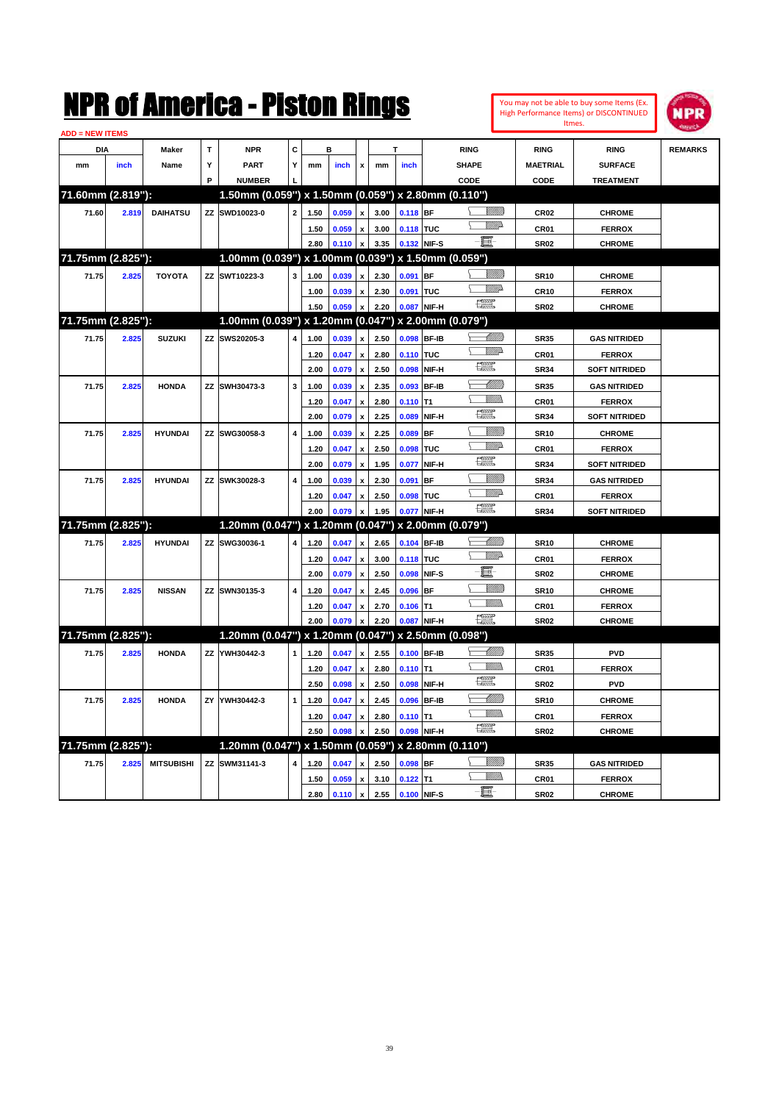| <b>ADD = NEW ITEMS</b> |       |                   |   |                                                     |                         |              |                |                                          |              |             |              |                               |                                 |                                |                |
|------------------------|-------|-------------------|---|-----------------------------------------------------|-------------------------|--------------|----------------|------------------------------------------|--------------|-------------|--------------|-------------------------------|---------------------------------|--------------------------------|----------------|
| <b>DIA</b>             |       | <b>Maker</b>      | т | <b>NPR</b>                                          | С                       |              | R              |                                          |              |             |              | <b>RING</b>                   | <b>RING</b>                     | <b>RING</b>                    | <b>REMARKS</b> |
| mm                     | inch  | Name              | Y | <b>PART</b>                                         | Y                       | mm           | inch           | x                                        | mm           | inch        |              | <b>SHAPE</b>                  | <b>MAETRIAL</b>                 | <b>SURFACE</b>                 |                |
|                        |       |                   | P | <b>NUMBER</b>                                       |                         |              |                |                                          |              |             |              | CODE                          | CODE                            | <b>TREATMENT</b>               |                |
| 71.60mm (2.819"):      |       |                   |   | 1.50mm (0.059") x 1.50mm (0.059") x 2.80mm (0.110") |                         |              |                |                                          |              |             |              |                               |                                 |                                |                |
| 71.60                  | 2.819 | <b>DAIHATSU</b>   |   | ZZ SWD10023-0                                       | $\mathbf{2}$            | 1.50         | 0.059          |                                          | 3.00         | $0.118$ BF  |              |                               | <b>CR02</b>                     | <b>CHROME</b>                  |                |
|                        |       |                   |   |                                                     |                         | 1.50         | 0.059          | $\boldsymbol{\mathsf{x}}$                | 3.00         | 0.118 TUC   |              | VIIIA                         | CR01                            | <b>FERROX</b>                  |                |
|                        |       |                   |   |                                                     |                         | 2.80         | 0.110          | $\pmb{\mathsf{x}}$                       | 3.35         | 0.132 NIF-S |              | - 8                           | <b>SR02</b>                     | <b>CHROME</b>                  |                |
| 71.75mm (2.825"):      |       |                   |   | 1.00mm (0.039") x 1.00mm (0.039") x 1.50mm (0.059") |                         |              |                |                                          |              |             |              |                               |                                 |                                |                |
| 71.75                  | 2.825 | <b>TOYOTA</b>     |   | ZZ SWT10223-3                                       | 3                       | 1.00         | 0.039          | $\mathbf{x}$                             | 2.30         | $0.091$ BF  |              |                               | <b>SR10</b>                     | <b>CHROME</b>                  |                |
|                        |       |                   |   |                                                     |                         | 1.00         | 0.039          | $\pmb{\mathsf{x}}$                       | 2.30         | 0.091 TUC   |              | <u>VM</u> D                   | <b>CR10</b>                     | <b>FERROX</b>                  |                |
|                        |       |                   |   |                                                     |                         | 1.50         | 0.059          |                                          | 2.20         |             | 0.087 NIF-H  | œ                             | <b>SR02</b>                     | <b>CHROME</b>                  |                |
| 71.75mm (2.825"):      |       |                   |   | 1.00mm (0.039") x 1.20mm (0.047") x 2.00mm (0.079") |                         |              |                |                                          |              |             |              |                               |                                 |                                |                |
| 71.75                  | 2.825 | <b>SUZUKI</b>     |   | ZZ SWS20205-3                                       | 4                       | 1.00         | 0.039          | $\pmb{\mathsf{x}}$                       | 2.50         | 0.098 BF-IB |              |                               | <b>SR35</b>                     | <b>GAS NITRIDED</b>            |                |
|                        |       |                   |   |                                                     |                         | 1.20         | 0.047          | $\pmb{\mathsf{x}}$                       | 2.80         | 0.110 TUC   |              | <u>VM</u> D                   | CR01                            | <b>FERROX</b>                  |                |
|                        |       |                   |   |                                                     |                         | 2.00         | 0.079          | $\pmb{\mathsf{x}}$                       | 2.50         |             | 0.098 NIF-H  | æ                             | <b>SR34</b>                     | <b>SOFT NITRIDED</b>           |                |
| 71.75                  | 2.825 | <b>HONDA</b>      |   | ZZ SWH30473-3                                       | 3                       | 1.00         | 0.039          | $\pmb{\mathsf{x}}$                       | 2.35         | 0.093       | <b>BF-IB</b> | <u> Millil</u>                | <b>SR35</b>                     | <b>GAS NITRIDED</b>            |                |
|                        |       |                   |   |                                                     |                         | 1.20         | 0.047          | x                                        | 2.80         | $0.110$ T1  |              | VM))                          | CR01                            | <b>FERROX</b>                  |                |
|                        |       |                   |   |                                                     |                         | 2.00         | 0.079          | $\boldsymbol{\mathsf{x}}$                | 2.25         | 0.089       | NIF-H        | 膘                             | <b>SR34</b>                     | <b>SOFT NITRIDED</b>           |                |
| 71.75                  | 2.825 | <b>HYUNDAI</b>    |   | ZZ SWG30058-3                                       | 4                       | 1.00         | 0.039          | $\boldsymbol{\mathsf{x}}$                | 2.25         | $0.089$ BF  |              | <u>Millil</u>                 | <b>SR10</b>                     | <b>CHROME</b>                  |                |
|                        |       |                   |   |                                                     |                         | 1.20         | 0.047          | $\boldsymbol{\mathsf{x}}$                | 2.50         | 0.098       | TUC          | VIIIA                         | CR <sub>01</sub>                | <b>FERROX</b>                  |                |
|                        |       |                   |   |                                                     |                         | 2.00         | 0.079          | $\boldsymbol{\mathsf{x}}$                | 1.95         | 0.077       | NIF-H        | 環                             | <b>SR34</b>                     | <b>SOFT NITRIDED</b>           |                |
| 71.75                  | 2.825 | <b>HYUNDAI</b>    |   | ZZ SWK30028-3                                       | 4                       | 1.00         | 0.039          | $\pmb{\mathsf{x}}$                       | 2.30         | $0.091$ BF  |              | VIIIII                        | <b>SR34</b>                     | <b>GAS NITRIDED</b>            |                |
|                        |       |                   |   |                                                     |                         | 1.20         | 0.047          | x                                        | 2.50         | 0.098 TUC   |              | <u>WW</u> A                   | CR01                            | <b>FERROX</b>                  |                |
|                        |       |                   |   |                                                     |                         | 2.00         | 0.079          | x                                        | 1.95         |             | 0.077 NIF-H  | œ                             | <b>SR34</b>                     | <b>SOFT NITRIDED</b>           |                |
| 71.75mm (2.825"):      |       |                   |   | 1.20mm (0.047") x 1.20mm (0.047") x 2.00mm (0.079") |                         |              |                |                                          |              |             |              |                               |                                 |                                |                |
| 71.75                  | 2.825 | <b>HYUNDAI</b>    |   | ZZ SWG30036-1                                       | 4                       | 1.20         | 0.047          | X                                        | 2.65         |             | 0.104 BF-IB  | <u>UMM</u>                    | <b>SR10</b>                     | <b>CHROME</b>                  |                |
|                        |       |                   |   |                                                     |                         | 1.20         | 0.047          |                                          | 3.00         | 0.118 TUC   |              | <u>VM</u> D                   |                                 |                                |                |
|                        |       |                   |   |                                                     |                         | 2.00         | 0.079          | $\pmb{\mathsf{x}}$<br>$\pmb{\mathsf{x}}$ | 2.50         |             | 0.098 NIF-S  | 圓                             | CR <sub>01</sub><br><b>SR02</b> | <b>FERROX</b><br><b>CHROME</b> |                |
|                        |       | <b>NISSAN</b>     |   | ZZ SWN30135-3                                       | $\overline{\mathbf{4}}$ | 1.20         | 0.047          | $\mathbf{x}$                             | 2.45         | 0.096       | <b>BF</b>    | 97777)                        |                                 |                                |                |
| 71.75                  | 2.825 |                   |   |                                                     |                         |              |                |                                          |              |             |              | VM))                          | <b>SR10</b>                     | <b>CHROME</b>                  |                |
|                        |       |                   |   |                                                     |                         | 1.20<br>2.00 | 0.047<br>0.079 | $\pmb{\mathsf{x}}$                       | 2.70<br>2.20 | $0.106$ T1  | 0.087 NIF-H  | $\frac{1}{2}$                 | CR01<br><b>SR02</b>             | <b>FERROX</b>                  |                |
| 71.75mm (2.825"):      |       |                   |   | 1.20mm (0.047") x 1.20mm (0.047") x 2.50mm (0.098") |                         |              |                |                                          |              |             |              |                               |                                 | <b>CHROME</b>                  |                |
|                        |       |                   |   |                                                     |                         |              |                |                                          |              |             |              | <u> Millitt</u>               |                                 |                                |                |
| 71.75                  | 2.825 | <b>HONDA</b>      |   | ZZ YWH30442-3                                       | $\mathbf{1}$            | 1.20         | 0.047          | $\pmb{\mathsf{x}}$                       | 2.55         |             | 0.100 BF-IB  | VMM)                          | <b>SR35</b>                     | <b>PVD</b>                     |                |
|                        |       |                   |   |                                                     |                         | 1.20         | 0.047          | $\pmb{\mathsf{x}}$                       | 2.80         | $0.110$ T1  |              | 鱸                             | CR01                            | <b>FERROX</b>                  |                |
|                        |       |                   |   |                                                     |                         | 2.50         | 0.098          | $\boldsymbol{\mathsf{x}}$                | 2.50         | 0.098       | NIF-H        | <u>UMB</u>                    | <b>SR02</b>                     | <b>PVD</b>                     |                |
| 71.75                  | 2.825 | <b>HONDA</b>      |   | ZY YWH30442-3                                       | 1                       | 1.20         | 0.047          | $\pmb{\mathsf{x}}$                       | 2.45         |             | 0.096 BF-IB  | <u>Willib</u><br>N.           | <b>SR10</b>                     | <b>CHROME</b>                  |                |
|                        |       |                   |   |                                                     |                         | 1.20         | 0.047          | x                                        | 2.80         | $0.110$ T1  |              | $f^{\text{exp}}_{\text{max}}$ | CR01                            | <b>FERROX</b>                  |                |
|                        |       |                   |   |                                                     |                         | 2.50         | 0.098          | $\pmb{\mathsf{x}}$                       | 2.50         |             | 0.098 NIF-H  |                               | <b>SR02</b>                     | <b>CHROME</b>                  |                |
| 71.75mm (2.825"):      |       |                   |   | 1.20mm (0.047") x 1.50mm (0.059") x 2.80mm (0.110") |                         |              |                |                                          |              |             |              |                               |                                 |                                |                |
| 71.75                  | 2.825 | <b>MITSUBISHI</b> |   | ZZ SWM31141-3                                       | 4                       | 1.20         | 0.047 x        |                                          | 2.50         | $0.098$ BF  |              | 97777).<br>VM).<br>Σ          | <b>SR35</b>                     | <b>GAS NITRIDED</b>            |                |
|                        |       |                   |   |                                                     |                         | 1.50         | 0.059          | $\pmb{\mathsf{x}}$                       | 3.10         | $0.122$ T1  |              | - 8                           | CR01                            | <b>FERROX</b>                  |                |
|                        |       |                   |   |                                                     |                         | 2.80         | $0.110 \times$ |                                          | 2.55         | 0.100 NIF-S |              |                               | <b>SR02</b>                     | <b>CHROME</b>                  |                |

You may not be able to buy some Items (Ex. High Performance Items) or DISCONTINUED Itmes.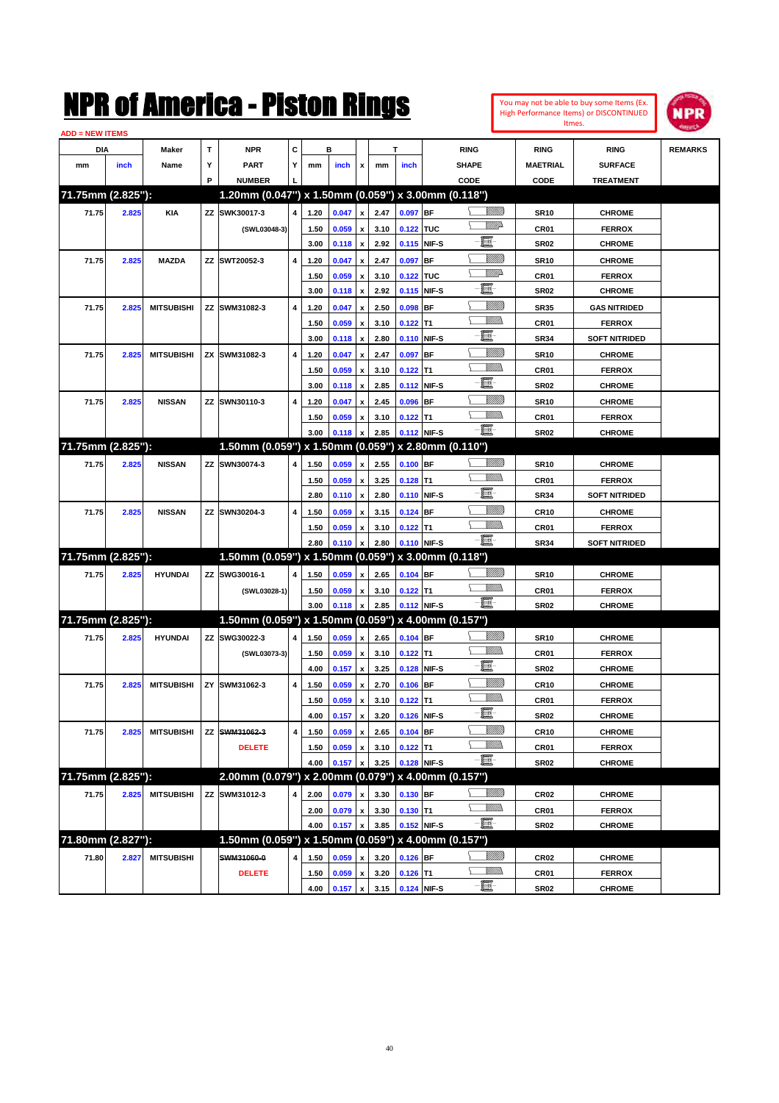| You may not be able to buy some Items (Ex. |
|--------------------------------------------|
| High Performance Items) or DISCONTINUED    |
| Itmes.                                     |



| <b>ADD = NEW ITEMS</b> |       |                   |    |                                                     |   |      |       |                           |      |             |             |                 |                  |                      |                |
|------------------------|-------|-------------------|----|-----------------------------------------------------|---|------|-------|---------------------------|------|-------------|-------------|-----------------|------------------|----------------------|----------------|
| <b>DIA</b>             |       | <b>Maker</b>      | T  | <b>NPR</b>                                          | С |      | в     |                           |      | т           |             | <b>RING</b>     | <b>RING</b>      | <b>RING</b>          | <b>REMARKS</b> |
| mm                     | inch  | Name              | Υ  | <b>PART</b>                                         | Y | mm   | inch  | x                         | mm   | inch        |             | <b>SHAPE</b>    | <b>MAETRIAL</b>  | <b>SURFACE</b>       |                |
|                        |       |                   | P  | <b>NUMBER</b>                                       |   |      |       |                           |      |             |             | CODE            | CODE             | <b>TREATMENT</b>     |                |
| 71.75mm (2.825"):      |       |                   |    | 1.20mm (0.047") x 1.50mm (0.059") x 3.00mm (0.118") |   |      |       |                           |      |             |             |                 |                  |                      |                |
| 71.75                  | 2.825 | <b>KIA</b>        |    | ZZ SWK30017-3                                       | 4 | 1.20 | 0.047 | $\pmb{\mathsf{x}}$        | 2.47 | 0.097 BF    |             | <u> UMB</u>     | <b>SR10</b>      | <b>CHROME</b>        |                |
|                        |       |                   |    | (SWL03048-3)                                        |   | 1.50 | 0.059 | x                         | 3.10 | 0.122 TUC   |             | <u>MMP</u>      | <b>CR01</b>      | <b>FERROX</b>        |                |
|                        |       |                   |    |                                                     |   | 3.00 | 0.118 | $\pmb{\mathsf{x}}$        | 2.92 |             | 0.115 NIF-S | e               | <b>SR02</b>      | <b>CHROME</b>        |                |
| 71.75                  | 2.825 | <b>MAZDA</b>      |    | ZZ SWT20052-3                                       | 4 | 1.20 | 0.047 | x                         | 2.47 | 0.097       | <b>BF</b>   | <u>VIIII)</u>   | <b>SR10</b>      | <b>CHROME</b>        |                |
|                        |       |                   |    |                                                     |   | 1.50 | 0.059 | x                         | 3.10 | 0.122 TUC   |             | <u>VMD</u>      | <b>CR01</b>      | <b>FERROX</b>        |                |
|                        |       |                   |    |                                                     |   | 3.00 | 0.118 | x                         | 2.92 |             | 0.115 NIF-S | e.              | <b>SR02</b>      | <b>CHROME</b>        |                |
| 71.75                  | 2.825 | <b>MITSUBISHI</b> |    | ZZ SWM31082-3                                       | 4 | 1.20 | 0.047 | x                         | 2.50 | $0.098$ BF  |             | <u>VIIII)</u>   | <b>SR35</b>      | <b>GAS NITRIDED</b>  |                |
|                        |       |                   |    |                                                     |   | 1.50 | 0.059 | x                         | 3.10 | $0.122$ T1  |             | .<br>VMD        | <b>CR01</b>      | <b>FERROX</b>        |                |
|                        |       |                   |    |                                                     |   | 3.00 | 0.118 | x                         | 2.80 |             | 0.110 NIF-S | E               | <b>SR34</b>      | <b>SOFT NITRIDED</b> |                |
| 71.75                  | 2.825 | <b>MITSUBISHI</b> |    | ZX SWM31082-3                                       | 4 | 1.20 | 0.047 |                           | 2.47 | 0.097 BF    |             | <u>VIIII)</u>   | <b>SR10</b>      | <b>CHROME</b>        |                |
|                        |       |                   |    |                                                     |   | 1.50 | 0.059 | x                         | 3.10 | $0.122$ T1  |             | .<br>VMD        | CR <sub>01</sub> | <b>FERROX</b>        |                |
|                        |       |                   |    |                                                     |   | 3.00 | 0.118 | x                         | 2.85 |             | 0.112 NIF-S | E               | <b>SR02</b>      | <b>CHROME</b>        |                |
| 71.75                  | 2.825 | <b>NISSAN</b>     |    | ZZ SWN30110-3                                       | 4 | 1.20 | 0.047 |                           | 2.45 | $0.096$ BF  |             | <u>VIIII)</u>   | <b>SR10</b>      | <b>CHROME</b>        |                |
|                        |       |                   |    |                                                     |   | 1.50 | 0.059 | x                         | 3.10 | $0.122$ T1  |             | <br>Militar     | <b>CR01</b>      | <b>FERROX</b>        |                |
|                        |       |                   |    |                                                     |   | 3.00 | 0.118 |                           | 2.85 |             | 0.112 NIF-S | -日              | <b>SR02</b>      | <b>CHROME</b>        |                |
| 71.75mm (2.825"):      |       |                   |    | 1.50mm (0.059") x 1.50mm (0.059") x 2.80mm (0.110") |   |      |       |                           |      |             |             |                 |                  |                      |                |
| 71.75                  | 2.825 | <b>NISSAN</b>     |    | ZZ SWN30074-3                                       | 4 | 1.50 | 0.059 | x                         | 2.55 | $0.100$ BF  |             | <u>Villida</u>  | <b>SR10</b>      | <b>CHROME</b>        |                |
|                        |       |                   |    |                                                     |   | 1.50 | 0.059 | x                         | 3.25 | $0.128$ T1  |             | VM))            | <b>CR01</b>      | <b>FERROX</b>        |                |
|                        |       |                   |    |                                                     |   | 2.80 | 0.110 | $\boldsymbol{\mathsf{x}}$ | 2.80 |             | 0.110 NIF-S | e.              | <b>SR34</b>      | <b>SOFT NITRIDED</b> |                |
| 71.75                  | 2.825 | <b>NISSAN</b>     |    | ZZ SWN30204-3                                       | 4 | 1.50 | 0.059 | x                         | 3.15 | $0.124$ BF  |             | <u>VIIII)</u>   | <b>CR10</b>      | <b>CHROME</b>        |                |
|                        |       |                   |    |                                                     |   | 1.50 | 0.059 | x                         | 3.10 | $0.122$ T1  |             | <br>Militar     | <b>CR01</b>      | <b>FERROX</b>        |                |
|                        |       |                   |    |                                                     |   | 2.80 | 0.110 | x                         | 2.80 |             | 0.110 NIF-S | -日              | <b>SR34</b>      | <b>SOFT NITRIDED</b> |                |
| 71.75mm (2.825"):      |       |                   |    | 1.50mm (0.059") x 1.50mm (0.059") x 3.00mm (0.118") |   |      |       |                           |      |             |             |                 |                  |                      |                |
| 71.75                  | 2.825 | <b>HYUNDAI</b>    |    | ZZ SWG30016-1                                       | 4 | 1.50 | 0.059 | x                         | 2.65 | $0.104$ BF  |             | <u>Villida</u>  | <b>SR10</b>      | <b>CHROME</b>        |                |
|                        |       |                   |    | (SWL03028-1)                                        |   | 1.50 | 0.059 | x                         | 3.10 | $0.122$ T1  |             | <br>Militar     | <b>CR01</b>      | <b>FERROX</b>        |                |
|                        |       |                   |    |                                                     |   | 3.00 | 0.118 |                           | 2.85 |             | 0.112 NIF-S | -8              | SR02             | <b>CHROME</b>        |                |
| 71.75mm (2.825"):      |       |                   |    | 1.50mm (0.059") x 1.50mm (0.059") x 4.00mm (0.157") |   |      |       |                           |      |             |             |                 |                  |                      |                |
| 71.75                  | 2.825 | <b>HYUNDAI</b>    |    | ZZ SWG30022-3                                       | 4 | 1.50 | 0.059 | x                         | 2.65 | $0.104$ BF  |             | <u>Villida</u>  | <b>SR10</b>      | <b>CHROME</b>        |                |
|                        |       |                   |    | (SWL03073-3)                                        |   | 1.50 | 0.059 | x                         | 3.10 | $0.122$ T1  |             | VM))            | <b>CR01</b>      | <b>FERROX</b>        |                |
|                        |       |                   |    |                                                     |   | 4.00 | 0.157 | $\pmb{\mathsf{x}}$        | 3.25 |             | 0.128 NIF-S | e.              | <b>SR02</b>      | <b>CHROME</b>        |                |
| 71.75                  | 2.825 | <b>MITSUBISHI</b> | ZY | SWM31062-3                                          | 4 | 1.50 | 0.059 |                           | 2.70 | $0.106$ BF  |             | <u>VIIII)</u>   | <b>CR10</b>      | <b>CHROME</b>        |                |
|                        |       |                   |    |                                                     |   | 1.50 | 0.059 | x                         | 3.10 | $0.122$ T1  |             |                 | CR01             | <b>FERROX</b>        |                |
|                        |       |                   |    |                                                     |   | 4.00 | 0.157 | $\pmb{\mathsf{x}}$        | 3.20 | 0.126 NIF-S |             | - 1             | SR02             | <b>CHROME</b>        |                |
| 71.75                  | 2.825 | <b>MITSUBISHI</b> | ΖZ | SWM31062-3                                          | 4 | 1.50 | 0.059 | $\pmb{\mathsf{x}}$        | 2.65 | $0.104$ BF  |             | <u>VIIII)</u>   | <b>CR10</b>      | <b>CHROME</b>        |                |
|                        |       |                   |    | <b>DELETE</b>                                       |   | 1.50 | 0.059 | x                         | 3.10 | $0.122$ T1  |             | <u>Millib</u>   | CR01             | <b>FERROX</b>        |                |
|                        |       |                   |    |                                                     |   | 4.00 | 0.157 |                           | 3.25 |             | 0.128 NIF-S | $-\blacksquare$ | SR02             | <b>CHROME</b>        |                |
| 71.75mm (2.825"):      |       |                   |    | 2.00mm (0.079") x 2.00mm (0.079") x 4.00mm (0.157") |   |      |       |                           |      |             |             |                 |                  |                      |                |
| 71.75                  | 2.825 | <b>MITSUBISHI</b> |    | ZZ SWM31012-3                                       | 4 | 2.00 | 0.079 | x                         | 3.30 | $0.130$ BF  |             | <u>Villida</u>  | CR02             | <b>CHROME</b>        |                |
|                        |       |                   |    |                                                     |   | 2.00 | 0.079 | $\pmb{\mathsf{x}}$        | 3.30 | $0.130$ T1  |             | <u>VMM</u>      | CR01             | <b>FERROX</b>        |                |
|                        |       |                   |    |                                                     |   | 4.00 | 0.157 | x                         | 3.85 |             | 0.152 NIF-S | $-\blacksquare$ | SR02             | <b>CHROME</b>        |                |
| 71.80mm (2.827"):      |       |                   |    | 1.50mm (0.059") x 1.50mm (0.059") x 4.00mm (0.157") |   |      |       |                           |      |             |             |                 |                  |                      |                |
| 71.80                  | 2.827 | <b>MITSUBISHI</b> |    | SWM31060-0                                          | 4 | 1.50 | 0.059 | x                         | 3.20 | $0.126$ BF  |             | <u>VIIII)</u>   | CR02             | <b>CHROME</b>        |                |
|                        |       |                   |    | <b>DELETE</b>                                       |   | 1.50 | 0.059 | x                         | 3.20 | $0.126$ T1  |             | <u>WMW</u>      | CR01             | <b>FERROX</b>        |                |
|                        |       |                   |    |                                                     |   | 4.00 | 0.157 | $\pmb{\mathsf{x}}$        | 3.15 | 0.124 NIF-S |             | $-\Xi$ -        | <b>SR02</b>      | <b>CHROME</b>        |                |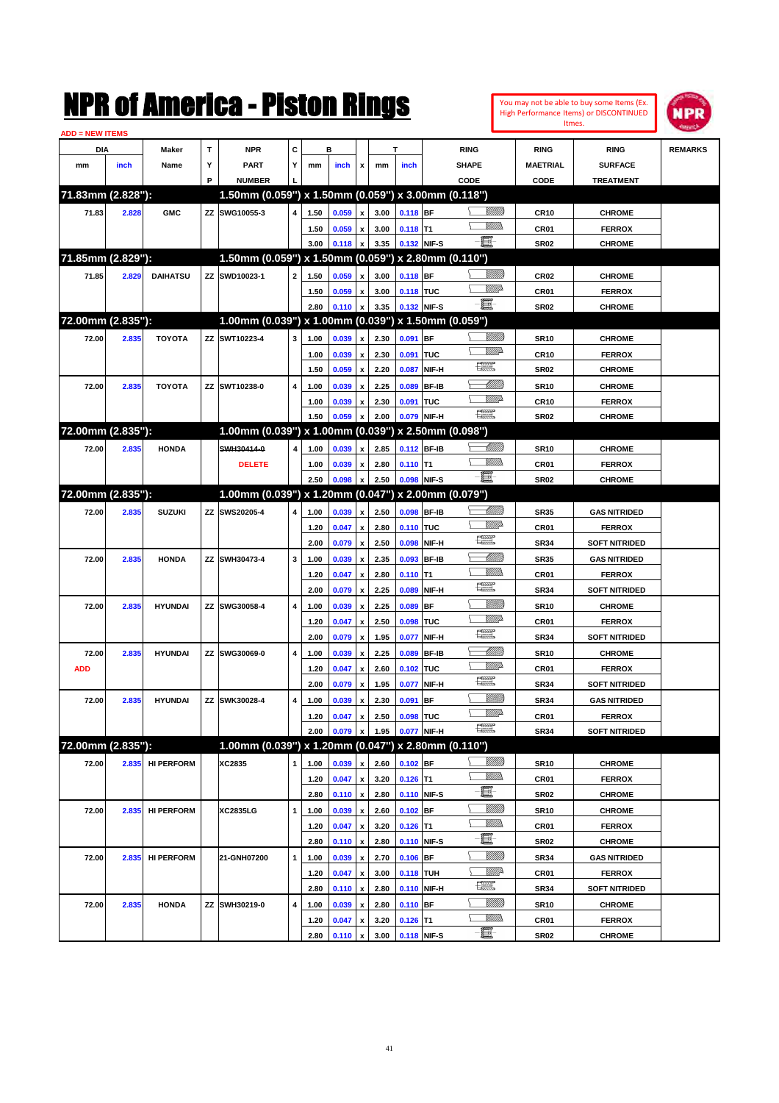| <b>ADD = NEW ITEMS</b> |       |                   |   | NMK OT AINCrica - Miston Kings                      |              |      |       |                                          |      |                  |                   |                         |                    |                  | You may not be able to buy some Items (Ex.<br>High Performance Items) or DISCONTINUED<br>Itmes. | IPR            |
|------------------------|-------|-------------------|---|-----------------------------------------------------|--------------|------|-------|------------------------------------------|------|------------------|-------------------|-------------------------|--------------------|------------------|-------------------------------------------------------------------------------------------------|----------------|
| DIA                    |       | Maker             | T | <b>NPR</b>                                          | C            |      | в     |                                          |      | T                |                   | <b>RING</b>             |                    | <b>RING</b>      | <b>RING</b>                                                                                     | <b>REMARKS</b> |
| mm                     | inch  | Name              | Υ | <b>PART</b>                                         | Y            | mm   | inch  | x                                        | mm   | inch             |                   | <b>SHAPE</b>            |                    | <b>MAETRIAL</b>  | <b>SURFACE</b>                                                                                  |                |
|                        |       |                   | P | <b>NUMBER</b>                                       |              |      |       |                                          |      |                  |                   | CODE                    |                    | CODE             | <b>TREATMENT</b>                                                                                |                |
| 71.83mm (2.828"):      |       |                   |   | 1.50mm (0.059") x 1.50mm (0.059") x 3.00mm (0.118") |              |      |       |                                          |      |                  |                   |                         |                    |                  |                                                                                                 |                |
| 71.83                  | 2.828 | <b>GMC</b>        |   | ZZ SWG10055-3                                       | 4            | 1.50 | 0.059 | $\pmb{\mathsf{x}}$                       | 3.00 | 0.118 BF         |                   |                         |                    | <b>CR10</b>      | <b>CHROME</b>                                                                                   |                |
|                        |       |                   |   |                                                     |              | 1.50 | 0.059 | $\pmb{\mathsf{x}}$                       | 3.00 | $0.118$ T1       |                   |                         | 9777)              | CR01             | <b>FERROX</b>                                                                                   |                |
|                        |       |                   |   |                                                     |              | 3.00 | 0.118 | x                                        | 3.35 |                  | 0.132 NIF-S       | E                       |                    | <b>SR02</b>      | <b>CHROME</b>                                                                                   |                |
| 71.85mm (2.829"):      |       |                   |   | 1.50mm (0.059") x 1.50mm (0.059") x 2.80mm (0.110") |              |      |       |                                          |      |                  |                   |                         |                    |                  |                                                                                                 |                |
| 71.85                  | 2.829 | <b>DAIHATSU</b>   |   | ZZ SWD10023-1                                       | $\mathbf{2}$ | 1.50 | 0.059 | x                                        | 3.00 | 0.118 BF         |                   |                         | <u> UMB</u>        | <b>CR02</b>      | <b>CHROME</b>                                                                                   |                |
|                        |       |                   |   |                                                     |              | 1.50 | 0.059 | $\pmb{\mathsf{x}}$                       | 3.00 | 0.118 TUC        |                   |                         | <u>VIII</u> D      | CR <sub>01</sub> | <b>FERROX</b>                                                                                   |                |
|                        |       |                   |   |                                                     |              | 2.80 | 0.110 | $\mathbf{x}$                             | 3.35 |                  | 0.132 NIF-S       | e.                      |                    | <b>SR02</b>      | <b>CHROME</b>                                                                                   |                |
| 72.00mm (2.835"):      |       |                   |   | 1.00mm (0.039") x 1.00mm (0.039") x 1.50mm (0.059") |              |      |       |                                          |      |                  |                   |                         |                    |                  |                                                                                                 |                |
| 72.00                  | 2.835 | <b>TOYOTA</b>     |   | ZZ SWT10223-4                                       | 3            | 1.00 | 0.039 | x                                        | 2.30 | 0.091            | <b>BF</b>         |                         | <u>Villitti</u>    | <b>SR10</b>      | <b>CHROME</b>                                                                                   |                |
|                        |       |                   |   |                                                     |              | 1.00 | 0.039 | $\pmb{\mathsf{x}}$                       | 2.30 | 0.091            | TUC               |                         | VM)                | <b>CR10</b>      | <b>FERROX</b>                                                                                   |                |
|                        |       |                   |   |                                                     |              | 1.50 | 0.059 | $\boldsymbol{\mathsf{x}}$                | 2.20 | 0.087            | NIF-H             | N                       |                    | <b>SR02</b>      | <b>CHROME</b>                                                                                   |                |
| 72.00                  | 2.835 | <b>TOYOTA</b>     |   | ZZ SWT10238-0                                       | 4            | 1.00 | 0.039 | x                                        | 2.25 | 0.089            | <b>BF-IB</b>      |                         | <u> UMM</u>        | <b>SR10</b>      | <b>CHROME</b>                                                                                   |                |
|                        |       |                   |   |                                                     |              |      |       |                                          |      |                  |                   |                         | <u>VMD</u>         |                  |                                                                                                 |                |
|                        |       |                   |   |                                                     |              | 1.00 | 0.039 | $\pmb{\mathsf{x}}$                       | 2.30 | 0.091            | TUC               | 漂                       |                    | <b>CR10</b>      | <b>FERROX</b>                                                                                   |                |
| 72.00mm (2.835"):      |       |                   |   | 1.00mm (0.039") x 1.00mm (0.039") x 2.50mm (0.098") |              | 1.50 | 0.059 | x                                        | 2.00 | 0.079            | NIF-H             |                         |                    | <b>SR02</b>      | <b>CHROME</b>                                                                                   |                |
|                        |       |                   |   |                                                     |              |      |       |                                          |      |                  |                   |                         |                    |                  |                                                                                                 |                |
| 72.00                  | 2.835 | <b>HONDA</b>      |   | SWH30414-0                                          | 4            | 1.00 | 0.039 | $\mathbf{x}$                             | 2.85 | 0.112 BF-IB      |                   |                         | <u> UMM</u><br>VM) | <b>SR10</b>      | <b>CHROME</b>                                                                                   |                |
|                        |       |                   |   | <b>DELETE</b>                                       |              | 1.00 | 0.039 | $\pmb{\mathsf{x}}$                       | 2.80 | $0.110$ T1       |                   | E                       |                    | CR <sub>01</sub> | <b>FERROX</b>                                                                                   |                |
|                        |       |                   |   |                                                     |              | 2.50 | 0.098 | $\boldsymbol{x}$                         | 2.50 |                  | 0.098 NIF-S       |                         |                    | <b>SR02</b>      | <b>CHROME</b>                                                                                   |                |
| 72.00mm (2.835"):      |       |                   |   | 1.00mm (0.039") x 1.20mm (0.047")                   |              |      |       |                                          |      |                  | x 2.00mm (0.079") |                         |                    |                  |                                                                                                 |                |
| 72.00                  | 2.835 | <b>SUZUKI</b>     |   | ZZ SWS20205-4                                       | 4            | 1.00 | 0.039 | $\boldsymbol{x}$                         | 2.50 |                  | 0.098 BF-IB       |                         | <u> UMB</u>        | <b>SR35</b>      | <b>GAS NITRIDED</b>                                                                             |                |
|                        |       |                   |   |                                                     |              | 1.20 | 0.047 | $\pmb{\mathsf{x}}$                       | 2.80 | 0.110 TUC        |                   |                         | <u>VMD</u>         | CR01             | <b>FERROX</b>                                                                                   |                |
|                        |       |                   |   |                                                     |              | 2.00 | 0.079 | $\boldsymbol{\mathsf{x}}$                | 2.50 | 0.098            | NIF-H             | 鱱                       |                    | <b>SR34</b>      | <b>SOFT NITRIDED</b>                                                                            |                |
| 72.00                  | 2.835 | <b>HONDA</b>      |   | ZZ SWH30473-4                                       | 3            | 1.00 | 0.039 | x                                        | 2.35 | 0.093            | <b>BF-IB</b>      |                         | <u> UMM</u>        | <b>SR35</b>      | <b>GAS NITRIDED</b>                                                                             |                |
|                        |       |                   |   |                                                     |              | 1.20 | 0.047 | $\pmb{\mathsf{x}}$                       | 2.80 | 0.110            | lT1               |                         | VM)                | CR01             | <b>FERROX</b>                                                                                   |                |
|                        |       |                   |   |                                                     |              | 2.00 | 0.079 | $\boldsymbol{\mathsf{x}}$                | 2.25 | 0.089            | NIF-H             | <b>THE</b>              |                    | <b>SR34</b>      | <b>SOFT NITRIDED</b>                                                                            |                |
| 72.00                  | 2.835 | <b>HYUNDAI</b>    |   | ZZ SWG30058-4                                       | 4            | 1.00 | 0.039 | x                                        | 2.25 | 0.089            | BF                |                         | <u>Millil</u>      | <b>SR10</b>      | <b>CHROME</b>                                                                                   |                |
|                        |       |                   |   |                                                     |              | 1.20 | 0.047 | $\pmb{\mathsf{x}}$                       | 2.50 | 0.098            | TUC               |                         | <u>VIII</u> D      | CR01             | <b>FERROX</b>                                                                                   |                |
|                        |       |                   |   |                                                     |              | 2.00 | 0.079 | $\boldsymbol{\mathsf{x}}$                | 1.95 | 0.077            | NIF-H             | œ                       |                    | <b>SR34</b>      | <b>SOFT NITRIDED</b>                                                                            |                |
| 72.00                  | 2.835 | <b>HYUNDAI</b>    |   | ZZ SWG30069-0                                       | 4            | 1.00 | 0.039 | x                                        | 2.25 | 0.089            | <b>BF-IB</b>      |                         | <u> UMM</u>        | <b>SR10</b>      | <b>CHROME</b>                                                                                   |                |
| <b>ADD</b>             |       |                   |   |                                                     |              | 1.20 | 0.047 | $\pmb{\mathsf{x}}$                       | 2.60 | 0.102 TUC        |                   |                         | <u>VMB</u>         | CR01             | <b>FERROX</b>                                                                                   |                |
|                        |       |                   |   |                                                     |              | 2.00 | 0.079 | $\pmb{\mathsf{x}}$                       | 1.95 |                  | 0.077 NIF-H       | $\mathbb{R}^n$          |                    | <b>SR34</b>      | <b>SOFT NITRIDED</b>                                                                            |                |
| 72.00                  | 2.835 | <b>HYUNDAI</b>    |   | ZZ SWK30028-4                                       | 4            | 1.00 | 0.039 | $\pmb{\mathsf{x}}$                       | 2.30 | 0.091            | <b>BF</b>         |                         | <u>Villida</u>     | <b>SR34</b>      | <b>GAS NITRIDED</b>                                                                             |                |
|                        |       |                   |   |                                                     |              | 1.20 | 0.047 | $\pmb{\mathsf{x}}$                       | 2.50 | <b>0.098 TUC</b> |                   |                         | <u>WW</u> A        | CR01             | <b>FERROX</b>                                                                                   |                |
|                        |       |                   |   |                                                     |              | 2.00 | 0.079 | $\boldsymbol{x}$                         | 1.95 |                  | 0.077 NIF-H       | $f_{\rm max}^{\rm exp}$ |                    | <b>SR34</b>      | <b>SOFT NITRIDED</b>                                                                            |                |
| 72.00mm (2.835"):      |       |                   |   | 1.00mm (0.039") x 1.20mm (0.047") x 2.80mm (0.110") |              |      |       |                                          |      |                  |                   |                         |                    |                  |                                                                                                 |                |
| 72.00                  | 2.835 | <b>HI PERFORM</b> |   | XC2835                                              | $\mathbf{1}$ | 1.00 | 0.039 | $\pmb{\mathsf{x}}$                       | 2.60 | $0.102$ BF       |                   |                         | <u>Millit</u>      | <b>SR10</b>      | <b>CHROME</b>                                                                                   |                |
|                        |       |                   |   |                                                     |              | 1.20 | 0.047 | $\pmb{\mathsf{x}}$                       | 3.20 | $0.126$ T1       |                   |                         | <u>VMMs</u>        | CR01             | <b>FERROX</b>                                                                                   |                |
|                        |       |                   |   |                                                     |              | 2.80 | 0.110 | $\pmb{\mathsf{x}}$                       | 2.80 |                  | 0.110 NIF-S       | e-                      |                    | <b>SR02</b>      | <b>CHROME</b>                                                                                   |                |
| 72.00                  | 2.835 | <b>HI PERFORM</b> |   | <b>XC2835LG</b>                                     | $\mathbf{1}$ | 1.00 | 0.039 | $\pmb{\mathsf{x}}$                       | 2.60 | $0.102$ BF       |                   |                         | <u>Milli</u> b     | <b>SR10</b>      | <b>CHROME</b>                                                                                   |                |
|                        |       |                   |   |                                                     |              | 1.20 | 0.047 |                                          | 3.20 | $0.126$ T1       |                   |                         | <u>Willib</u>      | CR01             | <b>FERROX</b>                                                                                   |                |
|                        |       |                   |   |                                                     |              | 2.80 | 0.110 | $\pmb{\mathsf{x}}$<br>$\pmb{\mathsf{x}}$ | 2.80 |                  | 0.110 NIF-S       | e.                      |                    | <b>SR02</b>      | <b>CHROME</b>                                                                                   |                |
|                        |       |                   |   |                                                     |              |      |       |                                          |      |                  |                   |                         | <u>Villitti</u>    |                  |                                                                                                 |                |
| 72.00                  | 2.835 | <b>HI PERFORM</b> |   | 21-GNH07200                                         | $\mathbf{1}$ | 1.00 | 0.039 | $\pmb{\mathsf{x}}$                       | 2.70 | 0.106 BF         |                   |                         | <u>Willi</u>       | <b>SR34</b>      | <b>GAS NITRIDED</b>                                                                             |                |
|                        |       |                   |   |                                                     |              | 1.20 | 0.047 | $\pmb{\mathsf{x}}$                       | 3.00 | 0.118 TUH        |                   | H                       |                    | CR01             | <b>FERROX</b>                                                                                   |                |
|                        |       |                   |   |                                                     |              | 2.80 | 0.110 | $\pmb{\mathsf{x}}$                       | 2.80 |                  | 0.110 NIF-H       |                         | <u>Millit</u>      | <b>SR34</b>      | <b>SOFT NITRIDED</b>                                                                            |                |
| 72.00                  | 2.835 | <b>HONDA</b>      |   | ZZ SWH30219-0                                       | 4            | 1.00 | 0.039 | $\pmb{\mathsf{x}}$                       | 2.80 | 0.110 BF         |                   |                         | <u>Willib</u>      | <b>SR10</b>      | <b>CHROME</b>                                                                                   |                |
|                        |       |                   |   |                                                     |              | 1.20 | 0.047 | x                                        | 3.20 | $0.126$ T1       |                   | e                       |                    | CR01             | <b>FERROX</b>                                                                                   |                |
|                        |       |                   |   |                                                     |              | 2.80 | 0.110 | $\pmb{\mathsf{x}}$                       | 3.00 |                  | 0.118 NIF-S       |                         |                    | <b>SR02</b>      | <b>CHROME</b>                                                                                   |                |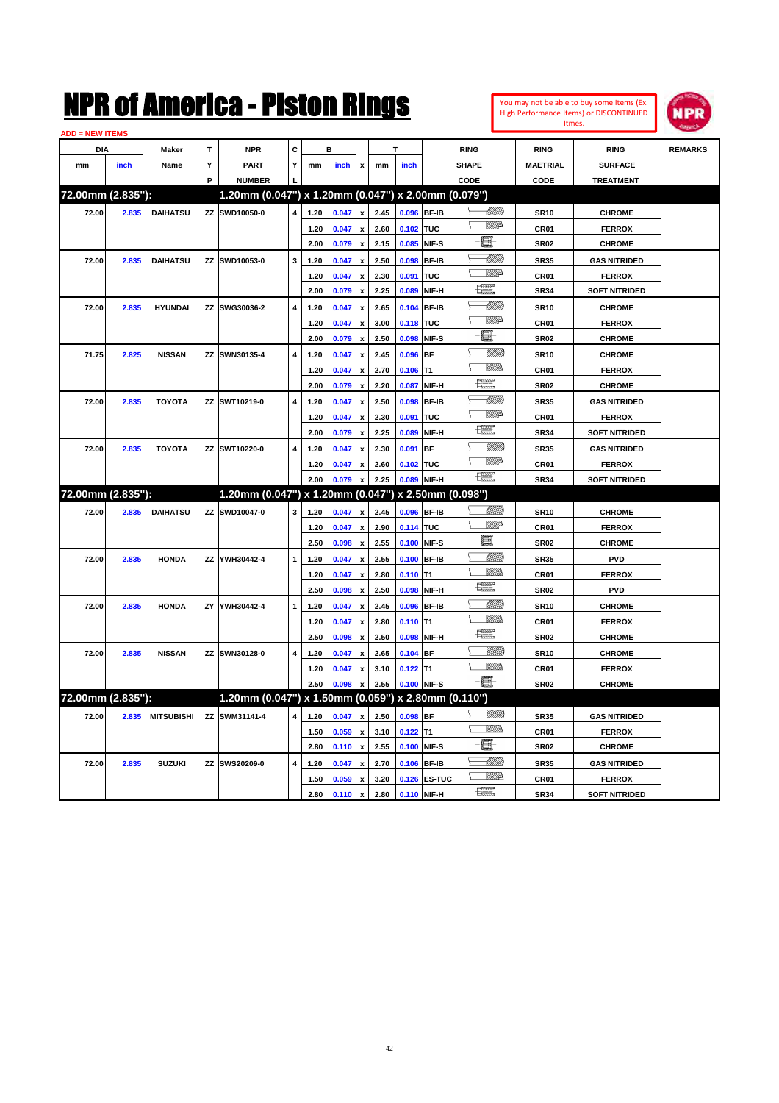

| <b>ADD = NEW ITEMS</b> |       |                   |   |                                                     |                |      |         |                           |      |                  |              |                                                                                                                                                                                                                                                                                                                                                                                                                          |                  |                      |                |
|------------------------|-------|-------------------|---|-----------------------------------------------------|----------------|------|---------|---------------------------|------|------------------|--------------|--------------------------------------------------------------------------------------------------------------------------------------------------------------------------------------------------------------------------------------------------------------------------------------------------------------------------------------------------------------------------------------------------------------------------|------------------|----------------------|----------------|
| <b>DIA</b>             |       | Maker             | T | <b>NPR</b>                                          | C              |      | в       |                           |      |                  |              | <b>RING</b>                                                                                                                                                                                                                                                                                                                                                                                                              | <b>RING</b>      | <b>RING</b>          | <b>REMARKS</b> |
| mm                     | inch  | Name              | Y | <b>PART</b>                                         | Y              | mm   | inch    | x                         | mm   | inch             |              | <b>SHAPE</b>                                                                                                                                                                                                                                                                                                                                                                                                             | <b>MAETRIAL</b>  | <b>SURFACE</b>       |                |
|                        |       |                   | P | <b>NUMBER</b>                                       |                |      |         |                           |      |                  |              | CODE                                                                                                                                                                                                                                                                                                                                                                                                                     | CODE             | <b>TREATMENT</b>     |                |
| 72.00mm (2.835"):      |       |                   |   | 1.20mm (0.047") x 1.20mm (0.047") x 2.00mm (0.079") |                |      |         |                           |      |                  |              |                                                                                                                                                                                                                                                                                                                                                                                                                          |                  |                      |                |
| 72.00                  | 2.835 | <b>DAIHATSU</b>   |   | ZZ SWD10050-0                                       | 4              | 1.20 | 0.047   | $\mathbf{x}$              | 2.45 |                  | 0.096 BF-IB  | <u> UMB</u>                                                                                                                                                                                                                                                                                                                                                                                                              | <b>SR10</b>      | <b>CHROME</b>        |                |
|                        |       |                   |   |                                                     |                | 1.20 | 0.047   | $\boldsymbol{x}$          | 2.60 | 0.102 TUC        |              | \ <i>\\\\\\\\</i> }                                                                                                                                                                                                                                                                                                                                                                                                      | <b>CR01</b>      | <b>FERROX</b>        |                |
|                        |       |                   |   |                                                     |                | 2.00 | 0.079   | $\pmb{\mathsf{x}}$        | 2.15 |                  | 0.085 NIF-S  | $-\blacksquare$                                                                                                                                                                                                                                                                                                                                                                                                          | <b>SR02</b>      | <b>CHROME</b>        |                |
| 72.00                  | 2.835 | <b>DAIHATSU</b>   |   | ZZ SWD10053-0                                       | 3              | 1.20 | 0.047   | $\pmb{\mathsf{x}}$        | 2.50 |                  | 0.098 BF-IB  |                                                                                                                                                                                                                                                                                                                                                                                                                          | <b>SR35</b>      | <b>GAS NITRIDED</b>  |                |
|                        |       |                   |   |                                                     |                | 1.20 | 0.047   | $\pmb{\mathsf{x}}$        | 2.30 | 0.091 TUC        |              | <u>Willia</u>                                                                                                                                                                                                                                                                                                                                                                                                            | <b>CR01</b>      | <b>FERROX</b>        |                |
|                        |       |                   |   |                                                     |                | 2.00 | 0.079   | $\pmb{\mathsf{x}}$        | 2.25 |                  | 0.089 NIF-H  | $\frac{1}{2}$                                                                                                                                                                                                                                                                                                                                                                                                            | <b>SR34</b>      | <b>SOFT NITRIDED</b> |                |
| 72.00                  | 2.835 | <b>HYUNDAI</b>    |   | ZZ SWG30036-2                                       | 4              | 1.20 | 0.047   | $\pmb{\mathsf{x}}$        | 2.65 |                  | 0.104 BF-IB  | $\begin{matrix} \begin{matrix} \end{matrix} \\ \end{matrix}$                                                                                                                                                                                                                                                                                                                                                             | <b>SR10</b>      | <b>CHROME</b>        |                |
|                        |       |                   |   |                                                     |                | 1.20 | 0.047   | $\pmb{\mathsf{x}}$        | 3.00 | <b>0.118 TUC</b> |              | <u>Willi</u> da                                                                                                                                                                                                                                                                                                                                                                                                          | CR01             | <b>FERROX</b>        |                |
|                        |       |                   |   |                                                     |                | 2.00 | 0.079   | $\pmb{\mathsf{x}}$        | 2.50 |                  | 0.098 NIF-S  | $-\blacksquare$                                                                                                                                                                                                                                                                                                                                                                                                          | <b>SR02</b>      | <b>CHROME</b>        |                |
| 71.75                  | 2.825 | <b>NISSAN</b>     |   | ZZ SWN30135-4                                       | 4              | 1.20 | 0.047   | $\boldsymbol{\mathsf{x}}$ | 2.45 | $0.096$ BF       |              | <u>Sillilli</u>                                                                                                                                                                                                                                                                                                                                                                                                          | <b>SR10</b>      | <b>CHROME</b>        |                |
|                        |       |                   |   |                                                     |                | 1.20 | 0.047   | $\pmb{\mathsf{x}}$        | 2.70 | $0.106$ T1       |              | WM).<br>↸                                                                                                                                                                                                                                                                                                                                                                                                                | <b>CR01</b>      | <b>FERROX</b>        |                |
|                        |       |                   |   |                                                     |                | 2.00 | 0.079   | $\pmb{\mathsf{x}}$        | 2.20 |                  | 0.087 NIF-H  | $\begin{picture}(20,20) \put(0,0){\dashbox{0.5}(20,0){ }} \thicklines \put(0,0){\dashbox{0.5}(20,0){ }} \thicklines \put(0,0){\dashbox{0.5}(20,0){ }} \thicklines \put(0,0){\dashbox{0.5}(20,0){ }} \thicklines \put(0,0){\dashbox{0.5}(20,0){ }} \thicklines \put(0,0){\dashbox{0.5}(20,0){ }} \thicklines \put(0,0){\dashbox{0.5}(20,0){ }} \thicklines \put(0,0){\dashbox{0.5}(20,0){ }} \thicklines \put(0,0){\dash$ | <b>SR02</b>      | <b>CHROME</b>        |                |
| 72.00                  | 2.835 | <b>TOYOTA</b>     |   | ZZ SWT10219-0                                       | 4              | 1.20 | 0.047   | $\boldsymbol{\mathsf{x}}$ | 2.50 |                  | 0.098 BF-IB  | <u> UMM</u>                                                                                                                                                                                                                                                                                                                                                                                                              | <b>SR35</b>      | <b>GAS NITRIDED</b>  |                |
|                        |       |                   |   |                                                     |                | 1.20 | 0.047   | $\boldsymbol{x}$          | 2.30 | 0.091 TUC        |              | WMA                                                                                                                                                                                                                                                                                                                                                                                                                      | <b>CR01</b>      | <b>FERROX</b>        |                |
|                        |       |                   |   |                                                     |                | 2.00 | 0.079   | $\pmb{\mathsf{x}}$        | 2.25 |                  | 0.089 NIF-H  | 環                                                                                                                                                                                                                                                                                                                                                                                                                        | <b>SR34</b>      | <b>SOFT NITRIDED</b> |                |
| 72.00                  | 2.835 | <b>TOYOTA</b>     |   | ZZ SWT10220-0                                       | 4              | 1.20 | 0.047   | $\boldsymbol{x}$          | 2.30 | 0.091 BF         |              | VIII))                                                                                                                                                                                                                                                                                                                                                                                                                   | <b>SR35</b>      | <b>GAS NITRIDED</b>  |                |
|                        |       |                   |   |                                                     |                | 1.20 | 0.047   | $\pmb{\mathsf{x}}$        | 2.60 | 0.102 TUC        |              | <b>W///2</b>                                                                                                                                                                                                                                                                                                                                                                                                             | CR <sub>01</sub> | <b>FERROX</b>        |                |
|                        |       |                   |   |                                                     |                | 2.00 | 0.079   | $\mathbf{x}$              | 2.25 |                  | 0.089 NIF-H  | <b>DEST</b>                                                                                                                                                                                                                                                                                                                                                                                                              | <b>SR34</b>      | <b>SOFT NITRIDED</b> |                |
| 72.00mm (2.835"):      |       |                   |   | 1.20mm (0.047") x 1.20mm (0.047") x 2.50mm (0.098") |                |      |         |                           |      |                  |              |                                                                                                                                                                                                                                                                                                                                                                                                                          |                  |                      |                |
| 72.00                  | 2.835 | <b>DAIHATSU</b>   |   | ZZ SWD10047-0                                       | 3              | 1.20 | 0.047   | x                         | 2.45 |                  | 0.096 BF-IB  | -UMM)                                                                                                                                                                                                                                                                                                                                                                                                                    | <b>SR10</b>      | <b>CHROME</b>        |                |
|                        |       |                   |   |                                                     |                | 1.20 | 0.047   | x                         | 2.90 | 0.114 TUC        |              | <b>W///2</b>                                                                                                                                                                                                                                                                                                                                                                                                             | CR <sub>01</sub> | <b>FERROX</b>        |                |
|                        |       |                   |   |                                                     |                | 2.50 | 0.098   | $\pmb{\mathsf{x}}$        | 2.55 |                  | 0.100 NIF-S  | - <b>e</b>                                                                                                                                                                                                                                                                                                                                                                                                               | <b>SR02</b>      | <b>CHROME</b>        |                |
| 72.00                  | 2.835 | <b>HONDA</b>      |   | ZZ YWH30442-4                                       | $\mathbf{1}$   | 1.20 | 0.047   |                           | 2.55 |                  | 0.100 BF-IB  | — MMB                                                                                                                                                                                                                                                                                                                                                                                                                    | <b>SR35</b>      | <b>PVD</b>           |                |
|                        |       |                   |   |                                                     |                | 1.20 | 0.047   | $\pmb{\mathsf{x}}$        | 2.80 | $0.110$ T1       |              | <b>Willia</b>                                                                                                                                                                                                                                                                                                                                                                                                            | <b>CR01</b>      | <b>FERROX</b>        |                |
|                        |       |                   |   |                                                     |                | 2.50 | 0.098   | $\pmb{\mathsf{x}}$        | 2.50 |                  | 0.098 NIF-H  | 環                                                                                                                                                                                                                                                                                                                                                                                                                        | SR <sub>02</sub> | <b>PVD</b>           |                |
| 72.00                  | 2.835 | <b>HONDA</b>      |   | ZY YWH30442-4                                       | 1              | 1.20 | 0.047   | $\boldsymbol{x}$          | 2.45 | 0.096 BF-IB      |              |                                                                                                                                                                                                                                                                                                                                                                                                                          | <b>SR10</b>      | <b>CHROME</b>        |                |
|                        |       |                   |   |                                                     |                | 1.20 | 0.047   | $\boldsymbol{\mathsf{x}}$ | 2.80 | $0.110$ T1       |              | WWW.                                                                                                                                                                                                                                                                                                                                                                                                                     | <b>CR01</b>      | <b>FERROX</b>        |                |
|                        |       |                   |   |                                                     |                | 2.50 | 0.098   | $\pmb{\mathsf{x}}$        | 2.50 |                  | 0.098 NIF-H  | 體                                                                                                                                                                                                                                                                                                                                                                                                                        | <b>SR02</b>      | <b>CHROME</b>        |                |
| 72.00                  | 2.835 | <b>NISSAN</b>     |   | ZZ SWN30128-0                                       | 4              | 1.20 | 0.047   | $\pmb{\mathsf{x}}$        | 2.65 | $0.104$ BF       |              | VM))                                                                                                                                                                                                                                                                                                                                                                                                                     | <b>SR10</b>      | <b>CHROME</b>        |                |
|                        |       |                   |   |                                                     |                | 1.20 | 0.047   | $\pmb{\mathsf{x}}$        | 3.10 | $0.122$ T1       |              | \ #####                                                                                                                                                                                                                                                                                                                                                                                                                  | CR <sub>01</sub> | <b>FERROX</b>        |                |
|                        |       |                   |   |                                                     |                | 2.50 | 0.098   |                           | 2.55 |                  | 0.100 NIF-S  | $-\blacksquare$                                                                                                                                                                                                                                                                                                                                                                                                          | <b>SR02</b>      | <b>CHROME</b>        |                |
| 72.00mm (2.835"):      |       |                   |   | 1.20mm (0.047") x 1.50mm (0.059") x 2.80mm (0.110") |                |      |         |                           |      |                  |              |                                                                                                                                                                                                                                                                                                                                                                                                                          |                  |                      |                |
| 72.00                  | 2.835 | <b>MITSUBISHI</b> |   | ZZ SWM31141-4                                       | $\overline{4}$ | 1.20 | 0.047   | $\boldsymbol{x}$          | 2.50 | $0.098$ BF       |              | <u>Sillilli</u>                                                                                                                                                                                                                                                                                                                                                                                                          | <b>SR35</b>      | <b>GAS NITRIDED</b>  |                |
|                        |       |                   |   |                                                     |                | 1.50 | 0.059   | $\boldsymbol{\mathsf{x}}$ | 3.10 | $0.122$ T1       |              | \ <i>\\\\\\\\</i>                                                                                                                                                                                                                                                                                                                                                                                                        | CR01             | <b>FERROX</b>        |                |
|                        |       |                   |   |                                                     |                | 2.80 | 0.110   | $\boldsymbol{\mathsf{x}}$ | 2.55 | 0.100 NIF-S      |              | ·ii                                                                                                                                                                                                                                                                                                                                                                                                                      | <b>SR02</b>      | <b>CHROME</b>        |                |
| 72.00                  | 2.835 | <b>SUZUKI</b>     |   | ZZ SWS20209-0                                       | 4              | 1.20 | 0.047   | $\boldsymbol{\mathsf{x}}$ | 2.70 |                  | 0.106 BF-IB  | <u> Millits</u>                                                                                                                                                                                                                                                                                                                                                                                                          | <b>SR35</b>      | <b>GAS NITRIDED</b>  |                |
|                        |       |                   |   |                                                     |                | 1.50 | 0.059   | $\pmb{\mathsf{x}}$        | 3.20 |                  | 0.126 ES-TUC | <u>Willi</u> a                                                                                                                                                                                                                                                                                                                                                                                                           | CR01             | <b>FERROX</b>        |                |
|                        |       |                   |   |                                                     |                | 2.80 | 0.110 x |                           | 2.80 |                  | 0.110 NIF-H  | 讓                                                                                                                                                                                                                                                                                                                                                                                                                        | <b>SR34</b>      | <b>SOFT NITRIDED</b> |                |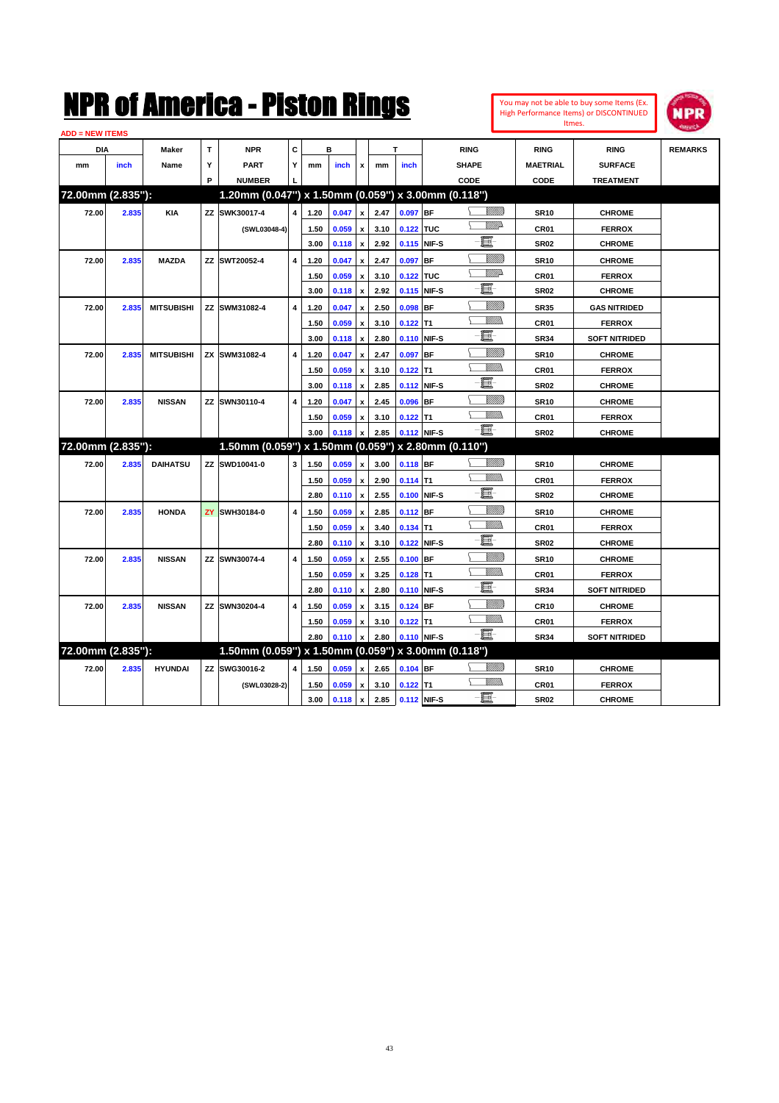

| <b>ADD = NEW ITEMS</b> |       |                   |   |                                                     |   |      |           |                           |      |             |             |                 |                  |                      |                |
|------------------------|-------|-------------------|---|-----------------------------------------------------|---|------|-----------|---------------------------|------|-------------|-------------|-----------------|------------------|----------------------|----------------|
| <b>DIA</b>             |       | Maker             | Т | <b>NPR</b>                                          | c |      | в         |                           |      | т           |             | <b>RING</b>     | <b>RING</b>      | <b>RING</b>          | <b>REMARKS</b> |
| mm                     | inch  | Name              | Y | <b>PART</b>                                         | Y | mm   | inch      | $\mathbf{x}$              | mm   | inch        |             | <b>SHAPE</b>    | <b>MAETRIAL</b>  | <b>SURFACE</b>       |                |
|                        |       |                   | P | <b>NUMBER</b>                                       |   |      |           |                           |      |             |             | CODE            | CODE             | <b>TREATMENT</b>     |                |
| 72.00mm (2.835"):      |       |                   |   | 1.20mm (0.047") x 1.50mm (0.059") x 3.00mm (0.118") |   |      |           |                           |      |             |             |                 |                  |                      |                |
| 72.00                  | 2.835 | <b>KIA</b>        |   | ZZ SWK30017-4                                       | 4 | 1.20 | 0.047     | $\pmb{\mathsf{x}}$        | 2.47 | $0.097$ BF  |             | VM))            | <b>SR10</b>      | <b>CHROME</b>        |                |
|                        |       |                   |   | (SWL03048-4)                                        |   | 1.50 | 0.059     | $\boldsymbol{\mathsf{x}}$ | 3.10 | 0.122 TUC   |             | <u>WW</u> A     | CR01             | <b>FERROX</b>        |                |
|                        |       |                   |   |                                                     |   | 3.00 | $0.118$ x |                           | 2.92 |             | 0.115 NIF-S | e.              | <b>SR02</b>      | <b>CHROME</b>        |                |
| 72.00                  | 2.835 | <b>MAZDA</b>      |   | ZZ SWT20052-4                                       | 4 | 1.20 | 0.047     | x                         | 2.47 | $0.097$ BF  |             | VIIII)          | <b>SR10</b>      | <b>CHROME</b>        |                |
|                        |       |                   |   |                                                     |   | 1.50 | 0.059     | x                         | 3.10 | 0.122 TUC   |             | <u>VM</u> D     | CR01             | <b>FERROX</b>        |                |
|                        |       |                   |   |                                                     |   | 3.00 | 0.118     | $\pmb{\mathsf{x}}$        | 2.92 | 0.115 NIF-S |             | E.              | <b>SR02</b>      | <b>CHROME</b>        |                |
| 72.00                  | 2.835 | <b>MITSUBISHI</b> |   | ZZ SWM31082-4                                       | 4 | 1.20 | 0.047     | $\pmb{\mathsf{x}}$        | 2.50 | $0.098$ BF  |             | <u>Villitti</u> | <b>SR35</b>      | <b>GAS NITRIDED</b>  |                |
|                        |       |                   |   |                                                     |   | 1.50 | 0.059     | $\pmb{\mathsf{x}}$        | 3.10 | $0.122$ T1  |             | .<br>VMD        | CR <sub>01</sub> | <b>FERROX</b>        |                |
|                        |       |                   |   |                                                     |   | 3.00 | 0.118     | $\pmb{\mathsf{x}}$        | 2.80 | 0.110 NIF-S |             | - 1             | <b>SR34</b>      | <b>SOFT NITRIDED</b> |                |
| 72.00                  | 2.835 | <b>MITSUBISHI</b> |   | ZX SWM31082-4                                       | 4 | 1.20 | 0.047     | $\pmb{\mathsf{x}}$        | 2.47 | 0.097 BF    |             |                 | <b>SR10</b>      | <b>CHROME</b>        |                |
|                        |       |                   |   |                                                     |   | 1.50 | 0.059     | $\pmb{\mathsf{x}}$        | 3.10 | $0.122$ T1  |             | VM).            | CR <sub>01</sub> | <b>FERROX</b>        |                |
|                        |       |                   |   |                                                     |   | 3.00 | 0.118     | $\pmb{\mathsf{x}}$        | 2.85 | 0.112 NIF-S |             | e.              | <b>SR02</b>      | <b>CHROME</b>        |                |
| 72.00                  | 2.835 | <b>NISSAN</b>     |   | ZZ SWN30110-4                                       | 4 | 1.20 | 0.047     | $\boldsymbol{\mathsf{x}}$ | 2.45 | $0.096$ BF  |             | <u>Villitti</u> | SR <sub>10</sub> | <b>CHROME</b>        |                |
|                        |       |                   |   |                                                     |   | 1.50 | 0.059     | x                         | 3.10 | $0.122$ T1  |             | VM))            | CR01             | <b>FERROX</b>        |                |
|                        |       |                   |   |                                                     |   | 3.00 | 0.118     |                           | 2.85 |             | 0.112 NIF-S | - 1             | <b>SR02</b>      | <b>CHROME</b>        |                |
| 72.00mm (2.835"):      |       |                   |   | 1.50mm (0.059") x 1.50mm (0.059") x 2.80mm (0.110") |   |      |           |                           |      |             |             |                 |                  |                      |                |
| 72.00                  | 2.835 | <b>DAIHATSU</b>   |   | ZZ SWD10041-0                                       | 3 | 1.50 | 0.059     | $\boldsymbol{x}$          | 3.00 | 0.118 BF    |             | <u>Sillilli</u> | <b>SR10</b>      | <b>CHROME</b>        |                |
|                        |       |                   |   |                                                     |   | 1.50 | 0.059     | $\mathbf{x}$              | 2.90 | $0.114$ T1  |             | <u>Villida</u>  | CR <sub>01</sub> | <b>FERROX</b>        |                |
|                        |       |                   |   |                                                     |   | 2.80 | 0.110     | $\pmb{\mathsf{x}}$        | 2.55 |             | 0.100 NIF-S | ·ii             | <b>SR02</b>      | <b>CHROME</b>        |                |
| 72.00                  | 2.835 | <b>HONDA</b>      |   | <b>ZY SWH30184-0</b>                                | 4 | 1.50 | 0.059     | $\pmb{\mathsf{x}}$        | 2.85 | 0.112 BF    |             | <br>Viited      | <b>SR10</b>      | <b>CHROME</b>        |                |
|                        |       |                   |   |                                                     |   | 1.50 | 0.059     | $\pmb{\mathsf{x}}$        | 3.40 | $0.134$ T1  |             | <u>Willib</u>   | CR01             | <b>FERROX</b>        |                |
|                        |       |                   |   |                                                     |   | 2.80 | 0.110     | $\boldsymbol{\mathsf{x}}$ | 3.10 | 0.122 NIF-S |             | e.              | <b>SR02</b>      | <b>CHROME</b>        |                |
| 72.00                  | 2.835 | <b>NISSAN</b>     |   | ZZ SWN30074-4                                       | 4 | 1.50 | 0.059     | $\boldsymbol{\mathsf{x}}$ | 2.55 | $0.100$ BF  |             |                 | <b>SR10</b>      | <b>CHROME</b>        |                |
|                        |       |                   |   |                                                     |   | 1.50 | 0.059     | x                         | 3.25 | $0.128$ T1  |             | VM))            | CR <sub>01</sub> | <b>FERROX</b>        |                |
|                        |       |                   |   |                                                     |   | 2.80 | 0.110     | $\boldsymbol{\mathsf{x}}$ | 2.80 | 0.110 NIF-S |             | e.              | <b>SR34</b>      | <b>SOFT NITRIDED</b> |                |
| 72.00                  | 2.835 | <b>NISSAN</b>     |   | ZZ SWN30204-4                                       | 4 | 1.50 | 0.059     | $\pmb{\mathsf{x}}$        | 3.15 | 0.124 BF    |             | <u>UMB</u>      | CR10             | <b>CHROME</b>        |                |
|                        |       |                   |   |                                                     |   | 1.50 | 0.059     | x                         | 3.10 | $0.122$ T1  |             | .<br>VMD        | CR01             | <b>FERROX</b>        |                |
|                        |       |                   |   |                                                     |   | 2.80 | 0.110     | $\pmb{\mathsf{x}}$        | 2.80 |             | 0.110 NIF-S | $-\Xi$ -        | <b>SR34</b>      | <b>SOFT NITRIDED</b> |                |
| 72.00mm (2.835"):      |       |                   |   | 1.50mm (0.059") x 1.50mm (0.059") x 3.00mm (0.118") |   |      |           |                           |      |             |             |                 |                  |                      |                |
| 72.00                  | 2.835 | <b>HYUNDAI</b>    |   | ZZ SWG30016-2                                       | 4 | 1.50 | 0.059     | $\boldsymbol{\mathsf{x}}$ | 2.65 | $0.104$ BF  |             |                 | <b>SR10</b>      | <b>CHROME</b>        |                |
|                        |       |                   |   | (SWL03028-2)                                        |   | 1.50 | 0.059     | x                         | 3.10 | $0.122$ T1  |             | <u>MMa</u>      | CR01             | <b>FERROX</b>        |                |
|                        |       |                   |   |                                                     |   | 3.00 | $0.118$ x |                           | 2.85 | 0.112 NIF-S |             | $-\mathbf{H}$   | <b>SR02</b>      | <b>CHROME</b>        |                |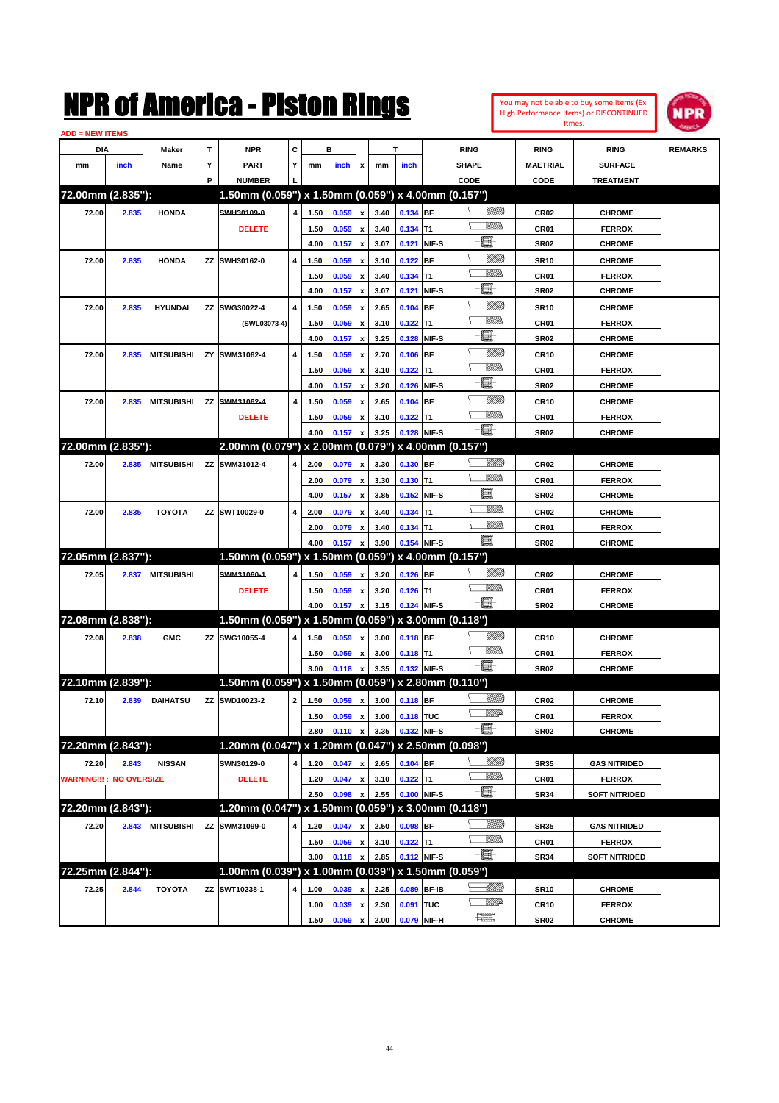| You may not be able to buy some Items (Ex.     |
|------------------------------------------------|
| <b>High Performance Items) or DISCONTINUED</b> |
| Itmes.                                         |



| <b>ADD = NEW ITEMS</b>         |       |                   |    |                                                     |                |              |                |                    |              |             |             |                 |                  |                      |                |
|--------------------------------|-------|-------------------|----|-----------------------------------------------------|----------------|--------------|----------------|--------------------|--------------|-------------|-------------|-----------------|------------------|----------------------|----------------|
| DIA                            |       | Maker             | т  | <b>NPR</b>                                          | С              |              | в              |                    |              | т           |             | <b>RING</b>     | <b>RING</b>      | <b>RING</b>          | <b>REMARKS</b> |
| mm                             | inch  | Name              | Υ  | <b>PART</b>                                         | Y              | mm           | inch           | x                  | mm           | inch        |             | <b>SHAPE</b>    | <b>MAETRIAL</b>  | <b>SURFACE</b>       |                |
|                                |       |                   | P  | <b>NUMBER</b>                                       |                |              |                |                    |              |             |             | CODE            | CODE             | <b>TREATMENT</b>     |                |
| 72.00mm (2.835"):              |       |                   |    | 1.50mm (0.059") x 1.50mm (0.059") x 4.00mm (0.157") |                |              |                |                    |              |             |             |                 |                  |                      |                |
| 72.00                          | 2.835 | <b>HONDA</b>      |    | SWH30109-0                                          | 4              | 1.50         | 0.059          | x                  | 3.40         | 0.134 BF    |             | <u> UMB</u>     | <b>CR02</b>      | <b>CHROME</b>        |                |
|                                |       |                   |    | <b>DELETE</b>                                       |                | 1.50         | 0.059          |                    | 3.40         | $0.134$ T1  |             | <br>Mad         | CR01             | <b>FERROX</b>        |                |
|                                |       |                   |    |                                                     |                | 4.00         | 0.157          | x                  | 3.07         |             | 0.121 NIF-S | E               | <b>SR02</b>      | <b>CHROME</b>        |                |
| 72.00                          | 2.835 | <b>HONDA</b>      |    | ZZ SWH30162-0                                       | 4              | 1.50         | 0.059          |                    | 3.10         | $0.122$ BF  |             | <u>Sillilli</u> | <b>SR10</b>      | <b>CHROME</b>        |                |
|                                |       |                   |    |                                                     |                | 1.50         | 0.059          | x                  | 3.40         | $0.134$ T1  |             | <br>Mar         | CR01             | <b>FERROX</b>        |                |
|                                |       |                   |    |                                                     |                | 4.00         | 0.157          | x                  | 3.07         | 0.121       | NIF-S       | e               | <b>SR02</b>      | <b>CHROME</b>        |                |
| 72.00                          | 2.835 | <b>HYUNDAI</b>    |    | ZZ SWG30022-4                                       | 4              | 1.50         | 0.059          |                    | 2.65         | $0.104$ BF  |             | <u>Sillilli</u> | <b>SR10</b>      | <b>CHROME</b>        |                |
|                                |       |                   |    | (SWL03073-4)                                        |                | 1.50         | 0.059          | x                  | 3.10         | $0.122$ T1  |             | UM)             | CR01             | <b>FERROX</b>        |                |
|                                |       |                   |    |                                                     |                | 4.00         | 0.157          | x                  | 3.25         |             | 0.128 NIF-S | E               | <b>SR02</b>      | <b>CHROME</b>        |                |
| 72.00                          | 2.835 | <b>MITSUBISHI</b> | ΖY | SWM31062-4                                          | $\overline{4}$ | 1.50         | 0.059          |                    | 2.70         | $0.106$ BF  |             | <u>Sillilli</u> | <b>CR10</b>      | <b>CHROME</b>        |                |
|                                |       |                   |    |                                                     |                | 1.50         | 0.059          | x                  | 3.10         | $0.122$ T1  |             | UM)             | CR01             | <b>FERROX</b>        |                |
|                                |       |                   |    |                                                     |                | 4.00         | 0.157          | x                  | 3.20         |             | 0.126 NIF-S | E               | <b>SR02</b>      | <b>CHROME</b>        |                |
| 72.00                          | 2.835 | <b>MITSUBISHI</b> | ZZ | SWM31062-4                                          | 4              | 1.50         | 0.059          |                    | 2.65         | $0.104$ BF  |             | <u>Sillilli</u> | <b>CR10</b>      | <b>CHROME</b>        |                |
|                                |       |                   |    | <b>DELETE</b>                                       |                | 1.50         | 0.059          |                    | 3.10         | $0.122$ T1  |             | .<br>VMD        | CR01             | <b>FERROX</b>        |                |
|                                |       |                   |    |                                                     |                | 4.00         | 0.157          |                    | 3.25         |             | 0.128 NIF-S | -8              | <b>SR02</b>      | <b>CHROME</b>        |                |
| 72.00mm (2.835"):              |       |                   |    | 2.00mm (0.079") x 2.00mm (0.079") x 4.00mm (0.157") |                |              |                |                    |              |             |             |                 |                  |                      |                |
| 72.00                          | 2.835 | <b>MITSUBISHI</b> |    | ZZ SWM31012-4                                       | 4              | 2.00         | 0.079          | x                  | 3.30         | $0.130$ BF  |             | <u> UMB</u>     | <b>CR02</b>      | <b>CHROME</b>        |                |
|                                |       |                   |    |                                                     |                | 2.00         | 0.079          |                    | 3.30         | $0.130$ T1  |             | UM)             | CR01             | <b>FERROX</b>        |                |
|                                |       |                   |    |                                                     |                | 4.00         | 0.157          | x<br>x             | 3.85         |             | 0.152 NIF-S | E               | <b>SR02</b>      | <b>CHROME</b>        |                |
| 72.00                          |       | <b>TOYOTA</b>     |    | ZZ SWT10029-0                                       | 4              |              |                |                    |              |             |             | .<br>VMD        |                  |                      |                |
|                                | 2.835 |                   |    |                                                     |                | 2.00         | 0.079          |                    | 3.40         | $0.134$ T1  |             | <br>Militar     | <b>CR02</b>      | <b>CHROME</b>        |                |
|                                |       |                   |    |                                                     |                | 2.00<br>4.00 | 0.079<br>0.157 | x                  | 3.40<br>3.90 | $0.134$ T1  | 0.154 NIF-S | -8              | CR01             | <b>FERROX</b>        |                |
| 72.05mm (2.837"):              |       |                   |    | 1.50mm (0.059") x 1.50mm (0.059") x 4.00mm (0.157") |                |              |                |                    |              |             |             |                 | <b>SR02</b>      | <b>CHROME</b>        |                |
|                                |       |                   |    | SWM31060-1                                          |                |              |                |                    |              |             |             | <u>Sillilli</u> |                  |                      |                |
| 72.05                          | 2.837 | <b>MITSUBISHI</b> |    |                                                     | 4              | 1.50         | 0.059          |                    | 3.20         | $0.126$ BF  |             | UM)             | <b>CR02</b>      | <b>CHROME</b>        |                |
|                                |       |                   |    | <b>DELETE</b>                                       |                | 1.50         | 0.059          |                    | 3.20         | $0.126$ T1  |             | -8              | CR01             | <b>FERROX</b>        |                |
| 72.08mm (2.838"):              |       |                   |    | 1.50mm (0.059") x 1.50mm (0.059") x 3.00mm (0.118") |                | 4.00         | 0.157          |                    | 3.15         |             | 0.124 NIF-S |                 | <b>SR02</b>      | <b>CHROME</b>        |                |
|                                |       |                   |    |                                                     |                |              |                |                    |              |             |             | <u> UMB</u>     |                  |                      |                |
| 72.08                          | 2.838 | <b>GMC</b>        |    | ZZ SWG10055-4                                       | 4              | 1.50         | 0.059          | x                  | 3.00         | $0.118$ BF  |             | VM))            | <b>CR10</b>      | <b>CHROME</b>        |                |
|                                |       |                   |    |                                                     |                | 1.50         | 0.059          |                    | 3.00         | $0.118$ T1  |             | -8              | CR01             | <b>FERROX</b>        |                |
|                                |       |                   |    |                                                     |                | 3.00         | 0.118          | x                  | 3.35         |             | 0.132 NIF-S |                 | <b>SR02</b>      | <b>CHROME</b>        |                |
| 72.10mm (2.839"):              |       |                   |    | 1.50mm (0.059") x 1.50mm (0.059") x 2.80mm (0.110") |                |              |                |                    |              |             |             |                 |                  |                      |                |
| 72.10                          | 2.839 | <b>DAIHATSU</b>   |    | ZZ SWD10023-2                                       | 2              | 1.50         | 0.059          | x                  | 3.00         | $0.118$ BF  |             | <u>Sillilli</u> | CR02             | <b>CHROME</b>        |                |
|                                |       |                   |    |                                                     |                | 1.50         | 0.059          | $\pmb{\mathsf{x}}$ | 3.00         | 0.118 TUC   |             | <u>MMP</u>      | CR01             | <b>FERROX</b>        |                |
|                                |       |                   |    |                                                     |                | 2.80         | 0.110          | $\pmb{\mathsf{x}}$ | 3.35         | 0.132 NIF-S |             | -8              | <b>SR02</b>      | <b>CHROME</b>        |                |
| 72.20mm (2.843"):              |       |                   |    | 1.20mm (0.047") x 1.20mm (0.047") x 2.50mm (0.098") |                |              |                |                    |              |             |             |                 |                  |                      |                |
| 72.20                          | 2.843 | <b>NISSAN</b>     |    | SWN30129-0                                          | 4              | 1.20         | 0.047          | x                  | 2.65         | $0.104$ BF  |             | <u>Millit</u>   | SR35             | <b>GAS NITRIDED</b>  |                |
| <b>WARNING!!!: NO OVERSIZE</b> |       |                   |    | <b>DELETE</b>                                       |                | 1.20         | 0.047          | x                  | 3.10         | $0.122$ T1  |             | <u>VMM)</u>     | CR01             | <b>FERROX</b>        |                |
|                                |       |                   |    |                                                     |                | 2.50         | 0.098          |                    | 2.55         |             | 0.100 NIF-S | $-\Xi$          | <b>SR34</b>      | <b>SOFT NITRIDED</b> |                |
| 72.20mm (2.843"):              |       |                   |    | 1.20mm (0.047") x 1.50mm (0.059") x 3.00mm (0.118") |                |              |                |                    |              |             |             |                 |                  |                      |                |
| 72.20                          | 2.843 | <b>MITSUBISHI</b> |    | ZZ SWM31099-0                                       | 4              | 1.20         | 0.047          |                    | 2.50         | $0.098$ BF  |             | <u>UMB</u>      | <b>SR35</b>      | <b>GAS NITRIDED</b>  |                |
|                                |       |                   |    |                                                     |                | 1.50         | 0.059          | x                  | 3.10         | $0.122$ T1  |             | <u>VMMs</u>     | CR01             | <b>FERROX</b>        |                |
|                                |       |                   |    |                                                     |                | 3.00         | 0.118          |                    | 2.85         |             | 0.112 NIF-S | -夏-             | <b>SR34</b>      | <b>SOFT NITRIDED</b> |                |
| 72.25mm (2.844"):              |       |                   |    | 1.00mm (0.039") x 1.00mm (0.039") x 1.50mm (0.059") |                |              |                |                    |              |             |             |                 |                  |                      |                |
| 72.25                          | 2.844 | <b>TOYOTA</b>     |    | ZZ SWT10238-1                                       | 4              | 1.00         | 0.039          |                    | 2.25         |             | 0.089 BF-IB | <u> MMB</u>     | <b>SR10</b>      | <b>CHROME</b>        |                |
|                                |       |                   |    |                                                     |                | 1.00         | 0.039          | x                  | 2.30         | 0.091 TUC   |             | <u>VM</u> A     | CR <sub>10</sub> | <b>FERROX</b>        |                |
|                                |       |                   |    |                                                     |                | 1.50         | 0.059          | $\pmb{\mathsf{x}}$ | 2.00         |             | 0.079 NIF-H | R               | SR02             | <b>CHROME</b>        |                |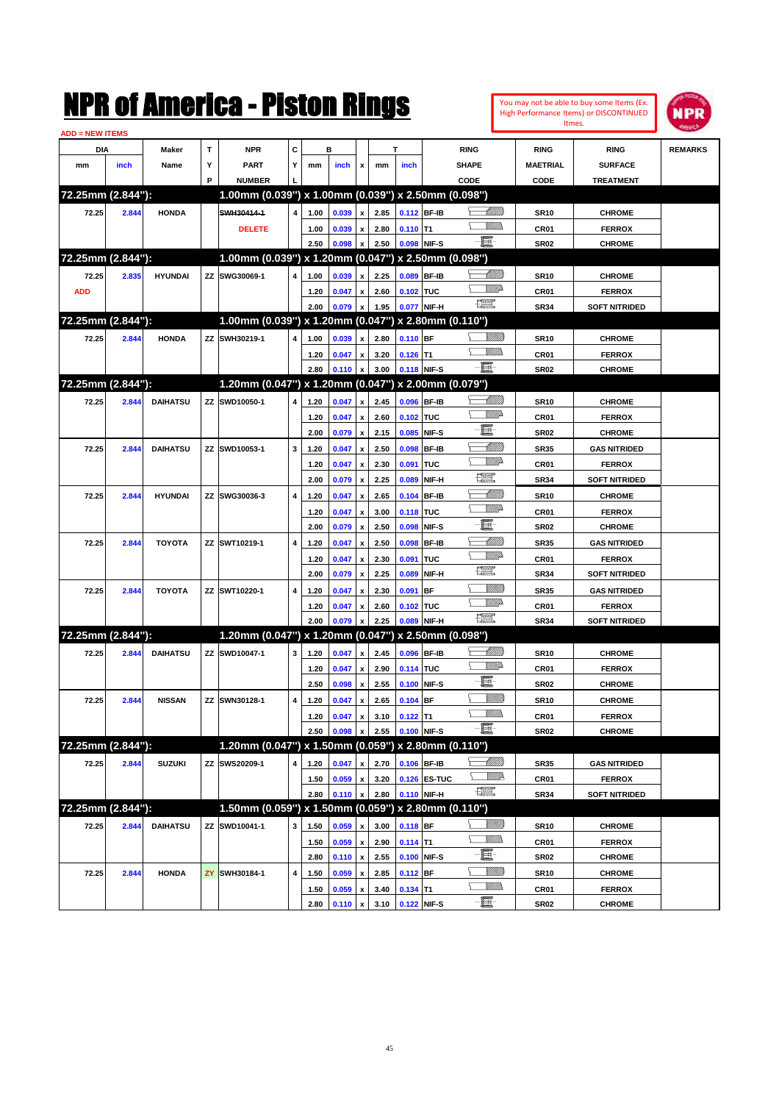|                        |       |                 |    | NMK OI AINCrica - Miston Kings                      |           |      |       |                           |      |            |              |                                                                                                                                                                                                                                                                                                                                                                                             |                               |                  | You may not be able to buy some Items (Ex.<br>High Performance Items) or DISCONTINUED<br>Itmes. | NPR            |
|------------------------|-------|-----------------|----|-----------------------------------------------------|-----------|------|-------|---------------------------|------|------------|--------------|---------------------------------------------------------------------------------------------------------------------------------------------------------------------------------------------------------------------------------------------------------------------------------------------------------------------------------------------------------------------------------------------|-------------------------------|------------------|-------------------------------------------------------------------------------------------------|----------------|
| <b>ADD = NEW ITEMS</b> |       |                 |    |                                                     |           |      |       |                           |      |            |              |                                                                                                                                                                                                                                                                                                                                                                                             |                               |                  |                                                                                                 |                |
| DIA                    |       | Maker           | T  | <b>NPR</b>                                          | C         |      | в     |                           |      | т          |              | <b>RING</b>                                                                                                                                                                                                                                                                                                                                                                                 |                               | <b>RING</b>      | <b>RING</b>                                                                                     | <b>REMARKS</b> |
| mm                     | inch  | Name            | Υ  | <b>PART</b>                                         | Y         | mm   | inch  | x                         | mm   | inch       |              | <b>SHAPE</b>                                                                                                                                                                                                                                                                                                                                                                                |                               | <b>MAETRIAL</b>  | <b>SURFACE</b>                                                                                  |                |
|                        |       |                 | P  | <b>NUMBER</b>                                       |           |      |       |                           |      |            |              | CODE                                                                                                                                                                                                                                                                                                                                                                                        |                               | CODE             | <b>TREATMENT</b>                                                                                |                |
| 72.25mm (2.844"):      |       |                 |    | 1.00mm (0.039") x 1.00mm (0.039") x 2.50mm (0.098") |           |      |       |                           |      |            |              |                                                                                                                                                                                                                                                                                                                                                                                             |                               |                  |                                                                                                 |                |
| 72.25                  | 2.844 | <b>HONDA</b>    |    | SWH30414-1                                          | 4         | 1.00 | 0.039 | $\boldsymbol{x}$          | 2.85 |            | 0.112 BF-IB  |                                                                                                                                                                                                                                                                                                                                                                                             | <u> UMB</u>                   | <b>SR10</b>      | <b>CHROME</b>                                                                                   |                |
|                        |       |                 |    | <b>DELETE</b>                                       |           | 1.00 | 0.039 | x                         | 2.80 | $0.110$ T1 |              |                                                                                                                                                                                                                                                                                                                                                                                             | VMM)                          | CR01             | <b>FERROX</b>                                                                                   |                |
|                        |       |                 |    |                                                     |           | 2.50 | 0.098 | x                         | 2.50 |            | 0.098 NIF-S  | e.                                                                                                                                                                                                                                                                                                                                                                                          |                               | <b>SR02</b>      | <b>CHROME</b>                                                                                   |                |
| 72.25mm (2.844"):      |       |                 |    | 1.00mm (0.039") x 1.20mm (0.047") x 2.50mm (0.098") |           |      |       |                           |      |            |              |                                                                                                                                                                                                                                                                                                                                                                                             |                               |                  |                                                                                                 |                |
| 72.25                  | 2.835 | <b>HYUNDAI</b>  |    | ZZ SWG30069-1                                       | 4         | 1.00 | 0.039 | $\boldsymbol{\mathsf{x}}$ | 2.25 |            | 0.089 BF-IB  |                                                                                                                                                                                                                                                                                                                                                                                             | <u> UMM</u>                   | <b>SR10</b>      | <b>CHROME</b>                                                                                   |                |
| <b>ADD</b>             |       |                 |    |                                                     |           | 1.20 | 0.047 | x                         | 2.60 | 0.102 TUC  |              |                                                                                                                                                                                                                                                                                                                                                                                             | <u>WWA</u>                    | CR01             | <b>FERROX</b>                                                                                   |                |
|                        |       |                 |    |                                                     |           | 2.00 | 0.079 | $\pmb{\mathsf{x}}$        | 1.95 |            | 0.077 NIF-H  | $\begin{picture}(20,20) \put(0,0){\line(1,0){10}} \put(15,0){\line(1,0){10}} \put(15,0){\line(1,0){10}} \put(15,0){\line(1,0){10}} \put(15,0){\line(1,0){10}} \put(15,0){\line(1,0){10}} \put(15,0){\line(1,0){10}} \put(15,0){\line(1,0){10}} \put(15,0){\line(1,0){10}} \put(15,0){\line(1,0){10}} \put(15,0){\line(1,0){10}} \put(15,0){\line(1$                                         |                               | <b>SR34</b>      | <b>SOFT NITRIDED</b>                                                                            |                |
| 72.25mm (2.844"):      |       |                 |    | 1.00mm (0.039") x 1.20mm (0.047") x 2.80mm (0.110") |           |      |       |                           |      |            |              |                                                                                                                                                                                                                                                                                                                                                                                             |                               |                  |                                                                                                 |                |
| 72.25                  | 2.844 | <b>HONDA</b>    |    | ZZ SWH30219-1                                       | 4         | 1.00 | 0.039 | $\boldsymbol{x}$          | 2.80 | $0.110$ BF |              |                                                                                                                                                                                                                                                                                                                                                                                             | <u>Millitt</u>                | <b>SR10</b>      | <b>CHROME</b>                                                                                   |                |
|                        |       |                 |    |                                                     |           | 1.20 | 0.047 | x                         | 3.20 | $0.126$ T1 |              |                                                                                                                                                                                                                                                                                                                                                                                             | VMM)                          | CR01             | <b>FERROX</b>                                                                                   |                |
|                        |       |                 |    |                                                     |           | 2.80 | 0.110 | $\boldsymbol{\mathsf{x}}$ | 3.00 |            | 0.118 NIF-S  | E.                                                                                                                                                                                                                                                                                                                                                                                          |                               | <b>SR02</b>      | <b>CHROME</b>                                                                                   |                |
| 72.25mm (2.844"):      |       |                 |    | 1.20mm (0.047") x 1.20mm (0.047") x 2.00mm (0.079") |           |      |       |                           |      |            |              |                                                                                                                                                                                                                                                                                                                                                                                             |                               |                  |                                                                                                 |                |
| 72.25                  | 2.844 | <b>DAIHATSU</b> |    | ZZ SWD10050-1                                       | 4         | 1.20 | 0.047 | x                         | 2.45 |            | 0.096 BF-IB  |                                                                                                                                                                                                                                                                                                                                                                                             | <u> UMB</u>                   | <b>SR10</b>      | <b>CHROME</b>                                                                                   |                |
|                        |       |                 |    |                                                     |           | 1.20 | 0.047 | x                         | 2.60 | 0.102 TUC  |              |                                                                                                                                                                                                                                                                                                                                                                                             | <u>Willia</u>                 | CR01             | <b>FERROX</b>                                                                                   |                |
|                        |       |                 |    |                                                     |           | 2.00 | 0.079 | $\boldsymbol{\mathsf{x}}$ | 2.15 | 0.085      | NIF-S        | E                                                                                                                                                                                                                                                                                                                                                                                           |                               | <b>SR02</b>      | <b>CHROME</b>                                                                                   |                |
| 72.25                  | 2.844 | <b>DAIHATSU</b> |    | ZZ SWD10053-1                                       | 3         | 1.20 | 0.047 | x                         | 2.50 | 0.098      | <b>BF-IB</b> |                                                                                                                                                                                                                                                                                                                                                                                             | <u>UMM</u>                    | <b>SR35</b>      | <b>GAS NITRIDED</b>                                                                             |                |
|                        |       |                 |    |                                                     |           | 1.20 | 0.047 | x                         | 2.30 | 0.091      | <b>TUC</b>   |                                                                                                                                                                                                                                                                                                                                                                                             | <u>MMP</u>                    | CR01             | <b>FERROX</b>                                                                                   |                |
|                        |       |                 |    |                                                     |           | 2.00 | 0.079 | x                         | 2.25 | 0.089      | NIF-H        | æ                                                                                                                                                                                                                                                                                                                                                                                           |                               | <b>SR34</b>      | <b>SOFT NITRIDED</b>                                                                            |                |
| 72.25                  | 2.844 | <b>HYUNDAI</b>  |    | ZZ SWG30036-3                                       | 4         | 1.20 | 0.047 | x                         | 2.65 |            | 0.104 BF-IB  |                                                                                                                                                                                                                                                                                                                                                                                             | <u> Millill</u>               | <b>SR10</b>      | <b>CHROME</b>                                                                                   |                |
|                        |       |                 |    |                                                     |           | 1.20 | 0.047 | x                         | 3.00 | 0.118 TUC  |              |                                                                                                                                                                                                                                                                                                                                                                                             | <u>Willia</u>                 | CR <sub>01</sub> | <b>FERROX</b>                                                                                   |                |
|                        |       |                 |    |                                                     |           | 2.00 | 0.079 | $\boldsymbol{\mathsf{x}}$ | 2.50 | 0.098      | NIF-S        | E                                                                                                                                                                                                                                                                                                                                                                                           |                               | <b>SR02</b>      | <b>CHROME</b>                                                                                   |                |
| 72.25                  | 2.844 | <b>TOYOTA</b>   |    | ZZ SWT10219-1                                       | 4         | 1.20 | 0.047 | x                         | 2.50 | 0.098      | <b>BF-IB</b> |                                                                                                                                                                                                                                                                                                                                                                                             | <u> UMM</u>                   | <b>SR35</b>      | <b>GAS NITRIDED</b>                                                                             |                |
|                        |       |                 |    |                                                     |           | 1.20 | 0.047 | x                         | 2.30 | 0.091      | TUC          |                                                                                                                                                                                                                                                                                                                                                                                             | <u>Villid</u>                 | CR01             | <b>FERROX</b>                                                                                   |                |
|                        |       |                 |    |                                                     |           | 2.00 | 0.079 | x                         | 2.25 | 0.089      | NIF-H        | $\begin{picture}(20,20) \put(0,0){\dashbox{0.5}(20,0){ }} \put(15,0){\circle{10}} \put(25,0){\circle{10}} \put(25,0){\circle{10}} \put(25,0){\circle{10}} \put(25,0){\circle{10}} \put(25,0){\circle{10}} \put(25,0){\circle{10}} \put(25,0){\circle{10}} \put(25,0){\circle{10}} \put(25,0){\circle{10}} \put(25,0){\circle{10}} \put(25,0){\circle{10}} \put(25,0){\circle{10}} \put(25,$ |                               | <b>SR34</b>      | <b>SOFT NITRIDED</b>                                                                            |                |
| 72.25                  | 2.844 | <b>TOYOTA</b>   |    | ZZ SWT10220-1                                       | 4         | 1.20 | 0.047 | x                         | 2.30 | 0.091      | <b>BF</b>    |                                                                                                                                                                                                                                                                                                                                                                                             | MMM)                          | <b>SR35</b>      | <b>GAS NITRIDED</b>                                                                             |                |
|                        |       |                 |    |                                                     |           | 1.20 | 0.047 | x                         | 2.60 | 0.102 TUC  |              |                                                                                                                                                                                                                                                                                                                                                                                             | <u>Willia</u>                 | CR01             | <b>FERROX</b>                                                                                   |                |
|                        |       |                 |    |                                                     |           | 2.00 | 0.079 | X                         | 2.25 | 0.089      | NIF-H        | $\begin{picture}(20,20) \put(0,0){\dashbox{0.5}(20,0){ }} \put(15,0){\circle{10}} \put(25,0){\circle{10}} \put(25,0){\circle{10}} \put(25,0){\circle{10}} \put(25,0){\circle{10}} \put(25,0){\circle{10}} \put(25,0){\circle{10}} \put(25,0){\circle{10}} \put(25,0){\circle{10}} \put(25,0){\circle{10}} \put(25,0){\circle{10}} \put(25,0){\circle{10}} \put(25,0){\circle{10}} \put(25,$ |                               | <b>SR34</b>      | <b>SOFT NITRIDED</b>                                                                            |                |
| 72.25mm (2.844"):      |       |                 |    | 1.20mm (0.047") x 1.20mm (0.047")                   |           |      |       |                           |      |            |              | x 2.50mm (0.098")                                                                                                                                                                                                                                                                                                                                                                           |                               |                  |                                                                                                 |                |
| 72.25                  | 2.844 | <b>DAIHATSU</b> |    | ZZ SWD10047-1                                       | 3         | 1.20 | 0.047 | x                         | 2.45 |            | 0.096 BF-IB  |                                                                                                                                                                                                                                                                                                                                                                                             | <u> UMM</u>                   | <b>SR10</b>      | <b>CHROME</b>                                                                                   |                |
|                        |       |                 |    |                                                     |           | 1.20 | 0.047 | x                         | 2.90 | 0.114 TUC  |              |                                                                                                                                                                                                                                                                                                                                                                                             | <u>MMA</u>                    | CR01             | <b>FERROX</b>                                                                                   |                |
|                        |       |                 |    |                                                     |           | 2.50 | 0.098 | $\mathbf{x}$              | 2.55 |            | 0.100 NIF-S  | E.                                                                                                                                                                                                                                                                                                                                                                                          |                               | <b>SR02</b>      | <b>CHROME</b>                                                                                   |                |
| 72.25                  | 2.844 | <b>NISSAN</b>   | ΖZ | SWN30128-1                                          | 4         | 1.20 | 0.047 | $\pmb{\mathsf{x}}$        | 2.65 | $0.104$ BF |              |                                                                                                                                                                                                                                                                                                                                                                                             | <u>Millitti</u>               | <b>SR10</b>      | <b>CHROME</b>                                                                                   |                |
|                        |       |                 |    |                                                     |           | 1.20 | 0.047 | $\pmb{\mathsf{x}}$        | 3.10 | $0.122$ T1 |              |                                                                                                                                                                                                                                                                                                                                                                                             | <u>Millib</u>                 | CR01             | <b>FERROX</b>                                                                                   |                |
|                        |       |                 |    |                                                     |           | 2.50 | 0.098 | x                         | 2.55 |            | 0.100 NIF-S  | E                                                                                                                                                                                                                                                                                                                                                                                           |                               | SR02             | <b>CHROME</b>                                                                                   |                |
| 72.25mm (2.844"):      |       |                 |    | 1.20mm (0.047") x 1.50mm (0.059") x 2.80mm (0.110") |           |      |       |                           |      |            |              |                                                                                                                                                                                                                                                                                                                                                                                             |                               |                  |                                                                                                 |                |
| 72.25                  | 2.844 | <b>SUZUKI</b>   |    | ZZ SWS20209-1                                       | 4         | 1.20 | 0.047 | $\mathbf{x}$              | 2.70 |            | 0.106 BF-IB  |                                                                                                                                                                                                                                                                                                                                                                                             | <u> UMM</u>                   | <b>SR35</b>      | <b>GAS NITRIDED</b>                                                                             |                |
|                        |       |                 |    |                                                     |           | 1.50 | 0.059 | $\pmb{\mathsf{x}}$        | 3.20 |            | 0.126 ES-TUC | $\frac{1}{2}$                                                                                                                                                                                                                                                                                                                                                                               | <u>VMR</u>                    | CR01             | <b>FERROX</b>                                                                                   |                |
|                        |       |                 |    |                                                     |           | 2.80 | 0.110 | x                         | 2.80 |            | 0.110 NIF-H  |                                                                                                                                                                                                                                                                                                                                                                                             |                               | <b>SR34</b>      | <b>SOFT NITRIDED</b>                                                                            |                |
| 72.25mm (2.844"):      |       |                 |    | 1.50mm (0.059") x 1.50mm (0.059") x 2.80mm (0.110") |           |      |       |                           |      |            |              |                                                                                                                                                                                                                                                                                                                                                                                             |                               |                  |                                                                                                 |                |
| 72.25                  | 2.844 | <b>DAIHATSU</b> |    | ZZ SWD10041-1                                       | 3         | 1.50 | 0.059 | X                         | 3.00 | $0.118$ BF |              |                                                                                                                                                                                                                                                                                                                                                                                             | <u>Milli</u> b                | <b>SR10</b>      | <b>CHROME</b>                                                                                   |                |
|                        |       |                 |    |                                                     |           | 1.50 | 0.059 | $\pmb{\mathsf{x}}$        | 2.90 | $0.114$ T1 |              |                                                                                                                                                                                                                                                                                                                                                                                             | <u>Willib</u>                 | CR01             | <b>FERROX</b>                                                                                   |                |
|                        |       |                 |    |                                                     |           | 2.80 | 0.110 | $\pmb{\mathsf{x}}$        | 2.55 |            | 0.100 NIF-S  | e.                                                                                                                                                                                                                                                                                                                                                                                          |                               | SR <sub>02</sub> | <b>CHROME</b>                                                                                   |                |
| 72.25                  | 2.844 | <b>HONDA</b>    | ZY | SWH30184-1                                          | $\pmb{4}$ | 1.50 | 0.059 | x                         | 2.85 | $0.112$ BF |              |                                                                                                                                                                                                                                                                                                                                                                                             | <u>Milli</u><br><u>Willib</u> | <b>SR10</b>      | <b>CHROME</b>                                                                                   |                |
|                        |       |                 |    |                                                     |           | 1.50 | 0.059 | x                         | 3.40 | $0.134$ T1 |              | e.                                                                                                                                                                                                                                                                                                                                                                                          |                               | CR01             | <b>FERROX</b>                                                                                   |                |
|                        |       |                 |    |                                                     |           | 2.80 | 0.110 | $\pmb{\mathsf{x}}$        | 3.10 |            | 0.122 NIF-S  |                                                                                                                                                                                                                                                                                                                                                                                             |                               | <b>SR02</b>      | <b>CHROME</b>                                                                                   |                |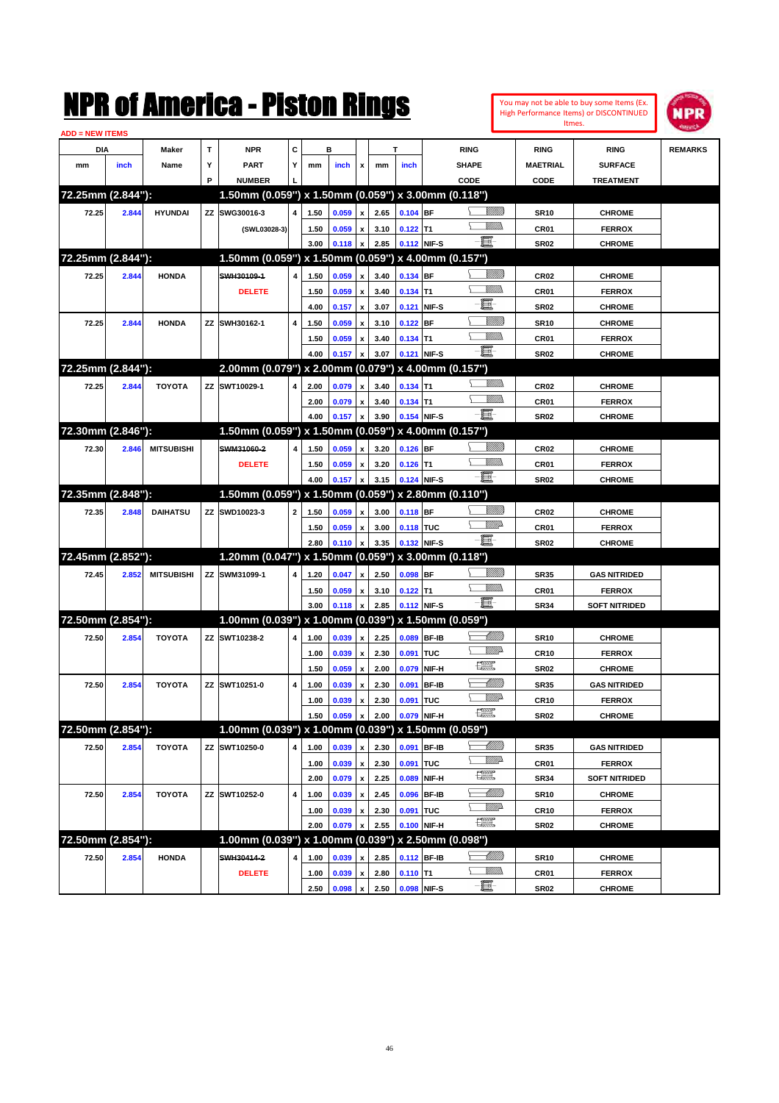|                        |       |                   |   | NMK OI AMCMICA - MISTON KINGS                          |                         |      |       |                           |      |                  |             |                                                                                                                                                                                                                                                                                                                                                                                             |                         |                  | You may not be able to buy some Items (Ex.<br>High Performance Items) or DISCONTINUED<br>Itmes. | IPR            |
|------------------------|-------|-------------------|---|--------------------------------------------------------|-------------------------|------|-------|---------------------------|------|------------------|-------------|---------------------------------------------------------------------------------------------------------------------------------------------------------------------------------------------------------------------------------------------------------------------------------------------------------------------------------------------------------------------------------------------|-------------------------|------------------|-------------------------------------------------------------------------------------------------|----------------|
| <b>ADD = NEW ITEMS</b> |       |                   |   |                                                        |                         |      |       |                           |      |                  |             |                                                                                                                                                                                                                                                                                                                                                                                             |                         |                  |                                                                                                 |                |
| DIA                    |       | Maker             | T | <b>NPR</b>                                             | C                       |      | в     |                           |      | T                |             | <b>RING</b>                                                                                                                                                                                                                                                                                                                                                                                 |                         | <b>RING</b>      | <b>RING</b>                                                                                     | <b>REMARKS</b> |
| mm                     | inch  | Name              | Υ | <b>PART</b>                                            | Υ                       | mm   | inch  | x                         | mm   | inch             |             | <b>SHAPE</b>                                                                                                                                                                                                                                                                                                                                                                                |                         | <b>MAETRIAL</b>  | <b>SURFACE</b>                                                                                  |                |
|                        |       |                   | P | <b>NUMBER</b>                                          |                         |      |       |                           |      |                  |             | CODE                                                                                                                                                                                                                                                                                                                                                                                        |                         | CODE             | <b>TREATMENT</b>                                                                                |                |
| 72.25mm (2.844"):      |       |                   |   | 1.50mm (0.059") x 1.50mm (0.059") x 3.00mm (0.118")    |                         |      |       |                           |      |                  |             |                                                                                                                                                                                                                                                                                                                                                                                             |                         |                  |                                                                                                 |                |
| 72.25                  | 2.844 | <b>HYUNDAI</b>    |   | ZZ SWG30016-3                                          | 4                       | 1.50 | 0.059 | $\pmb{\mathsf{x}}$        | 2.65 | 0.104 BF         |             |                                                                                                                                                                                                                                                                                                                                                                                             | <u>Millitt</u><br>9777) | <b>SR10</b>      | <b>CHROME</b>                                                                                   |                |
|                        |       |                   |   | (SWL03028-3)                                           |                         | 1.50 | 0.059 | $\pmb{\mathsf{x}}$        | 3.10 | $0.122$ T1       |             | e.                                                                                                                                                                                                                                                                                                                                                                                          |                         | CR01             | <b>FERROX</b>                                                                                   |                |
|                        |       |                   |   |                                                        |                         | 3.00 | 0.118 | $\pmb{\mathsf{x}}$        | 2.85 | 0.112 NIF-S      |             |                                                                                                                                                                                                                                                                                                                                                                                             |                         | <b>SR02</b>      | <b>CHROME</b>                                                                                   |                |
| 72.25mm (2.844"):      |       |                   |   | 1.50mm (0.059") x 1.50mm (0.059") x 4.00mm (0.157")    |                         |      |       |                           |      |                  |             |                                                                                                                                                                                                                                                                                                                                                                                             |                         |                  |                                                                                                 |                |
| 72.25                  | 2.844 | <b>HONDA</b>      |   | SWH30109-1                                             | 4                       | 1.50 | 0.059 | $\pmb{\mathsf{x}}$        | 3.40 | 0.134 BF         |             |                                                                                                                                                                                                                                                                                                                                                                                             | <u>Millitt</u><br>9777) | CR <sub>02</sub> | <b>CHROME</b>                                                                                   |                |
|                        |       |                   |   | <b>DELETE</b>                                          |                         | 1.50 | 0.059 | $\pmb{\mathsf{x}}$        | 3.40 | $0.134$ T1       |             | E                                                                                                                                                                                                                                                                                                                                                                                           |                         | CR01             | <b>FERROX</b>                                                                                   |                |
|                        |       |                   |   |                                                        |                         | 4.00 | 0.157 | $\boldsymbol{\mathsf{x}}$ | 3.07 |                  | 0.121 NIF-S |                                                                                                                                                                                                                                                                                                                                                                                             |                         | <b>SR02</b>      | <b>CHROME</b>                                                                                   |                |
| 72.25                  | 2.844 | <b>HONDA</b>      |   | ZZ SWH30162-1                                          | 4                       | 1.50 | 0.059 | $\pmb{\mathsf{x}}$        | 3.10 | $0.122$ BF       |             |                                                                                                                                                                                                                                                                                                                                                                                             | <u>Millil</u><br>9777)  | <b>SR10</b>      | <b>CHROME</b>                                                                                   |                |
|                        |       |                   |   |                                                        |                         | 1.50 | 0.059 | $\pmb{\mathsf{x}}$        | 3.40 | $0.134$ T1       |             | e.                                                                                                                                                                                                                                                                                                                                                                                          |                         | CR01             | <b>FERROX</b>                                                                                   |                |
|                        |       |                   |   |                                                        |                         | 4.00 | 0.157 | $\boldsymbol{\mathsf{x}}$ | 3.07 |                  | 0.121 NIF-S |                                                                                                                                                                                                                                                                                                                                                                                             |                         | <b>SR02</b>      | <b>CHROME</b>                                                                                   |                |
| 72.25mm (2.844"):      |       |                   |   | 2.00mm (0.079") x 2.00mm (0.079") x 4.00mm (0.157")    |                         |      |       |                           |      |                  |             |                                                                                                                                                                                                                                                                                                                                                                                             |                         |                  |                                                                                                 |                |
| 72.25                  | 2.844 | <b>TOYOTA</b>     |   | ZZ SWT10029-1                                          | 4                       | 2.00 | 0.079 | $\pmb{\mathsf{x}}$        | 3.40 | $0.134$ T1       |             |                                                                                                                                                                                                                                                                                                                                                                                             |                         | CR <sub>02</sub> | <b>CHROME</b>                                                                                   |                |
|                        |       |                   |   |                                                        |                         | 2.00 | 0.079 | $\pmb{\mathsf{x}}$        | 3.40 | $0.134$ T1       |             |                                                                                                                                                                                                                                                                                                                                                                                             | VMM)                    | CR01             | <b>FERROX</b>                                                                                   |                |
|                        |       |                   |   |                                                        |                         | 4.00 | 0.157 | $\boldsymbol{\mathsf{x}}$ | 3.90 |                  | 0.154 NIF-S | E.                                                                                                                                                                                                                                                                                                                                                                                          |                         | <b>SR02</b>      | <b>CHROME</b>                                                                                   |                |
| 72.30mm (2.846"):      |       |                   |   | 1.50mm (0.059") x 1.50mm (0.059") x 4.00mm (0.157")    |                         |      |       |                           |      |                  |             |                                                                                                                                                                                                                                                                                                                                                                                             |                         |                  |                                                                                                 |                |
| 72.30                  | 2.846 | <b>MITSUBISHI</b> |   | SWM31060-2                                             | 4                       | 1.50 | 0.059 | $\pmb{\mathsf{x}}$        | 3.20 | $0.126$ BF       |             |                                                                                                                                                                                                                                                                                                                                                                                             | <u>Millitti</u>         | CR <sub>02</sub> | <b>CHROME</b>                                                                                   |                |
|                        |       |                   |   | <b>DELETE</b>                                          |                         | 1.50 | 0.059 | $\pmb{\mathsf{x}}$        | 3.20 | $0.126$ T1       |             |                                                                                                                                                                                                                                                                                                                                                                                             | 9777)                   | CR01             | <b>FERROX</b>                                                                                   |                |
|                        |       |                   |   |                                                        |                         | 4.00 | 0.157 | $\pmb{\mathsf{x}}$        | 3.15 | 0.124 NIF-S      |             | E.                                                                                                                                                                                                                                                                                                                                                                                          |                         | <b>SR02</b>      | <b>CHROME</b>                                                                                   |                |
| 72.35mm (2.848"):      |       |                   |   | 1.50mm (0.059") x 1.50mm (0.059") x 2.80mm (0.110")    |                         |      |       |                           |      |                  |             |                                                                                                                                                                                                                                                                                                                                                                                             |                         |                  |                                                                                                 |                |
| 72.35                  | 2.848 | <b>DAIHATSU</b>   |   | ZZ SWD10023-3                                          | $\overline{\mathbf{2}}$ | 1.50 | 0.059 | $\pmb{\mathsf{x}}$        | 3.00 | 0.118 BF         |             |                                                                                                                                                                                                                                                                                                                                                                                             | <u>Millitti</u>         | CR <sub>02</sub> | <b>CHROME</b>                                                                                   |                |
|                        |       |                   |   |                                                        |                         | 1.50 | 0.059 | $\pmb{\mathsf{x}}$        | 3.00 | 0.118 TUC        |             |                                                                                                                                                                                                                                                                                                                                                                                             | <u>Willia</u>           | CR01             | <b>FERROX</b>                                                                                   |                |
|                        |       |                   |   |                                                        |                         | 2.80 | 0.110 | $\boldsymbol{\mathsf{x}}$ | 3.35 |                  | 0.132 NIF-S | -80                                                                                                                                                                                                                                                                                                                                                                                         |                         | <b>SR02</b>      | <b>CHROME</b>                                                                                   |                |
| 72.45mm (2.852"):      |       |                   |   | 1.20mm (0.047") x 1.50mm (0.059") x 3.00mm (0.118")    |                         |      |       |                           |      |                  |             |                                                                                                                                                                                                                                                                                                                                                                                             |                         |                  |                                                                                                 |                |
| 72.45                  | 2.852 | <b>MITSUBISHI</b> |   | ZZ SWM31099-1                                          | 4                       | 1.20 | 0.047 | $\pmb{\mathsf{x}}$        | 2.50 | $0.098$ BF       |             |                                                                                                                                                                                                                                                                                                                                                                                             | <u>Millitti</u>         | <b>SR35</b>      | <b>GAS NITRIDED</b>                                                                             |                |
|                        |       |                   |   |                                                        |                         | 1.50 | 0.059 | $\pmb{\mathsf{x}}$        | 3.10 | $0.122$ T1       |             |                                                                                                                                                                                                                                                                                                                                                                                             | 9777)                   | CR01             | <b>FERROX</b>                                                                                   |                |
|                        |       |                   |   |                                                        |                         | 3.00 | 0.118 | $\pmb{\mathsf{x}}$        | 2.85 | 0.112 NIF-S      |             | E.                                                                                                                                                                                                                                                                                                                                                                                          |                         | <b>SR34</b>      | <b>SOFT NITRIDED</b>                                                                            |                |
| 72.50mm (2.854"):      |       |                   |   | $1.00$ mm (0.039") x 1.00mm (0.039") x 1.50mm (0.059") |                         |      |       |                           |      |                  |             |                                                                                                                                                                                                                                                                                                                                                                                             |                         |                  |                                                                                                 |                |
| 72.50                  | 2.854 | <b>TOYOTA</b>     |   | ZZ SWT10238-2                                          | 4                       | 1.00 | 0.039 | $\pmb{\mathsf{x}}$        | 2.25 |                  | 0.089 BF-IB |                                                                                                                                                                                                                                                                                                                                                                                             | <u> UMM</u>             | <b>SR10</b>      | <b>CHROME</b>                                                                                   |                |
|                        |       |                   |   |                                                        |                         | 1.00 | 0.039 | $\pmb{\mathsf{x}}$        | 2.30 | 0.091            | TUC         |                                                                                                                                                                                                                                                                                                                                                                                             | <u>MM</u>               | <b>CR10</b>      | <b>FERROX</b>                                                                                   |                |
|                        |       |                   |   |                                                        |                         | 1.50 | 0.059 | $\pmb{\mathsf{x}}$        | 2.00 |                  | 0.079 NIF-H | $f_{\text{max}}^{\text{comp}}$                                                                                                                                                                                                                                                                                                                                                              |                         | <b>SR02</b>      | <b>CHROME</b>                                                                                   |                |
| 72.50                  | 2.854 | <b>TOYOTA</b>     |   | ZZ SWT10251-0                                          | 4                       | 1.00 | 0.039 | $\pmb{\mathsf{x}}$        | 2.30 |                  | 0.091 BF-IB |                                                                                                                                                                                                                                                                                                                                                                                             | <u>UMB</u>              | <b>SR35</b>      | <b>GAS NITRIDED</b>                                                                             |                |
|                        |       |                   |   |                                                        |                         | 1.00 | 0.039 | $\pmb{\mathsf{x}}$        | 2.30 | <b>0.091 TUC</b> |             |                                                                                                                                                                                                                                                                                                                                                                                             | <u>WW</u> A             | <b>CR10</b>      | <b>FERROX</b>                                                                                   |                |
|                        |       |                   |   |                                                        |                         | 1.50 | 0.059 | x                         | 2.00 |                  | 0.079 NIF-H | $\begin{picture}(20,20) \put(0,0){\dashbox{0.5}(20,0){ }} \put(15,0){\circle{10}} \put(25,0){\circle{10}} \put(25,0){\circle{10}} \put(25,0){\circle{10}} \put(25,0){\circle{10}} \put(25,0){\circle{10}} \put(25,0){\circle{10}} \put(25,0){\circle{10}} \put(25,0){\circle{10}} \put(25,0){\circle{10}} \put(25,0){\circle{10}} \put(25,0){\circle{10}} \put(25,0){\circle{10}} \put(25,$ |                         | <b>SR02</b>      | <b>CHROME</b>                                                                                   |                |
| 72.50mm (2.854"):      |       |                   |   | 1.00mm (0.039") x 1.00mm (0.039") x 1.50mm (0.059")    |                         |      |       |                           |      |                  |             |                                                                                                                                                                                                                                                                                                                                                                                             |                         |                  |                                                                                                 |                |
| 72.50                  | 2.854 | <b>TOYOTA</b>     |   | ZZ SWT10250-0                                          | 4                       | 1.00 | 0.039 | $\pmb{\mathsf{x}}$        | 2.30 |                  | 0.091 BF-IB |                                                                                                                                                                                                                                                                                                                                                                                             | <u> UMB</u>             | <b>SR35</b>      | <b>GAS NITRIDED</b>                                                                             |                |
|                        |       |                   |   |                                                        |                         | 1.00 | 0.039 | $\pmb{\mathsf{x}}$        | 2.30 | 0.091 TUC        |             |                                                                                                                                                                                                                                                                                                                                                                                             | <u>WW</u> A             | CR01             | <b>FERROX</b>                                                                                   |                |
|                        |       |                   |   |                                                        |                         | 2.00 | 0.079 | $\pmb{\mathsf{x}}$        | 2.25 |                  | 0.089 NIF-H | $\frac{1}{2}$                                                                                                                                                                                                                                                                                                                                                                               |                         | <b>SR34</b>      | <b>SOFT NITRIDED</b>                                                                            |                |
| 72.50                  | 2.854 | <b>TOYOTA</b>     |   | ZZ SWT10252-0                                          | 4                       | 1.00 | 0.039 | $\pmb{\mathsf{x}}$        | 2.45 |                  | 0.096 BF-IB |                                                                                                                                                                                                                                                                                                                                                                                             | <u> Millitt</u>         | <b>SR10</b>      | <b>CHROME</b>                                                                                   |                |
|                        |       |                   |   |                                                        |                         | 1.00 | 0.039 | $\pmb{\mathsf{x}}$        | 2.30 | 0.091 TUC        |             |                                                                                                                                                                                                                                                                                                                                                                                             | <u>WW</u> A             | <b>CR10</b>      | <b>FERROX</b>                                                                                   |                |
|                        |       |                   |   |                                                        |                         | 2.00 | 0.079 | $\pmb{\mathsf{x}}$        | 2.55 |                  | 0.100 NIF-H | <b>The Second Second</b>                                                                                                                                                                                                                                                                                                                                                                    |                         | <b>SR02</b>      | <b>CHROME</b>                                                                                   |                |
| 72.50mm (2.854"):      |       |                   |   | 1.00mm (0.039") x 1.00mm (0.039") x 2.50mm (0.098")    |                         |      |       |                           |      |                  |             |                                                                                                                                                                                                                                                                                                                                                                                             |                         |                  |                                                                                                 |                |
| 72.50                  | 2.854 | <b>HONDA</b>      |   | SWH30414-2                                             | 4                       | 1.00 | 0.039 | $\pmb{\mathsf{x}}$        | 2.85 |                  | 0.112 BF-IB |                                                                                                                                                                                                                                                                                                                                                                                             |                         | <b>SR10</b>      | <b>CHROME</b>                                                                                   |                |
|                        |       |                   |   | <b>DELETE</b>                                          |                         | 1.00 | 0.039 | $\boldsymbol{\mathsf{x}}$ | 2.80 | $0.110$ T1       |             |                                                                                                                                                                                                                                                                                                                                                                                             | <u>VMMs</u>             | CR01             | <b>FERROX</b>                                                                                   |                |
|                        |       |                   |   |                                                        |                         | 2.50 | 0.098 | $\mathbf{x}$              | 2.50 | 0.098 NIF-S      |             | -買-                                                                                                                                                                                                                                                                                                                                                                                         |                         | <b>SR02</b>      | <b>CHROME</b>                                                                                   |                |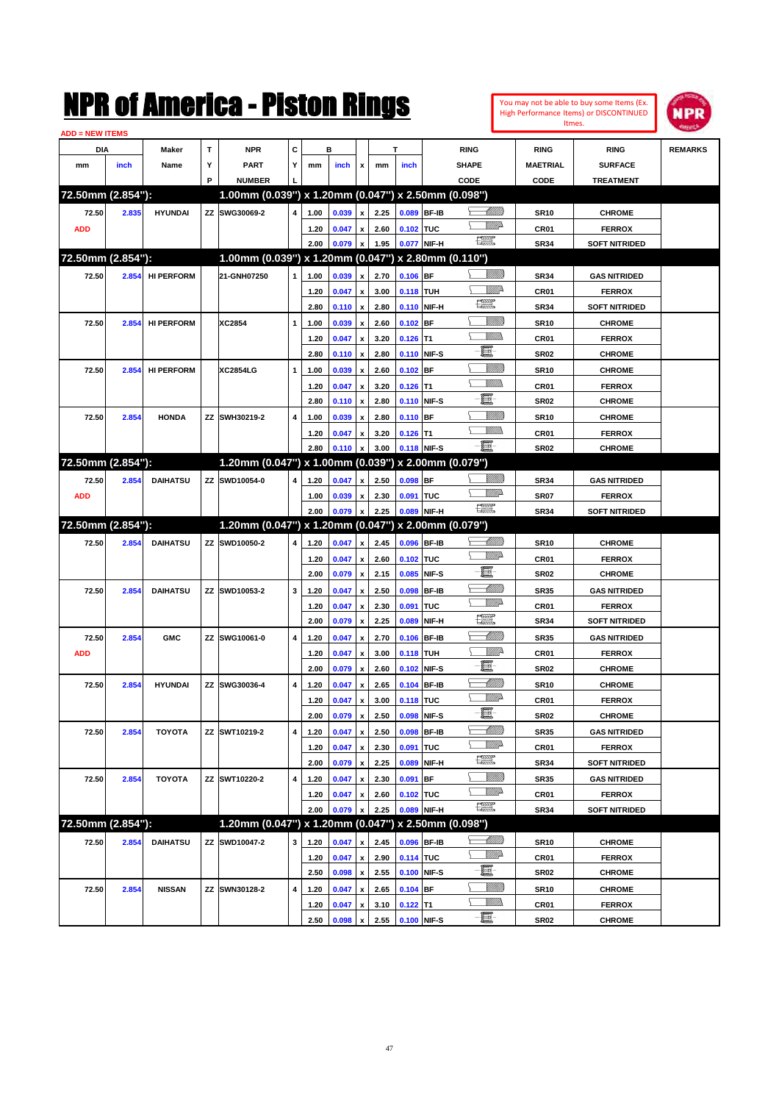|                        |       |                   |   | NMK OI AINCTICA - MISLON KINGS                      |   |      |       |                           |      |             |                   |                                                                                                                                                                                                                                                                                                                                                                                             |                  | You may not be able to buy some Items (Ex.<br>High Performance Items) or DISCONTINUED | <b>NPR</b>     |
|------------------------|-------|-------------------|---|-----------------------------------------------------|---|------|-------|---------------------------|------|-------------|-------------------|---------------------------------------------------------------------------------------------------------------------------------------------------------------------------------------------------------------------------------------------------------------------------------------------------------------------------------------------------------------------------------------------|------------------|---------------------------------------------------------------------------------------|----------------|
| <b>ADD = NEW ITEMS</b> |       |                   |   |                                                     |   |      |       |                           |      |             |                   |                                                                                                                                                                                                                                                                                                                                                                                             | Itmes.           |                                                                                       |                |
| DIA                    |       | Maker             | T | <b>NPR</b>                                          | C |      | в     |                           |      | T           |                   | <b>RING</b>                                                                                                                                                                                                                                                                                                                                                                                 | <b>RING</b>      | <b>RING</b>                                                                           | <b>REMARKS</b> |
| mm                     | inch  | Name              | Υ | <b>PART</b>                                         | Y | mm   | inch  | x                         | mm   | inch        |                   | <b>SHAPE</b>                                                                                                                                                                                                                                                                                                                                                                                | <b>MAETRIAL</b>  | <b>SURFACE</b>                                                                        |                |
|                        |       |                   | P | <b>NUMBER</b>                                       |   |      |       |                           |      |             |                   | CODE                                                                                                                                                                                                                                                                                                                                                                                        | CODE             | <b>TREATMENT</b>                                                                      |                |
| 72.50mm (2.854"):      |       |                   |   | 1.00mm (0.039") x 1.20mm (0.047") x 2.50mm (0.098") |   |      |       |                           |      |             |                   |                                                                                                                                                                                                                                                                                                                                                                                             |                  |                                                                                       |                |
| 72.50                  | 2.835 | <b>HYUNDAI</b>    |   | ZZ SWG30069-2                                       | 4 | 1.00 | 0.039 | $\pmb{\mathsf{x}}$        | 2.25 | 0.089       | <b>BF-IB</b>      | <u> UMM</u>                                                                                                                                                                                                                                                                                                                                                                                 | <b>SR10</b>      | <b>CHROME</b>                                                                         |                |
| <b>ADD</b>             |       |                   |   |                                                     |   | 1.20 | 0.047 | $\pmb{\mathsf{x}}$        | 2.60 | 0.102       | <b>TUC</b>        | <u>MM</u>                                                                                                                                                                                                                                                                                                                                                                                   | CR <sub>01</sub> | <b>FERROX</b>                                                                         |                |
|                        |       |                   |   |                                                     |   | 2.00 | 0.079 | $\pmb{\mathsf{x}}$        | 1.95 | 0.077       | NIF-H             | $\begin{picture}(20,20) \put(0,0){\dashbox{0.5}(20,0){ }} \put(15,0){\circle{10}} \put(25,0){\circle{10}} \put(25,0){\circle{10}} \put(25,0){\circle{10}} \put(25,0){\circle{10}} \put(25,0){\circle{10}} \put(25,0){\circle{10}} \put(25,0){\circle{10}} \put(25,0){\circle{10}} \put(25,0){\circle{10}} \put(25,0){\circle{10}} \put(25,0){\circle{10}} \put(25,0){\circle{10}} \put(25,$ | <b>SR34</b>      | <b>SOFT NITRIDED</b>                                                                  |                |
| 72.50mm (2.854"):      |       |                   |   | 1.00mm (0.039") x 1.20mm (0.047") x 2.80mm (0.110") |   |      |       |                           |      |             |                   |                                                                                                                                                                                                                                                                                                                                                                                             |                  |                                                                                       |                |
| 72.50                  | 2.854 | <b>HI PERFORM</b> |   | 21-GNH07250                                         | 1 | 1.00 | 0.039 | x                         | 2.70 | 0.106       | <b>BF</b>         | <u>Sillilli</u>                                                                                                                                                                                                                                                                                                                                                                             | <b>SR34</b>      | <b>GAS NITRIDED</b>                                                                   |                |
|                        |       |                   |   |                                                     |   | 1.20 | 0.047 | x                         | 3.00 | 0.118       | <b>TUH</b>        | ₩₩                                                                                                                                                                                                                                                                                                                                                                                          | CR <sub>01</sub> | <b>FERROX</b>                                                                         |                |
|                        |       |                   |   |                                                     |   | 2.80 | 0.110 | $\boldsymbol{\mathsf{x}}$ | 2.80 | 0.110       | NIF-H             | <b>FOR 5</b>                                                                                                                                                                                                                                                                                                                                                                                | <b>SR34</b>      | <b>SOFT NITRIDED</b>                                                                  |                |
| 72.50                  | 2.854 | <b>HI PERFORM</b> |   | <b>XC2854</b>                                       | 1 | 1.00 | 0.039 | x                         | 2.60 | 0.102       | BF                | <u>Millil</u>                                                                                                                                                                                                                                                                                                                                                                               | <b>SR10</b>      | <b>CHROME</b>                                                                         |                |
|                        |       |                   |   |                                                     |   | 1.20 | 0.047 | x                         | 3.20 | 0.126       | lT1               | 9777)                                                                                                                                                                                                                                                                                                                                                                                       | CR <sub>01</sub> | <b>FERROX</b>                                                                         |                |
|                        |       |                   |   |                                                     |   | 2.80 | 0.110 | $\boldsymbol{\mathsf{x}}$ | 2.80 | 0.110       | NIF-S             | E                                                                                                                                                                                                                                                                                                                                                                                           | SR02             | <b>CHROME</b>                                                                         |                |
| 72.50                  | 2.854 | <b>HI PERFORM</b> |   | <b>XC2854LG</b>                                     | 1 | 1.00 | 0.039 | x                         | 2.60 | 0.102       | <b>BF</b>         | <u>Sillilli</u>                                                                                                                                                                                                                                                                                                                                                                             | SR <sub>10</sub> | <b>CHROME</b>                                                                         |                |
|                        |       |                   |   |                                                     |   | 1.20 | 0.047 | x                         | 3.20 | 0.126       | lT1               | 9777)                                                                                                                                                                                                                                                                                                                                                                                       | CR <sub>01</sub> | <b>FERROX</b>                                                                         |                |
|                        |       |                   |   |                                                     |   | 2.80 | 0.110 | $\boldsymbol{\mathsf{x}}$ | 2.80 | 0.110       | NIF-S             | E                                                                                                                                                                                                                                                                                                                                                                                           | SR02             | <b>CHROME</b>                                                                         |                |
| 72.50                  | 2.854 | <b>HONDA</b>      |   | ZZ SWH30219-2                                       | 4 | 1.00 | 0.039 | x                         | 2.80 | 0.110       | <b>BF</b>         | <u>Sillilli</u>                                                                                                                                                                                                                                                                                                                                                                             | SR <sub>10</sub> | <b>CHROME</b>                                                                         |                |
|                        |       |                   |   |                                                     |   | 1.20 | 0.047 | x                         | 3.20 | 0.126       | lT1               | 9777)                                                                                                                                                                                                                                                                                                                                                                                       | CR <sub>01</sub> | <b>FERROX</b>                                                                         |                |
|                        |       |                   |   |                                                     |   | 2.80 | 0.110 | $\boldsymbol{\mathsf{x}}$ | 3.00 | 0.118       | NIF-S             | - 1                                                                                                                                                                                                                                                                                                                                                                                         | <b>SR02</b>      | <b>CHROME</b>                                                                         |                |
| 72.50mm (2.854"):      |       |                   |   | 1.20mm (0.047") x 1.00mm (0.039") x 2.00mm (0.079") |   |      |       |                           |      |             |                   |                                                                                                                                                                                                                                                                                                                                                                                             |                  |                                                                                       |                |
| 72.50                  | 2.854 | <b>DAIHATSU</b>   |   | ZZ SWD10054-0                                       | 4 | 1.20 | 0.047 | x                         | 2.50 | 0.098       | <b>BF</b>         | <u>Sillilli</u>                                                                                                                                                                                                                                                                                                                                                                             | <b>SR34</b>      | <b>GAS NITRIDED</b>                                                                   |                |
| <b>ADD</b>             |       |                   |   |                                                     |   | 1.00 | 0.039 | x                         | 2.30 | 0.091       | <b>TUC</b>        | <u>MM</u>                                                                                                                                                                                                                                                                                                                                                                                   | <b>SR07</b>      | <b>FERROX</b>                                                                         |                |
|                        |       |                   |   |                                                     |   | 2.00 | 0.079 | $\mathbf{x}$              | 2.25 | 0.089       | NIF-H             | $\begin{picture}(20,20) \put(0,0){\dashbox{0.5}(20,0){ }} \put(15,0){\circle{10}} \put(25,0){\circle{10}} \put(25,0){\circle{10}} \put(25,0){\circle{10}} \put(25,0){\circle{10}} \put(25,0){\circle{10}} \put(25,0){\circle{10}} \put(25,0){\circle{10}} \put(25,0){\circle{10}} \put(25,0){\circle{10}} \put(25,0){\circle{10}} \put(25,0){\circle{10}} \put(25,0){\circle{10}} \put(25,$ | <b>SR34</b>      | <b>SOFT NITRIDED</b>                                                                  |                |
| 72.50mm (2.854"):      |       |                   |   | 1.20mm (0.047") x 1.20mm (0.047")                   |   |      |       |                           |      |             | x 2.00mm (0.079") |                                                                                                                                                                                                                                                                                                                                                                                             |                  |                                                                                       |                |
| 72.50                  | 2.854 | <b>DAIHATSU</b>   |   | ZZ SWD10050-2                                       | 4 | 1.20 | 0.047 | $\mathbf{x}$              | 2.45 | 0.096       | <b>BF-IB</b>      | <u> UMM</u>                                                                                                                                                                                                                                                                                                                                                                                 | SR <sub>10</sub> | <b>CHROME</b>                                                                         |                |
|                        |       |                   |   |                                                     |   | 1.20 | 0.047 | $\pmb{\mathsf{x}}$        | 2.60 | 0.102       | <b>TUC</b>        | <u>MM</u>                                                                                                                                                                                                                                                                                                                                                                                   | CR <sub>01</sub> | <b>FERROX</b>                                                                         |                |
|                        |       |                   |   |                                                     |   | 2.00 | 0.079 | x                         | 2.15 | 0.085       | NIF-S             | E                                                                                                                                                                                                                                                                                                                                                                                           | <b>SR02</b>      | <b>CHROME</b>                                                                         |                |
| 72.50                  | 2.854 | <b>DAIHATSU</b>   |   | ZZ SWD10053-2                                       | 3 | 1.20 | 0.047 | x                         | 2.50 | 0.098       | <b>BF-IB</b>      | <u> Milli</u>                                                                                                                                                                                                                                                                                                                                                                               | <b>SR35</b>      | <b>GAS NITRIDED</b>                                                                   |                |
|                        |       |                   |   |                                                     |   | 1.20 | 0.047 | x                         | 2.30 | 0.091       | TUC               | <u>MM</u>                                                                                                                                                                                                                                                                                                                                                                                   | CR <sub>01</sub> | <b>FERROX</b>                                                                         |                |
|                        |       |                   |   |                                                     |   | 2.00 | 0.079 | $\boldsymbol{\mathsf{x}}$ | 2.25 | 0.089       | NIF-H             | $\mathbb{R}$                                                                                                                                                                                                                                                                                                                                                                                | SR34             | <b>SOFT NITRIDED</b>                                                                  |                |
| 72.50                  | 2.854 | <b>GMC</b>        |   | ZZ SWG10061-0                                       | 4 | 1.20 | 0.047 | x                         | 2.70 | 0.106       | <b>BF-IB</b>      | <u> UMM</u>                                                                                                                                                                                                                                                                                                                                                                                 | SR35             | <b>GAS NITRIDED</b>                                                                   |                |
| <b>ADD</b>             |       |                   |   |                                                     |   | 1.20 | 0.047 | x                         | 3.00 | 0.118       | <b>TUH</b>        | ₩₩                                                                                                                                                                                                                                                                                                                                                                                          | CR <sub>01</sub> | <b>FERROX</b>                                                                         |                |
|                        |       |                   |   |                                                     |   | 2.00 | 0.079 | x                         | 2.60 | 0.102       | NIF-S             | E                                                                                                                                                                                                                                                                                                                                                                                           | SR02             | <b>CHROME</b>                                                                         |                |
| 72.50                  | 2.854 | <b>HYUNDAI</b>    |   | ZZ SWG30036-4                                       | 4 | 1.20 | 0.047 | $\pmb{\mathsf{x}}$        | 2.65 | 0.104 BF-IB |                   | <u>UMB</u>                                                                                                                                                                                                                                                                                                                                                                                  | <b>SR10</b>      | <b>CHROME</b>                                                                         |                |
|                        |       |                   |   |                                                     |   | 1.20 | 0.047 | $\pmb{\mathsf{x}}$        | 3.00 | 0.118 TUC   |                   | ₩₩                                                                                                                                                                                                                                                                                                                                                                                          | CR <sub>01</sub> | <b>FERROX</b>                                                                         |                |
|                        |       |                   |   |                                                     |   | 2.00 | 0.079 | x                         | 2.50 | 0.098       | NIF-S             | E.                                                                                                                                                                                                                                                                                                                                                                                          | <b>SR02</b>      | <b>CHROME</b>                                                                         |                |
| 72.50                  | 2.854 | <b>TOYOTA</b>     |   | ZZ SWT10219-2                                       | 4 | 1.20 | 0.047 | $\pmb{\mathsf{x}}$        | 2.50 | 0.098       | <b>BF-IB</b>      | <u>- MM B</u>                                                                                                                                                                                                                                                                                                                                                                               | <b>SR35</b>      | <b>GAS NITRIDED</b>                                                                   |                |
|                        |       |                   |   |                                                     |   | 1.20 | 0.047 | $\pmb{\mathsf{x}}$        | 2.30 | 0.091       | TUC               | <u>VMP</u>                                                                                                                                                                                                                                                                                                                                                                                  | CR01             | <b>FERROX</b>                                                                         |                |
|                        |       |                   |   |                                                     |   | 2.00 | 0.079 | $\pmb{\mathsf{x}}$        | 2.25 | 0.089       | NIF-H             | 漂                                                                                                                                                                                                                                                                                                                                                                                           | <b>SR34</b>      | <b>SOFT NITRIDED</b>                                                                  |                |
| 72.50                  | 2.854 | <b>TOYOTA</b>     |   | ZZ SWT10220-2                                       | 4 | 1.20 | 0.047 | $\pmb{\mathsf{x}}$        | 2.30 | 0.091       | BF                | <u>Milli</u>                                                                                                                                                                                                                                                                                                                                                                                | <b>SR35</b>      | <b>GAS NITRIDED</b>                                                                   |                |
|                        |       |                   |   |                                                     |   | 1.20 | 0.047 | $\pmb{\mathsf{x}}$        | 2.60 | 0.102       | TUC               | <u>WW</u> A                                                                                                                                                                                                                                                                                                                                                                                 | CR01             | <b>FERROX</b>                                                                         |                |
|                        |       |                   |   |                                                     |   | 2.00 | 0.079 |                           | 2.25 | 0.089       | NIF-H             | $f_{\rm max}^{\rm exp}$                                                                                                                                                                                                                                                                                                                                                                     | <b>SR34</b>      | <b>SOFT NITRIDED</b>                                                                  |                |
| 72.50mm (2.854"):      |       |                   |   | 1.20mm (0.047") x 1.20mm (0.047") x 2.50mm (0.098") |   |      |       |                           |      |             |                   |                                                                                                                                                                                                                                                                                                                                                                                             |                  |                                                                                       |                |
| 72.50                  | 2.854 | <b>DAIHATSU</b>   |   | ZZ SWD10047-2                                       | 3 | 1.20 | 0.047 | x                         | 2.45 | 0.096 BF-IB |                   | <u>- Millitt</u><br>ᄂ                                                                                                                                                                                                                                                                                                                                                                       | <b>SR10</b>      | <b>CHROME</b>                                                                         |                |
|                        |       |                   |   |                                                     |   | 1.20 | 0.047 | $\pmb{\mathsf{x}}$        | 2.90 | 0.114 TUC   |                   | <u>WW</u> A                                                                                                                                                                                                                                                                                                                                                                                 | CR01             | <b>FERROX</b>                                                                         |                |
|                        |       |                   |   |                                                     |   | 2.50 | 0.098 | x                         | 2.55 | 0.100       | NIF-S             | E.                                                                                                                                                                                                                                                                                                                                                                                          | <b>SR02</b>      | <b>CHROME</b>                                                                         |                |
| 72.50                  | 2.854 | <b>NISSAN</b>     |   | ZZ SWN30128-2                                       | 4 | 1.20 | 0.047 | x                         | 2.65 | 0.104 BF    |                   | <u>Milli</u>                                                                                                                                                                                                                                                                                                                                                                                | <b>SR10</b>      | <b>CHROME</b>                                                                         |                |
|                        |       |                   |   |                                                     |   | 1.20 | 0.047 | x                         | 3.10 | $0.122$ T1  |                   | <u>Willib</u>                                                                                                                                                                                                                                                                                                                                                                               | CR01             | <b>FERROX</b>                                                                         |                |
|                        |       |                   |   |                                                     |   | 2.50 | 0.098 | $\mathbf{x}$              | 2.55 | 0.100 NIF-S |                   | -8                                                                                                                                                                                                                                                                                                                                                                                          | <b>SR02</b>      | <b>CHROME</b>                                                                         |                |

**2.50 0.098 x 2.55 0.100 NIF-S SR02 CHROME**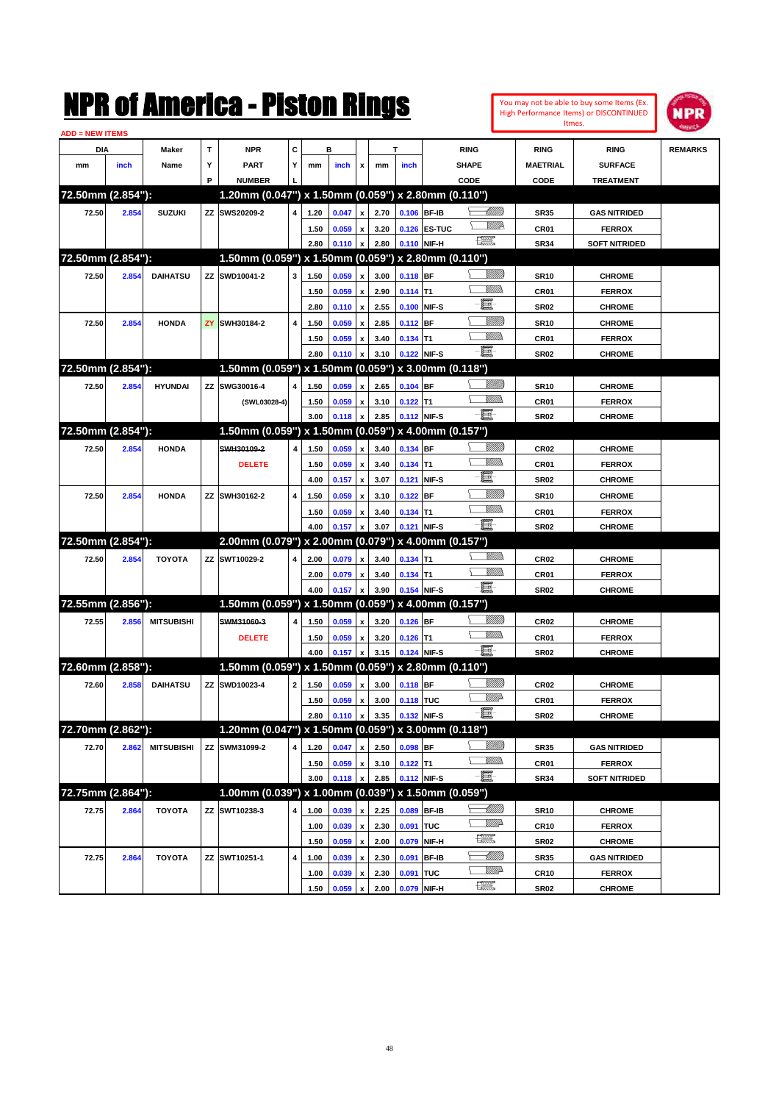|                   |       |                   |   | NMK OI AINCrica - Miston Kings                         |              |      |       |                    |      |            |                   |              |                 |                  | You may not be able to buy some Items (Ex.<br>High Performance Items) or DISCONTINUED | NPR            |
|-------------------|-------|-------------------|---|--------------------------------------------------------|--------------|------|-------|--------------------|------|------------|-------------------|--------------|-----------------|------------------|---------------------------------------------------------------------------------------|----------------|
| ADD = NEW ITEMS   |       |                   |   |                                                        |              |      |       |                    |      |            |                   |              |                 |                  | Itmes.                                                                                |                |
| DIA               |       | Maker             | T | <b>NPR</b>                                             | c            |      | в     |                    |      | т          |                   | <b>RING</b>  |                 | <b>RING</b>      | <b>RING</b>                                                                           | <b>REMARKS</b> |
| mm                | inch  | Name              | Υ | <b>PART</b>                                            | Y            | mm   | inch  | x                  | mm   | inch       |                   | <b>SHAPE</b> |                 | <b>MAETRIAL</b>  | <b>SURFACE</b>                                                                        |                |
|                   |       |                   | P | <b>NUMBER</b>                                          |              |      |       |                    |      |            |                   | CODE         |                 | CODE             | <b>TREATMENT</b>                                                                      |                |
| 72.50mm (2.854"): |       |                   |   | 1.20mm (0.047") x 1.50mm (0.059") x 2.80mm (0.110")    |              |      |       |                    |      |            |                   |              |                 |                  |                                                                                       |                |
| 72.50             | 2.854 | <b>SUZUKI</b>     |   | ZZ SWS20209-2                                          | 4            | 1.20 | 0.047 | X                  | 2.70 |            | 0.106 BF-IB       |              | <u> UMM</u>     | <b>SR35</b>      | <b>GAS NITRIDED</b>                                                                   |                |
|                   |       |                   |   |                                                        |              | 1.50 | 0.059 | x                  | 3.20 |            | 0.126 ES-TUC      |              | <u>MMP</u>      | CR01             | <b>FERROX</b>                                                                         |                |
|                   |       |                   |   |                                                        |              | 2.80 | 0.110 | x                  | 2.80 |            | 0.110 NIF-H       | æ            |                 | <b>SR34</b>      | <b>SOFT NITRIDED</b>                                                                  |                |
| 72.50mm (2.854"): |       |                   |   | 1.50mm (0.059") x 1.50mm (0.059") x 2.80mm (0.110")    |              |      |       |                    |      |            |                   |              |                 |                  |                                                                                       |                |
| 72.50             | 2.854 | <b>DAIHATSU</b>   |   | ZZ SWD10041-2                                          | 3            | 1.50 | 0.059 | x                  | 3.00 | 0.118 BF   |                   |              | <u>Millil</u>   | <b>SR10</b>      | <b>CHROME</b>                                                                         |                |
|                   |       |                   |   |                                                        |              | 1.50 | 0.059 | x                  | 2.90 | $0.114$ T1 |                   |              | CM)             | CR01             | <b>FERROX</b>                                                                         |                |
|                   |       |                   |   |                                                        |              | 2.80 | 0.110 | x                  | 2.55 | 0.100      | NIF-S             | E            |                 | <b>SR02</b>      | <b>CHROME</b>                                                                         |                |
| 72.50             | 2.854 | <b>HONDA</b>      |   | <b>ZY SWH30184-2</b>                                   | 4            | 1.50 | 0.059 | x                  | 2.85 | 0.112 BF   |                   |              | <u>MMM</u>      | <b>SR10</b>      | <b>CHROME</b>                                                                         |                |
|                   |       |                   |   |                                                        |              | 1.50 | 0.059 | x                  | 3.40 | $0.134$ T1 |                   |              | <br>Mar         | CR01             | <b>FERROX</b>                                                                         |                |
|                   |       |                   |   |                                                        |              | 2.80 | 0.110 | x                  | 3.10 |            | 0.122 NIF-S       | -8           |                 | <b>SR02</b>      | <b>CHROME</b>                                                                         |                |
| 72.50mm (2.854"): |       |                   |   | 1.50mm (0.059") x 1.50mm (0.059")                      |              |      |       |                    |      |            | x 3.00mm (0.118") |              |                 |                  |                                                                                       |                |
| 72.50             | 2.854 | <b>HYUNDAI</b>    |   | ZZ SWG30016-4                                          | 4            | 1.50 | 0.059 | x                  | 2.65 | $0.104$ BF |                   |              | <u> UMB</u>     | <b>SR10</b>      | <b>CHROME</b>                                                                         |                |
|                   |       |                   |   | (SWL03028-4)                                           |              | 1.50 | 0.059 | x                  | 3.10 | $0.122$ T1 |                   |              | <br>Mar         | CR01             | <b>FERROX</b>                                                                         |                |
|                   |       |                   |   |                                                        |              | 3.00 | 0.118 | x                  | 2.85 |            | 0.112 NIF-S       | -8           |                 | <b>SR02</b>      | <b>CHROME</b>                                                                         |                |
| 72.50mm (2.854"): |       |                   |   | 1.50mm (0.059") x 1.50mm (0.059")                      |              |      |       |                    |      |            | x 4.00mm (0.157") |              |                 |                  |                                                                                       |                |
| 72.50             | 2.854 | <b>HONDA</b>      |   | SWH30109-2                                             | 4            | 1.50 | 0.059 | x                  | 3.40 | $0.134$ BF |                   |              | <u> UMB</u>     | CR <sub>02</sub> | <b>CHROME</b>                                                                         |                |
|                   |       |                   |   | <b>DELETE</b>                                          |              | 1.50 | 0.059 | x                  | 3.40 | $0.134$ T1 |                   |              | 9777)           | CR01             | <b>FERROX</b>                                                                         |                |
|                   |       |                   |   |                                                        |              | 4.00 | 0.157 | x                  | 3.07 | 0.121      | NIF-S             | E            |                 | <b>SR02</b>      | <b>CHROME</b>                                                                         |                |
| 72.50             | 2.854 | <b>HONDA</b>      |   | ZZ SWH30162-2                                          | 4            | 1.50 | 0.059 | x                  | 3.10 | $0.122$ BF |                   |              | <u>MMM</u>      | <b>SR10</b>      | <b>CHROME</b>                                                                         |                |
|                   |       |                   |   |                                                        |              | 1.50 | 0.059 | x                  | 3.40 | $0.134$ T1 |                   |              | 9777)           | CR01             | <b>FERROX</b>                                                                         |                |
|                   |       |                   |   |                                                        |              | 4.00 | 0.157 | x                  | 3.07 |            | 0.121 NIF-S       | -8           |                 | <b>SR02</b>      | <b>CHROME</b>                                                                         |                |
| 72.50mm (2.854"): |       |                   |   | 2.00mm (0.079") x 2.00mm (0.079")                      |              |      |       |                    |      |            | x 4.00mm (0.157") |              |                 |                  |                                                                                       |                |
| 72.50             | 2.854 | <b>TOYOTA</b>     |   | ZZ SWT10029-2                                          | 4            | 2.00 | 0.079 | x                  | 3.40 | $0.134$ T1 |                   |              | <br>Mar         | CR <sub>02</sub> | <b>CHROME</b>                                                                         |                |
|                   |       |                   |   |                                                        |              | 2.00 | 0.079 | x                  | 3.40 | $0.134$ T1 |                   |              | MM)             | CR01             | <b>FERROX</b>                                                                         |                |
|                   |       |                   |   |                                                        |              | 4.00 | 0.157 | X                  | 3.90 |            | 0.154 NIF-S       | -8           |                 | <b>SR02</b>      | <b>CHROME</b>                                                                         |                |
| 72.55mm (2.856"): |       |                   |   | 1.50mm (0.059") x 1.50mm (0.059")                      |              |      |       |                    |      |            | x 4.00mm (0.157") |              |                 |                  |                                                                                       |                |
| 72.55             | 2.856 | <b>MITSUBISHI</b> |   | SWM31060-3                                             | 4            | 1.50 | 0.059 | x                  | 3.20 | $0.126$ BF |                   |              | <u>Villitti</u> | CR <sub>02</sub> | <b>CHROME</b>                                                                         |                |
|                   |       |                   |   | <b>DELETE</b>                                          |              | 1.50 | 0.059 | x                  | 3.20 | $0.126$ T1 |                   |              | .<br>VMD        | CR01             | <b>FERROX</b>                                                                         |                |
|                   |       |                   |   |                                                        |              | 4.00 | 0.157 | x                  | 3.15 |            | 0.124 NIF-S       | -8           |                 | <b>SR02</b>      | <b>CHROME</b>                                                                         |                |
| 72.60mm (2.858"): |       |                   |   | 1.50mm (0.059") x 1.50mm (0.059") x 2.80mm (0.110")    |              |      |       |                    |      |            |                   |              |                 |                  |                                                                                       |                |
| 72.60             | 2.858 | <b>DAIHATSU</b>   |   | ZZ SWD10023-4                                          | $\mathbf{2}$ | 1.50 | 0.059 | $\mathbf{x}$       | 3.00 | 0.118 BF   |                   |              | <u>Millitti</u> | CR <sub>02</sub> | <b>CHROME</b>                                                                         |                |
|                   |       |                   |   |                                                        |              | 1.50 | 0.059 | $\pmb{\mathsf{x}}$ | 3.00 | 0.118 TUC  |                   |              | <u>WW</u> A     | CR01             | <b>FERROX</b>                                                                         |                |
|                   |       |                   |   |                                                        |              | 2.80 | 0.110 | x                  | 3.35 |            | 0.132 NIF-S       | E            |                 | <b>SR02</b>      | <b>CHROME</b>                                                                         |                |
| 72.70mm (2.862"): |       |                   |   | 1.20mm (0.047") x 1.50mm (0.059") x 3.00mm (0.118")    |              |      |       |                    |      |            |                   |              |                 |                  |                                                                                       |                |
| 72.70             | 2.862 | <b>MITSUBISHI</b> |   | ZZ SWM31099-2                                          | 4            | 1.20 | 0.047 | $\pmb{\mathsf{x}}$ | 2.50 | 0.098 BF   |                   |              | <u>Villin</u>   | <b>SR35</b>      | <b>GAS NITRIDED</b>                                                                   |                |
|                   |       |                   |   |                                                        |              | 1.50 | 0.059 | $\pmb{\mathsf{x}}$ | 3.10 | $0.122$ T1 |                   |              | <u>WMW</u>      | CR01             | <b>FERROX</b>                                                                         |                |
|                   |       |                   |   |                                                        |              | 3.00 | 0.118 | $\pmb{\mathsf{x}}$ | 2.85 |            | 0.112 NIF-S       | -8           |                 | <b>SR34</b>      | <b>SOFT NITRIDED</b>                                                                  |                |
| 72.75mm (2.864"): |       |                   |   | $1.00$ mm (0.039") x 1.00mm (0.039") x 1.50mm (0.059") |              |      |       |                    |      |            |                   |              |                 |                  |                                                                                       |                |
| 72.75             | 2.864 | <b>TOYOTA</b>     |   | ZZ SWT10238-3                                          | 4            | 1.00 | 0.039 | X                  | 2.25 | 0.089      | <b>BF-IB</b>      |              |                 | <b>SR10</b>      | <b>CHROME</b>                                                                         |                |
|                   |       |                   |   |                                                        |              | 1.00 | 0.039 | $\pmb{\mathsf{x}}$ | 2.30 | 0.091 TUC  |                   |              | <u>VMP</u>      | <b>CR10</b>      | <b>FERROX</b>                                                                         |                |
|                   |       |                   |   |                                                        |              | 1.50 | 0.059 | $\pmb{\mathsf{x}}$ | 2.00 | 0.079      | NIF-H             | <b>THE</b>   |                 | <b>SR02</b>      | <b>CHROME</b>                                                                         |                |
| 72.75             | 2.864 | <b>TOYOTA</b>     |   | ZZ SWT10251-1                                          | 4            | 1.00 | 0.039 | $\pmb{\mathsf{x}}$ | 2.30 |            | 0.091 BF-IB       |              | <u> MM B</u>    | <b>SR35</b>      | <b>GAS NITRIDED</b>                                                                   |                |
|                   |       |                   |   |                                                        |              | 1.00 | 0.039 | $\pmb{\mathsf{x}}$ | 2.30 | 0.091 TUC  |                   |              | <u>VMP</u>      | <b>CR10</b>      | <b>FERROX</b>                                                                         |                |
|                   |       |                   |   |                                                        |              | 1.50 | 0.059 | $\pmb{\mathsf{x}}$ | 2.00 |            | 0.079 NIF-H       | æ            |                 | <b>SR02</b>      | <b>CHROME</b>                                                                         |                |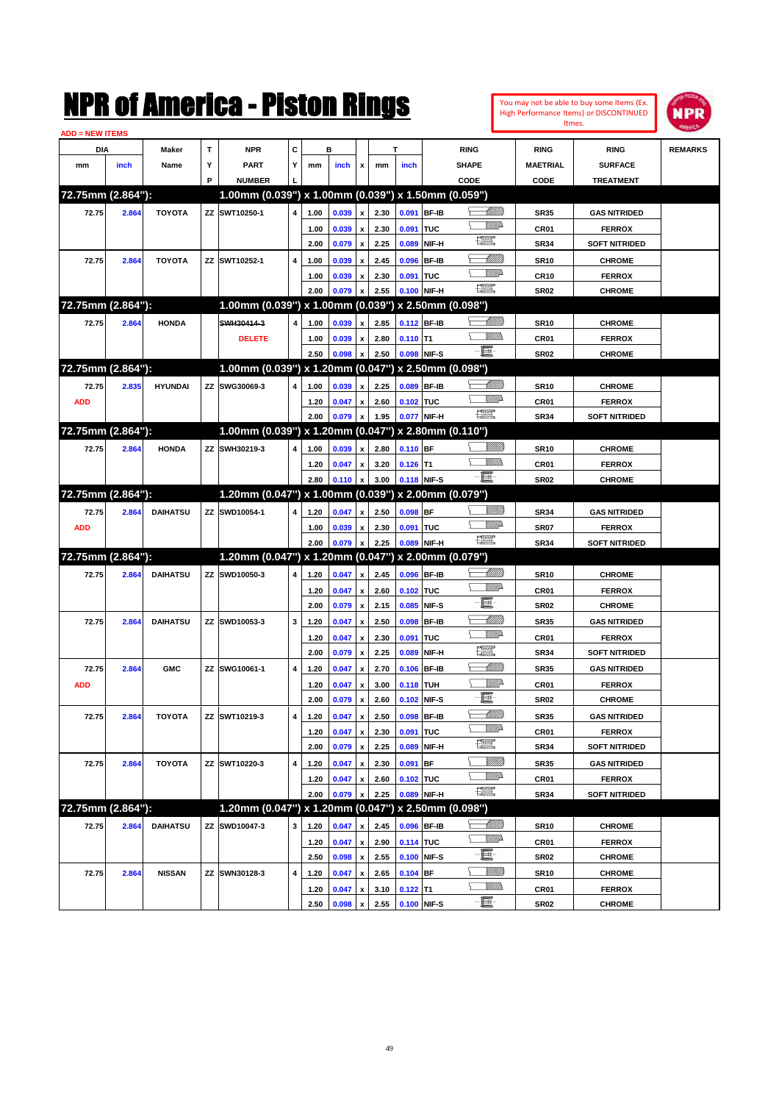| <b>ADD = NEW ITEMS</b> |       |                 |   |                                                     |                         |      |       |                           |      |            |              |                               | Itmes.           |                      |                |
|------------------------|-------|-----------------|---|-----------------------------------------------------|-------------------------|------|-------|---------------------------|------|------------|--------------|-------------------------------|------------------|----------------------|----------------|
| DIA                    |       | <b>Maker</b>    | T | <b>NPR</b>                                          | C                       |      | в     |                           |      |            |              | <b>RING</b>                   | <b>RING</b>      | <b>RING</b>          | <b>REMARKS</b> |
| mm                     | inch  | Name            | Υ | <b>PART</b>                                         | Υ                       | mm   | inch  | $\pmb{\chi}$              | mm   | inch       |              | <b>SHAPE</b>                  | <b>MAETRIAL</b>  | <b>SURFACE</b>       |                |
|                        |       |                 | P | <b>NUMBER</b>                                       |                         |      |       |                           |      |            |              | CODE                          | CODE             | <b>TREATMENT</b>     |                |
| 72.75mm (2.864"):      |       |                 |   | 1.00mm (0.039") x 1.00mm (0.039") x 1.50mm (0.059") |                         |      |       |                           |      |            |              |                               |                  |                      |                |
| 72.75                  | 2.864 | <b>TOYOTA</b>   |   | ZZ SWT10250-1                                       | 4                       | 1.00 | 0.039 | $\mathbf{x}$              | 2.30 |            | 0.091 BF-IB  | <u> UMB</u>                   | <b>SR35</b>      | <b>GAS NITRIDED</b>  |                |
|                        |       |                 |   |                                                     |                         | 1.00 | 0.039 | $\pmb{\mathsf{x}}$        | 2.30 | 0.091      | TUC          | <u>VMD</u>                    | <b>CR01</b>      | <b>FERROX</b>        |                |
|                        |       |                 |   |                                                     |                         | 2.00 | 0.079 | $\pmb{\mathsf{x}}$        | 2.25 | 0.089      | NIF-H        | 鱱                             | <b>SR34</b>      | <b>SOFT NITRIDED</b> |                |
| 72.75                  | 2.864 | <b>TOYOTA</b>   |   | ZZ SWT10252-1                                       | $\overline{\mathbf{4}}$ | 1.00 | 0.039 | $\pmb{\mathsf{x}}$        | 2.45 | 0.096      | <b>BF-IB</b> | <u>UMM</u>                    | <b>SR10</b>      | <b>CHROME</b>        |                |
|                        |       |                 |   |                                                     |                         | 1.00 | 0.039 | x                         | 2.30 | 0.091      | TUC          | <u>VMD</u>                    | <b>CR10</b>      | <b>FERROX</b>        |                |
|                        |       |                 |   |                                                     |                         | 2.00 | 0.079 | $\mathbf{x}$              | 2.55 |            | 0.100 NIF-H  | <b>The Second</b>             | SR <sub>02</sub> | <b>CHROME</b>        |                |
| 72.75mm (2.864"):      |       |                 |   | 1.00mm (0.039") x 1.00mm (0.039") x 2.50mm (0.098") |                         |      |       |                           |      |            |              |                               |                  |                      |                |
| 72.75                  | 2.864 | <b>HONDA</b>    |   | SWH30414-3                                          |                         | 1.00 | 0.039 | x                         | 2.85 |            | 0.112 BF-IB  | <u>UMM</u>                    | <b>SR10</b>      | <b>CHROME</b>        |                |
|                        |       |                 |   | <b>DELETE</b>                                       |                         | 1.00 | 0.039 | $\pmb{\mathsf{x}}$        | 2.80 | $0.110$ T1 |              | <u>MMs</u><br>↘               | <b>CR01</b>      | <b>FERROX</b>        |                |
|                        |       |                 |   |                                                     |                         | 2.50 | 0.098 | $\pmb{\mathsf{x}}$        | 2.50 |            | 0.098 NIF-S  | - 1                           | <b>SR02</b>      | <b>CHROME</b>        |                |
| 72.75mm (2.864"):      |       |                 |   | 1.00mm (0.039") x 1.20mm (0.047") x 2.50mm (0.098") |                         |      |       |                           |      |            |              |                               |                  |                      |                |
| 72.75                  | 2.835 | <b>HYUNDAI</b>  |   | ZZ SWG30069-3                                       | 4                       | 1.00 | 0.039 | $\mathbf{x}$              | 2.25 |            | 0.089 BF-IB  | <u>UMM</u>                    | <b>SR10</b>      | <b>CHROME</b>        |                |
| <b>ADD</b>             |       |                 |   |                                                     |                         | 1.20 | 0.047 | $\pmb{\mathsf{x}}$        | 2.60 | 0.102 TUC  |              | VMD-                          | CR01             | <b>FERROX</b>        |                |
|                        |       |                 |   |                                                     |                         | 2.00 | 0.079 | $\boldsymbol{\mathsf{x}}$ | 1.95 |            | 0.077 NIF-H  | <u>reev</u>                   | <b>SR34</b>      | <b>SOFT NITRIDED</b> |                |
| 72.75mm (2.864"):      |       |                 |   | 1.00mm (0.039") x 1.20mm (0.047") x 2.80mm (0.110") |                         |      |       |                           |      |            |              |                               |                  |                      |                |
| 72.75                  | 2.864 | <b>HONDA</b>    |   | ZZ SWH30219-3                                       | 4                       | 1.00 | 0.039 | $\mathbf{x}$              | 2.80 | $0.110$ BF |              |                               | <b>SR10</b>      | <b>CHROME</b>        |                |
|                        |       |                 |   |                                                     |                         | 1.20 | 0.047 | x                         | 3.20 | 0.126      | lT1          | VM).<br>N                     | CR <sub>01</sub> | <b>FERROX</b>        |                |
|                        |       |                 |   |                                                     |                         | 2.80 | 0.110 | $\pmb{\mathsf{x}}$        | 3.00 |            | 0.118 NIF-S  | - 1                           | <b>SR02</b>      | <b>CHROME</b>        |                |
| 72.75mm (2.864"):      |       |                 |   | 1.20mm (0.047") x 1.00mm (0.039") x 2.00mm (0.079") |                         |      |       |                           |      |            |              |                               |                  |                      |                |
| 72.75                  | 2.864 | <b>DAIHATSU</b> |   | ZZ SWD10054-1                                       | 4                       | 1.20 | 0.047 | $\mathbf{x}$              | 2.50 | $0.098$ BF |              | VMM)                          | <b>SR34</b>      | <b>GAS NITRIDED</b>  |                |
| <b>ADD</b>             |       |                 |   |                                                     |                         | 1.00 | 0.039 | $\mathbf{x}$              | 2.30 | 0.091 TUC  |              | <u>VM</u> D                   | <b>SR07</b>      | <b>FERROX</b>        |                |
|                        |       |                 |   |                                                     |                         | 2.00 | 0.079 | $\mathbf{x}$              | 2.25 | 0.089      | NIF-H        | <b>Text</b>                   | <b>SR34</b>      | <b>SOFT NITRIDED</b> |                |
| 72.75mm (2.864"):      |       |                 |   | 1.20mm (0.047") x 1.20mm (0.047") x 2.00mm (0.079") |                         |      |       |                           |      |            |              |                               |                  |                      |                |
| 72.75                  | 2.864 | <b>DAIHATSU</b> |   | ZZ SWD10050-3                                       | 4                       | 1.20 | 0.047 | $\mathbf{x}$              | 2.45 |            | 0.096 BF-IB  | UMM.                          | <b>SR10</b>      | <b>CHROME</b>        |                |
|                        |       |                 |   |                                                     |                         | 1.20 | 0.047 | $\boldsymbol{x}$          | 2.60 | 0.102      | <b>TUC</b>   | <u>VIII</u> D                 | <b>CR01</b>      | <b>FERROX</b>        |                |
|                        |       |                 |   |                                                     |                         | 2.00 | 0.079 | $\mathbf{x}$              | 2.15 | 0.085      | NIF-S        | E                             | <b>SR02</b>      | <b>CHROME</b>        |                |
| 72.75                  | 2.864 | <b>DAIHATSU</b> |   | ZZ SWD10053-3                                       | 3                       | 1.20 | 0.047 |                           | 2.50 | 0.098      | <b>BF-IB</b> | <u>UMM</u>                    | <b>SR35</b>      | <b>GAS NITRIDED</b>  |                |
|                        |       |                 |   |                                                     |                         | 1.20 | 0.047 | x                         | 2.30 | 0.091      | <b>TUC</b>   | <u>WW</u>                     | CR01             | <b>FERROX</b>        |                |
|                        |       |                 |   |                                                     |                         | 2.00 | 0.079 | $\pmb{\mathsf{x}}$        | 2.25 | 0.089      | NIF-H        | <b>PEER</b>                   | <b>SR34</b>      | <b>SOFT NITRIDED</b> |                |
| 72.75                  | 2.864 | <b>GMC</b>      |   | ZZ SWG10061-1                                       | $\overline{\mathbf{4}}$ | 1.20 | 0.047 | x                         | 2.70 | 0.106      | <b>BF-IB</b> | <u> Millil</u>                | <b>SR35</b>      | <b>GAS NITRIDED</b>  |                |
| <b>ADD</b>             |       |                 |   |                                                     |                         | 1.20 | 0.047 | x                         | 3.00 | 0.118      | <b>TUH</b>   | <u>Willi</u> da               | CR <sub>01</sub> | <b>FERROX</b>        |                |
|                        |       |                 |   |                                                     |                         | 2.00 | 0.079 | X                         | 2.60 | 0.102      | NIF-S        | E.                            | <b>SR02</b>      | <b>CHROME</b>        |                |
| 72.75                  | 2.864 | <b>TOYOTA</b>   |   | ZZ SWT10219-3                                       | 4                       | 1.20 | 0.047 | x                         | 2.50 | 0.098      | <b>BF-IB</b> | <u> UMM</u>                   | <b>SR35</b>      | <b>GAS NITRIDED</b>  |                |
|                        |       |                 |   |                                                     |                         | 1.20 | 0.047 | $\boldsymbol{\mathsf{x}}$ | 2.30 | 0.091      | <b>TUC</b>   | <u>VM</u> D                   | CR01             | <b>FERROX</b>        |                |
|                        |       |                 |   |                                                     |                         | 2.00 | 0.079 | x                         | 2.25 | 0.089      | NIF-H        | $f_{\text{max}}^{\text{max}}$ | <b>SR34</b>      | <b>SOFT NITRIDED</b> |                |
| 72.75                  | 2.864 | <b>TOYOTA</b>   |   | ZZ SWT10220-3                                       | 4                       | 1.20 | 0.047 | x                         | 2.30 | 0.091      | BF           | <u>Villitti</u>               | <b>SR35</b>      | <b>GAS NITRIDED</b>  |                |
|                        |       |                 |   |                                                     |                         | 1.20 | 0.047 | X                         | 2.60 | 0.102 TUC  |              | <u>VIII)</u>                  | CR01             | <b>FERROX</b>        |                |
|                        |       |                 |   |                                                     |                         |      |       |                           |      |            |              |                               |                  |                      |                |

You may not be able to buy some Items (Ex. High Performance Items) or DISCONTINUED

| .                 | <b><i><u><u></u></u></i></b> | ,,,,,,          | <i>LL</i> United to                                 |   | $-0.1$ |                |      | 2.JV V.VJI DI       |                 | ິ                | שבישונו וזו שמט      |  |
|-------------------|------------------------------|-----------------|-----------------------------------------------------|---|--------|----------------|------|---------------------|-----------------|------------------|----------------------|--|
|                   |                              |                 |                                                     |   | 1.20   | 0.047 x        | 2.60 | 0.102 TUC           | <u>VMB</u>      | CR <sub>01</sub> | <b>FERROX</b>        |  |
|                   |                              |                 |                                                     |   | 2.00   | $0.079 \times$ | 2.25 | $\big  0.089$ NIF-H | 矘               | <b>SR34</b>      | <b>SOFT NITRIDED</b> |  |
| 72.75mm (2.864"): |                              |                 | 1.20mm (0.047") x 1.20mm (0.047") x 2.50mm (0.098") |   |        |                |      |                     |                 |                  |                      |  |
| 72.75             | 2.864                        | <b>DAIHATSU</b> | <b>ZZ SWD10047-3</b>                                | 3 | 1.20   | $0.047 \times$ |      | 2.45 0.096 BF-IB    | <u> UMM)</u>    | <b>SR10</b>      | <b>CHROME</b>        |  |
|                   |                              |                 |                                                     |   | 1.20   | $0.047 \times$ | 2.90 | $0.114$ TUC         | <u>VMB</u>      | CR <sub>01</sub> | <b>FERROX</b>        |  |
|                   |                              |                 |                                                     |   | 2.50   | 0.098 x        | 2.55 | 0.100 NIF-S         | $-\blacksquare$ | <b>SR02</b>      | <b>CHROME</b>        |  |
| 72.75             | 2.864                        | <b>NISSAN</b>   | <b>ZZ SWN30128-3</b>                                | 4 | 1.20   | $0.047 \times$ |      | 2.65 0.104 BF       | VIIII))         | <b>SR10</b>      | <b>CHROME</b>        |  |
|                   |                              |                 |                                                     |   | 1.20   | 0.047 x        |      | $3.10$ 0.122 T1     | <u>Willib</u>   | CR <sub>01</sub> | <b>FERROX</b>        |  |
|                   |                              |                 |                                                     |   | 2.50   | 0.098 x        |      | 2.55 0.100 NIF-S    | $-\Xi$          | <b>SR02</b>      | <b>CHROME</b>        |  |

49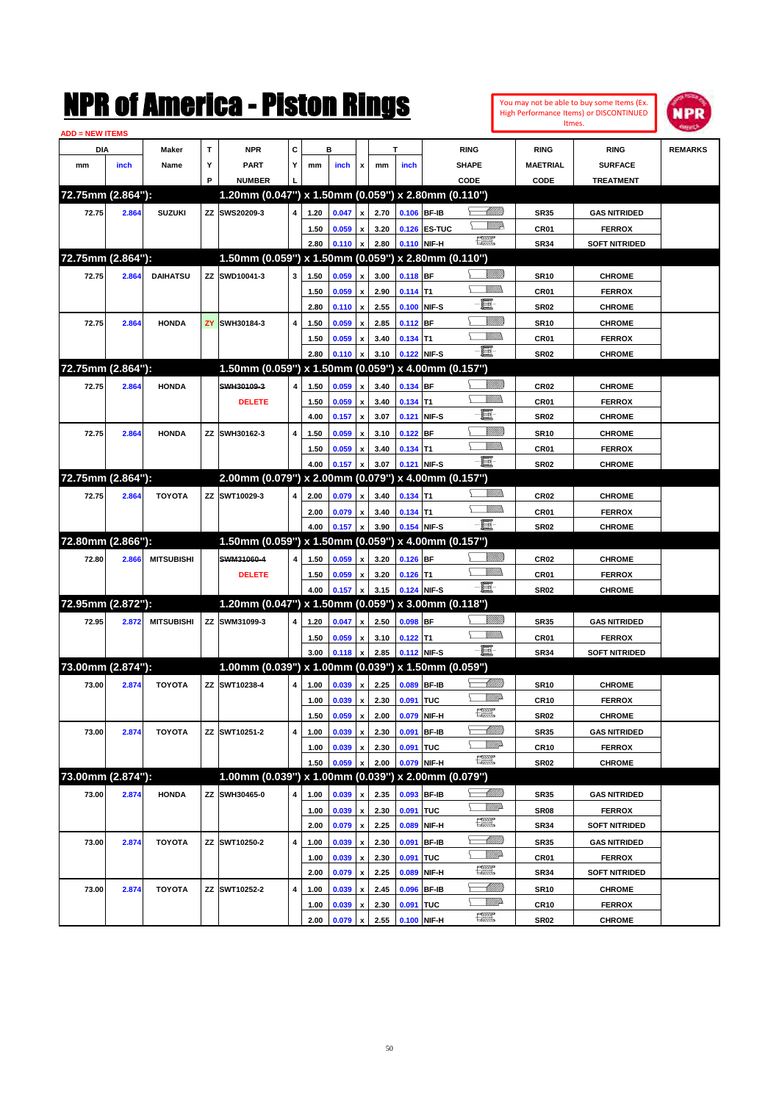|                   |       |                   |   | NMK OI AINCrica - Miston Kings                                       |   |      |       |                           |      |             |                   |              |                 |                  | You may not be able to buy some Items (Ex.<br>High Performance Items) or DISCONTINUED<br>Itmes. | <b>NPR</b>     |
|-------------------|-------|-------------------|---|----------------------------------------------------------------------|---|------|-------|---------------------------|------|-------------|-------------------|--------------|-----------------|------------------|-------------------------------------------------------------------------------------------------|----------------|
| ADD = NEW ITEMS   |       |                   |   |                                                                      |   |      |       |                           |      |             |                   |              |                 |                  |                                                                                                 |                |
| DIA               |       | Maker             | T | <b>NPR</b>                                                           | c |      | в     |                           |      | т           |                   | <b>RING</b>  |                 | <b>RING</b>      | <b>RING</b>                                                                                     | <b>REMARKS</b> |
| mm                | inch  | Name              | Υ | <b>PART</b>                                                          | Y | mm   | inch  | x                         | mm   | inch        |                   | <b>SHAPE</b> |                 | <b>MAETRIAL</b>  | <b>SURFACE</b>                                                                                  |                |
| 72.75mm (2.864"): |       |                   | P | <b>NUMBER</b><br>1.20mm (0.047") x 1.50mm (0.059") x 2.80mm (0.110") |   |      |       |                           |      |             |                   | CODE         |                 | CODE             | <b>TREATMENT</b>                                                                                |                |
| 72.75             | 2.864 | <b>SUZUKI</b>     |   | ZZ SWS20209-3                                                        | 4 | 1.20 | 0.047 | x                         | 2.70 |             | 0.106 BF-IB       |              | <u> UMM</u>     | <b>SR35</b>      | <b>GAS NITRIDED</b>                                                                             |                |
|                   |       |                   |   |                                                                      |   | 1.50 | 0.059 | x                         | 3.20 |             | 0.126 ES-TUC      |              | <u>MMP</u>      | CR01             | <b>FERROX</b>                                                                                   |                |
|                   |       |                   |   |                                                                      |   | 2.80 | 0.110 | x                         | 2.80 |             | 0.110 NIF-H       | æ            |                 | <b>SR34</b>      | <b>SOFT NITRIDED</b>                                                                            |                |
| 72.75mm (2.864"): |       |                   |   | 1.50mm (0.059") x 1.50mm (0.059") x 2.80mm (0.110")                  |   |      |       |                           |      |             |                   |              |                 |                  |                                                                                                 |                |
| 72.75             | 2.864 | <b>DAIHATSU</b>   |   | ZZ SWD10041-3                                                        | 3 | 1.50 | 0.059 | x                         | 3.00 | 0.118 BF    |                   |              | <u>Millil</u>   | <b>SR10</b>      | <b>CHROME</b>                                                                                   |                |
|                   |       |                   |   |                                                                      |   | 1.50 | 0.059 | x                         | 2.90 | $0.114$ T1  |                   |              | CM)             | CR01             | <b>FERROX</b>                                                                                   |                |
|                   |       |                   |   |                                                                      |   | 2.80 | 0.110 | $\boldsymbol{\mathsf{x}}$ | 2.55 | 0.100       | NIF-S             | E            |                 | <b>SR02</b>      | <b>CHROME</b>                                                                                   |                |
| 72.75             | 2.864 | <b>HONDA</b>      |   | ZY SWH30184-3                                                        | 4 | 1.50 | 0.059 | x                         | 2.85 | $0.112$ BF  |                   |              | <u>MMM</u>      | <b>SR10</b>      | <b>CHROME</b>                                                                                   |                |
|                   |       |                   |   |                                                                      |   | 1.50 | 0.059 | x                         | 3.40 | $0.134$ T1  |                   |              | <br>Mar         | CR01             | <b>FERROX</b>                                                                                   |                |
|                   |       |                   |   |                                                                      |   | 2.80 | 0.110 | x                         | 3.10 |             | 0.122 NIF-S       | -8           |                 | <b>SR02</b>      | <b>CHROME</b>                                                                                   |                |
| 72.75mm (2.864"): |       |                   |   | 1.50mm (0.059") x 1.50mm (0.059")                                    |   |      |       |                           |      |             | x 4.00mm (0.157") |              |                 |                  |                                                                                                 |                |
| 72.75             | 2.864 | <b>HONDA</b>      |   | SWH30109-3                                                           | 4 | 1.50 | 0.059 | x                         | 3.40 | $0.134$ BF  |                   |              | <u> UMB</u>     | CR <sub>02</sub> | <b>CHROME</b>                                                                                   |                |
|                   |       |                   |   | <b>DELETE</b>                                                        |   | 1.50 | 0.059 | x                         | 3.40 | $0.134$ T1  |                   |              | 9777)           | CR01             | <b>FERROX</b>                                                                                   |                |
|                   |       |                   |   |                                                                      |   | 4.00 | 0.157 | $\boldsymbol{\mathsf{x}}$ | 3.07 | 0.121       | NIF-S             | E            |                 | <b>SR02</b>      | <b>CHROME</b>                                                                                   |                |
| 72.75             | 2.864 | <b>HONDA</b>      |   | ZZ SWH30162-3                                                        | 4 | 1.50 | 0.059 | x                         | 3.10 | $0.122$ BF  |                   |              | <u>MMM</u>      | <b>SR10</b>      | <b>CHROME</b>                                                                                   |                |
|                   |       |                   |   |                                                                      |   | 1.50 | 0.059 | x                         | 3.40 | $0.134$ T1  |                   |              | CM)             | CR01             | <b>FERROX</b>                                                                                   |                |
|                   |       |                   |   |                                                                      |   | 4.00 | 0.157 | x                         | 3.07 |             | 0.121 NIF-S       | -8           |                 | <b>SR02</b>      | <b>CHROME</b>                                                                                   |                |
| 72.75mm (2.864"): |       |                   |   | 2.00mm (0.079") x 2.00mm (0.079")                                    |   |      |       |                           |      |             | x 4.00mm (0.157") |              |                 |                  |                                                                                                 |                |
| 72.75             | 2.864 | <b>TOYOTA</b>     |   | ZZ SWT10029-3                                                        | 4 | 2.00 | 0.079 | x                         | 3.40 | $0.134$ T1  |                   |              | <br>Mar         | CR <sub>02</sub> | <b>CHROME</b>                                                                                   |                |
|                   |       |                   |   |                                                                      |   | 2.00 | 0.079 | x                         | 3.40 | $0.134$ T1  |                   |              | MM)             | CR01             | <b>FERROX</b>                                                                                   |                |
|                   |       |                   |   |                                                                      |   | 4.00 | 0.157 | x                         | 3.90 |             | 0.154 NIF-S       | -8           |                 | <b>SR02</b>      | <b>CHROME</b>                                                                                   |                |
| 72.80mm (2.866"): |       |                   |   | 1.50mm (0.059") x 1.50mm (0.059")                                    |   |      |       |                           |      |             | x 4.00mm (0.157") |              |                 |                  |                                                                                                 |                |
| 72.80             | 2.866 | <b>MITSUBISHI</b> |   | SWM31060-4                                                           | 4 | 1.50 | 0.059 | x                         | 3.20 | $0.126$ BF  |                   |              | <u>MMM</u>      | CR <sub>02</sub> | <b>CHROME</b>                                                                                   |                |
|                   |       |                   |   | <b>DELETE</b>                                                        |   | 1.50 | 0.059 | x                         | 3.20 | $0.126$ T1  |                   |              | <br>Mar         | CR01             | <b>FERROX</b>                                                                                   |                |
|                   |       |                   |   |                                                                      |   | 4.00 | 0.157 | x                         | 3.15 |             | 0.124 NIF-S       | -8           |                 | <b>SR02</b>      | <b>CHROME</b>                                                                                   |                |
| 72.95mm (2.872"): |       |                   |   | 1.20mm (0.047") x 1.50mm (0.059")                                    |   |      |       |                           |      |             | x 3.00mm (0.118") |              |                 |                  |                                                                                                 |                |
| 72.95             | 2.872 | <b>MITSUBISHI</b> |   | ZZ SWM31099-3                                                        | 4 | 1.20 | 0.047 | X                         | 2.50 | $0.098$ BF  |                   |              | <u>Villida</u>  | <b>SR35</b>      | <b>GAS NITRIDED</b>                                                                             |                |
|                   |       |                   |   |                                                                      |   | 1.50 | 0.059 | x                         | 3.10 | $0.122$ T1  |                   |              | .<br>VMD        | CR01             | <b>FERROX</b>                                                                                   |                |
|                   |       |                   |   |                                                                      |   | 3.00 | 0.118 | x                         | 2.85 |             | 0.112 NIF-S       | -8           |                 | <b>SR34</b>      | <b>SOFT NITRIDED</b>                                                                            |                |
| 73.00mm (2.874"): |       |                   |   | 1.00mm (0.039") x 1.00mm (0.039") x 1.50mm (0.059")                  |   |      |       |                           |      |             |                   |              |                 |                  |                                                                                                 |                |
| 73.00             | 2.874 | <b>TOYOTA</b>     |   | ZZ SWT10238-4                                                        | 4 | 1.00 | 0.039 | $\pmb{\mathsf{x}}$        | 2.25 | 0.089 BF-IB |                   |              | <u> UMM</u>     | <b>SR10</b>      | <b>CHROME</b>                                                                                   |                |
|                   |       |                   |   |                                                                      |   | 1.00 | 0.039 | $\pmb{\mathsf{x}}$        | 2.30 | 0.091 TUC   |                   |              | <u>Mille</u>    | <b>CR10</b>      | <b>FERROX</b>                                                                                   |                |
|                   |       |                   |   |                                                                      |   | 1.50 | 0.059 | $\pmb{\mathsf{x}}$        | 2.00 | 0.079       | NIF-H             | æ            |                 | <b>SR02</b>      | <b>CHROME</b>                                                                                   |                |
| 73.00             | 2.874 | <b>TOYOTA</b>     |   | ZZ SWT10251-2                                                        | 4 | 1.00 | 0.039 | $\pmb{\mathsf{x}}$        | 2.30 |             | 0.091 BF-IB       |              | <u> Millitt</u> | <b>SR35</b>      | <b>GAS NITRIDED</b>                                                                             |                |
|                   |       |                   |   |                                                                      |   | 1.00 | 0.039 | $\pmb{\mathsf{x}}$        | 2.30 | 0.091 TUC   |                   |              | <u>WW</u> A     | CR <sub>10</sub> | <b>FERROX</b>                                                                                   |                |
|                   |       |                   |   |                                                                      |   | 1.50 | 0.059 | x                         | 2.00 |             | 0.079 NIF-H       | œ            |                 | <b>SR02</b>      | <b>CHROME</b>                                                                                   |                |
| 73.00mm (2.874"): |       |                   |   | 1.00mm (0.039") x 1.00mm (0.039") x 2.00mm (0.079")                  |   |      |       |                           |      |             |                   |              |                 |                  |                                                                                                 |                |
| 73.00             | 2.874 | <b>HONDA</b>      |   | ZZ SWH30465-0                                                        | 4 | 1.00 | 0.039 | X                         | 2.35 |             | 0.093 BF-IB       |              | <u> Millitt</u> | <b>SR35</b>      | <b>GAS NITRIDED</b>                                                                             |                |
|                   |       |                   |   |                                                                      |   | 1.00 | 0.039 | $\pmb{\mathsf{x}}$        | 2.30 | 0.091 TUC   |                   |              | <u>VMP</u>      | SR08             | <b>FERROX</b>                                                                                   |                |
|                   |       |                   |   |                                                                      |   | 2.00 | 0.079 | $\pmb{\mathsf{x}}$        | 2.25 | 0.089       | NIF-H             | æ            |                 | <b>SR34</b>      | <b>SOFT NITRIDED</b>                                                                            |                |
| 73.00             | 2.874 | <b>TOYOTA</b>     |   | ZZ SWT10250-2                                                        | 4 | 1.00 | 0.039 | $\pmb{\mathsf{x}}$        | 2.30 |             | 0.091 BF-IB       |              | <u> Milli</u>   | <b>SR35</b>      | <b>GAS NITRIDED</b>                                                                             |                |
|                   |       |                   |   |                                                                      |   | 1.00 | 0.039 | $\pmb{\mathsf{x}}$        | 2.30 | 0.091 TUC   |                   |              | <u>VM</u> D     | CR01             | <b>FERROX</b>                                                                                   |                |
|                   |       |                   |   |                                                                      |   | 2.00 | 0.079 | $\boldsymbol{\mathsf{x}}$ | 2.25 | 0.089       | NIF-H             | æ            |                 | <b>SR34</b>      | <b>SOFT NITRIDED</b>                                                                            |                |
| 73.00             | 2.874 | <b>TOYOTA</b>     |   | ZZ SWT10252-2                                                        | 4 | 1.00 | 0.039 | $\pmb{\mathsf{x}}$        | 2.45 |             | 0.096 BF-IB       |              | <u> Millitt</u> | <b>SR10</b>      | <b>CHROME</b>                                                                                   |                |
|                   |       |                   |   |                                                                      |   | 1.00 | 0.039 | x                         | 2.30 | 0.091 TUC   |                   |              | <u>VM</u> D     | CR <sub>10</sub> | <b>FERROX</b>                                                                                   |                |
|                   |       |                   |   |                                                                      |   | 2.00 | 0.079 | $\pmb{\mathsf{x}}$        | 2.55 |             | 0.100 NIF-H       | æ            |                 | <b>SR02</b>      | <b>CHROME</b>                                                                                   |                |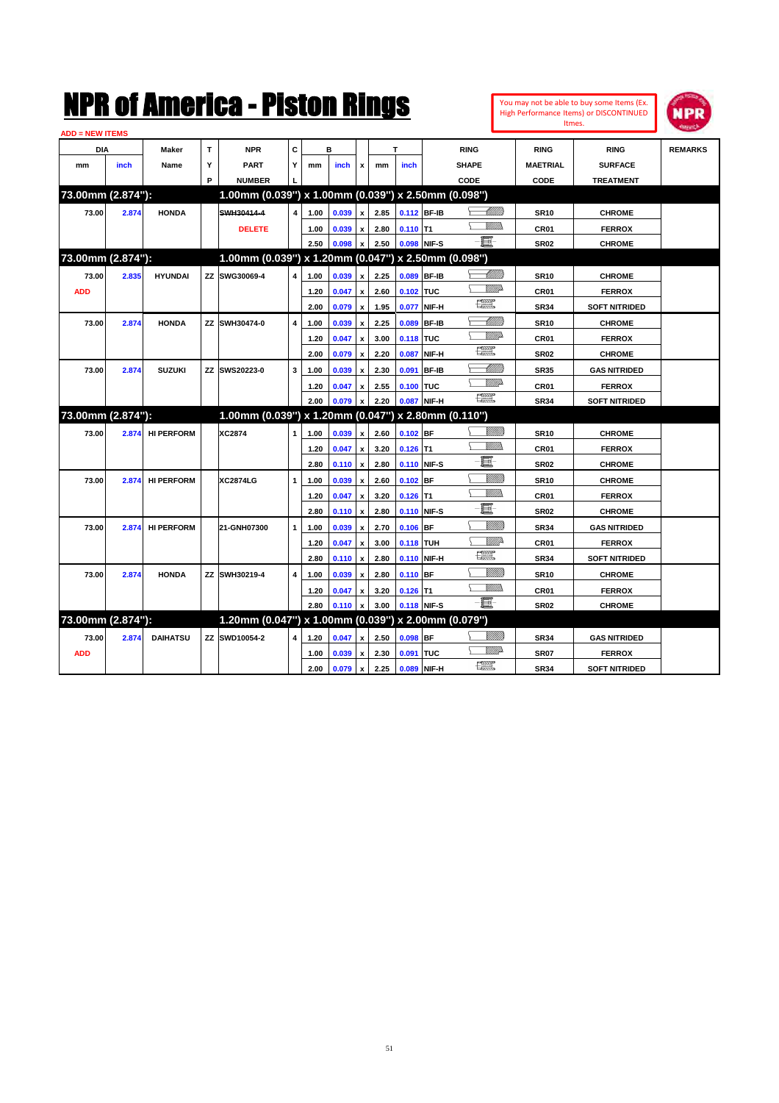| <b>ADD = NEW ITEMS</b> |       |                   |   |                                                     |                |      |       |                           |      |                  |              |                                                                                                                                                                                                                                                                                                                                                                                             |                  |                      |                |
|------------------------|-------|-------------------|---|-----------------------------------------------------|----------------|------|-------|---------------------------|------|------------------|--------------|---------------------------------------------------------------------------------------------------------------------------------------------------------------------------------------------------------------------------------------------------------------------------------------------------------------------------------------------------------------------------------------------|------------------|----------------------|----------------|
| DIA                    |       | Maker             | т | <b>NPR</b>                                          | С              |      | в     |                           |      | T                |              | <b>RING</b>                                                                                                                                                                                                                                                                                                                                                                                 | <b>RING</b>      | <b>RING</b>          | <b>REMARKS</b> |
| mm                     | inch  | Name              | Y | <b>PART</b>                                         | Υ              | mm   | inch  | x                         | mm   | inch             |              | <b>SHAPE</b>                                                                                                                                                                                                                                                                                                                                                                                | <b>MAETRIAL</b>  | <b>SURFACE</b>       |                |
|                        |       |                   | P | <b>NUMBER</b>                                       |                |      |       |                           |      |                  |              | CODE                                                                                                                                                                                                                                                                                                                                                                                        | CODE             | <b>TREATMENT</b>     |                |
| 73.00mm (2.874"):      |       |                   |   | 1.00mm (0.039") x 1.00mm (0.039") x 2.50mm (0.098") |                |      |       |                           |      |                  |              |                                                                                                                                                                                                                                                                                                                                                                                             |                  |                      |                |
| 73.00                  | 2.874 | <b>HONDA</b>      |   | SWH30414-4                                          | $\overline{4}$ | 1.00 | 0.039 | $\mathbf{x}$              | 2.85 | 0.112 BF-IB      |              | <u>UMB</u>                                                                                                                                                                                                                                                                                                                                                                                  | <b>SR10</b>      | <b>CHROME</b>        |                |
|                        |       |                   |   | <b>DELETE</b>                                       |                | 1.00 | 0.039 | $\mathbf{x}$              | 2.80 | $0.110$ T1       |              | <u>Villida</u>                                                                                                                                                                                                                                                                                                                                                                              | CR01             | <b>FERROX</b>        |                |
|                        |       |                   |   |                                                     |                | 2.50 | 0.098 | $\mathbf{x}$              | 2.50 | 0.098 NIF-S      |              | -E.                                                                                                                                                                                                                                                                                                                                                                                         | <b>SR02</b>      | <b>CHROME</b>        |                |
| 73.00mm (2.874"):      |       |                   |   | 1.00mm (0.039") x 1.20mm (0.047") x 2.50mm (0.098") |                |      |       |                           |      |                  |              |                                                                                                                                                                                                                                                                                                                                                                                             |                  |                      |                |
| 73.00                  | 2.835 | <b>HYUNDAI</b>    |   | ZZ SWG30069-4                                       | 4              | 1.00 | 0.039 | $\boldsymbol{x}$          | 2.25 | 0.089 BF-IB      |              | —UMM)                                                                                                                                                                                                                                                                                                                                                                                       | <b>SR10</b>      | <b>CHROME</b>        |                |
| <b>ADD</b>             |       |                   |   |                                                     |                | 1.20 | 0.047 | $\pmb{\mathsf{x}}$        | 2.60 | 0.102 TUC        |              | VM)                                                                                                                                                                                                                                                                                                                                                                                         | CR01             | <b>FERROX</b>        |                |
|                        |       |                   |   |                                                     |                | 2.00 | 0.079 | $\pmb{\mathsf{x}}$        | 1.95 | 0.077            | NIF-H        | $\begin{picture}(20,20) \put(0,0){\dashbox{0.5}(20,0){ }} \put(15,0){\circle{10}} \put(25,0){\circle{10}} \put(25,0){\circle{10}} \put(25,0){\circle{10}} \put(25,0){\circle{10}} \put(25,0){\circle{10}} \put(25,0){\circle{10}} \put(25,0){\circle{10}} \put(25,0){\circle{10}} \put(25,0){\circle{10}} \put(25,0){\circle{10}} \put(25,0){\circle{10}} \put(25,0){\circle{10}} \put(25,$ | <b>SR34</b>      | <b>SOFT NITRIDED</b> |                |
| 73.00                  | 2.874 | <b>HONDA</b>      |   | ZZ SWH30474-0                                       | $\overline{4}$ | 1.00 | 0.039 | $\mathbf{x}$              | 2.25 | 0.089 BF-IB      |              | <u>UMB</u>                                                                                                                                                                                                                                                                                                                                                                                  | <b>SR10</b>      | <b>CHROME</b>        |                |
|                        |       |                   |   |                                                     |                | 1.20 | 0.047 | x                         | 3.00 | <b>0.118 TUC</b> |              | <u>MMD</u>                                                                                                                                                                                                                                                                                                                                                                                  | CR01             | <b>FERROX</b>        |                |
|                        |       |                   |   |                                                     |                | 2.00 | 0.079 | $\pmb{\mathsf{x}}$        | 2.20 |                  | 0.087 NIF-H  | <b>The Second</b>                                                                                                                                                                                                                                                                                                                                                                           | <b>SR02</b>      | <b>CHROME</b>        |                |
| 73.00                  | 2.874 | <b>SUZUKI</b>     |   | ZZ SWS20223-0                                       | 3              | 1.00 | 0.039 | $\boldsymbol{x}$          | 2.30 | 0.091            | <b>BF-IB</b> | <u> MMM</u>                                                                                                                                                                                                                                                                                                                                                                                 | <b>SR35</b>      | <b>GAS NITRIDED</b>  |                |
|                        |       |                   |   |                                                     |                | 1.20 | 0.047 | x                         | 2.55 | 0.100 TUC        |              | <u>VM) do</u>                                                                                                                                                                                                                                                                                                                                                                               | CR01             | <b>FERROX</b>        |                |
|                        |       |                   |   |                                                     |                | 2.00 | 0.079 |                           | 2.20 |                  | 0.087 NIF-H  | 理                                                                                                                                                                                                                                                                                                                                                                                           | <b>SR34</b>      | <b>SOFT NITRIDED</b> |                |
| 73.00mm (2.874"):      |       |                   |   | 1.00mm (0.039") x 1.20mm (0.047") x 2.80mm (0.110") |                |      |       |                           |      |                  |              |                                                                                                                                                                                                                                                                                                                                                                                             |                  |                      |                |
| 73.00                  |       | 2.874 HI PERFORM  |   | XC2874                                              |                | 1.00 | 0.039 | $\mathbf{x}$              | 2.60 | $0.102$ BF       |              |                                                                                                                                                                                                                                                                                                                                                                                             | <b>SR10</b>      | <b>CHROME</b>        |                |
|                        |       |                   |   |                                                     |                | 1.20 | 0.047 | $\pmb{\mathsf{x}}$        | 3.20 | $0.126$ T1       |              | VM).                                                                                                                                                                                                                                                                                                                                                                                        | CR <sub>01</sub> | <b>FERROX</b>        |                |
|                        |       |                   |   |                                                     |                | 2.80 | 0.110 | $\boldsymbol{\mathsf{x}}$ | 2.80 | 0.110 NIF-S      |              | e.                                                                                                                                                                                                                                                                                                                                                                                          | <b>SR02</b>      | <b>CHROME</b>        |                |
| 73.00                  | 2.874 | <b>HI PERFORM</b> |   | <b>XC2874LG</b>                                     | $\mathbf{1}$   | 1.00 | 0.039 | $\pmb{\mathsf{x}}$        | 2.60 | $0.102$ BF       |              |                                                                                                                                                                                                                                                                                                                                                                                             | <b>SR10</b>      | <b>CHROME</b>        |                |
|                        |       |                   |   |                                                     |                | 1.20 | 0.047 | $\pmb{\mathsf{x}}$        | 3.20 | $0.126$ T1       |              | .<br>VMD                                                                                                                                                                                                                                                                                                                                                                                    | CR <sub>01</sub> | <b>FERROX</b>        |                |
|                        |       |                   |   |                                                     |                | 2.80 | 0.110 | $\pmb{\mathsf{x}}$        | 2.80 |                  | 0.110 NIF-S  | e.                                                                                                                                                                                                                                                                                                                                                                                          | <b>SR02</b>      | <b>CHROME</b>        |                |
| 73.00                  | 2.874 | <b>HI PERFORM</b> |   | 21-GNH07300                                         | $\mathbf{1}$   | 1.00 | 0.039 | $\pmb{\mathsf{x}}$        | 2.70 | $0.106$ BF       |              | VIII))                                                                                                                                                                                                                                                                                                                                                                                      | <b>SR34</b>      | <b>GAS NITRIDED</b>  |                |
|                        |       |                   |   |                                                     |                | 1.20 | 0.047 | $\pmb{\mathsf{x}}$        | 3.00 | <b>0.118 TUH</b> |              | WMP-                                                                                                                                                                                                                                                                                                                                                                                        | CR <sub>01</sub> | <b>FERROX</b>        |                |
|                        |       |                   |   |                                                     |                | 2.80 | 0.110 | $\mathbf{x}$              | 2.80 | 0.110 NIF-H      |              | 鱱                                                                                                                                                                                                                                                                                                                                                                                           | <b>SR34</b>      | <b>SOFT NITRIDED</b> |                |
| 73.00                  | 2.874 | <b>HONDA</b>      |   | ZZ SWH30219-4                                       | 4              | 1.00 | 0.039 | $\pmb{\mathsf{x}}$        | 2.80 | 0.110 BF         |              |                                                                                                                                                                                                                                                                                                                                                                                             | <b>SR10</b>      | <b>CHROME</b>        |                |
|                        |       |                   |   |                                                     |                | 1.20 | 0.047 | $\mathbf{x}$              | 3.20 | $0.126$ T1       |              | VM)                                                                                                                                                                                                                                                                                                                                                                                         | CR <sub>01</sub> | <b>FERROX</b>        |                |
|                        |       |                   |   |                                                     |                | 2.80 | 0.110 | x                         | 3.00 | 0.118 NIF-S      |              | - <b>e</b>                                                                                                                                                                                                                                                                                                                                                                                  | <b>SR02</b>      | <b>CHROME</b>        |                |
| 73.00mm (2.874"):      |       |                   |   | 1.20mm (0.047") x 1.00mm (0.039") x 2.00mm (0.079") |                |      |       |                           |      |                  |              |                                                                                                                                                                                                                                                                                                                                                                                             |                  |                      |                |
| 73.00                  | 2.874 | <b>DAIHATSU</b>   |   | ZZ SWD10054-2                                       | 4              | 1.20 | 0.047 | $\pmb{\mathsf{x}}$        | 2.50 | $0.098$ BF       |              | VIIII)                                                                                                                                                                                                                                                                                                                                                                                      | <b>SR34</b>      | <b>GAS NITRIDED</b>  |                |
| <b>ADD</b>             |       |                   |   |                                                     |                | 1.00 | 0.039 | $\mathbf{x}$              | 2.30 | <b>0.091 TUC</b> |              | <u>VMD</u>                                                                                                                                                                                                                                                                                                                                                                                  | <b>SR07</b>      | <b>FERROX</b>        |                |
|                        |       |                   |   |                                                     |                | 2.00 | 0.079 | l x                       | 2.25 | 0.089 NIF-H      |              | 理                                                                                                                                                                                                                                                                                                                                                                                           | <b>SR34</b>      | <b>SOFT NITRIDED</b> |                |

You may not be able to buy some Items (Ex. High Performance Items) or DISCONTINUED Itmes.

**NPR**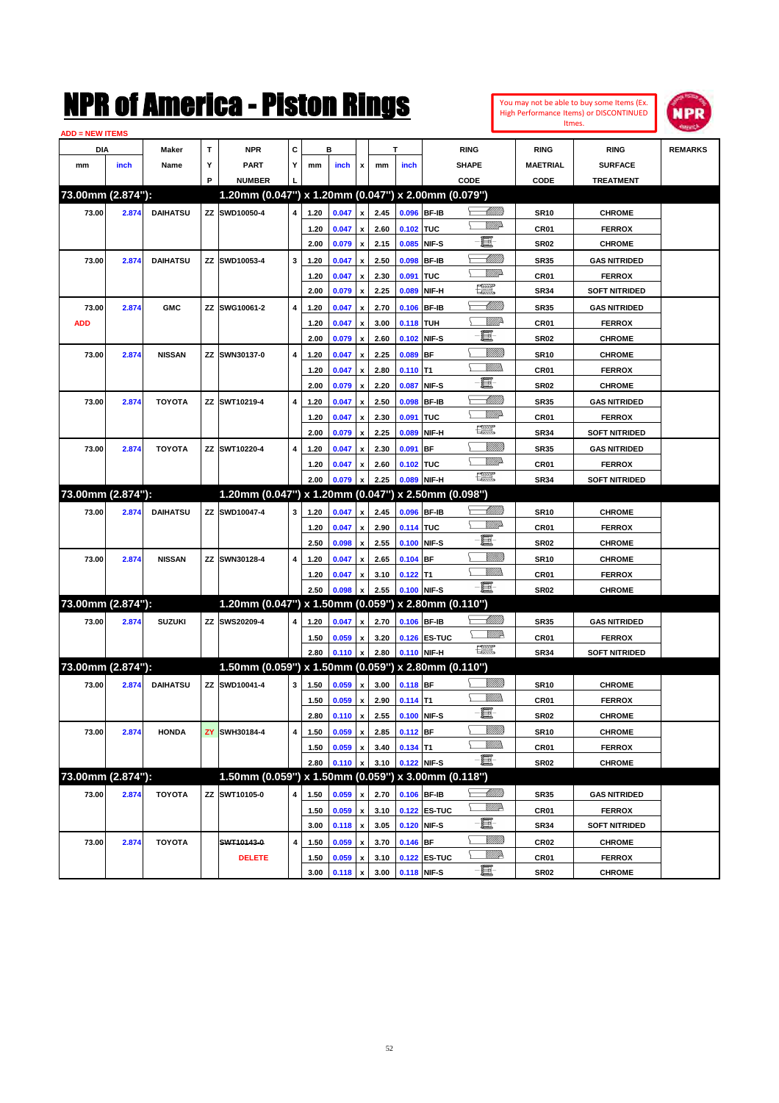

| <b>ADD = NEW ITEMS</b> |       |                 |    |                                                     |                         |              |                |                         |              |                  |                             |                                                                                                                                                                                                                                                                                                                                                                                             |                 |                      |                |
|------------------------|-------|-----------------|----|-----------------------------------------------------|-------------------------|--------------|----------------|-------------------------|--------------|------------------|-----------------------------|---------------------------------------------------------------------------------------------------------------------------------------------------------------------------------------------------------------------------------------------------------------------------------------------------------------------------------------------------------------------------------------------|-----------------|----------------------|----------------|
| DIA                    |       | <b>Maker</b>    | т  | <b>NPR</b>                                          | С                       |              | в              |                         |              | T                |                             | <b>RING</b>                                                                                                                                                                                                                                                                                                                                                                                 | <b>RING</b>     | <b>RING</b>          | <b>REMARKS</b> |
| mm                     | inch  | Name            | Υ  | <b>PART</b>                                         | Y                       | mm           | inch           | x                       | mm           | inch             |                             | <b>SHAPE</b>                                                                                                                                                                                                                                                                                                                                                                                | <b>MAETRIAL</b> | <b>SURFACE</b>       |                |
|                        |       |                 | P  | <b>NUMBER</b>                                       |                         |              |                |                         |              |                  |                             | CODE                                                                                                                                                                                                                                                                                                                                                                                        | CODE            | <b>TREATMENT</b>     |                |
| 73.00mm (2.874"):      |       |                 |    | 1.20mm (0.047") x 1.20mm (0.047") x 2.00mm (0.079") |                         |              |                |                         |              |                  |                             |                                                                                                                                                                                                                                                                                                                                                                                             |                 |                      |                |
| 73.00                  | 2.874 | <b>DAIHATSU</b> |    | ZZ SWD10050-4                                       | 4                       | 1.20         | 0.047          | $\pmb{\mathsf{x}}$      | 2.45         | 0.096 BF-IB      |                             | <u> Millito</u>                                                                                                                                                                                                                                                                                                                                                                             | <b>SR10</b>     | <b>CHROME</b>        |                |
|                        |       |                 |    |                                                     |                         | 1.20         | 0.047          | $\pmb{\mathsf{x}}$      | 2.60         | 0.102 TUC        |                             | <u>VMD</u>                                                                                                                                                                                                                                                                                                                                                                                  | CR01            | <b>FERROX</b>        |                |
|                        |       |                 |    |                                                     |                         | 2.00         | 0.079          | $\pmb{\mathsf{x}}$      | 2.15         | 0.085 NIF-S      |                             | E                                                                                                                                                                                                                                                                                                                                                                                           | <b>SR02</b>     | <b>CHROME</b>        |                |
| 73.00                  | 2.874 | <b>DAIHATSU</b> |    | ZZ SWD10053-4                                       | 3                       | 1.20         | 0.047          | x                       | 2.50         |                  | 0.098 BF-IB                 | <u> Millitti</u>                                                                                                                                                                                                                                                                                                                                                                            | <b>SR35</b>     | <b>GAS NITRIDED</b>  |                |
|                        |       |                 |    |                                                     |                         | 1.20         | 0.047          | x                       | 2.30         | 0.091 TUC        |                             | <u>MMP</u>                                                                                                                                                                                                                                                                                                                                                                                  | CR01            | <b>FERROX</b>        |                |
|                        |       |                 |    |                                                     |                         | 2.00         | 0.079          | $\pmb{\mathsf{x}}$      | 2.25         | 0.089            | NIF-H                       | $\frac{1}{2}$                                                                                                                                                                                                                                                                                                                                                                               | <b>SR34</b>     | <b>SOFT NITRIDED</b> |                |
| 73.00                  | 2.874 | <b>GMC</b>      |    | ZZ SWG10061-2                                       | 4                       | 1.20         | 0.047          | x                       | 2.70         | 0.106 BF-IB      |                             | <u> Millits</u>                                                                                                                                                                                                                                                                                                                                                                             | <b>SR35</b>     | <b>GAS NITRIDED</b>  |                |
| <b>ADD</b>             |       |                 |    |                                                     |                         | 1.20         | 0.047          | x                       | 3.00         | <b>0.118 TUH</b> |                             | ₩₩                                                                                                                                                                                                                                                                                                                                                                                          | CR01            | <b>FERROX</b>        |                |
|                        |       |                 |    |                                                     |                         | 2.00         | 0.079          | $\pmb{\mathsf{x}}$      | 2.60         |                  | 0.102 NIF-S                 | E                                                                                                                                                                                                                                                                                                                                                                                           | <b>SR02</b>     | <b>CHROME</b>        |                |
| 73.00                  | 2.874 | <b>NISSAN</b>   |    | ZZ SWN30137-0                                       | 4                       | 1.20         | 0.047          | x                       | 2.25         | 0.089 BF         |                             | <u>VIIII)</u>                                                                                                                                                                                                                                                                                                                                                                               | <b>SR10</b>     | <b>CHROME</b>        |                |
|                        |       |                 |    |                                                     |                         | 1.20         | 0.047          | x                       | 2.80         | $0.110$ T1       |                             | <br>Mar                                                                                                                                                                                                                                                                                                                                                                                     | CR01            | <b>FERROX</b>        |                |
|                        |       |                 |    |                                                     |                         | 2.00         | 0.079          | $\pmb{\mathsf{x}}$      | 2.20         | 0.087            | NIF-S                       | E                                                                                                                                                                                                                                                                                                                                                                                           | <b>SR02</b>     | <b>CHROME</b>        |                |
| 73.00                  | 2.874 | <b>TOYOTA</b>   |    | ZZ SWT10219-4                                       | 4                       | 1.20         | 0.047          | x                       | 2.50         |                  | 0.098 BF-IB                 | <u>UMB</u>                                                                                                                                                                                                                                                                                                                                                                                  | <b>SR35</b>     | <b>GAS NITRIDED</b>  |                |
|                        |       |                 |    |                                                     |                         | 1.20         | 0.047          | x                       | 2.30         | 0.091 TUC        |                             | <u>VMD</u>                                                                                                                                                                                                                                                                                                                                                                                  | CR01            | <b>FERROX</b>        |                |
|                        |       |                 |    |                                                     |                         | 2.00         | 0.079          | x                       | 2.25         | 0.089            | NIF-H                       | H                                                                                                                                                                                                                                                                                                                                                                                           | <b>SR34</b>     | <b>SOFT NITRIDED</b> |                |
| 73.00                  | 2.874 | <b>TOYOTA</b>   |    | ZZ SWT10220-4                                       | 4                       | 1.20         | 0.047          | x                       | 2.30         | 0.091 BF         |                             | <u>Sillilli</u>                                                                                                                                                                                                                                                                                                                                                                             | <b>SR35</b>     | <b>GAS NITRIDED</b>  |                |
|                        |       |                 |    |                                                     |                         | 1.20         | 0.047          | x                       | 2.60         | 0.102 TUC        |                             | <u>VMD</u>                                                                                                                                                                                                                                                                                                                                                                                  | CR01            | <b>FERROX</b>        |                |
|                        |       |                 |    |                                                     |                         | 2.00         | 0.079          | x                       | 2.25         |                  | 0.089 NIF-H                 | <b>The Second Second</b>                                                                                                                                                                                                                                                                                                                                                                    | <b>SR34</b>     | <b>SOFT NITRIDED</b> |                |
| 73.00mm (2.874"):      |       |                 |    | 1.20mm (0.047") x 1.20mm (0.047")                   |                         |              |                |                         |              |                  | x 2.50mm (0.098")           |                                                                                                                                                                                                                                                                                                                                                                                             |                 |                      |                |
| 73.00                  | 2.874 | <b>DAIHATSU</b> |    | ZZ SWD10047-4                                       | 3                       | 1.20         | 0.047          | $\pmb{\mathsf{x}}$      | 2.45         | 0.096 BF-IB      |                             | <u> Millitto</u>                                                                                                                                                                                                                                                                                                                                                                            | <b>SR10</b>     | <b>CHROME</b>        |                |
|                        |       |                 |    |                                                     |                         | 1.20         | 0.047          | x                       | 2.90         | 0.114 TUC        |                             | <u>VMD</u>                                                                                                                                                                                                                                                                                                                                                                                  | CR01            | <b>FERROX</b>        |                |
|                        |       |                 |    |                                                     |                         | 2.50         | 0.098          | $\pmb{\mathsf{x}}$      | 2.55         | 0.100 NIF-S      |                             | e                                                                                                                                                                                                                                                                                                                                                                                           | <b>SR02</b>     | <b>CHROME</b>        |                |
| 73.00                  | 2.874 | <b>NISSAN</b>   |    | ZZ SWN30128-4                                       | 4                       | 1.20         | 0.047          | x                       | 2.65         | $0.104$ BF       |                             | <u>VIIII)</u>                                                                                                                                                                                                                                                                                                                                                                               | <b>SR10</b>     | <b>CHROME</b>        |                |
|                        |       |                 |    |                                                     |                         | 1.20         | 0.047          | x                       | 3.10         | $0.122$ T1       |                             | <br>Militar                                                                                                                                                                                                                                                                                                                                                                                 | CR01            | <b>FERROX</b>        |                |
|                        |       |                 |    |                                                     |                         | 2.50         | 0.098          | x                       | 2.55         | 0.100 NIF-S      |                             | -8                                                                                                                                                                                                                                                                                                                                                                                          | <b>SR02</b>     | <b>CHROME</b>        |                |
| 73.00mm (2.874"):      |       |                 |    | 1.20mm (0.047") x 1.50mm (0.059") x 2.80mm (0.110") |                         |              |                |                         |              |                  |                             |                                                                                                                                                                                                                                                                                                                                                                                             |                 |                      |                |
| 73.00                  | 2.874 | <b>SUZUKI</b>   |    | ZZ SWS20209-4                                       | 4                       | 1.20         | 0.047          |                         | 2.70         | 0.106 BF-IB      |                             | <u> Millito</u>                                                                                                                                                                                                                                                                                                                                                                             |                 | <b>GAS NITRIDED</b>  |                |
|                        |       |                 |    |                                                     |                         |              |                | x                       |              |                  |                             | <u>VM</u> D                                                                                                                                                                                                                                                                                                                                                                                 | <b>SR35</b>     |                      |                |
|                        |       |                 |    |                                                     |                         | 1.50<br>2.80 | 0.059<br>0.110 | x<br>$\pmb{\mathsf{x}}$ | 3.20<br>2.80 |                  | 0.126 ES-TUC<br>0.110 NIF-H | $\begin{picture}(20,20) \put(0,0){\dashbox{0.5}(20,0){ }} \put(15,0){\circle{10}} \put(25,0){\circle{10}} \put(25,0){\circle{10}} \put(25,0){\circle{10}} \put(25,0){\circle{10}} \put(25,0){\circle{10}} \put(25,0){\circle{10}} \put(25,0){\circle{10}} \put(25,0){\circle{10}} \put(25,0){\circle{10}} \put(25,0){\circle{10}} \put(25,0){\circle{10}} \put(25,0){\circle{10}} \put(25,$ | CR01            | <b>FERROX</b>        |                |
| 73.00mm (2.874"):      |       |                 |    | 1.50mm (0.059") x 1.50mm (0.059") x 2.80mm (0.110") |                         |              |                |                         |              |                  |                             |                                                                                                                                                                                                                                                                                                                                                                                             | <b>SR34</b>     | <b>SOFT NITRIDED</b> |                |
|                        |       |                 |    |                                                     |                         |              |                |                         |              |                  |                             | <u>VIIII)</u>                                                                                                                                                                                                                                                                                                                                                                               |                 |                      |                |
| 73.00                  | 2.874 | <b>DAIHATSU</b> |    | ZZ SWD10041-4                                       | 3                       | 1.50         | 0.059          | $\pmb{\mathsf{x}}$      | 3.00         | $0.118$ BF       |                             |                                                                                                                                                                                                                                                                                                                                                                                             | <b>SR10</b>     | <b>CHROME</b>        |                |
|                        |       |                 |    |                                                     |                         | 1.50         | 0.059          | x                       | 2.90         | $0.114$ T1       |                             | -8                                                                                                                                                                                                                                                                                                                                                                                          | CR01            | <b>FERROX</b>        |                |
|                        |       |                 |    |                                                     |                         | 2.80         | 0.110 x        |                         | 2.55         | 0.100 NIF-S      |                             |                                                                                                                                                                                                                                                                                                                                                                                             | SR02            | <b>CHROME</b>        |                |
| 73.00                  | 2.874 | <b>HONDA</b>    | ZY | SWH30184-4                                          | 4                       | 1.50         | 0.059          | $\pmb{\mathsf{x}}$      | 2.85         | $0.112$ BF       |                             | <u>VIIII)</u><br><u>MMs</u>                                                                                                                                                                                                                                                                                                                                                                 | <b>SR10</b>     | <b>CHROME</b>        |                |
|                        |       |                 |    |                                                     |                         | 1.50         | 0.059          | $\pmb{\mathsf{x}}$      | 3.40         | $0.134$ T1       |                             | e                                                                                                                                                                                                                                                                                                                                                                                           | CR01            | <b>FERROX</b>        |                |
|                        |       |                 |    |                                                     |                         | 2.80         | 0.110          | $\pmb{\mathsf{x}}$      | 3.10         | 0.122 NIF-S      |                             |                                                                                                                                                                                                                                                                                                                                                                                             | SR02            | <b>CHROME</b>        |                |
| 73.00mm (2.874"):      |       |                 |    | 1.50mm (0.059") x 1.50mm (0.059") x 3.00mm (0.118") |                         |              |                |                         |              |                  |                             |                                                                                                                                                                                                                                                                                                                                                                                             |                 |                      |                |
| 73.00                  | 2.874 | <b>TOYOTA</b>   |    | ZZ SWT10105-0                                       | 4                       | 1.50         | 0.059          | x                       | 2.70         |                  | 0.106 BF-IB                 | <u>- MMB</u>                                                                                                                                                                                                                                                                                                                                                                                | <b>SR35</b>     | <b>GAS NITRIDED</b>  |                |
|                        |       |                 |    |                                                     |                         | 1.50         | 0.059          | $\pmb{\mathsf{x}}$      | 3.10         |                  | 0.122 ES-TUC                | ₩₩                                                                                                                                                                                                                                                                                                                                                                                          | CR01            | <b>FERROX</b>        |                |
|                        |       |                 |    |                                                     |                         | 3.00         | 0.118          | $\pmb{\mathsf{x}}$      | 3.05         |                  | 0.120 NIF-S                 | e.                                                                                                                                                                                                                                                                                                                                                                                          | SR34            | <b>SOFT NITRIDED</b> |                |
| 73.00                  | 2.874 | <b>TOYOTA</b>   |    | SWT10143-0                                          | $\overline{\mathbf{4}}$ | 1.50         | 0.059          | x                       | 3.70         | $0.146$ BF       |                             | <u>VIIII)</u>                                                                                                                                                                                                                                                                                                                                                                               | CR02            | <b>CHROME</b>        |                |
|                        |       |                 |    | <b>DELETE</b>                                       |                         | 1.50         | 0.059          | x                       | 3.10         |                  | 0.122 ES-TUC                | <u>WW</u> A                                                                                                                                                                                                                                                                                                                                                                                 | CR01            | <b>FERROX</b>        |                |
|                        |       |                 |    |                                                     |                         | 3.00         | 0.118          | x                       | 3.00         |                  | 0.118 NIF-S                 | e                                                                                                                                                                                                                                                                                                                                                                                           | SR02            | <b>CHROME</b>        |                |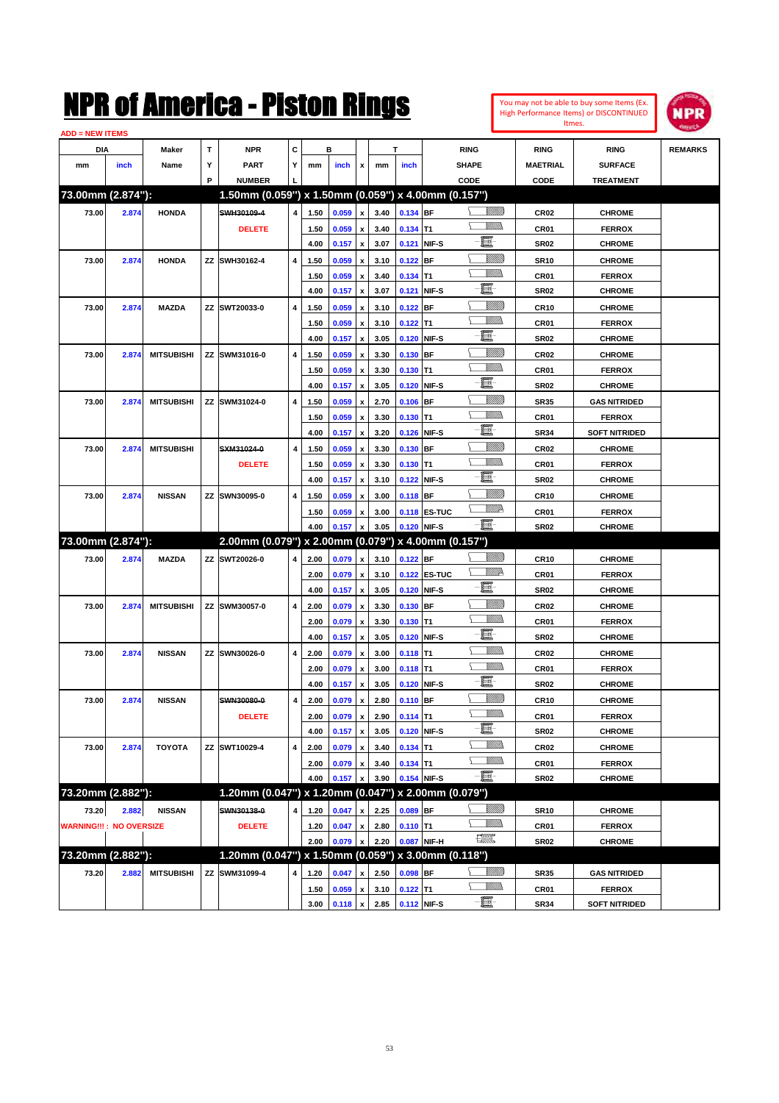

| <b>ADD = NEW ITEMS</b>         |       |                   |   |                                                     |                |      |       |                           |      |             |                     |                 |                  |                      |                |
|--------------------------------|-------|-------------------|---|-----------------------------------------------------|----------------|------|-------|---------------------------|------|-------------|---------------------|-----------------|------------------|----------------------|----------------|
| DIA                            |       | Maker             | т | <b>NPR</b>                                          | С              |      | в     |                           |      | T           |                     | <b>RING</b>     | <b>RING</b>      | <b>RING</b>          | <b>REMARKS</b> |
| mm                             | inch  | Name              | Υ | PART                                                | Y              | mm   | inch  | x                         | mm   | inch        |                     | <b>SHAPE</b>    | MAETRIAL         | <b>SURFACE</b>       |                |
|                                |       |                   | P | <b>NUMBER</b>                                       |                |      |       |                           |      |             |                     | CODE            | <b>CODE</b>      | <b>TREATMENT</b>     |                |
| 73.00mm (2.874"):              |       |                   |   | 1.50mm (0.059") x 1.50mm (0.059") x 4.00mm (0.157") |                |      |       |                           |      |             |                     |                 |                  |                      |                |
| 73.00                          | 2.874 | <b>HONDA</b>      |   | SWH30109-4                                          | $\overline{4}$ | 1.50 | 0.059 | $\pmb{\mathsf{x}}$        | 3.40 | 0.134 BF    |                     | <u> UMB</u>     | CR <sub>02</sub> | <b>CHROME</b>        |                |
|                                |       |                   |   | <b>DELETE</b>                                       |                | 1.50 | 0.059 | x                         | 3.40 | $0.134$ T1  |                     | <br>Mad         | CR01             | <b>FERROX</b>        |                |
|                                |       |                   |   |                                                     |                | 4.00 | 0.157 | $\pmb{\mathsf{x}}$        | 3.07 | 0.121 NIF-S |                     | E               | <b>SR02</b>      | <b>CHROME</b>        |                |
| 73.00                          | 2.874 | <b>HONDA</b>      |   | ZZ SWH30162-4                                       | 4              | 1.50 | 0.059 | x                         | 3.10 | $0.122$ BF  |                     | <u>VIIII)</u>   | <b>SR10</b>      | <b>CHROME</b>        |                |
|                                |       |                   |   |                                                     |                | 1.50 | 0.059 | x                         | 3.40 | $0.134$ T1  |                     | VMM)            | CR01             | <b>FERROX</b>        |                |
|                                |       |                   |   |                                                     |                | 4.00 | 0.157 | $\pmb{\mathsf{x}}$        | 3.07 | 0.121 NIF-S |                     | e               | <b>SR02</b>      | <b>CHROME</b>        |                |
| 73.00                          | 2.874 | <b>MAZDA</b>      |   | ZZ SWT20033-0                                       | 4              | 1.50 | 0.059 | x                         | 3.10 | $0.122$ BF  |                     | <u>VIIII)</u>   | CR10             | <b>CHROME</b>        |                |
|                                |       |                   |   |                                                     |                | 1.50 | 0.059 | х                         | 3.10 | $0.122$ T1  |                     | <br>Mar         | CR01             | <b>FERROX</b>        |                |
|                                |       |                   |   |                                                     |                | 4.00 | 0.157 | $\pmb{\mathsf{x}}$        | 3.05 | 0.120 NIF-S |                     | E               | <b>SR02</b>      | <b>CHROME</b>        |                |
| 73.00                          | 2.874 | <b>MITSUBISHI</b> |   | ZZ SWM31016-0                                       | 4              | 1.50 | 0.059 | x                         | 3.30 | 0.130 BF    |                     | <u>VIIII)</u>   | CR02             | <b>CHROME</b>        |                |
|                                |       |                   |   |                                                     |                | 1.50 | 0.059 | х                         | 3.30 | $0.130$ T1  |                     | UM)             | CR01             | <b>FERROX</b>        |                |
|                                |       |                   |   |                                                     |                | 4.00 | 0.157 | $\pmb{\mathsf{x}}$        | 3.05 | 0.120 NIF-S |                     | E               | <b>SR02</b>      | <b>CHROME</b>        |                |
| 73.00                          | 2.874 | <b>MITSUBISHI</b> |   | ZZ SWM31024-0                                       | 4              | 1.50 | 0.059 | x                         | 2.70 | $0.106$ BF  |                     | <u>VIIII)</u>   | <b>SR35</b>      | <b>GAS NITRIDED</b>  |                |
|                                |       |                   |   |                                                     |                | 1.50 | 0.059 | x                         | 3.30 | $0.130$ T1  |                     | UM)             | CR01             | <b>FERROX</b>        |                |
|                                |       |                   |   |                                                     |                | 4.00 | 0.157 | $\pmb{\mathsf{x}}$        | 3.20 | 0.126 NIF-S |                     | E               | <b>SR34</b>      | <b>SOFT NITRIDED</b> |                |
| 73.00                          | 2.874 | <b>MITSUBISHI</b> |   | SXM31024-0                                          | 4              | 1.50 | 0.059 | $\boldsymbol{\mathsf{x}}$ | 3.30 | $0.130$ BF  |                     | <u>Sillilli</u> | CR02             | <b>CHROME</b>        |                |
|                                |       |                   |   | <b>DELETE</b>                                       |                | 1.50 | 0.059 | x                         | 3.30 | $0.130$ T1  |                     | UM)             | CR01             | <b>FERROX</b>        |                |
|                                |       |                   |   |                                                     |                | 4.00 | 0.157 | $\pmb{\mathsf{x}}$        | 3.10 | 0.122 NIF-S |                     | E               | <b>SR02</b>      | <b>CHROME</b>        |                |
| 73.00                          | 2.874 | <b>NISSAN</b>     |   | ZZ SWN30095-0                                       | 4              | 1.50 | 0.059 | $\boldsymbol{\mathsf{x}}$ | 3.00 | 0.118 BF    |                     | <u>VIIII)</u>   | CR10             | <b>CHROME</b>        |                |
|                                |       |                   |   |                                                     |                | 1.50 | 0.059 | x                         | 3.00 |             | <b>0.118 ES-TUC</b> | <u>MM</u>       | CR01             | <b>FERROX</b>        |                |
|                                |       |                   |   |                                                     |                | 4.00 | 0.157 | x                         | 3.05 | 0.120 NIF-S |                     | -8              | <b>SR02</b>      | <b>CHROME</b>        |                |
| 73.00mm (2.874"):              |       |                   |   | 2.00mm (0.079") x 2.00mm (0.079") x 4.00mm (0.157") |                |      |       |                           |      |             |                     |                 |                  |                      |                |
| 73.00                          | 2.874 | <b>MAZDA</b>      |   | ZZ SWT20026-0                                       | 4              | 2.00 | 0.079 | $\pmb{\mathsf{x}}$        | 3.10 | $0.122$ BF  |                     | <u>VIIII)</u>   | CR10             | <b>CHROME</b>        |                |
|                                |       |                   |   |                                                     |                | 2.00 | 0.079 | $\pmb{\mathsf{x}}$        | 3.10 |             | 0.122 ES-TUC        | <u>WW</u> A     | CR01             | <b>FERROX</b>        |                |
|                                |       |                   |   |                                                     |                | 4.00 | 0.157 | $\pmb{\mathsf{x}}$        | 3.05 | 0.120 NIF-S |                     | e               | <b>SR02</b>      | <b>CHROME</b>        |                |
| 73.00                          | 2.874 | <b>MITSUBISHI</b> |   | ZZ SWM30057-0                                       | 4              | 2.00 | 0.079 | x                         | 3.30 | 0.130 BF    |                     | <u>VIIII)</u>   | CR02             | <b>CHROME</b>        |                |
|                                |       |                   |   |                                                     |                | 2.00 | 0.079 | x                         | 3.30 | $0.130$ T1  |                     | CM)             | CR01             | <b>FERROX</b>        |                |
|                                |       |                   |   |                                                     |                | 4.00 | 0.157 | $\pmb{\mathsf{x}}$        | 3.05 | 0.120 NIF-S |                     | E               | <b>SR02</b>      | <b>CHROME</b>        |                |
| 73.00                          | 2.874 | <b>NISSAN</b>     |   | ZZ SWN30026-0                                       | 4              | 2.00 | 0.079 | x                         | 3.00 | $0.118$ T1  |                     | .<br>VMD        | CR02             | <b>CHROME</b>        |                |
|                                |       |                   |   |                                                     |                | 2.00 | 0.079 | x                         | 3.00 | $0.118$ T1  |                     | .<br>VMD        | CR01             | <b>FERROX</b>        |                |
|                                |       |                   |   |                                                     |                | 4.00 | 0.157 | $\pmb{\mathsf{x}}$        | 3.05 | 0.120 NIF-S |                     | E               | <b>SR02</b>      | <b>CHROME</b>        |                |
| 73.00                          | 2.874 | <b>NISSAN</b>     |   | SWN30080-0                                          | 4              | 2.00 | 0.079 | x                         | 2.80 | $0.110$ BF  |                     | <u>Sillilli</u> | CR10             | <b>CHROME</b>        |                |
|                                |       |                   |   | <b>DELETE</b>                                       |                | 2.00 | 0.079 | $\mathbf x$               | 2.90 | $0.114$ T1  |                     | 9777)           | CR01             | <b>FERROX</b>        |                |
|                                |       |                   |   |                                                     |                | 4.00 | 0.157 | $\pmb{\mathsf{x}}$        | 3.05 | 0.120 NIF-S |                     | E               | <b>SR02</b>      | <b>CHROME</b>        |                |
| 73.00                          | 2.874 | <b>TOYOTA</b>     |   | ZZ SWT10029-4                                       | 4              | 2.00 | 0.079 | $\pmb{\mathsf{x}}$        | 3.40 | $0.134$ T1  |                     | <u>MMD</u>      | CR <sub>02</sub> | <b>CHROME</b>        |                |
|                                |       |                   |   |                                                     |                | 2.00 | 0.079 | $\pmb{\mathsf{x}}$        | 3.40 | $0.134$ T1  |                     | <u>WMW</u>      | CR01             | <b>FERROX</b>        |                |
|                                |       |                   |   |                                                     |                | 4.00 | 0.157 | x                         | 3.90 | 0.154 NIF-S |                     | e.              | SR02             | <b>CHROME</b>        |                |
| 73.20mm (2.882"):              |       |                   |   | 1.20mm (0.047") x 1.20mm (0.047")                   |                |      |       |                           |      |             | x 2.00mm (0.079")   |                 |                  |                      |                |
| 73.20                          | 2.882 | <b>NISSAN</b>     |   | SWN30138-0                                          | 4              | 1.20 | 0.047 | x                         | 2.25 | $0.089$ BF  |                     | <u>Millit</u>   | <b>SR10</b>      | <b>CHROME</b>        |                |
| <b>WARNING!!!: NO OVERSIZE</b> |       |                   |   | <b>DELETE</b>                                       |                | 1.20 | 0.047 | x                         | 2.80 | $0.110$ T1  |                     | <u>VMM</u>      | CR01             | <b>FERROX</b>        |                |
|                                |       |                   |   |                                                     |                | 2.00 | 0.079 | x                         | 2.20 |             | 0.087 NIF-H         | H               | SR02             | <b>CHROME</b>        |                |
| 73.20mm (2.882"):              |       |                   |   | 1.20mm (0.047") x 1.50mm (0.059") x 3.00mm (0.118") |                |      |       |                           |      |             |                     |                 |                  |                      |                |
| 73.20                          | 2.882 | <b>MITSUBISHI</b> |   | ZZ SWM31099-4                                       | 4              | 1.20 | 0.047 | x                         | 2.50 | $0.098$ BF  |                     | <u>Millit</u>   | <b>SR35</b>      | <b>GAS NITRIDED</b>  |                |
|                                |       |                   |   |                                                     |                | 1.50 | 0.059 | $\pmb{\mathsf{x}}$        | 3.10 | $0.122$ T1  |                     | <u>MM)</u>      | CR01             | <b>FERROX</b>        |                |
|                                |       |                   |   |                                                     |                | 3.00 | 0.118 | $\pmb{\mathsf{x}}$        | 2.85 | 0.112 NIF-S |                     | E               | <b>SR34</b>      | <b>SOFT NITRIDED</b> |                |
|                                |       |                   |   |                                                     |                |      |       |                           |      |             |                     |                 |                  |                      |                |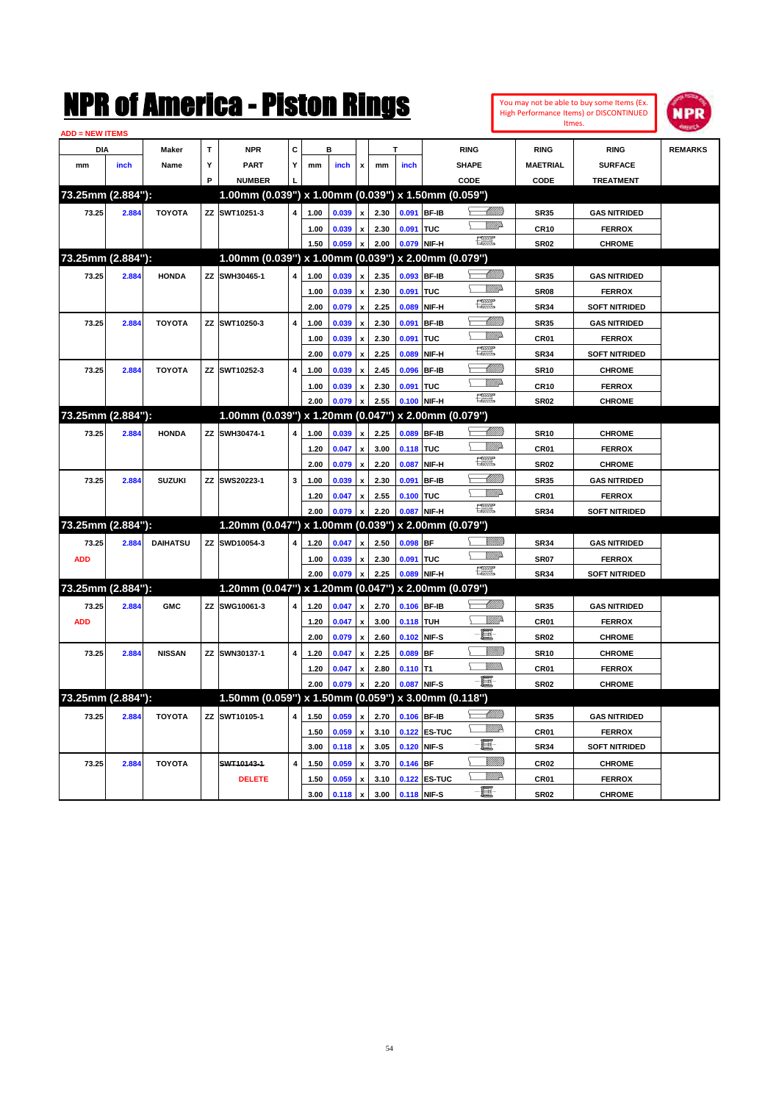|                        |       |                 |   | NMK OI AINCrica - Miston Kings                      |   |              |                |                           |              |                    |                   |                               |                            |                  | You may not be able to buy some Items (Ex.<br>High Performance Items) or DISCONTINUED<br>Itmes. | IPR            |
|------------------------|-------|-----------------|---|-----------------------------------------------------|---|--------------|----------------|---------------------------|--------------|--------------------|-------------------|-------------------------------|----------------------------|------------------|-------------------------------------------------------------------------------------------------|----------------|
| ADD = NEW ITEMS<br>DIA |       |                 | T | <b>NPR</b>                                          | c |              | в              |                           |              | т                  |                   | <b>RING</b>                   |                            | <b>RING</b>      | <b>RING</b>                                                                                     | <b>REMARKS</b> |
|                        |       | Maker           | Υ | <b>PART</b>                                         | Y |              |                |                           |              |                    |                   | <b>SHAPE</b>                  |                            | <b>MAETRIAL</b>  | <b>SURFACE</b>                                                                                  |                |
| mm                     | inch  | Name            | P | <b>NUMBER</b>                                       |   | mm           | inch           | x                         | mm           | inch               |                   | CODE                          |                            | CODE             | <b>TREATMENT</b>                                                                                |                |
| 73.25mm (2.884"):      |       |                 |   | $1.00$ mm (0.039") x 1.00mm (0.039") x 1.50mm       |   |              |                |                           |              |                    |                   | (0.059")                      |                            |                  |                                                                                                 |                |
|                        |       |                 |   |                                                     |   |              |                |                           |              |                    | <b>BF-IB</b>      |                               | <u> UMM</u>                |                  |                                                                                                 |                |
| 73.25                  | 2.884 | <b>TOYOTA</b>   |   | ZZ SWT10251-3                                       | 4 | 1.00         | 0.039          | x                         | 2.30         | 0.091              |                   |                               | <u>VMD</u>                 | <b>SR35</b>      | <b>GAS NITRIDED</b>                                                                             |                |
|                        |       |                 |   |                                                     |   | 1.00<br>1.50 | 0.039<br>0.059 | x                         | 2.30<br>2.00 | 0.091 TUC<br>0.079 | NIF-H             | $\frac{1}{2}$                 |                            | <b>CR10</b>      | <b>FERROX</b>                                                                                   |                |
| 73.25mm (2.884"):      |       |                 |   | 1.00mm (0.039") x 1.00mm (0.039") x 2.00mm (0.079") |   |              |                | x                         |              |                    |                   |                               |                            | <b>SR02</b>      | <b>CHROME</b>                                                                                   |                |
|                        |       |                 |   | ZZ SWH30465-1                                       |   |              |                |                           |              |                    |                   |                               | <u> UMM</u>                |                  |                                                                                                 |                |
| 73.25                  | 2.884 | <b>HONDA</b>    |   |                                                     | 4 | 1.00         | 0.039          | X                         | 2.35         | 0.093              | <b>BF-IB</b>      |                               | <u>MM</u> D                | <b>SR35</b>      | <b>GAS NITRIDED</b>                                                                             |                |
|                        |       |                 |   |                                                     |   | 1.00         | 0.039          | $\boldsymbol{\mathsf{x}}$ | 2.30         | 0.091              | <b>TUC</b>        | œ                             |                            | SR <sub>08</sub> | <b>FERROX</b>                                                                                   |                |
|                        |       |                 |   |                                                     |   | 2.00         | 0.079          | $\boldsymbol{\mathsf{x}}$ | 2.25         | 0.089              | NIF-H             |                               | <u> Millill</u>            | <b>SR34</b>      | <b>SOFT NITRIDED</b>                                                                            |                |
| 73.25                  | 2.884 | <b>TOYOTA</b>   |   | ZZ SWT10250-3                                       | 4 | 1.00         | 0.039          | x                         | 2.30         | 0.091              | <b>BF-IB</b>      |                               | <u>MM</u> D                | <b>SR35</b>      | <b>GAS NITRIDED</b>                                                                             |                |
|                        |       |                 |   |                                                     |   | 1.00         | 0.039          | x                         | 2.30         | 0.091              | <b>TUC</b>        | æ                             |                            | CR01             | <b>FERROX</b>                                                                                   |                |
|                        |       |                 |   |                                                     |   | 2.00         | 0.079          | x                         | 2.25         | 0.089              | NIF-H             |                               |                            | <b>SR34</b>      | <b>SOFT NITRIDED</b>                                                                            |                |
| 73.25                  | 2.884 | <b>TOYOTA</b>   |   | ZZ SWT10252-3                                       | 4 | 1.00         | 0.039          | x                         | 2.45         | 0.096              | <b>BF-IB</b>      |                               | <u> UMM</u><br><u>MM</u> D | <b>SR10</b>      | <b>CHROME</b>                                                                                   |                |
|                        |       |                 |   |                                                     |   | 1.00         | 0.039          | x                         | 2.30         | 0.091              | <b>TUC</b>        | $f_{\text{max}}^{\text{max}}$ |                            | <b>CR10</b>      | <b>FERROX</b>                                                                                   |                |
|                        |       |                 |   |                                                     |   | 2.00         | 0.079          | x                         | 2.55         | 0.100              | NIF-H             |                               |                            | <b>SR02</b>      | <b>CHROME</b>                                                                                   |                |
| 73.25mm (2.884"):      |       |                 |   | 1.00mm (0.039") x 1.20mm (0.047")                   |   |              |                |                           |              |                    | x 2.00mm (0.079") |                               |                            |                  |                                                                                                 |                |
| 73.25                  | 2.884 | <b>HONDA</b>    |   | ZZ SWH30474-1                                       | 4 | 1.00         | 0.039          | x                         | 2.25         | 0.089              | <b>BF-IB</b>      |                               | <u> UMM</u><br>.<br>WWW    | <b>SR10</b>      | <b>CHROME</b>                                                                                   |                |
|                        |       |                 |   |                                                     |   | 1.20         | 0.047          | $\boldsymbol{\mathsf{x}}$ | 3.00         | 0.118 TUC          |                   | œ                             |                            | CR01             | <b>FERROX</b>                                                                                   |                |
|                        |       |                 |   |                                                     |   | 2.00         | 0.079          | $\boldsymbol{\mathsf{x}}$ | 2.20         | 0.087              | NIF-H             |                               |                            | <b>SR02</b>      | <b>CHROME</b>                                                                                   |                |
| 73.25                  | 2.884 | <b>SUZUKI</b>   |   | ZZ SWS20223-1                                       | 3 | 1.00         | 0.039          | x                         | 2.30         | 0.091              | <b>BF-IB</b>      |                               | <u> UMM</u>                | <b>SR35</b>      | <b>GAS NITRIDED</b>                                                                             |                |
|                        |       |                 |   |                                                     |   | 1.20         | 0.047          | x                         | 2.55         | 0.100              | <b>TUC</b>        |                               | <u>MM</u> D                | CR01             | <b>FERROX</b>                                                                                   |                |
|                        |       |                 |   |                                                     |   | 2.00         | 0.079          | x                         | 2.20         | 0.087              | NIF-H             | $\frac{1}{2}$                 |                            | <b>SR34</b>      | <b>SOFT NITRIDED</b>                                                                            |                |
| 73.25mm (2.884"):      |       |                 |   | 1.20mm (0.047") x 1.00mm (0.039")                   |   |              |                |                           |              |                    | x 2.00mm (0.079") |                               |                            |                  |                                                                                                 |                |
| 73.25                  | 2.884 | <b>DAIHATSU</b> |   | ZZ SWD10054-3                                       | 4 | 1.20         | 0.047          | X                         | 2.50         | 0.098              | <b>BF</b>         |                               | <u>Millil</u>              | <b>SR34</b>      | <b>GAS NITRIDED</b>                                                                             |                |
| <b>ADD</b>             |       |                 |   |                                                     |   | 1.00         | 0.039          | x                         | 2.30         | 0.091 TUC          |                   |                               | <u>VMD</u>                 | <b>SR07</b>      | <b>FERROX</b>                                                                                   |                |
|                        |       |                 |   |                                                     |   | 2.00         | 0.079          | x                         | 2.25         | 0.089              | NIF-H             | 鱸                             |                            | <b>SR34</b>      | <b>SOFT NITRIDED</b>                                                                            |                |
| 73.25mm (2.884"):      |       |                 |   | 1.20mm (0.047") x 1.20mm (0.047")                   |   |              |                |                           |              |                    | x 2.00mm (0.079") |                               |                            |                  |                                                                                                 |                |
| 73.25                  | 2.884 | <b>GMC</b>      |   | ZZ SWG10061-3                                       | 4 | 1.20         | 0.047          | X                         | 2.70         | 0.106              | <b>BF-IB</b>      |                               | <u> Milli</u>              | <b>SR35</b>      | <b>GAS NITRIDED</b>                                                                             |                |
| <b>ADD</b>             |       |                 |   |                                                     |   | 1.20         | 0.047          | $\boldsymbol{\mathsf{x}}$ | 3.00         | <b>0.118 TUH</b>   |                   |                               | ₩₩                         | CR01             | <b>FERROX</b>                                                                                   |                |
|                        |       |                 |   |                                                     |   | 2.00         | 0.079          | $\pmb{\mathsf{x}}$        | 2.60         | 0.102              | NIF-S             | E.                            |                            | <b>SR02</b>      | <b>CHROME</b>                                                                                   |                |
| 73.25                  | 2.884 | <b>NISSAN</b>   |   | ZZ SWN30137-1                                       | 4 | 1.20         | 0.047          | x                         | 2.25         | 0.089              | <b>IBF</b>        |                               | <u>Millil</u>              | <b>SR10</b>      | <b>CHROME</b>                                                                                   |                |
|                        |       |                 |   |                                                     |   | 1.20         | 0.047          | x                         | 2.80         | $0.110$ T1         |                   |                               | 9777)).                    | CR01             | <b>FERROX</b>                                                                                   |                |
|                        |       |                 |   |                                                     |   | 2.00         | $0.079 \times$ |                           | 2.20         |                    | 0.087 NIF-S       | E-                            |                            | <b>SR02</b>      | <b>CHROME</b>                                                                                   |                |
| 73.25mm (2.884"):      |       |                 |   | 1.50mm (0.059") x 1.50mm (0.059") x 3.00mm (0.118") |   |              |                |                           |              |                    |                   |                               |                            |                  |                                                                                                 |                |
| 73.25                  | 2.884 | <b>TOYOTA</b>   |   | ZZ SWT10105-1                                       | 4 | 1.50         | 0.059          | $\pmb{\mathsf{x}}$        | 2.70         |                    | 0.106 BF-IB       |                               | <u> UMM</u>                | <b>SR35</b>      | <b>GAS NITRIDED</b>                                                                             |                |
|                        |       |                 |   |                                                     |   | 1.50         | 0.059          | $\pmb{\mathsf{x}}$        | 3.10         |                    | 0.122 ES-TUC      |                               | <b>W///A</b>               | CR01             | <b>FERROX</b>                                                                                   |                |
|                        |       |                 |   |                                                     |   | 3.00         | $0.118 \times$ |                           | 3.05         |                    | 0.120 NIF-S       | e                             |                            | <b>SR34</b>      | <b>SOFT NITRIDED</b>                                                                            |                |
| 73.25                  | 2.884 | TOYOTA          |   | SWT10143-1                                          | 4 | 1.50         | 0.059          | $\pmb{\mathsf{x}}$        | 3.70         | $0.146$ BF         |                   |                               | <u>VIIII)</u>              | CR <sub>02</sub> | <b>CHROME</b>                                                                                   |                |
|                        |       |                 |   | <b>DELETE</b>                                       |   | 1.50         | 0.059          | $\pmb{\mathsf{x}}$        | 3.10         |                    | 0.122 ES-TUC      |                               | <b>W///A</b>               | CR01             | <b>FERROX</b>                                                                                   |                |
|                        |       |                 |   |                                                     |   | 3.00         | $0.118$ x      |                           | 3.00         | 0.118 NIF-S        |                   | -8                            |                            | <b>SR02</b>      | <b>CHROME</b>                                                                                   |                |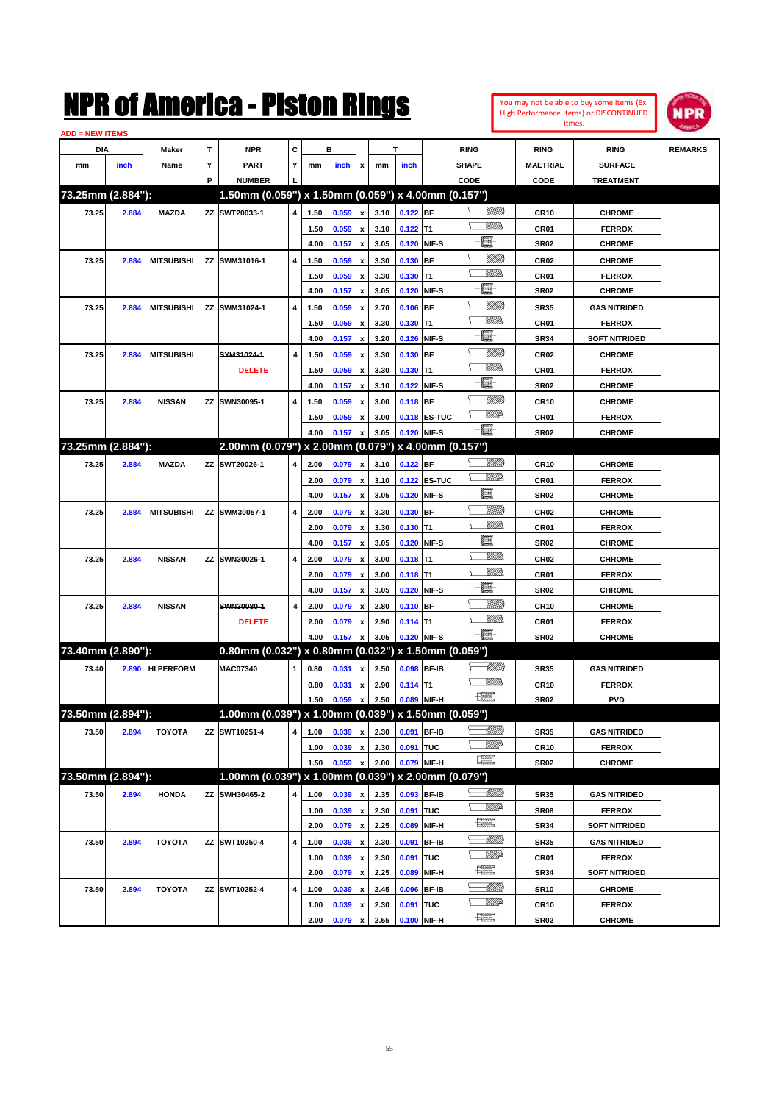

| <b>ADD = NEW ITEMS</b> |       |                   |   |                                                        |   |      |       |                         |      |             |                     |                                                                                                                                                                                                                                                                                                                                                                                             |                  |                      |                |
|------------------------|-------|-------------------|---|--------------------------------------------------------|---|------|-------|-------------------------|------|-------------|---------------------|---------------------------------------------------------------------------------------------------------------------------------------------------------------------------------------------------------------------------------------------------------------------------------------------------------------------------------------------------------------------------------------------|------------------|----------------------|----------------|
| DIA                    |       | Maker             | т | <b>NPR</b>                                             | С |      | в     |                         |      | T           |                     | <b>RING</b>                                                                                                                                                                                                                                                                                                                                                                                 | <b>RING</b>      | <b>RING</b>          | <b>REMARKS</b> |
| mm                     | inch  | Name              | Υ | <b>PART</b>                                            | Y | mm   | inch  | x                       | mm   | inch        |                     | <b>SHAPE</b>                                                                                                                                                                                                                                                                                                                                                                                | <b>MAETRIAL</b>  | <b>SURFACE</b>       |                |
|                        |       |                   | P | <b>NUMBER</b>                                          |   |      |       |                         |      |             |                     | CODE                                                                                                                                                                                                                                                                                                                                                                                        | CODE             | <b>TREATMENT</b>     |                |
| 73.25mm (2.884"):      |       |                   |   | 1.50mm (0.059") x 1.50mm (0.059") x 4.00mm (0.157")    |   |      |       |                         |      |             |                     |                                                                                                                                                                                                                                                                                                                                                                                             |                  |                      |                |
| 73.25                  | 2.884 | <b>MAZDA</b>      |   | ZZ SWT20033-1                                          | 4 | 1.50 | 0.059 | $\pmb{\mathsf{x}}$      | 3.10 | $0.122$ BF  |                     | <u>Sillilli</u>                                                                                                                                                                                                                                                                                                                                                                             | <b>CR10</b>      | <b>CHROME</b>        |                |
|                        |       |                   |   |                                                        |   | 1.50 | 0.059 | x                       | 3.10 | $0.122$ T1  |                     | <br>Mad                                                                                                                                                                                                                                                                                                                                                                                     | CR01             | <b>FERROX</b>        |                |
|                        |       |                   |   |                                                        |   | 4.00 | 0.157 | $\pmb{\mathsf{x}}$      | 3.05 |             | 0.120 NIF-S         | E                                                                                                                                                                                                                                                                                                                                                                                           | <b>SR02</b>      | <b>CHROME</b>        |                |
| 73.25                  | 2.884 | <b>MITSUBISHI</b> |   | ZZ SWM31016-1                                          | 4 | 1.50 | 0.059 | x                       | 3.30 | 0.130 BF    |                     | <u>Sillilli</u>                                                                                                                                                                                                                                                                                                                                                                             | CR <sub>02</sub> | <b>CHROME</b>        |                |
|                        |       |                   |   |                                                        |   | 1.50 | 0.059 | x                       | 3.30 | $0.130$ T1  |                     | VMM)                                                                                                                                                                                                                                                                                                                                                                                        | CR01             | <b>FERROX</b>        |                |
|                        |       |                   |   |                                                        |   | 4.00 | 0.157 | $\pmb{\mathsf{x}}$      | 3.05 |             | 0.120 NIF-S         | E                                                                                                                                                                                                                                                                                                                                                                                           | <b>SR02</b>      | <b>CHROME</b>        |                |
| 73.25                  | 2.884 | <b>MITSUBISHI</b> |   | ZZ SWM31024-1                                          | 4 | 1.50 | 0.059 | x                       | 2.70 | $0.106$ BF  |                     | <u>VIIII)</u>                                                                                                                                                                                                                                                                                                                                                                               | <b>SR35</b>      | <b>GAS NITRIDED</b>  |                |
|                        |       |                   |   |                                                        |   | 1.50 | 0.059 | x                       | 3.30 | $0.130$ T1  |                     | <br>Mar                                                                                                                                                                                                                                                                                                                                                                                     | CR01             | <b>FERROX</b>        |                |
|                        |       |                   |   |                                                        |   | 4.00 | 0.157 | $\pmb{\mathsf{x}}$      | 3.20 |             | 0.126 NIF-S         | E                                                                                                                                                                                                                                                                                                                                                                                           | <b>SR34</b>      | <b>SOFT NITRIDED</b> |                |
| 73.25                  | 2.884 | <b>MITSUBISHI</b> |   | SXM31024-1                                             | 4 | 1.50 | 0.059 | x                       | 3.30 | 0.130 BF    |                     | <u>VIIII)</u>                                                                                                                                                                                                                                                                                                                                                                               | CR02             | <b>CHROME</b>        |                |
|                        |       |                   |   | <b>DELETE</b>                                          |   | 1.50 | 0.059 | x                       | 3.30 | $0.130$ T1  |                     | <br>Mar                                                                                                                                                                                                                                                                                                                                                                                     | CR01             | <b>FERROX</b>        |                |
|                        |       |                   |   |                                                        |   | 4.00 | 0.157 | $\pmb{\mathsf{x}}$      | 3.10 |             | 0.122 NIF-S         | E                                                                                                                                                                                                                                                                                                                                                                                           | <b>SR02</b>      | <b>CHROME</b>        |                |
| 73.25                  | 2.884 | <b>NISSAN</b>     |   | ZZ SWN30095-1                                          | 4 | 1.50 | 0.059 | x                       | 3.00 | 0.118 BF    |                     | <u>VIIII)</u>                                                                                                                                                                                                                                                                                                                                                                               | CR10             | <b>CHROME</b>        |                |
|                        |       |                   |   |                                                        |   | 1.50 | 0.059 | x                       | 3.00 |             | <b>0.118 ES-TUC</b> | <u>W//R</u>                                                                                                                                                                                                                                                                                                                                                                                 | CR01             | <b>FERROX</b>        |                |
|                        |       |                   |   |                                                        |   | 4.00 | 0.157 | X                       | 3.05 | 0.120 NIF-S |                     | -E.                                                                                                                                                                                                                                                                                                                                                                                         | <b>SR02</b>      | <b>CHROME</b>        |                |
| 73.25mm (2.884"):      |       |                   |   | 2.00mm (0.079") x 2.00mm (0.079") x 4.00mm (0.157")    |   |      |       |                         |      |             |                     |                                                                                                                                                                                                                                                                                                                                                                                             |                  |                      |                |
| 73.25                  | 2.884 | <b>MAZDA</b>      |   | ZZ SWT20026-1                                          | 4 | 2.00 | 0.079 | $\pmb{\mathsf{x}}$      | 3.10 | $0.122$ BF  |                     | <u>VIIII)</u>                                                                                                                                                                                                                                                                                                                                                                               | <b>CR10</b>      | <b>CHROME</b>        |                |
|                        |       |                   |   |                                                        |   | 2.00 | 0.079 | $\pmb{\mathsf{x}}$      | 3.10 |             | 0.122 ES-TUC        | <u>WW</u> A                                                                                                                                                                                                                                                                                                                                                                                 | CR01             | <b>FERROX</b>        |                |
|                        |       |                   |   |                                                        |   | 4.00 | 0.157 | $\pmb{\mathsf{x}}$      | 3.05 |             | 0.120 NIF-S         | E                                                                                                                                                                                                                                                                                                                                                                                           | <b>SR02</b>      | <b>CHROME</b>        |                |
| 73.25                  | 2.884 | <b>MITSUBISHI</b> |   | ZZ SWM30057-1                                          | 4 | 2.00 | 0.079 | x                       | 3.30 | 0.130 BF    |                     | <u>VIIII)</u>                                                                                                                                                                                                                                                                                                                                                                               | CR <sub>02</sub> | <b>CHROME</b>        |                |
|                        |       |                   |   |                                                        |   | 2.00 | 0.079 | x                       | 3.30 | $0.130$ T1  |                     | .<br>VMD                                                                                                                                                                                                                                                                                                                                                                                    | CR01             | <b>FERROX</b>        |                |
|                        |       |                   |   |                                                        |   | 4.00 | 0.157 | $\pmb{\mathsf{x}}$      | 3.05 |             | 0.120 NIF-S         | e                                                                                                                                                                                                                                                                                                                                                                                           | <b>SR02</b>      | <b>CHROME</b>        |                |
| 73.25                  | 2.884 | <b>NISSAN</b>     |   | ZZ SWN30026-1                                          | 4 | 2.00 | 0.079 | x                       | 3.00 | $0.118$ T1  |                     | .<br>VMD                                                                                                                                                                                                                                                                                                                                                                                    | CR <sub>02</sub> | <b>CHROME</b>        |                |
|                        |       |                   |   |                                                        |   | 2.00 | 0.079 | x                       | 3.00 | $0.118$ T1  |                     | <br>Militar                                                                                                                                                                                                                                                                                                                                                                                 | CR01             | <b>FERROX</b>        |                |
|                        |       |                   |   |                                                        |   | 4.00 | 0.157 | $\pmb{\mathsf{x}}$      | 3.05 |             | 0.120 NIF-S         | e                                                                                                                                                                                                                                                                                                                                                                                           | <b>SR02</b>      | <b>CHROME</b>        |                |
| 73.25                  | 2.884 | <b>NISSAN</b>     |   | SWN30080-1                                             | 4 | 2.00 | 0.079 | x                       | 2.80 | 0.110 BF    |                     | <u>VIIII)</u>                                                                                                                                                                                                                                                                                                                                                                               | CR10             | <b>CHROME</b>        |                |
|                        |       |                   |   | <b>DELETE</b>                                          |   | 2.00 | 0.079 | x                       | 2.90 | $0.114$ T1  |                     | <u>Millib</u>                                                                                                                                                                                                                                                                                                                                                                               | CR01             | <b>FERROX</b>        |                |
|                        |       |                   |   |                                                        |   | 4.00 | 0.157 | x                       | 3.05 | 0.120 NIF-S |                     | -E.                                                                                                                                                                                                                                                                                                                                                                                         | <b>SR02</b>      | <b>CHROME</b>        |                |
| 73.40mm (2.890"):      |       |                   |   | 0.80mm (0.032") x 0.80mm (0.032") x 1.50mm (0.059")    |   |      |       |                         |      |             |                     |                                                                                                                                                                                                                                                                                                                                                                                             |                  |                      |                |
| 73.40                  | 2.890 | <b>HI PERFORM</b> |   | <b>MAC07340</b>                                        | 1 | 0.80 | 0.031 | x                       | 2.50 |             | 0.098 BF-IB         | <u> Millitt</u>                                                                                                                                                                                                                                                                                                                                                                             | <b>SR35</b>      | <b>GAS NITRIDED</b>  |                |
|                        |       |                   |   |                                                        |   | 0.80 | 0.031 |                         | 2.90 | $0.114$ T1  |                     |                                                                                                                                                                                                                                                                                                                                                                                             | <b>CR10</b>      | <b>FERROX</b>        |                |
|                        |       |                   |   |                                                        |   | 1.50 | 0.059 | x<br>$\pmb{\mathsf{x}}$ | 2.50 |             | 0.089 NIF-H         | $\begin{picture}(20,20) \put(0,0){\dashbox{0.5}(20,0){ }} \put(15,0){\circle{10}} \put(25,0){\circle{10}} \put(25,0){\circle{10}} \put(25,0){\circle{10}} \put(25,0){\circle{10}} \put(25,0){\circle{10}} \put(25,0){\circle{10}} \put(25,0){\circle{10}} \put(25,0){\circle{10}} \put(25,0){\circle{10}} \put(25,0){\circle{10}} \put(25,0){\circle{10}} \put(25,0){\circle{10}} \put(25,$ | <b>SR02</b>      | <b>PVD</b>           |                |
| 73.50mm (2.894"):      |       |                   |   | 1.00mm (0.039") x 1.00mm (0.039") x 1.50mm (0.059")    |   |      |       |                         |      |             |                     |                                                                                                                                                                                                                                                                                                                                                                                             |                  |                      |                |
|                        |       |                   |   |                                                        |   |      |       |                         |      |             |                     | <u> MMM</u>                                                                                                                                                                                                                                                                                                                                                                                 |                  |                      |                |
| 73.50                  | 2.894 | <b>TOYOTA</b>     |   | ZZ SWT10251-4                                          | 4 | 1.00 | 0.039 | $\pmb{\mathsf{x}}$      | 2.30 |             | 0.091 BF-IB         | <u>MMP</u>                                                                                                                                                                                                                                                                                                                                                                                  | <b>SR35</b>      | <b>GAS NITRIDED</b>  |                |
|                        |       |                   |   |                                                        |   | 1.00 | 0.039 | x                       | 2.30 | 0.091 TUC   |                     | $\frac{1}{2}$                                                                                                                                                                                                                                                                                                                                                                               | <b>CR10</b>      | <b>FERROX</b>        |                |
|                        |       |                   |   |                                                        |   | 1.50 | 0.059 | x                       | 2.00 |             | 0.079 NIF-H         |                                                                                                                                                                                                                                                                                                                                                                                             | SR02             | <b>CHROME</b>        |                |
| 73.50mm (2.894"):      |       |                   |   | $1.00$ mm (0.039") x 1.00mm (0.039") x 2.00mm (0.079") |   |      |       |                         |      |             |                     |                                                                                                                                                                                                                                                                                                                                                                                             |                  |                      |                |
| 73.50                  | 2.894 | <b>HONDA</b>      |   | ZZ SWH30465-2                                          | 4 | 1.00 | 0.039 | $\pmb{\mathsf{x}}$      | 2.35 |             | 0.093 BF-IB         | <u>- MMB</u>                                                                                                                                                                                                                                                                                                                                                                                | SR35             | <b>GAS NITRIDED</b>  |                |
|                        |       |                   |   |                                                        |   | 1.00 | 0.039 | $\pmb{\mathsf{x}}$      | 2.30 | 0.091 TUC   |                     | WW                                                                                                                                                                                                                                                                                                                                                                                          | <b>SR08</b>      | <b>FERROX</b>        |                |
|                        |       |                   |   |                                                        |   | 2.00 | 0.079 | $\pmb{\mathsf{x}}$      | 2.25 | 0.089       | NIF-H               | H                                                                                                                                                                                                                                                                                                                                                                                           | SR34             | <b>SOFT NITRIDED</b> |                |
| 73.50                  | 2.894 | <b>TOYOTA</b>     |   | ZZ SWT10250-4                                          | 4 | 1.00 | 0.039 | x                       | 2.30 |             | 0.091 BF-IB         | <u>- MMB</u>                                                                                                                                                                                                                                                                                                                                                                                | <b>SR35</b>      | <b>GAS NITRIDED</b>  |                |
|                        |       |                   |   |                                                        |   | 1.00 | 0.039 | x                       | 2.30 | 0.091 TUC   |                     | <u>VM</u> A                                                                                                                                                                                                                                                                                                                                                                                 | CR01             | <b>FERROX</b>        |                |
|                        |       |                   |   |                                                        |   | 2.00 | 0.079 | $\pmb{\mathsf{x}}$      | 2.25 |             | 0.089 NIF-H         | $\frac{1}{2}$                                                                                                                                                                                                                                                                                                                                                                               | <b>SR34</b>      | <b>SOFT NITRIDED</b> |                |
| 73.50                  | 2.894 | <b>TOYOTA</b>     |   | ZZ SWT10252-4                                          | 4 | 1.00 | 0.039 | x                       | 2.45 |             | 0.096 BF-IB         | <u>- MMB</u>                                                                                                                                                                                                                                                                                                                                                                                | SR10             | <b>CHROME</b>        |                |
|                        |       |                   |   |                                                        |   | 1.00 | 0.039 | x                       | 2.30 | 0.091 TUC   |                     | <u>VM</u> A                                                                                                                                                                                                                                                                                                                                                                                 | <b>CR10</b>      | <b>FERROX</b>        |                |
|                        |       |                   |   |                                                        |   | 2.00 | 0.079 | $\pmb{\mathsf{x}}$      | 2.55 |             | $0.100$ NIF-H       | H                                                                                                                                                                                                                                                                                                                                                                                           | SR02             | <b>CHROME</b>        |                |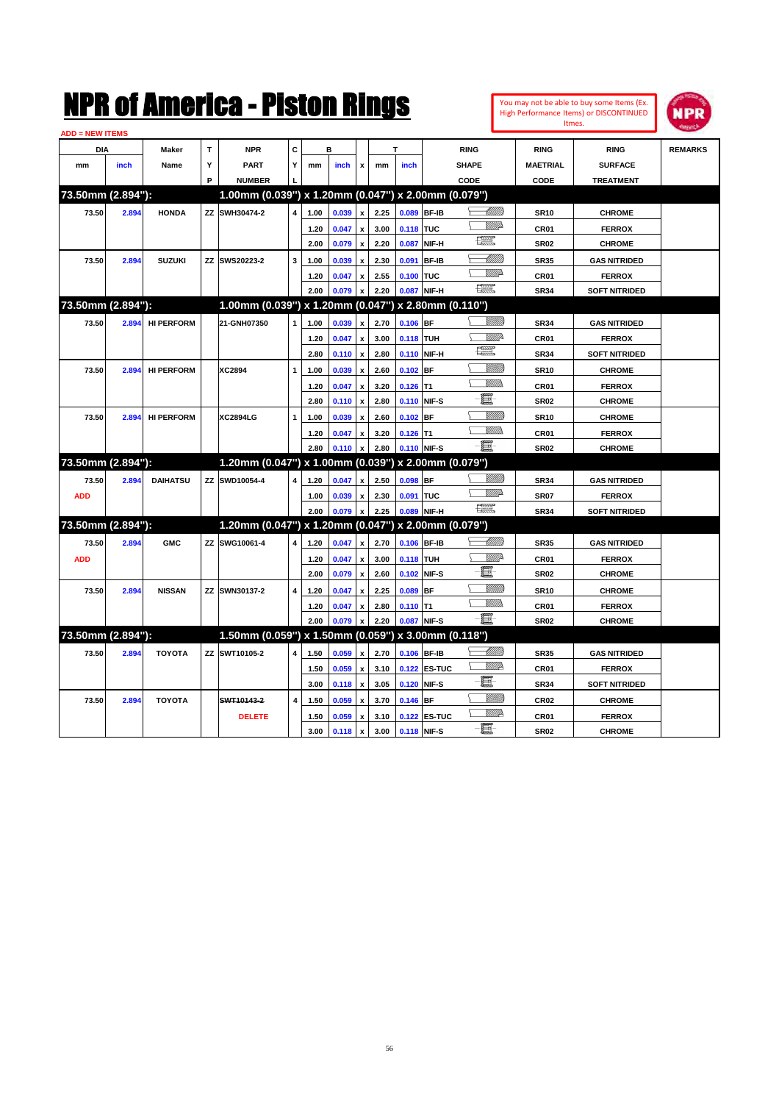

| <b>ADD = NEW ITEMS</b> |       |                   |   |                                                     |                |      |       |                           |      |                  |              |                                                                                                                                                                                                                                                                                                                                                                                             |                  |                      |                |
|------------------------|-------|-------------------|---|-----------------------------------------------------|----------------|------|-------|---------------------------|------|------------------|--------------|---------------------------------------------------------------------------------------------------------------------------------------------------------------------------------------------------------------------------------------------------------------------------------------------------------------------------------------------------------------------------------------------|------------------|----------------------|----------------|
| <b>DIA</b>             |       | Maker             | T | <b>NPR</b>                                          | C              |      | в     |                           |      | T                |              | <b>RING</b>                                                                                                                                                                                                                                                                                                                                                                                 | <b>RING</b>      | <b>RING</b>          | <b>REMARKS</b> |
| mm                     | inch  | Name              | Υ | <b>PART</b>                                         | Y              | mm   | inch  | x                         | mm   | inch             |              | <b>SHAPE</b>                                                                                                                                                                                                                                                                                                                                                                                | <b>MAETRIAL</b>  | <b>SURFACE</b>       |                |
|                        |       |                   | P | <b>NUMBER</b>                                       |                |      |       |                           |      |                  |              | CODE                                                                                                                                                                                                                                                                                                                                                                                        | CODE             | <b>TREATMENT</b>     |                |
| 73.50mm (2.894"):      |       |                   |   | 1.00mm (0.039") x 1.20mm (0.047") x 2.00mm (0.079") |                |      |       |                           |      |                  |              |                                                                                                                                                                                                                                                                                                                                                                                             |                  |                      |                |
| 73.50                  | 2.894 | <b>HONDA</b>      |   | ZZ SWH30474-2                                       | 4              | 1.00 | 0.039 | $\mathbf{x}$              | 2.25 |                  | 0.089 BF-IB  |                                                                                                                                                                                                                                                                                                                                                                                             | <b>SR10</b>      | <b>CHROME</b>        |                |
|                        |       |                   |   |                                                     |                | 1.20 | 0.047 | $\pmb{\mathsf{x}}$        | 3.00 | 0.118 TUC        |              | WMD                                                                                                                                                                                                                                                                                                                                                                                         | CR01             | <b>FERROX</b>        |                |
|                        |       |                   |   |                                                     |                | 2.00 | 0.079 | $\boldsymbol{\mathsf{x}}$ | 2.20 |                  | 0.087 NIF-H  | 鱱                                                                                                                                                                                                                                                                                                                                                                                           | <b>SR02</b>      | <b>CHROME</b>        |                |
| 73.50                  | 2.894 | <b>SUZUKI</b>     |   | ZZ SWS20223-2                                       | 3              | 1.00 | 0.039 | $\boldsymbol{\mathsf{x}}$ | 2.30 |                  | 0.091 BF-IB  | <u>UMM</u>                                                                                                                                                                                                                                                                                                                                                                                  | <b>SR35</b>      | <b>GAS NITRIDED</b>  |                |
|                        |       |                   |   |                                                     |                | 1.20 | 0.047 | $\pmb{\mathsf{x}}$        | 2.55 | 0.100 TUC        |              | VMD-                                                                                                                                                                                                                                                                                                                                                                                        | CR01             | <b>FERROX</b>        |                |
|                        |       |                   |   |                                                     |                | 2.00 | 0.079 | $\mathbf{x}$              | 2.20 |                  | 0.087 NIF-H  | 理                                                                                                                                                                                                                                                                                                                                                                                           | <b>SR34</b>      | <b>SOFT NITRIDED</b> |                |
| 73.50mm (2.894"):      |       |                   |   | 1.00mm (0.039") x 1.20mm (0.047") x 2.80mm (0.110") |                |      |       |                           |      |                  |              |                                                                                                                                                                                                                                                                                                                                                                                             |                  |                      |                |
| 73.50                  |       | 2.894 HI PERFORM  |   | 21-GNH07350                                         |                | 1.00 | 0.039 | $\boldsymbol{\mathsf{x}}$ | 2.70 | $0.106$ BF       |              |                                                                                                                                                                                                                                                                                                                                                                                             | <b>SR34</b>      | <b>GAS NITRIDED</b>  |                |
|                        |       |                   |   |                                                     |                | 1.20 | 0.047 | $\pmb{\mathsf{x}}$        | 3.00 | <b>0.118 TUH</b> |              | WW.                                                                                                                                                                                                                                                                                                                                                                                         | CR01             | <b>FERROX</b>        |                |
|                        |       |                   |   |                                                     |                | 2.80 | 0.110 | $\boldsymbol{\mathsf{x}}$ | 2.80 |                  | 0.110 NIF-H  | $\begin{picture}(20,20) \put(0,0){\dashbox{0.5}(20,0){ }} \put(15,0){\circle{10}} \put(25,0){\circle{10}} \put(25,0){\circle{10}} \put(25,0){\circle{10}} \put(25,0){\circle{10}} \put(25,0){\circle{10}} \put(25,0){\circle{10}} \put(25,0){\circle{10}} \put(25,0){\circle{10}} \put(25,0){\circle{10}} \put(25,0){\circle{10}} \put(25,0){\circle{10}} \put(25,0){\circle{10}} \put(25,$ | <b>SR34</b>      | <b>SOFT NITRIDED</b> |                |
| 73.50                  | 2.894 | <b>HI PERFORM</b> |   | XC2894                                              | $\mathbf{1}$   | 1.00 | 0.039 | $\boldsymbol{\mathsf{x}}$ | 2.60 | $0.102$ BF       |              | <u>Villitti</u>                                                                                                                                                                                                                                                                                                                                                                             | <b>SR10</b>      | <b>CHROME</b>        |                |
|                        |       |                   |   |                                                     |                | 1.20 | 0.047 | $\pmb{\mathsf{x}}$        | 3.20 | $0.126$ T1       |              | VM).                                                                                                                                                                                                                                                                                                                                                                                        | CR01             | <b>FERROX</b>        |                |
|                        |       |                   |   |                                                     |                | 2.80 | 0.110 | $\boldsymbol{\mathsf{x}}$ | 2.80 |                  | 0.110 NIF-S  | E                                                                                                                                                                                                                                                                                                                                                                                           | <b>SR02</b>      | <b>CHROME</b>        |                |
| 73.50                  | 2.894 | <b>HI PERFORM</b> |   | <b>XC2894LG</b>                                     | $\mathbf{1}$   | 1.00 | 0.039 | x                         | 2.60 | $0.102$ BF       |              | VIIII)                                                                                                                                                                                                                                                                                                                                                                                      | <b>SR10</b>      | <b>CHROME</b>        |                |
|                        |       |                   |   |                                                     |                | 1.20 | 0.047 | $\mathbf{x}$              | 3.20 | $0.126$ T1       |              | VM))                                                                                                                                                                                                                                                                                                                                                                                        | CR01             | <b>FERROX</b>        |                |
|                        |       |                   |   |                                                     |                | 2.80 | 0.110 | $\pmb{\mathsf{x}}$        | 2.80 |                  | 0.110 NIF-S  | -8                                                                                                                                                                                                                                                                                                                                                                                          | <b>SR02</b>      | <b>CHROME</b>        |                |
| 73.50mm (2.894"):      |       |                   |   | 1.20mm (0.047") x 1.00mm (0.039") x 2.00mm (0.079") |                |      |       |                           |      |                  |              |                                                                                                                                                                                                                                                                                                                                                                                             |                  |                      |                |
| 73.50                  | 2.894 | <b>DAIHATSU</b>   |   | ZZ SWD10054-4                                       | 4              | 1.20 | 0.047 | x                         | 2.50 | $0.098$ BF       |              | VIIII)                                                                                                                                                                                                                                                                                                                                                                                      | <b>SR34</b>      | <b>GAS NITRIDED</b>  |                |
| <b>ADD</b>             |       |                   |   |                                                     |                | 1.00 | 0.039 | $\pmb{\mathsf{x}}$        | 2.30 | 0.091 TUC        |              | VMD                                                                                                                                                                                                                                                                                                                                                                                         | <b>SR07</b>      | <b>FERROX</b>        |                |
|                        |       |                   |   |                                                     |                | 2.00 | 0.079 | $\mathbf{x}$              | 2.25 |                  | 0.089 NIF-H  | <b>Designation</b>                                                                                                                                                                                                                                                                                                                                                                          | <b>SR34</b>      | <b>SOFT NITRIDED</b> |                |
| 73.50mm (2.894"):      |       |                   |   | 1.20mm (0.047") x 1.20mm (0.047") x 2.00mm (0.079") |                |      |       |                           |      |                  |              |                                                                                                                                                                                                                                                                                                                                                                                             |                  |                      |                |
| 73.50                  | 2.894 | <b>GMC</b>        |   | ZZ SWG10061-4                                       | 4              | 1.20 | 0.047 | $\boldsymbol{x}$          | 2.70 |                  | 0.106 BF-IB  | <u>UMB</u>                                                                                                                                                                                                                                                                                                                                                                                  | <b>SR35</b>      | <b>GAS NITRIDED</b>  |                |
| <b>ADD</b>             |       |                   |   |                                                     |                | 1.20 | 0.047 | $\boldsymbol{\mathsf{x}}$ | 3.00 | 0.118 TUH        |              | WM:                                                                                                                                                                                                                                                                                                                                                                                         | CR01             | <b>FERROX</b>        |                |
|                        |       |                   |   |                                                     |                | 2.00 | 0.079 | $\boldsymbol{\mathsf{x}}$ | 2.60 |                  | 0.102 NIF-S  | E.                                                                                                                                                                                                                                                                                                                                                                                          | <b>SR02</b>      | <b>CHROME</b>        |                |
| 73.50                  | 2.894 | <b>NISSAN</b>     |   | ZZ SWN30137-2                                       | 4              | 1.20 | 0.047 | $\pmb{\mathsf{x}}$        | 2.25 | $0.089$ BF       |              | <u>Villin</u>                                                                                                                                                                                                                                                                                                                                                                               | <b>SR10</b>      | <b>CHROME</b>        |                |
|                        |       |                   |   |                                                     |                | 1.20 | 0.047 | $\pmb{\mathsf{x}}$        | 2.80 | $0.110$ T1       |              | .<br>William                                                                                                                                                                                                                                                                                                                                                                                | CR01             | <b>FERROX</b>        |                |
|                        |       |                   |   |                                                     |                | 2.00 | 0.079 | $\mathbf{x}$              | 2.20 |                  | 0.087 NIF-S  | $-\mathbf{E}$                                                                                                                                                                                                                                                                                                                                                                               | <b>SR02</b>      | <b>CHROME</b>        |                |
| 73.50mm (2.894"):      |       |                   |   | 1.50mm (0.059") x 1.50mm (0.059") x 3.00mm (0.118") |                |      |       |                           |      |                  |              |                                                                                                                                                                                                                                                                                                                                                                                             |                  |                      |                |
| 73.50                  | 2.894 | <b>TOYOTA</b>     |   | ZZ SWT10105-2                                       |                | 1.50 | 0.059 | $\boldsymbol{x}$          | 2.70 |                  | 0.106 BF-IB  | -MM))                                                                                                                                                                                                                                                                                                                                                                                       | <b>SR35</b>      | <b>GAS NITRIDED</b>  |                |
|                        |       |                   |   |                                                     |                | 1.50 | 0.059 | $\pmb{\mathsf{x}}$        | 3.10 |                  | 0.122 ES-TUC | <u>WW</u> A                                                                                                                                                                                                                                                                                                                                                                                 | CR <sub>01</sub> | <b>FERROX</b>        |                |
|                        |       |                   |   |                                                     |                | 3.00 | 0.118 | $\boldsymbol{\mathsf{x}}$ | 3.05 |                  | 0.120 NIF-S  | E                                                                                                                                                                                                                                                                                                                                                                                           | <b>SR34</b>      | <b>SOFT NITRIDED</b> |                |
| 73.50                  | 2.894 | <b>TOYOTA</b>     |   | SWT10143-2                                          | $\overline{4}$ | 1.50 | 0.059 | x                         | 3.70 | $0.146$ BF       |              | <u>VIIII)</u>                                                                                                                                                                                                                                                                                                                                                                               | CR <sub>02</sub> | <b>CHROME</b>        |                |
|                        |       |                   |   | <b>DELETE</b>                                       |                | 1.50 | 0.059 | $\pmb{\mathsf{x}}$        | 3.10 |                  | 0.122 ES-TUC | <u>MM</u>                                                                                                                                                                                                                                                                                                                                                                                   | CR01             | <b>FERROX</b>        |                |
|                        |       |                   |   |                                                     |                | 3.00 | 0.118 | $\mathbf{x}$              | 3.00 |                  | 0.118 NIF-S  | Ð.                                                                                                                                                                                                                                                                                                                                                                                          | SR <sub>02</sub> | <b>CHROME</b>        |                |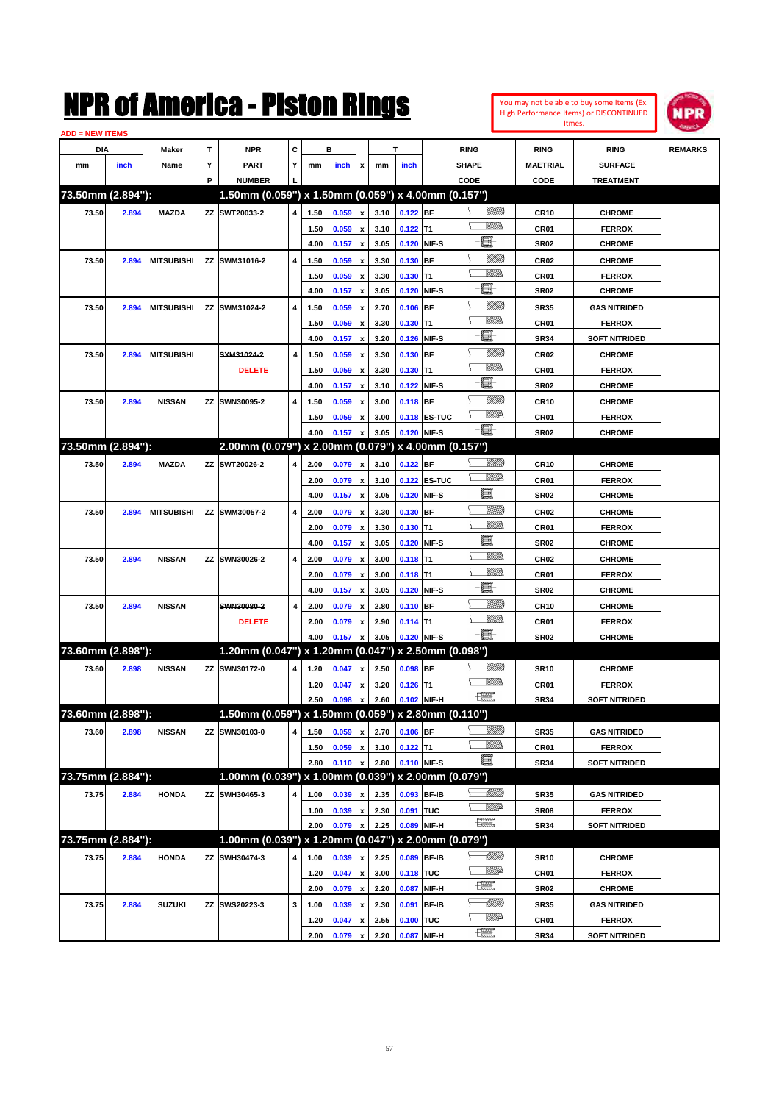

| <b>ADD = NEW ITEMS</b> |       |                   |   |                                                     |   |      |       |                         |              |             |                     |                                                                                                                                                                                                                                                                                                                                                                                             |                  |                                       |                |
|------------------------|-------|-------------------|---|-----------------------------------------------------|---|------|-------|-------------------------|--------------|-------------|---------------------|---------------------------------------------------------------------------------------------------------------------------------------------------------------------------------------------------------------------------------------------------------------------------------------------------------------------------------------------------------------------------------------------|------------------|---------------------------------------|----------------|
| DIA                    |       | Maker             | т | <b>NPR</b>                                          | С |      | в     |                         |              | T           |                     | <b>RING</b>                                                                                                                                                                                                                                                                                                                                                                                 | <b>RING</b>      | <b>RING</b>                           | <b>REMARKS</b> |
| mm                     | inch  | Name              | Υ | <b>PART</b>                                         | Y | mm   | inch  | x                       | mm           | inch        |                     | <b>SHAPE</b>                                                                                                                                                                                                                                                                                                                                                                                | <b>MAETRIAL</b>  | <b>SURFACE</b>                        |                |
|                        |       |                   | P | <b>NUMBER</b>                                       |   |      |       |                         |              |             |                     | CODE                                                                                                                                                                                                                                                                                                                                                                                        | CODE             | <b>TREATMENT</b>                      |                |
| 73.50mm (2.894"):      |       |                   |   | 1.50mm (0.059") x 1.50mm (0.059") x 4.00mm (0.157") |   |      |       |                         |              |             |                     |                                                                                                                                                                                                                                                                                                                                                                                             |                  |                                       |                |
| 73.50                  | 2.894 | <b>MAZDA</b>      |   | ZZ SWT20033-2                                       | 4 | 1.50 | 0.059 | $\pmb{\mathsf{x}}$      | 3.10         | $0.122$ BF  |                     | <u>Sillilli</u>                                                                                                                                                                                                                                                                                                                                                                             | <b>CR10</b>      | <b>CHROME</b>                         |                |
|                        |       |                   |   |                                                     |   | 1.50 | 0.059 | x                       | 3.10         | $0.122$ T1  |                     |                                                                                                                                                                                                                                                                                                                                                                                             | CR01             | <b>FERROX</b>                         |                |
|                        |       |                   |   |                                                     |   | 4.00 | 0.157 | $\pmb{\mathsf{x}}$      | 3.05         |             | 0.120 NIF-S         | E                                                                                                                                                                                                                                                                                                                                                                                           | <b>SR02</b>      | <b>CHROME</b>                         |                |
| 73.50                  | 2.894 | <b>MITSUBISHI</b> |   | ZZ SWM31016-2                                       | 4 | 1.50 | 0.059 | x                       | 3.30         | 0.130 BF    |                     | <u>Sillilli</u>                                                                                                                                                                                                                                                                                                                                                                             | CR <sub>02</sub> | <b>CHROME</b>                         |                |
|                        |       |                   |   |                                                     |   | 1.50 | 0.059 | x                       | 3.30         | $0.130$ T1  |                     | <br>Mad                                                                                                                                                                                                                                                                                                                                                                                     | CR01             | <b>FERROX</b>                         |                |
|                        |       |                   |   |                                                     |   | 4.00 | 0.157 | $\pmb{\mathsf{x}}$      | 3.05         | 0.120 NIF-S |                     | E                                                                                                                                                                                                                                                                                                                                                                                           | <b>SR02</b>      | <b>CHROME</b>                         |                |
| 73.50                  | 2.894 | <b>MITSUBISHI</b> |   | ZZ SWM31024-2                                       | 4 | 1.50 | 0.059 | x                       | 2.70         | $0.106$ BF  |                     | <u>VIIII)</u>                                                                                                                                                                                                                                                                                                                                                                               | <b>SR35</b>      | <b>GAS NITRIDED</b>                   |                |
|                        |       |                   |   |                                                     |   | 1.50 | 0.059 | x                       | 3.30         | $0.130$ T1  |                     | <br>Mar                                                                                                                                                                                                                                                                                                                                                                                     | CR01             | <b>FERROX</b>                         |                |
|                        |       |                   |   |                                                     |   | 4.00 | 0.157 | $\pmb{\mathsf{x}}$      | 3.20         |             | 0.126 NIF-S         | E                                                                                                                                                                                                                                                                                                                                                                                           | <b>SR34</b>      | <b>SOFT NITRIDED</b>                  |                |
| 73.50                  | 2.894 | <b>MITSUBISHI</b> |   | SXM31024-2                                          | 4 | 1.50 | 0.059 | x                       | 3.30         | 0.130 BF    |                     | <u>VIIII)</u>                                                                                                                                                                                                                                                                                                                                                                               | CR02             | <b>CHROME</b>                         |                |
|                        |       |                   |   | <b>DELETE</b>                                       |   | 1.50 | 0.059 | x                       | 3.30         | $0.130$ T1  |                     | <br>Mar                                                                                                                                                                                                                                                                                                                                                                                     | CR01             | <b>FERROX</b>                         |                |
|                        |       |                   |   |                                                     |   | 4.00 | 0.157 | $\pmb{\mathsf{x}}$      | 3.10         | 0.122 NIF-S |                     | E                                                                                                                                                                                                                                                                                                                                                                                           | <b>SR02</b>      | <b>CHROME</b>                         |                |
| 73.50                  | 2.894 | <b>NISSAN</b>     |   | ZZ SWN30095-2                                       | 4 | 1.50 | 0.059 | x                       | 3.00         | 0.118 BF    |                     | <u>VIIII)</u>                                                                                                                                                                                                                                                                                                                                                                               | CR10             | <b>CHROME</b>                         |                |
|                        |       |                   |   |                                                     |   | 1.50 | 0.059 | x                       | 3.00         |             | <b>0.118 ES-TUC</b> | <u>WW</u> A                                                                                                                                                                                                                                                                                                                                                                                 | CR01             | <b>FERROX</b>                         |                |
|                        |       |                   |   |                                                     |   | 4.00 | 0.157 | X                       | 3.05         | 0.120 NIF-S |                     | -6                                                                                                                                                                                                                                                                                                                                                                                          | <b>SR02</b>      | <b>CHROME</b>                         |                |
| 73.50mm (2.894"):      |       |                   |   | 2.00mm (0.079") x 2.00mm (0.079") x 4.00mm (0.157") |   |      |       |                         |              |             |                     |                                                                                                                                                                                                                                                                                                                                                                                             |                  |                                       |                |
| 73.50                  | 2.894 | <b>MAZDA</b>      |   | ZZ SWT20026-2                                       | 4 | 2.00 | 0.079 | $\pmb{\mathsf{x}}$      | 3.10         | $0.122$ BF  |                     | <u>Sillilli</u>                                                                                                                                                                                                                                                                                                                                                                             | <b>CR10</b>      | <b>CHROME</b>                         |                |
|                        |       |                   |   |                                                     |   | 2.00 | 0.079 | $\pmb{\mathsf{x}}$      | 3.10         |             | 0.122 ES-TUC        | <u>WW</u> A                                                                                                                                                                                                                                                                                                                                                                                 | CR01             | <b>FERROX</b>                         |                |
|                        |       |                   |   |                                                     |   | 4.00 | 0.157 | $\pmb{\mathsf{x}}$      | 3.05         | 0.120 NIF-S |                     | E                                                                                                                                                                                                                                                                                                                                                                                           | <b>SR02</b>      | <b>CHROME</b>                         |                |
| 73.50                  | 2.894 | <b>MITSUBISHI</b> |   | ZZ SWM30057-2                                       | 4 | 2.00 | 0.079 | x                       | 3.30         | 0.130 BF    |                     | <u>VIIII)</u>                                                                                                                                                                                                                                                                                                                                                                               | CR <sub>02</sub> | <b>CHROME</b>                         |                |
|                        |       |                   |   |                                                     |   | 2.00 | 0.079 | x                       | 3.30         | $0.130$ T1  |                     | .<br>VMD                                                                                                                                                                                                                                                                                                                                                                                    | CR01             | <b>FERROX</b>                         |                |
|                        |       |                   |   |                                                     |   | 4.00 | 0.157 | $\pmb{\mathsf{x}}$      | 3.05         | 0.120 NIF-S |                     | e                                                                                                                                                                                                                                                                                                                                                                                           | <b>SR02</b>      | <b>CHROME</b>                         |                |
| 73.50                  | 2.894 | <b>NISSAN</b>     |   | ZZ SWN30026-2                                       | 4 | 2.00 | 0.079 | x                       | 3.00         | $0.118$ T1  |                     | .<br>VMD                                                                                                                                                                                                                                                                                                                                                                                    | CR <sub>02</sub> | <b>CHROME</b>                         |                |
|                        |       |                   |   |                                                     |   | 2.00 | 0.079 | x                       | 3.00         | $0.118$ T1  |                     | .<br>VMD                                                                                                                                                                                                                                                                                                                                                                                    | CR01             | <b>FERROX</b>                         |                |
|                        |       |                   |   |                                                     |   | 4.00 | 0.157 | $\pmb{\mathsf{x}}$      | 3.05         | 0.120 NIF-S |                     | e                                                                                                                                                                                                                                                                                                                                                                                           | <b>SR02</b>      | <b>CHROME</b>                         |                |
| 73.50                  | 2.894 | <b>NISSAN</b>     |   | SWN30080-2                                          | 4 | 2.00 | 0.079 | x                       | 2.80         | $0.110$ BF  |                     | <u>VIIII)</u>                                                                                                                                                                                                                                                                                                                                                                               | CR10             | <b>CHROME</b>                         |                |
|                        |       |                   |   | <b>DELETE</b>                                       |   | 2.00 | 0.079 | x                       | 2.90         | $0.114$ T1  |                     | <u>Millib</u>                                                                                                                                                                                                                                                                                                                                                                               | CR01             | <b>FERROX</b>                         |                |
|                        |       |                   |   |                                                     |   | 4.00 | 0.157 | x                       | 3.05         | 0.120 NIF-S |                     | $-\Xi$                                                                                                                                                                                                                                                                                                                                                                                      | <b>SR02</b>      | <b>CHROME</b>                         |                |
| 73.60mm (2.898"):      |       |                   |   | 1.20mm (0.047") x 1.20mm (0.047") x 2.50mm (0.098") |   |      |       |                         |              |             |                     |                                                                                                                                                                                                                                                                                                                                                                                             |                  |                                       |                |
| 73.60                  | 2.898 | <b>NISSAN</b>     |   | ZZ SWN30172-0                                       | 4 | 1.20 | 0.047 | x                       | 2.50         | $0.098$ BF  |                     | <u>Sillilli</u>                                                                                                                                                                                                                                                                                                                                                                             | <b>SR10</b>      | <b>CHROME</b>                         |                |
|                        |       |                   |   |                                                     |   | 1.20 | 0.047 |                         | 3.20         | $0.126$ T1  |                     |                                                                                                                                                                                                                                                                                                                                                                                             | CR01             | <b>FERROX</b>                         |                |
|                        |       |                   |   |                                                     |   | 2.50 | 0.098 | x<br>$\pmb{\mathsf{x}}$ | 2.60         |             | 0.102 NIF-H         | $\begin{picture}(20,20) \put(0,0){\dashbox{0.5}(20,0){ }} \put(15,0){\circle{10}} \put(25,0){\circle{10}} \put(25,0){\circle{10}} \put(25,0){\circle{10}} \put(25,0){\circle{10}} \put(25,0){\circle{10}} \put(25,0){\circle{10}} \put(25,0){\circle{10}} \put(25,0){\circle{10}} \put(25,0){\circle{10}} \put(25,0){\circle{10}} \put(25,0){\circle{10}} \put(25,0){\circle{10}} \put(25,$ | <b>SR34</b>      | <b>SOFT NITRIDED</b>                  |                |
| 73.60mm (2.898"):      |       |                   |   | 1.50mm (0.059") x 1.50mm (0.059") x 2.80mm (0.110") |   |      |       |                         |              |             |                     |                                                                                                                                                                                                                                                                                                                                                                                             |                  |                                       |                |
|                        | 2.898 | <b>NISSAN</b>     |   | ZZ SWN30103-0                                       | 4 |      |       |                         |              |             |                     | <u>VIIII)</u>                                                                                                                                                                                                                                                                                                                                                                               | <b>SR35</b>      |                                       |                |
| 73.60                  |       |                   |   |                                                     |   | 1.50 | 0.059 | $\pmb{\mathsf{x}}$      | 2.70         | $0.106$ BF  |                     | <u>MMs</u>                                                                                                                                                                                                                                                                                                                                                                                  |                  | <b>GAS NITRIDED</b>                   |                |
|                        |       |                   |   |                                                     |   | 1.50 | 0.059 | $\pmb{\mathsf{x}}$      | 3.10<br>2.80 | $0.122$ T1  | 0.110 NIF-S         | $-\Xi$                                                                                                                                                                                                                                                                                                                                                                                      | CR01             | <b>FERROX</b><br><b>SOFT NITRIDED</b> |                |
| 73.75mm (2.884"):      |       |                   |   | 1.00mm (0.039") x 1.00mm (0.039") x 2.00mm (0.079") |   | 2.80 | 0.110 | $\pmb{\mathsf{x}}$      |              |             |                     |                                                                                                                                                                                                                                                                                                                                                                                             | SR34             |                                       |                |
|                        |       |                   |   |                                                     |   |      |       |                         |              |             |                     | <u>- MMB</u>                                                                                                                                                                                                                                                                                                                                                                                |                  |                                       |                |
| 73.75                  | 2.884 | <b>HONDA</b>      |   | ZZ SWH30465-3                                       | 4 | 1.00 | 0.039 | $\pmb{\mathsf{x}}$      | 2.35         |             | 0.093 BF-IB         | WW                                                                                                                                                                                                                                                                                                                                                                                          | <b>SR35</b>      | <b>GAS NITRIDED</b>                   |                |
|                        |       |                   |   |                                                     |   | 1.00 | 0.039 | $\pmb{\mathsf{x}}$      | 2.30         | 0.091 TUC   |                     | H                                                                                                                                                                                                                                                                                                                                                                                           | <b>SR08</b>      | <b>FERROX</b>                         |                |
| 73.75mm (2.884"):      |       |                   |   |                                                     |   | 2.00 | 0.079 | x                       | 2.25         |             | 0.089 NIF-H         |                                                                                                                                                                                                                                                                                                                                                                                             | SR34             | <b>SOFT NITRIDED</b>                  |                |
|                        |       |                   |   | 1.00mm (0.039") x 1.20mm (0.047") x 2.00mm (0.079") |   |      |       |                         |              |             |                     |                                                                                                                                                                                                                                                                                                                                                                                             |                  |                                       |                |
| 73.75                  | 2.884 | <b>HONDA</b>      |   | ZZ SWH30474-3                                       | 4 | 1.00 | 0.039 | x                       | 2.25         |             | 0.089 BF-IB         | <u> MMB</u>                                                                                                                                                                                                                                                                                                                                                                                 | <b>SR10</b>      | <b>CHROME</b>                         |                |
|                        |       |                   |   |                                                     |   | 1.20 | 0.047 | $\pmb{\mathsf{x}}$      | 3.00         | 0.118 TUC   |                     | <u>WW</u> A<br>H                                                                                                                                                                                                                                                                                                                                                                            | CR01             | <b>FERROX</b>                         |                |
|                        |       |                   |   |                                                     |   | 2.00 | 0.079 | $\pmb{\mathsf{x}}$      | 2.20         |             | 0.087 NIF-H         |                                                                                                                                                                                                                                                                                                                                                                                             | <b>SR02</b>      | <b>CHROME</b>                         |                |
| 73.75                  | 2.884 | <b>SUZUKI</b>     |   | ZZ SWS20223-3                                       | 3 | 1.00 | 0.039 | x                       | 2.30         | 0.091       | <b>BF-IB</b>        | <u> MMB</u>                                                                                                                                                                                                                                                                                                                                                                                 | <b>SR35</b>      | <b>GAS NITRIDED</b>                   |                |
|                        |       |                   |   |                                                     |   | 1.20 | 0.047 | x                       | 2.55         | 0.100 TUC   |                     | WW<br>H                                                                                                                                                                                                                                                                                                                                                                                     | CR01             | <b>FERROX</b>                         |                |
|                        |       |                   |   |                                                     |   | 2.00 | 0.079 | $\pmb{\mathsf{x}}$      | 2.20         | 0.087 NIF-H |                     |                                                                                                                                                                                                                                                                                                                                                                                             | <b>SR34</b>      | <b>SOFT NITRIDED</b>                  |                |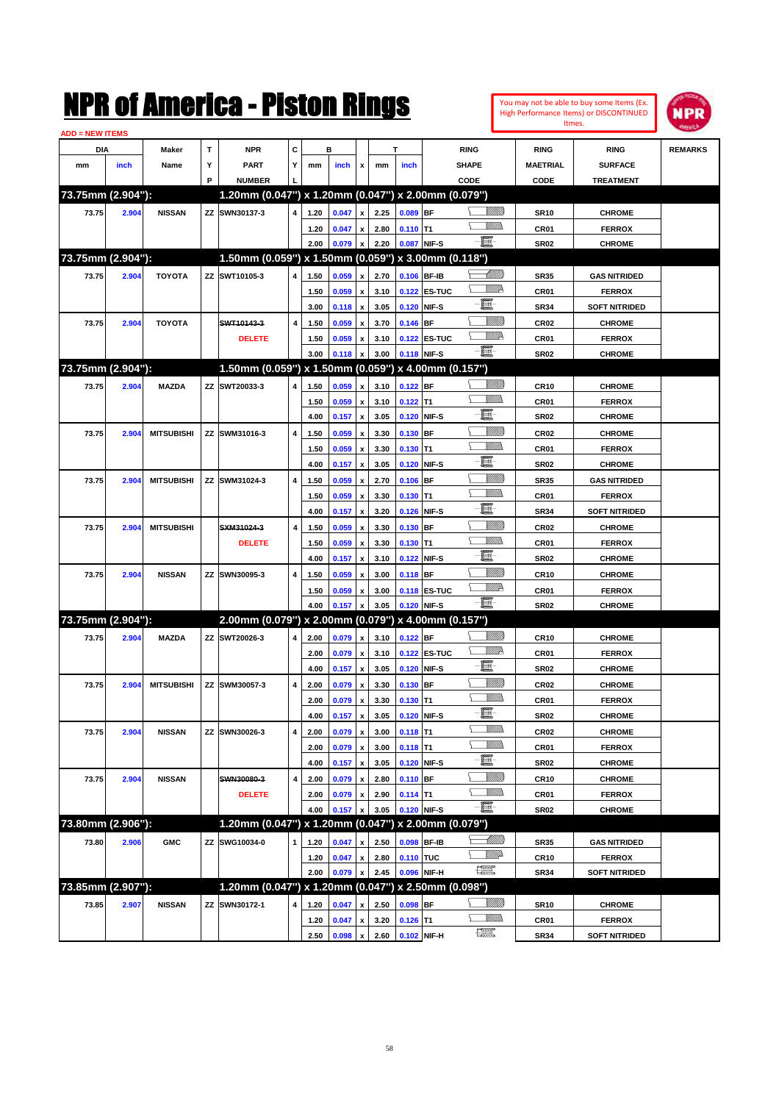|                               |       |                   |             | NMK OI AINCrica - Miston Kings                      |   |      |         |                           |      |             |              |                         |                 |                  | You may not be able to buy some Items (Ex.<br>High Performance Items) or DISCONTINUED<br>Itmes. | <b>NPR</b>     |
|-------------------------------|-------|-------------------|-------------|-----------------------------------------------------|---|------|---------|---------------------------|------|-------------|--------------|-------------------------|-----------------|------------------|-------------------------------------------------------------------------------------------------|----------------|
| <b>ADD = NEW ITEMS</b><br>DIA |       | Maker             | $\mathbf T$ | <b>NPR</b>                                          | C |      | в       |                           |      | т           |              | <b>RING</b>             |                 | <b>RING</b>      | <b>RING</b>                                                                                     | <b>REMARKS</b> |
| mm                            | inch  | Name              | Υ           | <b>PART</b>                                         | Υ | mm   | inch    | x                         | mm   | inch        |              | SHAPE                   |                 | <b>MAETRIAL</b>  | <b>SURFACE</b>                                                                                  |                |
|                               |       |                   | P           | <b>NUMBER</b>                                       |   |      |         |                           |      |             |              | CODE                    |                 | CODE             | <b>TREATMENT</b>                                                                                |                |
| 73.75mm (2.904"):             |       |                   |             | 1.20mm (0.047") x 1.20mm (0.047") x 2.00mm (0.079") |   |      |         |                           |      |             |              |                         |                 |                  |                                                                                                 |                |
| 73.75                         | 2.904 | <b>NISSAN</b>     |             | ZZ SWN30137-3                                       | 4 | 1.20 | 0.047   | $\pmb{\mathsf{x}}$        | 2.25 | 0.089 BF    |              |                         | <u>Millitti</u> | <b>SR10</b>      | <b>CHROME</b>                                                                                   |                |
|                               |       |                   |             |                                                     |   | 1.20 | 0.047   | x                         | 2.80 | $0.110$ T1  |              |                         | .<br>VMD        | CR01             | <b>FERROX</b>                                                                                   |                |
|                               |       |                   |             |                                                     |   | 2.00 | 0.079   | $\pmb{\mathsf{x}}$        | 2.20 |             | 0.087 NIF-S  | e.                      |                 | <b>SR02</b>      | <b>CHROME</b>                                                                                   |                |
| 73.75mm (2.904"):             |       |                   |             | 1.50mm (0.059") x 1.50mm (0.059") x 3.00mm (0.118") |   |      |         |                           |      |             |              |                         |                 |                  |                                                                                                 |                |
| 73.75                         | 2.904 | <b>TOYOTA</b>     |             | ZZ SWT10105-3                                       | 4 | 1.50 | 0.059   | $\pmb{\mathsf{x}}$        | 2.70 |             | 0.106 BF-IB  |                         | <u> UMM</u>     | <b>SR35</b>      | <b>GAS NITRIDED</b>                                                                             |                |
|                               |       |                   |             |                                                     |   | 1.50 | 0.059   | $\pmb{\mathsf{x}}$        | 3.10 |             | 0.122 ES-TUC |                         | <u>MMP</u>      | CR01             | <b>FERROX</b>                                                                                   |                |
|                               |       |                   |             |                                                     |   | 3.00 | 0.118   | $\pmb{\mathsf{x}}$        | 3.05 |             | 0.120 NIF-S  | E                       |                 | <b>SR34</b>      | <b>SOFT NITRIDED</b>                                                                            |                |
| 73.75                         | 2.904 | <b>TOYOTA</b>     |             | SWT10143-3                                          | 4 | 1.50 | 0.059   | $\pmb{\mathsf{x}}$        | 3.70 | $0.146$ BF  |              |                         | <u>MMW</u>      | CR <sub>02</sub> | <b>CHROME</b>                                                                                   |                |
|                               |       |                   |             | <b>DELETE</b>                                       |   | 1.50 | 0.059   | $\pmb{\mathsf{x}}$        | 3.10 |             | 0.122 ES-TUC |                         | <u>MM</u>       | CR01             | <b>FERROX</b>                                                                                   |                |
|                               |       |                   |             |                                                     |   | 3.00 | 0.118   | $\boldsymbol{\mathsf{x}}$ | 3.00 |             | 0.118 NIF-S  | ei-                     |                 | <b>SR02</b>      | <b>CHROME</b>                                                                                   |                |
| 73.75mm (2.904"):             |       |                   |             | 1.50mm (0.059") x 1.50mm (0.059") x 4.00mm (0.157") |   |      |         |                           |      |             |              |                         |                 |                  |                                                                                                 |                |
| 73.75                         | 2.904 | <b>MAZDA</b>      |             | ZZ SWT20033-3                                       | 4 | 1.50 | 0.059   | $\pmb{\mathsf{x}}$        | 3.10 | 0.122 BF    |              |                         | <u>Millitti</u> | <b>CR10</b>      | <b>CHROME</b>                                                                                   |                |
|                               |       |                   |             |                                                     |   | 1.50 | 0.059   | $\pmb{\mathsf{x}}$        | 3.10 | $0.122$ T1  |              |                         | MM)             | CR01             | <b>FERROX</b>                                                                                   |                |
|                               |       |                   |             |                                                     |   | 4.00 | 0.157   | $\pmb{\mathsf{x}}$        | 3.05 |             | 0.120 NIF-S  | E.                      |                 | <b>SR02</b>      | <b>CHROME</b>                                                                                   |                |
| 73.75                         | 2.904 | <b>MITSUBISHI</b> |             | ZZ SWM31016-3                                       | 4 | 1.50 | 0.059   | $\pmb{\mathsf{x}}$        | 3.30 | 0.130 BF    |              |                         | <u>Millil</u>   | CR <sub>02</sub> | <b>CHROME</b>                                                                                   |                |
|                               |       |                   |             |                                                     |   | 1.50 | 0.059   | $\pmb{\mathsf{x}}$        | 3.30 | $0.130$ T1  |              |                         | .<br>VMD        | CR01             | <b>FERROX</b>                                                                                   |                |
|                               |       |                   |             |                                                     |   | 4.00 | 0.157   | $\boldsymbol{\mathsf{x}}$ | 3.05 |             | 0.120 NIF-S  | E.                      |                 | <b>SR02</b>      | <b>CHROME</b>                                                                                   |                |
| 73.75                         | 2.904 | <b>MITSUBISHI</b> |             | ZZ SWM31024-3                                       | 4 | 1.50 | 0.059   | $\pmb{\mathsf{x}}$        | 2.70 | $0.106$ BF  |              |                         | <u>MMM</u>      | <b>SR35</b>      | <b>GAS NITRIDED</b>                                                                             |                |
|                               |       |                   |             |                                                     |   | 1.50 | 0.059   | $\pmb{\mathsf{x}}$        | 3.30 | $0.130$ T1  |              |                         | .<br>VMD        | CR01             | <b>FERROX</b>                                                                                   |                |
|                               |       |                   |             |                                                     |   | 4.00 | 0.157   | $\pmb{\mathsf{x}}$        | 3.20 |             | 0.126 NIF-S  | E-                      |                 | <b>SR34</b>      | <b>SOFT NITRIDED</b>                                                                            |                |
| 73.75                         | 2.904 | <b>MITSUBISHI</b> |             | SXM31024-3                                          | 4 | 1.50 | 0.059   | $\pmb{\mathsf{x}}$        | 3.30 | $0.130$ BF  |              |                         | <u>Millil</u>   | CR <sub>02</sub> | <b>CHROME</b>                                                                                   |                |
|                               |       |                   |             | <b>DELETE</b>                                       |   | 1.50 | 0.059   | $\pmb{\mathsf{x}}$        | 3.30 | $0.130$ T1  |              |                         | MM)             | CR01             | <b>FERROX</b>                                                                                   |                |
|                               |       |                   |             |                                                     |   | 4.00 | 0.157   | $\boldsymbol{\mathsf{x}}$ | 3.10 |             | 0.122 NIF-S  | E.                      |                 | <b>SR02</b>      | <b>CHROME</b>                                                                                   |                |
| 73.75                         | 2.904 | <b>NISSAN</b>     |             | ZZ SWN30095-3                                       | 4 | 1.50 | 0.059   | $\pmb{\mathsf{x}}$        | 3.00 | $0.118$ BF  |              |                         | <u>VMM)</u>     | <b>CR10</b>      | <b>CHROME</b>                                                                                   |                |
|                               |       |                   |             |                                                     |   | 1.50 | 0.059   | $\pmb{\mathsf{x}}$        | 3.00 |             | 0.118 ES-TUC |                         | <u>MM</u>       | CR01             | <b>FERROX</b>                                                                                   |                |
|                               |       |                   |             |                                                     |   | 4.00 | 0.157   | $\pmb{\mathsf{x}}$        | 3.05 |             | 0.120 NIF-S  | E.                      |                 | <b>SR02</b>      | <b>CHROME</b>                                                                                   |                |
| 73.75mm (2.904"):             |       |                   |             | 2.00mm (0.079") x 2.00mm (0.079") x 4.00mm (0.157") |   |      |         |                           |      |             |              |                         |                 |                  |                                                                                                 |                |
| 73.75                         | 2.904 | <b>MAZDA</b>      |             | ZZ SWT20026-3                                       | 4 | 2.00 | 0.079   | $\pmb{\mathsf{x}}$        | 3.10 | 0.122 BF    |              |                         | <u>Millitti</u> | <b>CR10</b>      | <b>CHROME</b>                                                                                   |                |
|                               |       |                   |             |                                                     |   | 2.00 | 0.079   | $\pmb{\mathsf{x}}$        | 3.10 |             | 0.122 ES-TUC |                         | <u>MM</u>       | CR01             | <b>FERROX</b>                                                                                   |                |
|                               |       |                   |             |                                                     |   | 4.00 | 0.157   | $\pmb{\chi}$              | 3.05 |             | 0.120 NIF-S  | E                       |                 | <b>SR02</b>      | <b>CHROME</b>                                                                                   |                |
| 73.75                         | 2.904 | <b>MITSUBISHI</b> |             | ZZ SWM30057-3                                       | 4 | 2.00 | 0.079 x |                           | 3.30 | $0.130$ BF  |              |                         | VIIII)          | CR <sub>02</sub> | <b>CHROME</b>                                                                                   |                |
|                               |       |                   |             |                                                     |   | 2.00 | 0.079   | $\pmb{\mathsf{x}}$        | 3.30 | $0.130$ T1  |              | Y                       | <u>MMD</u>      | CR01             | <b>FERROX</b>                                                                                   |                |
|                               |       |                   |             |                                                     |   | 4.00 | 0.157   | $\pmb{\mathsf{x}}$        | 3.05 |             | 0.120 NIF-S  | e.                      |                 | <b>SR02</b>      | <b>CHROME</b>                                                                                   |                |
| 73.75                         | 2.904 | <b>NISSAN</b>     |             | ZZ SWN30026-3                                       | 4 | 2.00 | 0.079   | $\pmb{\mathsf{x}}$        | 3.00 | $0.118$ T1  |              |                         | <u>MMD</u>      | CR02             | <b>CHROME</b>                                                                                   |                |
|                               |       |                   |             |                                                     |   | 2.00 | 0.079   | $\pmb{\mathsf{x}}$        | 3.00 | $0.118$ T1  |              |                         | <u>Willib</u>   | CR01             | <b>FERROX</b>                                                                                   |                |
|                               |       |                   |             |                                                     |   | 4.00 | 0.157   | $\pmb{\mathsf{x}}$        | 3.05 |             | 0.120 NIF-S  | e-                      |                 | SR02             | <b>CHROME</b>                                                                                   |                |
| 73.75                         | 2.904 | <b>NISSAN</b>     |             | SWN30080-3                                          | 4 | 2.00 | 0.079   | $\pmb{\mathsf{x}}$        | 2.80 | $0.110$ BF  |              |                         | <u>VIIII)</u>   | CR <sub>10</sub> | <b>CHROME</b>                                                                                   |                |
|                               |       |                   |             | <b>DELETE</b>                                       |   | 2.00 | 0.079   | $\pmb{\mathsf{x}}$        | 2.90 | $0.114$ T1  |              |                         | <u>VMM)</u>     | CR01             | <b>FERROX</b>                                                                                   |                |
|                               |       |                   |             |                                                     |   | 4.00 | 0.157   | x                         | 3.05 |             | 0.120 NIF-S  | 買                       |                 | <b>SR02</b>      | <b>CHROME</b>                                                                                   |                |
| 73.80mm (2.906"):             |       |                   |             | 1.20mm (0.047") x 1.20mm (0.047") x 2.00mm (0.079") |   |      |         |                           |      |             |              |                         |                 |                  |                                                                                                 |                |
| 73.80                         | 2.906 | <b>GMC</b>        |             | ZZ SWG10034-0                                       | 1 | 1.20 | 0.047   | x                         | 2.50 |             | 0.098 BF-IB  |                         |                 | <b>SR35</b>      | <b>GAS NITRIDED</b>                                                                             |                |
|                               |       |                   |             |                                                     |   | 1.20 | 0.047   | $\pmb{\mathsf{x}}$        | 2.80 | 0.110 TUC   |              |                         | <u>Willi</u> da | <b>CR10</b>      | <b>FERROX</b>                                                                                   |                |
|                               |       |                   |             |                                                     |   | 2.00 | 0.079   | $\pmb{\mathsf{x}}$        | 2.45 |             | 0.096 NIF-H  | $f_{\rm max}^{\rm exp}$ |                 | <b>SR34</b>      | <b>SOFT NITRIDED</b>                                                                            |                |
| 73.85mm (2.907"):             |       |                   |             | 1.20mm (0.047") x 1.20mm (0.047") x 2.50mm (0.098") |   |      |         |                           |      |             |              |                         |                 |                  |                                                                                                 |                |
| 73.85                         | 2.907 | <b>NISSAN</b>     | ΖZ          | SWN30172-1                                          | 4 | 1.20 | 0.047   | x                         | 2.50 | 0.098 BF    |              |                         | <u>UMB</u>      | <b>SR10</b>      | <b>CHROME</b>                                                                                   |                |
|                               |       |                   |             |                                                     |   | 1.20 | 0.047   | $\pmb{\mathsf{x}}$        | 3.20 | $0.126$ T1  |              |                         | <u>WMW</u>      | CR01             | <b>FERROX</b>                                                                                   |                |
|                               |       |                   |             |                                                     |   | 2.50 | 0.098   | $\mathbf{x}$              | 2.60 | 0.102 NIF-H |              | R                       |                 | <b>SR34</b>      | <b>SOFT NITRIDED</b>                                                                            |                |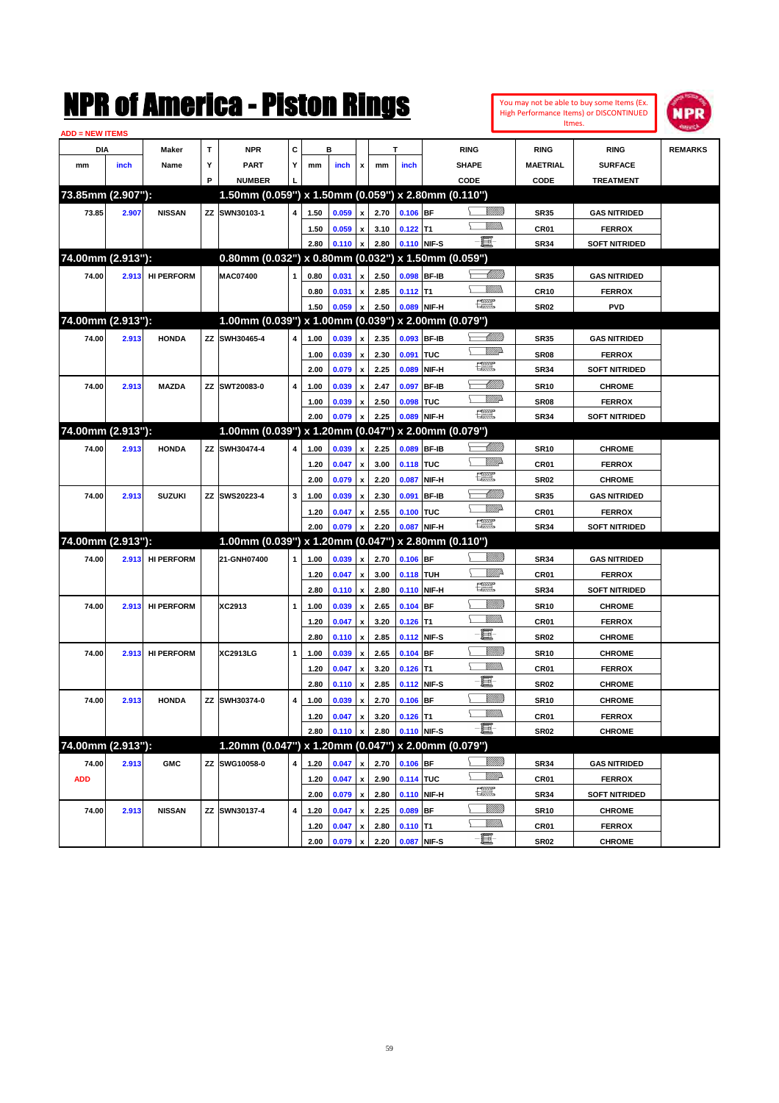|                               |       |                   |   | NMK OI AMCMICA - MISTON KINGS                       |   |      |                |                           |      |             |              |                                                                                                                                                                                                                                                                                                                                                                                             |                 |                  | You may not be able to buy some Items (Ex.<br>High Performance Items) or DISCONTINUED<br>Itmes. | IPR            |
|-------------------------------|-------|-------------------|---|-----------------------------------------------------|---|------|----------------|---------------------------|------|-------------|--------------|---------------------------------------------------------------------------------------------------------------------------------------------------------------------------------------------------------------------------------------------------------------------------------------------------------------------------------------------------------------------------------------------|-----------------|------------------|-------------------------------------------------------------------------------------------------|----------------|
| <b>ADD = NEW ITEMS</b><br>DIA |       | Maker             | T | <b>NPR</b>                                          | C |      | в              |                           |      | T           |              | <b>RING</b>                                                                                                                                                                                                                                                                                                                                                                                 |                 | <b>RING</b>      | <b>RING</b>                                                                                     | <b>REMARKS</b> |
|                               | inch  |                   | Υ | <b>PART</b>                                         | Υ |      |                |                           |      |             |              | <b>SHAPE</b>                                                                                                                                                                                                                                                                                                                                                                                |                 | <b>MAETRIAL</b>  | <b>SURFACE</b>                                                                                  |                |
| mm                            |       | Name              | P | <b>NUMBER</b>                                       |   | mm   | inch           | x                         | mm   | inch        |              | CODE                                                                                                                                                                                                                                                                                                                                                                                        |                 | CODE             | <b>TREATMENT</b>                                                                                |                |
| 73.85mm (2.907"):             |       |                   |   | 1.50mm (0.059") x 1.50mm (0.059") x 2.80mm (0.110") |   |      |                |                           |      |             |              |                                                                                                                                                                                                                                                                                                                                                                                             |                 |                  |                                                                                                 |                |
|                               |       |                   |   |                                                     |   |      |                |                           |      |             |              |                                                                                                                                                                                                                                                                                                                                                                                             |                 |                  |                                                                                                 |                |
| 73.85                         | 2.907 | <b>NISSAN</b>     |   | ZZ SWN30103-1                                       | 4 | 1.50 | 0.059          | $\pmb{\mathsf{x}}$        | 2.70 | $0.106$ BF  |              |                                                                                                                                                                                                                                                                                                                                                                                             | <br>Militar     | <b>SR35</b>      | <b>GAS NITRIDED</b>                                                                             |                |
|                               |       |                   |   |                                                     |   | 1.50 | 0.059          | $\pmb{\mathsf{x}}$        | 3.10 | $0.122$ T1  |              | e.                                                                                                                                                                                                                                                                                                                                                                                          |                 | CR <sub>01</sub> | <b>FERROX</b>                                                                                   |                |
|                               |       |                   |   |                                                     |   | 2.80 | 0.110          | $\boldsymbol{\mathsf{x}}$ | 2.80 | 0.110 NIF-S |              |                                                                                                                                                                                                                                                                                                                                                                                             |                 | <b>SR34</b>      | <b>SOFT NITRIDED</b>                                                                            |                |
| 74.00mm (2.913"):             |       |                   |   | 0.80mm (0.032") x 0.80mm (0.032") x 1.50mm (0.059") |   |      |                |                           |      |             |              |                                                                                                                                                                                                                                                                                                                                                                                             |                 |                  |                                                                                                 |                |
| 74.00                         | 2.913 | <b>HI PERFORM</b> |   | <b>MAC07400</b>                                     |   | 0.80 | 0.031          | $\pmb{\mathsf{x}}$        | 2.50 | 0.098 BF-IB |              |                                                                                                                                                                                                                                                                                                                                                                                             | <u> Millitt</u> | <b>SR35</b>      | <b>GAS NITRIDED</b>                                                                             |                |
|                               |       |                   |   |                                                     |   | 0.80 | 0.031          | $\pmb{\mathsf{x}}$        | 2.85 | $0.112$ T1  |              |                                                                                                                                                                                                                                                                                                                                                                                             | VMM)            | <b>CR10</b>      | <b>FERROX</b>                                                                                   |                |
|                               |       |                   |   |                                                     |   | 1.50 | 0.059          | $\pmb{\mathsf{x}}$        | 2.50 | 0.089 NIF-H |              | $f_{\text{max}}^{\text{comp}}$                                                                                                                                                                                                                                                                                                                                                              |                 | <b>SR02</b>      | <b>PVD</b>                                                                                      |                |
| 74.00mm (2.913"):             |       |                   |   | 1.00mm (0.039") x 1.00mm (0.039") x 2.00mm (0.079") |   |      |                |                           |      |             |              |                                                                                                                                                                                                                                                                                                                                                                                             |                 |                  |                                                                                                 |                |
| 74.00                         | 2.913 | <b>HONDA</b>      |   | ZZ SWH30465-4                                       | 4 | 1.00 | 0.039          | $\pmb{\mathsf{x}}$        | 2.35 | 0.093 BF-IB |              |                                                                                                                                                                                                                                                                                                                                                                                             | <u> UMM</u>     | <b>SR35</b>      | <b>GAS NITRIDED</b>                                                                             |                |
|                               |       |                   |   |                                                     |   | 1.00 | 0.039          | $\pmb{\mathsf{x}}$        | 2.30 | 0.091       | TUC          |                                                                                                                                                                                                                                                                                                                                                                                             | <u>MWA</u>      | <b>SR08</b>      | <b>FERROX</b>                                                                                   |                |
|                               |       |                   |   |                                                     |   | 2.00 | 0.079          | $\boldsymbol{\mathsf{x}}$ | 2.25 | 0.089       | NIF-H        | $f_{\text{max}}^{\text{comp}}$                                                                                                                                                                                                                                                                                                                                                              |                 | <b>SR34</b>      | <b>SOFT NITRIDED</b>                                                                            |                |
| 74.00                         | 2.913 | <b>MAZDA</b>      |   | ZZ SWT20083-0                                       | 4 | 1.00 | 0.039          | $\pmb{\mathsf{x}}$        | 2.47 | 0.097 BF-IB |              |                                                                                                                                                                                                                                                                                                                                                                                             | Willib          | <b>SR10</b>      | <b>CHROME</b>                                                                                   |                |
|                               |       |                   |   |                                                     |   | 1.00 | 0.039          | $\pmb{\mathsf{x}}$        | 2.50 | 0.098       | TUC          |                                                                                                                                                                                                                                                                                                                                                                                             | <u>Willia</u>   | SR <sub>08</sub> | <b>FERROX</b>                                                                                   |                |
|                               |       |                   |   |                                                     |   | 2.00 | 0.079          | $\boldsymbol{\mathsf{x}}$ | 2.25 | 0.089 NIF-H |              | $\begin{picture}(20,20) \put(0,0){\dashbox{0.5}(20,0){ }} \put(15,0){\circle{10}} \put(25,0){\circle{10}} \put(25,0){\circle{10}} \put(25,0){\circle{10}} \put(25,0){\circle{10}} \put(25,0){\circle{10}} \put(25,0){\circle{10}} \put(25,0){\circle{10}} \put(25,0){\circle{10}} \put(25,0){\circle{10}} \put(25,0){\circle{10}} \put(25,0){\circle{10}} \put(25,0){\circle{10}} \put(25,$ |                 | <b>SR34</b>      | <b>SOFT NITRIDED</b>                                                                            |                |
| 74.00mm (2.913"):             |       |                   |   | 1.00mm (0.039") x 1.20mm (0.047")                   |   |      |                |                           |      |             |              | x 2.00mm (0.079")                                                                                                                                                                                                                                                                                                                                                                           |                 |                  |                                                                                                 |                |
| 74.00                         | 2.913 | <b>HONDA</b>      |   | ZZ SWH30474-4                                       | 4 | 1.00 | 0.039          | $\pmb{\mathsf{x}}$        | 2.25 | 0.089 BF-IB |              |                                                                                                                                                                                                                                                                                                                                                                                             | <u> UMM</u>     | <b>SR10</b>      | <b>CHROME</b>                                                                                   |                |
|                               |       |                   |   |                                                     |   | 1.20 | 0.047          | $\pmb{\mathsf{x}}$        | 3.00 | 0.118 TUC   |              |                                                                                                                                                                                                                                                                                                                                                                                             | WMD-            | CR01             | <b>FERROX</b>                                                                                   |                |
|                               |       |                   |   |                                                     |   | 2.00 | 0.079          | $\boldsymbol{\mathsf{x}}$ | 2.20 | 0.087       | NIF-H        | $\begin{picture}(20,20) \put(0,0){\dashbox{0.5}(20,0){ }} \put(15,0){\circle{10}} \put(25,0){\circle{10}} \put(25,0){\circle{10}} \put(25,0){\circle{10}} \put(25,0){\circle{10}} \put(25,0){\circle{10}} \put(25,0){\circle{10}} \put(25,0){\circle{10}} \put(25,0){\circle{10}} \put(25,0){\circle{10}} \put(25,0){\circle{10}} \put(25,0){\circle{10}} \put(25,0){\circle{10}} \put(25,$ |                 | <b>SR02</b>      | <b>CHROME</b>                                                                                   |                |
| 74.00                         | 2.913 | <b>SUZUKI</b>     |   | ZZ SWS20223-4                                       | 3 | 1.00 | 0.039          | $\pmb{\mathsf{x}}$        | 2.30 | 0.091       | <b>BF-IB</b> |                                                                                                                                                                                                                                                                                                                                                                                             | <u> UMM</u>     | <b>SR35</b>      | <b>GAS NITRIDED</b>                                                                             |                |
|                               |       |                   |   |                                                     |   | 1.20 | 0.047          | $\pmb{\mathsf{x}}$        | 2.55 | 0.100 TUC   |              |                                                                                                                                                                                                                                                                                                                                                                                             | <u>MWA</u>      | CR01             | <b>FERROX</b>                                                                                   |                |
|                               |       |                   |   |                                                     |   | 2.00 | 0.079          | x                         | 2.20 | 0.087 NIF-H |              | $\begin{picture}(20,20) \put(0,0){\line(1,0){10}} \put(15,0){\line(1,0){10}} \put(15,0){\line(1,0){10}} \put(15,0){\line(1,0){10}} \put(15,0){\line(1,0){10}} \put(15,0){\line(1,0){10}} \put(15,0){\line(1,0){10}} \put(15,0){\line(1,0){10}} \put(15,0){\line(1,0){10}} \put(15,0){\line(1,0){10}} \put(15,0){\line(1,0){10}} \put(15,0){\line(1$                                         |                 | <b>SR34</b>      | <b>SOFT NITRIDED</b>                                                                            |                |
| 74.00mm (2.913"):             |       |                   |   | 1.00mm (0.039") x 1.20mm (0.047") x 2.80mm (0.110") |   |      |                |                           |      |             |              |                                                                                                                                                                                                                                                                                                                                                                                             |                 |                  |                                                                                                 |                |
| 74.00                         |       | <b>HI PERFORM</b> |   | 21-GNH07400                                         |   |      |                | $\pmb{\mathsf{x}}$        | 2.70 |             |              |                                                                                                                                                                                                                                                                                                                                                                                             | <u>Millitti</u> |                  | <b>GAS NITRIDED</b>                                                                             |                |
|                               | 2.913 |                   |   |                                                     | 1 | 1.00 | 0.039          |                           |      | $0.106$ BF  |              |                                                                                                                                                                                                                                                                                                                                                                                             | ₩₩              | <b>SR34</b>      |                                                                                                 |                |
|                               |       |                   |   |                                                     |   | 1.20 | 0.047          | $\pmb{\mathsf{x}}$        | 3.00 | 0.118 TUH   |              | <b>The Second Second</b>                                                                                                                                                                                                                                                                                                                                                                    |                 | CR <sub>01</sub> | <b>FERROX</b>                                                                                   |                |
|                               |       |                   |   |                                                     |   | 2.80 | 0.110          | $\boldsymbol{\mathsf{x}}$ | 2.80 | 0.110 NIF-H |              |                                                                                                                                                                                                                                                                                                                                                                                             | <u>Millil</u>   | <b>SR34</b>      | <b>SOFT NITRIDED</b>                                                                            |                |
| 74.00                         | 2.913 | <b>HI PERFORM</b> |   | XC2913                                              | 1 | 1.00 | 0.039          | $\pmb{\mathsf{x}}$        | 2.65 | $0.104$ BF  |              |                                                                                                                                                                                                                                                                                                                                                                                             | 977777.         | <b>SR10</b>      | <b>CHROME</b>                                                                                   |                |
|                               |       |                   |   |                                                     |   | 1.20 | 0.047          | $\pmb{\mathsf{x}}$        | 3.20 | $0.126$ T1  |              | E                                                                                                                                                                                                                                                                                                                                                                                           |                 | CR01             | <b>FERROX</b>                                                                                   |                |
|                               |       |                   |   |                                                     |   | 2.80 | 0.110          | $\boldsymbol{\mathsf{x}}$ | 2.85 | 0.112 NIF-S |              |                                                                                                                                                                                                                                                                                                                                                                                             |                 | <b>SR02</b>      | <b>CHROME</b>                                                                                   |                |
| 74.00                         | 2.913 | <b>HI PERFORM</b> |   | <b>XC2913LG</b>                                     | 1 | 1.00 | 0.039          | $\pmb{\mathsf{x}}$        | 2.65 | $0.104$ BF  |              |                                                                                                                                                                                                                                                                                                                                                                                             | <u>VMM)</u>     | <b>SR10</b>      | <b>CHROME</b>                                                                                   |                |
|                               |       |                   |   |                                                     |   | 1.20 | 0.047          | $\pmb{\mathsf{x}}$        | 3.20 | $0.126$ T1  |              |                                                                                                                                                                                                                                                                                                                                                                                             | VMM)            | CR01             | <b>FERROX</b>                                                                                   |                |
|                               |       |                   |   |                                                     |   | 2.80 | $0.110 \times$ |                           | 2.85 | 0.112 NIF-S |              | e.                                                                                                                                                                                                                                                                                                                                                                                          |                 | <b>SR02</b>      | <b>CHROME</b>                                                                                   |                |
| 74.00                         | 2.913 | <b>HONDA</b>      |   | ZZ SWH30374-0                                       | 4 | 1.00 | 0.039          | $\pmb{\mathsf{x}}$        | 2.70 | $0.106$ BF  |              |                                                                                                                                                                                                                                                                                                                                                                                             | <u>VIIII</u> )  | <b>SR10</b>      | <b>CHROME</b>                                                                                   |                |
|                               |       |                   |   |                                                     |   | 1.20 | 0.047          | $\pmb{\mathsf{x}}$        | 3.20 | $0.126$ T1  |              |                                                                                                                                                                                                                                                                                                                                                                                             | <u>MM)</u>      | CR01             | <b>FERROX</b>                                                                                   |                |
|                               |       |                   |   |                                                     |   | 2.80 | 0.110          | $\boldsymbol{\mathsf{x}}$ | 2.80 | 0.110 NIF-S |              | e.                                                                                                                                                                                                                                                                                                                                                                                          |                 | SR02             | <b>CHROME</b>                                                                                   |                |
| 74.00mm (2.913"):             |       |                   |   | 1.20mm (0.047") x 1.20mm (0.047") x 2.00mm (0.079") |   |      |                |                           |      |             |              |                                                                                                                                                                                                                                                                                                                                                                                             |                 |                  |                                                                                                 |                |
| 74.00                         | 2.913 | <b>GMC</b>        |   | ZZ SWG10058-0                                       | 4 | 1.20 | 0.047          | $\pmb{\mathsf{x}}$        | 2.70 | $0.106$ BF  |              |                                                                                                                                                                                                                                                                                                                                                                                             | <u>Milli</u> b  | SR34             | <b>GAS NITRIDED</b>                                                                             |                |
| <b>ADD</b>                    |       |                   |   |                                                     |   | 1.20 | 0.047          | $\pmb{\mathsf{x}}$        | 2.90 | 0.114 TUC   |              |                                                                                                                                                                                                                                                                                                                                                                                             | ₩₩              | CR01             | <b>FERROX</b>                                                                                   |                |
|                               |       |                   |   |                                                     |   | 2.00 | 0.079          | $\pmb{\mathsf{x}}$        | 2.80 | 0.110 NIF-H |              | H                                                                                                                                                                                                                                                                                                                                                                                           |                 | SR34             | <b>SOFT NITRIDED</b>                                                                            |                |
| 74.00                         | 2.913 | <b>NISSAN</b>     |   | ZZ SWN30137-4                                       | 4 | 1.20 | 0.047          | $\pmb{\mathsf{x}}$        | 2.25 | $0.089$ BF  |              |                                                                                                                                                                                                                                                                                                                                                                                             | <u>VIIII</u> )  | <b>SR10</b>      | <b>CHROME</b>                                                                                   |                |
|                               |       |                   |   |                                                     |   | 1.20 | 0.047          | $\pmb{\mathsf{x}}$        | 2.80 | $0.110$ T1  |              |                                                                                                                                                                                                                                                                                                                                                                                             | <u>Willibs</u>  | CR01             | <b>FERROX</b>                                                                                   |                |
|                               |       |                   |   |                                                     |   | 2.00 | 0.079          | $\mathbf{x}$              | 2.20 | 0.087 NIF-S |              | e.                                                                                                                                                                                                                                                                                                                                                                                          |                 | <b>SR02</b>      | <b>CHROME</b>                                                                                   |                |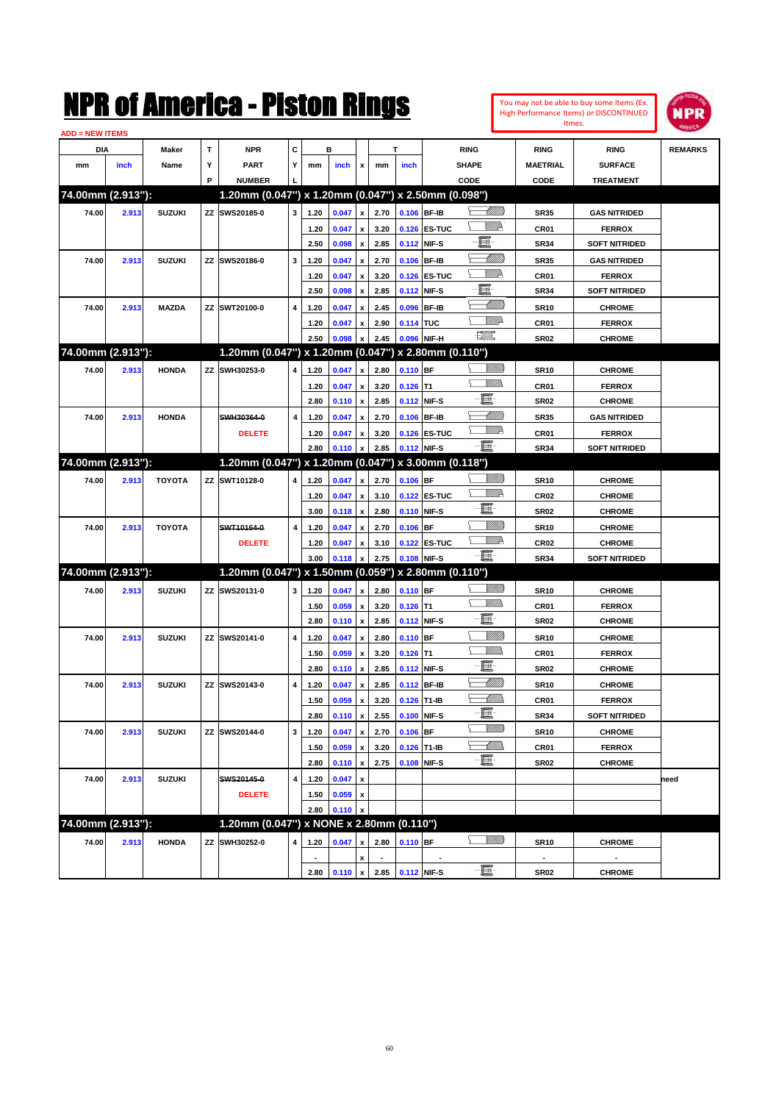| You may not be able to buy some Items (Ex. |
|--------------------------------------------|
| High Performance Items) or DISCONTINUED    |
| Itmes.                                     |



| <b>ADD = NEW ITEMS</b> |       |               |    |                                                     |   |                |       |                           |                     |             |              |                     |                 |                      |                |
|------------------------|-------|---------------|----|-----------------------------------------------------|---|----------------|-------|---------------------------|---------------------|-------------|--------------|---------------------|-----------------|----------------------|----------------|
| DIA                    |       | <b>Maker</b>  | T  | <b>NPR</b>                                          | C |                | в     |                           |                     | T           |              | <b>RING</b>         | <b>RING</b>     | <b>RING</b>          | <b>REMARKS</b> |
| mm                     | inch  | Name          | Υ  | <b>PART</b>                                         | Y | mm             | inch  | x                         | mm                  | inch        |              | <b>SHAPE</b>        | <b>MAETRIAL</b> | <b>SURFACE</b>       |                |
|                        |       |               | P  | <b>NUMBER</b>                                       |   |                |       |                           |                     |             |              | CODE                | CODE            | <b>TREATMENT</b>     |                |
| 74.00mm (2.913"):      |       |               |    | 1.20mm (0.047") x 1.20mm (0.047") x 2.50mm (0.098") |   |                |       |                           |                     |             |              |                     |                 |                      |                |
| 74.00                  | 2.913 | <b>SUZUKI</b> |    | ZZ SWS20185-0                                       | 3 | 1.20           | 0.047 | $\pmb{\mathsf{x}}$        | 2.70                | 0.106 BF-IB |              | <u>UMB</u>          | <b>SR35</b>     | <b>GAS NITRIDED</b>  |                |
|                        |       |               |    |                                                     |   | 1.20           | 0.047 | x                         | 3.20                |             | 0.126 ES-TUC | <u>Willik</u>       | CR01            | <b>FERROX</b>        |                |
|                        |       |               |    |                                                     |   | 2.50           | 0.098 | $\pmb{\mathsf{x}}$        | 2.85                | 0.112       | NIF-S        | 圓                   | <b>SR34</b>     | <b>SOFT NITRIDED</b> |                |
| 74.00                  | 2.913 | <b>SUZUKI</b> | ZZ | SWS20186-0                                          | 3 | 1.20           | 0.047 | x                         | 2.70                | 0.106 BF-IB |              | <u>UMB</u>          | <b>SR35</b>     | <b>GAS NITRIDED</b>  |                |
|                        |       |               |    |                                                     |   | 1.20           | 0.047 | x                         | 3.20                |             | 0.126 ES-TUC | <u>Willik</u>       | CR01            | <b>FERROX</b>        |                |
|                        |       |               |    |                                                     |   | 2.50           | 0.098 | $\pmb{\mathsf{x}}$        | 2.85                | 0.112       | NIF-S        | E                   | <b>SR34</b>     | <b>SOFT NITRIDED</b> |                |
| 74.00                  | 2.913 | <b>MAZDA</b>  |    | ZZ SWT20100-0                                       | 4 | 1.20           | 0.047 | x                         | 2.45                | 0.096       | <b>BF-IB</b> | <u>UMM</u>          | <b>SR10</b>     | <b>CHROME</b>        |                |
|                        |       |               |    |                                                     |   | 1.20           | 0.047 |                           | 2.90                | 0.114 TUC   |              | WWA                 | CR01            | <b>FERROX</b>        |                |
|                        |       |               |    |                                                     |   |                | 0.098 | x                         | 2.45                | 0.096       | NIF-H        | <b>The Control</b>  |                 |                      |                |
| 74.00mm (2.913"):      |       |               |    | 1.20mm (0.047") x 1.20mm (0.047") x 2.80mm (0.110") |   | 2.50           |       | x                         |                     |             |              |                     | <b>SR02</b>     | <b>CHROME</b>        |                |
|                        |       |               |    |                                                     |   |                |       |                           |                     |             |              |                     |                 |                      |                |
| 74.00                  | 2.913 | <b>HONDA</b>  |    | ZZ SWH30253-0                                       | 4 | 1.20           | 0.047 | $\pmb{\mathsf{x}}$        | 2.80                | 0.110 BF    |              | <u> UMB</u><br>VM)) | <b>SR10</b>     | <b>CHROME</b>        |                |
|                        |       |               |    |                                                     |   | 1.20           | 0.047 | x                         | 3.20                | $0.126$ T1  |              | e                   | CR01            | <b>FERROX</b>        |                |
|                        |       |               |    |                                                     |   | 2.80           | 0.110 | $\pmb{\mathsf{x}}$        | 2.85                | 0.112       | NIF-S        |                     | <b>SR02</b>     | <b>CHROME</b>        |                |
| 74.00                  | 2.913 | <b>HONDA</b>  |    | SWH30364-0                                          | 4 | 1.20           | 0.047 | x                         | 2.70                | 0.106 BF-IB |              | <u> UMB</u>         | <b>SR35</b>     | <b>GAS NITRIDED</b>  |                |
|                        |       |               |    | <b>DELETE</b>                                       |   | 1.20           | 0.047 | $\boldsymbol{\mathsf{x}}$ | 3.20                |             | 0.126 ES-TUC | <u>VM</u> D         | CR01            | <b>FERROX</b>        |                |
|                        |       |               |    |                                                     |   | 2.80           | 0.110 | $\boldsymbol{x}$          | 2.85                | 0.112 NIF-S |              | -8                  | <b>SR34</b>     | <b>SOFT NITRIDED</b> |                |
| 74.00mm (2.913"):      |       |               |    | 1.20mm (0.047") x 1.20mm (0.047") x 3.00mm (0.118") |   |                |       |                           |                     |             |              |                     |                 |                      |                |
| 74.00                  | 2.913 | <b>TOYOTA</b> |    | ZZ SWT10128-0                                       | 4 | 1.20           | 0.047 | $\pmb{\mathsf{x}}$        | 2.70                | $0.106$ BF  |              |                     | <b>SR10</b>     | <b>CHROME</b>        |                |
|                        |       |               |    |                                                     |   | 1.20           | 0.047 | x                         | 3.10                |             | 0.122 ES-TUC | <u>M</u>            | <b>CR02</b>     | <b>CHROME</b>        |                |
|                        |       |               |    |                                                     |   | 3.00           | 0.118 | $\pmb{\mathsf{x}}$        | 2.80                | 0.110 NIF-S |              | e                   | <b>SR02</b>     | <b>CHROME</b>        |                |
| 74.00                  | 2.913 | <b>TOYOTA</b> |    | SWT10164-0                                          | 4 | 1.20           | 0.047 | x                         | 2.70                | $0.106$ BF  |              | VIIII)              | <b>SR10</b>     | <b>CHROME</b>        |                |
|                        |       |               |    | <b>DELETE</b>                                       |   | 1.20           | 0.047 | x                         | 3.10                |             | 0.122 ES-TUC | <u>VM</u> D         | <b>CR02</b>     | <b>CHROME</b>        |                |
|                        |       |               |    |                                                     |   | 3.00           | 0.118 | $\pmb{\mathsf{x}}$        | 2.75                | 0.108       | NIF-S        | -8                  | <b>SR34</b>     | <b>SOFT NITRIDED</b> |                |
| 74.00mm (2.913"):      |       |               |    | 1.20mm (0.047") x 1.50mm (0.059") x 2.80mm (0.110") |   |                |       |                           |                     |             |              |                     |                 |                      |                |
| 74.00                  | 2.913 | <b>SUZUKI</b> |    | ZZ SWS20131-0                                       | 3 | 1.20           | 0.047 | $\pmb{\mathsf{x}}$        | 2.80                | 0.110 BF    |              | <u>Sillilli</u>     | <b>SR10</b>     | <b>CHROME</b>        |                |
|                        |       |               |    |                                                     |   | 1.50           | 0.059 | x                         | 3.20                | $0.126$ T1  |              | VM))                | CR01            | <b>FERROX</b>        |                |
|                        |       |               |    |                                                     |   | 2.80           | 0.110 | $\boldsymbol{\mathsf{x}}$ | 2.85                | 0.112 NIF-S |              | e                   | <b>SR02</b>     | <b>CHROME</b>        |                |
| 74.00                  | 2.913 | <b>SUZUKI</b> | ΖZ | SWS20141-0                                          | 4 | 1.20           | 0.047 | x                         | 2.80                | 0.110 BF    |              | <u>VIIII)</u>       | <b>SR10</b>     | <b>CHROME</b>        |                |
|                        |       |               |    |                                                     |   | 1.50           | 0.059 | x                         | 3.20                | $0.126$ T1  |              | VM))                | CR01            | <b>FERROX</b>        |                |
|                        |       |               |    |                                                     |   | 2.80           | 0.110 | $\pmb{\mathsf{x}}$        | 2.85                | 0.112 NIF-S |              | e                   | <b>SR02</b>     | <b>CHROME</b>        |                |
| 74.00                  | 2.913 | <b>SUZUKI</b> | ΖZ | SWS20143-0                                          | 4 | 1.20           | 0.047 | x                         | 2.85                | 0.112 BF-IB |              | <u> UMM)</u>        | <b>SR10</b>     | <b>CHROME</b>        |                |
|                        |       |               |    |                                                     |   | 1.50           | 0.059 | х                         | 3.20                | 0.126 T1-IB |              | <u>UMM</u>          | CR01            | <b>FERROX</b>        |                |
|                        |       |               |    |                                                     |   | 2.80           | 0.110 | $\pmb{\mathsf{x}}$        | 2.55                | 0.100 NIF-S |              | E.                  | SR34            | <b>SOFT NITRIDED</b> |                |
| 74.00                  | 2.913 | <b>SUZUKI</b> | ΖZ | SWS20144-0                                          | 3 | 1.20           | 0.047 | $\pmb{\mathsf{x}}$        | 2.70                | $0.106$ BF  |              | <u>Willia</u>       | <b>SR10</b>     | <b>CHROME</b>        |                |
|                        |       |               |    |                                                     |   | 1.50           | 0.059 | $\pmb{\mathsf{x}}$        | 3.20                | 0.126 T1-IB |              | <u> UMB</u>         | CR01            | <b>FERROX</b>        |                |
|                        |       |               |    |                                                     |   | 2.80           |       | $\pmb{\mathsf{x}}$        | 2.75                | 0.108       | NIF-S        | -8                  |                 | <b>CHROME</b>        |                |
|                        |       |               |    |                                                     |   |                | 0.110 |                           |                     |             |              |                     | <b>SR02</b>     |                      |                |
| 74.00                  | 2.913 | <b>SUZUKI</b> |    | SWS20145-0                                          | 4 | 1.20           | 0.047 | $\pmb{\mathsf{x}}$        |                     |             |              |                     |                 |                      | need           |
|                        |       |               |    | <b>DELETE</b>                                       |   | 1.50           | 0.059 | x                         |                     |             |              |                     |                 |                      |                |
| 74.00mm (2.913"):      |       |               |    |                                                     |   | 2.80           | 0.110 | $\boldsymbol{\mathsf{x}}$ |                     |             |              |                     |                 |                      |                |
|                        |       |               |    | 1.20mm (0.047") x NONE x 2.80mm (0.110")            |   |                |       |                           |                     |             |              |                     |                 |                      |                |
| 74.00                  | 2.913 | <b>HONDA</b>  | ΖZ | SWH30252-0                                          | 4 | 1.20           | 0.047 | $\pmb{\mathsf{x}}$        | 2.80                | $0.110$ BF  |              | <u>Sillilli</u>     | <b>SR10</b>     | <b>CHROME</b>        |                |
|                        |       |               |    |                                                     |   | $\blacksquare$ |       | x                         |                     |             |              |                     | $\blacksquare$  |                      |                |
|                        |       |               |    |                                                     |   | 2.80           |       |                           | $0.110 \times 2.85$ | 0.112 NIF-S |              | -EI                 | <b>SR02</b>     | <b>CHROME</b>        |                |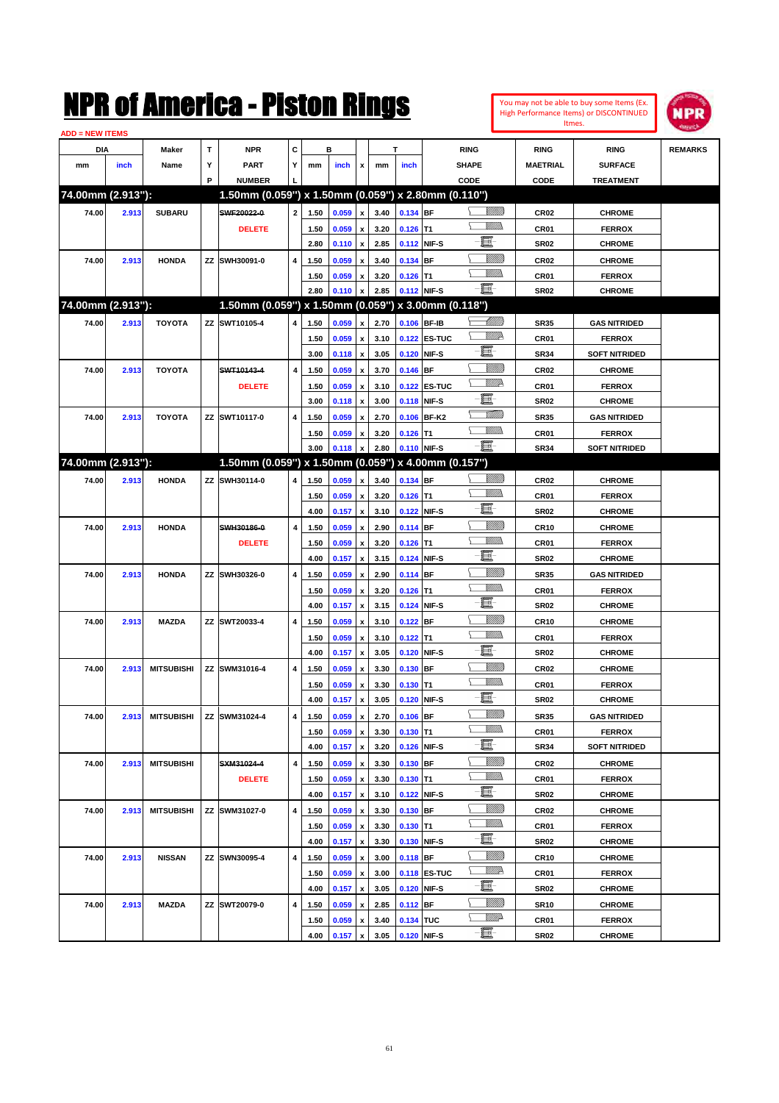

| <b>ADD = NEW ITEMS</b> |       |                   |   |                                                     |                         |      |       |                           |      |             |                     |                |                  |                      |                |
|------------------------|-------|-------------------|---|-----------------------------------------------------|-------------------------|------|-------|---------------------------|------|-------------|---------------------|----------------|------------------|----------------------|----------------|
| DIA                    |       | Maker             | T | <b>NPR</b>                                          | c                       |      | в     |                           |      | т           |                     | <b>RING</b>    | <b>RING</b>      | <b>RING</b>          | <b>REMARKS</b> |
| mm                     | inch  | Name              | Υ | <b>PART</b>                                         | Y                       | mm   | inch  | x                         | mm   | inch        |                     | <b>SHAPE</b>   | <b>MAETRIAL</b>  | <b>SURFACE</b>       |                |
|                        |       |                   | P | <b>NUMBER</b>                                       |                         |      |       |                           |      |             |                     | CODE           | CODE             | <b>TREATMENT</b>     |                |
| 74.00mm (2.913"):      |       |                   |   | 1.50mm (0.059") x 1.50mm (0.059") x 2.80mm (0.110") |                         |      |       |                           |      |             |                     |                |                  |                      |                |
| 74.00                  | 2.913 | <b>SUBARU</b>     |   | SWF20022-0                                          | $\mathbf{2}$            | 1.50 | 0.059 | $\boldsymbol{\mathsf{x}}$ | 3.40 | 0.134 BF    |                     | <u> UMB</u>    | <b>CR02</b>      | <b>CHROME</b>        |                |
|                        |       |                   |   | <b>DELETE</b>                                       |                         | 1.50 | 0.059 | $\pmb{\mathsf{x}}$        | 3.20 | $0.126$ T1  |                     |                | CR <sub>01</sub> | <b>FERROX</b>        |                |
|                        |       |                   |   |                                                     |                         | 2.80 | 0.110 | $\pmb{\mathsf{x}}$        | 2.85 |             | 0.112 NIF-S         | E              | <b>SR02</b>      | <b>CHROME</b>        |                |
| 74.00                  | 2.913 | <b>HONDA</b>      |   | ZZ SWH30091-0                                       | $\overline{\mathbf{4}}$ | 1.50 | 0.059 | $\pmb{\mathsf{x}}$        | 3.40 | 0.134 BF    |                     | VIIII          | <b>CR02</b>      | <b>CHROME</b>        |                |
|                        |       |                   |   |                                                     |                         | 1.50 | 0.059 | x                         | 3.20 | $0.126$ T1  |                     | .<br>VMD       | CR01             | <b>FERROX</b>        |                |
|                        |       |                   |   |                                                     |                         | 2.80 | 0.110 | $\pmb{\mathsf{x}}$        | 2.85 | 0.112 NIF-S |                     | $-\Xi$         | <b>SR02</b>      | <b>CHROME</b>        |                |
| 74.00mm (2.913"):      |       |                   |   | 1.50mm (0.059") x 1.50mm (0.059") x 3.00mm (0.118") |                         |      |       |                           |      |             |                     |                |                  |                      |                |
| 74.00                  | 2.913 | <b>TOYOTA</b>     |   | ZZ SWT10105-4                                       | 4                       | 1.50 | 0.059 | $\pmb{\mathsf{x}}$        | 2.70 |             | 0.106 BF-IB         | <u> UMB</u>    | <b>SR35</b>      | <b>GAS NITRIDED</b>  |                |
|                        |       |                   |   |                                                     |                         | 1.50 | 0.059 | $\pmb{\mathsf{x}}$        | 3.10 |             | 0.122 ES-TUC        | <u>W//R</u>    | CR01             | <b>FERROX</b>        |                |
|                        |       |                   |   |                                                     |                         | 3.00 | 0.118 | $\pmb{\mathsf{x}}$        | 3.05 | 0.120       | NIF-S               | E              | <b>SR34</b>      | <b>SOFT NITRIDED</b> |                |
| 74.00                  | 2.913 | <b>TOYOTA</b>     |   | SWT10143-4                                          | 4                       | 1.50 | 0.059 | $\pmb{\mathsf{x}}$        | 3.70 | 0.146 BF    |                     | <u>Millil</u>  | <b>CR02</b>      | <b>CHROME</b>        |                |
|                        |       |                   |   | <b>DELETE</b>                                       |                         | 1.50 | 0.059 | $\pmb{\mathsf{x}}$        | 3.10 |             | 0.122 ES-TUC        | <u>W//R</u>    | CR01             | <b>FERROX</b>        |                |
|                        |       |                   |   |                                                     |                         | 3.00 | 0.118 | $\pmb{\mathsf{x}}$        | 3.00 |             | 0.118 NIF-S         | E              | <b>SR02</b>      | <b>CHROME</b>        |                |
| 74.00                  | 2.913 | <b>TOYOTA</b>     |   | ZZ SWT10117-0                                       | 4                       | 1.50 | 0.059 | $\pmb{\mathsf{x}}$        | 2.70 |             | 0.106 BF-K2         | <u>TMM)</u>    | <b>SR35</b>      | <b>GAS NITRIDED</b>  |                |
|                        |       |                   |   |                                                     |                         | 1.50 | 0.059 | $\pmb{\mathsf{x}}$        | 3.20 | $0.126$ T1  |                     | <br>Militar    | CR01             | <b>FERROX</b>        |                |
|                        |       |                   |   |                                                     |                         | 3.00 | 0.118 | $\pmb{\mathsf{x}}$        | 2.80 | 0.110 NIF-S |                     | -E.            | <b>SR34</b>      | SOFT NITRIDED        |                |
| 74.00mm (2.913"):      |       |                   |   | 1.50mm (0.059") x 1.50mm (0.059") x 4.00mm (0.157") |                         |      |       |                           |      |             |                     |                |                  |                      |                |
| 74.00                  | 2.913 | <b>HONDA</b>      |   | ZZ SWH30114-0                                       | 4                       | 1.50 | 0.059 | $\pmb{\mathsf{x}}$        | 3.40 | 0.134 BF    |                     | <u> UMB</u>    | <b>CR02</b>      | <b>CHROME</b>        |                |
|                        |       |                   |   |                                                     |                         | 1.50 | 0.059 | $\pmb{\mathsf{x}}$        | 3.20 | $0.126$ T1  |                     | CM)            | CR01             | <b>FERROX</b>        |                |
|                        |       |                   |   |                                                     |                         | 4.00 | 0.157 | $\pmb{\mathsf{x}}$        | 3.10 | 0.122       | NIF-S               | E              | <b>SR02</b>      | <b>CHROME</b>        |                |
| 74.00                  | 2.913 | <b>HONDA</b>      |   | SWH30186-0                                          | 4                       | 1.50 | 0.059 | $\pmb{\mathsf{x}}$        | 2.90 | 0.114 BF    |                     | <u>Millil</u>  | <b>CR10</b>      | <b>CHROME</b>        |                |
|                        |       |                   |   | <b>DELETE</b>                                       |                         | 1.50 | 0.059 | $\pmb{\mathsf{x}}$        | 3.20 | $0.126$ T1  |                     | .<br>VMD       | CR01             | <b>FERROX</b>        |                |
|                        |       |                   |   |                                                     |                         | 4.00 | 0.157 | $\pmb{\mathsf{x}}$        | 3.15 |             | 0.124 NIF-S         | E              | <b>SR02</b>      | <b>CHROME</b>        |                |
| 74.00                  | 2.913 | <b>HONDA</b>      |   | ZZ SWH30326-0                                       | 4                       | 1.50 | 0.059 | $\pmb{\mathsf{x}}$        | 2.90 | 0.114 BF    |                     | VIIII          | <b>SR35</b>      | <b>GAS NITRIDED</b>  |                |
|                        |       |                   |   |                                                     |                         | 1.50 | 0.059 | $\pmb{\mathsf{x}}$        | 3.20 | $0.126$ T1  |                     | 9777)          | CR01             | <b>FERROX</b>        |                |
|                        |       |                   |   |                                                     |                         | 4.00 | 0.157 | $\pmb{\mathsf{x}}$        | 3.15 |             | 0.124 NIF-S         | $\blacksquare$ | <b>SR02</b>      | <b>CHROME</b>        |                |
| 74.00                  | 2.913 | <b>MAZDA</b>      |   | ZZ SWT20033-4                                       | 4                       | 1.50 | 0.059 | $\pmb{\mathsf{x}}$        | 3.10 | $0.122$ BF  |                     | <u>Millil</u>  | <b>CR10</b>      | <b>CHROME</b>        |                |
|                        |       |                   |   |                                                     |                         | 1.50 | 0.059 | $\pmb{\mathsf{x}}$        | 3.10 | $0.122$ T1  |                     | <br>Mar        | CR01             | <b>FERROX</b>        |                |
|                        |       |                   |   |                                                     |                         | 4.00 | 0.157 | $\pmb{\mathsf{x}}$        | 3.05 | 0.120       | NIF-S               | E              | <b>SR02</b>      | <b>CHROME</b>        |                |
| 74.00                  | 2.913 | <b>MITSUBISHI</b> |   | ZZ SWM31016-4                                       | 4                       | 1.50 | 0.059 | $\pmb{\mathsf{x}}$        | 3.30 | 0.130 BF    |                     | <u>Villida</u> | <b>CR02</b>      | <b>CHROME</b>        |                |
|                        |       |                   |   |                                                     |                         | 1.50 | 0.059 | $\pmb{\mathsf{x}}$        | 3.30 | $0.130$ T1  |                     | <br>Mad        | CR01             | <b>FERROX</b>        |                |
|                        |       |                   |   |                                                     |                         | 4.00 | 0.157 | $\pmb{\mathsf{x}}$        | 3.05 |             | 0.120 NIF-S         | E              | <b>SR02</b>      | <b>CHROME</b>        |                |
| 74.00                  | 2.913 |                   |   | MITSUBISHI ZZ SWM31024-4                            | 4                       | 1.50 | 0.059 | $\boldsymbol{x}$          | 2.70 | $0.106$ BF  |                     |                | <b>SR35</b>      | <b>GAS NITRIDED</b>  |                |
|                        |       |                   |   |                                                     |                         | 1.50 | 0.059 | $\pmb{\mathsf{x}}$        | 3.30 | $0.130$ T1  |                     | <u>Willida</u> | CR01             | <b>FERROX</b>        |                |
|                        |       |                   |   |                                                     |                         | 4.00 | 0.157 | $\pmb{\mathsf{x}}$        | 3.20 |             | 0.126 NIF-S         | e.             | SR34             | <b>SOFT NITRIDED</b> |                |
| 74.00                  | 2.913 | <b>MITSUBISHI</b> |   | SXM31024-4                                          | 4                       | 1.50 | 0.059 | $\pmb{\mathsf{x}}$        | 3.30 | 0.130 BF    |                     | <u>Villida</u> | CR02             | <b>CHROME</b>        |                |
|                        |       |                   |   | <b>DELETE</b>                                       |                         | 1.50 | 0.059 | $\pmb{\mathsf{x}}$        | 3.30 | $0.130$ T1  |                     | <u>Villida</u> | CR01             | <b>FERROX</b>        |                |
|                        |       |                   |   |                                                     |                         | 4.00 | 0.157 | $\pmb{\mathsf{x}}$        | 3.10 |             | 0.122 NIF-S         | e.             | <b>SR02</b>      | <b>CHROME</b>        |                |
| 74.00                  | 2.913 | <b>MITSUBISHI</b> |   | ZZ SWM31027-0                                       | 4                       | 1.50 | 0.059 | $\pmb{\mathsf{x}}$        | 3.30 | 0.130 BF    |                     | <u>Villida</u> | CR02             | <b>CHROME</b>        |                |
|                        |       |                   |   |                                                     |                         | 1.50 | 0.059 | $\pmb{\mathsf{x}}$        | 3.30 | $0.130$ T1  |                     | <u>MM)</u>     | CR01             | <b>FERROX</b>        |                |
|                        |       |                   |   |                                                     |                         | 4.00 | 0.157 | $\pmb{\mathsf{x}}$        | 3.30 |             | 0.130 NIF-S         | e.             | <b>SR02</b>      | <b>CHROME</b>        |                |
| 74.00                  | 2.913 | <b>NISSAN</b>     |   | ZZ SWN30095-4                                       | 4                       | 1.50 | 0.059 | $\pmb{\mathsf{x}}$        | 3.00 | $0.118$ BF  |                     | <u> UMB</u>    | CR <sub>10</sub> | <b>CHROME</b>        |                |
|                        |       |                   |   |                                                     |                         | 1.50 | 0.059 | $\pmb{\mathsf{x}}$        | 3.00 |             | <b>0.118 ES-TUC</b> | <u>WW</u> A    | CR01             | <b>FERROX</b>        |                |
|                        |       |                   |   |                                                     |                         | 4.00 | 0.157 | $\pmb{\mathsf{x}}$        | 3.05 |             | 0.120 NIF-S         | e.             | <b>SR02</b>      | <b>CHROME</b>        |                |
| 74.00                  | 2.913 | MAZDA             |   | ZZ SWT20079-0                                       | 4                       | 1.50 | 0.059 | $\pmb{\mathsf{x}}$        | 2.85 | $0.112$ BF  |                     | <u> UMB</u>    | <b>SR10</b>      | <b>CHROME</b>        |                |
|                        |       |                   |   |                                                     |                         | 1.50 | 0.059 | x                         | 3.40 | 0.134 TUC   |                     | ₩₩             | CR01             | <b>FERROX</b>        |                |
|                        |       |                   |   |                                                     |                         | 4.00 | 0.157 | $\mathbf x$               | 3.05 | 0.120 NIF-S |                     |                | <b>SR02</b>      | <b>CHROME</b>        |                |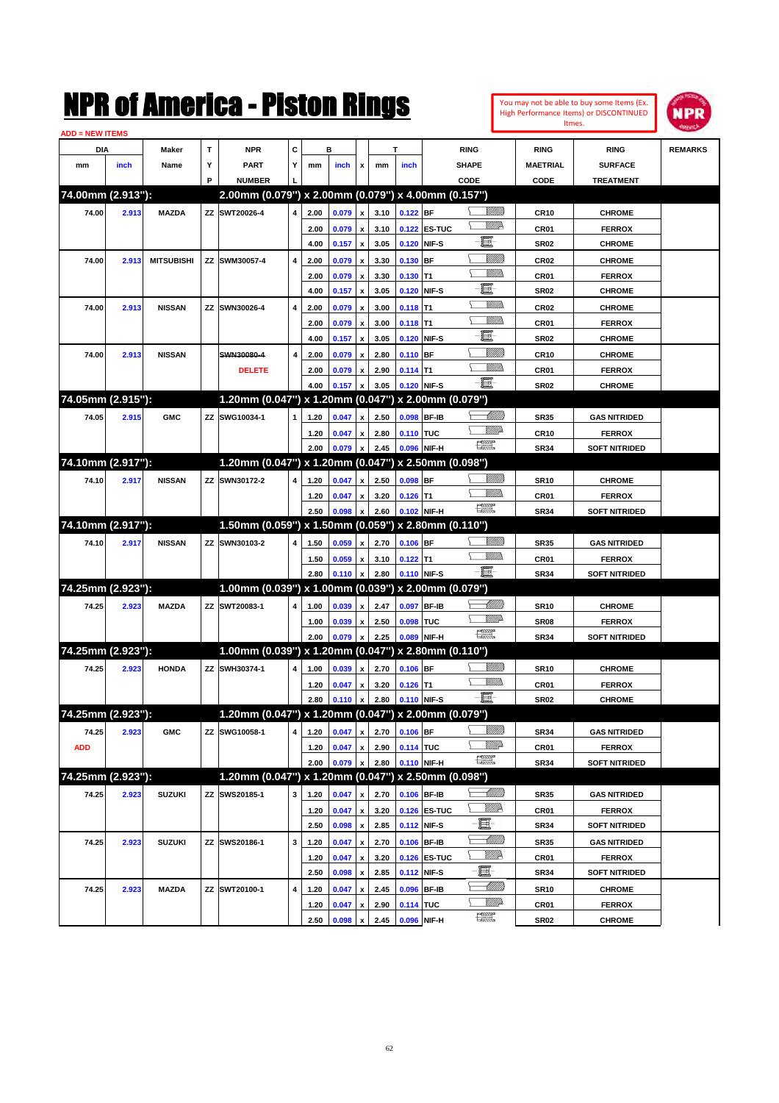| <b>ADD = NEW ITEMS</b> |       |                   |              | NMK OI AINCrica - Miston Kings                      |   |              |                |                           |              |                           |                   |                                                                                                                                                                                                                                                                                                                                                                                             |                           |                                 | You may not be able to buy some Items (Ex.<br><b>High Performance Items) or DISCONTINUED</b><br>Itmes. | <b>NPR</b>     |
|------------------------|-------|-------------------|--------------|-----------------------------------------------------|---|--------------|----------------|---------------------------|--------------|---------------------------|-------------------|---------------------------------------------------------------------------------------------------------------------------------------------------------------------------------------------------------------------------------------------------------------------------------------------------------------------------------------------------------------------------------------------|---------------------------|---------------------------------|--------------------------------------------------------------------------------------------------------|----------------|
| DIA                    |       | Maker             | $\mathbf{T}$ | <b>NPR</b>                                          | C |              | в              |                           |              | Т                         |                   | <b>RING</b>                                                                                                                                                                                                                                                                                                                                                                                 |                           | <b>RING</b>                     | <b>RING</b>                                                                                            | <b>REMARKS</b> |
| mm                     | inch  | Name              | Υ            | <b>PART</b>                                         | Y | mm           | inch           | x                         | mm           | inch                      |                   | SHAPE                                                                                                                                                                                                                                                                                                                                                                                       |                           | <b>MAETRIAL</b>                 | <b>SURFACE</b>                                                                                         |                |
|                        |       |                   | P            | <b>NUMBER</b>                                       |   |              |                |                           |              |                           |                   | CODE                                                                                                                                                                                                                                                                                                                                                                                        |                           | CODE                            | <b>TREATMENT</b>                                                                                       |                |
| 74.00mm (2.913"):      |       |                   |              | 2.00mm (0.079") x 2.00mm (0.079") x 4.00mm (0.157") |   |              |                |                           |              |                           |                   |                                                                                                                                                                                                                                                                                                                                                                                             |                           |                                 |                                                                                                        |                |
| 74.00                  | 2.913 | <b>MAZDA</b>      |              | ZZ SWT20026-4                                       | 4 | 2.00         | 0.079          | $\mathbf{x}$              | 3.10         | 0.122 BF                  |                   |                                                                                                                                                                                                                                                                                                                                                                                             | <u>Sillilli</u>           | <b>CR10</b>                     | <b>CHROME</b>                                                                                          |                |
|                        |       |                   |              |                                                     |   | 2.00         | 0.079          | $\mathbf{x}$              | 3.10         |                           | 0.122 ES-TUC      |                                                                                                                                                                                                                                                                                                                                                                                             | <u>MMP</u>                | CR <sub>01</sub>                | <b>FERROX</b>                                                                                          |                |
|                        |       |                   |              |                                                     |   | 4.00         | 0.157          | $\pmb{\mathsf{x}}$        | 3.05         | 0.120 NIF-S               |                   | E                                                                                                                                                                                                                                                                                                                                                                                           |                           | <b>SR02</b>                     | <b>CHROME</b>                                                                                          |                |
| 74.00                  | 2.913 | <b>MITSUBISHI</b> | ΖZ           | SWM30057-4                                          | 4 | 2.00         | 0.079          | $\boldsymbol{x}$          | 3.30         | $0.130$ BF                |                   |                                                                                                                                                                                                                                                                                                                                                                                             | <u>Sillilli</u>           | CR <sub>02</sub>                | <b>CHROME</b>                                                                                          |                |
|                        |       |                   |              |                                                     |   | 2.00         | 0.079          | $\boldsymbol{\mathsf{x}}$ | 3.30         | 0.130                     | T <sub>1</sub>    |                                                                                                                                                                                                                                                                                                                                                                                             | .<br>Villid               | CR <sub>01</sub>                | <b>FERROX</b>                                                                                          |                |
|                        |       |                   |              |                                                     |   | 4.00         | 0.157          | $\boldsymbol{\mathsf{x}}$ | 3.05         | 0.120 NIF-S               |                   | e.                                                                                                                                                                                                                                                                                                                                                                                          |                           | <b>SR02</b>                     | <b>CHROME</b>                                                                                          |                |
| 74.00                  | 2.913 | <b>NISSAN</b>     | ΖZ           | SWN30026-4                                          | 4 | 2.00         | 0.079          | $\boldsymbol{\mathsf{x}}$ | 3.00         | $0.118$ T1                |                   |                                                                                                                                                                                                                                                                                                                                                                                             | .<br>Villid               | CR <sub>02</sub>                | <b>CHROME</b>                                                                                          |                |
|                        |       |                   |              |                                                     |   | 2.00         | 0.079          | $\boldsymbol{\mathsf{x}}$ | 3.00         | $0.118$ T1                |                   |                                                                                                                                                                                                                                                                                                                                                                                             | .<br>Villid               | CR <sub>01</sub>                | <b>FERROX</b>                                                                                          |                |
|                        |       |                   |              |                                                     |   | 4.00         | 0.157          | $\boldsymbol{\mathsf{x}}$ | 3.05         | 0.120 NIF-S               |                   | E.                                                                                                                                                                                                                                                                                                                                                                                          |                           | <b>SR02</b>                     | <b>CHROME</b>                                                                                          |                |
| 74.00                  | 2.913 | <b>NISSAN</b>     |              | SWN30080-4                                          | 4 | 2.00         | 0.079          | $\boldsymbol{x}$          | 2.80         | $0.110$ BF                |                   |                                                                                                                                                                                                                                                                                                                                                                                             | <u>Sillilli</u>           | CR10                            | <b>CHROME</b>                                                                                          |                |
|                        |       |                   |              | <b>DELETE</b>                                       |   | 2.00         | 0.079          | $\mathbf{x}$              | 2.90         | $0.114$ T1                |                   |                                                                                                                                                                                                                                                                                                                                                                                             | .<br>Villid               | CR <sub>01</sub>                | <b>FERROX</b>                                                                                          |                |
|                        |       |                   |              |                                                     |   | 4.00         | 0.157          | $\mathbf{x}$              | 3.05         | 0.120 NIF-S               |                   | $-\mathbf{H}$ -                                                                                                                                                                                                                                                                                                                                                                             |                           | <b>SR02</b>                     | <b>CHROME</b>                                                                                          |                |
| 74.05mm (2.915"):      |       |                   |              | 1.20mm (0.047") x 1.20mm (0.047")                   |   |              |                |                           |              |                           | x 2.00mm (0.079") |                                                                                                                                                                                                                                                                                                                                                                                             |                           |                                 |                                                                                                        |                |
| 74.05                  | 2.915 | <b>GMC</b>        |              | ZZ SWG10034-1                                       | 1 | 1.20         | 0.047          | X                         | 2.50         | 0.098 BF-IB               |                   |                                                                                                                                                                                                                                                                                                                                                                                             | <u> UMM</u>               | <b>SR35</b>                     | <b>GAS NITRIDED</b>                                                                                    |                |
|                        |       |                   |              |                                                     |   | 1.20         | 0.047          | $\mathbf{x}$              | 2.80         | 0.110 TUC                 |                   | $\begin{picture}(20,20) \put(0,0){\dashbox{0.5}(20,0){ }} \put(15,0){\circle{10}} \put(25,0){\circle{10}} \put(25,0){\circle{10}} \put(25,0){\circle{10}} \put(25,0){\circle{10}} \put(25,0){\circle{10}} \put(25,0){\circle{10}} \put(25,0){\circle{10}} \put(25,0){\circle{10}} \put(25,0){\circle{10}} \put(25,0){\circle{10}} \put(25,0){\circle{10}} \put(25,0){\circle{10}} \put(25,$ | VMD                       | CR10                            | <b>FERROX</b>                                                                                          |                |
|                        |       |                   |              |                                                     |   | 2.00         | 0.079          | $\mathbf{x}$              | 2.45         | 0.096 NIF-H               |                   |                                                                                                                                                                                                                                                                                                                                                                                             |                           | <b>SR34</b>                     | <b>SOFT NITRIDED</b>                                                                                   |                |
| 74.10mm (2.917"):      |       |                   |              | 1.20mm (0.047") x 1.20mm (0.047")                   |   |              |                |                           |              |                           | x 2.50mm (0.098") |                                                                                                                                                                                                                                                                                                                                                                                             |                           |                                 |                                                                                                        |                |
| 74.10                  | 2.917 | <b>NISSAN</b>     |              | ZZ SWN30172-2                                       | 4 | 1.20         | 0.047          | X                         | 2.50         | $0.098$ BF                |                   |                                                                                                                                                                                                                                                                                                                                                                                             | <u>VIIII)</u><br>.<br>VMD | <b>SR10</b>                     | <b>CHROME</b>                                                                                          |                |
|                        |       |                   |              |                                                     |   | 1.20         | 0.047          | $\mathbf{x}$              | 3.20         | $0.126$ T1                |                   | $f_{\text{max}}^{\text{exp}}$                                                                                                                                                                                                                                                                                                                                                               |                           | CR <sub>01</sub>                | <b>FERROX</b>                                                                                          |                |
| 74.10mm (2.917"):      |       |                   |              | 1.50mm (0.059") x 1.50mm (0.059") x 2.80mm (0.110") |   | 2.50         | 0.098          | $\mathbf{x}$              | 2.60         | 0.102 NIF-H               |                   |                                                                                                                                                                                                                                                                                                                                                                                             |                           | <b>SR34</b>                     | <b>SOFT NITRIDED</b>                                                                                   |                |
|                        |       |                   |              |                                                     |   |              |                |                           |              |                           |                   |                                                                                                                                                                                                                                                                                                                                                                                             | <u>VIIII)</u>             |                                 |                                                                                                        |                |
| 74.10                  | 2.917 | <b>NISSAN</b>     | ΖZ           | SWN30103-2                                          | 4 | 1.50         | 0.059          | X                         | 2.70         | 0.106 BF                  |                   |                                                                                                                                                                                                                                                                                                                                                                                             | .<br>VMD                  | <b>SR35</b>                     | <b>GAS NITRIDED</b>                                                                                    |                |
|                        |       |                   |              |                                                     |   | 1.50<br>2.80 | 0.059<br>0.110 | x<br>x                    | 3.10<br>2.80 | $0.122$ T1<br>0.110 NIF-S |                   | $-\mathbf{E}$                                                                                                                                                                                                                                                                                                                                                                               |                           | CR <sub>01</sub><br><b>SR34</b> | <b>FERROX</b><br><b>SOFT NITRIDED</b>                                                                  |                |
| 74.25mm (2.923"):      |       |                   |              | 1.00mm (0.039") x 1.00mm (0.039") x 2.00mm (0.079") |   |              |                |                           |              |                           |                   |                                                                                                                                                                                                                                                                                                                                                                                             |                           |                                 |                                                                                                        |                |
| 74.25                  | 2.923 | <b>MAZDA</b>      | ΖZ           | SWT20083-1                                          | 4 | 1.00         | 0.039          | x                         | 2.47         | 0.097 BF-IB               |                   |                                                                                                                                                                                                                                                                                                                                                                                             | <u> UMM</u>               | <b>SR10</b>                     | <b>CHROME</b>                                                                                          |                |
|                        |       |                   |              |                                                     |   | 1.00         | 0.039          | x                         | 2.50         | 0.098                     | <b>TUC</b>        |                                                                                                                                                                                                                                                                                                                                                                                             | <u>VM</u> D               | <b>SR08</b>                     | <b>FERROX</b>                                                                                          |                |
|                        |       |                   |              |                                                     |   | 2.00         | 0.079          | x                         | 2.25         | 0.089                     | NIF-H             | $\begin{picture}(20,20) \put(0,0){\line(1,0){10}} \put(15,0){\line(1,0){10}} \put(15,0){\line(1,0){10}} \put(15,0){\line(1,0){10}} \put(15,0){\line(1,0){10}} \put(15,0){\line(1,0){10}} \put(15,0){\line(1,0){10}} \put(15,0){\line(1,0){10}} \put(15,0){\line(1,0){10}} \put(15,0){\line(1,0){10}} \put(15,0){\line(1,0){10}} \put(15,0){\line(1$                                         |                           | <b>SR34</b>                     | <b>SOFT NITRIDED</b>                                                                                   |                |
| 74.25mm (2.923"):      |       |                   |              | 1.00mm (0.039") x 1.20mm (0.047") x 2.80mm (0.110") |   |              |                |                           |              |                           |                   |                                                                                                                                                                                                                                                                                                                                                                                             |                           |                                 |                                                                                                        |                |
| 74.25                  | 2.923 | <b>HONDA</b>      | ΖZ           | SWH30374-1                                          | 4 | 1.00         | 0.039          | x                         | 2.70         | 0.106 BF                  |                   |                                                                                                                                                                                                                                                                                                                                                                                             | <u>Sillilli</u>           | <b>SR10</b>                     | <b>CHROME</b>                                                                                          |                |
|                        |       |                   |              |                                                     |   | 1.20         | 0.047          | $\pmb{\mathsf{x}}$        | 3.20         | $0.126$ T1                |                   |                                                                                                                                                                                                                                                                                                                                                                                             | <br>Mar                   | CR01                            | <b>FERROX</b>                                                                                          |                |
|                        |       |                   |              |                                                     |   | 2.80         | 0.110          | $\boldsymbol{\mathsf{x}}$ | 2.80         | 0.110 NIF-S               |                   | $-\Xi$ -                                                                                                                                                                                                                                                                                                                                                                                    |                           | <b>SR02</b>                     | <b>CHROME</b>                                                                                          |                |
| 74.25mm (2.923"):      |       |                   |              | 1.20mm (0.047") x 1.20mm (0.047") x 2.00mm (0.079") |   |              |                |                           |              |                           |                   |                                                                                                                                                                                                                                                                                                                                                                                             |                           |                                 |                                                                                                        |                |
| 74.25                  | 2.923 | <b>GMC</b>        |              | ZZ SWG10058-1                                       | 4 | 1.20         | 0.047          | x                         | 2.70         | $0.106$ BF                |                   |                                                                                                                                                                                                                                                                                                                                                                                             | <u>VIIII)</u>             | <b>SR34</b>                     | <b>GAS NITRIDED</b>                                                                                    |                |
| <b>ADD</b>             |       |                   |              |                                                     |   | 1.20         | 0.047          | $\pmb{\mathsf{x}}$        | 2.90         | 0.114 TUC                 |                   |                                                                                                                                                                                                                                                                                                                                                                                             | WWA                       | CR01                            | <b>FERROX</b>                                                                                          |                |
|                        |       |                   |              |                                                     |   | 2.00         | 0.079          | $\pmb{\mathsf{x}}$        | 2.80         | 0.110 NIF-H               |                   | $f_{\rm max}^{\rm exp}$                                                                                                                                                                                                                                                                                                                                                                     |                           | <b>SR34</b>                     | <b>SOFT NITRIDED</b>                                                                                   |                |
| 74.25mm (2.923"):      |       |                   |              | 1.20mm (0.047") x 1.20mm (0.047") x 2.50mm (0.098") |   |              |                |                           |              |                           |                   |                                                                                                                                                                                                                                                                                                                                                                                             |                           |                                 |                                                                                                        |                |
| 74.25                  | 2.923 | <b>SUZUKI</b>     | ΖZ           | SWS20185-1                                          | 3 | 1.20         | 0.047          | x                         | 2.70         | 0.106 BF-IB               |                   |                                                                                                                                                                                                                                                                                                                                                                                             | <u> MM)</u>               | <b>SR35</b>                     | <b>GAS NITRIDED</b>                                                                                    |                |
|                        |       |                   |              |                                                     |   | 1.20         | 0.047          | $\pmb{\mathsf{x}}$        | 3.20         |                           | 0.126 ES-TUC      |                                                                                                                                                                                                                                                                                                                                                                                             | <u>WW</u> A               | CR01                            | <b>FERROX</b>                                                                                          |                |
|                        |       |                   |              |                                                     |   | 2.50         | 0.098          | $\pmb{\mathsf{x}}$        | 2.85         | 0.112 NIF-S               |                   | e.                                                                                                                                                                                                                                                                                                                                                                                          |                           | <b>SR34</b>                     | <b>SOFT NITRIDED</b>                                                                                   |                |
| 74.25                  | 2.923 | <b>SUZUKI</b>     |              | ZZ SWS20186-1                                       | 3 | 1.20         | 0.047          | $\pmb{\mathsf{x}}$        | 2.70         | 0.106 BF-IB               |                   |                                                                                                                                                                                                                                                                                                                                                                                             | <u> MMB</u>               | <b>SR35</b>                     | <b>GAS NITRIDED</b>                                                                                    |                |
|                        |       |                   |              |                                                     |   | 1.20         | 0.047          | $\pmb{\mathsf{x}}$        | 3.20         |                           | 0.126 ES-TUC      |                                                                                                                                                                                                                                                                                                                                                                                             | <u>W//P</u>               | CR01                            | <b>FERROX</b>                                                                                          |                |
|                        |       |                   |              |                                                     |   | 2.50         | 0.098          | x                         | 2.85         | 0.112 NIF-S               |                   | e.                                                                                                                                                                                                                                                                                                                                                                                          |                           | <b>SR34</b>                     | <b>SOFT NITRIDED</b>                                                                                   |                |
| 74.25                  | 2.923 | <b>MAZDA</b>      |              | ZZ SWT20100-1                                       | 4 | 1.20         | 0.047          | x                         | 2.45         | 0.096 BF-IB               |                   |                                                                                                                                                                                                                                                                                                                                                                                             | <u>-1777)</u>             | <b>SR10</b>                     | <b>CHROME</b>                                                                                          |                |
|                        |       |                   |              |                                                     |   | 1.20         | 0.047          | $\mathbf{x}$              | 2.90         | 0.114 TUC                 |                   |                                                                                                                                                                                                                                                                                                                                                                                             | <u>MM</u> A               | CR01                            | <b>FERROX</b>                                                                                          |                |

**2.50 0.098 x 2.45 0.096 NIF-H SR02 CHROME**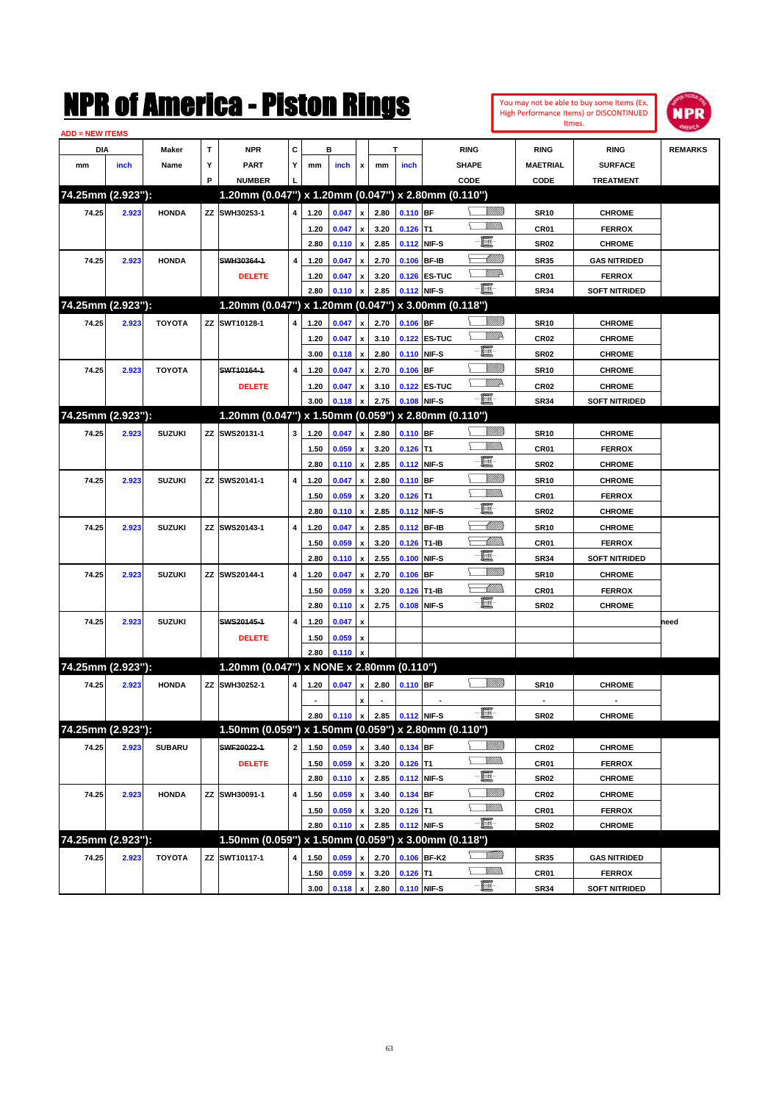|                        |       |               |   | NMK OI AMCTICA - MISTON KINGS            |                |                        |                |                           |              |                                                                                      |                                                     |                 |                               | You may not be able to buy some Items (Ex.<br>High Performance Items) or DISCONTINUED | <b>NPR</b>     |
|------------------------|-------|---------------|---|------------------------------------------|----------------|------------------------|----------------|---------------------------|--------------|--------------------------------------------------------------------------------------|-----------------------------------------------------|-----------------|-------------------------------|---------------------------------------------------------------------------------------|----------------|
| <b>ADD = NEW ITEMS</b> |       |               |   |                                          |                |                        |                |                           |              |                                                                                      |                                                     |                 |                               | Itmes.                                                                                |                |
| DIA                    |       | Maker         | т | <b>NPR</b>                               | C              |                        | в              |                           |              | T                                                                                    | <b>RING</b>                                         |                 | <b>RING</b>                   | <b>RING</b>                                                                           | <b>REMARKS</b> |
| mm                     | inch  | Name          | Υ | <b>PART</b>                              | Y              | mm                     | inch           | x                         | mm           | inch                                                                                 | <b>SHAPE</b>                                        |                 | <b>MAETRIAL</b>               | <b>SURFACE</b>                                                                        |                |
|                        |       |               | P | <b>NUMBER</b>                            |                |                        |                |                           |              |                                                                                      | CODE                                                |                 | CODE                          | <b>TREATMENT</b>                                                                      |                |
| 74.25mm (2.923"):      |       |               |   |                                          |                |                        |                |                           |              |                                                                                      | 1.20mm (0.047") x 1.20mm (0.047") x 2.80mm (0.110") |                 |                               |                                                                                       |                |
| 74.25                  | 2.923 | <b>HONDA</b>  |   | ZZ SWH30253-1                            | 4              | 1.20                   | 0.047          | $\pmb{\mathsf{x}}$        | 2.80         | 0.110 BF                                                                             |                                                     | <u> UMB</u>     | <b>SR10</b>                   | <b>CHROME</b>                                                                         |                |
|                        |       |               |   |                                          |                | 1.20                   | 0.047          | $\pmb{\mathsf{x}}$        | 3.20         | $0.126$ T1                                                                           |                                                     | VMM)            | CR <sub>01</sub>              | <b>FERROX</b>                                                                         |                |
|                        |       |               |   |                                          |                | 2.80                   | 0.110          | X                         | 2.85         |                                                                                      | E<br>0.112 NIF-S                                    |                 | <b>SR02</b>                   | <b>CHROME</b>                                                                         |                |
| 74.25                  | 2.923 | <b>HONDA</b>  |   | SWH30364-1                               | 4              | 1.20                   | 0.047          | X                         | 2.70         | 0.106                                                                                | <b>BF-IB</b>                                        | MMM             | <b>SR35</b>                   | <b>GAS NITRIDED</b>                                                                   |                |
|                        |       |               |   | <b>DELETE</b>                            |                | 1.20                   | 0.047          | X                         | 3.20         |                                                                                      | 0.126 ES-TUC                                        | <u>VM</u> D     | CR <sub>01</sub>              | <b>FERROX</b>                                                                         |                |
|                        |       |               |   |                                          |                | 2.80                   | 0.110          | X                         | 2.85         |                                                                                      | E<br>0.112 NIF-S                                    |                 | <b>SR34</b>                   | SOFT NITRIDED                                                                         |                |
| 74.25mm (2.923"):      |       |               |   |                                          |                |                        |                |                           |              |                                                                                      | 1.20mm (0.047") x 1.20mm (0.047") x 3.00mm (0.118") |                 |                               |                                                                                       |                |
| 74.25                  | 2.923 | <b>TOYOTA</b> |   | ZZ SWT10128-1                            | 4              | 1.20                   | 0.047          | X                         | 2.70         | 0.106 BF                                                                             |                                                     | <u> UMB</u>     | <b>SR10</b>                   | <b>CHROME</b>                                                                         |                |
|                        |       |               |   |                                          |                | 1.20                   | 0.047          | $\pmb{\mathsf{x}}$        | 3.10         |                                                                                      | 0.122 ES-TUC                                        | <u>WW</u> A     | CR <sub>02</sub>              | <b>CHROME</b>                                                                         |                |
|                        |       |               |   |                                          |                | 3.00                   | 0.118          | X                         | 2.80         |                                                                                      | E<br>0.110 NIF-S                                    |                 | <b>SR02</b>                   | <b>CHROME</b>                                                                         |                |
| 74.25                  | 2.923 | <b>TOYOTA</b> |   | SWT10164-1                               | 4              | 1.20                   | 0.047          | X                         | 2.70         | 0.106                                                                                | <b>BF</b>                                           | VIIII)          | <b>SR10</b>                   | <b>CHROME</b>                                                                         |                |
|                        |       |               |   | <b>DELETE</b>                            |                | 1.20                   | 0.047          | X                         | 3.10         |                                                                                      | 0.122 ES-TUC                                        | <u>VM</u> D     | <b>CR02</b>                   | <b>CHROME</b>                                                                         |                |
|                        |       |               |   |                                          |                | 3.00                   | 0.118          | X                         | 2.75         |                                                                                      | E<br>0.108 NIF-S                                    |                 | <b>SR34</b>                   | SOFT NITRIDED                                                                         |                |
| 74.25mm (2.923"):      |       |               |   |                                          |                |                        |                |                           |              |                                                                                      | 1.20mm (0.047") x 1.50mm (0.059") x 2.80mm (0.110") |                 |                               |                                                                                       |                |
| 74.25                  | 2.923 | <b>SUZUKI</b> |   | ZZ SWS20131-1                            | 3              | 1.20                   | 0.047          | $\mathbf{x}$              | 2.80         | $0.110$ BF                                                                           |                                                     | <u> UMB</u>     | <b>SR10</b>                   | <b>CHROME</b>                                                                         |                |
|                        |       |               |   |                                          |                | 1.50                   | 0.059          | X                         | 3.20         | $0.126$ T1                                                                           |                                                     | VMM)            | CR <sub>01</sub>              | <b>FERROX</b>                                                                         |                |
|                        |       |               |   |                                          |                | 2.80                   | 0.110          | X                         | 2.85         |                                                                                      | E<br>0.112 NIF-S                                    |                 | <b>SR02</b>                   | <b>CHROME</b>                                                                         |                |
| 74.25                  | 2.923 | <b>SUZUKI</b> |   | ZZ SWS20141-1                            | 4              | 1.20                   | 0.047          | X                         | 2.80         | $0.110$ BF                                                                           |                                                     | <u>Villilli</u> | <b>SR10</b>                   | <b>CHROME</b>                                                                         |                |
|                        |       |               |   |                                          |                | 1.50                   | 0.059          | X                         | 3.20         | $0.126$ T1                                                                           |                                                     | VM)             | CR <sub>01</sub>              | <b>FERROX</b>                                                                         |                |
|                        |       |               |   |                                          |                | 2.80                   | 0.110          | X                         | 2.85         |                                                                                      | E<br>0.112 NIF-S                                    |                 | <b>SR02</b>                   | <b>CHROME</b>                                                                         |                |
| 74.25                  | 2.923 | <b>SUZUKI</b> |   | ZZ SWS20143-1                            | 4              | 1.20                   | 0.047          | X                         | 2.85         |                                                                                      | 0.112 BF-IB                                         | <u> UMM</u>     | <b>SR10</b>                   | <b>CHROME</b>                                                                         |                |
|                        |       |               |   |                                          |                | 1.50                   | 0.059          | X                         | 3.20         |                                                                                      | 0.126 T1-IB                                         | <u>UMMo</u>     | CR <sub>01</sub>              | <b>FERROX</b>                                                                         |                |
|                        |       |               |   |                                          |                | 2.80                   | 0.110          | X                         | 2.55         | 0.100                                                                                | E<br>NIF-S                                          |                 | <b>SR34</b>                   | SOFT NITRIDED                                                                         |                |
| 74.25                  | 2.923 | <b>SUZUKI</b> |   | ZZ SWS20144-1                            | 4              | 1.20                   | 0.047          | X                         | 2.70         | 0.106                                                                                | <b>BF</b>                                           | <u>Villilli</u> | <b>SR10</b>                   | <b>CHROME</b>                                                                         |                |
|                        |       |               |   |                                          |                | 1.50                   | 0.059          | X                         | 3.20         | 0.126                                                                                | T1-IB                                               | <u>UMMo</u>     | CR01                          | <b>FERROX</b>                                                                         |                |
|                        |       |               |   |                                          |                | 2.80                   | 0.110          | $\boldsymbol{\mathsf{x}}$ | 2.75         | 0.108                                                                                | E<br>NIF-S                                          |                 | <b>SR02</b>                   | <b>CHROME</b>                                                                         |                |
| 74.25                  | 2.923 | <b>SUZUKI</b> |   | SWS20145-1                               | 4              | 1.20                   | 0.047          | X                         |              |                                                                                      |                                                     |                 |                               |                                                                                       | need           |
|                        |       |               |   | <b>DELETE</b>                            |                | 1.50                   |                | X                         |              |                                                                                      |                                                     |                 |                               |                                                                                       |                |
|                        |       |               |   |                                          |                | 2.80                   | 0.059<br>0.110 | x                         |              |                                                                                      |                                                     |                 |                               |                                                                                       |                |
| 74.25mm (2.923"):      |       |               |   | 1.20mm (0.047") x NONE x 2.80mm (0.110") |                |                        |                |                           |              |                                                                                      |                                                     |                 |                               |                                                                                       |                |
|                        |       | <b>HONDA</b>  |   | ZZ SWH30252-1                            | $\overline{4}$ |                        |                |                           |              | 1.20 $\begin{array}{ c c c c c c } \hline 0.047 & x & 2.80 & 0.110 & BF \end{array}$ |                                                     | <u>Villida</u>  | <b>SR10</b>                   |                                                                                       |                |
| 74.25                  | 2.923 |               |   |                                          |                |                        |                |                           |              |                                                                                      |                                                     |                 |                               | <b>CHROME</b>                                                                         |                |
|                        |       |               |   |                                          |                | $\blacksquare$<br>2.80 |                | x                         |              | $0.110$ x 2.85 0.112 NIF-S                                                           | E                                                   |                 | $\blacksquare$<br><b>SR02</b> | $\blacksquare$<br><b>CHROME</b>                                                       |                |
| 74.25mm (2.923"):      |       |               |   |                                          |                |                        |                |                           |              |                                                                                      | 1.50mm (0.059") x 1.50mm (0.059") x 2.80mm (0.110") |                 |                               |                                                                                       |                |
|                        |       |               |   | SWF20022-1                               | $\mathbf{2}$   |                        |                |                           |              |                                                                                      |                                                     | <u> UMB</u>     |                               |                                                                                       |                |
| 74.25                  | 2.923 | <b>SUBARU</b> |   |                                          |                | 1.50                   | 0.059          | $\pmb{\mathsf{x}}$        | 3.40         | 0.134 BF                                                                             |                                                     | <u>Willis</u>   | CR <sub>02</sub>              | <b>CHROME</b>                                                                         |                |
|                        |       |               |   | <b>DELETE</b>                            |                | 1.50                   | 0.059          | $\pmb{\mathsf{x}}$        | 3.20<br>2.85 | $0.126$ T1                                                                           | E<br>0.112 NIF-S                                    |                 | CR01<br><b>SR02</b>           | <b>FERROX</b>                                                                         |                |
|                        |       |               |   | ZZ SWH30091-1                            |                | 2.80                   | $0.110 \times$ |                           |              | $0.134$ BF                                                                           |                                                     | <u>Sillilli</u> |                               | <b>CHROME</b>                                                                         |                |
| 74.25                  | 2.923 | <b>HONDA</b>  |   |                                          | 4              | 1.50                   | 0.059          | $\pmb{\mathsf{x}}$        | 3.40         |                                                                                      |                                                     | <u>Willis</u>   | <b>CR02</b>                   | <b>CHROME</b>                                                                         |                |
|                        |       |               |   |                                          |                | 1.50                   | 0.059          | $\pmb{\mathsf{x}}$        | 3.20<br>2.85 | $0.126$ T1                                                                           | $-\blacksquare$<br>0.112 NIF-S                      |                 | CR01                          | <b>FERROX</b>                                                                         |                |
| 74.25mm (2.923"):      |       |               |   |                                          |                | 2.80                   | 0.110          | x                         |              |                                                                                      | 1.50mm (0.059") x 1.50mm (0.059") x 3.00mm (0.118") |                 | <b>SR02</b>                   | <b>CHROME</b>                                                                         |                |
|                        |       |               |   |                                          |                |                        |                |                           |              |                                                                                      |                                                     | <u>Millid</u> d |                               |                                                                                       |                |
| 74.25                  | 2.923 | <b>TOYOTA</b> |   | ZZ SWT10117-1                            | 4              | 1.50                   | 0.059          | x                         | 2.70         |                                                                                      | 0.106 BF-K2<br><b>Willia</b>                        |                 | <b>SR35</b>                   | <b>GAS NITRIDED</b>                                                                   |                |
|                        |       |               |   |                                          |                |                        |                |                           |              | 1.50 $0.059 \times 3.20$ 0.126 T1                                                    |                                                     |                 | CR01                          | <b>FERROX</b>                                                                         |                |

**3.00 0.118 x 2.80 0.110 NIF-S SR34 SOFT NITRIDED**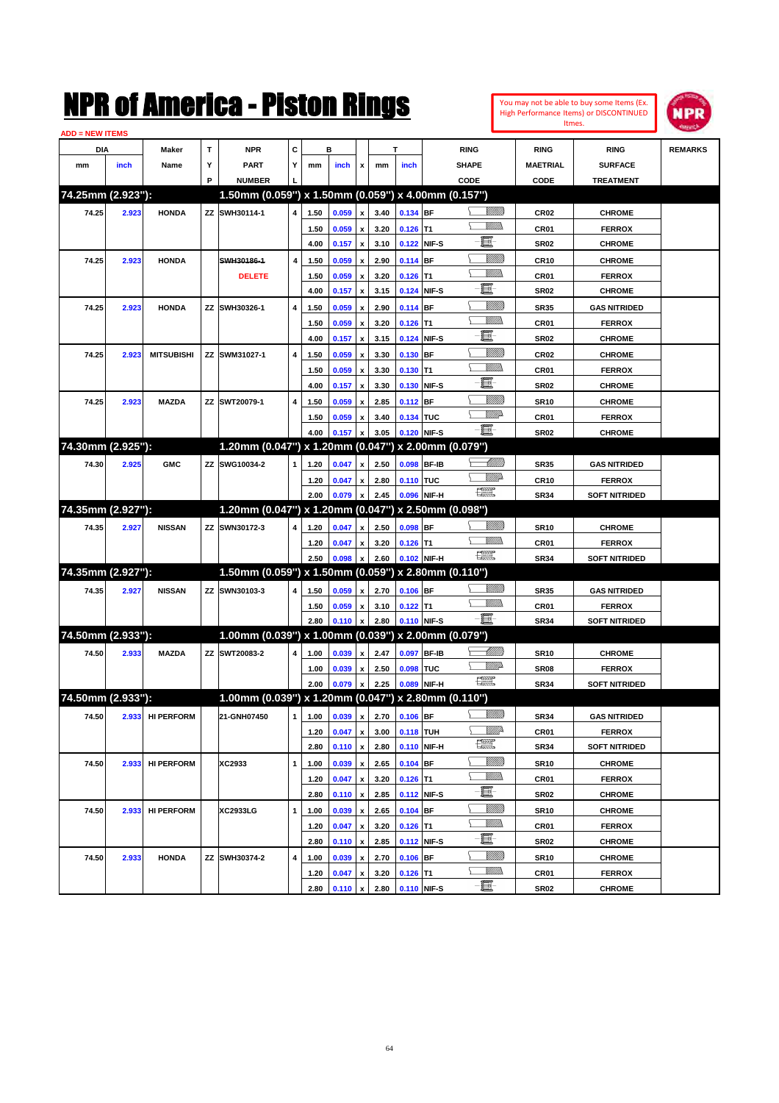| You may not be able to buy some Items (Ex.     |
|------------------------------------------------|
| <b>High Performance Items) or DISCONTINUED</b> |
| <b>Itmes</b>                                   |



| <b>ADD = NEW ITEMS</b> |       |                   |   |                                                     |              |      |       |                           |                              |                  |              |                          |                  |                      |                |
|------------------------|-------|-------------------|---|-----------------------------------------------------|--------------|------|-------|---------------------------|------------------------------|------------------|--------------|--------------------------|------------------|----------------------|----------------|
| DIA                    |       | Maker             | т | <b>NPR</b>                                          | С            |      | в     |                           |                              | т                |              | <b>RING</b>              | <b>RING</b>      | <b>RING</b>          | <b>REMARKS</b> |
| mm                     | inch  | Name              | Υ | <b>PART</b>                                         | Y            | mm   | inch  | x                         | mm                           | inch             |              | <b>SHAPE</b>             | <b>MAETRIAL</b>  | <b>SURFACE</b>       |                |
|                        |       |                   | P | <b>NUMBER</b>                                       |              |      |       |                           |                              |                  |              | CODE                     | CODE             | <b>TREATMENT</b>     |                |
| 74.25mm (2.923"):      |       |                   |   | 1.50mm (0.059") x 1.50mm (0.059") x 4.00mm (0.157") |              |      |       |                           |                              |                  |              |                          |                  |                      |                |
| 74.25                  | 2.923 | <b>HONDA</b>      |   | ZZ SWH30114-1                                       | 4            | 1.50 | 0.059 | $\pmb{\mathsf{x}}$        | 3.40                         | 0.134 BF         |              | <u>Sillilli</u>          | <b>CR02</b>      | <b>CHROME</b>        |                |
|                        |       |                   |   |                                                     |              | 1.50 | 0.059 | x                         | 3.20                         | $0.126$ T1       |              |                          | CR01             | <b>FERROX</b>        |                |
|                        |       |                   |   |                                                     |              | 4.00 | 0.157 | $\pmb{\mathsf{x}}$        | 3.10                         | 0.122            | NIF-S        | e                        | <b>SR02</b>      | <b>CHROME</b>        |                |
| 74.25                  | 2.923 | <b>HONDA</b>      |   | SWH30186-1                                          | 4            | 1.50 | 0.059 | x                         | 2.90                         | $0.114$ BF       |              | <u>VIIII)</u>            | <b>CR10</b>      | <b>CHROME</b>        |                |
|                        |       |                   |   | <b>DELETE</b>                                       |              | 1.50 | 0.059 | х                         | 3.20                         | $0.126$ T1       |              | <br>Militar              | CR01             | <b>FERROX</b>        |                |
|                        |       |                   |   |                                                     |              | 4.00 | 0.157 | $\pmb{\mathsf{x}}$        | 3.15                         | 0.124            | NIF-S        | e                        | <b>SR02</b>      | <b>CHROME</b>        |                |
| 74.25                  | 2.923 | <b>HONDA</b>      |   | ZZ SWH30326-1                                       | 4            | 1.50 | 0.059 | x                         | 2.90                         | $0.114$ BF       |              | <u>VIIII)</u>            | <b>SR35</b>      | <b>GAS NITRIDED</b>  |                |
|                        |       |                   |   |                                                     |              | 1.50 | 0.059 | х                         | 3.20                         | $0.126$ T1       |              | 9777)                    | CR01             | <b>FERROX</b>        |                |
|                        |       |                   |   |                                                     |              | 4.00 | 0.157 | $\pmb{\mathsf{x}}$        | 3.15                         | 0.124            | NIF-S        | e                        | <b>SR02</b>      | <b>CHROME</b>        |                |
| 74.25                  | 2.923 | <b>MITSUBISHI</b> |   | ZZ SWM31027-1                                       | 4            | 1.50 | 0.059 | $\boldsymbol{\mathsf{x}}$ | 3.30                         | 0.130            | <b>BF</b>    | <u>Sillilli</u>          | CR <sub>02</sub> | <b>CHROME</b>        |                |
|                        |       |                   |   |                                                     |              | 1.50 | 0.059 | х                         | 3.30                         | $0.130$ T1       |              | 9777)                    | CR01             | <b>FERROX</b>        |                |
|                        |       |                   |   |                                                     |              | 4.00 | 0.157 | $\pmb{\mathsf{x}}$        | 3.30                         | 0.130            | NIF-S        | E                        | <b>SR02</b>      | <b>CHROME</b>        |                |
| 74.25                  | 2.923 | <b>MAZDA</b>      |   | ZZ SWT20079-1                                       | 4            | 1.50 | 0.059 | x                         | 2.85                         | 0.112 BF         |              | <u>Sillilli</u>          | <b>SR10</b>      | <b>CHROME</b>        |                |
|                        |       |                   |   |                                                     |              | 1.50 | 0.059 | х                         | 3.40                         | 0.134 TUC        |              | <u>WW</u> A              | CR01             | <b>FERROX</b>        |                |
|                        |       |                   |   |                                                     |              | 4.00 | 0.157 | $\boldsymbol{\mathsf{x}}$ | 3.05                         | 0.120            | NIF-S        | -8                       | <b>SR02</b>      | <b>CHROME</b>        |                |
| 74.30mm (2.925"):      |       |                   |   | 1.20mm (0.047") x 1.20mm (0.047") x 2.00mm (0.079") |              |      |       |                           |                              |                  |              |                          |                  |                      |                |
| 74.30                  | 2.925 | <b>GMC</b>        |   | ZZ SWG10034-2                                       | 1            | 1.20 | 0.047 | x                         | 2.50                         | 0.098 BF-IB      |              | <u> Millitt</u>          | <b>SR35</b>      | <b>GAS NITRIDED</b>  |                |
|                        |       |                   |   |                                                     |              | 1.20 | 0.047 | x                         | 2.80                         | 0.110 TUC        |              | WMD-                     | CR <sub>10</sub> | <b>FERROX</b>        |                |
|                        |       |                   |   |                                                     |              | 2.00 | 0.079 | $\pmb{\mathsf{x}}$        | 2.45                         | 0.096            | NIF-H        | 鱱                        | <b>SR34</b>      | <b>SOFT NITRIDED</b> |                |
| 74.35mm (2.927"):      |       |                   |   | 1.20mm (0.047") x 1.20mm (0.047") x 2.50mm (0.098") |              |      |       |                           |                              |                  |              |                          |                  |                      |                |
| 74.35                  | 2.927 | <b>NISSAN</b>     |   | ZZ SWN30172-3                                       | 4            | 1.20 | 0.047 | x                         | 2.50                         | 0.098 BF         |              | <u>Sillilli</u>          | <b>SR10</b>      | <b>CHROME</b>        |                |
|                        |       |                   |   |                                                     |              | 1.20 | 0.047 | x                         | 3.20                         | $0.126$ T1       |              |                          | CR01             | <b>FERROX</b>        |                |
|                        |       |                   |   |                                                     |              | 2.50 | 0.098 | $\pmb{\mathsf{x}}$        | 2.60                         |                  | 0.102 NIF-H  | <b>The Second Second</b> | <b>SR34</b>      | <b>SOFT NITRIDED</b> |                |
| 74.35mm (2.927"):      |       |                   |   | 1.50mm (0.059") x 1.50mm (0.059") x 2.80mm (0.110") |              |      |       |                           |                              |                  |              |                          |                  |                      |                |
| 74.35                  | 2.927 | <b>NISSAN</b>     |   | ZZ SWN30103-3                                       | 4            | 1.50 | 0.059 | x                         | 2.70                         | $0.106$ BF       |              | <u>Sillilli</u>          | <b>SR35</b>      | <b>GAS NITRIDED</b>  |                |
|                        |       |                   |   |                                                     |              | 1.50 | 0.059 | x                         | 3.10                         | $0.122$ T1       |              |                          | CR01             | <b>FERROX</b>        |                |
|                        |       |                   |   |                                                     |              | 2.80 | 0.110 | $\pmb{\mathsf{x}}$        | 2.80                         | 0.110 NIF-S      |              | -8                       | <b>SR34</b>      | <b>SOFT NITRIDED</b> |                |
| 74.50mm (2.933"):      |       |                   |   | 1.00mm (0.039") x 1.00mm (0.039") x 2.00mm (0.079") |              |      |       |                           |                              |                  |              |                          |                  |                      |                |
| 74.50                  | 2.933 | <b>MAZDA</b>      |   | ZZ SWT20083-2                                       | 4            | 1.00 | 0.039 | x                         | 2.47                         | 0.097            | <b>BF-IB</b> | <u> Millitt</u>          | <b>SR10</b>      | <b>CHROME</b>        |                |
|                        |       |                   |   |                                                     |              | 1.00 | 0.039 | x                         | 2.50                         | 0.098            | <b>TUC</b>   | <u>WW</u> A              | <b>SR08</b>      | <b>FERROX</b>        |                |
|                        |       |                   |   |                                                     |              | 2.00 | 0.079 | $\pmb{\mathsf{x}}$        | 2.25                         | 0.089            | NIF-H        | <b>The Control</b>       | <b>SR34</b>      | <b>SOFT NITRIDED</b> |                |
| 74.50mm (2.933"):      |       |                   |   | 1.00mm (0.039") x 1.20mm (0.047") x 2.80mm (0.110") |              |      |       |                           |                              |                  |              |                          |                  |                      |                |
| 74.50                  |       | 2.933 HI PERFORM  |   | 21-GNH07450                                         |              |      |       |                           | 1 1.00 0.039 x 2.70 0.106 BF |                  |              | <u>UMB</u>               | <b>SR34</b>      | <b>GAS NITRIDED</b>  |                |
|                        |       |                   |   |                                                     |              | 1.20 | 0.047 | $\pmb{\mathsf{x}}$        | 3.00                         | <b>0.118 TUH</b> |              | ₩₩                       | CR01             | <b>FERROX</b>        |                |
|                        |       |                   |   |                                                     |              | 2.80 | 0.110 | $\pmb{\mathsf{x}}$        | 2.80                         |                  | 0.110 NIF-H  | E                        | SR34             | <b>SOFT NITRIDED</b> |                |
| 74.50                  | 2.933 | <b>HI PERFORM</b> |   | XC2933                                              | 1            | 1.00 | 0.039 | $\pmb{\mathsf{x}}$        | 2.65                         | 0.104 BF         |              | <u>VIIII</u> )           | <b>SR10</b>      | <b>CHROME</b>        |                |
|                        |       |                   |   |                                                     |              | 1.20 | 0.047 | x                         | 3.20                         | $0.126$ T1       |              | VM).                     | CR01             | <b>FERROX</b>        |                |
|                        |       |                   |   |                                                     |              | 2.80 | 0.110 | $\pmb{\mathsf{x}}$        | 2.85                         | 0.112 NIF-S      |              | e                        | SR02             | <b>CHROME</b>        |                |
| 74.50                  | 2.933 | <b>HI PERFORM</b> |   | XC2933LG                                            | $\mathbf{1}$ | 1.00 | 0.039 | $\pmb{\mathsf{x}}$        | 2.65                         | $0.104$ BF       |              | <u>VIIIIn</u>            | <b>SR10</b>      | <b>CHROME</b>        |                |
|                        |       |                   |   |                                                     |              | 1.20 | 0.047 | x                         | 3.20                         | $0.126$ T1       |              | <u>Willib</u>            | CR01             | <b>FERROX</b>        |                |
|                        |       |                   |   |                                                     |              | 2.80 | 0.110 | $\pmb{\mathsf{x}}$        | 2.85                         | 0.112 NIF-S      |              | e                        | SR02             | <b>CHROME</b>        |                |
| 74.50                  | 2.933 | <b>HONDA</b>      |   | ZZ SWH30374-2                                       | 4            | 1.00 | 0.039 | x                         | 2.70                         | $0.106$ BF       |              | <u>UMB</u>               | <b>SR10</b>      | <b>CHROME</b>        |                |
|                        |       |                   |   |                                                     |              | 1.20 | 0.047 | x                         | 3.20                         | $0.126$ T1       |              | <u>Willib</u>            | CR01             | <b>FERROX</b>        |                |
|                        |       |                   |   |                                                     |              | 2.80 | 0.110 | $\mathbf{x}$              | 2.80                         | 0.110 NIF-S      |              | e.                       | <b>SR02</b>      | <b>CHROME</b>        |                |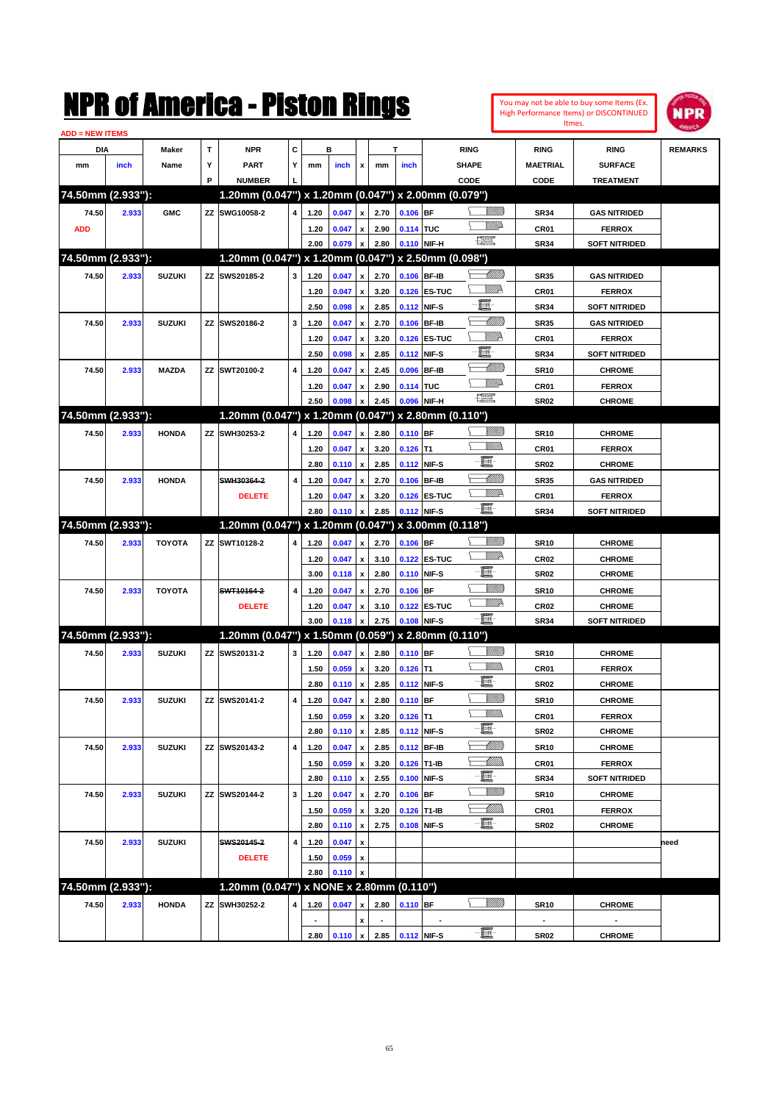| NMK OI AMCMICA - MISTON KINGS<br><b>ADD = NEW ITEMS</b> |       |               |   |                                                     |                         |      |                |                    |      |                  |               |                                                                                                                                                                                                                                                                                                                                                     | You may not be able to buy some Items (Ex.<br><b>High Performance Items) or DISCONTINUED</b> | NPR              |                      |                |
|---------------------------------------------------------|-------|---------------|---|-----------------------------------------------------|-------------------------|------|----------------|--------------------|------|------------------|---------------|-----------------------------------------------------------------------------------------------------------------------------------------------------------------------------------------------------------------------------------------------------------------------------------------------------------------------------------------------------|----------------------------------------------------------------------------------------------|------------------|----------------------|----------------|
| DIA                                                     |       | Maker         | T | <b>NPR</b>                                          | c                       |      | в              |                    |      | T                |               | <b>RING</b>                                                                                                                                                                                                                                                                                                                                         |                                                                                              | <b>RING</b>      | <b>RING</b>          | <b>REMARKS</b> |
| mm                                                      | inch  | Name          | Υ | <b>PART</b>                                         | Υ                       | mm   | inch           | x                  | mm   | inch             |               | <b>SHAPE</b>                                                                                                                                                                                                                                                                                                                                        |                                                                                              | <b>MAETRIAL</b>  | <b>SURFACE</b>       |                |
|                                                         |       |               | P | <b>NUMBER</b>                                       |                         |      |                |                    |      |                  |               | CODE                                                                                                                                                                                                                                                                                                                                                |                                                                                              | CODE             | <b>TREATMENT</b>     |                |
| 74.50mm (2.933"):                                       |       |               |   | 1.20mm (0.047") x 1.20mm (0.047") x 2.00mm (0.079") |                         |      |                |                    |      |                  |               |                                                                                                                                                                                                                                                                                                                                                     |                                                                                              |                  |                      |                |
| 74.50                                                   | 2.933 | <b>GMC</b>    |   | ZZ SWG10058-2                                       | 4                       | 1.20 | 0.047          | $\pmb{\mathsf{x}}$ | 2.70 | $0.106$ BF       |               |                                                                                                                                                                                                                                                                                                                                                     | <u>Sillilli</u>                                                                              | <b>SR34</b>      | <b>GAS NITRIDED</b>  |                |
| <b>ADD</b>                                              |       |               |   |                                                     |                         | 1.20 | 0.047          | $\pmb{\mathsf{x}}$ | 2.90 | 0.114 TUC        |               |                                                                                                                                                                                                                                                                                                                                                     | <u>WW</u> A                                                                                  | CR01             | <b>FERROX</b>        |                |
|                                                         |       |               |   |                                                     |                         | 2.00 | 0.079          | $\pmb{\mathsf{x}}$ | 2.80 |                  | 0.110 NIF-H   | $f_{\text{max}}^{\text{max}}$                                                                                                                                                                                                                                                                                                                       |                                                                                              | <b>SR34</b>      | <b>SOFT NITRIDED</b> |                |
| 74.50mm (2.933"):                                       |       |               |   | 1.20mm (0.047") x 1.20mm (0.047") x 2.50mm (0.098") |                         |      |                |                    |      |                  |               |                                                                                                                                                                                                                                                                                                                                                     |                                                                                              |                  |                      |                |
| 74.50                                                   | 2.933 | <b>SUZUKI</b> |   | ZZ SWS20185-2                                       | 3                       | 1.20 | 0.047          | $\pmb{\mathsf{x}}$ | 2.70 | 0.106 BF-IB      |               |                                                                                                                                                                                                                                                                                                                                                     | <u> UMM</u>                                                                                  | <b>SR35</b>      | <b>GAS NITRIDED</b>  |                |
|                                                         |       |               |   |                                                     |                         | 1.20 | 0.047          | $\pmb{\mathsf{x}}$ | 3.20 |                  | 0.126 ES-TUC  |                                                                                                                                                                                                                                                                                                                                                     | <u>Willik</u>                                                                                | CR01             | <b>FERROX</b>        |                |
|                                                         |       |               |   |                                                     |                         | 2.50 | 0.098          | $\pmb{\mathsf{x}}$ | 2.85 |                  | 0.112 NIF-S   | E                                                                                                                                                                                                                                                                                                                                                   |                                                                                              | <b>SR34</b>      | <b>SOFT NITRIDED</b> |                |
| 74.50                                                   | 2.933 | <b>SUZUKI</b> |   | ZZ SWS20186-2                                       | 3                       | 1.20 | 0.047          | $\pmb{\mathsf{x}}$ | 2.70 |                  | 0.106 BF-IB   |                                                                                                                                                                                                                                                                                                                                                     | <u> UMM</u>                                                                                  | <b>SR35</b>      | <b>GAS NITRIDED</b>  |                |
|                                                         |       |               |   |                                                     |                         | 1.20 | 0.047          | $\pmb{\mathsf{x}}$ | 3.20 |                  | 0.126 ES-TUC  |                                                                                                                                                                                                                                                                                                                                                     | WW P                                                                                         | CR01             | <b>FERROX</b>        |                |
|                                                         |       |               |   |                                                     |                         | 2.50 | 0.098          | $\pmb{\mathsf{x}}$ | 2.85 |                  | 0.112 NIF-S   | E                                                                                                                                                                                                                                                                                                                                                   |                                                                                              | <b>SR34</b>      | <b>SOFT NITRIDED</b> |                |
| 74.50                                                   | 2.933 | <b>MAZDA</b>  |   | ZZ SWT20100-2                                       | 4                       | 1.20 | 0.047          | $\pmb{\mathsf{x}}$ | 2.45 | 0.096            | <b>BF-IB</b>  |                                                                                                                                                                                                                                                                                                                                                     | WMM                                                                                          | <b>SR10</b>      | <b>CHROME</b>        |                |
|                                                         |       |               |   |                                                     |                         | 1.20 | 0.047          | $\pmb{\mathsf{x}}$ | 2.90 | 0.114 TUC        |               |                                                                                                                                                                                                                                                                                                                                                     | VMD                                                                                          | CR01             | <b>FERROX</b>        |                |
|                                                         |       |               |   |                                                     |                         | 2.50 | 0.098          | x                  | 2.45 |                  | 0.096 NIF-H   | $\begin{picture}(20,20) \put(0,0){\line(1,0){10}} \put(15,0){\line(1,0){10}} \put(15,0){\line(1,0){10}} \put(15,0){\line(1,0){10}} \put(15,0){\line(1,0){10}} \put(15,0){\line(1,0){10}} \put(15,0){\line(1,0){10}} \put(15,0){\line(1,0){10}} \put(15,0){\line(1,0){10}} \put(15,0){\line(1,0){10}} \put(15,0){\line(1,0){10}} \put(15,0){\line(1$ |                                                                                              | <b>SR02</b>      | <b>CHROME</b>        |                |
| 74.50mm (2.933"):                                       |       |               |   | 1.20mm (0.047") x 1.20mm (0.047") x 2.80mm (0.110") |                         |      |                |                    |      |                  |               |                                                                                                                                                                                                                                                                                                                                                     |                                                                                              |                  |                      |                |
| 74.50                                                   | 2.933 | <b>HONDA</b>  |   | ZZ SWH30253-2                                       | 4                       | 1.20 | 0.047          | $\pmb{\mathsf{x}}$ | 2.80 | 0.110 BF         |               |                                                                                                                                                                                                                                                                                                                                                     | <u>VIIIIn</u>                                                                                | <b>SR10</b>      | <b>CHROME</b>        |                |
|                                                         |       |               |   |                                                     |                         | 1.20 | 0.047          | $\pmb{\mathsf{x}}$ | 3.20 | $0.126$ T1       |               |                                                                                                                                                                                                                                                                                                                                                     | <br>Mar                                                                                      | CR01             | <b>FERROX</b>        |                |
|                                                         |       |               |   |                                                     |                         | 2.80 | 0.110          | $\pmb{\mathsf{x}}$ | 2.85 |                  | 0.112 NIF-S   | E.                                                                                                                                                                                                                                                                                                                                                  |                                                                                              | <b>SR02</b>      | <b>CHROME</b>        |                |
| 74.50                                                   | 2.933 | <b>HONDA</b>  |   | SWH30364-2                                          | 4                       | 1.20 | 0.047          | $\pmb{\mathsf{x}}$ | 2.70 |                  | 0.106 BF-IB   |                                                                                                                                                                                                                                                                                                                                                     | WMM                                                                                          | <b>SR35</b>      | <b>GAS NITRIDED</b>  |                |
|                                                         |       |               |   | <b>DELETE</b>                                       |                         | 1.20 | 0.047          | $\pmb{\mathsf{x}}$ | 3.20 |                  | 0.126 ES-TUC  |                                                                                                                                                                                                                                                                                                                                                     | <u>MM</u>                                                                                    | CR01             | <b>FERROX</b>        |                |
|                                                         |       |               |   |                                                     |                         | 2.80 | 0.110          | x                  | 2.85 |                  | 0.112 NIF-S   | E                                                                                                                                                                                                                                                                                                                                                   |                                                                                              | <b>SR34</b>      | <b>SOFT NITRIDED</b> |                |
| 74.50mm (2.933"):                                       |       |               |   | 1.20mm (0.047") x 1.20mm (0.047") x 3.00mm (0.118") |                         |      |                |                    |      |                  |               |                                                                                                                                                                                                                                                                                                                                                     |                                                                                              |                  |                      |                |
| 74.50                                                   | 2.933 | <b>TOYOTA</b> |   | ZZ SWT10128-2                                       | 4                       | 1.20 | 0.047          | $\pmb{\mathsf{x}}$ | 2.70 | $0.106$ BF       |               |                                                                                                                                                                                                                                                                                                                                                     | <u>VIIIIn</u>                                                                                | <b>SR10</b>      | <b>CHROME</b>        |                |
|                                                         |       |               |   |                                                     |                         | 1.20 | 0.047          | $\pmb{\mathsf{x}}$ | 3.10 |                  | 0.122 ES-TUC  |                                                                                                                                                                                                                                                                                                                                                     | <u>MM</u>                                                                                    | CR <sub>02</sub> | <b>CHROME</b>        |                |
|                                                         |       |               |   |                                                     |                         | 3.00 | 0.118          | $\pmb{\mathsf{x}}$ | 2.80 |                  | 0.110 NIF-S   | E                                                                                                                                                                                                                                                                                                                                                   |                                                                                              | <b>SR02</b>      | <b>CHROME</b>        |                |
| 74.50                                                   | 2.933 | <b>TOYOTA</b> |   | SWT10164-2                                          | 4                       | 1.20 | 0.047          | $\pmb{\mathsf{x}}$ | 2.70 | $0.106$ BF       |               |                                                                                                                                                                                                                                                                                                                                                     | <u>VIIII)</u>                                                                                | <b>SR10</b>      | <b>CHROME</b>        |                |
|                                                         |       |               |   | <b>DELETE</b>                                       |                         | 1.20 | 0.047          | $\pmb{\mathsf{x}}$ | 3.10 |                  | 0.122 ES-TUC  |                                                                                                                                                                                                                                                                                                                                                     | <u>WW</u> A                                                                                  | CR <sub>02</sub> | <b>CHROME</b>        |                |
|                                                         |       |               |   |                                                     |                         | 3.00 | 0.118          | x                  | 2.75 |                  | 0.108 NIF-S   | -E-                                                                                                                                                                                                                                                                                                                                                 |                                                                                              | <b>SR34</b>      | <b>SOFT NITRIDED</b> |                |
| 74.50mm (2.933"):                                       |       |               |   | 1.20mm (0.047") x 1.50mm (0.059") x 2.80mm (0.110") |                         |      |                |                    |      |                  |               |                                                                                                                                                                                                                                                                                                                                                     |                                                                                              |                  |                      |                |
| 74.50                                                   | 2.933 | <b>SUZUKI</b> |   | ZZ SWS20131-2                                       | $\overline{\mathbf{3}}$ | 1.20 | 0.047          | $\pmb{\mathsf{x}}$ | 2.80 | $0.110$ BF       |               |                                                                                                                                                                                                                                                                                                                                                     | <u>VIIIIn</u>                                                                                | <b>SR10</b>      | <b>CHROME</b>        |                |
|                                                         |       |               |   |                                                     |                         | 1.50 | 0.059          | $\pmb{\mathsf{x}}$ | 3.20 | $0.126$ T1       |               |                                                                                                                                                                                                                                                                                                                                                     | <br>Mar                                                                                      | CR01             | <b>FERROX</b>        |                |
|                                                         |       |               |   |                                                     |                         | 2.80 | $0.110 \times$ |                    |      | 2.85 0.112 NIF-S |               | e de la contrada de la contrada de la contrada de la contrada de la contrada de la contrada de la contrada de<br>Del contrada de la contrada de la contrada de la contrada de la contrada de la contrada de la contrada de la c<br>D                                                                                                                |                                                                                              | <b>SR02</b>      | <b>CHROME</b>        |                |
| 74.50                                                   | 2.933 | <b>SUZUKI</b> |   | ZZ SWS20141-2                                       | 4                       | 1.20 | 0.047          | $\pmb{\mathsf{x}}$ | 2.80 | $0.110$ BF       |               |                                                                                                                                                                                                                                                                                                                                                     | <u>Milli</u> b                                                                               | SR10             | <b>CHROME</b>        |                |
|                                                         |       |               |   |                                                     |                         | 1.50 | 0.059          | $\pmb{\mathsf{x}}$ | 3.20 | $0.126$ T1       |               |                                                                                                                                                                                                                                                                                                                                                     | <u>Willibs</u>                                                                               | CR01             | <b>FERROX</b>        |                |
|                                                         |       |               |   |                                                     |                         | 2.80 | 0.110 x        |                    | 2.85 |                  | 0.112 NIF-S   | e.                                                                                                                                                                                                                                                                                                                                                  |                                                                                              | SR02             | <b>CHROME</b>        |                |
| 74.50                                                   | 2.933 | <b>SUZUKI</b> |   | ZZ SWS20143-2                                       | 4                       | 1.20 | 0.047          | $\pmb{\mathsf{x}}$ | 2.85 |                  | 0.112 BF-IB   |                                                                                                                                                                                                                                                                                                                                                     | <u> UMM</u>                                                                                  | SR10             | <b>CHROME</b>        |                |
|                                                         |       |               |   |                                                     |                         | 1.50 | 0.059          | $\pmb{\mathsf{x}}$ | 3.20 |                  | $0.126$ T1-IB |                                                                                                                                                                                                                                                                                                                                                     | <u> MM)</u>                                                                                  | CR01             | <b>FERROX</b>        |                |
|                                                         |       |               |   |                                                     |                         | 2.80 | 0.110          | $\pmb{\mathsf{x}}$ | 2.55 |                  | 0.100 NIF-S   | e.                                                                                                                                                                                                                                                                                                                                                  |                                                                                              | SR34             | <b>SOFT NITRIDED</b> |                |
| 74.50                                                   | 2.933 | <b>SUZUKI</b> |   | ZZ SWS20144-2                                       | $\mathbf 3$             | 1.20 | 0.047          | $\pmb{\mathsf{x}}$ | 2.70 | $0.106$ BF       |               |                                                                                                                                                                                                                                                                                                                                                     | <u>Villida</u>                                                                               | SR10             | <b>CHROME</b>        |                |
|                                                         |       |               |   |                                                     |                         | 1.50 | 0.059          | $\pmb{\mathsf{x}}$ | 3.20 |                  | $0.126$ T1-IB |                                                                                                                                                                                                                                                                                                                                                     | <u>UM))</u>                                                                                  | CR01             | <b>FERROX</b>        |                |
|                                                         |       |               |   |                                                     |                         | 2.80 | 0.110          | $\pmb{\mathsf{x}}$ | 2.75 |                  | 0.108 NIF-S   | E-                                                                                                                                                                                                                                                                                                                                                  |                                                                                              | SR02             | <b>CHROME</b>        |                |
| 74.50                                                   | 2.933 | <b>SUZUKI</b> |   | SWS20145-2                                          | 4                       | 1.20 | 0.047          | $\pmb{\mathsf{x}}$ |      |                  |               |                                                                                                                                                                                                                                                                                                                                                     |                                                                                              |                  |                      | need           |
|                                                         |       |               |   | <b>DELETE</b>                                       |                         | 1.50 | 0.059          | $\pmb{\mathsf{x}}$ |      |                  |               |                                                                                                                                                                                                                                                                                                                                                     |                                                                                              |                  |                      |                |
|                                                         |       |               |   |                                                     |                         | 2.80 | 0.110          | $\pmb{\mathsf{x}}$ |      |                  |               |                                                                                                                                                                                                                                                                                                                                                     |                                                                                              |                  |                      |                |
| 74.50mm (2.933"):                                       |       |               |   | 1.20mm (0.047") x NONE x 2.80mm (0.110")            |                         |      |                |                    |      |                  |               |                                                                                                                                                                                                                                                                                                                                                     |                                                                                              |                  |                      |                |
| 74.50                                                   | 2.933 | <b>HONDA</b>  |   | ZZ SWH30252-2                                       | 4                       | 1.20 | 0.047          | $\pmb{\mathsf{x}}$ | 2.80 | $0.110$ BF       |               |                                                                                                                                                                                                                                                                                                                                                     | <u>Villida</u>                                                                               | <b>SR10</b>      | <b>CHROME</b>        |                |
|                                                         |       |               |   |                                                     |                         |      |                | $\pmb{\mathsf{x}}$ |      |                  |               |                                                                                                                                                                                                                                                                                                                                                     |                                                                                              | $\blacksquare$   |                      |                |
|                                                         |       |               |   |                                                     |                         | 2.80 | $0.110 \times$ |                    |      | 2.85 0.112 NIF-S |               | e.                                                                                                                                                                                                                                                                                                                                                  |                                                                                              | <b>SR02</b>      | <b>CHROME</b>        |                |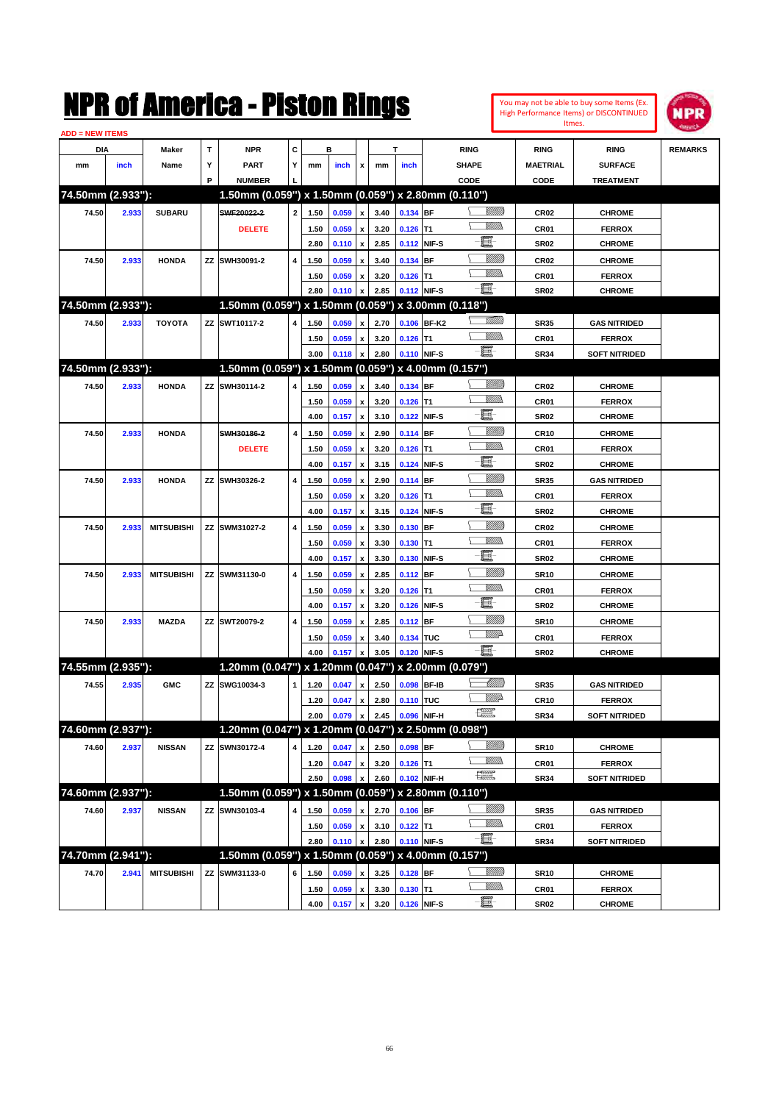

| <b>ADD = NEW ITEMS</b> |       |                   |   |                                                     |              |              |       |                           |              |             |             |                     |                     |                                |                |
|------------------------|-------|-------------------|---|-----------------------------------------------------|--------------|--------------|-------|---------------------------|--------------|-------------|-------------|---------------------|---------------------|--------------------------------|----------------|
| DIA                    |       | Maker             | T | <b>NPR</b>                                          | C            |              | в     |                           |              | T           |             | <b>RING</b>         | <b>RING</b>         | <b>RING</b>                    | <b>REMARKS</b> |
| mm                     | inch  | Name              | Υ | <b>PART</b>                                         | Y            | mm           | inch  | x                         | mm           | inch        |             | <b>SHAPE</b>        | <b>MAETRIAL</b>     | <b>SURFACE</b>                 |                |
|                        |       |                   | P | <b>NUMBER</b>                                       |              |              |       |                           |              |             |             | CODE                | CODE                | <b>TREATMENT</b>               |                |
| 74.50mm (2.933"):      |       |                   |   | 1.50mm (0.059") x 1.50mm (0.059") x 2.80mm (0.110") |              |              |       |                           |              |             |             |                     |                     |                                |                |
| 74.50                  | 2.933 | <b>SUBARU</b>     |   | SWF20022-2                                          | $\mathbf{2}$ | 1.50         | 0.059 | x                         | 3.40         | 0.134 BF    |             | <u>Sillilli</u>     | <b>CR02</b>         | <b>CHROME</b>                  |                |
|                        |       |                   |   | <b>DELETE</b>                                       |              | 1.50         | 0.059 | x                         | 3.20         | $0.126$ T1  |             | VM))                | CR01                | <b>FERROX</b>                  |                |
|                        |       |                   |   |                                                     |              | 2.80         | 0.110 | $\pmb{\mathsf{x}}$        | 2.85         |             | 0.112 NIF-S | e                   | <b>SR02</b>         | <b>CHROME</b>                  |                |
| 74.50                  | 2.933 | <b>HONDA</b>      |   | ZZ SWH30091-2                                       | 4            | 1.50         | 0.059 | x                         | 3.40         | 0.134 BF    |             | <u>Sillilli</u>     | <b>CR02</b>         | <b>CHROME</b>                  |                |
|                        |       |                   |   |                                                     |              | 1.50         | 0.059 | x                         | 3.20         | $0.126$ T1  |             |                     | CR01                | <b>FERROX</b>                  |                |
|                        |       |                   |   |                                                     |              | 2.80         | 0.110 | x                         | 2.85         |             | 0.112 NIF-S | -8                  | <b>SR02</b>         | <b>CHROME</b>                  |                |
| 74.50mm (2.933"):      |       |                   |   | 1.50mm (0.059") x 1.50mm (0.059") x 3.00mm (0.118") |              |              |       |                           |              |             |             |                     |                     |                                |                |
| 74.50                  | 2.933 | <b>TOYOTA</b>     |   | ZZ SWT10117-2                                       | 4            | 1.50         | 0.059 | x                         | 2.70         |             | 0.106 BF-K2 | <u> UMB</u>         | <b>SR35</b>         | <b>GAS NITRIDED</b>            |                |
|                        |       |                   |   |                                                     |              | 1.50         | 0.059 | x                         | 3.20         | $0.126$ T1  |             | VMM)                | CR01                | <b>FERROX</b>                  |                |
|                        |       |                   |   |                                                     |              | 3.00         | 0.118 | x                         | 2.80         | 0.110 NIF-S |             | -8                  | <b>SR34</b>         | <b>SOFT NITRIDED</b>           |                |
| 74.50mm (2.933"):      |       |                   |   | 1.50mm (0.059") x 1.50mm (0.059") x 4.00mm (0.157") |              |              |       |                           |              |             |             |                     |                     |                                |                |
| 74.50                  | 2.933 | <b>HONDA</b>      |   | ZZ SWH30114-2                                       | 4            | 1.50         | 0.059 | x                         | 3.40         | 0.134 BF    |             | <u>Sillilli</u>     | <b>CR02</b>         | <b>CHROME</b>                  |                |
|                        |       |                   |   |                                                     |              | 1.50         | 0.059 | $\boldsymbol{\mathsf{x}}$ | 3.20         | $0.126$ T1  |             |                     | CR01                | <b>FERROX</b>                  |                |
|                        |       |                   |   |                                                     |              | 4.00         | 0.157 | $\pmb{\mathsf{x}}$        | 3.10         |             | 0.122 NIF-S | e                   | <b>SR02</b>         | <b>CHROME</b>                  |                |
| 74.50                  | 2.933 | <b>HONDA</b>      |   | SWH30186-2                                          | 4            | 1.50         | 0.059 |                           | 2.90         | 0.114 BF    |             | <u>Sillilli</u>     | <b>CR10</b>         | <b>CHROME</b>                  |                |
|                        |       |                   |   | <b>DELETE</b>                                       |              |              |       | x                         |              |             |             | VM))                |                     |                                |                |
|                        |       |                   |   |                                                     |              | 1.50<br>4.00 | 0.059 | x                         | 3.20<br>3.15 | $0.126$ T1  | 0.124 NIF-S | E                   | CR01<br><b>SR02</b> | <b>FERROX</b><br><b>CHROME</b> |                |
|                        |       |                   |   |                                                     |              |              | 0.157 | x                         |              |             |             | <u>Milli</u> lli    |                     |                                |                |
| 74.50                  | 2.933 | <b>HONDA</b>      |   | ZZ SWH30326-2                                       | 4            | 1.50         | 0.059 | x                         | 2.90         | 0.114 BF    |             | VM))                | <b>SR35</b>         | <b>GAS NITRIDED</b>            |                |
|                        |       |                   |   |                                                     |              | 1.50         | 0.059 | x                         | 3.20         | $0.126$ T1  |             | E                   | CR01                | <b>FERROX</b>                  |                |
|                        |       |                   |   |                                                     |              | 4.00         | 0.157 | x                         | 3.15         |             | 0.124 NIF-S |                     | <b>SR02</b>         | <b>CHROME</b>                  |                |
| 74.50                  | 2.933 | <b>MITSUBISHI</b> |   | ZZ SWM31027-2                                       | 4            | 1.50         | 0.059 | x                         | 3.30         | 0.130 BF    |             |                     | <b>CR02</b>         | <b>CHROME</b>                  |                |
|                        |       |                   |   |                                                     |              | 1.50         | 0.059 | x                         | 3.30         | $0.130$ T1  |             | e                   | CR01                | <b>FERROX</b>                  |                |
|                        |       |                   |   |                                                     |              | 4.00         | 0.157 | x                         | 3.30         |             | 0.130 NIF-S |                     | <b>SR02</b>         | <b>CHROME</b>                  |                |
| 74.50                  | 2.933 | <b>MITSUBISHI</b> |   | ZZ SWM31130-0                                       | 4            | 1.50         | 0.059 | x                         | 2.85         | $0.112$ BF  |             | <u>Sillilli</u><br> | <b>SR10</b>         | <b>CHROME</b>                  |                |
|                        |       |                   |   |                                                     |              | 1.50         | 0.059 | x                         | 3.20         | $0.126$ T1  |             |                     | CR01                | <b>FERROX</b>                  |                |
|                        |       |                   |   |                                                     |              | 4.00         | 0.157 | x                         | 3.20         |             | 0.126 NIF-S | e                   | <b>SR02</b>         | <b>CHROME</b>                  |                |
| 74.50                  | 2.933 | <b>MAZDA</b>      |   | ZZ SWT20079-2                                       | 4            | 1.50         | 0.059 | x                         | 2.85         | $0.112$ BF  |             | <u>Sillilli</u>     | <b>SR10</b>         | <b>CHROME</b>                  |                |
|                        |       |                   |   |                                                     |              | 1.50         | 0.059 | x                         | 3.40         | 0.134 TUC   |             | <u>WW</u> A         | CR01                | <b>FERROX</b>                  |                |
|                        |       |                   |   |                                                     |              | 4.00         | 0.157 | x                         | 3.05         |             | 0.120 NIF-S | -8                  | <b>SR02</b>         | <b>CHROME</b>                  |                |
| 74.55mm (2.935"):      |       |                   |   | 1.20mm (0.047") x 1.20mm (0.047") x 2.00mm (0.079") |              |              |       |                           |              |             |             |                     |                     |                                |                |
| 74.55                  | 2.935 | <b>GMC</b>        |   | ZZ SWG10034-3                                       | $\mathbf{1}$ | 1.20         | 0.047 | x                         | 2.50         |             | 0.098 BF-IB | <u> Millitt</u>     | <b>SR35</b>         | <b>GAS NITRIDED</b>            |                |
|                        |       |                   |   |                                                     |              | 1.20         | 0.047 | x                         | 2.80         | 0.110 TUC   |             | ₩₩                  | <b>CR10</b>         | <b>FERROX</b>                  |                |
|                        |       |                   |   |                                                     |              | 2.00         | 0.079 | $\pmb{\mathsf{x}}$        | 2.45         | 0.096 NIF-H |             | 鱱                   | <b>SR34</b>         | <b>SOFT NITRIDED</b>           |                |
| 74.60mm (2.937"):      |       |                   |   | 1.20mm (0.047") x 1.20mm (0.047") x 2.50mm (0.098") |              |              |       |                           |              |             |             |                     |                     |                                |                |
| 74.60                  | 2.937 | <b>NISSAN</b>     |   | ZZ SWN30172-4                                       | 4            | 1.20         | 0.047 | x                         | 2.50         | 0.098 BF    |             | <u>Sillilli</u>     | <b>SR10</b>         | <b>CHROME</b>                  |                |
|                        |       |                   |   |                                                     |              | 1.20         | 0.047 | x                         | 3.20         | $0.126$ T1  |             | <u>Villida</u>      | CR01                | <b>FERROX</b>                  |                |
|                        |       |                   |   |                                                     |              | 2.50         | 0.098 |                           | 2.60         |             | 0.102 NIF-H | H                   | <b>SR34</b>         | <b>SOFT NITRIDED</b>           |                |
| 74.60mm (2.937"):      |       |                   |   | 1.50mm (0.059") x 1.50mm (0.059") x 2.80mm (0.110") |              |              |       |                           |              |             |             |                     |                     |                                |                |
| 74.60                  | 2.937 | <b>NISSAN</b>     |   | ZZ SWN30103-4                                       | 4            | 1.50         | 0.059 | x                         | 2.70         | $0.106$ BF  |             | <u>UMB</u>          | <b>SR35</b>         | <b>GAS NITRIDED</b>            |                |
|                        |       |                   |   |                                                     |              | 1.50         | 0.059 | x                         | 3.10         | $0.122$ T1  |             | <u>Villida</u>      | CR01                | <b>FERROX</b>                  |                |
|                        |       |                   |   |                                                     |              | 2.80         | 0.110 | x                         | 2.80         |             | 0.110 NIF-S | $-\Xi$              | <b>SR34</b>         | <b>SOFT NITRIDED</b>           |                |
| 74.70mm (2.941"):      |       |                   |   | 1.50mm (0.059") x 1.50mm (0.059") x 4.00mm (0.157") |              |              |       |                           |              |             |             |                     |                     |                                |                |
| 74.70                  | 2.941 | <b>MITSUBISHI</b> |   | ZZ SWM31133-0                                       | 6            | 1.50         | 0.059 |                           | 3.25         | $0.128$ BF  |             | <u>UMB</u>          | <b>SR10</b>         | <b>CHROME</b>                  |                |
|                        |       |                   |   |                                                     |              | 1.50         | 0.059 | $\pmb{\mathsf{x}}$        | 3.30         | $0.130$ T1  |             | <u>WMW</u>          | CR01                | <b>FERROX</b>                  |                |
|                        |       |                   |   |                                                     |              | 4.00         | 0.157 | X                         | 3.20         |             | 0.126 NIF-S | $-\Xi$ -            | SR <sub>02</sub>    | <b>CHROME</b>                  |                |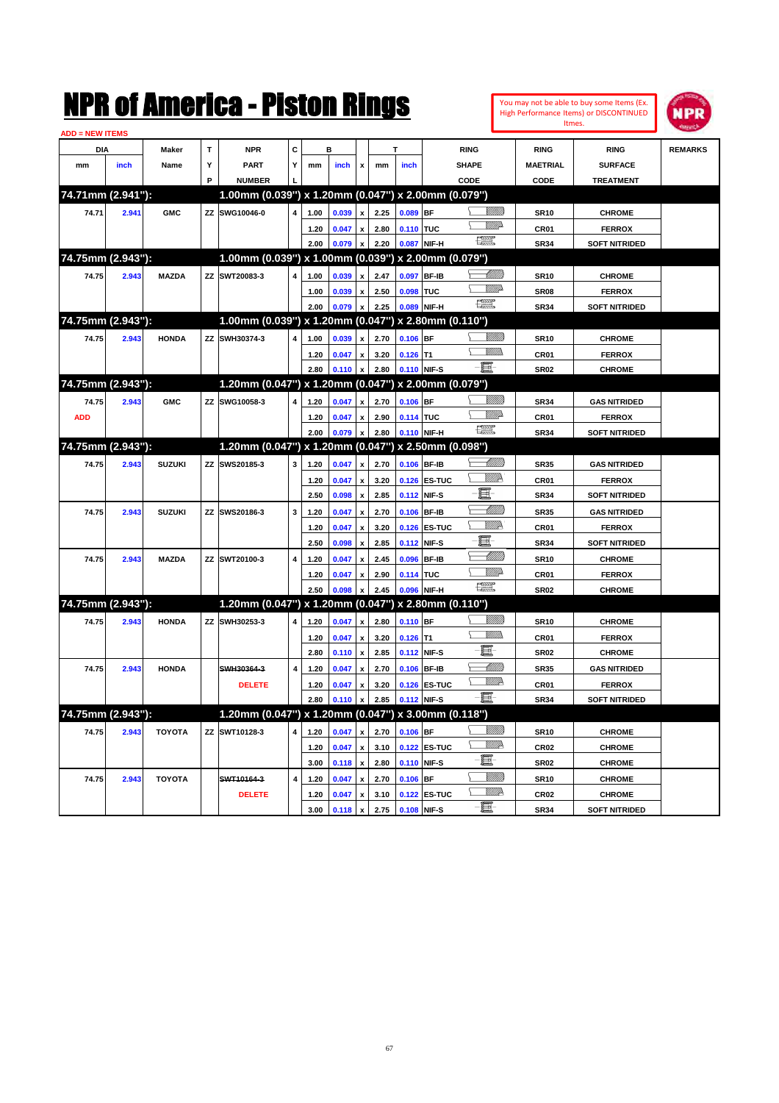|                        |       |               |     | NMK OI AMCMICA - MISTON KINGS                       |   |      |                |                           |      |             |              |                                                                                                                                                                                                                                                                                                                                                                                             |                 |                  | You may not be able to buy some Items (Ex.<br>High Performance Items) or DISCONTINUED<br>Itmes. | IPR            |
|------------------------|-------|---------------|-----|-----------------------------------------------------|---|------|----------------|---------------------------|------|-------------|--------------|---------------------------------------------------------------------------------------------------------------------------------------------------------------------------------------------------------------------------------------------------------------------------------------------------------------------------------------------------------------------------------------------|-----------------|------------------|-------------------------------------------------------------------------------------------------|----------------|
| <b>ADD = NEW ITEMS</b> |       |               |     |                                                     |   |      |                |                           |      |             |              |                                                                                                                                                                                                                                                                                                                                                                                             |                 |                  |                                                                                                 |                |
| DIA                    |       | Maker         | T   | <b>NPR</b>                                          | C |      | в              |                           |      | т           |              | <b>RING</b>                                                                                                                                                                                                                                                                                                                                                                                 |                 | <b>RING</b>      | <b>RING</b>                                                                                     | <b>REMARKS</b> |
| mm                     | inch  | Name          | Υ   | PART                                                | Y | mm   | inch           | x                         | mm   | inch        |              | <b>SHAPE</b>                                                                                                                                                                                                                                                                                                                                                                                |                 | <b>MAETRIAL</b>  | <b>SURFACE</b>                                                                                  |                |
|                        |       |               | P   | <b>NUMBER</b>                                       |   |      |                |                           |      |             |              | CODE                                                                                                                                                                                                                                                                                                                                                                                        |                 | <b>CODE</b>      | <b>TREATMENT</b>                                                                                |                |
| 74.71mm (2.941"):      |       |               |     | 1.00mm (0.039") x 1.20mm (0.047") x 2.00mm (0.079") |   |      |                |                           |      |             |              |                                                                                                                                                                                                                                                                                                                                                                                             |                 |                  |                                                                                                 |                |
| 74.71                  | 2.941 | <b>GMC</b>    | ZZ  | SWG10046-0                                          | 4 | 1.00 | 0.039          | x                         | 2.25 | $0.089$ BF  |              |                                                                                                                                                                                                                                                                                                                                                                                             |                 | <b>SR10</b>      | <b>CHROME</b>                                                                                   |                |
|                        |       |               |     |                                                     |   | 1.20 | 0.047          | x                         | 2.80 | 0.110 TUC   |              |                                                                                                                                                                                                                                                                                                                                                                                             | <u>VMD</u>      | CR01             | <b>FERROX</b>                                                                                   |                |
|                        |       |               |     |                                                     |   | 2.00 | 0.079          | x                         | 2.20 | 0.087 NIF-H |              | $\frac{1}{2}$                                                                                                                                                                                                                                                                                                                                                                               |                 | <b>SR34</b>      | <b>SOFT NITRIDED</b>                                                                            |                |
| 74.75mm (2.943"):      |       |               |     | 1.00mm (0.039") x 1.00mm (0.039") x 2.00mm (0.079") |   |      |                |                           |      |             |              |                                                                                                                                                                                                                                                                                                                                                                                             |                 |                  |                                                                                                 |                |
| 74.75                  | 2.943 | <b>MAZDA</b>  | ZZ  | SWT20083-3                                          | 4 | 1.00 | 0.039          | x                         | 2.47 | 0.097       | <b>BF-IB</b> |                                                                                                                                                                                                                                                                                                                                                                                             | <u> UMM</u>     | <b>SR10</b>      | <b>CHROME</b>                                                                                   |                |
|                        |       |               |     |                                                     |   | 1.00 | 0.039          | X                         | 2.50 | 0.098       | TUC          |                                                                                                                                                                                                                                                                                                                                                                                             | <u>MM</u> D     | SR <sub>08</sub> | <b>FERROX</b>                                                                                   |                |
|                        |       |               |     |                                                     |   | 2.00 | 0.079          | $\boldsymbol{\mathsf{x}}$ | 2.25 | 0.089       | NIF-H        | $\frac{1}{2}$                                                                                                                                                                                                                                                                                                                                                                               |                 | <b>SR34</b>      | <b>SOFT NITRIDED</b>                                                                            |                |
| 74.75mm (2.943"):      |       |               |     | 1.00mm (0.039") x 1.20mm (0.047") x 2.80mm (0.110") |   |      |                |                           |      |             |              |                                                                                                                                                                                                                                                                                                                                                                                             |                 |                  |                                                                                                 |                |
| 74.75                  | 2.943 | <b>HONDA</b>  | ZZ  | SWH30374-3                                          | 4 | 1.00 | 0.039          | x                         | 2.70 | $0.106$ BF  |              |                                                                                                                                                                                                                                                                                                                                                                                             | <u>Sillilli</u> | <b>SR10</b>      | <b>CHROME</b>                                                                                   |                |
|                        |       |               |     |                                                     |   | 1.20 | 0.047          | x                         | 3.20 | $0.126$ T1  |              |                                                                                                                                                                                                                                                                                                                                                                                             | 7777).          | CR01             | <b>FERROX</b>                                                                                   |                |
|                        |       |               |     |                                                     |   | 2.80 | 0.110          | x                         | 2.80 | 0.110 NIF-S |              | -8                                                                                                                                                                                                                                                                                                                                                                                          |                 | <b>SR02</b>      | <b>CHROME</b>                                                                                   |                |
| 74.75mm (2.943"):      |       |               |     | 1.20mm (0.047") x 1.20mm (0.047") x 2.00mm (0.079") |   |      |                |                           |      |             |              |                                                                                                                                                                                                                                                                                                                                                                                             |                 |                  |                                                                                                 |                |
| 74.75                  | 2.943 | <b>GMC</b>    | ZZ  | SWG10058-3                                          | 4 | 1.20 | 0.047          | x                         | 2.70 | $0.106$ BF  |              |                                                                                                                                                                                                                                                                                                                                                                                             | <u>Millill</u>  | <b>SR34</b>      | <b>GAS NITRIDED</b>                                                                             |                |
| <b>ADD</b>             |       |               |     |                                                     |   | 1.20 | 0.047          | X                         | 2.90 | 0.114 TUC   |              |                                                                                                                                                                                                                                                                                                                                                                                             | WMD-            | CR01             | <b>FERROX</b>                                                                                   |                |
|                        |       |               |     |                                                     |   | 2.00 | 0.079          | $\boldsymbol{\mathsf{x}}$ | 2.80 | 0.110 NIF-H |              | $\frac{1}{2}$                                                                                                                                                                                                                                                                                                                                                                               |                 | <b>SR34</b>      | <b>SOFT NITRIDED</b>                                                                            |                |
| 74.75mm (2.943"):      |       |               |     | 1.20mm (0.047") x 1.20mm (0.047") x 2.50mm (0.098") |   |      |                |                           |      |             |              |                                                                                                                                                                                                                                                                                                                                                                                             |                 |                  |                                                                                                 |                |
| 74.75                  | 2.943 | <b>SUZUKI</b> | ZZ  | SWS20185-3                                          | 3 | 1.20 | 0.047          | x                         | 2.70 | 0.106 BF-IB |              |                                                                                                                                                                                                                                                                                                                                                                                             | <u> UMM</u>     | <b>SR35</b>      | <b>GAS NITRIDED</b>                                                                             |                |
|                        |       |               |     |                                                     |   | 1.20 | 0.047          | x                         | 3.20 |             | 0.126 ES-TUC |                                                                                                                                                                                                                                                                                                                                                                                             | W//2            | CR01             | <b>FERROX</b>                                                                                   |                |
|                        |       |               |     |                                                     |   | 2.50 | 0.098          | $\boldsymbol{\mathsf{x}}$ | 2.85 | 0.112 NIF-S |              | E                                                                                                                                                                                                                                                                                                                                                                                           |                 | <b>SR34</b>      | <b>SOFT NITRIDED</b>                                                                            |                |
| 74.75                  | 2.943 | <b>SUZUKI</b> | ZZ  | SWS20186-3                                          | 3 | 1.20 | 0.047          | x                         | 2.70 | 0.106 BF-IB |              |                                                                                                                                                                                                                                                                                                                                                                                             | <u>MM</u>       | <b>SR35</b>      | <b>GAS NITRIDED</b>                                                                             |                |
|                        |       |               |     |                                                     |   | 1.20 | 0.047          | x                         | 3.20 |             | 0.126 ES-TUC |                                                                                                                                                                                                                                                                                                                                                                                             | WMP             | CR <sub>01</sub> | <b>FERROX</b>                                                                                   |                |
|                        |       |               |     |                                                     |   | 2.50 | 0.098          | X                         | 2.85 | 0.112 NIF-S |              | E                                                                                                                                                                                                                                                                                                                                                                                           |                 | <b>SR34</b>      | <b>SOFT NITRIDED</b>                                                                            |                |
| 74.75                  | 2.943 | <b>MAZDA</b>  | ZZ. | SWT20100-3                                          | 4 | 1.20 | 0.047          | x                         | 2.45 | 0.096       | <b>BF-IB</b> |                                                                                                                                                                                                                                                                                                                                                                                             | <u>UMM</u>      | <b>SR10</b>      | <b>CHROME</b>                                                                                   |                |
|                        |       |               |     |                                                     |   | 1.20 | 0.047          | X                         | 2.90 | 0.114 TUC   |              |                                                                                                                                                                                                                                                                                                                                                                                             | MM)             | CR01             | <b>FERROX</b>                                                                                   |                |
|                        |       |               |     |                                                     |   | 2.50 | 0.098          | X                         | 2.45 | 0.096 NIF-H |              | $\begin{picture}(20,20) \put(0,0){\dashbox{0.5}(20,0){ }} \put(15,0){\circle{10}} \put(25,0){\circle{10}} \put(25,0){\circle{10}} \put(25,0){\circle{10}} \put(25,0){\circle{10}} \put(25,0){\circle{10}} \put(25,0){\circle{10}} \put(25,0){\circle{10}} \put(25,0){\circle{10}} \put(25,0){\circle{10}} \put(25,0){\circle{10}} \put(25,0){\circle{10}} \put(25,0){\circle{10}} \put(25,$ |                 | <b>SR02</b>      | <b>CHROME</b>                                                                                   |                |
| 74.75mm (2.943"):      |       |               |     | 1.20mm (0.047") x 1.20mm (0.047") x 2.80mm (0.110") |   |      |                |                           |      |             |              |                                                                                                                                                                                                                                                                                                                                                                                             |                 |                  |                                                                                                 |                |
| 74.75                  | 2.943 | <b>HONDA</b>  | ZZ  | SWH30253-3                                          | 4 | 1.20 | 0.047          | x                         | 2.80 | $0.110$ BF  |              |                                                                                                                                                                                                                                                                                                                                                                                             | <u>Sillilli</u> | <b>SR10</b>      | <b>CHROME</b>                                                                                   |                |
|                        |       |               |     |                                                     |   | 1.20 | 0.047          | x                         | 3.20 | $0.126$ T1  |              |                                                                                                                                                                                                                                                                                                                                                                                             | 7777).          | CR01             | <b>FERROX</b>                                                                                   |                |
|                        |       |               |     |                                                     |   | 2.80 | 0.110          | $\boldsymbol{\mathsf{x}}$ | 2.85 | 0.112 NIF-S |              | E                                                                                                                                                                                                                                                                                                                                                                                           |                 | <b>SR02</b>      | <b>CHROME</b>                                                                                   |                |
| 74.75                  | 2.943 | <b>HONDA</b>  |     | SWH30364-3                                          | 4 | 1.20 | 0.047          | x                         | 2.70 | 0.106 BF-IB |              |                                                                                                                                                                                                                                                                                                                                                                                             | <u>UMM</u>      | <b>SR35</b>      | <b>GAS NITRIDED</b>                                                                             |                |
|                        |       |               |     | <b>DELETE</b>                                       |   | 1.20 | 0.047          | $\pmb{\mathsf{x}}$        | 3.20 |             | 0.126 ES-TUC |                                                                                                                                                                                                                                                                                                                                                                                             | <u>MM</u>       | CR01             | <b>FERROX</b>                                                                                   |                |
|                        |       |               |     |                                                     |   | 2.80 | 0.110 x        |                           | 2.85 | 0.112 NIF-S |              |                                                                                                                                                                                                                                                                                                                                                                                             |                 | <b>SR34</b>      | <b>SOFT NITRIDED</b>                                                                            |                |
| 74.75mm (2.943"):      |       |               |     | 1.20mm (0.047") x 1.20mm (0.047") x 3.00mm (0.118") |   |      |                |                           |      |             |              |                                                                                                                                                                                                                                                                                                                                                                                             |                 |                  |                                                                                                 |                |
| 74.75                  | 2.943 | <b>TOYOTA</b> | ZZ  | SWT10128-3                                          | 4 | 1.20 | 0.047          | $\pmb{\mathsf{x}}$        | 2.70 | $0.106$ BF  |              |                                                                                                                                                                                                                                                                                                                                                                                             | <u>VIIII</u> )  | <b>SR10</b>      | <b>CHROME</b>                                                                                   |                |
|                        |       |               |     |                                                     |   | 1.20 | 0.047          | $\pmb{\mathsf{x}}$        | 3.10 |             | 0.122 ES-TUC |                                                                                                                                                                                                                                                                                                                                                                                             | <u>W//A</u>     | CR02             | <b>CHROME</b>                                                                                   |                |
|                        |       |               |     |                                                     |   | 3.00 | $0.118 \times$ |                           | 2.80 | 0.110 NIF-S |              | e.                                                                                                                                                                                                                                                                                                                                                                                          |                 | SR <sub>02</sub> | <b>CHROME</b>                                                                                   |                |
| 74.75                  | 2.943 | <b>TOYOTA</b> |     | SWT10164-3                                          | 4 | 1.20 | 0.047          | $\pmb{\mathsf{x}}$        | 2.70 | $0.106$ BF  |              |                                                                                                                                                                                                                                                                                                                                                                                             | <u>Villilli</u> | <b>SR10</b>      | <b>CHROME</b>                                                                                   |                |
|                        |       |               |     | <b>DELETE</b>                                       |   | 1.20 | 0.047          | $\pmb{\mathsf{x}}$        | 3.10 |             | 0.122 ES-TUC |                                                                                                                                                                                                                                                                                                                                                                                             | <u>W//A</u>     | CR02             | <b>CHROME</b>                                                                                   |                |
|                        |       |               |     |                                                     |   | 3.00 | 0.118          | $\mathbf{x}$              | 2.75 | 0.108 NIF-S |              | $-\Xi$                                                                                                                                                                                                                                                                                                                                                                                      |                 | <b>SR34</b>      | <b>SOFT NITRIDED</b>                                                                            |                |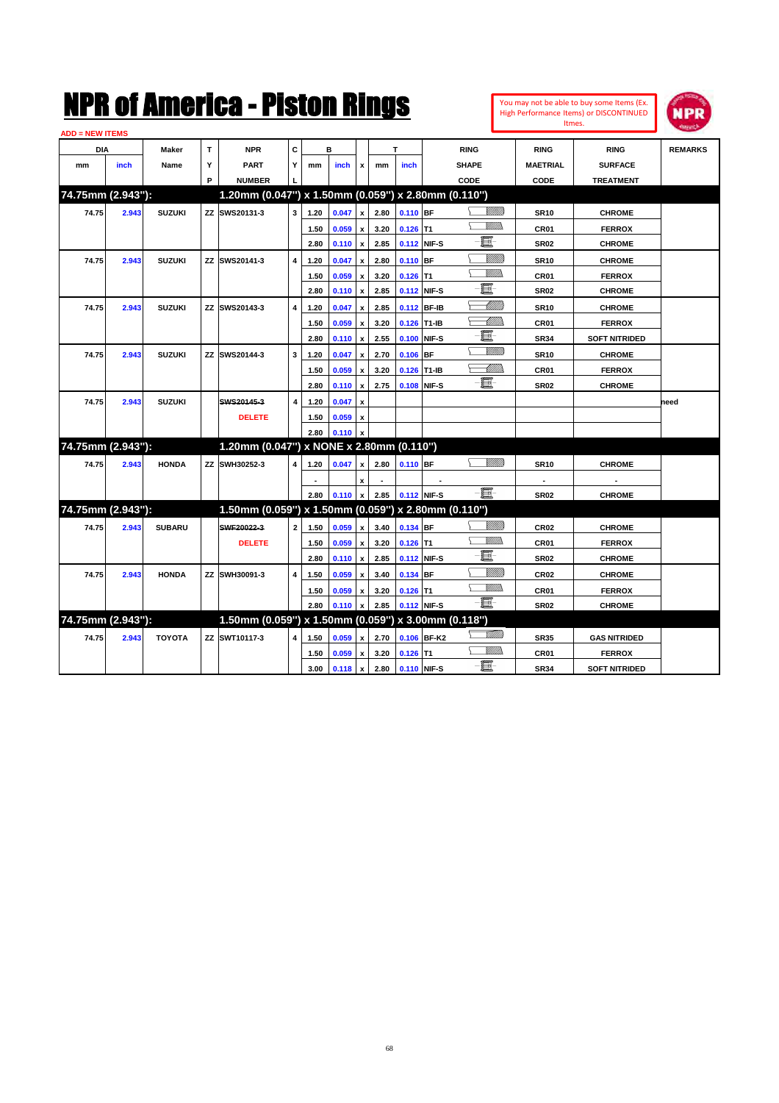| <b>ADD = NEW ITEMS</b> |       |               |              |                                                     |                |      |           |                           |      |                  |             |                                                                                                                                                                                                                                      |                  |                      |                |
|------------------------|-------|---------------|--------------|-----------------------------------------------------|----------------|------|-----------|---------------------------|------|------------------|-------------|--------------------------------------------------------------------------------------------------------------------------------------------------------------------------------------------------------------------------------------|------------------|----------------------|----------------|
| <b>DIA</b>             |       | <b>Maker</b>  | $\mathbf{T}$ | <b>NPR</b>                                          | C              |      | в         |                           |      | T                |             | <b>RING</b>                                                                                                                                                                                                                          | <b>RING</b>      | <b>RING</b>          | <b>REMARKS</b> |
| mm                     | inch  | Name          | Y            | <b>PART</b>                                         | Y              | mm   | inch      | x                         | mm   | inch             |             | <b>SHAPE</b>                                                                                                                                                                                                                         | <b>MAETRIAL</b>  | <b>SURFACE</b>       |                |
|                        |       |               | P            | <b>NUMBER</b>                                       |                |      |           |                           |      |                  |             | CODE                                                                                                                                                                                                                                 | CODE             | <b>TREATMENT</b>     |                |
| 74.75mm (2.943"):      |       |               |              | 1.20mm (0.047") x 1.50mm (0.059") x 2.80mm (0.110") |                |      |           |                           |      |                  |             |                                                                                                                                                                                                                                      |                  |                      |                |
| 74.75                  | 2.943 | <b>SUZUKI</b> |              | ZZ SWS20131-3                                       | 3              | 1.20 | 0.047     | x                         | 2.80 | 0.110 BF         |             | <br>Viited                                                                                                                                                                                                                           | <b>SR10</b>      | <b>CHROME</b>        |                |
|                        |       |               |              |                                                     |                | 1.50 | 0.059     | $\mathbf{x}$              | 3.20 | $0.126$ T1       |             | VM)).                                                                                                                                                                                                                                | CR01             | <b>FERROX</b>        |                |
|                        |       |               |              |                                                     |                | 2.80 | 0.110     | $\mathbf{x}$              | 2.85 | 0.112 NIF-S      |             | e.                                                                                                                                                                                                                                   | <b>SR02</b>      | <b>CHROME</b>        |                |
| 74.75                  | 2.943 | <b>SUZUKI</b> |              | ZZ SWS20141-3                                       | 4              | 1.20 | 0.047     | $\mathbf{x}$              | 2.80 | 0.110 BF         |             | VIIII)                                                                                                                                                                                                                               | <b>SR10</b>      | <b>CHROME</b>        |                |
|                        |       |               |              |                                                     |                | 1.50 | 0.059     | x                         | 3.20 | $0.126$ T1       |             | VM).                                                                                                                                                                                                                                 | CR01             | <b>FERROX</b>        |                |
|                        |       |               |              |                                                     |                | 2.80 | 0.110     | $\pmb{\mathsf{x}}$        | 2.85 | 0.112 NIF-S      |             | H                                                                                                                                                                                                                                    | <b>SR02</b>      | <b>CHROME</b>        |                |
| 74.75                  | 2.943 | <b>SUZUKI</b> |              | ZZ SWS20143-3                                       | 4              | 1.20 | 0.047     | $\mathbf{x}$              | 2.85 |                  | 0.112 BF-IB | <u>UMM</u>                                                                                                                                                                                                                           | <b>SR10</b>      | <b>CHROME</b>        |                |
|                        |       |               |              |                                                     |                | 1.50 | 0.059     | $\mathbf{x}$              | 3.20 | $0.126$ T1-IB    |             | <u>UMB</u>                                                                                                                                                                                                                           | CR01             | <b>FERROX</b>        |                |
|                        |       |               |              |                                                     |                | 2.80 | 0.110     | $\mathbf{x}$              | 2.55 | 0.100 NIF-S      |             | e.                                                                                                                                                                                                                                   | <b>SR34</b>      | <b>SOFT NITRIDED</b> |                |
| 74.75                  | 2.943 | <b>SUZUKI</b> |              | ZZ SWS20144-3                                       | 3              | 1.20 | 0.047     | $\mathbf{x}$              | 2.70 | $0.106$ BF       |             | <u>Cillida</u>                                                                                                                                                                                                                       | <b>SR10</b>      | <b>CHROME</b>        |                |
|                        |       |               |              |                                                     |                | 1.50 | 0.059     | x                         | 3.20 | $0.126$ T1-IB    |             | <u> 1777)</u>                                                                                                                                                                                                                        | CR01             | <b>FERROX</b>        |                |
|                        |       |               |              |                                                     |                | 2.80 | 0.110     | $\mathbf{x}$              | 2.75 | 0.108 NIF-S      |             | e de la contrada de la contrada de la contrada de la contrada de la contrada de la contrada de la contrada de<br>Del contrada de la contrada de la contrada de la contrada de la contrada de la contrada de la contrada de la c<br>D | <b>SR02</b>      | <b>CHROME</b>        |                |
| 74.75                  | 2.943 | <b>SUZUKI</b> |              | SWS20145-3                                          | $\overline{4}$ | 1.20 | 0.047     | $\mathbf{x}$              |      |                  |             |                                                                                                                                                                                                                                      |                  |                      | need           |
|                        |       |               |              | <b>DELETE</b>                                       |                | 1.50 | 0.059     | $\pmb{\mathsf{x}}$        |      |                  |             |                                                                                                                                                                                                                                      |                  |                      |                |
|                        |       |               |              |                                                     |                | 2.80 | 0.110     | $\mathbf{x}$              |      |                  |             |                                                                                                                                                                                                                                      |                  |                      |                |
| 74.75mm (2.943"):      |       |               |              | 1.20mm (0.047") x NONE x 2.80mm (0.110")            |                |      |           |                           |      |                  |             |                                                                                                                                                                                                                                      |                  |                      |                |
| 74.75                  | 2.943 | <b>HONDA</b>  | ZZ           | SWH30252-3                                          | 4              | 1.20 | 0.047     | $\pmb{\mathsf{x}}$        | 2.80 | $0.110$ BF       |             |                                                                                                                                                                                                                                      | <b>SR10</b>      | <b>CHROME</b>        |                |
|                        |       |               |              |                                                     |                |      |           | $\mathbf{x}$              |      |                  |             |                                                                                                                                                                                                                                      |                  |                      |                |
|                        |       |               |              |                                                     |                | 2.80 | 0.110     | $\pmb{\mathsf{x}}$        | 2.85 | 0.112 NIF-S      |             | $-\blacksquare$                                                                                                                                                                                                                      | <b>SR02</b>      | <b>CHROME</b>        |                |
| 74.75mm (2.943"):      |       |               |              | 1.50mm (0.059") x 1.50mm (0.059") x 2.80mm (0.110") |                |      |           |                           |      |                  |             |                                                                                                                                                                                                                                      |                  |                      |                |
| 74.75                  | 2.943 | <b>SUBARU</b> |              | SWF20022-3                                          | 2 <sup>1</sup> | 1.50 | 0.059     | $\mathbf{x}$              | 3.40 | 0.134 BF         |             | <u>VIIII</u> )                                                                                                                                                                                                                       | CR <sub>02</sub> | <b>CHROME</b>        |                |
|                        |       |               |              | <b>DELETE</b>                                       |                | 1.50 | 0.059     | x                         | 3.20 | $0.126$ T1       |             | <u>Willib</u>                                                                                                                                                                                                                        | CR01             | <b>FERROX</b>        |                |
|                        |       |               |              |                                                     |                | 2.80 | 0.110     | $\boldsymbol{\mathsf{x}}$ | 2.85 |                  | 0.112 NIF-S | e.                                                                                                                                                                                                                                   | <b>SR02</b>      | <b>CHROME</b>        |                |
| 74.75                  | 2.943 | <b>HONDA</b>  | ZZ           | SWH30091-3                                          | $\overline{4}$ | 1.50 | 0.059     | x                         | 3.40 | 0.134 BF         |             |                                                                                                                                                                                                                                      | CR <sub>02</sub> | <b>CHROME</b>        |                |
|                        |       |               |              |                                                     |                | 1.50 | 0.059     | $\mathbf{x}$              | 3.20 | $0.126$ T1       |             | VM).                                                                                                                                                                                                                                 | CR01             | <b>FERROX</b>        |                |
|                        |       |               |              |                                                     |                | 2.80 | 0.110     | $\mathbf{x}$              | 2.85 | 0.112 NIF-S      |             | $-\Xi$ -                                                                                                                                                                                                                             | <b>SR02</b>      | <b>CHROME</b>        |                |
| 74.75mm (2.943"):      |       |               |              | 1.50mm (0.059") x 1.50mm (0.059") x 3.00mm (0.118") |                |      |           |                           |      |                  |             |                                                                                                                                                                                                                                      |                  |                      |                |
| 74.75                  | 2.943 | <b>TOYOTA</b> |              | ZZ SWT10117-3                                       | 4              | 1.50 | 0.059     | $\mathbf{x}$              | 2.70 |                  | 0.106 BF-K2 | <u> Millid</u> a                                                                                                                                                                                                                     | <b>SR35</b>      | <b>GAS NITRIDED</b>  |                |
|                        |       |               |              |                                                     |                | 1.50 | 0.059     | $\pmb{\mathsf{x}}$        | 3.20 | $0.126$ T1       |             | VM).                                                                                                                                                                                                                                 | CR01             | <b>FERROX</b>        |                |
|                        |       |               |              |                                                     |                | 3.00 | $0.118$ x |                           |      | 2.80 0.110 NIF-S |             | -E-                                                                                                                                                                                                                                  | <b>SR34</b>      | <b>SOFT NITRIDED</b> |                |

You may not be able to buy some Items (Ex. High Performance Items) or DISCONTINUED Itmes.

**NPR**